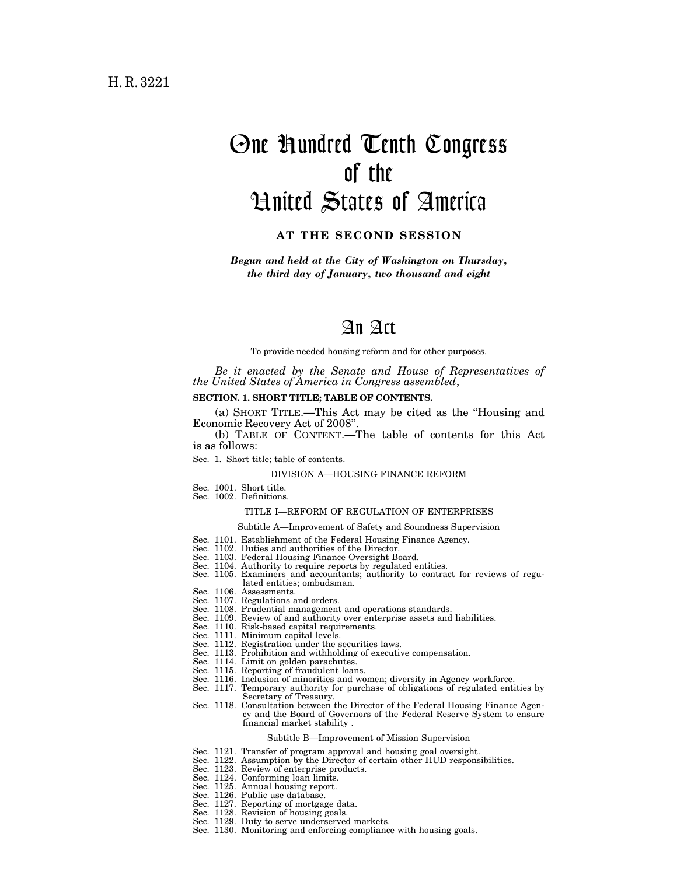# One Hundred Tenth Congress of the United States of America

### **AT THE SECOND SESSION**

*Begun and held at the City of Washington on Thursday, the third day of January, two thousand and eight* 

## An Act

To provide needed housing reform and for other purposes.

*Be it enacted by the Senate and House of Representatives of the United States of America in Congress assembled*,

#### **SECTION. 1. SHORT TITLE; TABLE OF CONTENTS.**

(a) SHORT TITLE.—This Act may be cited as the ''Housing and Economic Recovery Act of 2008''.

(b) TABLE OF CONTENT.—The table of contents for this Act is as follows:

Sec. 1. Short title; table of contents.

#### DIVISION A—HOUSING FINANCE REFORM

- Sec. 1001. Short title.
- Sec. 1002. Definitions.

### TITLE I—REFORM OF REGULATION OF ENTERPRISES

### Subtitle A—Improvement of Safety and Soundness Supervision

- Sec. 1101. Establishment of the Federal Housing Finance Agency.
- Sec. 1102. Duties and authorities of the Director.
- Sec. 1103. Federal Housing Finance Oversight Board.
- Sec. 1104. Authority to require reports by regulated entities.
- Sec. 1105. Examiners and accountants; authority to contract for reviews of regulated entities; ombudsman.
	-
- Sec. 1106. Assessments. Sec. 1107. Regulations and orders.
- Sec. 1108. Prudential management and operations standards.
- Sec. 1109. Review of and authority over enterprise assets and liabilities.
- 
- Sec. 1110. Risk-based capital requirements. Sec. 1111. Minimum capital levels.
- 
- Sec. 1112. Registration under the securities laws. Sec. 1113. Prohibition and withholding of executive compensation.
- Sec. 1114. Limit on golden parachutes.
- Sec. 1115. Reporting of fraudulent loans.
- Sec. 1116. Inclusion of minorities and women; diversity in Agency workforce.
- Sec. 1117. Temporary authority for purchase of obligations of regulated entities by Secretary of Treasury.
- Sec. 1118. Consultation between the Director of the Federal Housing Finance Agency and the Board of Governors of the Federal Reserve System to ensure financial market stability .

#### Subtitle B—Improvement of Mission Supervision

- Sec. 1121. Transfer of program approval and housing goal oversight.
- Sec. 1122. Assumption by the Director of certain other HUD responsibilities.
- Sec. 1123. Review of enterprise products.
- Sec. 1124. Conforming loan limits.
- Sec. 1125. Annual housing report. Sec. 1126. Public use database.
- 
- Sec. 1127. Reporting of mortgage data.
- Sec. 1128. Revision of housing goals.
- Sec. 1129. Duty to serve underserved markets.
- Sec. 1130. Monitoring and enforcing compliance with housing goals.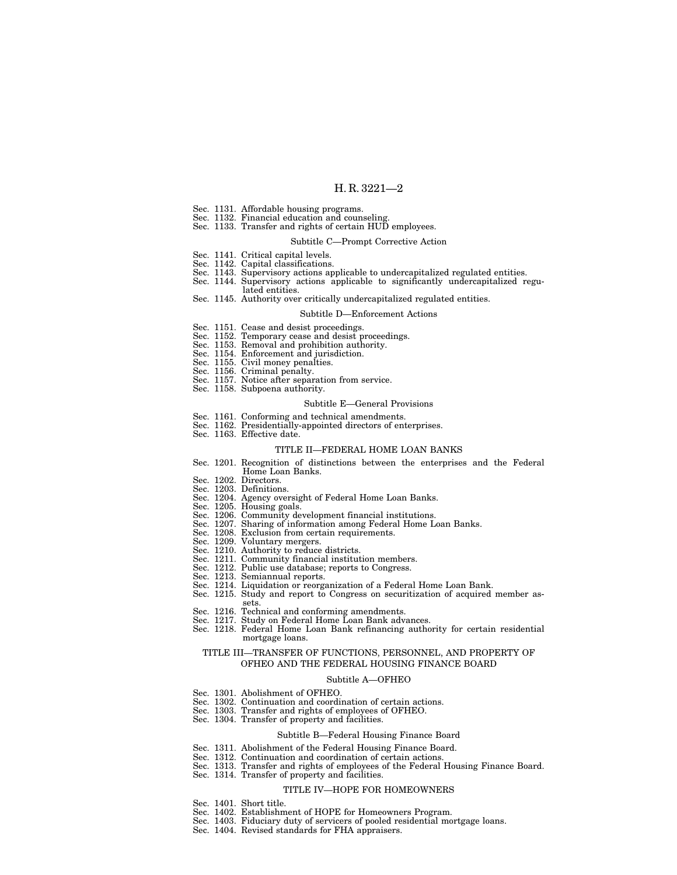- Sec. 1131. Affordable housing programs.
- 
- Sec. 1132. Financial education and counseling. Sec. 1133. Transfer and rights of certain HUD employees.

#### Subtitle C—Prompt Corrective Action

- Sec. 1141. Critical capital levels.
- Sec. 1142. Capital classifications.
- Sec. 1143. Supervisory actions applicable to undercapitalized regulated entities.
- Sec. 1144. Supervisory actions applicable to significantly undercapitalized regu-
- lated entities. Sec. 1145. Authority over critically undercapitalized regulated entities.

#### Subtitle D—Enforcement Actions

- 
- Sec. 1151. Cease and desist proceedings. Sec. 1152. Temporary cease and desist proceedings.
- Sec. 1153. Removal and prohibition authority. Sec. 1154. Enforcement and jurisdiction.
- 
- 
- Sec. 1155. Civil money penalties. Sec. 1156. Criminal penalty.
- Sec. 1157. Notice after separation from service. Sec. 1158. Subpoena authority.
- 

#### Subtitle E—General Provisions

- 
- Sec. 1161. Conforming and technical amendments. Sec. 1162. Presidentially-appointed directors of enterprises.
- Sec. 1163. Effective date.

#### TITLE II—FEDERAL HOME LOAN BANKS

- Sec. 1201. Recognition of distinctions between the enterprises and the Federal Home Loan Banks.
- Sec. 1202. Directors.
- Sec. 1203. Definitions.
- Sec. 1204. Agency oversight of Federal Home Loan Banks.
- Sec. 1205. Housing goals.
- Sec. 1206. Community development financial institutions.
- Sec. 1207. Sharing of information among Federal Home Loan Banks.
- Sec. 1208. Exclusion from certain requirements. Sec. 1209. Voluntary mergers.
- 
- 
- Sec. 1210. Authority to reduce districts. Sec. 1211. Community financial institution members.
- Sec. 1212. Public use database; reports to Congress.
- Sec. 1213. Semiannual reports.
- Sec. 1214. Liquidation or reorganization of a Federal Home Loan Bank.
- Sec. 1215. Study and report to Congress on securitization of acquired member assets.
- 
- Sec. 1216. Technical and conforming amendments. Sec. 1217. Study on Federal Home Loan Bank advances.
- Sec. 1218. Federal Home Loan Bank refinancing authority for certain residential mortgage loans.

#### TITLE III—TRANSFER OF FUNCTIONS, PERSONNEL, AND PROPERTY OF OFHEO AND THE FEDERAL HOUSING FINANCE BOARD

#### Subtitle A—OFHEO

- Sec. 1301. Abolishment of OFHEO.
- Sec. 1302. Continuation and coordination of certain actions.
- Sec. 1303. Transfer and rights of employees of OFHEO.
- Sec. 1304. Transfer of property and facilities.

#### Subtitle B—Federal Housing Finance Board

- Sec. 1311. Abolishment of the Federal Housing Finance Board.
- Sec. 1312. Continuation and coordination of certain actions.
- Sec. 1313. Transfer and rights of employees of the Federal Housing Finance Board.
- Sec. 1314. Transfer of property and facilities.

#### TITLE IV—HOPE FOR HOMEOWNERS

- Sec. 1401. Short title.
- Sec. 1402. Establishment of HOPE for Homeowners Program.
- Sec. 1403. Fiduciary duty of servicers of pooled residential mortgage loans.
- Sec. 1404. Revised standards for FHA appraisers.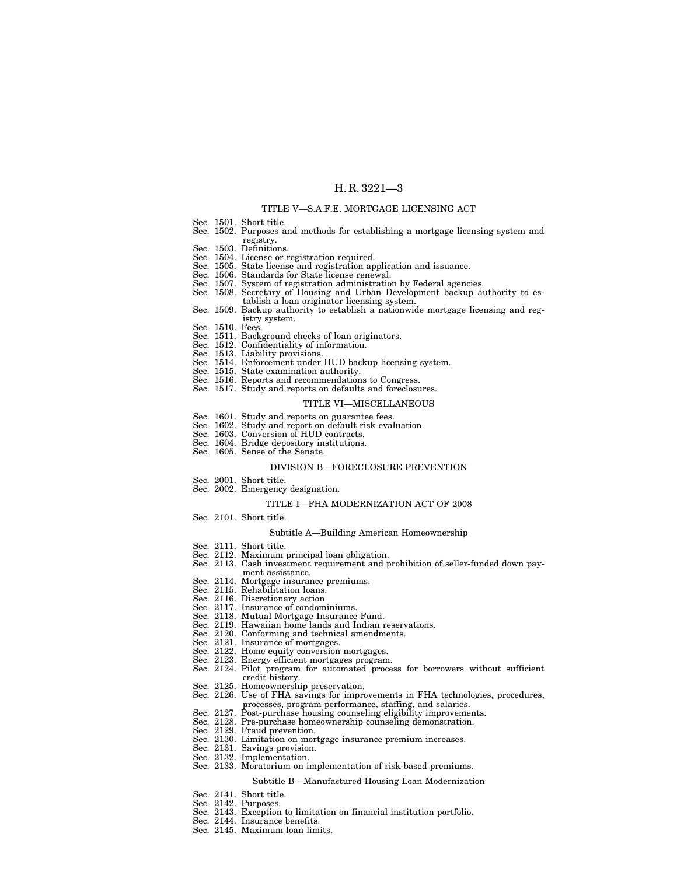#### TITLE V—S.A.F.E. MORTGAGE LICENSING ACT

- Sec. 1501. Short title.
- Sec. 1502. Purposes and methods for establishing a mortgage licensing system and registry.
- Sec. 1503. Definitions.
- Sec. 1504. License or registration required.
- Sec. 1505. State license and registration application and issuance. Sec. 1506. Standards for State license renewal.
- 
- 
- Sec. 1507. System of registration administration by Federal agencies. Sec. 1508. Secretary of Housing and Urban Development backup authority to establish a loan originator licensing system.
- Sec. 1509. Backup authority to establish a nationwide mortgage licensing and registry system.
- Sec. 1510. Fees.
- Sec. 1511. Background checks of loan originators.<br>Sec. 1512. Confidentiality of information.
- Sec. 1512. Confidentiality of information. Sec. 1513. Liability provisions.
- 
- Sec. 1514. Enforcement under HUD backup licensing system.
- Sec. 1515. State examination authority.
- Sec. 1516. Reports and recommendations to Congress. Sec. 1517. Study and reports on defaults and foreclosures.
- 

#### TITLE VI—MISCELLANEOUS

- Sec. 1601. Study and reports on guarantee fees.
- Sec. 1602. Study and report on default risk evaluation.
- Sec. 1603. Conversion of HUD contracts.
- Sec. 1604. Bridge depository institutions.
- Sec. 1605. Sense of the Senate.

### DIVISION B—FORECLOSURE PREVENTION

- Sec. 2001. Short title.
- Sec. 2002. Emergency designation.

#### TITLE I—FHA MODERNIZATION ACT OF 2008

Sec. 2101. Short title.

#### Subtitle A—Building American Homeownership

- 
- Sec. 2111. Short title. Sec. 2112. Maximum principal loan obligation.
- Sec. 2113. Cash investment requirement and prohibition of seller-funded down payment assistance.
- Sec. 2114. Mortgage insurance premiums. Sec. 2115. Rehabilitation loans.
- 
- 
- Sec. 2116. Discretionary action.<br>Sec. 2117. Insurance of condom
- Sec. 2117. Insurance of condominiums. Sec. 2118. Mutual Mortgage Insurance Fund.
- Sec. 2119. Hawaiian home lands and Indian reservations. Sec. 2120. Conforming and technical amendments.
- 
- Sec. 2121. Insurance of mortgages.<br>Sec. 2122. Home equity conversion
	- Home equity conversion mortgages.
- Sec. 2123. Energy efficient mortgages program.
- Sec. 2124. Pilot program for automated process for borrowers without sufficient credit history.
- Sec. 2125. Homeownership preservation.
- Sec. 2126. Use of FHA savings for improvements in FHA technologies, procedures, processes, program performance, staffing, and salaries.
- Sec. 2127. Post-purchase housing counseling eligibility improvements.
- Sec. 2128. Pre-purchase homeownership counseling demonstration.
- Sec. 2129. Fraud prevention.
- Sec. 2130. Limitation on mortgage insurance premium increases.
- Sec. 2131. Savings provision.
- Sec. 2132. Implementation.
- Sec. 2133. Moratorium on implementation of risk-based premiums.

#### Subtitle B—Manufactured Housing Loan Modernization

- Sec. 2141. Short title.
- Sec. 2142. Purposes.
- Sec. 2143. Exception to limitation on financial institution portfolio.
- Sec. 2144. Insurance benefits. Sec. 2145. Maximum loan limits.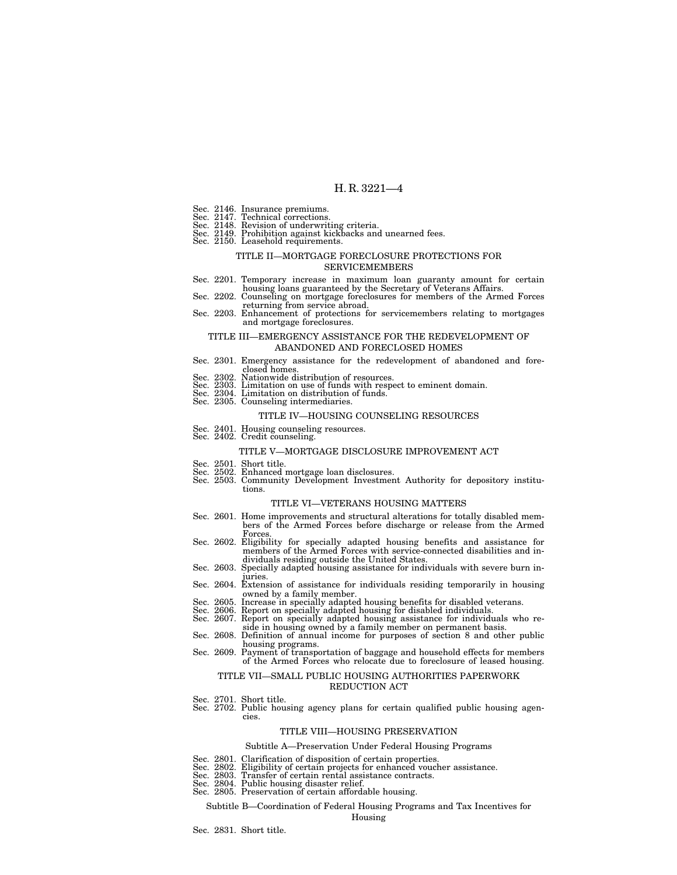- Sec. 2146. Insurance premiums.
- 
- Sec. 2147. Technical corrections. Sec. 2148. Revision of underwriting criteria. Sec. 2149. Prohibition against kickbacks and unearned fees.
- Sec. 2150. Leasehold requirements.

### TITLE II—MORTGAGE FORECLOSURE PROTECTIONS FOR SERVICEMEMBERS

- Sec. 2201. Temporary increase in maximum loan guaranty amount for certain
- housing loans guaranteed by the Secretary of Veterans Affairs. Sec. 2202. Counseling on mortgage foreclosures for members of the Armed Forces
- Sec. 2203. Enhancement of protections for servicemembers relating to mortgages and mortgage foreclosures.

#### TITLE III—EMERGENCY ASSISTANCE FOR THE REDEVELOPMENT OF ABANDONED AND FORECLOSED HOMES

- Sec. 2301. Emergency assistance for the redevelopment of abandoned and fore-
- closed homes. Sec. 2302. Nationwide distribution of resources.
- Sec. 2303. Limitation on use of funds with respect to eminent domain.
- Sec. 2304. Limitation on distribution of funds. Sec. 2305. Counseling intermediaries.
	-

#### TITLE IV—HOUSING COUNSELING RESOURCES

- Sec. 2401. Housing counseling resources. Sec. 2402. Credit counseling.
- 

### TITLE V—MORTGAGE DISCLOSURE IMPROVEMENT ACT

- 
- Sec. 2501. Short title. Sec. 2502. Enhanced mortgage loan disclosures.
- Sec. 2503. Community Development Investment Authority for depository institutions.

#### TITLE VI—VETERANS HOUSING MATTERS

- Sec. 2601. Home improvements and structural alterations for totally disabled members of the Armed Forces before discharge or release from the Armed Forces.
- Sec. 2602. Eligibility for specially adapted housing benefits and assistance for members of the Armed Forces with service-connected disabilities and individuals residing outside the United States. Sec. 2603. Specially adapted housing assistance for individuals with severe burn in-
- 
- juries. Sec. 2604. Extension of assistance for individuals residing temporarily in housing owned by a family member.<br>Sec. 2605. Increase in specially adapted housing benefits for disabled veterans.<br>Sec. 2606. Report on specially adapted housing for disabled individuals.<br>Sec. 2607. Report on specially adapted hou
- 
- 
- 
- side in housing owned by a family member on permanent basis.<br>Sec. 2608. Definition of annual income for purposes of section 8 and other public housing programs.
- Sec. 2609. Payment of transportation of baggage and household effects for members of the Armed Forces who relocate due to foreclosure of leased housing.

#### TITLE VII—SMALL PUBLIC HOUSING AUTHORITIES PAPERWORK

#### REDUCTION ACT

- Sec. 2701. Short title.
- Sec. 2702. Public housing agency plans for certain qualified public housing agencies.

#### TITLE VIII—HOUSING PRESERVATION

- Subtitle A—Preservation Under Federal Housing Programs
- Sec. 2801. Clarification of disposition of certain properties.
- Sec. 2802. Eligibility of certain projects for enhanced voucher assistance.<br>Sec. 2803. Transfer of certain rental assistance contracts.
- Sec. 2803. Transfer of certain rental assistance contracts.<br>Sec. 2804. Public housing disaster relief.
- Public housing disaster relief.
- Sec. 2805. Preservation of certain affordable housing.

#### Subtitle B—Coordination of Federal Housing Programs and Tax Incentives for Housing

Sec. 2831. Short title.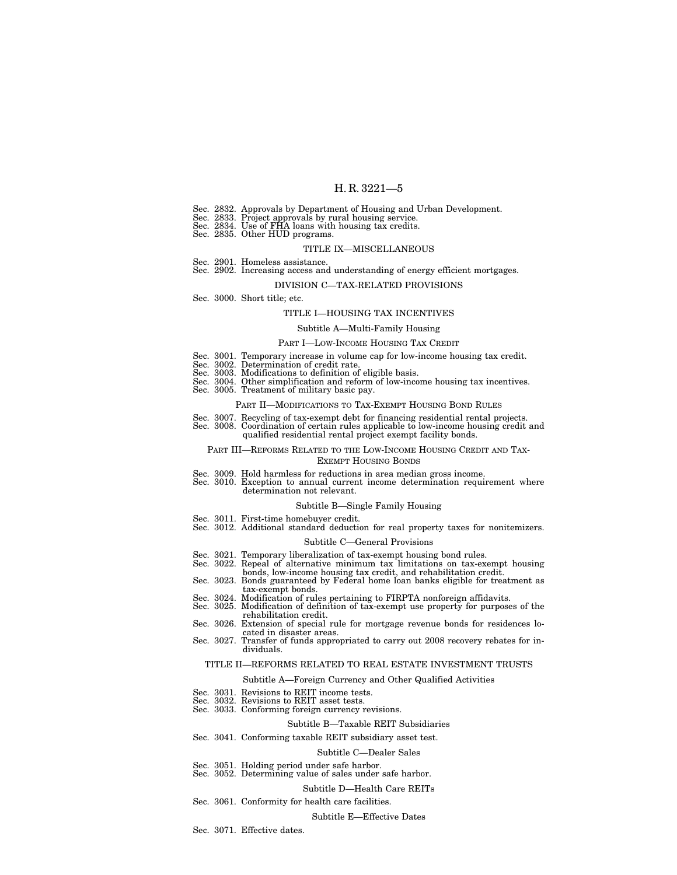- Sec. 2832. Approvals by Department of Housing and Urban Development.
- Sec. 2833. Project approvals by rural housing service. Sec. 2834. Use of FHA loans with housing tax credits.
- Sec. 2835. Other HUD programs.
	-

### TITLE IX—MISCELLANEOUS

- Sec. 2901. Homeless assistance.
- Sec. 2902. Increasing access and understanding of energy efficient mortgages.

#### DIVISION C—TAX-RELATED PROVISIONS

Sec. 3000. Short title; etc.

#### TITLE I—HOUSING TAX INCENTIVES

#### Subtitle A—Multi-Family Housing

#### PART I—LOW-INCOME HOUSING TAX CREDIT

- Sec. 3001. Temporary increase in volume cap for low-income housing tax credit.
- Sec. 3002. Determination of credit rate.
- Sec. 3003. Modifications to definition of eligible basis.
- Sec. 3004. Other simplification and reform of low-income housing tax incentives.
- Sec. 3005. Treatment of military basic pay.

#### PART II—MODIFICATIONS TO TAX-EXEMPT HOUSING BOND RULES

- Sec. 3007. Recycling of tax-exempt debt for financing residential rental projects. Sec. 3008. Coordination of certain rules applicable to low-income housing credit and
- qualified residential rental project exempt facility bonds.

#### PART III—REFORMS RELATED TO THE LOW-INCOME HOUSING CREDIT AND TAX-EXEMPT HOUSING BONDS

- Sec. 3009. Hold harmless for reductions in area median gross income.
- Sec. 3010. Exception to annual current income determination requirement where determination not relevant.

### Subtitle B—Single Family Housing

- Sec. 3011. First-time homebuyer credit.
- Sec. 3012. Additional standard deduction for real property taxes for nonitemizers.

#### Subtitle C—General Provisions

- 
- Sec. 3021. Temporary liberalization of tax-exempt housing bond rules.<br>Sec. 3022. Repeal of alternative minimum tax limitations on tax-ex Sec. 3022. Repeal of alternative minimum tax limitations on tax-exempt housing
- bonds, low-income housing tax credit, and rehabilitation credit. Sec. 3023. Bonds guaranteed by Federal home loan banks eligible for treatment as tax-exempt bonds.
- Sec. 3024. Modification of rules pertaining to FIRPTA nonforeign affidavits.
- Sec. 3025. Modification of definition of tax-exempt use property for purposes of the rehabilitation credit.
- Sec. 3026. Extension of special rule for mortgage revenue bonds for residences located in disaster areas. Sec. 3027. Transfer of funds appropriated to carry out 2008 recovery rebates for in-
- dividuals.

#### TITLE II—REFORMS RELATED TO REAL ESTATE INVESTMENT TRUSTS

#### Subtitle A—Foreign Currency and Other Qualified Activities

- Sec. 3031. Revisions to REIT income tests.
- Sec. 3032. Revisions to REIT asset tests.
- Sec. 3033. Conforming foreign currency revisions.

#### Subtitle B—Taxable REIT Subsidiaries

Sec. 3041. Conforming taxable REIT subsidiary asset test.

#### Subtitle C—Dealer Sales

- Sec. 3051. Holding period under safe harbor.
- Sec. 3052. Determining value of sales under safe harbor.

#### Subtitle D—Health Care REITs

Sec. 3061. Conformity for health care facilities.

#### Subtitle E—Effective Dates

Sec. 3071. Effective dates.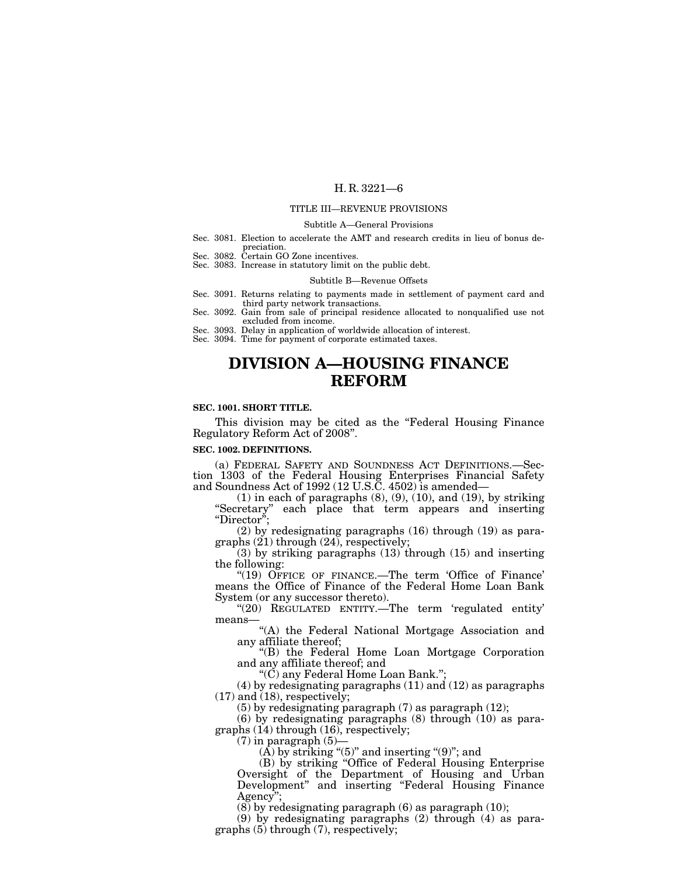#### TITLE III—REVENUE PROVISIONS

#### Subtitle A—General Provisions

- Sec. 3081. Election to accelerate the AMT and research credits in lieu of bonus depreciation.
- Sec. 3082. Certain GO Zone incentives.
- Sec. 3083. Increase in statutory limit on the public debt.

#### Subtitle B—Revenue Offsets

- Sec. 3091. Returns relating to payments made in settlement of payment card and third party network transactions.
- Sec. 3092. Gain from sale of principal residence allocated to nonqualified use not excluded from income.
- Sec. 3093. Delay in application of worldwide allocation of interest.
- Sec. 3094. Time for payment of corporate estimated taxes.

## **DIVISION A—HOUSING FINANCE REFORM**

#### **SEC. 1001. SHORT TITLE.**

This division may be cited as the "Federal Housing Finance" Regulatory Reform Act of 2008''.

### **SEC. 1002. DEFINITIONS.**

(a) FEDERAL SAFETY AND SOUNDNESS ACT DEFINITIONS.—Section 1303 of the Federal Housing Enterprises Financial Safety and Soundness Act of 1992 (12 U.S.C. 4502) is amended—

 $(1)$  in each of paragraphs  $(8)$ ,  $(9)$ ,  $(10)$ , and  $(19)$ , by striking "Secretary" each place that term appears and inserting ''Director'';

(2) by redesignating paragraphs (16) through (19) as paragraphs  $(21)$  through  $(24)$ , respectively;

(3) by striking paragraphs (13) through (15) and inserting the following:

"(19) OFFICE OF FINANCE.—The term 'Office of Finance' means the Office of Finance of the Federal Home Loan Bank System (or any successor thereto).

''(20) REGULATED ENTITY.—The term 'regulated entity' means—

''(A) the Federal National Mortgage Association and any affiliate thereof;

''(B) the Federal Home Loan Mortgage Corporation and any affiliate thereof; and

''(C) any Federal Home Loan Bank.'';

(4) by redesignating paragraphs (11) and (12) as paragraphs  $(17)$  and  $(18)$ , respectively;

(5) by redesignating paragraph (7) as paragraph (12);

(6) by redesignating paragraphs (8) through (10) as paragraphs (14) through (16), respectively;

 $(7)$  in paragraph  $(5)$ —

(A) by striking " $(5)$ " and inserting " $(9)$ "; and

(B) by striking ''Office of Federal Housing Enterprise Oversight of the Department of Housing and Urban Development'' and inserting ''Federal Housing Finance Agency'';

(8) by redesignating paragraph (6) as paragraph (10);

(9) by redesignating paragraphs (2) through (4) as paragraphs (5) through (7), respectively;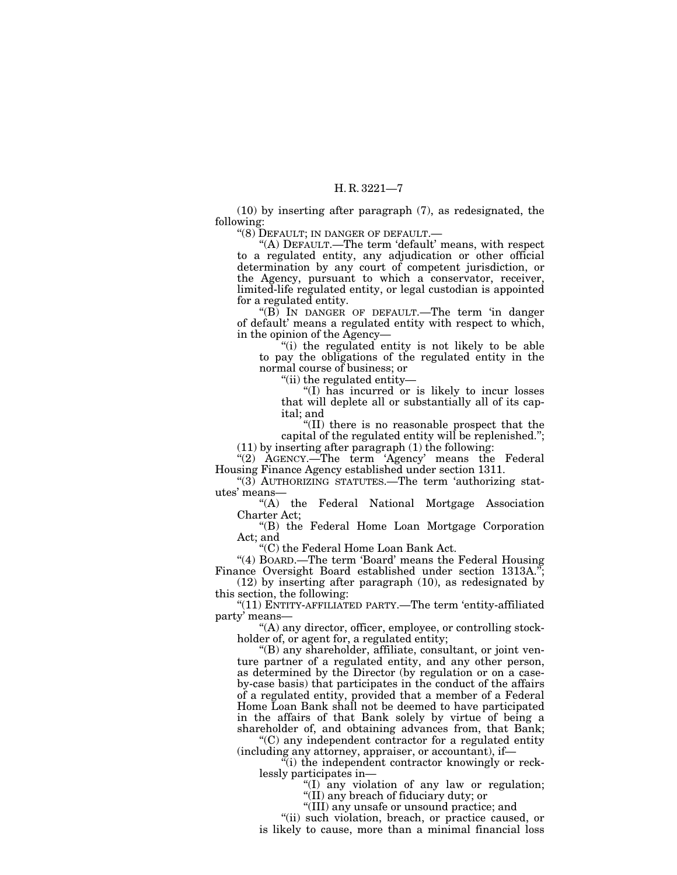(10) by inserting after paragraph (7), as redesignated, the following:

''(8) DEFAULT; IN DANGER OF DEFAULT.—

''(A) DEFAULT.—The term 'default' means, with respect to a regulated entity, any adjudication or other official determination by any court of competent jurisdiction, or the Agency, pursuant to which a conservator, receiver, limited-life regulated entity, or legal custodian is appointed for a regulated entity.

''(B) IN DANGER OF DEFAULT.—The term 'in danger of default' means a regulated entity with respect to which, in the opinion of the Agency—

''(i) the regulated entity is not likely to be able to pay the obligations of the regulated entity in the normal course of business; or

''(ii) the regulated entity—

''(I) has incurred or is likely to incur losses that will deplete all or substantially all of its capital; and

''(II) there is no reasonable prospect that the capital of the regulated entity will be replenished.'';

(11) by inserting after paragraph (1) the following:

"(2) AGENCY.—The term 'Agency' means the Federal Housing Finance Agency established under section 1311.

" $(3)$  AUTHORIZING STATUTES.—The term 'authorizing statutes' means—

''(A) the Federal National Mortgage Association Charter Act;

''(B) the Federal Home Loan Mortgage Corporation Act; and

''(C) the Federal Home Loan Bank Act.

''(4) BOARD.—The term 'Board' means the Federal Housing Finance Oversight Board established under section 1313A.'

(12) by inserting after paragraph (10), as redesignated by this section, the following:

''(11) ENTITY-AFFILIATED PARTY.—The term 'entity-affiliated party' means—

''(A) any director, officer, employee, or controlling stockholder of, or agent for, a regulated entity;

''(B) any shareholder, affiliate, consultant, or joint venture partner of a regulated entity, and any other person, as determined by the Director (by regulation or on a caseby-case basis) that participates in the conduct of the affairs of a regulated entity, provided that a member of a Federal Home Loan Bank shall not be deemed to have participated in the affairs of that Bank solely by virtue of being a shareholder of, and obtaining advances from, that Bank; ''(C) any independent contractor for a regulated entity

(including any attorney, appraiser, or accountant), if—

''(i) the independent contractor knowingly or recklessly participates in—

''(I) any violation of any law or regulation;

''(II) any breach of fiduciary duty; or

''(III) any unsafe or unsound practice; and

''(ii) such violation, breach, or practice caused, or is likely to cause, more than a minimal financial loss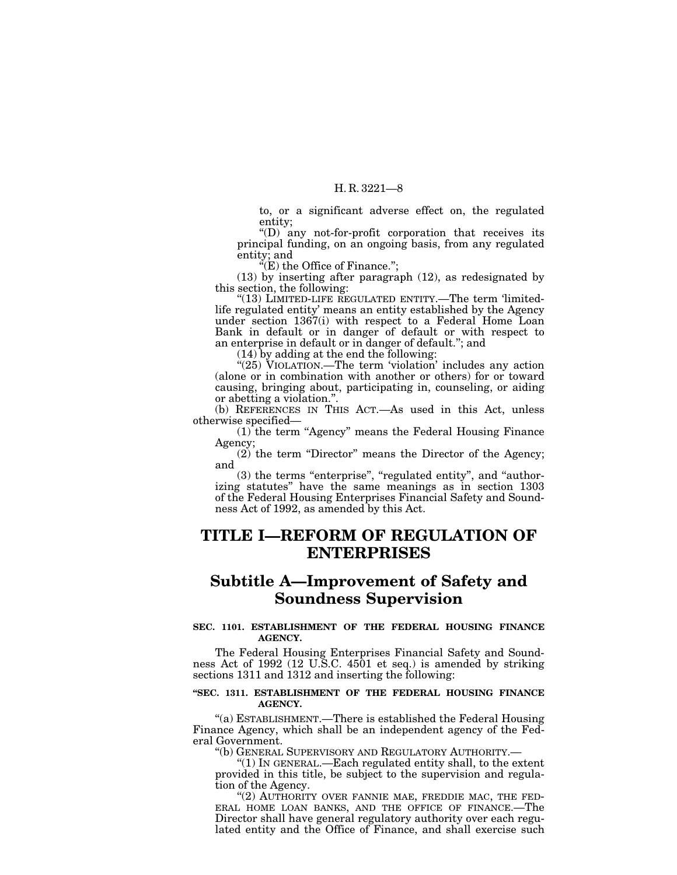to, or a significant adverse effect on, the regulated entity;

''(D) any not-for-profit corporation that receives its principal funding, on an ongoing basis, from any regulated entity; and

 $E(E)$  the Office of Finance.";

(13) by inserting after paragraph (12), as redesignated by this section, the following:

"(13) LIMITED-LIFE REGULATED ENTITY.—The term 'limitedlife regulated entity' means an entity established by the Agency under section 1367(i) with respect to a Federal Home Loan Bank in default or in danger of default or with respect to an enterprise in default or in danger of default.''; and

(14) by adding at the end the following:

''(25) VIOLATION.—The term 'violation' includes any action (alone or in combination with another or others) for or toward causing, bringing about, participating in, counseling, or aiding or abetting a violation.''.

(b) REFERENCES IN THIS ACT.—As used in this Act, unless otherwise specified—

(1) the term ''Agency'' means the Federal Housing Finance Agency;

(2) the term ''Director'' means the Director of the Agency; and

(3) the terms "enterprise", "regulated entity", and "authorizing statutes'' have the same meanings as in section 1303 of the Federal Housing Enterprises Financial Safety and Soundness Act of 1992, as amended by this Act.

## **TITLE I—REFORM OF REGULATION OF ENTERPRISES**

## **Subtitle A—Improvement of Safety and Soundness Supervision**

### **SEC. 1101. ESTABLISHMENT OF THE FEDERAL HOUSING FINANCE AGENCY.**

The Federal Housing Enterprises Financial Safety and Soundness Act of 1992 (12 U.S.C. 4501 et seq.) is amended by striking sections 1311 and 1312 and inserting the following:

### **''SEC. 1311. ESTABLISHMENT OF THE FEDERAL HOUSING FINANCE AGENCY.**

''(a) ESTABLISHMENT.—There is established the Federal Housing Finance Agency, which shall be an independent agency of the Federal Government.

''(b) GENERAL SUPERVISORY AND REGULATORY AUTHORITY.—

''(1) IN GENERAL.—Each regulated entity shall, to the extent provided in this title, be subject to the supervision and regulation of the Agency.

"(2) AUTHORITY OVER FANNIE MAE, FREDDIE MAC, THE FED-ERAL HOME LOAN BANKS, AND THE OFFICE OF FINANCE.—The Director shall have general regulatory authority over each regulated entity and the Office of Finance, and shall exercise such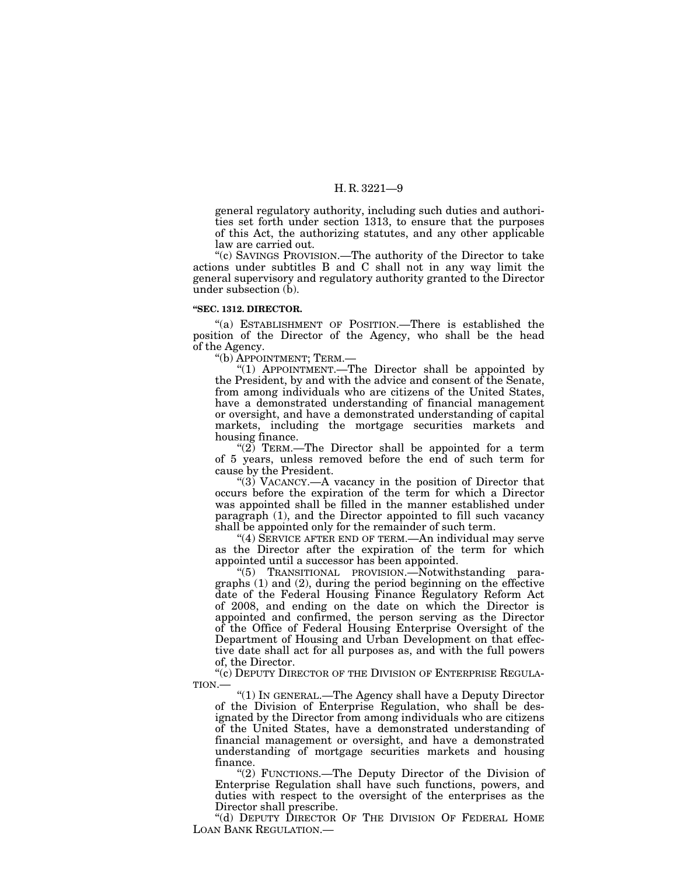general regulatory authority, including such duties and authorities set forth under section 1313, to ensure that the purposes of this Act, the authorizing statutes, and any other applicable law are carried out.

''(c) SAVINGS PROVISION.—The authority of the Director to take actions under subtitles B and C shall not in any way limit the general supervisory and regulatory authority granted to the Director under subsection (b).

### **''SEC. 1312. DIRECTOR.**

"(a) ESTABLISHMENT OF POSITION.—There is established the position of the Director of the Agency, who shall be the head of the Agency.

''(b) APPOINTMENT; TERM.—

''(1) APPOINTMENT.—The Director shall be appointed by the President, by and with the advice and consent of the Senate, from among individuals who are citizens of the United States, have a demonstrated understanding of financial management or oversight, and have a demonstrated understanding of capital markets, including the mortgage securities markets and housing finance.

" $(2)$  TERM.—The Director shall be appointed for a term of 5 years, unless removed before the end of such term for cause by the President.

"(3) VACANCY.—A vacancy in the position of Director that occurs before the expiration of the term for which a Director was appointed shall be filled in the manner established under paragraph (1), and the Director appointed to fill such vacancy shall be appointed only for the remainder of such term.

''(4) SERVICE AFTER END OF TERM.—An individual may serve as the Director after the expiration of the term for which appointed until a successor has been appointed.

"(5) TRANSITIONAL PROVISION.—Notwithstanding paragraphs (1) and (2), during the period beginning on the effective date of the Federal Housing Finance Regulatory Reform Act of 2008, and ending on the date on which the Director is appointed and confirmed, the person serving as the Director of the Office of Federal Housing Enterprise Oversight of the Department of Housing and Urban Development on that effective date shall act for all purposes as, and with the full powers of, the Director.

"(c) DEPUTY DIRECTOR OF THE DIVISION OF ENTERPRISE REGULA-TION.—

''(1) IN GENERAL.—The Agency shall have a Deputy Director of the Division of Enterprise Regulation, who shall be designated by the Director from among individuals who are citizens of the United States, have a demonstrated understanding of financial management or oversight, and have a demonstrated understanding of mortgage securities markets and housing finance.

''(2) FUNCTIONS.—The Deputy Director of the Division of Enterprise Regulation shall have such functions, powers, and duties with respect to the oversight of the enterprises as the Director shall prescribe.

"(d) DEPUTY DIRECTOR OF THE DIVISION OF FEDERAL HOME LOAN BANK REGULATION.—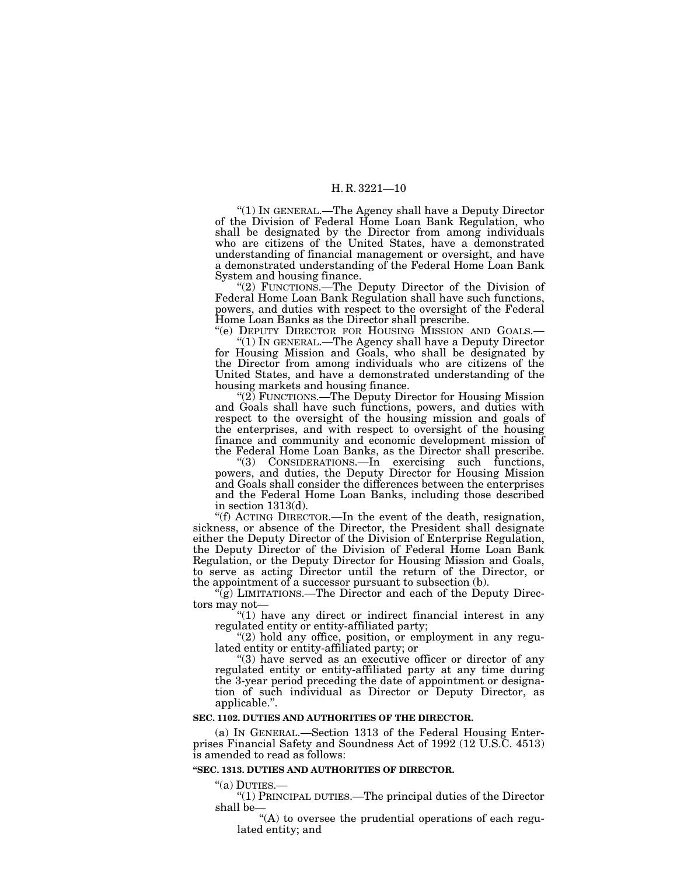''(1) IN GENERAL.—The Agency shall have a Deputy Director of the Division of Federal Home Loan Bank Regulation, who shall be designated by the Director from among individuals who are citizens of the United States, have a demonstrated understanding of financial management or oversight, and have a demonstrated understanding of the Federal Home Loan Bank System and housing finance.

''(2) FUNCTIONS.—The Deputy Director of the Division of Federal Home Loan Bank Regulation shall have such functions, powers, and duties with respect to the oversight of the Federal Home Loan Banks as the Director shall prescribe.

''(e) DEPUTY DIRECTOR FOR HOUSING MISSION AND GOALS.— ''(1) IN GENERAL.—The Agency shall have a Deputy Director for Housing Mission and Goals, who shall be designated by the Director from among individuals who are citizens of the United States, and have a demonstrated understanding of the housing markets and housing finance.

" $(2)$  FUNCTIONS.—The Deputy Director for Housing Mission and Goals shall have such functions, powers, and duties with respect to the oversight of the housing mission and goals of the enterprises, and with respect to oversight of the housing finance and community and economic development mission of the Federal Home Loan Banks, as the Director shall prescribe.

''(3) CONSIDERATIONS.—In exercising such functions, powers, and duties, the Deputy Director for Housing Mission and Goals shall consider the differences between the enterprises and the Federal Home Loan Banks, including those described in section 1313(d).

''(f) ACTING DIRECTOR.—In the event of the death, resignation, sickness, or absence of the Director, the President shall designate either the Deputy Director of the Division of Enterprise Regulation, the Deputy Director of the Division of Federal Home Loan Bank Regulation, or the Deputy Director for Housing Mission and Goals, to serve as acting Director until the return of the Director, or the appointment of a successor pursuant to subsection (b).

 $\hat{f}(\hat{g})$  LIMITATIONS.—The Director and each of the Deputy Directors may not—

"(1) have any direct or indirect financial interest in any regulated entity or entity-affiliated party;

''(2) hold any office, position, or employment in any regulated entity or entity-affiliated party; or

''(3) have served as an executive officer or director of any regulated entity or entity-affiliated party at any time during the 3-year period preceding the date of appointment or designation of such individual as Director or Deputy Director, as applicable.''.

### **SEC. 1102. DUTIES AND AUTHORITIES OF THE DIRECTOR.**

(a) IN GENERAL.—Section 1313 of the Federal Housing Enterprises Financial Safety and Soundness Act of 1992 (12 U.S.C. 4513) is amended to read as follows:

### **''SEC. 1313. DUTIES AND AUTHORITIES OF DIRECTOR.**

''(a) DUTIES.—

''(1) PRINCIPAL DUTIES.—The principal duties of the Director shall be—

"(A) to oversee the prudential operations of each regulated entity; and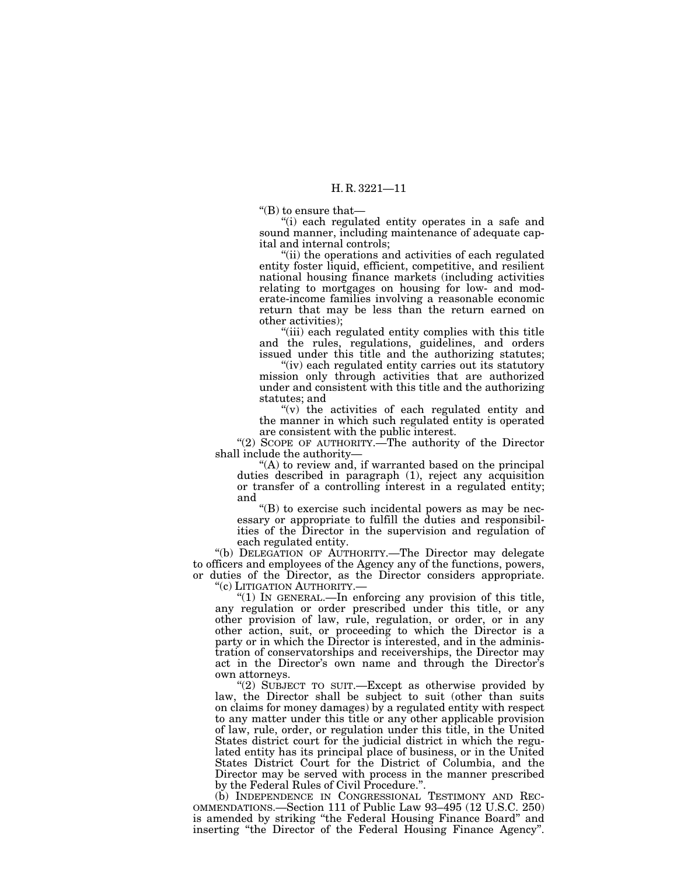''(B) to ensure that—

''(i) each regulated entity operates in a safe and sound manner, including maintenance of adequate capital and internal controls;

"(ii) the operations and activities of each regulated entity foster liquid, efficient, competitive, and resilient national housing finance markets (including activities relating to mortgages on housing for low- and moderate-income families involving a reasonable economic return that may be less than the return earned on other activities);

(iii) each regulated entity complies with this title and the rules, regulations, guidelines, and orders issued under this title and the authorizing statutes;

"(iv) each regulated entity carries out its statutory mission only through activities that are authorized under and consistent with this title and the authorizing statutes; and

"(v) the activities of each regulated entity and the manner in which such regulated entity is operated are consistent with the public interest.

"(2) SCOPE OF AUTHORITY.—The authority of the Director shall include the authority—

"(A) to review and, if warranted based on the principal duties described in paragraph (1), reject any acquisition or transfer of a controlling interest in a regulated entity; and

''(B) to exercise such incidental powers as may be necessary or appropriate to fulfill the duties and responsibilities of the Director in the supervision and regulation of each regulated entity.

''(b) DELEGATION OF AUTHORITY.—The Director may delegate to officers and employees of the Agency any of the functions, powers, or duties of the Director, as the Director considers appropriate. ''(c) LITIGATION AUTHORITY.—

''(1) IN GENERAL.—In enforcing any provision of this title, any regulation or order prescribed under this title, or any other provision of law, rule, regulation, or order, or in any other action, suit, or proceeding to which the Director is a party or in which the Director is interested, and in the administration of conservatorships and receiverships, the Director may act in the Director's own name and through the Director's own attorneys.

"(2) SUBJECT TO SUIT.—Except as otherwise provided by law, the Director shall be subject to suit (other than suits on claims for money damages) by a regulated entity with respect to any matter under this title or any other applicable provision of law, rule, order, or regulation under this title, in the United States district court for the judicial district in which the regulated entity has its principal place of business, or in the United States District Court for the District of Columbia, and the Director may be served with process in the manner prescribed by the Federal Rules of Civil Procedure."

(b) INDEPENDENCE IN CONGRESSIONAL TESTIMONY AND REC-OMMENDATIONS.—Section 111 of Public Law 93–495 (12 U.S.C. 250) is amended by striking ''the Federal Housing Finance Board'' and inserting ''the Director of the Federal Housing Finance Agency''.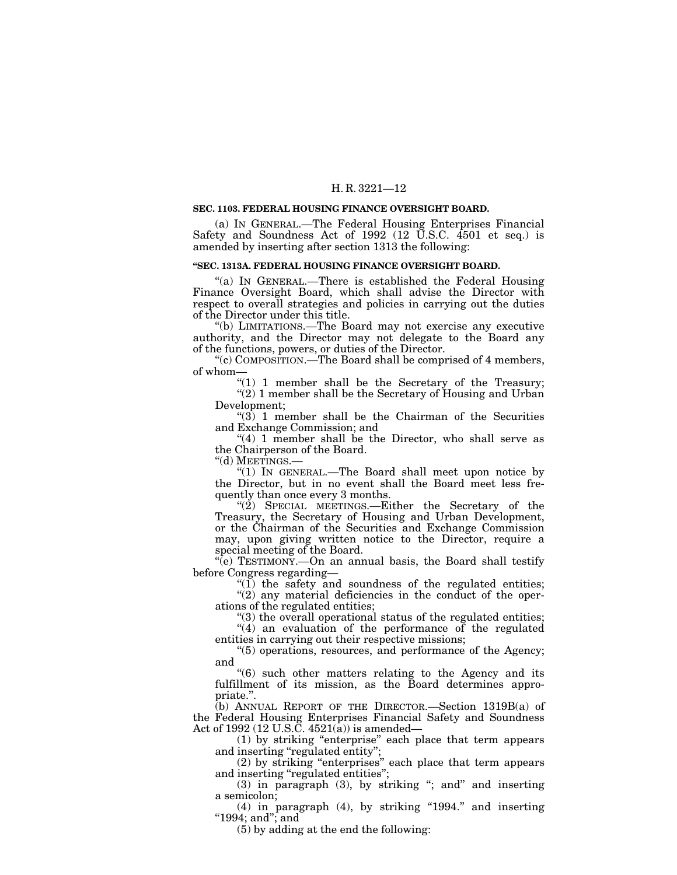#### **SEC. 1103. FEDERAL HOUSING FINANCE OVERSIGHT BOARD.**

(a) IN GENERAL.—The Federal Housing Enterprises Financial Safety and Soundness Act of 1992 (12 U.S.C. 4501 et seq.) is amended by inserting after section 1313 the following:

### **''SEC. 1313A. FEDERAL HOUSING FINANCE OVERSIGHT BOARD.**

"(a) IN GENERAL.—There is established the Federal Housing Finance Oversight Board, which shall advise the Director with respect to overall strategies and policies in carrying out the duties of the Director under this title.

''(b) LIMITATIONS.—The Board may not exercise any executive authority, and the Director may not delegate to the Board any of the functions, powers, or duties of the Director.

"(c) COMPOSITION.—The Board shall be comprised of 4 members, of whom—

''(1) 1 member shall be the Secretary of the Treasury; ''(2) 1 member shall be the Secretary of Housing and Urban

Development;

 $\degree$ (3) 1 member shall be the Chairman of the Securities and Exchange Commission; and

" $(4)$  1 member shall be the Director, who shall serve as the Chairperson of the Board.

''(d) MEETINGS.—

''(1) IN GENERAL.—The Board shall meet upon notice by the Director, but in no event shall the Board meet less frequently than once every 3 months.

" $(2)$  SPECIAL MEETINGS.—Either the Secretary of the Treasury, the Secretary of Housing and Urban Development, or the Chairman of the Securities and Exchange Commission may, upon giving written notice to the Director, require a special meeting of the Board.

 $\sqrt{e}$ ) TESTIMONY.—On an annual basis, the Board shall testify before Congress regarding—

" $(1)$  the safety and soundness of the regulated entities; "(2) any material deficiencies in the conduct of the oper-

ations of the regulated entities; "(3) the overall operational status of the regulated entities;

"(4) an evaluation of the performance of the regulated entities in carrying out their respective missions;

''(5) operations, resources, and performance of the Agency; and

"(6) such other matters relating to the Agency and its fulfillment of its mission, as the Board determines appropriate.''.

(b) ANNUAL REPORT OF THE DIRECTOR.—Section 1319B(a) of the Federal Housing Enterprises Financial Safety and Soundness Act of 1992 (12 U.S.C. 4521(a)) is amended—

(1) by striking ''enterprise'' each place that term appears and inserting "regulated entity";

(2) by striking ''enterprises'' each place that term appears and inserting "regulated entities";

 $(3)$  in paragraph  $(3)$ , by striking "; and" and inserting a semicolon;

 $(4)$  in paragraph  $(4)$ , by striking "1994." and inserting " $1994$ ; and"; and

(5) by adding at the end the following: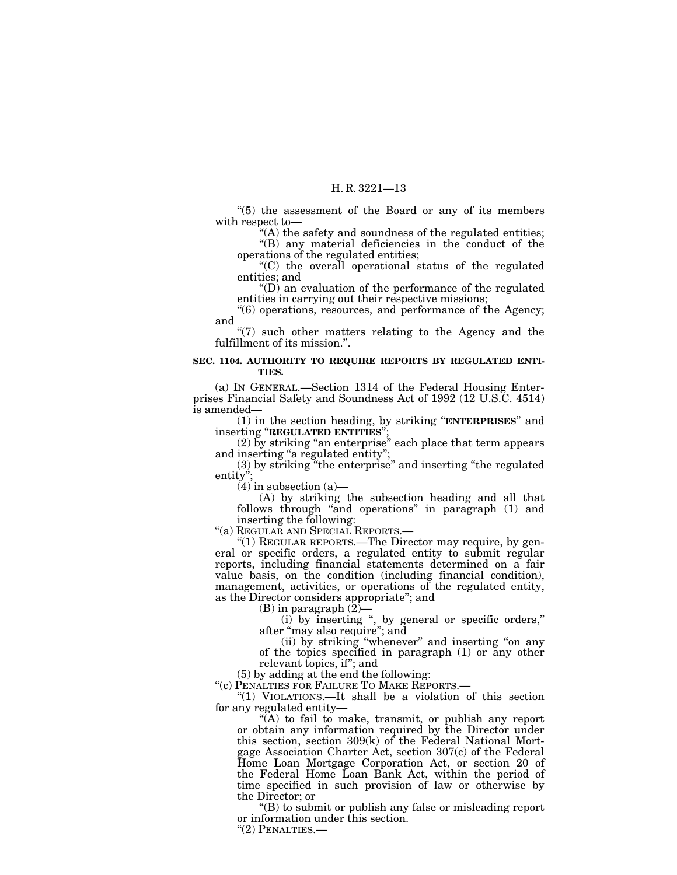''(5) the assessment of the Board or any of its members with respect to—

 $(A)$  the safety and soundness of the regulated entities;

 $\sqrt{\text{B}}$  any material deficiencies in the conduct of the operations of the regulated entities;

''(C) the overall operational status of the regulated entities; and

 $\mathrm{``(D)}$  an evaluation of the performance of the regulated entities in carrying out their respective missions;

''(6) operations, resources, and performance of the Agency; and

 $''(7)$  such other matters relating to the Agency and the fulfillment of its mission.''.

#### **SEC. 1104. AUTHORITY TO REQUIRE REPORTS BY REGULATED ENTI-TIES.**

(a) IN GENERAL.—Section 1314 of the Federal Housing Enterprises Financial Safety and Soundness Act of 1992 (12 U.S.C. 4514) is amended—

(1) in the section heading, by striking ''**ENTERPRISES**'' and inserting ''**REGULATED ENTITIES**'';

(2) by striking ''an enterprise'' each place that term appears and inserting "a regulated entity";

(3) by striking ''the enterprise'' and inserting ''the regulated entity'';

 $(4)$  in subsection (a)—

(A) by striking the subsection heading and all that follows through "and operations" in paragraph (1) and inserting the following:

''(a) REGULAR AND SPECIAL REPORTS.—

 $(1)$  REGULAR REPORTS.—The Director may require, by general or specific orders, a regulated entity to submit regular reports, including financial statements determined on a fair value basis, on the condition (including financial condition), management, activities, or operations of the regulated entity, as the Director considers appropriate''; and

(B) in paragraph  $(2)$ —

(i) by inserting '', by general or specific orders,'' after "may also require"; and

(ii) by striking ''whenever'' and inserting ''on any of the topics specified in paragraph (1) or any other relevant topics, if''; and

(5) by adding at the end the following:

''(c) PENALTIES FOR FAILURE TO MAKE REPORTS.—

''(1) VIOLATIONS.—It shall be a violation of this section for any regulated entity—

''(A) to fail to make, transmit, or publish any report or obtain any information required by the Director under this section, section 309(k) of the Federal National Mortgage Association Charter Act, section 307(c) of the Federal Home Loan Mortgage Corporation Act, or section 20 of the Federal Home Loan Bank Act, within the period of time specified in such provision of law or otherwise by the Director; or

''(B) to submit or publish any false or misleading report or information under this section.

''(2) PENALTIES.—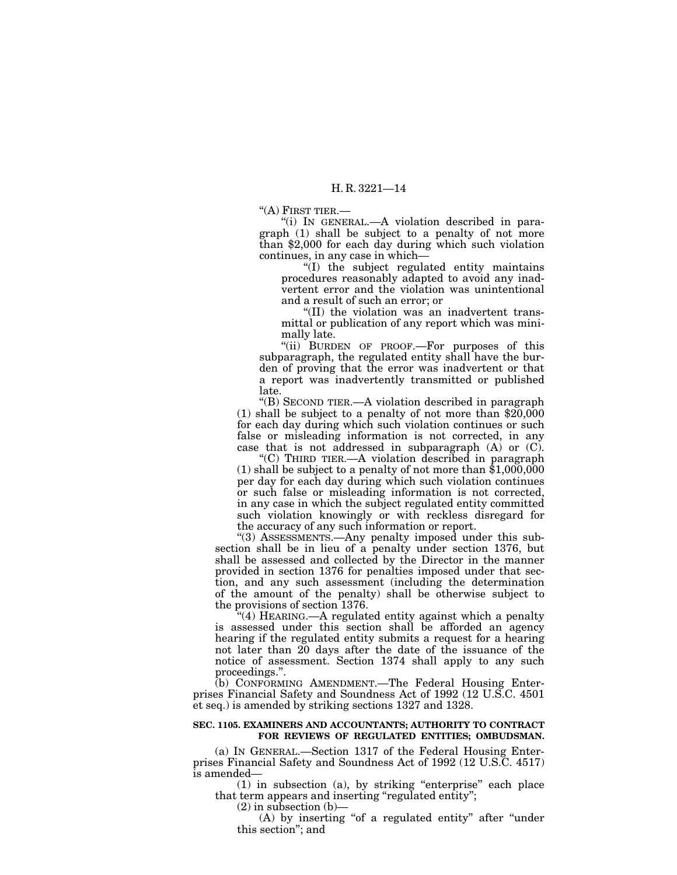"(A) FIRST TIER.-

''(i) IN GENERAL.—A violation described in paragraph (1) shall be subject to a penalty of not more than \$2,000 for each day during which such violation continues, in any case in which—

''(I) the subject regulated entity maintains procedures reasonably adapted to avoid any inadvertent error and the violation was unintentional and a result of such an error; or

''(II) the violation was an inadvertent transmittal or publication of any report which was minimally late.

"(ii) BURDEN OF PROOF.—For purposes of this subparagraph, the regulated entity shall have the burden of proving that the error was inadvertent or that a report was inadvertently transmitted or published late.

''(B) SECOND TIER.—A violation described in paragraph (1) shall be subject to a penalty of not more than  $$20,000$ for each day during which such violation continues or such false or misleading information is not corrected, in any case that is not addressed in subparagraph (A) or (C).

''(C) THIRD TIER.—A violation described in paragraph (1) shall be subject to a penalty of not more than \$1,000,000 per day for each day during which such violation continues or such false or misleading information is not corrected, in any case in which the subject regulated entity committed such violation knowingly or with reckless disregard for the accuracy of any such information or report.

''(3) ASSESSMENTS.—Any penalty imposed under this subsection shall be in lieu of a penalty under section 1376, but shall be assessed and collected by the Director in the manner provided in section 1376 for penalties imposed under that section, and any such assessment (including the determination of the amount of the penalty) shall be otherwise subject to the provisions of section 1376.

 $*(4)$  HEARING.—A regulated entity against which a penalty is assessed under this section shall be afforded an agency hearing if the regulated entity submits a request for a hearing not later than 20 days after the date of the issuance of the notice of assessment. Section 1374 shall apply to any such proceedings.''.

(b) CONFORMING AMENDMENT.—The Federal Housing Enterprises Financial Safety and Soundness Act of 1992 (12 U.S.C. 4501 et seq.) is amended by striking sections 1327 and 1328.

### **SEC. 1105. EXAMINERS AND ACCOUNTANTS; AUTHORITY TO CONTRACT FOR REVIEWS OF REGULATED ENTITIES; OMBUDSMAN.**

(a) IN GENERAL.—Section 1317 of the Federal Housing Enterprises Financial Safety and Soundness Act of 1992 (12 U.S.C. 4517) is amended—

(1) in subsection (a), by striking ''enterprise'' each place that term appears and inserting "regulated entity";

 $(2)$  in subsection  $(b)$ —

(A) by inserting "of a regulated entity" after "under this section''; and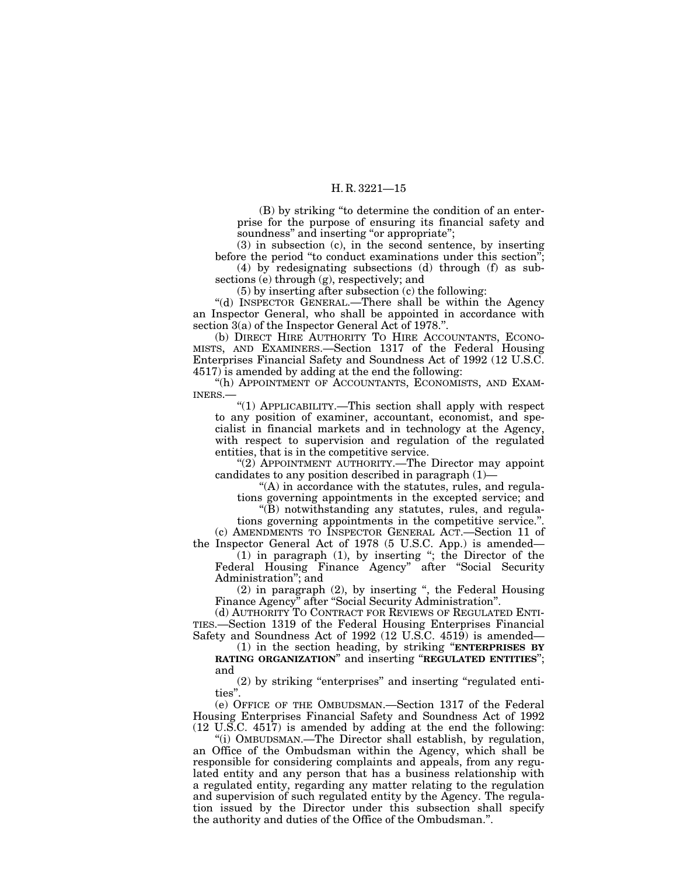(B) by striking ''to determine the condition of an enterprise for the purpose of ensuring its financial safety and soundness" and inserting "or appropriate";

(3) in subsection (c), in the second sentence, by inserting before the period "to conduct examinations under this section";

(4) by redesignating subsections (d) through (f) as subsections (e) through (g), respectively; and

(5) by inserting after subsection (c) the following:

''(d) INSPECTOR GENERAL.—There shall be within the Agency an Inspector General, who shall be appointed in accordance with section 3(a) of the Inspector General Act of 1978.''.

(b) DIRECT HIRE AUTHORITY TO HIRE ACCOUNTANTS, ECONO-MISTS, AND EXAMINERS.—Section 1317 of the Federal Housing Enterprises Financial Safety and Soundness Act of 1992 (12 U.S.C. 4517) is amended by adding at the end the following:

"(h) APPOINTMENT OF ACCOUNTANTS, ECONOMISTS, AND EXAM-INERS.—

''(1) APPLICABILITY.—This section shall apply with respect to any position of examiner, accountant, economist, and specialist in financial markets and in technology at the Agency, with respect to supervision and regulation of the regulated entities, that is in the competitive service.

''(2) APPOINTMENT AUTHORITY.—The Director may appoint candidates to any position described in paragraph (1)—

 $(A)$  in accordance with the statutes, rules, and regulations governing appointments in the excepted service; and

''(B) notwithstanding any statutes, rules, and regulations governing appointments in the competitive service.''.

(c) AMENDMENTS TO INSPECTOR GENERAL ACT.—Section 11 of the Inspector General Act of 1978 (5 U.S.C. App.) is amended—

(1) in paragraph (1), by inserting ''; the Director of the Federal Housing Finance Agency" after "Social Security Administration''; and

 $(2)$  in paragraph  $(2)$ , by inserting ", the Federal Housing Finance Agency" after "Social Security Administration".

(d) AUTHORITY TO CONTRACT FOR REVIEWS OF REGULATED ENTI-TIES.—Section 1319 of the Federal Housing Enterprises Financial Safety and Soundness Act of 1992 (12 U.S.C. 4519) is amended—

(1) in the section heading, by striking ''**ENTERPRISES BY RATING ORGANIZATION**'' and inserting ''**REGULATED ENTITIES**''; and

(2) by striking ''enterprises'' and inserting ''regulated entities''.

(e) OFFICE OF THE OMBUDSMAN.—Section 1317 of the Federal Housing Enterprises Financial Safety and Soundness Act of 1992 (12 U.S.C. 4517) is amended by adding at the end the following:

''(i) OMBUDSMAN.—The Director shall establish, by regulation, an Office of the Ombudsman within the Agency, which shall be responsible for considering complaints and appeals, from any regulated entity and any person that has a business relationship with a regulated entity, regarding any matter relating to the regulation and supervision of such regulated entity by the Agency. The regulation issued by the Director under this subsection shall specify the authority and duties of the Office of the Ombudsman.''.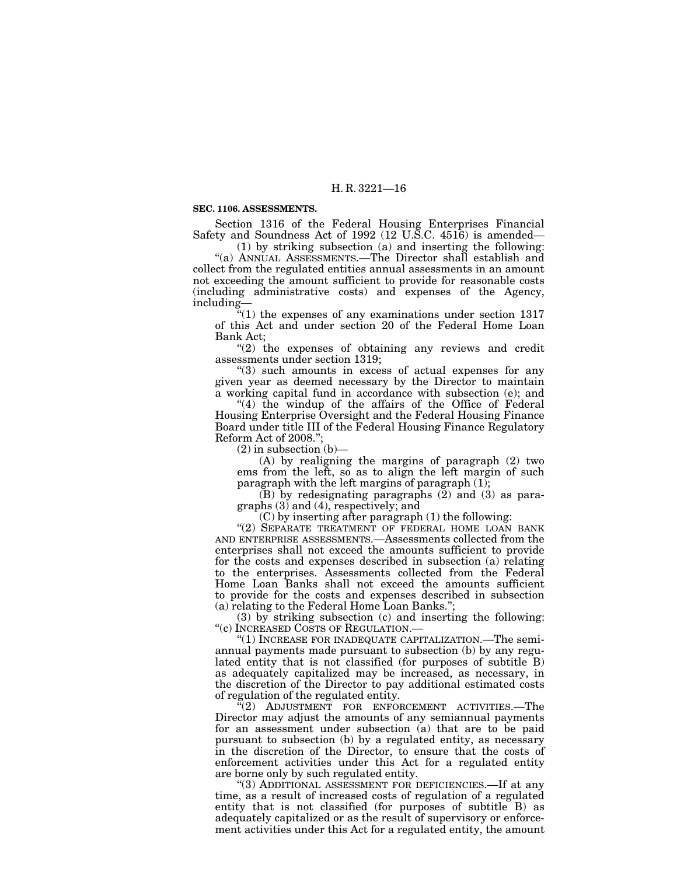#### **SEC. 1106. ASSESSMENTS.**

Section 1316 of the Federal Housing Enterprises Financial Safety and Soundness Act of 1992 (12 U.S.C. 4516) is amended—

(1) by striking subsection (a) and inserting the following: ''(a) ANNUAL ASSESSMENTS.—The Director shall establish and collect from the regulated entities annual assessments in an amount not exceeding the amount sufficient to provide for reasonable costs (including administrative costs) and expenses of the Agency, including—

 $f''(1)$  the expenses of any examinations under section 1317 of this Act and under section 20 of the Federal Home Loan Bank Act;

 $(2)$  the expenses of obtaining any reviews and credit assessments under section 1319;

"(3) such amounts in excess of actual expenses for any given year as deemed necessary by the Director to maintain a working capital fund in accordance with subsection (e); and

"(4) the windup of the affairs of the Office of Federal Housing Enterprise Oversight and the Federal Housing Finance Board under title III of the Federal Housing Finance Regulatory Reform Act of 2008.'';

(2) in subsection (b)—

(A) by realigning the margins of paragraph (2) two ems from the left, so as to align the left margin of such paragraph with the left margins of paragraph (1);

(B) by redesignating paragraphs (2) and (3) as paragraphs (3) and (4), respectively; and

(C) by inserting after paragraph (1) the following:

"(2) SEPARATE TREATMENT OF FEDERAL HOME LOAN BANK AND ENTERPRISE ASSESSMENTS.—Assessments collected from the enterprises shall not exceed the amounts sufficient to provide for the costs and expenses described in subsection (a) relating to the enterprises. Assessments collected from the Federal Home Loan Banks shall not exceed the amounts sufficient to provide for the costs and expenses described in subsection (a) relating to the Federal Home Loan Banks.'';

(3) by striking subsection (c) and inserting the following: ''(c) INCREASED COSTS OF REGULATION.—

''(1) INCREASE FOR INADEQUATE CAPITALIZATION.—The semiannual payments made pursuant to subsection (b) by any regulated entity that is not classified (for purposes of subtitle B) as adequately capitalized may be increased, as necessary, in the discretion of the Director to pay additional estimated costs of regulation of the regulated entity.

 $F(2)$  ADJUSTMENT FOR ENFORCEMENT ACTIVITIES.—The Director may adjust the amounts of any semiannual payments for an assessment under subsection (a) that are to be paid pursuant to subsection (b) by a regulated entity, as necessary in the discretion of the Director, to ensure that the costs of enforcement activities under this Act for a regulated entity are borne only by such regulated entity.

"(3) ADDITIONAL ASSESSMENT FOR DEFICIENCIES.—If at any time, as a result of increased costs of regulation of a regulated entity that is not classified (for purposes of subtitle B) as adequately capitalized or as the result of supervisory or enforcement activities under this Act for a regulated entity, the amount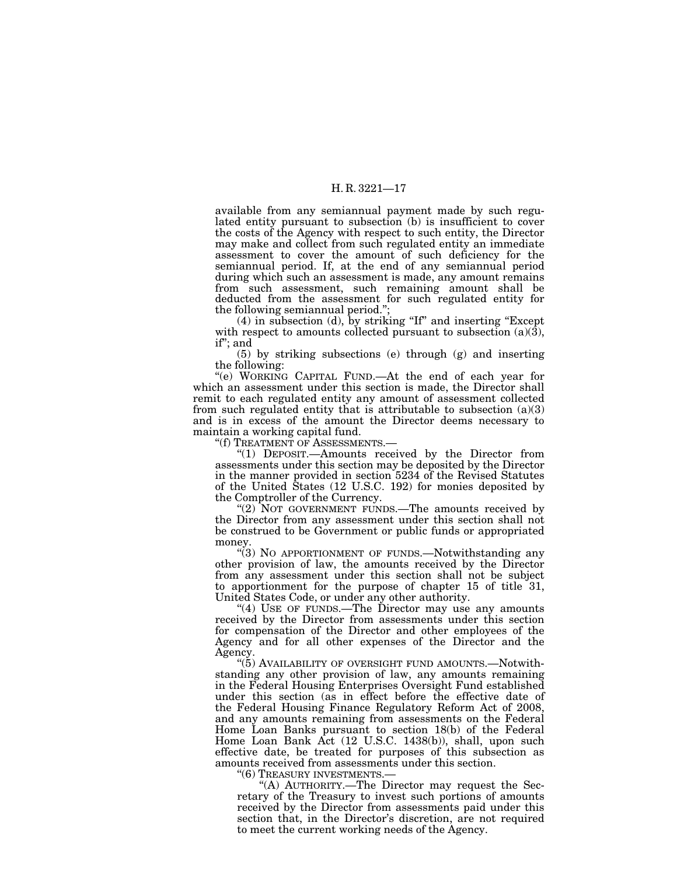available from any semiannual payment made by such regulated entity pursuant to subsection (b) is insufficient to cover the costs of the Agency with respect to such entity, the Director may make and collect from such regulated entity an immediate assessment to cover the amount of such deficiency for the semiannual period. If, at the end of any semiannual period during which such an assessment is made, any amount remains from such assessment, such remaining amount shall be deducted from the assessment for such regulated entity for the following semiannual period.'';

(4) in subsection (d), by striking ''If'' and inserting ''Except with respect to amounts collected pursuant to subsection  $(a)(3)$ , if''; and

(5) by striking subsections (e) through (g) and inserting the following:

''(e) WORKING CAPITAL FUND.—At the end of each year for which an assessment under this section is made, the Director shall remit to each regulated entity any amount of assessment collected from such regulated entity that is attributable to subsection (a)(3) and is in excess of the amount the Director deems necessary to maintain a working capital fund.

''(f) TREATMENT OF ASSESSMENTS.—

''(1) DEPOSIT.—Amounts received by the Director from assessments under this section may be deposited by the Director in the manner provided in section 5234 of the Revised Statutes of the United States (12 U.S.C. 192) for monies deposited by the Comptroller of the Currency.

"(2) NOT GOVERNMENT FUNDS.—The amounts received by the Director from any assessment under this section shall not be construed to be Government or public funds or appropriated money.

"(3) NO APPORTIONMENT OF FUNDS.—Notwithstanding any other provision of law, the amounts received by the Director from any assessment under this section shall not be subject to apportionment for the purpose of chapter 15 of title 31, United States Code, or under any other authority.

"(4) USE OF FUNDS.—The Director may use any amounts received by the Director from assessments under this section for compensation of the Director and other employees of the Agency and for all other expenses of the Director and the Agency.

"(5) AVAILABILITY OF OVERSIGHT FUND AMOUNTS.—Notwithstanding any other provision of law, any amounts remaining in the Federal Housing Enterprises Oversight Fund established under this section (as in effect before the effective date of the Federal Housing Finance Regulatory Reform Act of 2008, and any amounts remaining from assessments on the Federal Home Loan Banks pursuant to section 18(b) of the Federal Home Loan Bank Act (12 U.S.C. 1438(b)), shall, upon such effective date, be treated for purposes of this subsection as amounts received from assessments under this section.<br>"(6) TREASURY INVESTMENTS.—

"(A) AUTHORITY.—The Director may request the Secretary of the Treasury to invest such portions of amounts received by the Director from assessments paid under this section that, in the Director's discretion, are not required to meet the current working needs of the Agency.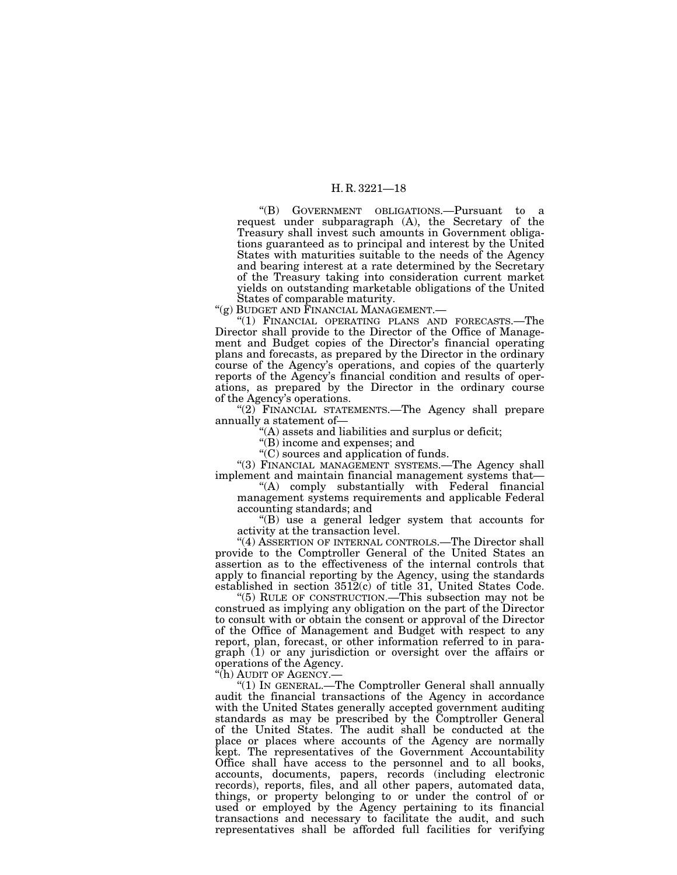''(B) GOVERNMENT OBLIGATIONS.—Pursuant to a request under subparagraph (A), the Secretary of the Treasury shall invest such amounts in Government obligations guaranteed as to principal and interest by the United States with maturities suitable to the needs of the Agency and bearing interest at a rate determined by the Secretary of the Treasury taking into consideration current market yields on outstanding marketable obligations of the United States of comparable maturity.

''(g) BUDGET AND FINANCIAL MANAGEMENT.—

"(1) FINANCIAL OPERATING PLANS AND FORECASTS.—The Director shall provide to the Director of the Office of Management and Budget copies of the Director's financial operating plans and forecasts, as prepared by the Director in the ordinary course of the Agency's operations, and copies of the quarterly reports of the Agency's financial condition and results of operations, as prepared by the Director in the ordinary course of the Agency's operations.

"(2) FINANCIAL STATEMENTS.—The Agency shall prepare annually a statement of—

 $(A)$  assets and liabilities and surplus or deficit;

''(B) income and expenses; and

''(C) sources and application of funds.

"(3) FINANCIAL MANAGEMENT SYSTEMS.—The Agency shall implement and maintain financial management systems that—

''(A) comply substantially with Federal financial management systems requirements and applicable Federal accounting standards; and

''(B) use a general ledger system that accounts for activity at the transaction level.

"(4) ASSERTION OF INTERNAL CONTROLS.—The Director shall provide to the Comptroller General of the United States an assertion as to the effectiveness of the internal controls that apply to financial reporting by the Agency, using the standards established in section 3512(c) of title 31, United States Code.

''(5) RULE OF CONSTRUCTION.—This subsection may not be construed as implying any obligation on the part of the Director to consult with or obtain the consent or approval of the Director of the Office of Management and Budget with respect to any report, plan, forecast, or other information referred to in paragraph (1) or any jurisdiction or oversight over the affairs or operations of the Agency.

''(h) AUDIT OF AGENCY.—

''(1) IN GENERAL.—The Comptroller General shall annually audit the financial transactions of the Agency in accordance with the United States generally accepted government auditing standards as may be prescribed by the Comptroller General of the United States. The audit shall be conducted at the place or places where accounts of the Agency are normally kept. The representatives of the Government Accountability Office shall have access to the personnel and to all books, accounts, documents, papers, records (including electronic records), reports, files, and all other papers, automated data, things, or property belonging to or under the control of or used or employed by the Agency pertaining to its financial transactions and necessary to facilitate the audit, and such representatives shall be afforded full facilities for verifying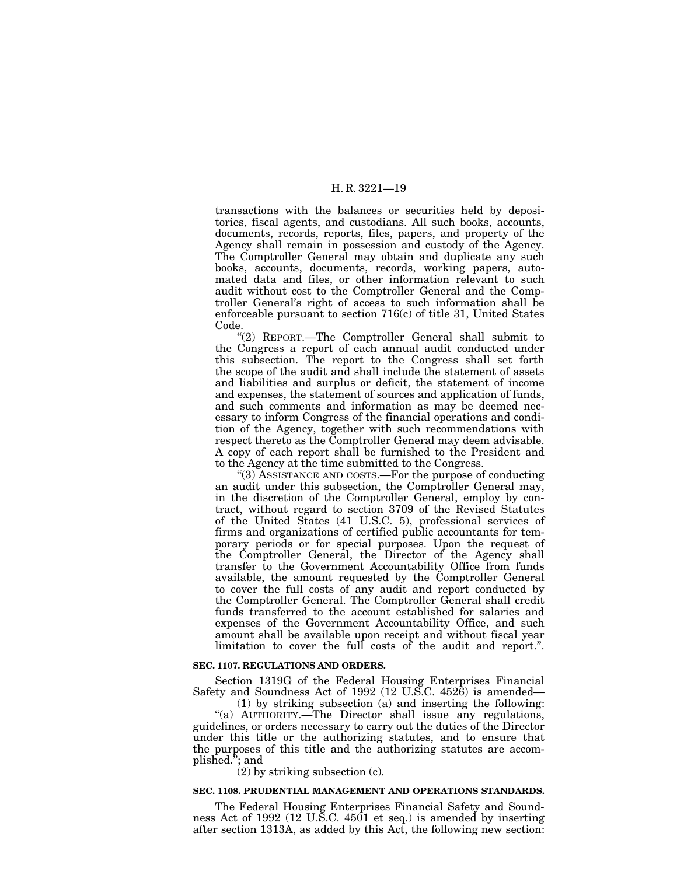transactions with the balances or securities held by depositories, fiscal agents, and custodians. All such books, accounts, documents, records, reports, files, papers, and property of the Agency shall remain in possession and custody of the Agency. The Comptroller General may obtain and duplicate any such books, accounts, documents, records, working papers, automated data and files, or other information relevant to such audit without cost to the Comptroller General and the Comptroller General's right of access to such information shall be enforceable pursuant to section 716(c) of title 31, United States Code.

''(2) REPORT.—The Comptroller General shall submit to the Congress a report of each annual audit conducted under this subsection. The report to the Congress shall set forth the scope of the audit and shall include the statement of assets and liabilities and surplus or deficit, the statement of income and expenses, the statement of sources and application of funds, and such comments and information as may be deemed necessary to inform Congress of the financial operations and condition of the Agency, together with such recommendations with respect thereto as the Comptroller General may deem advisable. A copy of each report shall be furnished to the President and to the Agency at the time submitted to the Congress.

''(3) ASSISTANCE AND COSTS.—For the purpose of conducting an audit under this subsection, the Comptroller General may, in the discretion of the Comptroller General, employ by contract, without regard to section 3709 of the Revised Statutes of the United States (41 U.S.C. 5), professional services of firms and organizations of certified public accountants for temporary periods or for special purposes. Upon the request of the Comptroller General, the Director of the Agency shall transfer to the Government Accountability Office from funds available, the amount requested by the Comptroller General to cover the full costs of any audit and report conducted by the Comptroller General. The Comptroller General shall credit funds transferred to the account established for salaries and expenses of the Government Accountability Office, and such amount shall be available upon receipt and without fiscal year limitation to cover the full costs of the audit and report.".

#### **SEC. 1107. REGULATIONS AND ORDERS.**

Section 1319G of the Federal Housing Enterprises Financial Safety and Soundness Act of 1992 (12 U.S.C. 4526) is amended—

(1) by striking subsection (a) and inserting the following: ''(a) AUTHORITY.—The Director shall issue any regulations, guidelines, or orders necessary to carry out the duties of the Director under this title or the authorizing statutes, and to ensure that the purposes of this title and the authorizing statutes are accomplished.''; and

(2) by striking subsection (c).

### **SEC. 1108. PRUDENTIAL MANAGEMENT AND OPERATIONS STANDARDS.**

The Federal Housing Enterprises Financial Safety and Soundness Act of 1992 (12 U.S.C. 4501 et seq.) is amended by inserting after section 1313A, as added by this Act, the following new section: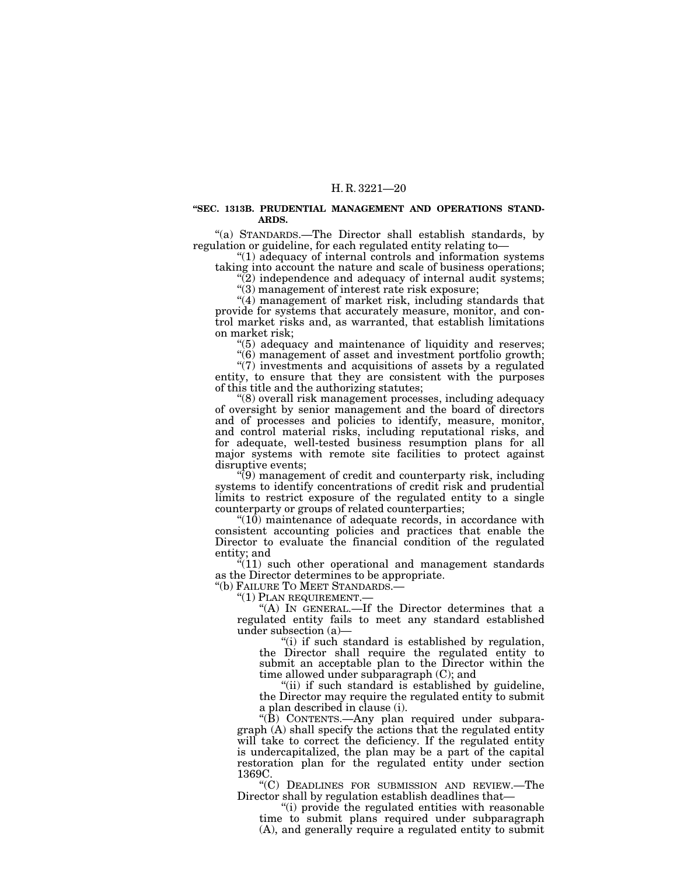#### **''SEC. 1313B. PRUDENTIAL MANAGEMENT AND OPERATIONS STAND-ARDS.**

''(a) STANDARDS.—The Director shall establish standards, by regulation or guideline, for each regulated entity relating to—

''(1) adequacy of internal controls and information systems taking into account the nature and scale of business operations;

 $\sqrt{\left(2\right)}$  independence and adequacy of internal audit systems; ''(3) management of interest rate risk exposure;

"(4) management of market risk, including standards that provide for systems that accurately measure, monitor, and control market risks and, as warranted, that establish limitations on market risk;

''(5) adequacy and maintenance of liquidity and reserves;

''(6) management of asset and investment portfolio growth;

 $\sqrt{\gamma}$  investments and acquisitions of assets by a regulated entity, to ensure that they are consistent with the purposes of this title and the authorizing statutes;

''(8) overall risk management processes, including adequacy of oversight by senior management and the board of directors and of processes and policies to identify, measure, monitor, and control material risks, including reputational risks, and for adequate, well-tested business resumption plans for all major systems with remote site facilities to protect against disruptive events;

 $\mathcal{L}(9)$  management of credit and counterparty risk, including systems to identify concentrations of credit risk and prudential limits to restrict exposure of the regulated entity to a single counterparty or groups of related counterparties;

 $\degree$ (10) maintenance of adequate records, in accordance with consistent accounting policies and practices that enable the Director to evaluate the financial condition of the regulated entity; and

 $*(11)$  such other operational and management standards as the Director determines to be appropriate.<br>"(b) FAILURE TO MEET STANDARDS.—

"(1) PLAN REQUIREMENT.—<br>"(A) IN GENERAL.—If the Director determines that a regulated entity fails to meet any standard established under subsection (a)—

''(i) if such standard is established by regulation, the Director shall require the regulated entity to submit an acceptable plan to the Director within the time allowed under subparagraph (C); and

"(ii) if such standard is established by guideline, the Director may require the regulated entity to submit a plan described in clause (i).

''(B) CONTENTS.—Any plan required under subparagraph (A) shall specify the actions that the regulated entity will take to correct the deficiency. If the regulated entity is undercapitalized, the plan may be a part of the capital restoration plan for the regulated entity under section 1369C.

''(C) DEADLINES FOR SUBMISSION AND REVIEW.—The Director shall by regulation establish deadlines that—

''(i) provide the regulated entities with reasonable time to submit plans required under subparagraph (A), and generally require a regulated entity to submit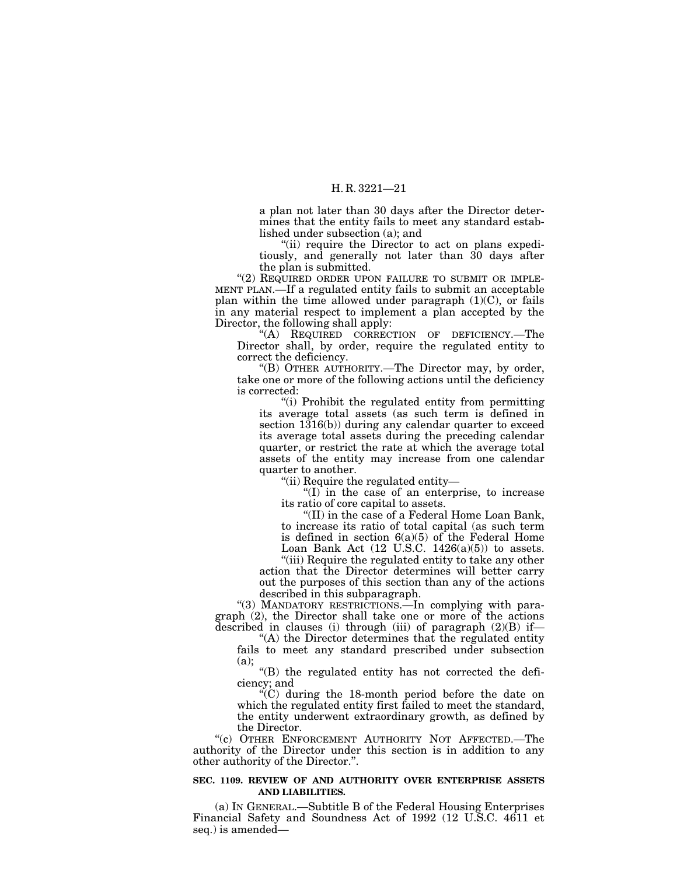a plan not later than 30 days after the Director determines that the entity fails to meet any standard established under subsection (a); and

"(ii) require the Director to act on plans expeditiously, and generally not later than 30 days after the plan is submitted.

"(2) REQUIRED ORDER UPON FAILURE TO SUBMIT OR IMPLE-MENT PLAN.—If a regulated entity fails to submit an acceptable plan within the time allowed under paragraph  $(1)(C)$ , or fails in any material respect to implement a plan accepted by the Director, the following shall apply:

''(A) REQUIRED CORRECTION OF DEFICIENCY.—The Director shall, by order, require the regulated entity to correct the deficiency.

''(B) OTHER AUTHORITY.—The Director may, by order, take one or more of the following actions until the deficiency is corrected:

''(i) Prohibit the regulated entity from permitting its average total assets (as such term is defined in section 1316(b)) during any calendar quarter to exceed its average total assets during the preceding calendar quarter, or restrict the rate at which the average total assets of the entity may increase from one calendar quarter to another.

''(ii) Require the regulated entity—

''(I) in the case of an enterprise, to increase its ratio of core capital to assets.

''(II) in the case of a Federal Home Loan Bank, to increase its ratio of total capital (as such term is defined in section  $6(a)(5)$  of the Federal Home Loan Bank Act  $(12 \text{ U.S.C. } 1426(a)(5))$  to assets. ''(iii) Require the regulated entity to take any other

action that the Director determines will better carry out the purposes of this section than any of the actions described in this subparagraph.

''(3) MANDATORY RESTRICTIONS.—In complying with paragraph (2), the Director shall take one or more of the actions described in clauses (i) through (iii) of paragraph (2)(B) if—

''(A) the Director determines that the regulated entity fails to meet any standard prescribed under subsection (a);

''(B) the regulated entity has not corrected the deficiency; and

''(C) during the 18-month period before the date on which the regulated entity first failed to meet the standard, the entity underwent extraordinary growth, as defined by the Director.

"(c) OTHER ENFORCEMENT AUTHORITY NOT AFFECTED. The authority of the Director under this section is in addition to any other authority of the Director.''.

### **SEC. 1109. REVIEW OF AND AUTHORITY OVER ENTERPRISE ASSETS AND LIABILITIES.**

(a) IN GENERAL.—Subtitle B of the Federal Housing Enterprises Financial Safety and Soundness Act of 1992 (12 U.S.C. 4611 et seq.) is amended—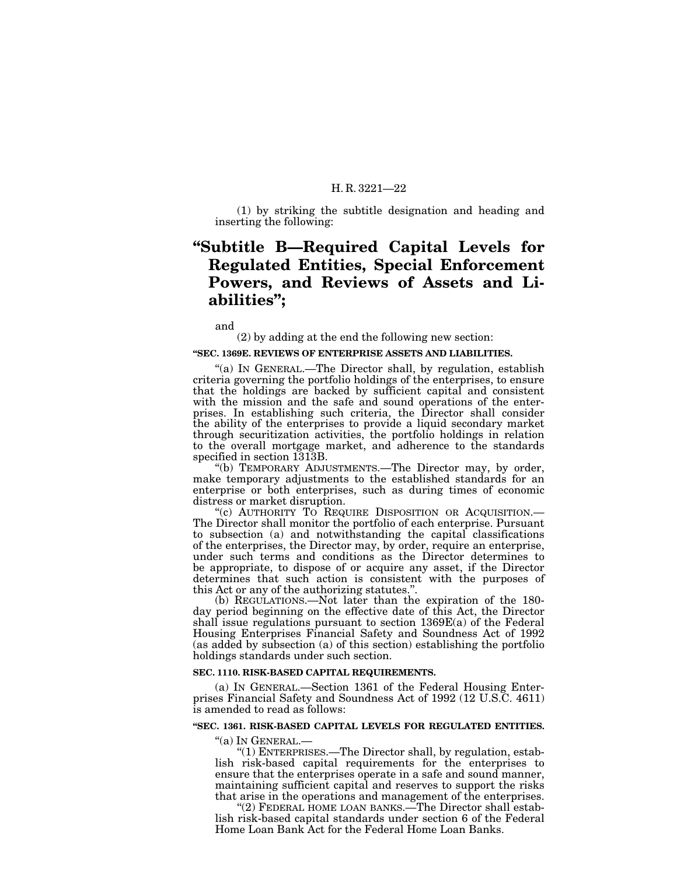(1) by striking the subtitle designation and heading and inserting the following:

## **''Subtitle B—Required Capital Levels for Regulated Entities, Special Enforcement Powers, and Reviews of Assets and Liabilities'';**

and

(2) by adding at the end the following new section:

### **''SEC. 1369E. REVIEWS OF ENTERPRISE ASSETS AND LIABILITIES.**

''(a) IN GENERAL.—The Director shall, by regulation, establish criteria governing the portfolio holdings of the enterprises, to ensure that the holdings are backed by sufficient capital and consistent with the mission and the safe and sound operations of the enterprises. In establishing such criteria, the Director shall consider the ability of the enterprises to provide a liquid secondary market through securitization activities, the portfolio holdings in relation to the overall mortgage market, and adherence to the standards specified in section 1313B.

''(b) TEMPORARY ADJUSTMENTS.—The Director may, by order, make temporary adjustments to the established standards for an enterprise or both enterprises, such as during times of economic distress or market disruption.

"(c) AUTHORITY TO REQUIRE DISPOSITION OR ACQUISITION.— The Director shall monitor the portfolio of each enterprise. Pursuant to subsection (a) and notwithstanding the capital classifications of the enterprises, the Director may, by order, require an enterprise, under such terms and conditions as the Director determines to be appropriate, to dispose of or acquire any asset, if the Director determines that such action is consistent with the purposes of this Act or any of the authorizing statutes.''.

(b) REGULATIONS.—Not later than the expiration of the 180 day period beginning on the effective date of this Act, the Director shall issue regulations pursuant to section 1369E(a) of the Federal Housing Enterprises Financial Safety and Soundness Act of 1992 (as added by subsection (a) of this section) establishing the portfolio holdings standards under such section.

### **SEC. 1110. RISK-BASED CAPITAL REQUIREMENTS.**

(a) IN GENERAL.—Section 1361 of the Federal Housing Enterprises Financial Safety and Soundness Act of 1992 (12 U.S.C. 4611) is amended to read as follows:

### **''SEC. 1361. RISK-BASED CAPITAL LEVELS FOR REGULATED ENTITIES.**

''(a) IN GENERAL.—

''(1) ENTERPRISES.—The Director shall, by regulation, establish risk-based capital requirements for the enterprises to ensure that the enterprises operate in a safe and sound manner, maintaining sufficient capital and reserves to support the risks that arise in the operations and management of the enterprises.

"(2) FEDERAL HOME LOAN BANKS.—The Director shall establish risk-based capital standards under section 6 of the Federal Home Loan Bank Act for the Federal Home Loan Banks.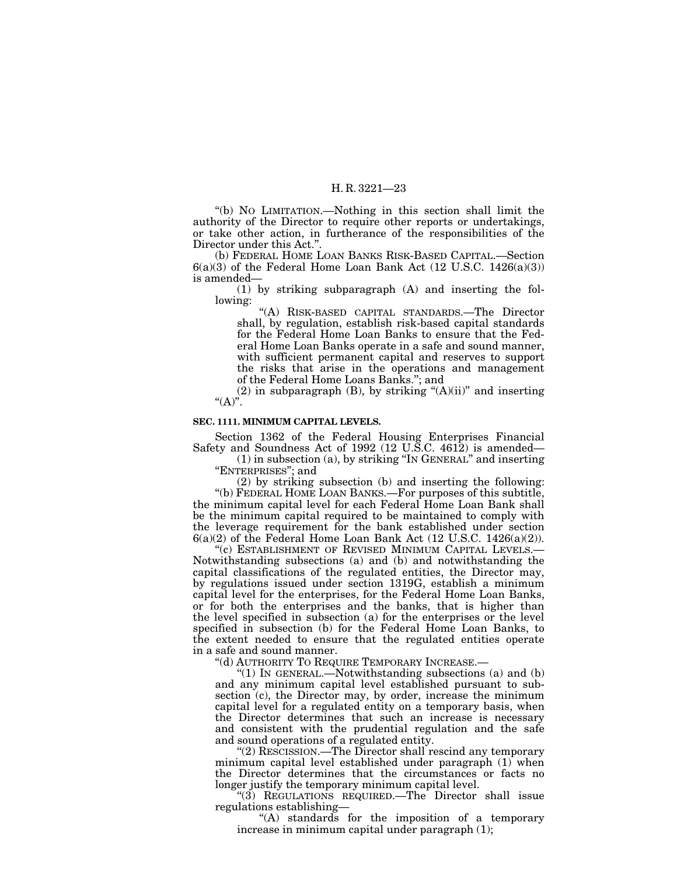''(b) NO LIMITATION.—Nothing in this section shall limit the authority of the Director to require other reports or undertakings, or take other action, in furtherance of the responsibilities of the Director under this Act."

(b) FEDERAL HOME LOAN BANKS RISK-BASED CAPITAL.—Section  $6(a)(3)$  of the Federal Home Loan Bank Act  $(12 \text{ U.S.C. } 1426(a)(3))$ is amended—

(1) by striking subparagraph (A) and inserting the following:

''(A) RISK-BASED CAPITAL STANDARDS.—The Director shall, by regulation, establish risk-based capital standards for the Federal Home Loan Banks to ensure that the Federal Home Loan Banks operate in a safe and sound manner, with sufficient permanent capital and reserves to support the risks that arise in the operations and management of the Federal Home Loans Banks.''; and

(2) in subparagraph (B), by striking " $(A)(ii)$ " and inserting " $(A)$ ".

#### **SEC. 1111. MINIMUM CAPITAL LEVELS.**

Section 1362 of the Federal Housing Enterprises Financial Safety and Soundness Act of 1992 (12 U.S.C. 4612) is amended—

(1) in subsection (a), by striking ''IN GENERAL'' and inserting ''ENTERPRISES''; and

(2) by striking subsection (b) and inserting the following: ''(b) FEDERAL HOME LOAN BANKS.—For purposes of this subtitle, the minimum capital level for each Federal Home Loan Bank shall be the minimum capital required to be maintained to comply with the leverage requirement for the bank established under section  $6(a)(2)$  of the Federal Home Loan Bank Act (12 U.S.C. 1426 $(a)(2)$ ).

"(c) ESTABLISHMENT OF REVISED MINIMUM CAPITAL LEVELS.— Notwithstanding subsections (a) and (b) and notwithstanding the capital classifications of the regulated entities, the Director may, by regulations issued under section 1319G, establish a minimum capital level for the enterprises, for the Federal Home Loan Banks, or for both the enterprises and the banks, that is higher than the level specified in subsection (a) for the enterprises or the level specified in subsection (b) for the Federal Home Loan Banks, to the extent needed to ensure that the regulated entities operate in a safe and sound manner.

''(d) AUTHORITY TO REQUIRE TEMPORARY INCREASE.—

" $(1)$  In GENERAL.—Notwithstanding subsections (a) and (b) and any minimum capital level established pursuant to subsection (c), the Director may, by order, increase the minimum capital level for a regulated entity on a temporary basis, when the Director determines that such an increase is necessary and consistent with the prudential regulation and the safe and sound operations of a regulated entity.

"(2) RESCISSION.—The Director shall rescind any temporary minimum capital level established under paragraph (1) when the Director determines that the circumstances or facts no longer justify the temporary minimum capital level.

''(3) REGULATIONS REQUIRED.—The Director shall issue regulations establishing—

''(A) standards for the imposition of a temporary increase in minimum capital under paragraph (1);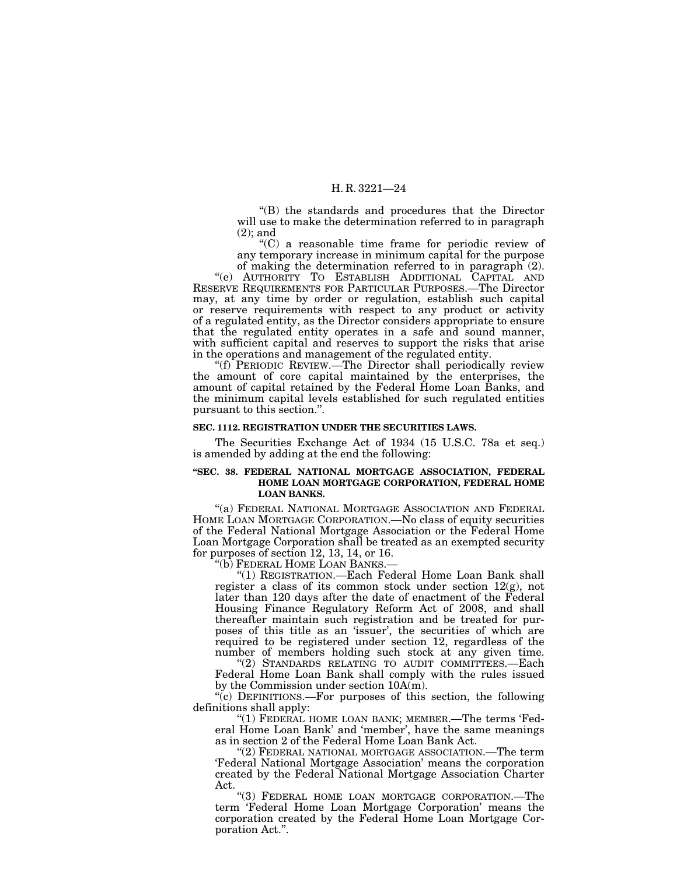''(B) the standards and procedures that the Director will use to make the determination referred to in paragraph (2); and

''(C) a reasonable time frame for periodic review of any temporary increase in minimum capital for the purpose of making the determination referred to in paragraph (2).

''(e) AUTHORITY TO ESTABLISH ADDITIONAL CAPITAL AND RESERVE REQUIREMENTS FOR PARTICULAR PURPOSES.—The Director may, at any time by order or regulation, establish such capital or reserve requirements with respect to any product or activity of a regulated entity, as the Director considers appropriate to ensure that the regulated entity operates in a safe and sound manner, with sufficient capital and reserves to support the risks that arise in the operations and management of the regulated entity.

''(f) PERIODIC REVIEW.—The Director shall periodically review the amount of core capital maintained by the enterprises, the amount of capital retained by the Federal Home Loan Banks, and the minimum capital levels established for such regulated entities pursuant to this section.''.

#### **SEC. 1112. REGISTRATION UNDER THE SECURITIES LAWS.**

The Securities Exchange Act of 1934 (15 U.S.C. 78a et seq.) is amended by adding at the end the following:

### **''SEC. 38. FEDERAL NATIONAL MORTGAGE ASSOCIATION, FEDERAL HOME LOAN MORTGAGE CORPORATION, FEDERAL HOME LOAN BANKS.**

"(a) FEDERAL NATIONAL MORTGAGE ASSOCIATION AND FEDERAL HOME LOAN MORTGAGE CORPORATION.—No class of equity securities of the Federal National Mortgage Association or the Federal Home Loan Mortgage Corporation shall be treated as an exempted security for purposes of section 12, 13, 14, or 16.

''(b) FEDERAL HOME LOAN BANKS.—

''(1) REGISTRATION.—Each Federal Home Loan Bank shall register a class of its common stock under section  $12(g)$ , not later than 120 days after the date of enactment of the Federal Housing Finance Regulatory Reform Act of 2008, and shall thereafter maintain such registration and be treated for purposes of this title as an 'issuer', the securities of which are required to be registered under section 12, regardless of the number of members holding such stock at any given time.

''(2) STANDARDS RELATING TO AUDIT COMMITTEES.—Each Federal Home Loan Bank shall comply with the rules issued by the Commission under section  $10A(m)$ .

''(c) DEFINITIONS.—For purposes of this section, the following definitions shall apply:

"(1) FEDERAL HOME LOAN BANK; MEMBER.—The terms 'Federal Home Loan Bank' and 'member', have the same meanings as in section 2 of the Federal Home Loan Bank Act.

''(2) FEDERAL NATIONAL MORTGAGE ASSOCIATION.—The term 'Federal National Mortgage Association' means the corporation created by the Federal National Mortgage Association Charter Act.

''(3) FEDERAL HOME LOAN MORTGAGE CORPORATION.—The term 'Federal Home Loan Mortgage Corporation' means the corporation created by the Federal Home Loan Mortgage Corporation Act.''.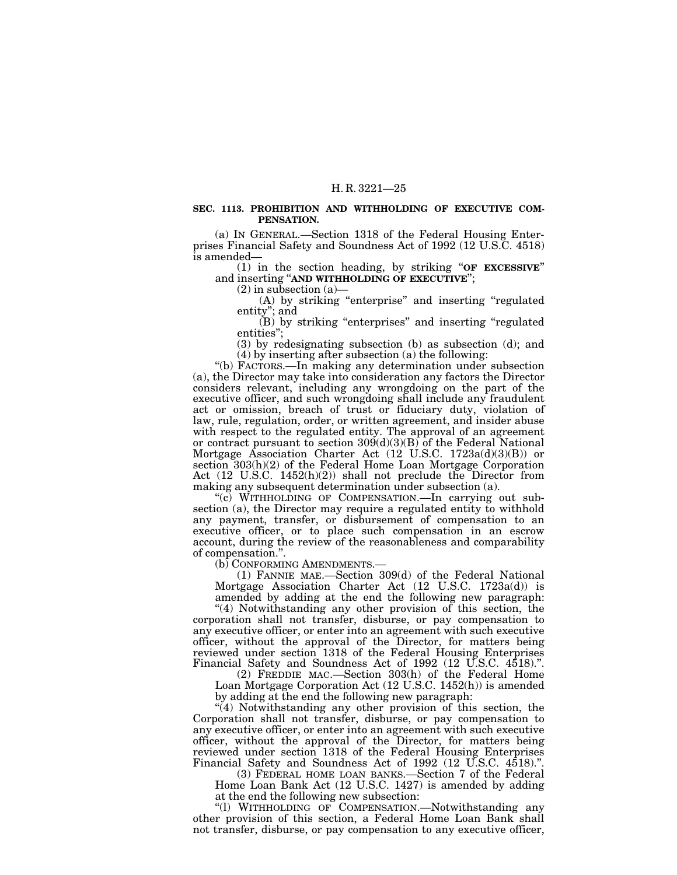#### **SEC. 1113. PROHIBITION AND WITHHOLDING OF EXECUTIVE COM-PENSATION.**

(a) IN GENERAL.—Section 1318 of the Federal Housing Enterprises Financial Safety and Soundness Act of 1992 (12 U.S.C. 4518) is amended—

(1) in the section heading, by striking ''**OF EXCESSIVE**'' and inserting ''**AND WITHHOLDING OF EXECUTIVE**'';

 $(2)$  in subsection  $(a)$ 

(A) by striking ''enterprise'' and inserting ''regulated entity''; and

(B) by striking ''enterprises'' and inserting ''regulated entities'';

(3) by redesignating subsection (b) as subsection (d); and (4) by inserting after subsection (a) the following:

''(b) FACTORS.—In making any determination under subsection (a), the Director may take into consideration any factors the Director considers relevant, including any wrongdoing on the part of the executive officer, and such wrongdoing shall include any fraudulent act or omission, breach of trust or fiduciary duty, violation of law, rule, regulation, order, or written agreement, and insider abuse with respect to the regulated entity. The approval of an agreement or contract pursuant to section  $309(d)(3)(B)$  of the Federal National Mortgage Association Charter Act (12 U.S.C. 1723a(d)(3)(B)) or section 303(h)(2) of the Federal Home Loan Mortgage Corporation Act (12 U.S.C. 1452(h)(2)) shall not preclude the Director from making any subsequent determination under subsection (a).

"(c) WITHHOLDING OF COMPENSATION.—In carrying out subsection (a), the Director may require a regulated entity to withhold any payment, transfer, or disbursement of compensation to an executive officer, or to place such compensation in an escrow account, during the review of the reasonableness and comparability of compensation."

(b) CONFORMING AMENDMENTS.—

(1) FANNIE MAE.—Section 309(d) of the Federal National Mortgage Association Charter Act (12 U.S.C. 1723a(d)) is amended by adding at the end the following new paragraph:

''(4) Notwithstanding any other provision of this section, the corporation shall not transfer, disburse, or pay compensation to any executive officer, or enter into an agreement with such executive officer, without the approval of the Director, for matters being reviewed under section 1318 of the Federal Housing Enterprises Financial Safety and Soundness Act of 1992 (12 U.S.C. 4518).".

(2) FREDDIE MAC.—Section 303(h) of the Federal Home Loan Mortgage Corporation Act (12 U.S.C. 1452(h)) is amended by adding at the end the following new paragraph:

"(4) Notwithstanding any other provision of this section, the Corporation shall not transfer, disburse, or pay compensation to any executive officer, or enter into an agreement with such executive officer, without the approval of the Director, for matters being reviewed under section 1318 of the Federal Housing Enterprises Financial Safety and Soundness Act of 1992 (12 U.S.C. 4518).''.

(3) FEDERAL HOME LOAN BANKS.—Section 7 of the Federal Home Loan Bank Act (12 U.S.C. 1427) is amended by adding at the end the following new subsection:

''(l) WITHHOLDING OF COMPENSATION.—Notwithstanding any other provision of this section, a Federal Home Loan Bank shall not transfer, disburse, or pay compensation to any executive officer,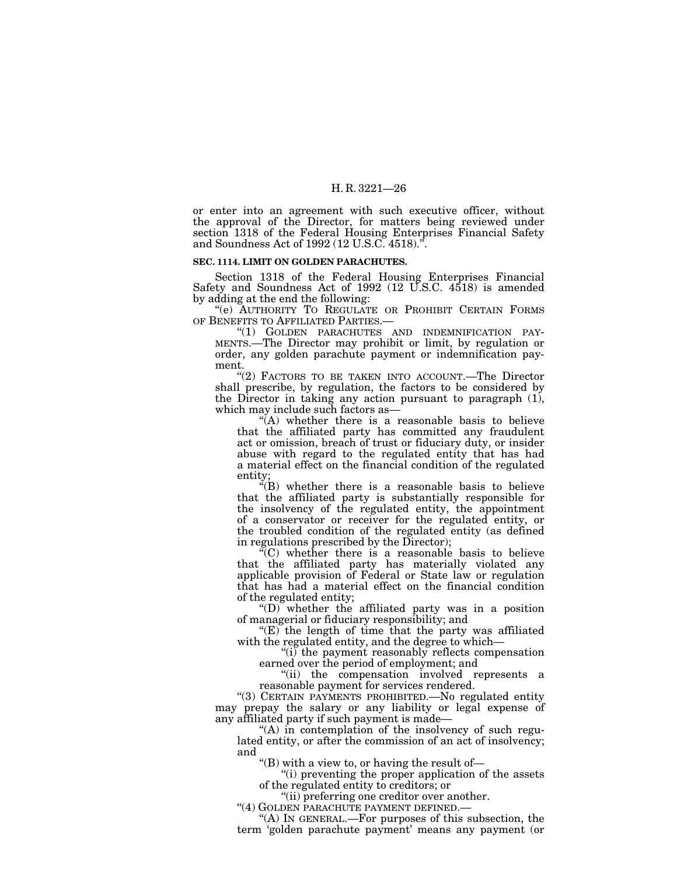or enter into an agreement with such executive officer, without the approval of the Director, for matters being reviewed under section 1318 of the Federal Housing Enterprises Financial Safety and Soundness Act of 1992 (12 U.S.C. 4518).''.

#### **SEC. 1114. LIMIT ON GOLDEN PARACHUTES.**

Section 1318 of the Federal Housing Enterprises Financial Safety and Soundness Act of 1992 (12 U.S.C. 4518) is amended by adding at the end the following:

''(e) AUTHORITY TO REGULATE OR PROHIBIT CERTAIN FORMS OF BENEFITS TO AFFILIATED PARTIES.—

''(1) GOLDEN PARACHUTES AND INDEMNIFICATION PAY- MENTS.—The Director may prohibit or limit, by regulation or order, any golden parachute payment or indemnification payment.

"(2) FACTORS TO BE TAKEN INTO ACCOUNT.—The Director shall prescribe, by regulation, the factors to be considered by the Director in taking any action pursuant to paragraph (1), which may include such factors as—

 $(A)$  whether there is a reasonable basis to believe that the affiliated party has committed any fraudulent act or omission, breach of trust or fiduciary duty, or insider abuse with regard to the regulated entity that has had a material effect on the financial condition of the regulated entity;

''(B) whether there is a reasonable basis to believe that the affiliated party is substantially responsible for the insolvency of the regulated entity, the appointment of a conservator or receiver for the regulated entity, or the troubled condition of the regulated entity (as defined in regulations prescribed by the Director);

''(C) whether there is a reasonable basis to believe that the affiliated party has materially violated any applicable provision of Federal or State law or regulation that has had a material effect on the financial condition of the regulated entity;

''(D) whether the affiliated party was in a position of managerial or fiduciary responsibility; and

" $(E)$  the length of time that the party was affiliated with the regulated entity, and the degree to which-

''(i) the payment reasonably reflects compensation earned over the period of employment; and

"(ii) the compensation involved represents a reasonable payment for services rendered.

''(3) CERTAIN PAYMENTS PROHIBITED.—No regulated entity may prepay the salary or any liability or legal expense of any affiliated party if such payment is made—

 $(A)$  in contemplation of the insolvency of such regulated entity, or after the commission of an act of insolvency; and

''(B) with a view to, or having the result of—

''(i) preventing the proper application of the assets of the regulated entity to creditors; or

''(ii) preferring one creditor over another.

"(4) GOLDEN PARACHUTE PAYMENT DEFINED.

''(A) IN GENERAL.—For purposes of this subsection, the term 'golden parachute payment' means any payment (or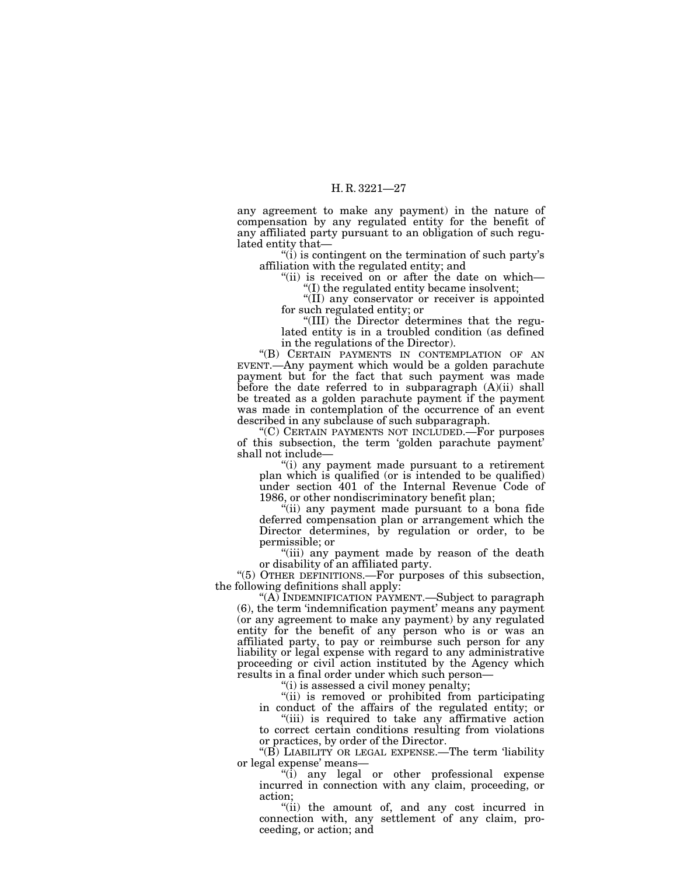any agreement to make any payment) in the nature of compensation by any regulated entity for the benefit of any affiliated party pursuant to an obligation of such regulated entity that—

 $\dddot{\mathbf{u}}$ ) is contingent on the termination of such party's affiliation with the regulated entity; and

''(ii) is received on or after the date on which—

''(I) the regulated entity became insolvent;

''(II) any conservator or receiver is appointed for such regulated entity; or

''(III) the Director determines that the regulated entity is in a troubled condition (as defined in the regulations of the Director).

''(B) CERTAIN PAYMENTS IN CONTEMPLATION OF AN EVENT.—Any payment which would be a golden parachute payment but for the fact that such payment was made before the date referred to in subparagraph (A)(ii) shall be treated as a golden parachute payment if the payment was made in contemplation of the occurrence of an event described in any subclause of such subparagraph.

''(C) CERTAIN PAYMENTS NOT INCLUDED.—For purposes of this subsection, the term 'golden parachute payment' shall not include—

''(i) any payment made pursuant to a retirement plan which is qualified (or is intended to be qualified) under section 401 of the Internal Revenue Code of 1986, or other nondiscriminatory benefit plan;

''(ii) any payment made pursuant to a bona fide deferred compensation plan or arrangement which the Director determines, by regulation or order, to be permissible; or

''(iii) any payment made by reason of the death or disability of an affiliated party.

''(5) OTHER DEFINITIONS.—For purposes of this subsection, the following definitions shall apply:

''(A) INDEMNIFICATION PAYMENT.—Subject to paragraph (6), the term 'indemnification payment' means any payment (or any agreement to make any payment) by any regulated entity for the benefit of any person who is or was an affiliated party, to pay or reimburse such person for any liability or legal expense with regard to any administrative proceeding or civil action instituted by the Agency which results in a final order under which such person—

''(i) is assessed a civil money penalty;

''(ii) is removed or prohibited from participating in conduct of the affairs of the regulated entity; or

"(iii) is required to take any affirmative action to correct certain conditions resulting from violations or practices, by order of the Director.

''(B) LIABILITY OR LEGAL EXPENSE.—The term 'liability or legal expense' means—

''(i) any legal or other professional expense incurred in connection with any claim, proceeding, or action;

''(ii) the amount of, and any cost incurred in connection with, any settlement of any claim, proceeding, or action; and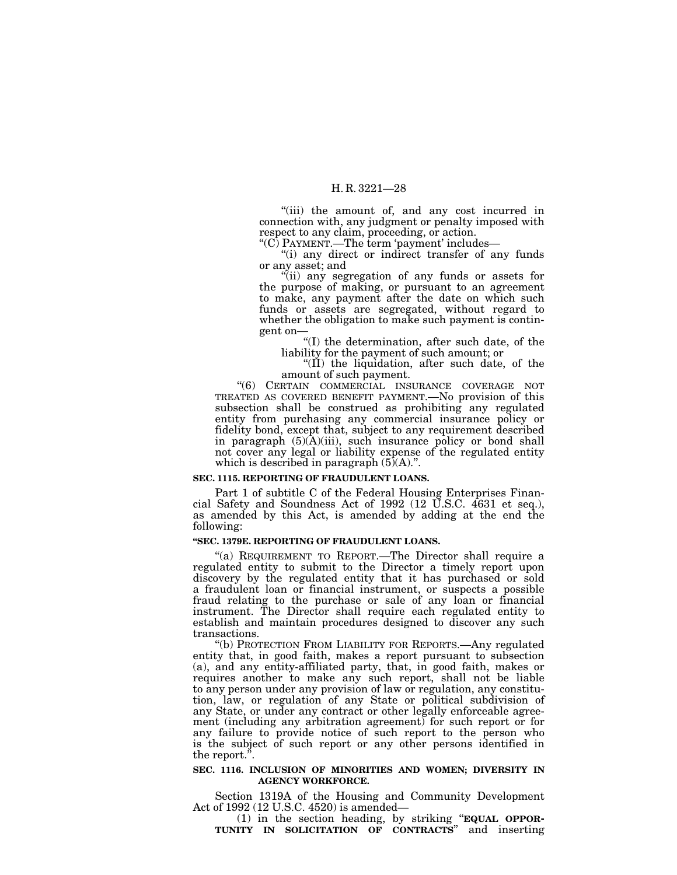''(iii) the amount of, and any cost incurred in connection with, any judgment or penalty imposed with respect to any claim, proceeding, or action.

"(C) PAYMENT.—The term 'payment' includes—

''(i) any direct or indirect transfer of any funds or any asset; and

''(ii) any segregation of any funds or assets for the purpose of making, or pursuant to an agreement to make, any payment after the date on which such funds or assets are segregated, without regard to whether the obligation to make such payment is contingent on—

''(I) the determination, after such date, of the liability for the payment of such amount; or

''(II) the liquidation, after such date, of the amount of such payment.

''(6) CERTAIN COMMERCIAL INSURANCE COVERAGE NOT TREATED AS COVERED BENEFIT PAYMENT.—No provision of this subsection shall be construed as prohibiting any regulated entity from purchasing any commercial insurance policy or fidelity bond, except that, subject to any requirement described in paragraph (5)(A)(iii), such insurance policy or bond shall not cover any legal or liability expense of the regulated entity which is described in paragraph  $(5)(A)$ .".

#### **SEC. 1115. REPORTING OF FRAUDULENT LOANS.**

Part 1 of subtitle C of the Federal Housing Enterprises Financial Safety and Soundness Act of 1992 (12 U.S.C. 4631 et seq.), as amended by this Act, is amended by adding at the end the following:

### **''SEC. 1379E. REPORTING OF FRAUDULENT LOANS.**

"(a) REQUIREMENT TO REPORT.—The Director shall require a regulated entity to submit to the Director a timely report upon discovery by the regulated entity that it has purchased or sold a fraudulent loan or financial instrument, or suspects a possible fraud relating to the purchase or sale of any loan or financial instrument. The Director shall require each regulated entity to establish and maintain procedures designed to discover any such transactions.

''(b) PROTECTION FROM LIABILITY FOR REPORTS.—Any regulated entity that, in good faith, makes a report pursuant to subsection (a), and any entity-affiliated party, that, in good faith, makes or requires another to make any such report, shall not be liable to any person under any provision of law or regulation, any constitution, law, or regulation of any State or political subdivision of any State, or under any contract or other legally enforceable agreement (including any arbitration agreement) for such report or for any failure to provide notice of such report to the person who is the subject of such report or any other persons identified in the report.''.

### **SEC. 1116. INCLUSION OF MINORITIES AND WOMEN; DIVERSITY IN AGENCY WORKFORCE.**

Section 1319A of the Housing and Community Development Act of 1992 (12 U.S.C. 4520) is amended—

(1) in the section heading, by striking ''**EQUAL OPPOR-TUNITY IN SOLICITATION OF CONTRACTS**'' and inserting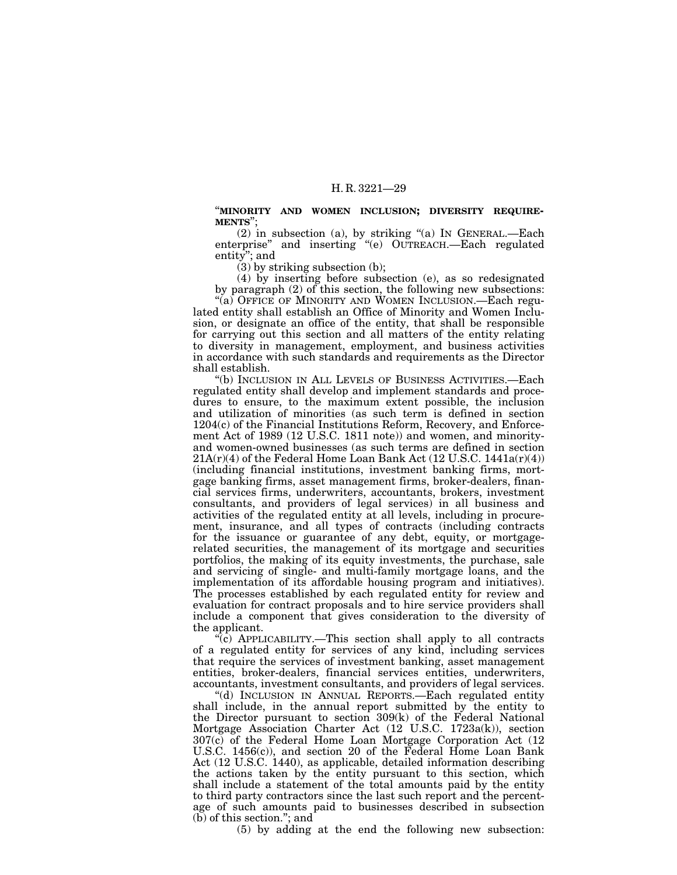### "MINORITY AND WOMEN INCLUSION; DIVERSITY REQUIRE-**MENTS**'';

(2) in subsection (a), by striking ''(a) IN GENERAL.—Each enterprise'' and inserting ''(e) OUTREACH.—Each regulated entity''; and

(3) by striking subsection (b);

(4) by inserting before subsection (e), as so redesignated by paragraph (2) of this section, the following new subsections:

"(a) OFFICE OF MINORITY AND WOMEN INCLUSION.—Each regulated entity shall establish an Office of Minority and Women Inclusion, or designate an office of the entity, that shall be responsible for carrying out this section and all matters of the entity relating to diversity in management, employment, and business activities in accordance with such standards and requirements as the Director shall establish.

''(b) INCLUSION IN ALL LEVELS OF BUSINESS ACTIVITIES.—Each regulated entity shall develop and implement standards and procedures to ensure, to the maximum extent possible, the inclusion and utilization of minorities (as such term is defined in section 1204(c) of the Financial Institutions Reform, Recovery, and Enforcement Act of 1989 (12 U.S.C. 1811 note)) and women, and minorityand women-owned businesses (as such terms are defined in section  $21A(r)(4)$  of the Federal Home Loan Bank Act  $(12 \text{ U.S.C. } 1441a(r)(4))$ (including financial institutions, investment banking firms, mortgage banking firms, asset management firms, broker-dealers, financial services firms, underwriters, accountants, brokers, investment consultants, and providers of legal services) in all business and activities of the regulated entity at all levels, including in procurement, insurance, and all types of contracts (including contracts for the issuance or guarantee of any debt, equity, or mortgagerelated securities, the management of its mortgage and securities portfolios, the making of its equity investments, the purchase, sale and servicing of single- and multi-family mortgage loans, and the implementation of its affordable housing program and initiatives). The processes established by each regulated entity for review and evaluation for contract proposals and to hire service providers shall include a component that gives consideration to the diversity of the applicant.

 $\mathcal{C}(\tilde{c})$  APPLICABILITY.—This section shall apply to all contracts of a regulated entity for services of any kind, including services that require the services of investment banking, asset management entities, broker-dealers, financial services entities, underwriters, accountants, investment consultants, and providers of legal services.

''(d) INCLUSION IN ANNUAL REPORTS.—Each regulated entity shall include, in the annual report submitted by the entity to the Director pursuant to section 309(k) of the Federal National Mortgage Association Charter Act (12 U.S.C. 1723a(k)), section 307(c) of the Federal Home Loan Mortgage Corporation Act (12 U.S.C. 1456(c)), and section 20 of the Federal Home Loan Bank Act (12 U.S.C. 1440), as applicable, detailed information describing the actions taken by the entity pursuant to this section, which shall include a statement of the total amounts paid by the entity to third party contractors since the last such report and the percentage of such amounts paid to businesses described in subsection (b) of this section.''; and

(5) by adding at the end the following new subsection: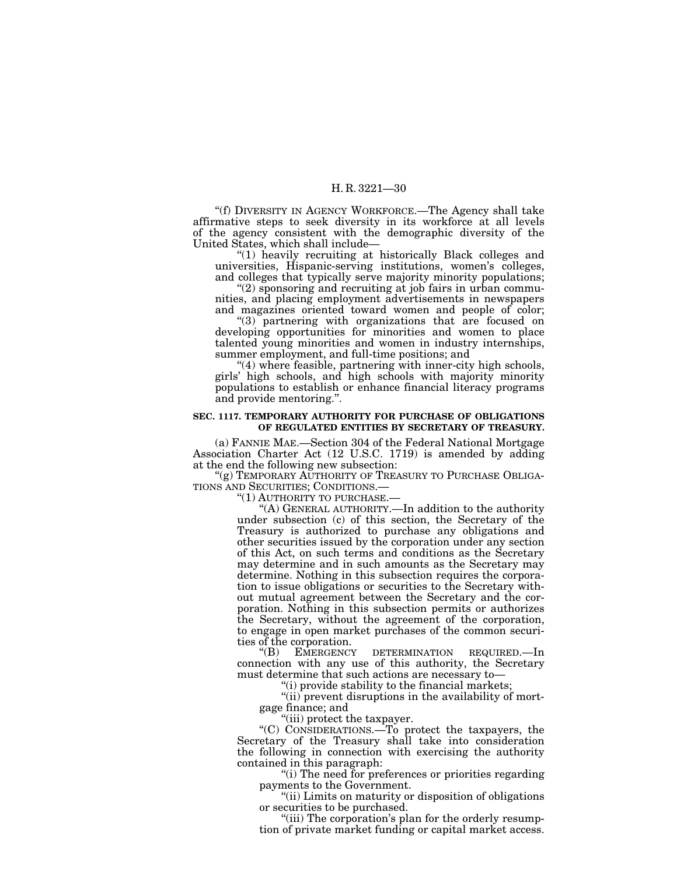''(f) DIVERSITY IN AGENCY WORKFORCE.—The Agency shall take affirmative steps to seek diversity in its workforce at all levels of the agency consistent with the demographic diversity of the United States, which shall include—

''(1) heavily recruiting at historically Black colleges and universities, Hispanic-serving institutions, women's colleges, and colleges that typically serve majority minority populations;

''(2) sponsoring and recruiting at job fairs in urban communities, and placing employment advertisements in newspapers and magazines oriented toward women and people of color;

''(3) partnering with organizations that are focused on developing opportunities for minorities and women to place talented young minorities and women in industry internships, summer employment, and full-time positions; and

"(4) where feasible, partnering with inner-city high schools, girls' high schools, and high schools with majority minority populations to establish or enhance financial literacy programs and provide mentoring.''.

#### **SEC. 1117. TEMPORARY AUTHORITY FOR PURCHASE OF OBLIGATIONS OF REGULATED ENTITIES BY SECRETARY OF TREASURY.**

(a) FANNIE MAE.—Section 304 of the Federal National Mortgage Association Charter Act (12 U.S.C. 1719) is amended by adding at the end the following new subsection:

"(g) TEMPORARY AUTHORITY OF TREASURY TO PURCHASE OBLIGA-TIONS AND SECURITIES; CONDITIONS.—

''(1) AUTHORITY TO PURCHASE.—

''(A) GENERAL AUTHORITY.—In addition to the authority under subsection (c) of this section, the Secretary of the Treasury is authorized to purchase any obligations and other securities issued by the corporation under any section of this Act, on such terms and conditions as the Secretary may determine and in such amounts as the Secretary may determine. Nothing in this subsection requires the corporation to issue obligations or securities to the Secretary without mutual agreement between the Secretary and the corporation. Nothing in this subsection permits or authorizes the Secretary, without the agreement of the corporation, to engage in open market purchases of the common securities of the corporation.

''(B) EMERGENCY DETERMINATION REQUIRED.—In connection with any use of this authority, the Secretary must determine that such actions are necessary to—

''(i) provide stability to the financial markets;

"(ii) prevent disruptions in the availability of mortgage finance; and

"(iii) protect the taxpayer.

''(C) CONSIDERATIONS.—To protect the taxpayers, the Secretary of the Treasury shall take into consideration the following in connection with exercising the authority contained in this paragraph:

''(i) The need for preferences or priorities regarding payments to the Government.

''(ii) Limits on maturity or disposition of obligations or securities to be purchased.

"(iii) The corporation's plan for the orderly resumption of private market funding or capital market access.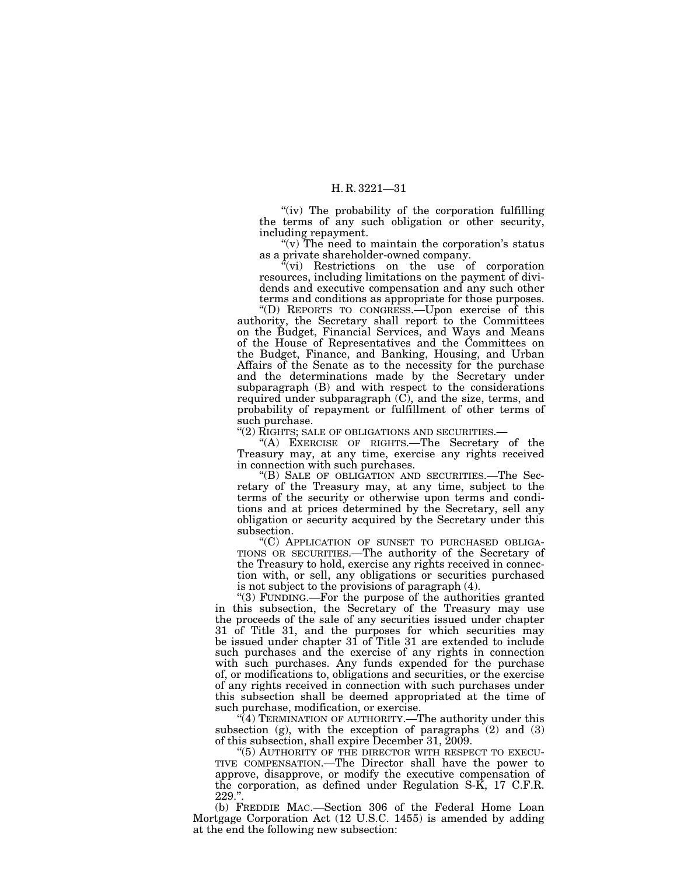"(iv) The probability of the corporation fulfilling the terms of any such obligation or other security, including repayment.

" $(v)$  The need to maintain the corporation's status as a private shareholder-owned company.

 $\sqrt{a}$ (vi) Restrictions on the use of corporation resources, including limitations on the payment of dividends and executive compensation and any such other terms and conditions as appropriate for those purposes.

''(D) REPORTS TO CONGRESS.—Upon exercise of this authority, the Secretary shall report to the Committees on the Budget, Financial Services, and Ways and Means of the House of Representatives and the Committees on the Budget, Finance, and Banking, Housing, and Urban Affairs of the Senate as to the necessity for the purchase and the determinations made by the Secretary under subparagraph (B) and with respect to the considerations required under subparagraph (C), and the size, terms, and probability of repayment or fulfillment of other terms of such purchase.

''(2) RIGHTS; SALE OF OBLIGATIONS AND SECURITIES.—

''(A) EXERCISE OF RIGHTS.—The Secretary of the Treasury may, at any time, exercise any rights received in connection with such purchases.

''(B) SALE OF OBLIGATION AND SECURITIES.—The Secretary of the Treasury may, at any time, subject to the terms of the security or otherwise upon terms and conditions and at prices determined by the Secretary, sell any obligation or security acquired by the Secretary under this subsection.

''(C) APPLICATION OF SUNSET TO PURCHASED OBLIGA-TIONS OR SECURITIES.—The authority of the Secretary of the Treasury to hold, exercise any rights received in connection with, or sell, any obligations or securities purchased is not subject to the provisions of paragraph (4).

''(3) FUNDING.—For the purpose of the authorities granted in this subsection, the Secretary of the Treasury may use the proceeds of the sale of any securities issued under chapter 31 of Title 31, and the purposes for which securities may be issued under chapter 31 of Title 31 are extended to include such purchases and the exercise of any rights in connection with such purchases. Any funds expended for the purchase of, or modifications to, obligations and securities, or the exercise of any rights received in connection with such purchases under this subsection shall be deemed appropriated at the time of such purchase, modification, or exercise.

 $\sqrt{4}$ ) TERMINATION OF AUTHORITY.—The authority under this subsection (g), with the exception of paragraphs  $(2)$  and  $(3)$ of this subsection, shall expire December 31, 2009.

''(5) AUTHORITY OF THE DIRECTOR WITH RESPECT TO EXECU- TIVE COMPENSATION.—The Director shall have the power to approve, disapprove, or modify the executive compensation of the corporation, as defined under Regulation S-K, 17 C.F.R. 229.''.

(b) FREDDIE MAC.—Section 306 of the Federal Home Loan Mortgage Corporation Act (12 U.S.C. 1455) is amended by adding at the end the following new subsection: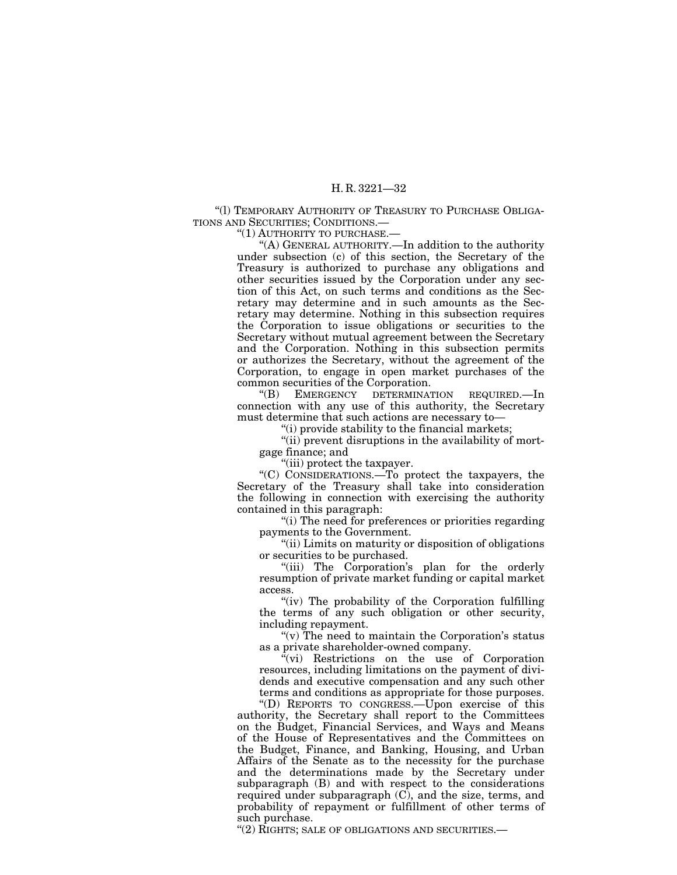''(l) TEMPORARY AUTHORITY OF TREASURY TO PURCHASE OBLIGA-TIONS AND SECURITIES; CONDITIONS.—

''(1) AUTHORITY TO PURCHASE.—

''(A) GENERAL AUTHORITY.—In addition to the authority under subsection (c) of this section, the Secretary of the Treasury is authorized to purchase any obligations and other securities issued by the Corporation under any section of this Act, on such terms and conditions as the Secretary may determine and in such amounts as the Secretary may determine. Nothing in this subsection requires the Corporation to issue obligations or securities to the Secretary without mutual agreement between the Secretary and the Corporation. Nothing in this subsection permits or authorizes the Secretary, without the agreement of the Corporation, to engage in open market purchases of the common securities of the Corporation.

''(B) EMERGENCY DETERMINATION REQUIRED.—In connection with any use of this authority, the Secretary must determine that such actions are necessary to—

''(i) provide stability to the financial markets;

"(ii) prevent disruptions in the availability of mortgage finance; and

''(iii) protect the taxpayer.

''(C) CONSIDERATIONS.—To protect the taxpayers, the Secretary of the Treasury shall take into consideration the following in connection with exercising the authority contained in this paragraph:

''(i) The need for preferences or priorities regarding payments to the Government.

''(ii) Limits on maturity or disposition of obligations or securities to be purchased.

''(iii) The Corporation's plan for the orderly resumption of private market funding or capital market access.

"(iv) The probability of the Corporation fulfilling the terms of any such obligation or other security, including repayment.

" $(v)$  The need to maintain the Corporation's status as a private shareholder-owned company.

''(vi) Restrictions on the use of Corporation resources, including limitations on the payment of dividends and executive compensation and any such other terms and conditions as appropriate for those purposes.

''(D) REPORTS TO CONGRESS.—Upon exercise of this authority, the Secretary shall report to the Committees on the Budget, Financial Services, and Ways and Means of the House of Representatives and the Committees on the Budget, Finance, and Banking, Housing, and Urban Affairs of the Senate as to the necessity for the purchase and the determinations made by the Secretary under subparagraph (B) and with respect to the considerations required under subparagraph (C), and the size, terms, and probability of repayment or fulfillment of other terms of such purchase.

''(2) RIGHTS; SALE OF OBLIGATIONS AND SECURITIES.—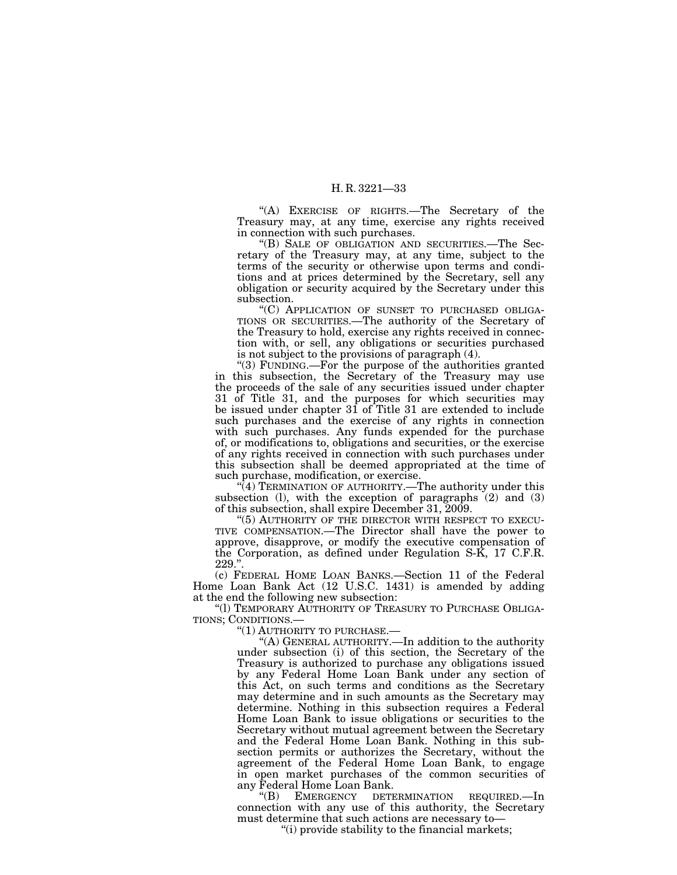''(A) EXERCISE OF RIGHTS.—The Secretary of the Treasury may, at any time, exercise any rights received in connection with such purchases.

''(B) SALE OF OBLIGATION AND SECURITIES.—The Secretary of the Treasury may, at any time, subject to the terms of the security or otherwise upon terms and conditions and at prices determined by the Secretary, sell any obligation or security acquired by the Secretary under this subsection.

''(C) APPLICATION OF SUNSET TO PURCHASED OBLIGA-TIONS OR SECURITIES.—The authority of the Secretary of the Treasury to hold, exercise any rights received in connection with, or sell, any obligations or securities purchased is not subject to the provisions of paragraph (4).

''(3) FUNDING.—For the purpose of the authorities granted in this subsection, the Secretary of the Treasury may use the proceeds of the sale of any securities issued under chapter 31 of Title 31, and the purposes for which securities may be issued under chapter 31 of Title 31 are extended to include such purchases and the exercise of any rights in connection with such purchases. Any funds expended for the purchase of, or modifications to, obligations and securities, or the exercise of any rights received in connection with such purchases under this subsection shall be deemed appropriated at the time of such purchase, modification, or exercise.

 $\sqrt{4}$ ) TERMINATION OF AUTHORITY.—The authority under this subsection (l), with the exception of paragraphs  $(2)$  and  $(3)$ of this subsection, shall expire December 31, 2009.

"(5) AUTHORITY OF THE DIRECTOR WITH RESPECT TO EXECU-TIVE COMPENSATION.—The Director shall have the power to approve, disapprove, or modify the executive compensation of the Corporation, as defined under Regulation S-K, 17 C.F.R. 229.''.

(c) FEDERAL HOME LOAN BANKS.—Section 11 of the Federal Home Loan Bank Act (12 U.S.C. 1431) is amended by adding at the end the following new subsection:

''(l) TEMPORARY AUTHORITY OF TREASURY TO PURCHASE OBLIGA-TIONS; CONDITIONS.—

''(1) AUTHORITY TO PURCHASE.—

''(A) GENERAL AUTHORITY.—In addition to the authority under subsection (i) of this section, the Secretary of the Treasury is authorized to purchase any obligations issued by any Federal Home Loan Bank under any section of this Act, on such terms and conditions as the Secretary may determine and in such amounts as the Secretary may determine. Nothing in this subsection requires a Federal Home Loan Bank to issue obligations or securities to the Secretary without mutual agreement between the Secretary and the Federal Home Loan Bank. Nothing in this subsection permits or authorizes the Secretary, without the agreement of the Federal Home Loan Bank, to engage in open market purchases of the common securities of any Federal Home Loan Bank.<br>"(B) EMERGENCY DETE

DETERMINATION REQUIRED.—In connection with any use of this authority, the Secretary must determine that such actions are necessary to—

''(i) provide stability to the financial markets;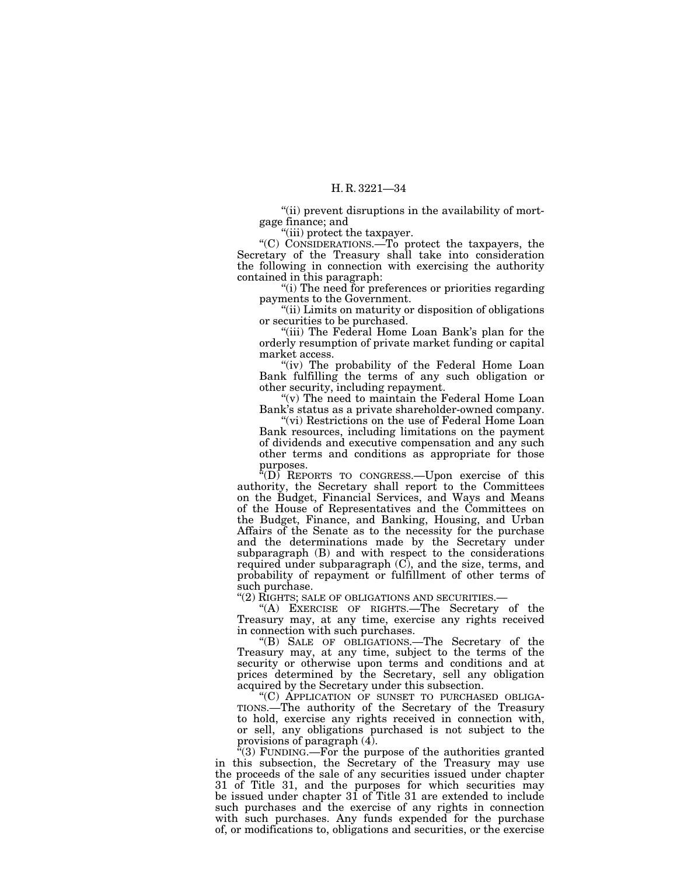"(ii) prevent disruptions in the availability of mortgage finance; and

''(iii) protect the taxpayer.

''(C) CONSIDERATIONS.—To protect the taxpayers, the Secretary of the Treasury shall take into consideration the following in connection with exercising the authority contained in this paragraph:

''(i) The need for preferences or priorities regarding payments to the Government.

"(ii) Limits on maturity or disposition of obligations or securities to be purchased.

''(iii) The Federal Home Loan Bank's plan for the orderly resumption of private market funding or capital market access.

"(iv) The probability of the Federal Home Loan Bank fulfilling the terms of any such obligation or other security, including repayment.

''(v) The need to maintain the Federal Home Loan Bank's status as a private shareholder-owned company.

"(vi) Restrictions on the use of Federal Home Loan Bank resources, including limitations on the payment of dividends and executive compensation and any such other terms and conditions as appropriate for those purposes.

 $K^{\text{th}}(D)$  REPORTS TO CONGRESS.—Upon exercise of this authority, the Secretary shall report to the Committees on the Budget, Financial Services, and Ways and Means of the House of Representatives and the Committees on the Budget, Finance, and Banking, Housing, and Urban Affairs of the Senate as to the necessity for the purchase and the determinations made by the Secretary under subparagraph (B) and with respect to the considerations required under subparagraph  $(C)$ , and the size, terms, and probability of repayment or fulfillment of other terms of such purchase.

''(2) RIGHTS; SALE OF OBLIGATIONS AND SECURITIES.—

''(A) EXERCISE OF RIGHTS.—The Secretary of the Treasury may, at any time, exercise any rights received in connection with such purchases.

''(B) SALE OF OBLIGATIONS.—The Secretary of the Treasury may, at any time, subject to the terms of the security or otherwise upon terms and conditions and at prices determined by the Secretary, sell any obligation acquired by the Secretary under this subsection.

''(C) APPLICATION OF SUNSET TO PURCHASED OBLIGA-TIONS.—The authority of the Secretary of the Treasury to hold, exercise any rights received in connection with, or sell, any obligations purchased is not subject to the provisions of paragraph (4).

''(3) FUNDING.—For the purpose of the authorities granted in this subsection, the Secretary of the Treasury may use the proceeds of the sale of any securities issued under chapter 31 of Title 31, and the purposes for which securities may be issued under chapter 31 of Title 31 are extended to include such purchases and the exercise of any rights in connection with such purchases. Any funds expended for the purchase of, or modifications to, obligations and securities, or the exercise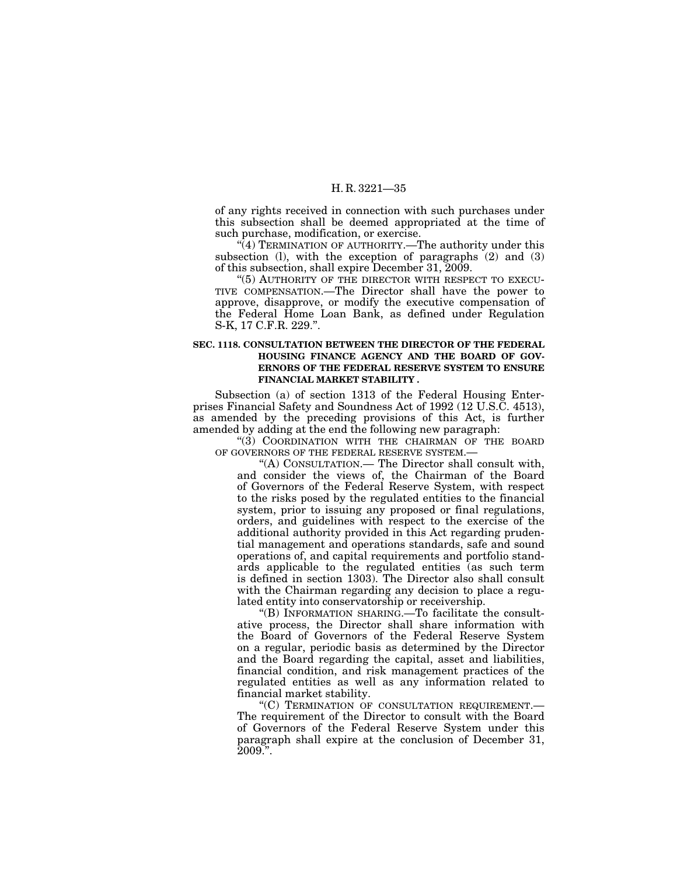of any rights received in connection with such purchases under this subsection shall be deemed appropriated at the time of such purchase, modification, or exercise.

 $\sqrt{4}$ ) TERMINATION OF AUTHORITY.—The authority under this subsection (l), with the exception of paragraphs  $(2)$  and  $(3)$ of this subsection, shall expire December 31, 2009.

"(5) AUTHORITY OF THE DIRECTOR WITH RESPECT TO EXECU-TIVE COMPENSATION.—The Director shall have the power to approve, disapprove, or modify the executive compensation of the Federal Home Loan Bank, as defined under Regulation S-K, 17 C.F.R. 229.''.

### **SEC. 1118. CONSULTATION BETWEEN THE DIRECTOR OF THE FEDERAL HOUSING FINANCE AGENCY AND THE BOARD OF GOV-ERNORS OF THE FEDERAL RESERVE SYSTEM TO ENSURE FINANCIAL MARKET STABILITY .**

Subsection (a) of section 1313 of the Federal Housing Enterprises Financial Safety and Soundness Act of 1992 (12 U.S.C. 4513), as amended by the preceding provisions of this Act, is further amended by adding at the end the following new paragraph:

"(3) COORDINATION WITH THE CHAIRMAN OF THE BOARD OF GOVERNORS OF THE FEDERAL RESERVE SYSTEM.—

''(A) CONSULTATION.— The Director shall consult with, and consider the views of, the Chairman of the Board of Governors of the Federal Reserve System, with respect to the risks posed by the regulated entities to the financial system, prior to issuing any proposed or final regulations, orders, and guidelines with respect to the exercise of the additional authority provided in this Act regarding prudential management and operations standards, safe and sound operations of, and capital requirements and portfolio standards applicable to the regulated entities (as such term is defined in section 1303). The Director also shall consult with the Chairman regarding any decision to place a regulated entity into conservatorship or receivership.

''(B) INFORMATION SHARING.—To facilitate the consultative process, the Director shall share information with the Board of Governors of the Federal Reserve System on a regular, periodic basis as determined by the Director and the Board regarding the capital, asset and liabilities, financial condition, and risk management practices of the regulated entities as well as any information related to financial market stability.

''(C) TERMINATION OF CONSULTATION REQUIREMENT.— The requirement of the Director to consult with the Board of Governors of the Federal Reserve System under this paragraph shall expire at the conclusion of December 31, 2009.''.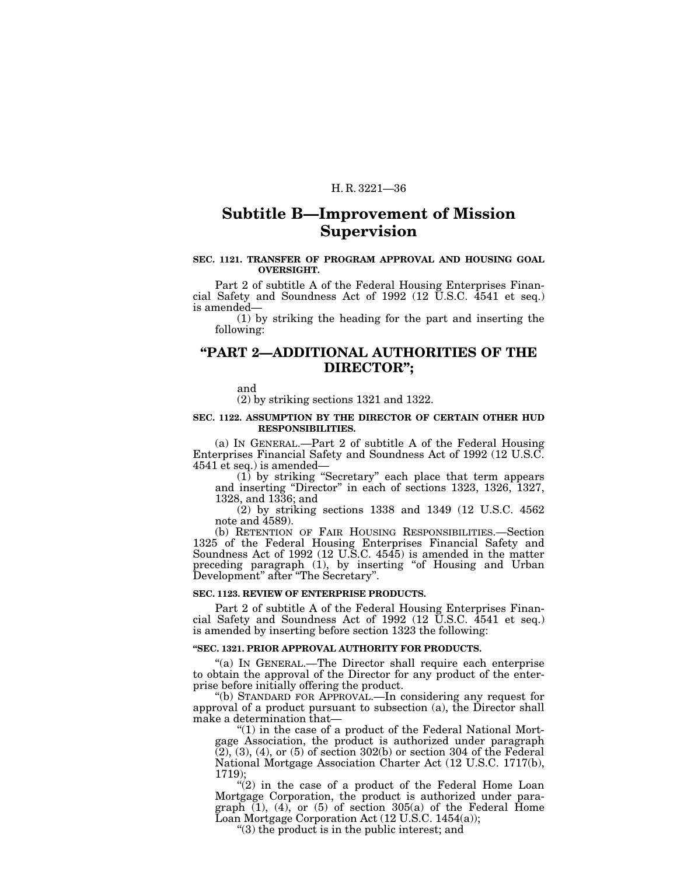## **Subtitle B—Improvement of Mission Supervision**

### **SEC. 1121. TRANSFER OF PROGRAM APPROVAL AND HOUSING GOAL OVERSIGHT.**

Part 2 of subtitle A of the Federal Housing Enterprises Financial Safety and Soundness Act of 1992 (12 U.S.C. 4541 et seq.) is amended—

(1) by striking the heading for the part and inserting the following:

## **''PART 2—ADDITIONAL AUTHORITIES OF THE DIRECTOR'';**

and

(2) by striking sections 1321 and 1322.

#### **SEC. 1122. ASSUMPTION BY THE DIRECTOR OF CERTAIN OTHER HUD RESPONSIBILITIES.**

(a) IN GENERAL.—Part 2 of subtitle A of the Federal Housing Enterprises Financial Safety and Soundness Act of 1992 (12 U.S.C. 4541 et seq.) is amended—

(1) by striking ''Secretary'' each place that term appears and inserting "Director" in each of sections 1323, 1326, 1327, 1328, and 1336; and

(2) by striking sections 1338 and 1349 (12 U.S.C. 4562 note and 4589).

(b) RETENTION OF FAIR HOUSING RESPONSIBILITIES.—Section 1325 of the Federal Housing Enterprises Financial Safety and Soundness Act of 1992 (12 U.S.C. 4545) is amended in the matter preceding paragraph (1), by inserting ''of Housing and Urban Development'' after ''The Secretary''.

### **SEC. 1123. REVIEW OF ENTERPRISE PRODUCTS.**

Part 2 of subtitle A of the Federal Housing Enterprises Financial Safety and Soundness Act of 1992 (12 U.S.C. 4541 et seq.) is amended by inserting before section 1323 the following:

### **''SEC. 1321. PRIOR APPROVAL AUTHORITY FOR PRODUCTS.**

''(a) IN GENERAL.—The Director shall require each enterprise to obtain the approval of the Director for any product of the enterprise before initially offering the product.

''(b) STANDARD FOR APPROVAL.—In considering any request for approval of a product pursuant to subsection (a), the Director shall make a determination that—

 $"(1)$  in the case of a product of the Federal National Mortgage Association, the product is authorized under paragraph (2), (3), (4), or (5) of section 302(b) or section 304 of the Federal National Mortgage Association Charter Act (12 U.S.C. 1717(b), 1719);

 $''(2)$  in the case of a product of the Federal Home Loan Mortgage Corporation, the product is authorized under paragraph (1), (4), or (5) of section 305(a) of the Federal Home Loan Mortgage Corporation Act (12 U.S.C. 1454(a));

''(3) the product is in the public interest; and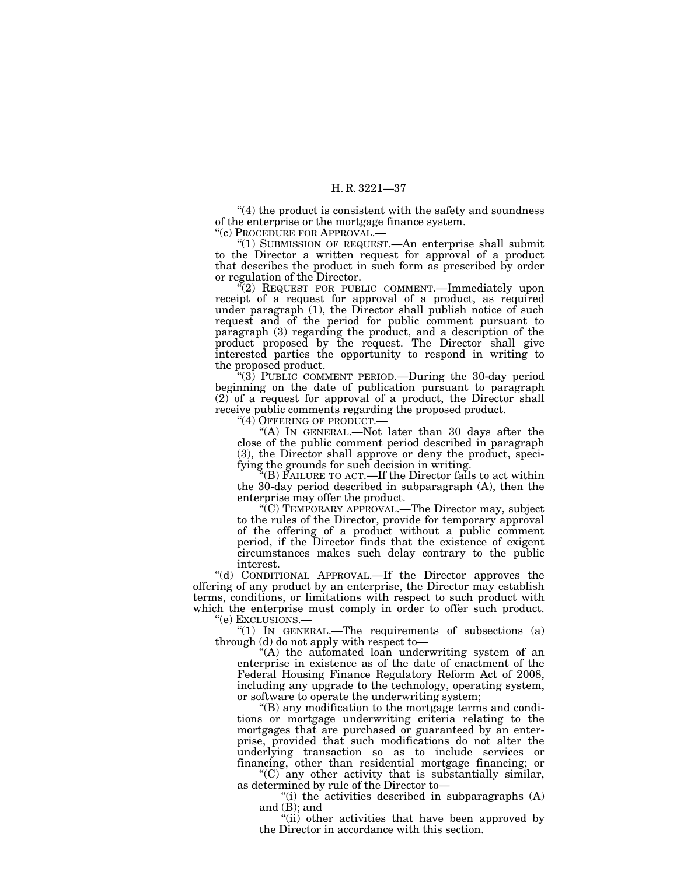"(4) the product is consistent with the safety and soundness of the enterprise or the mortgage finance system.

''(c) PROCEDURE FOR APPROVAL.—

''(1) SUBMISSION OF REQUEST.—An enterprise shall submit to the Director a written request for approval of a product that describes the product in such form as prescribed by order or regulation of the Director.

"(2) REQUEST FOR PUBLIC COMMENT.—Immediately upon receipt of a request for approval of a product, as required under paragraph (1), the Director shall publish notice of such request and of the period for public comment pursuant to paragraph (3) regarding the product, and a description of the product proposed by the request. The Director shall give interested parties the opportunity to respond in writing to the proposed product.

''(3) PUBLIC COMMENT PERIOD.—During the 30-day period beginning on the date of publication pursuant to paragraph (2) of a request for approval of a product, the Director shall receive public comments regarding the proposed product.

"(4) OFFERING OF PRODUCT.

''(A) IN GENERAL.—Not later than 30 days after the close of the public comment period described in paragraph (3), the Director shall approve or deny the product, specifying the grounds for such decision in writing.

''(B) FAILURE TO ACT.—If the Director fails to act within the 30-day period described in subparagraph (A), then the enterprise may offer the product.

''(C) TEMPORARY APPROVAL.—The Director may, subject to the rules of the Director, provide for temporary approval of the offering of a product without a public comment period, if the Director finds that the existence of exigent circumstances makes such delay contrary to the public interest.

''(d) CONDITIONAL APPROVAL.—If the Director approves the offering of any product by an enterprise, the Director may establish terms, conditions, or limitations with respect to such product with which the enterprise must comply in order to offer such product. ''(e) EXCLUSIONS.—

" $(1)$  IN GENERAL.—The requirements of subsections  $(a)$ through (d) do not apply with respect to—

(A) the automated loan underwriting system of an enterprise in existence as of the date of enactment of the Federal Housing Finance Regulatory Reform Act of 2008, including any upgrade to the technology, operating system, or software to operate the underwriting system;

''(B) any modification to the mortgage terms and conditions or mortgage underwriting criteria relating to the mortgages that are purchased or guaranteed by an enterprise, provided that such modifications do not alter the underlying transaction so as to include services or financing, other than residential mortgage financing; or

 $(C)$  any other activity that is substantially similar, as determined by rule of the Director to—

"(i) the activities described in subparagraphs  $(A)$ and (B); and

''(ii) other activities that have been approved by the Director in accordance with this section.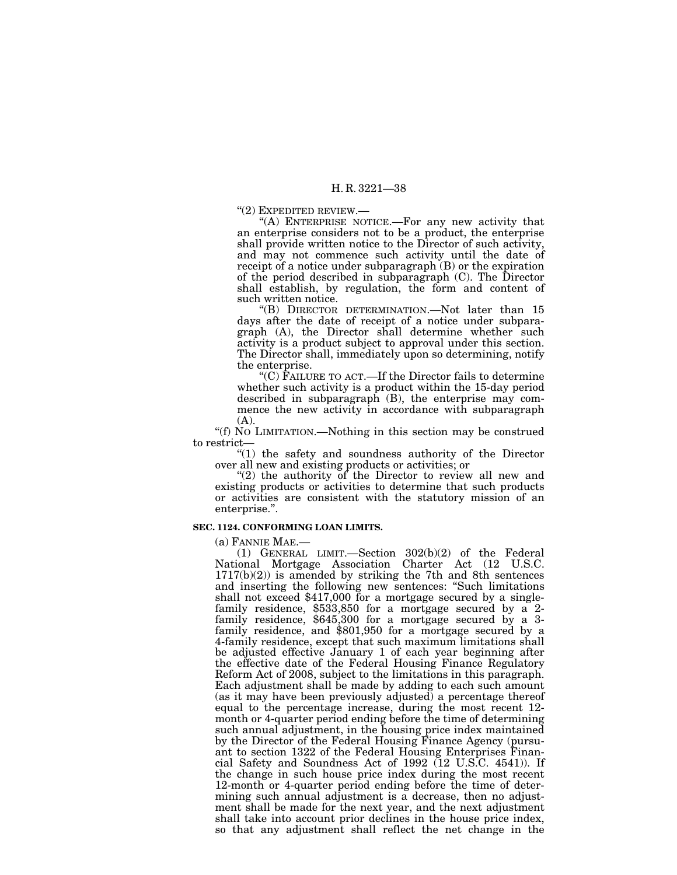''(2) EXPEDITED REVIEW.—

''(A) ENTERPRISE NOTICE.—For any new activity that an enterprise considers not to be a product, the enterprise shall provide written notice to the Director of such activity, and may not commence such activity until the date of receipt of a notice under subparagraph (B) or the expiration of the period described in subparagraph (C). The Director shall establish, by regulation, the form and content of such written notice.

''(B) DIRECTOR DETERMINATION.—Not later than 15 days after the date of receipt of a notice under subparagraph (A), the Director shall determine whether such activity is a product subject to approval under this section. The Director shall, immediately upon so determining, notify the enterprise.

''(C) FAILURE TO ACT.—If the Director fails to determine whether such activity is a product within the 15-day period described in subparagraph (B), the enterprise may commence the new activity in accordance with subparagraph (A).

''(f) NO LIMITATION.—Nothing in this section may be construed to restrict—

"(1) the safety and soundness authority of the Director over all new and existing products or activities; or

"(2) the authority of the Director to review all new and existing products or activities to determine that such products or activities are consistent with the statutory mission of an enterprise.''.

#### **SEC. 1124. CONFORMING LOAN LIMITS.**

(a) FANNIE MAE.—

(1) GENERAL LIMIT.—Section 302(b)(2) of the Federal National Mortgage Association Charter Act (12 U.S.C. 1717(b)(2)) is amended by striking the 7th and 8th sentences and inserting the following new sentences: ''Such limitations shall not exceed \$417,000 for a mortgage secured by a singlefamily residence, \$533,850 for a mortgage secured by a 2 family residence, \$645,300 for a mortgage secured by a 3 family residence, and \$801,950 for a mortgage secured by a 4-family residence, except that such maximum limitations shall be adjusted effective January 1 of each year beginning after the effective date of the Federal Housing Finance Regulatory Reform Act of 2008, subject to the limitations in this paragraph. Each adjustment shall be made by adding to each such amount (as it may have been previously adjusted) a percentage thereof equal to the percentage increase, during the most recent 12 month or 4-quarter period ending before the time of determining such annual adjustment, in the housing price index maintained by the Director of the Federal Housing Finance Agency (pursuant to section 1322 of the Federal Housing Enterprises Financial Safety and Soundness Act of 1992 (12 U.S.C. 4541)). If the change in such house price index during the most recent 12-month or 4-quarter period ending before the time of determining such annual adjustment is a decrease, then no adjustment shall be made for the next year, and the next adjustment shall take into account prior declines in the house price index, so that any adjustment shall reflect the net change in the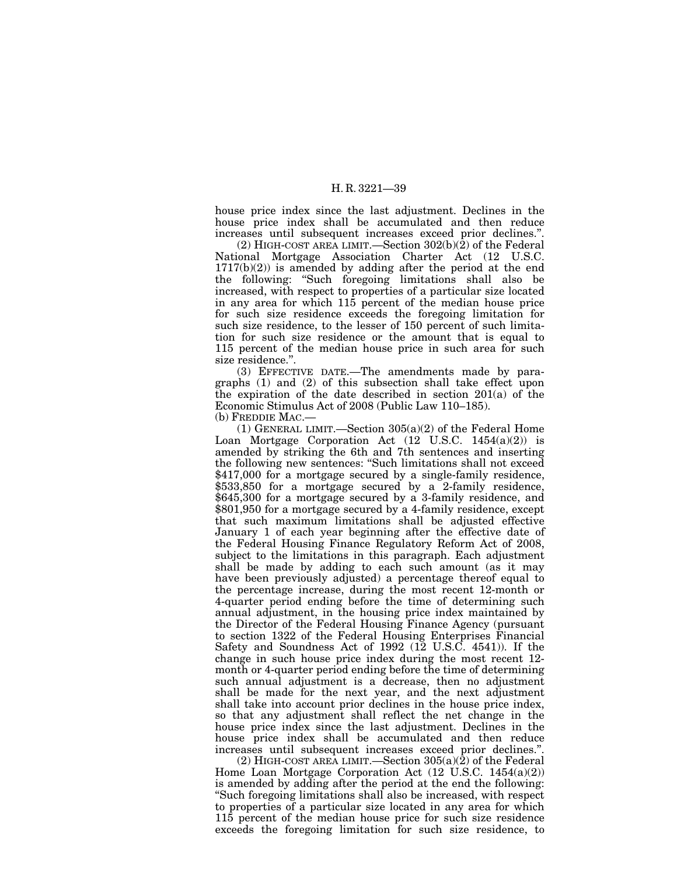house price index since the last adjustment. Declines in the house price index shall be accumulated and then reduce increases until subsequent increases exceed prior declines.''.

(2) HIGH-COST AREA LIMIT.—Section  $302(b)(\overline{2})$  of the Federal National Mortgage Association Charter Act (12 U.S.C.  $1717(b)(2)$  is amended by adding after the period at the end the following: ''Such foregoing limitations shall also be increased, with respect to properties of a particular size located in any area for which 115 percent of the median house price for such size residence exceeds the foregoing limitation for such size residence, to the lesser of 150 percent of such limitation for such size residence or the amount that is equal to 115 percent of the median house price in such area for such size residence.''.

(3) EFFECTIVE DATE.—The amendments made by paragraphs (1) and (2) of this subsection shall take effect upon the expiration of the date described in section 201(a) of the Economic Stimulus Act of 2008 (Public Law 110–185).

(b) FREDDIE MAC.—

(1) GENERAL LIMIT.—Section  $305(a)(2)$  of the Federal Home Loan Mortgage Corporation Act  $(12 \text{ U.S.C. } 1454(a)(2))$  is amended by striking the 6th and 7th sentences and inserting the following new sentences: ''Such limitations shall not exceed \$417,000 for a mortgage secured by a single-family residence, \$533,850 for a mortgage secured by a 2-family residence, \$645,300 for a mortgage secured by a 3-family residence, and \$801,950 for a mortgage secured by a 4-family residence, except that such maximum limitations shall be adjusted effective January 1 of each year beginning after the effective date of the Federal Housing Finance Regulatory Reform Act of 2008, subject to the limitations in this paragraph. Each adjustment shall be made by adding to each such amount (as it may have been previously adjusted) a percentage thereof equal to the percentage increase, during the most recent 12-month or 4-quarter period ending before the time of determining such annual adjustment, in the housing price index maintained by the Director of the Federal Housing Finance Agency (pursuant to section 1322 of the Federal Housing Enterprises Financial Safety and Soundness Act of 1992 (12 U.S.C. 4541)). If the change in such house price index during the most recent 12 month or 4-quarter period ending before the time of determining such annual adjustment is a decrease, then no adjustment shall be made for the next year, and the next adjustment shall take into account prior declines in the house price index, so that any adjustment shall reflect the net change in the house price index since the last adjustment. Declines in the house price index shall be accumulated and then reduce increases until subsequent increases exceed prior declines.''.

(2) HIGH-COST AREA LIMIT.—Section  $305(a)(2)$  of the Federal Home Loan Mortgage Corporation Act (12 U.S.C. 1454(a)(2)) is amended by adding after the period at the end the following: ''Such foregoing limitations shall also be increased, with respect to properties of a particular size located in any area for which 115 percent of the median house price for such size residence exceeds the foregoing limitation for such size residence, to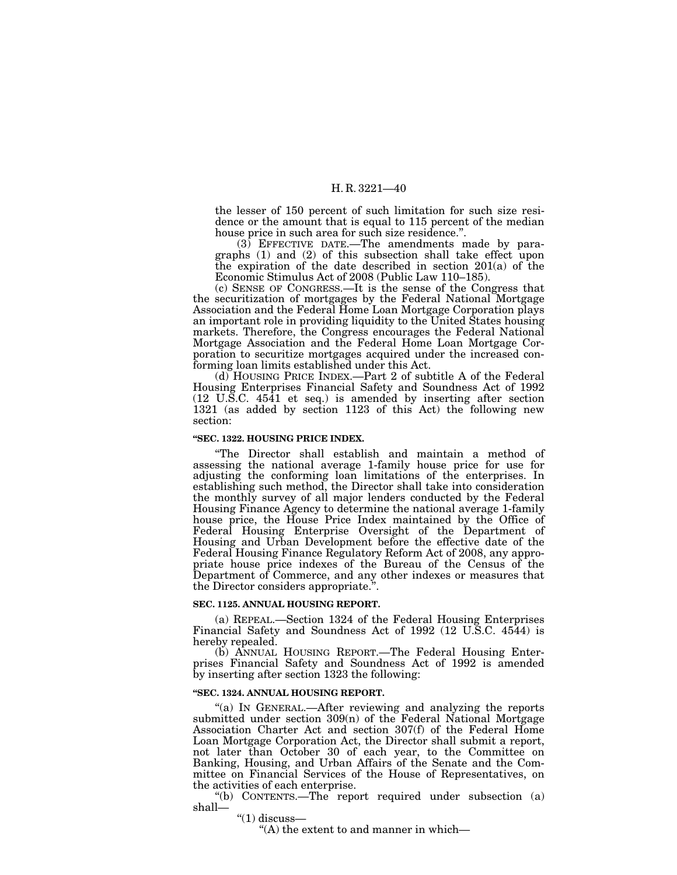the lesser of 150 percent of such limitation for such size residence or the amount that is equal to 115 percent of the median house price in such area for such size residence.''.

(3) EFFECTIVE DATE.—The amendments made by paragraphs (1) and (2) of this subsection shall take effect upon the expiration of the date described in section 201(a) of the Economic Stimulus Act of 2008 (Public Law 110–185).

(c) SENSE OF CONGRESS.—It is the sense of the Congress that the securitization of mortgages by the Federal National Mortgage Association and the Federal Home Loan Mortgage Corporation plays an important role in providing liquidity to the United States housing markets. Therefore, the Congress encourages the Federal National Mortgage Association and the Federal Home Loan Mortgage Corporation to securitize mortgages acquired under the increased conforming loan limits established under this Act.

(d) HOUSING PRICE INDEX.—Part 2 of subtitle A of the Federal Housing Enterprises Financial Safety and Soundness Act of 1992 (12 U.S.C. 4541 et seq.) is amended by inserting after section 1321 (as added by section 1123 of this Act) the following new section:

#### **''SEC. 1322. HOUSING PRICE INDEX.**

''The Director shall establish and maintain a method of assessing the national average 1-family house price for use for adjusting the conforming loan limitations of the enterprises. In establishing such method, the Director shall take into consideration the monthly survey of all major lenders conducted by the Federal Housing Finance Agency to determine the national average 1-family house price, the House Price Index maintained by the Office of Federal Housing Enterprise Oversight of the Department of Housing and Urban Development before the effective date of the Federal Housing Finance Regulatory Reform Act of 2008, any appropriate house price indexes of the Bureau of the Census of the Department of Commerce, and any other indexes or measures that the Director considers appropriate.''.

#### **SEC. 1125. ANNUAL HOUSING REPORT.**

(a) REPEAL.—Section 1324 of the Federal Housing Enterprises Financial Safety and Soundness Act of 1992 (12 U.S.C. 4544) is hereby repealed.

(b) ANNUAL HOUSING REPORT.—The Federal Housing Enterprises Financial Safety and Soundness Act of 1992 is amended by inserting after section 1323 the following:

### **''SEC. 1324. ANNUAL HOUSING REPORT.**

''(a) IN GENERAL.—After reviewing and analyzing the reports submitted under section 309(n) of the Federal National Mortgage Association Charter Act and section 307(f) of the Federal Home Loan Mortgage Corporation Act, the Director shall submit a report, not later than October 30 of each year, to the Committee on Banking, Housing, and Urban Affairs of the Senate and the Committee on Financial Services of the House of Representatives, on the activities of each enterprise.

''(b) CONTENTS.—The report required under subsection (a) shall—

''(1) discuss—

''(A) the extent to and manner in which—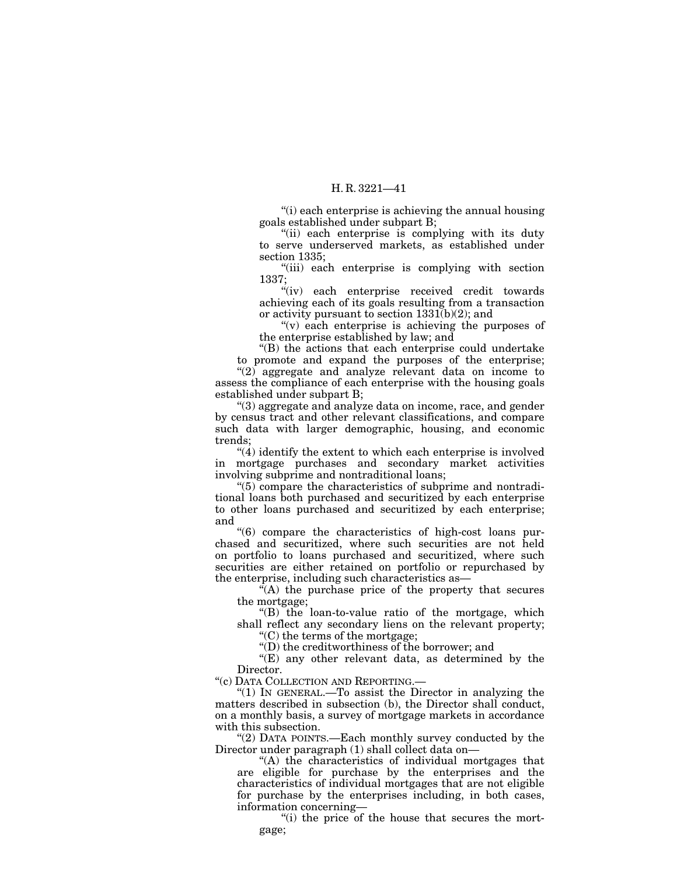''(i) each enterprise is achieving the annual housing goals established under subpart B;

"(ii) each enterprise is complying with its duty to serve underserved markets, as established under section 1335;

''(iii) each enterprise is complying with section 1337;

''(iv) each enterprise received credit towards achieving each of its goals resulting from a transaction or activity pursuant to section 1331(b)(2); and

 $(v)$  each enterprise is achieving the purposes of the enterprise established by law; and

''(B) the actions that each enterprise could undertake to promote and expand the purposes of the enterprise;

 $''(2)$  aggregate and analyze relevant data on income to assess the compliance of each enterprise with the housing goals established under subpart B;

''(3) aggregate and analyze data on income, race, and gender by census tract and other relevant classifications, and compare such data with larger demographic, housing, and economic trends;

''(4) identify the extent to which each enterprise is involved in mortgage purchases and secondary market activities involving subprime and nontraditional loans;

''(5) compare the characteristics of subprime and nontraditional loans both purchased and securitized by each enterprise to other loans purchased and securitized by each enterprise; and

''(6) compare the characteristics of high-cost loans purchased and securitized, where such securities are not held on portfolio to loans purchased and securitized, where such securities are either retained on portfolio or repurchased by the enterprise, including such characteristics as—

 $\mathbf{F}(\mathbf{A})$  the purchase price of the property that secures the mortgage;

''(B) the loan-to-value ratio of the mortgage, which shall reflect any secondary liens on the relevant property;

''(C) the terms of the mortgage;

''(D) the creditworthiness of the borrower; and

 $f(E)$  any other relevant data, as determined by the Director.

''(c) DATA COLLECTION AND REPORTING.—

''(1) IN GENERAL.—To assist the Director in analyzing the matters described in subsection (b), the Director shall conduct, on a monthly basis, a survey of mortgage markets in accordance with this subsection.

''(2) DATA POINTS.—Each monthly survey conducted by the Director under paragraph (1) shall collect data on—

''(A) the characteristics of individual mortgages that are eligible for purchase by the enterprises and the characteristics of individual mortgages that are not eligible for purchase by the enterprises including, in both cases, information concerning—

''(i) the price of the house that secures the mortgage;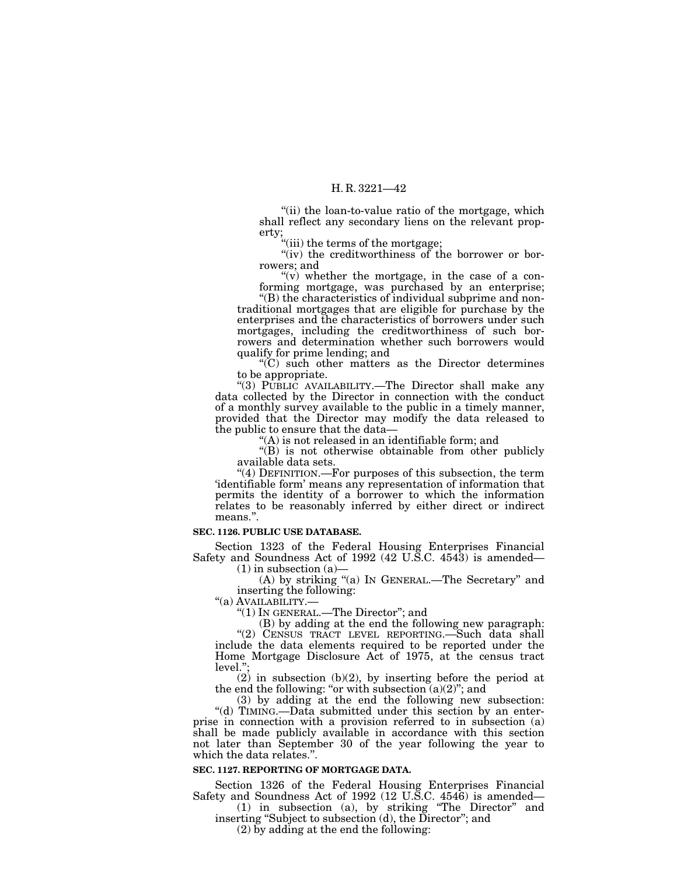''(ii) the loan-to-value ratio of the mortgage, which shall reflect any secondary liens on the relevant property;

''(iii) the terms of the mortgage;

" $(iv)$  the creditworthiness of the borrower or borrowers; and

" $(v)$  whether the mortgage, in the case of a conforming mortgage, was purchased by an enterprise;

''(B) the characteristics of individual subprime and nontraditional mortgages that are eligible for purchase by the enterprises and the characteristics of borrowers under such mortgages, including the creditworthiness of such borrowers and determination whether such borrowers would qualify for prime lending; and

''(C) such other matters as the Director determines to be appropriate.

''(3) PUBLIC AVAILABILITY.—The Director shall make any data collected by the Director in connection with the conduct of a monthly survey available to the public in a timely manner, provided that the Director may modify the data released to the public to ensure that the data—

''(A) is not released in an identifiable form; and

 $\mathcal{L}(B)$  is not otherwise obtainable from other publicly available data sets.

''(4) DEFINITION.—For purposes of this subsection, the term 'identifiable form' means any representation of information that permits the identity of a borrower to which the information relates to be reasonably inferred by either direct or indirect means.''.

# **SEC. 1126. PUBLIC USE DATABASE.**

Section 1323 of the Federal Housing Enterprises Financial Safety and Soundness Act of 1992 (42 U.S.C. 4543) is amended—

 $(1)$  in subsection  $(a)$ 

(A) by striking ''(a) IN GENERAL.—The Secretary'' and inserting the following:<br>"(a) AVAILABILITY.—

"(1) IN GENERAL.—The Director"; and

(B) by adding at the end the following new paragraph: "(2) CENSUS TRACT LEVEL REPORTING.—Such data shall include the data elements required to be reported under the Home Mortgage Disclosure Act of 1975, at the census tract level.'';

(2) in subsection (b)(2), by inserting before the period at the end the following: "or with subsection  $(a)(2)$ "; and

(3) by adding at the end the following new subsection: ''(d) TIMING.—Data submitted under this section by an enterprise in connection with a provision referred to in subsection (a) shall be made publicly available in accordance with this section not later than September 30 of the year following the year to which the data relates.''.

#### **SEC. 1127. REPORTING OF MORTGAGE DATA.**

Section 1326 of the Federal Housing Enterprises Financial Safety and Soundness Act of 1992 (12 U.S.C. 4546) is amended—

(1) in subsection (a), by striking ''The Director'' and inserting "Subject to subsection (d), the Director"; and

(2) by adding at the end the following: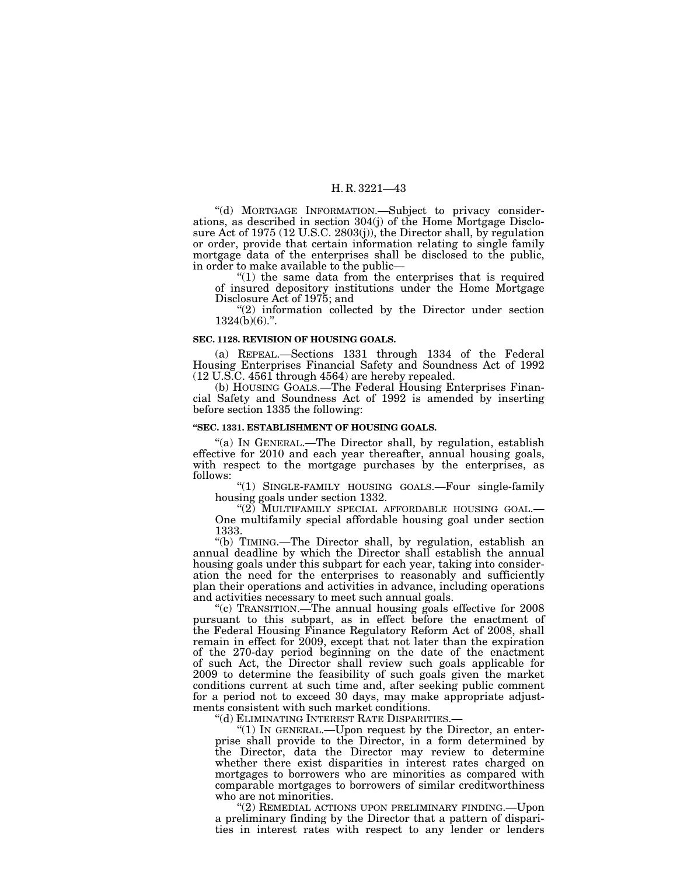''(d) MORTGAGE INFORMATION.—Subject to privacy considerations, as described in section 304(j) of the Home Mortgage Disclosure Act of 1975 (12 U.S.C. 2803(j)), the Director shall, by regulation or order, provide that certain information relating to single family mortgage data of the enterprises shall be disclosed to the public, in order to make available to the public—

 $''(1)$  the same data from the enterprises that is required of insured depository institutions under the Home Mortgage Disclosure Act of 1975; and

"(2) information collected by the Director under section  $1324(b)(6)$ .".

#### **SEC. 1128. REVISION OF HOUSING GOALS.**

(a) REPEAL.—Sections 1331 through 1334 of the Federal Housing Enterprises Financial Safety and Soundness Act of 1992 (12 U.S.C. 4561 through 4564) are hereby repealed.

(b) HOUSING GOALS.—The Federal Housing Enterprises Financial Safety and Soundness Act of 1992 is amended by inserting before section 1335 the following:

#### **''SEC. 1331. ESTABLISHMENT OF HOUSING GOALS.**

"(a) IN GENERAL.—The Director shall, by regulation, establish effective for 2010 and each year thereafter, annual housing goals, with respect to the mortgage purchases by the enterprises, as follows:

"(1) SINGLE-FAMILY HOUSING GOALS.-Four single-family housing goals under section 1332.

"(2) MULTIFAMILY SPECIAL AFFORDABLE HOUSING GOAL.-One multifamily special affordable housing goal under section 1333.

''(b) TIMING.—The Director shall, by regulation, establish an annual deadline by which the Director shall establish the annual housing goals under this subpart for each year, taking into consideration the need for the enterprises to reasonably and sufficiently plan their operations and activities in advance, including operations and activities necessary to meet such annual goals.

''(c) TRANSITION.—The annual housing goals effective for 2008 pursuant to this subpart, as in effect before the enactment of the Federal Housing Finance Regulatory Reform Act of 2008, shall remain in effect for 2009, except that not later than the expiration of the 270-day period beginning on the date of the enactment of such Act, the Director shall review such goals applicable for 2009 to determine the feasibility of such goals given the market conditions current at such time and, after seeking public comment for a period not to exceed 30 days, may make appropriate adjustments consistent with such market conditions.

''(d) ELIMINATING INTEREST RATE DISPARITIES.—

" $(1)$  IN GENERAL.—Upon request by the Director, an enterprise shall provide to the Director, in a form determined by the Director, data the Director may review to determine whether there exist disparities in interest rates charged on mortgages to borrowers who are minorities as compared with comparable mortgages to borrowers of similar creditworthiness who are not minorities.

"(2) REMEDIAL ACTIONS UPON PRELIMINARY FINDING.—Upon a preliminary finding by the Director that a pattern of disparities in interest rates with respect to any lender or lenders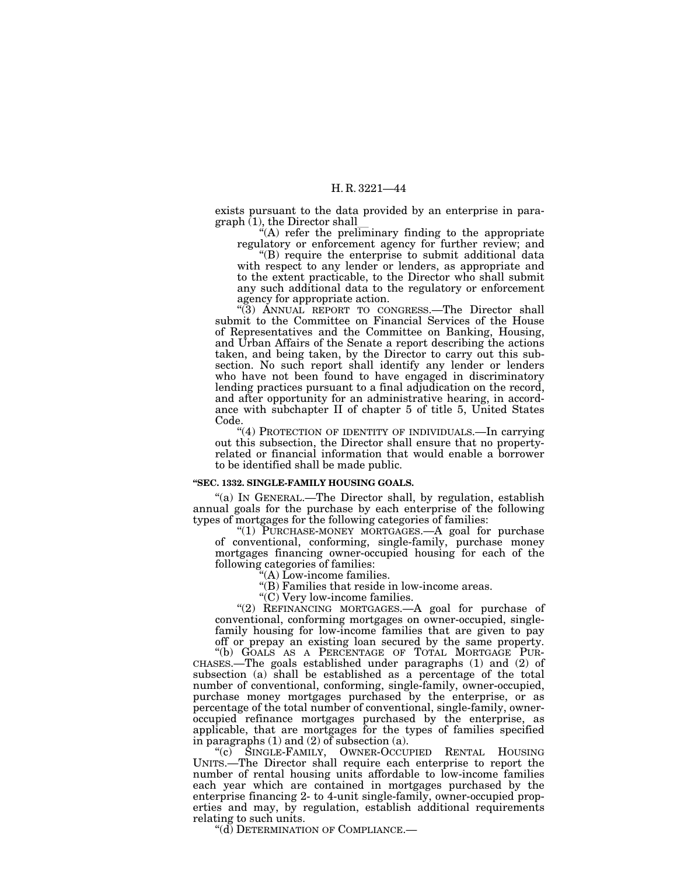exists pursuant to the data provided by an enterprise in paragraph (1), the Director shall<br>
"(A) refer the preliminary finding to the appropriate

regulatory or enforcement agency for further review; and

''(B) require the enterprise to submit additional data with respect to any lender or lenders, as appropriate and to the extent practicable, to the Director who shall submit any such additional data to the regulatory or enforcement agency for appropriate action.

''(3) ANNUAL REPORT TO CONGRESS.—The Director shall submit to the Committee on Financial Services of the House of Representatives and the Committee on Banking, Housing, and Urban Affairs of the Senate a report describing the actions taken, and being taken, by the Director to carry out this subsection. No such report shall identify any lender or lenders who have not been found to have engaged in discriminatory lending practices pursuant to a final adjudication on the record, and after opportunity for an administrative hearing, in accordance with subchapter II of chapter 5 of title 5, United States Code.

''(4) PROTECTION OF IDENTITY OF INDIVIDUALS.—In carrying out this subsection, the Director shall ensure that no propertyrelated or financial information that would enable a borrower to be identified shall be made public.

#### **''SEC. 1332. SINGLE-FAMILY HOUSING GOALS.**

''(a) IN GENERAL.—The Director shall, by regulation, establish annual goals for the purchase by each enterprise of the following types of mortgages for the following categories of families:

"(1) PURCHASE-MONEY MORTGAGES.—A goal for purchase of conventional, conforming, single-family, purchase money mortgages financing owner-occupied housing for each of the following categories of families:

''(A) Low-income families.

"(B) Families that reside in low-income areas.

''(C) Very low-income families.

"(2) REFINANCING MORTGAGES. A goal for purchase of conventional, conforming mortgages on owner-occupied, singlefamily housing for low-income families that are given to pay off or prepay an existing loan secured by the same property.

''(b) GOALS AS A PERCENTAGE OF TOTAL MORTGAGE PUR-CHASES.—The goals established under paragraphs (1) and (2) of subsection (a) shall be established as a percentage of the total number of conventional, conforming, single-family, owner-occupied, purchase money mortgages purchased by the enterprise, or as percentage of the total number of conventional, single-family, owneroccupied refinance mortgages purchased by the enterprise, as applicable, that are mortgages for the types of families specified in paragraphs (1) and (2) of subsection (a).

''(c) SINGLE-FAMILY, OWNER-OCCUPIED RENTAL HOUSING UNITS.—The Director shall require each enterprise to report the number of rental housing units affordable to low-income families each year which are contained in mortgages purchased by the enterprise financing 2- to 4-unit single-family, owner-occupied properties and may, by regulation, establish additional requirements relating to such units.

''(d) DETERMINATION OF COMPLIANCE.—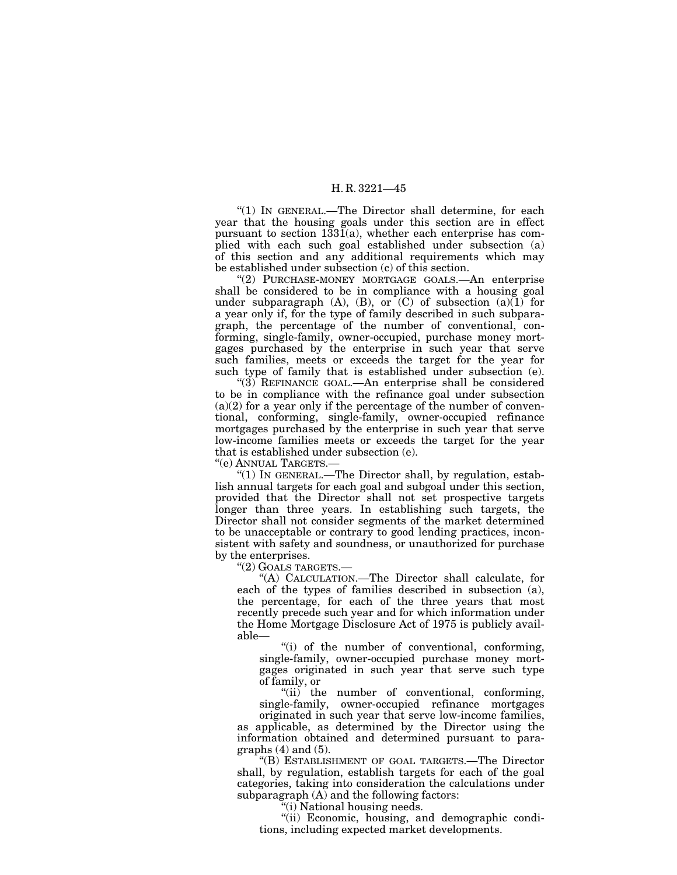"(1) IN GENERAL.—The Director shall determine, for each year that the housing goals under this section are in effect pursuant to section  $1331(a)$ , whether each enterprise has complied with each such goal established under subsection (a) of this section and any additional requirements which may be established under subsection (c) of this section.

''(2) PURCHASE-MONEY MORTGAGE GOALS.—An enterprise shall be considered to be in compliance with a housing goal under subparagraph  $(A)$ ,  $(B)$ , or  $(C)$  of subsection  $(a)(1)$  for a year only if, for the type of family described in such subparagraph, the percentage of the number of conventional, conforming, single-family, owner-occupied, purchase money mortgages purchased by the enterprise in such year that serve such families, meets or exceeds the target for the year for such type of family that is established under subsection (e).

" $(3)$  REFINANCE GOAL.—An enterprise shall be considered to be in compliance with the refinance goal under subsection  $(a)(2)$  for a year only if the percentage of the number of conventional, conforming, single-family, owner-occupied refinance mortgages purchased by the enterprise in such year that serve low-income families meets or exceeds the target for the year that is established under subsection (e).

''(e) ANNUAL TARGETS.—

" $(1)$  In GENERAL.—The Director shall, by regulation, establish annual targets for each goal and subgoal under this section, provided that the Director shall not set prospective targets longer than three years. In establishing such targets, the Director shall not consider segments of the market determined to be unacceptable or contrary to good lending practices, inconsistent with safety and soundness, or unauthorized for purchase by the enterprises.

''(2) GOALS TARGETS.—

''(A) CALCULATION.—The Director shall calculate, for each of the types of families described in subsection (a), the percentage, for each of the three years that most recently precede such year and for which information under the Home Mortgage Disclosure Act of 1975 is publicly available—

''(i) of the number of conventional, conforming, single-family, owner-occupied purchase money mortgages originated in such year that serve such type of family, or

"(ii) the number of conventional, conforming, single-family, owner-occupied refinance mortgages

originated in such year that serve low-income families, as applicable, as determined by the Director using the information obtained and determined pursuant to paragraphs  $(4)$  and  $(5)$ .

''(B) ESTABLISHMENT OF GOAL TARGETS.—The Director shall, by regulation, establish targets for each of the goal categories, taking into consideration the calculations under subparagraph  $(A)$  and the following factors:

''(i) National housing needs.

"(ii) Economic, housing, and demographic conditions, including expected market developments.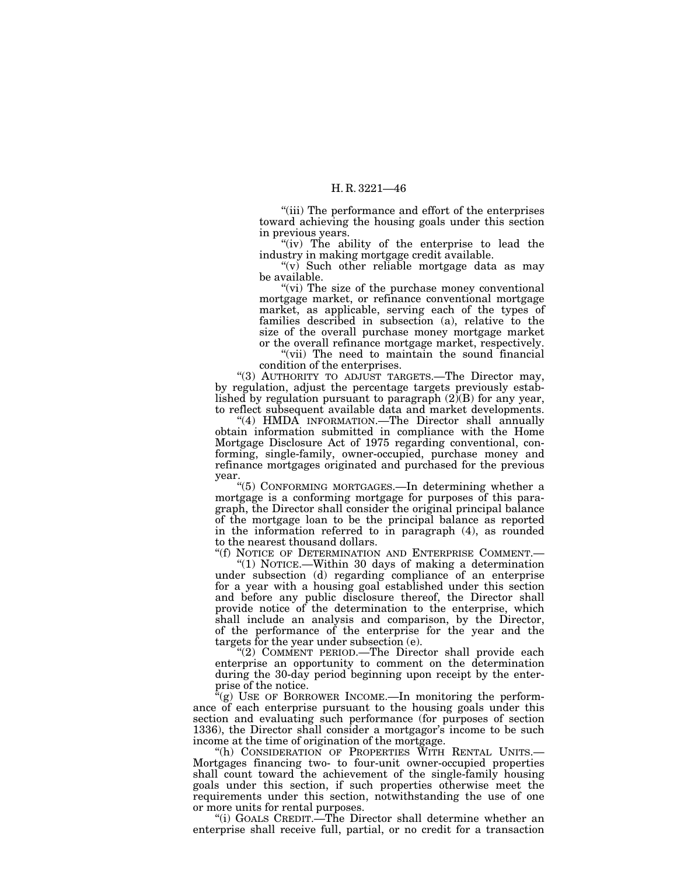"(iii) The performance and effort of the enterprises toward achieving the housing goals under this section in previous years.

"(iv) The ability of the enterprise to lead the industry in making mortgage credit available.

"(v) Such other reliable mortgage data as may be available.

"(vi) The size of the purchase money conventional mortgage market, or refinance conventional mortgage market, as applicable, serving each of the types of families described in subsection (a), relative to the size of the overall purchase money mortgage market or the overall refinance mortgage market, respectively.

"(vii) The need to maintain the sound financial condition of the enterprises.

"(3) AUTHORITY TO ADJUST TARGETS.—The Director may, by regulation, adjust the percentage targets previously established by regulation pursuant to paragraph (2)(B) for any year, to reflect subsequent available data and market developments.

"(4) HMDA INFORMATION.—The Director shall annually obtain information submitted in compliance with the Home Mortgage Disclosure Act of 1975 regarding conventional, conforming, single-family, owner-occupied, purchase money and refinance mortgages originated and purchased for the previous year.

''(5) CONFORMING MORTGAGES.—In determining whether a mortgage is a conforming mortgage for purposes of this paragraph, the Director shall consider the original principal balance of the mortgage loan to be the principal balance as reported in the information referred to in paragraph (4), as rounded to the nearest thousand dollars.

''(f) NOTICE OF DETERMINATION AND ENTERPRISE COMMENT.—

''(1) NOTICE.—Within 30 days of making a determination under subsection (d) regarding compliance of an enterprise for a year with a housing goal established under this section and before any public disclosure thereof, the Director shall provide notice of the determination to the enterprise, which shall include an analysis and comparison, by the Director, of the performance of the enterprise for the year and the targets for the year under subsection (e).

"(2) COMMENT PERIOD.—The Director shall provide each enterprise an opportunity to comment on the determination during the 30-day period beginning upon receipt by the enterprise of the notice.

 $\mathbf{F}(\mathbf{g})$  USE OF BORROWER INCOME.—In monitoring the performance of each enterprise pursuant to the housing goals under this section and evaluating such performance (for purposes of section 1336), the Director shall consider a mortgagor's income to be such income at the time of origination of the mortgage.

"(h) CONSIDERATION OF PROPERTIES WITH RENTAL UNITS. Mortgages financing two- to four-unit owner-occupied properties shall count toward the achievement of the single-family housing goals under this section, if such properties otherwise meet the requirements under this section, notwithstanding the use of one or more units for rental purposes.

''(i) GOALS CREDIT.—The Director shall determine whether an enterprise shall receive full, partial, or no credit for a transaction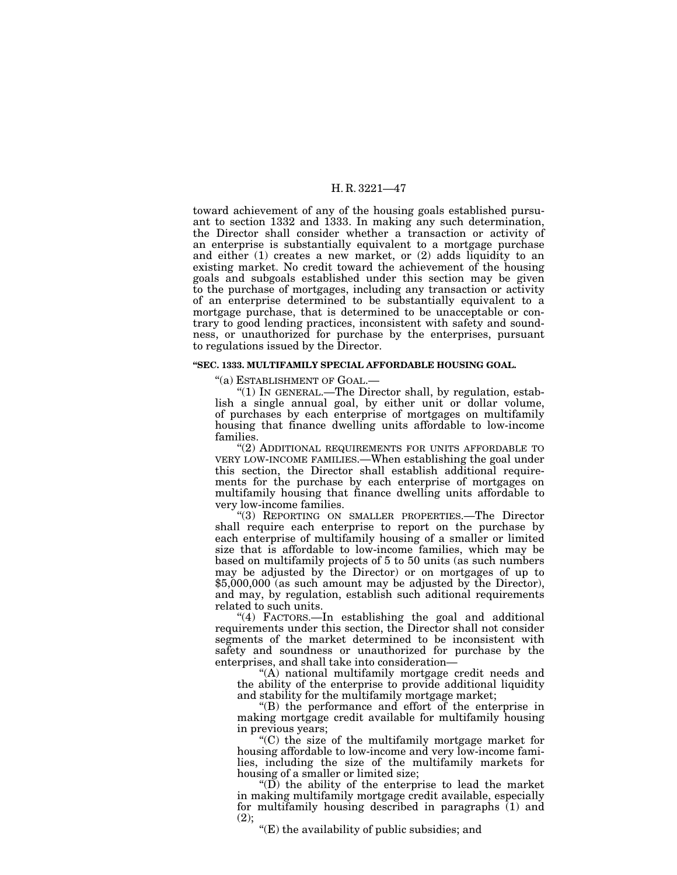toward achievement of any of the housing goals established pursuant to section 1332 and 1333. In making any such determination, the Director shall consider whether a transaction or activity of an enterprise is substantially equivalent to a mortgage purchase and either (1) creates a new market, or (2) adds liquidity to an existing market. No credit toward the achievement of the housing goals and subgoals established under this section may be given to the purchase of mortgages, including any transaction or activity of an enterprise determined to be substantially equivalent to a mortgage purchase, that is determined to be unacceptable or contrary to good lending practices, inconsistent with safety and soundness, or unauthorized for purchase by the enterprises, pursuant to regulations issued by the Director.

#### **''SEC. 1333. MULTIFAMILY SPECIAL AFFORDABLE HOUSING GOAL.**

''(a) ESTABLISHMENT OF GOAL.—

''(1) IN GENERAL.—The Director shall, by regulation, establish a single annual goal, by either unit or dollar volume, of purchases by each enterprise of mortgages on multifamily housing that finance dwelling units affordable to low-income families.

''(2) ADDITIONAL REQUIREMENTS FOR UNITS AFFORDABLE TO VERY LOW-INCOME FAMILIES.—When establishing the goal under this section, the Director shall establish additional requirements for the purchase by each enterprise of mortgages on multifamily housing that finance dwelling units affordable to very low-income families.

''(3) REPORTING ON SMALLER PROPERTIES.—The Director shall require each enterprise to report on the purchase by each enterprise of multifamily housing of a smaller or limited size that is affordable to low-income families, which may be based on multifamily projects of 5 to 50 units (as such numbers may be adjusted by the Director) or on mortgages of up to \$5,000,000 (as such amount may be adjusted by the Director), and may, by regulation, establish such aditional requirements related to such units.

''(4) FACTORS.—In establishing the goal and additional requirements under this section, the Director shall not consider segments of the market determined to be inconsistent with safety and soundness or unauthorized for purchase by the enterprises, and shall take into consideration—

"(A) national multifamily mortgage credit needs and the ability of the enterprise to provide additional liquidity and stability for the multifamily mortgage market;

''(B) the performance and effort of the enterprise in making mortgage credit available for multifamily housing in previous years;

''(C) the size of the multifamily mortgage market for housing affordable to low-income and very low-income families, including the size of the multifamily markets for housing of a smaller or limited size;

" $(\overrightarrow{D})$  the ability of the enterprise to lead the market in making multifamily mortgage credit available, especially for multifamily housing described in paragraphs (1) and (2);

''(E) the availability of public subsidies; and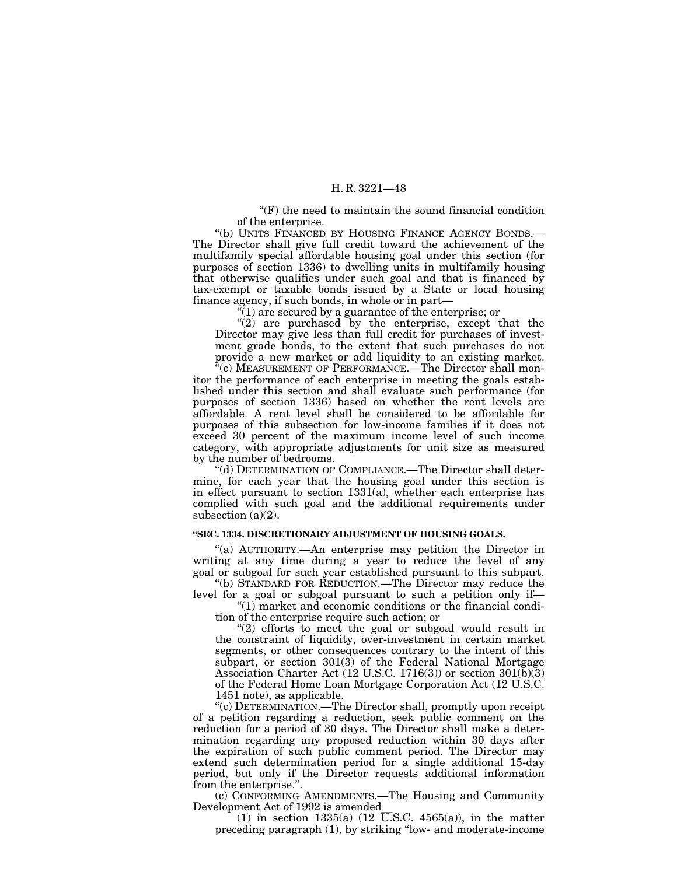$f(F)$  the need to maintain the sound financial condition of the enterprise.

''(b) UNITS FINANCED BY HOUSING FINANCE AGENCY BONDS.— The Director shall give full credit toward the achievement of the multifamily special affordable housing goal under this section (for purposes of section 1336) to dwelling units in multifamily housing that otherwise qualifies under such goal and that is financed by tax-exempt or taxable bonds issued by a State or local housing finance agency, if such bonds, in whole or in part—

 $(1)$  are secured by a guarantee of the enterprise; or

"(2) are purchased by the enterprise, except that the Director may give less than full credit for purchases of investment grade bonds, to the extent that such purchases do not provide a new market or add liquidity to an existing market.

''(c) MEASUREMENT OF PERFORMANCE.—The Director shall monitor the performance of each enterprise in meeting the goals established under this section and shall evaluate such performance (for purposes of section 1336) based on whether the rent levels are affordable. A rent level shall be considered to be affordable for purposes of this subsection for low-income families if it does not exceed 30 percent of the maximum income level of such income category, with appropriate adjustments for unit size as measured by the number of bedrooms.

''(d) DETERMINATION OF COMPLIANCE.—The Director shall determine, for each year that the housing goal under this section is in effect pursuant to section 1331(a), whether each enterprise has complied with such goal and the additional requirements under subsection (a)(2).

# **''SEC. 1334. DISCRETIONARY ADJUSTMENT OF HOUSING GOALS.**

''(a) AUTHORITY.—An enterprise may petition the Director in writing at any time during a year to reduce the level of any goal or subgoal for such year established pursuant to this subpart. ''(b) STANDARD FOR REDUCTION.—The Director may reduce the

level for a goal or subgoal pursuant to such a petition only if— "(1) market and economic conditions or the financial condi-

tion of the enterprise require such action; or

''(2) efforts to meet the goal or subgoal would result in the constraint of liquidity, over-investment in certain market segments, or other consequences contrary to the intent of this subpart, or section  $301(3)$  of the Federal National Mortgage Association Charter Act  $(12 \text{ U.S.C. } 1716(3))$  or section  $301(\overline{b})(3)$ of the Federal Home Loan Mortgage Corporation Act (12 U.S.C. 1451 note), as applicable.

''(c) DETERMINATION.—The Director shall, promptly upon receipt of a petition regarding a reduction, seek public comment on the reduction for a period of 30 days. The Director shall make a determination regarding any proposed reduction within 30 days after the expiration of such public comment period. The Director may extend such determination period for a single additional 15-day period, but only if the Director requests additional information from the enterprise.''.

(c) CONFORMING AMENDMENTS.—The Housing and Community Development Act of 1992 is amended

(1) in section 1335(a) (12  $\overline{U}$ .S.C. 4565(a)), in the matter preceding paragraph (1), by striking ''low- and moderate-income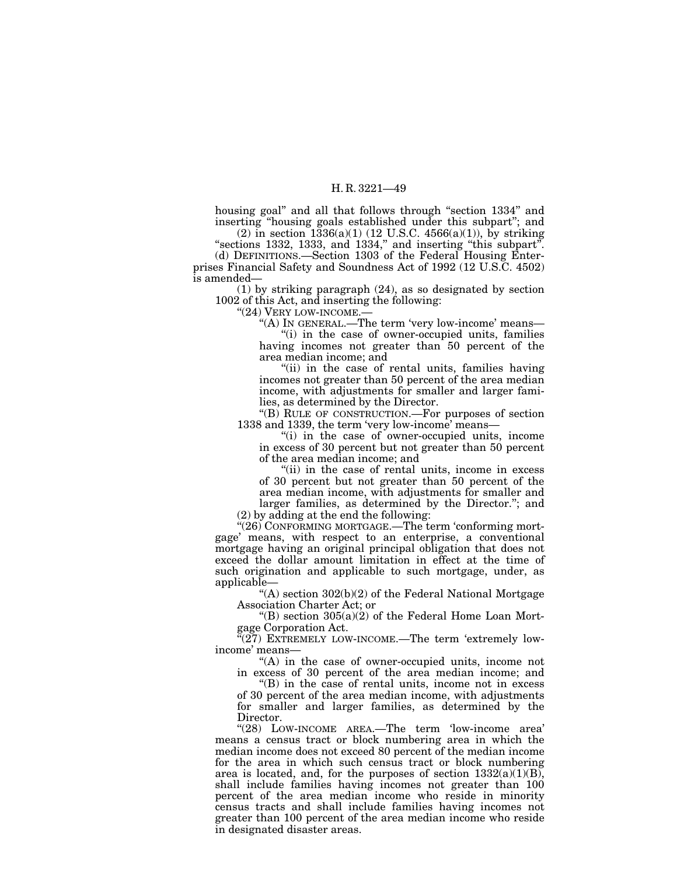housing goal'' and all that follows through ''section 1334'' and inserting ''housing goals established under this subpart''; and

(2) in section  $1\bar{3}36(a)(1)$  (12 U.S.C. 4566(a)(1)), by striking ''sections 1332, 1333, and 1334,'' and inserting ''this subpart''. (d) DEFINITIONS.—Section 1303 of the Federal Housing Enterprises Financial Safety and Soundness Act of 1992 (12 U.S.C. 4502)

is amended—

(1) by striking paragraph (24), as so designated by section 1002 of this Act, and inserting the following:

''(24) VERY LOW-INCOME.—

''(A) IN GENERAL.—The term 'very low-income' means—

''(i) in the case of owner-occupied units, families having incomes not greater than 50 percent of the area median income; and

"(ii) in the case of rental units, families having incomes not greater than 50 percent of the area median income, with adjustments for smaller and larger families, as determined by the Director.

"(B) RULE OF CONSTRUCTION.—For purposes of section 1338 and 1339, the term 'very low-income' means—

"(i) in the case of owner-occupied units, income in excess of 30 percent but not greater than 50 percent of the area median income; and

"(ii) in the case of rental units, income in excess of 30 percent but not greater than 50 percent of the area median income, with adjustments for smaller and larger families, as determined by the Director.''; and (2) by adding at the end the following:

"(26) CONFORMING MORTGAGE.—The term 'conforming mortgage' means, with respect to an enterprise, a conventional mortgage having an original principal obligation that does not exceed the dollar amount limitation in effect at the time of such origination and applicable to such mortgage, under, as applicable—

" $(A)$  section 302 $(b)(2)$  of the Federal National Mortgage Association Charter Act; or

"(B) section  $305(a)(2)$  of the Federal Home Loan Mortgage Corporation Act.

"(27) EXTREMELY LOW-INCOME.—The term 'extremely lowincome' means—

''(A) in the case of owner-occupied units, income not in excess of 30 percent of the area median income; and

''(B) in the case of rental units, income not in excess of 30 percent of the area median income, with adjustments for smaller and larger families, as determined by the Director.

"(28) LOW-INCOME AREA.-The term 'low-income area' means a census tract or block numbering area in which the median income does not exceed 80 percent of the median income for the area in which such census tract or block numbering area is located, and, for the purposes of section  $1332(a)(1)(B)$ , shall include families having incomes not greater than 100 percent of the area median income who reside in minority census tracts and shall include families having incomes not greater than 100 percent of the area median income who reside in designated disaster areas.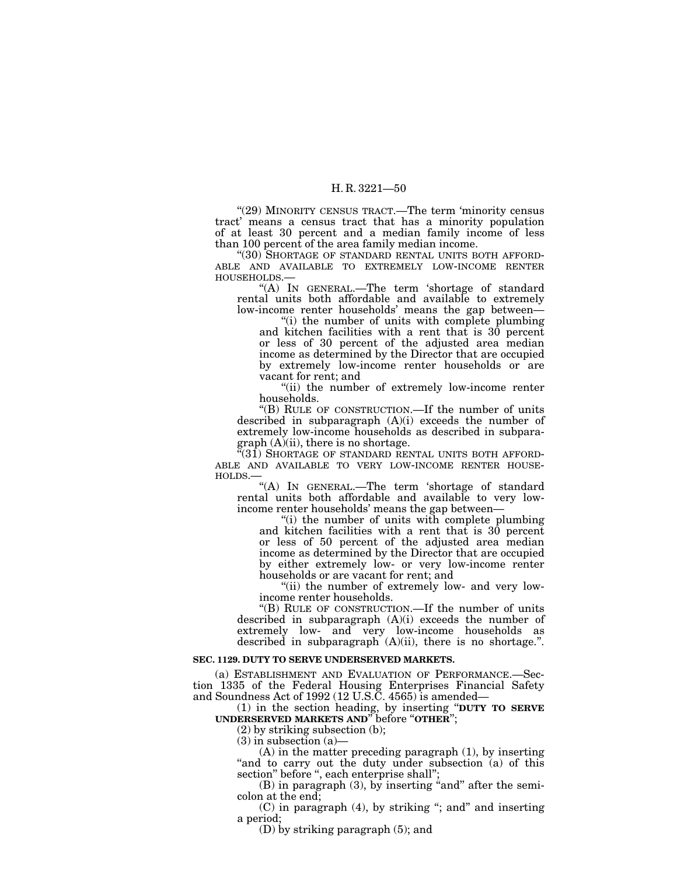"(29) MINORITY CENSUS TRACT.—The term 'minority census tract' means a census tract that has a minority population of at least 30 percent and a median family income of less than 100 percent of the area family median income.

"(30) SHORTAGE OF STANDARD RENTAL UNITS BOTH AFFORD-ABLE AND AVAILABLE TO EXTREMELY LOW-INCOME RENTER HOUSEHOLDS.—

''(A) IN GENERAL.—The term 'shortage of standard rental units both affordable and available to extremely low-income renter households' means the gap between—

''(i) the number of units with complete plumbing and kitchen facilities with a rent that is 30 percent or less of 30 percent of the adjusted area median income as determined by the Director that are occupied by extremely low-income renter households or are vacant for rent; and

''(ii) the number of extremely low-income renter households.

''(B) RULE OF CONSTRUCTION.—If the number of units described in subparagraph (A)(i) exceeds the number of extremely low-income households as described in subpara $graph (A)(ii)$ , there is no shortage.

 $(31)$  Shortage of standard rental units both afford-ABLE AND AVAILABLE TO VERY LOW-INCOME RENTER HOUSE-HOLDS.—

''(A) IN GENERAL.—The term 'shortage of standard rental units both affordable and available to very lowincome renter households' means the gap between—

''(i) the number of units with complete plumbing and kitchen facilities with a rent that is 30 percent or less of 50 percent of the adjusted area median income as determined by the Director that are occupied by either extremely low- or very low-income renter households or are vacant for rent; and

''(ii) the number of extremely low- and very lowincome renter households.

''(B) RULE OF CONSTRUCTION.—If the number of units described in subparagraph (A)(i) exceeds the number of extremely low- and very low-income households as described in subparagraph (A)(ii), there is no shortage.''.

#### **SEC. 1129. DUTY TO SERVE UNDERSERVED MARKETS.**

(a) ESTABLISHMENT AND EVALUATION OF PERFORMANCE.—Section 1335 of the Federal Housing Enterprises Financial Safety and Soundness Act of 1992 (12 U.S.C. 4565) is amended—

(1) in the section heading, by inserting ''**DUTY TO SERVE UNDERSERVED MARKETS AND**'' before ''**OTHER**'';

(2) by striking subsection (b);

 $(3)$  in subsection  $(a)$ —

(A) in the matter preceding paragraph (1), by inserting "and to carry out the duty under subsection (a) of this section" before ", each enterprise shall";

(B) in paragraph  $(3)$ , by inserting "and" after the semicolon at the end;

(C) in paragraph (4), by striking ''; and'' and inserting a period;

(D) by striking paragraph (5); and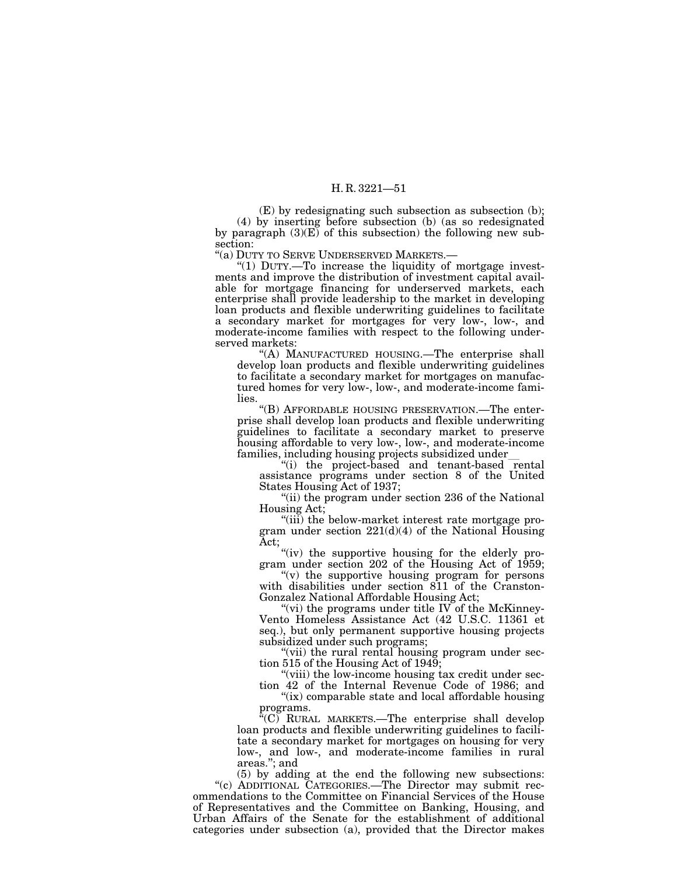(E) by redesignating such subsection as subsection (b); (4) by inserting before subsection (b) (as so redesignated by paragraph  $(3)(E)$  of this subsection) the following new subsection:

''(a) DUTY TO SERVE UNDERSERVED MARKETS.—

" $(1)$  DUTY.—To increase the liquidity of mortgage investments and improve the distribution of investment capital available for mortgage financing for underserved markets, each enterprise shall provide leadership to the market in developing loan products and flexible underwriting guidelines to facilitate a secondary market for mortgages for very low-, low-, and moderate-income families with respect to the following underserved markets:

''(A) MANUFACTURED HOUSING.—The enterprise shall develop loan products and flexible underwriting guidelines to facilitate a secondary market for mortgages on manufactured homes for very low-, low-, and moderate-income families.

''(B) AFFORDABLE HOUSING PRESERVATION.—The enterprise shall develop loan products and flexible underwriting guidelines to facilitate a secondary market to preserve housing affordable to very low-, low-, and moderate-income families, including housing projects subsidized under<br>"(i) the project-based and tenant-based rental

assistance programs under section 8 of the United States Housing Act of 1937;

''(ii) the program under section 236 of the National Housing Act;

''(iii) the below-market interest rate mortgage program under section  $221(d)(4)$  of the National Housing Act;

"(iv) the supportive housing for the elderly program under section 202 of the Housing Act of 1959;

''(v) the supportive housing program for persons with disabilities under section 811 of the Cranston-Gonzalez National Affordable Housing Act;

"(vi) the programs under title IV of the McKinney-Vento Homeless Assistance Act (42 U.S.C. 11361 et seq.), but only permanent supportive housing projects subsidized under such programs;

"(vii) the rural rental housing program under section 515 of the Housing Act of 1949;

"(viii) the low-income housing tax credit under section 42 of the Internal Revenue Code of 1986; and

"(ix) comparable state and local affordable housing programs.

''(C) RURAL MARKETS.—The enterprise shall develop loan products and flexible underwriting guidelines to facilitate a secondary market for mortgages on housing for very low-, and low-, and moderate-income families in rural areas.''; and

(5) by adding at the end the following new subsections: "(c) ADDITIONAL CATEGORIES.—The Director may submit recommendations to the Committee on Financial Services of the House of Representatives and the Committee on Banking, Housing, and Urban Affairs of the Senate for the establishment of additional categories under subsection (a), provided that the Director makes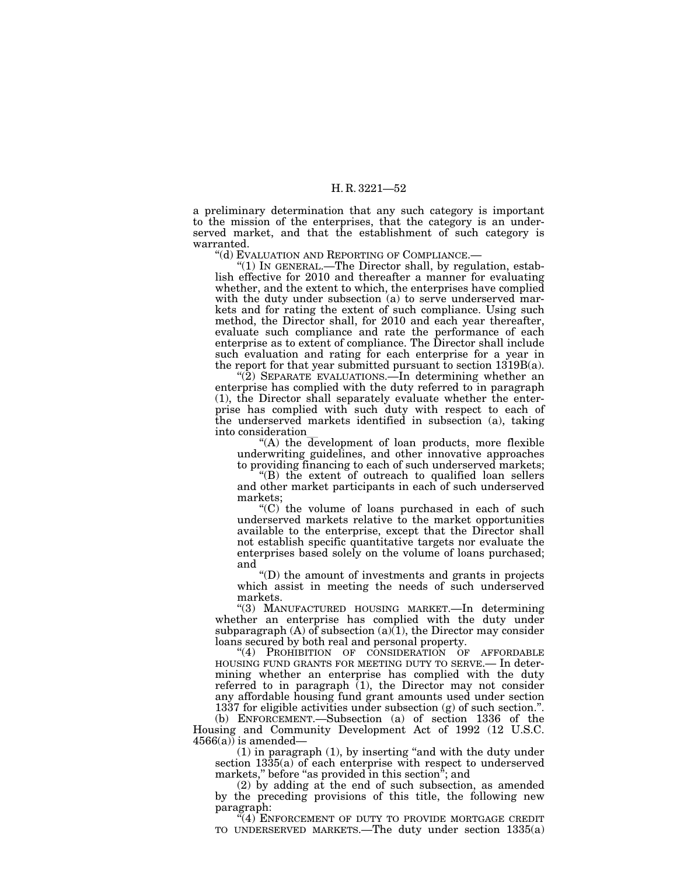a preliminary determination that any such category is important to the mission of the enterprises, that the category is an underserved market, and that the establishment of such category is warranted.

''(d) EVALUATION AND REPORTING OF COMPLIANCE.—

''(1) IN GENERAL.—The Director shall, by regulation, establish effective for 2010 and thereafter a manner for evaluating whether, and the extent to which, the enterprises have complied with the duty under subsection (a) to serve underserved markets and for rating the extent of such compliance. Using such method, the Director shall, for 2010 and each year thereafter, evaluate such compliance and rate the performance of each enterprise as to extent of compliance. The Director shall include such evaluation and rating for each enterprise for a year in the report for that year submitted pursuant to section  $1319B(a)$ .

" $(2)$  SEPARATE EVALUATIONS.—In determining whether an enterprise has complied with the duty referred to in paragraph (1), the Director shall separately evaluate whether the enterprise has complied with such duty with respect to each of the underserved markets identified in subsection (a), taking into consideration

"(A) the development of loan products, more flexible underwriting guidelines, and other innovative approaches to providing financing to each of such underserved markets;

"(B) the extent of outreach to qualified loan sellers and other market participants in each of such underserved markets;

''(C) the volume of loans purchased in each of such underserved markets relative to the market opportunities available to the enterprise, except that the Director shall not establish specific quantitative targets nor evaluate the enterprises based solely on the volume of loans purchased; and

''(D) the amount of investments and grants in projects which assist in meeting the needs of such underserved markets.

''(3) MANUFACTURED HOUSING MARKET.—In determining whether an enterprise has complied with the duty under subparagraph  $(A)$  of subsection  $(a)(1)$ , the Director may consider loans secured by both real and personal property.

''(4) PROHIBITION OF CONSIDERATION OF AFFORDABLE HOUSING FUND GRANTS FOR MEETING DUTY TO SERVE.— In determining whether an enterprise has complied with the duty referred to in paragraph (1), the Director may not consider any affordable housing fund grant amounts used under section 1337 for eligible activities under subsection (g) of such section.''.

(b) ENFORCEMENT.—Subsection (a) of section 1336 of the Housing and Community Development Act of 1992 (12 U.S.C.  $4566(a)$  is amended—

(1) in paragraph (1), by inserting ''and with the duty under section 1335(a) of each enterprise with respect to underserved markets," before "as provided in this section"; and

(2) by adding at the end of such subsection, as amended by the preceding provisions of this title, the following new paragraph:

 $\sqrt{\frac{2}{1}}$  ENFORCEMENT OF DUTY TO PROVIDE MORTGAGE CREDIT TO UNDERSERVED MARKETS.—The duty under section 1335(a)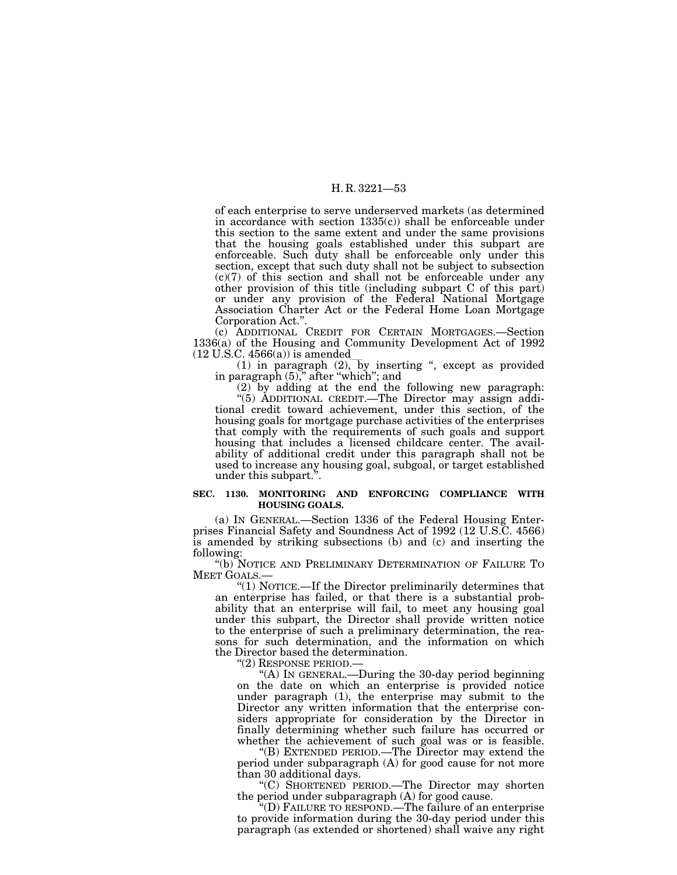of each enterprise to serve underserved markets (as determined in accordance with section 1335(c)) shall be enforceable under this section to the same extent and under the same provisions that the housing goals established under this subpart are enforceable. Such duty shall be enforceable only under this section, except that such duty shall not be subject to subsection  $(c)(7)$  of this section and shall not be enforceable under any other provision of this title (including subpart C of this part) or under any provision of the Federal National Mortgage Association Charter Act or the Federal Home Loan Mortgage Corporation Act.''.

(c) ADDITIONAL CREDIT FOR CERTAIN MORTGAGES.—Section 1336(a) of the Housing and Community Development Act of 1992 (12 U.S.C.  $4566(a)$ ) is amended

 $(12 \text{ U.S.C. } 4566(a))$  is amended<br>(1) in paragraph  $(2)$ , by inserting ", except as provided in paragraph  $(5)$ ," after "which"; and

(2) by adding at the end the following new paragraph:

''(5) ADDITIONAL CREDIT.—The Director may assign additional credit toward achievement, under this section, of the housing goals for mortgage purchase activities of the enterprises that comply with the requirements of such goals and support housing that includes a licensed childcare center. The availability of additional credit under this paragraph shall not be used to increase any housing goal, subgoal, or target established under this subpart.''.

#### **SEC. 1130. MONITORING AND ENFORCING COMPLIANCE WITH HOUSING GOALS.**

(a) IN GENERAL.—Section 1336 of the Federal Housing Enterprises Financial Safety and Soundness Act of 1992 (12 U.S.C. 4566) is amended by striking subsections (b) and (c) and inserting the following:

''(b) NOTICE AND PRELIMINARY DETERMINATION OF FAILURE TO MEET GOALS.—

''(1) NOTICE.—If the Director preliminarily determines that an enterprise has failed, or that there is a substantial probability that an enterprise will fail, to meet any housing goal under this subpart, the Director shall provide written notice to the enterprise of such a preliminary determination, the reasons for such determination, and the information on which the Director based the determination.

''(2) RESPONSE PERIOD.—

''(A) IN GENERAL.—During the 30-day period beginning on the date on which an enterprise is provided notice under paragraph (1), the enterprise may submit to the Director any written information that the enterprise considers appropriate for consideration by the Director in finally determining whether such failure has occurred or whether the achievement of such goal was or is feasible.

''(B) EXTENDED PERIOD.—The Director may extend the period under subparagraph (A) for good cause for not more than 30 additional days.

''(C) SHORTENED PERIOD.—The Director may shorten the period under subparagraph (A) for good cause.

''(D) FAILURE TO RESPOND.—The failure of an enterprise to provide information during the 30-day period under this paragraph (as extended or shortened) shall waive any right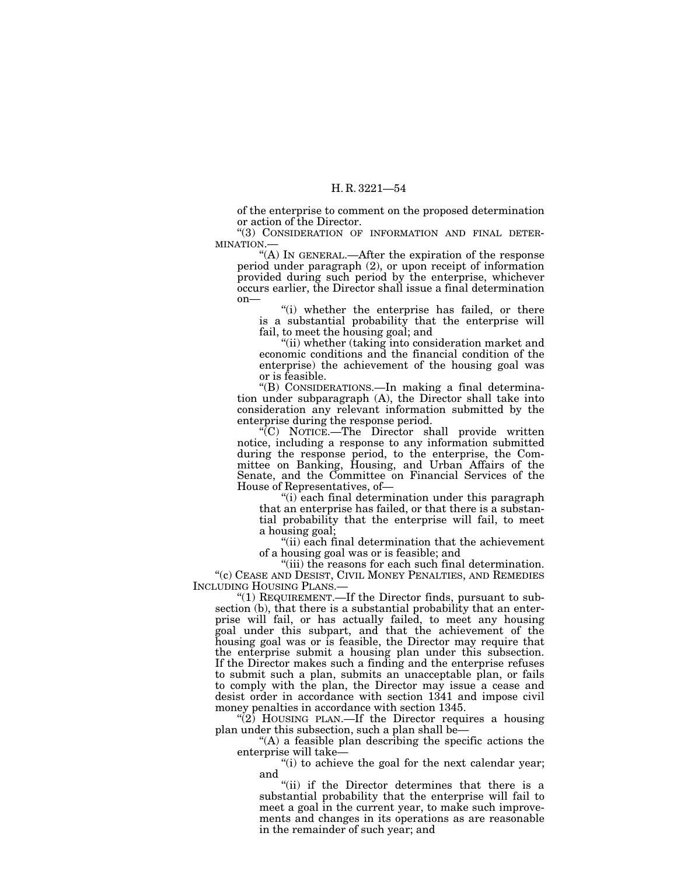of the enterprise to comment on the proposed determination or action of the Director.

''(3) CONSIDERATION OF INFORMATION AND FINAL DETER-MINATION.—

"(A) IN GENERAL.—After the expiration of the response period under paragraph (2), or upon receipt of information provided during such period by the enterprise, whichever occurs earlier, the Director shall issue a final determination on—

''(i) whether the enterprise has failed, or there is a substantial probability that the enterprise will fail, to meet the housing goal; and

''(ii) whether (taking into consideration market and economic conditions and the financial condition of the enterprise) the achievement of the housing goal was or is feasible.

''(B) CONSIDERATIONS.—In making a final determination under subparagraph (A), the Director shall take into consideration any relevant information submitted by the enterprise during the response period.

''(C) NOTICE.—The Director shall provide written notice, including a response to any information submitted during the response period, to the enterprise, the Committee on Banking, Housing, and Urban Affairs of the Senate, and the Committee on Financial Services of the House of Representatives, of—

''(i) each final determination under this paragraph that an enterprise has failed, or that there is a substantial probability that the enterprise will fail, to meet a housing goal;

''(ii) each final determination that the achievement of a housing goal was or is feasible; and

"(iii) the reasons for each such final determination. ''(c) CEASE AND DESIST, CIVIL MONEY PENALTIES, AND REMEDIES INCLUDING HOUSING PLANS.—

''(1) REQUIREMENT.—If the Director finds, pursuant to subsection (b), that there is a substantial probability that an enterprise will fail, or has actually failed, to meet any housing goal under this subpart, and that the achievement of the housing goal was or is feasible, the Director may require that the enterprise submit a housing plan under this subsection. If the Director makes such a finding and the enterprise refuses to submit such a plan, submits an unacceptable plan, or fails to comply with the plan, the Director may issue a cease and desist order in accordance with section 1341 and impose civil money penalties in accordance with section 1345.

" $(2)$  HOUSING PLAN.—If the Director requires a housing plan under this subsection, such a plan shall be—

''(A) a feasible plan describing the specific actions the enterprise will take—

"(i) to achieve the goal for the next calendar year; and

"(ii) if the Director determines that there is a substantial probability that the enterprise will fail to meet a goal in the current year, to make such improvements and changes in its operations as are reasonable in the remainder of such year; and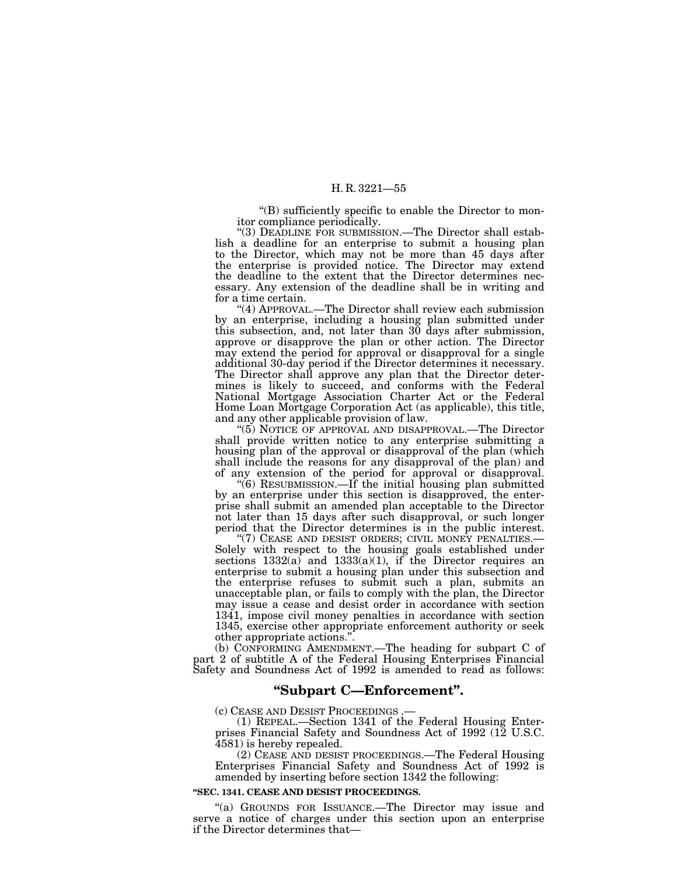''(B) sufficiently specific to enable the Director to monitor compliance periodically.

"(3) DEADLINE FOR SUBMISSION.—The Director shall establish a deadline for an enterprise to submit a housing plan to the Director, which may not be more than 45 days after the enterprise is provided notice. The Director may extend the deadline to the extent that the Director determines necessary. Any extension of the deadline shall be in writing and for a time certain.

''(4) APPROVAL.—The Director shall review each submission by an enterprise, including a housing plan submitted under this subsection, and, not later than 30 days after submission, approve or disapprove the plan or other action. The Director may extend the period for approval or disapproval for a single additional 30-day period if the Director determines it necessary. The Director shall approve any plan that the Director determines is likely to succeed, and conforms with the Federal National Mortgage Association Charter Act or the Federal Home Loan Mortgage Corporation Act (as applicable), this title, and any other applicable provision of law.

''(5) NOTICE OF APPROVAL AND DISAPPROVAL.—The Director shall provide written notice to any enterprise submitting a housing plan of the approval or disapproval of the plan (which shall include the reasons for any disapproval of the plan) and of any extension of the period for approval or disapproval.

''(6) RESUBMISSION.—If the initial housing plan submitted by an enterprise under this section is disapproved, the enterprise shall submit an amended plan acceptable to the Director not later than 15 days after such disapproval, or such longer period that the Director determines is in the public interest. " $(7)$  CEASE AND DESIST ORDERS; CIVIL MONEY PENALTIES.

''(7) CEASE AND DESIST ORDERS; CIVIL MONEY PENALTIES.— Solely with respect to the housing goals established under sections  $1332(a)$  and  $1333(a)(1)$ , if the Director requires an enterprise to submit a housing plan under this subsection and the enterprise refuses to submit such a plan, submits an unacceptable plan, or fails to comply with the plan, the Director may issue a cease and desist order in accordance with section 1341, impose civil money penalties in accordance with section 1345, exercise other appropriate enforcement authority or seek other appropriate actions.''.

(b) CONFORMING AMENDMENT.—The heading for subpart C of part 2 of subtitle A of the Federal Housing Enterprises Financial Safety and Soundness Act of 1992 is amended to read as follows:

## **''Subpart C—Enforcement''.**

(c) CEASE AND DESIST PROCEEDINGS .— (1) REPEAL.—Section 1341 of the Federal Housing Enterprises Financial Safety and Soundness Act of 1992 (12 U.S.C. 4581) is hereby repealed.

(2) CEASE AND DESIST PROCEEDINGS.—The Federal Housing Enterprises Financial Safety and Soundness Act of 1992 is amended by inserting before section 1342 the following:

## **''SEC. 1341. CEASE AND DESIST PROCEEDINGS.**

''(a) GROUNDS FOR ISSUANCE.—The Director may issue and serve a notice of charges under this section upon an enterprise if the Director determines that—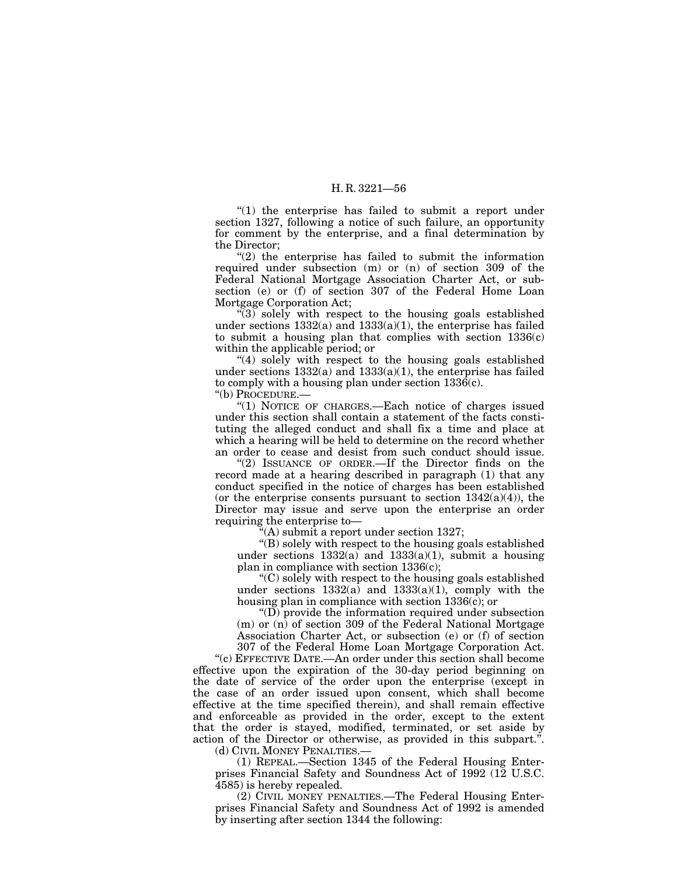" $(1)$  the enterprise has failed to submit a report under section 1327, following a notice of such failure, an opportunity for comment by the enterprise, and a final determination by the Director;

 $(2)$  the enterprise has failed to submit the information required under subsection (m) or (n) of section 309 of the Federal National Mortgage Association Charter Act, or subsection (e) or (f) of section 307 of the Federal Home Loan Mortgage Corporation Act;

 $\sqrt[4]{(3)}$  solely with respect to the housing goals established under sections  $1332(a)$  and  $1333(a)(1)$ , the enterprise has failed to submit a housing plan that complies with section 1336(c) within the applicable period; or

''(4) solely with respect to the housing goals established under sections 1332(a) and 1333(a)(1), the enterprise has failed to comply with a housing plan under section 1336(c).

''(b) PROCEDURE.—

''(1) NOTICE OF CHARGES.—Each notice of charges issued under this section shall contain a statement of the facts constituting the alleged conduct and shall fix a time and place at which a hearing will be held to determine on the record whether an order to cease and desist from such conduct should issue.

''(2) ISSUANCE OF ORDER.—If the Director finds on the record made at a hearing described in paragraph (1) that any conduct specified in the notice of charges has been established (or the enterprise consents pursuant to section  $1342(a)(4)$ ), the Director may issue and serve upon the enterprise an order requiring the enterprise to—

''(A) submit a report under section 1327;

''(B) solely with respect to the housing goals established under sections 1332(a) and 1333(a)(1), submit a housing plan in compliance with section 1336(c);

''(C) solely with respect to the housing goals established under sections  $1332(a)$  and  $1333(a)(1)$ , comply with the housing plan in compliance with section  $1336(c)$ ; or

''(D) provide the information required under subsection (m) or (n) of section 309 of the Federal National Mortgage Association Charter Act, or subsection (e) or (f) of section 307 of the Federal Home Loan Mortgage Corporation Act.

''(c) EFFECTIVE DATE.—An order under this section shall become effective upon the expiration of the 30-day period beginning on the date of service of the order upon the enterprise (except in the case of an order issued upon consent, which shall become effective at the time specified therein), and shall remain effective and enforceable as provided in the order, except to the extent that the order is stayed, modified, terminated, or set aside by action of the Director or otherwise, as provided in this subpart.''. (d) CIVIL MONEY PENALTIES.—

(1) REPEAL.—Section 1345 of the Federal Housing Enterprises Financial Safety and Soundness Act of 1992 (12 U.S.C. 4585) is hereby repealed.

(2) CIVIL MONEY PENALTIES.—The Federal Housing Enterprises Financial Safety and Soundness Act of 1992 is amended by inserting after section 1344 the following: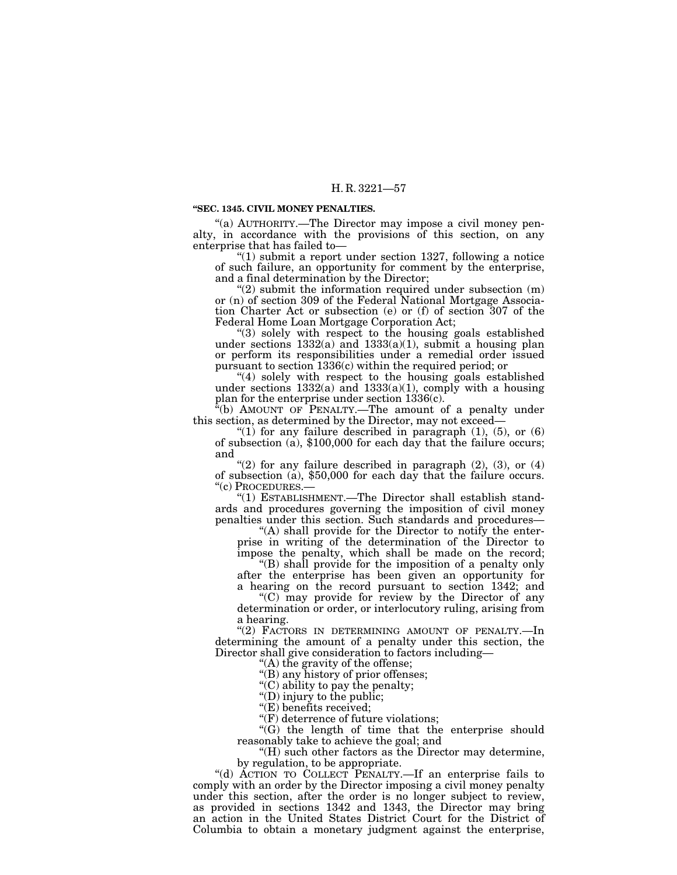#### **''SEC. 1345. CIVIL MONEY PENALTIES.**

''(a) AUTHORITY.—The Director may impose a civil money penalty, in accordance with the provisions of this section, on any enterprise that has failed to—

" $(1)$  submit a report under section 1327, following a notice of such failure, an opportunity for comment by the enterprise, and a final determination by the Director;

" $(2)$  submit the information required under subsection  $(m)$ or (n) of section 309 of the Federal National Mortgage Association Charter Act or subsection (e) or (f) of section 307 of the Federal Home Loan Mortgage Corporation Act;

''(3) solely with respect to the housing goals established under sections  $1332(a)$  and  $1333(a)(1)$ , submit a housing plan or perform its responsibilities under a remedial order issued pursuant to section 1336(c) within the required period; or

"(4) solely with respect to the housing goals established under sections  $1332(a)$  and  $1333(a)(1)$ , comply with a housing plan for the enterprise under section 1336(c).

''(b) AMOUNT OF PENALTY.—The amount of a penalty under this section, as determined by the Director, may not exceed—

" $(1)$  for any failure described in paragraph  $(1)$ ,  $(5)$ , or  $(6)$ of subsection (a), \$100,000 for each day that the failure occurs; and

" $(2)$  for any failure described in paragraph  $(2)$ ,  $(3)$ , or  $(4)$ of subsection (a), \$50,000 for each day that the failure occurs. ''(c) PROCEDURES.—

''(1) ESTABLISHMENT.—The Director shall establish standards and procedures governing the imposition of civil money penalties under this section. Such standards and procedures—

"(A) shall provide for the Director to notify the enterprise in writing of the determination of the Director to impose the penalty, which shall be made on the record;

''(B) shall provide for the imposition of a penalty only after the enterprise has been given an opportunity for

a hearing on the record pursuant to section 1342; and ''(C) may provide for review by the Director of any determination or order, or interlocutory ruling, arising from a hearing.

"(2) FACTORS IN DETERMINING AMOUNT OF PENALTY.-In determining the amount of a penalty under this section, the Director shall give consideration to factors including—

''(A) the gravity of the offense;

''(B) any history of prior offenses;

''(C) ability to pay the penalty;

''(D) injury to the public;

"(E) benefits received;

''(F) deterrence of future violations;

"(G) the length of time that the enterprise should reasonably take to achieve the goal; and

''(H) such other factors as the Director may determine, by regulation, to be appropriate.

''(d) ACTION TO COLLECT PENALTY.—If an enterprise fails to comply with an order by the Director imposing a civil money penalty under this section, after the order is no longer subject to review, as provided in sections 1342 and 1343, the Director may bring an action in the United States District Court for the District of Columbia to obtain a monetary judgment against the enterprise,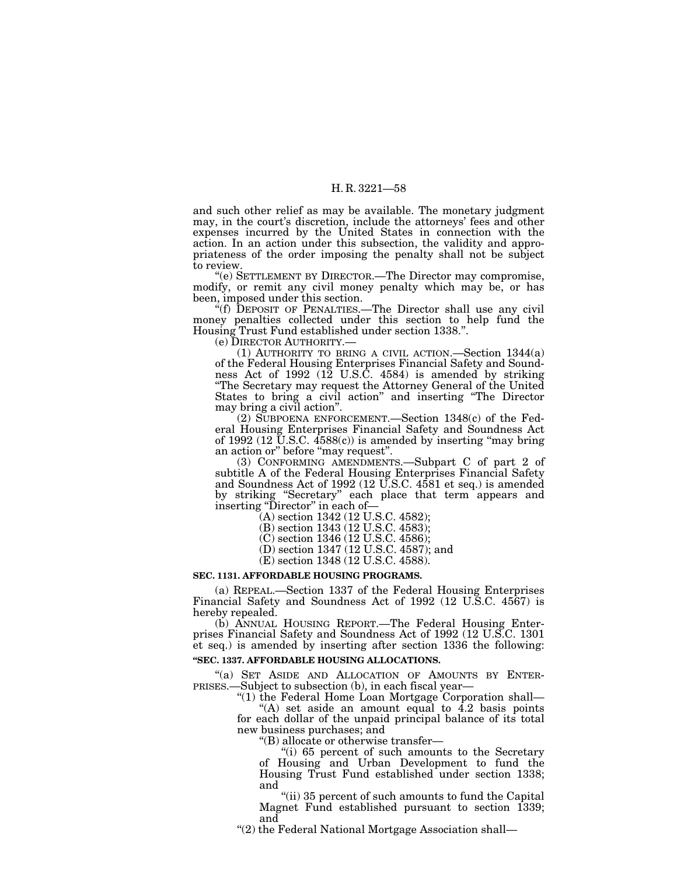and such other relief as may be available. The monetary judgment may, in the court's discretion, include the attorneys' fees and other expenses incurred by the United States in connection with the action. In an action under this subsection, the validity and appropriateness of the order imposing the penalty shall not be subject to review.

''(e) SETTLEMENT BY DIRECTOR.—The Director may compromise, modify, or remit any civil money penalty which may be, or has been, imposed under this section.

 $i(f)$  DEPOSIT OF PENALTIES.—The Director shall use any civil money penalties collected under this section to help fund the Housing Trust Fund established under section 1338.''.

(1) AUTHORITY TO BRING A CIVIL ACTION.—Section  $1344(a)$ of the Federal Housing Enterprises Financial Safety and Soundness Act of 1992 (12 U.S.C. 4584) is amended by striking ''The Secretary may request the Attorney General of the United States to bring a civil action'' and inserting ''The Director may bring a civil action''.

(2) SUBPOENA ENFORCEMENT.—Section 1348(c) of the Federal Housing Enterprises Financial Safety and Soundness Act of 1992 (12 U.S.C.  $\overline{4588(c)}$ ) is amended by inserting "may bring" an action or'' before ''may request''.

(3) CONFORMING AMENDMENTS.—Subpart C of part 2 of subtitle A of the Federal Housing Enterprises Financial Safety and Soundness Act of 1992 (12 U.S.C. 4581 et seq.) is amended by striking ''Secretary'' each place that term appears and inserting "Director" in each of—

(A) section 1342 (12 U.S.C. 4582);

(B) section 1343 (12 U.S.C. 4583);

(C) section 1346 (12 U.S.C. 4586);

(D) section 1347 (12 U.S.C. 4587); and

(E) section 1348 (12 U.S.C. 4588).

# **SEC. 1131. AFFORDABLE HOUSING PROGRAMS.**

(a) REPEAL.—Section 1337 of the Federal Housing Enterprises Financial Safety and Soundness Act of 1992 (12 U.S.C. 4567) is hereby repealed.

(b) ANNUAL HOUSING REPORT.—The Federal Housing Enterprises Financial Safety and Soundness Act of 1992 (12 U.S.C. 1301 et seq.) is amended by inserting after section 1336 the following:

#### **''SEC. 1337. AFFORDABLE HOUSING ALLOCATIONS.**

''(a) SET ASIDE AND ALLOCATION OF AMOUNTS BY ENTER- PRISES.—Subject to subsection (b), in each fiscal year—

''(1) the Federal Home Loan Mortgage Corporation shall—

"(A) set aside an amount equal to  $4.2$  basis points for each dollar of the unpaid principal balance of its total new business purchases; and

''(B) allocate or otherwise transfer—

''(i) 65 percent of such amounts to the Secretary of Housing and Urban Development to fund the Housing Trust Fund established under section 1338; and

''(ii) 35 percent of such amounts to fund the Capital Magnet Fund established pursuant to section 1339; and

''(2) the Federal National Mortgage Association shall—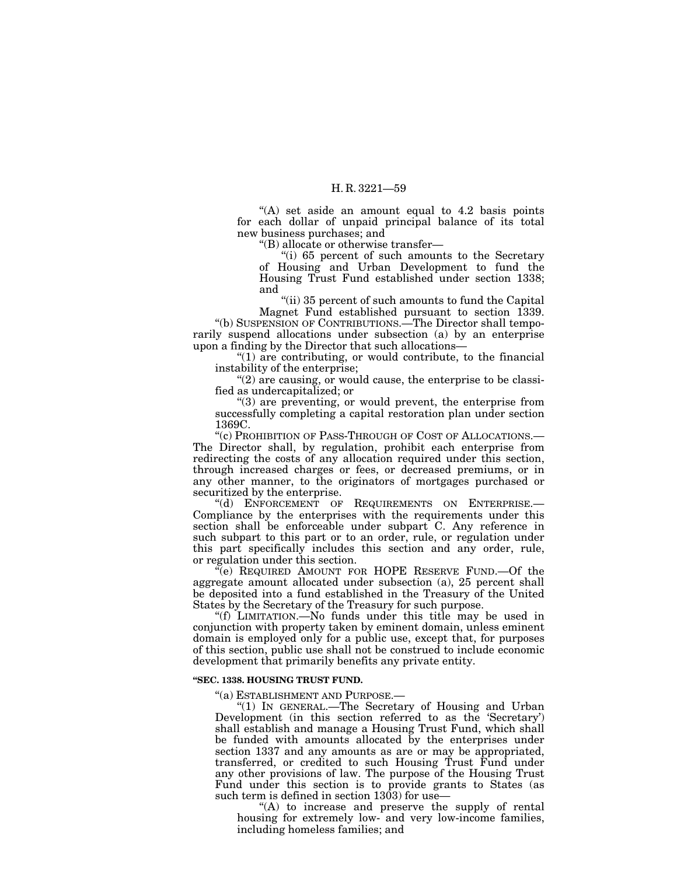''(A) set aside an amount equal to 4.2 basis points for each dollar of unpaid principal balance of its total new business purchases; and

''(B) allocate or otherwise transfer—

''(i) 65 percent of such amounts to the Secretary of Housing and Urban Development to fund the Housing Trust Fund established under section 1338; and

''(ii) 35 percent of such amounts to fund the Capital

Magnet Fund established pursuant to section 1339. ''(b) SUSPENSION OF CONTRIBUTIONS.—The Director shall temporarily suspend allocations under subsection (a) by an enterprise upon a finding by the Director that such allocations—

''(1) are contributing, or would contribute, to the financial instability of the enterprise;

 $''(2)$  are causing, or would cause, the enterprise to be classified as undercapitalized; or

''(3) are preventing, or would prevent, the enterprise from successfully completing a capital restoration plan under section 1369C.

''(c) PROHIBITION OF PASS-THROUGH OF COST OF ALLOCATIONS.— The Director shall, by regulation, prohibit each enterprise from redirecting the costs of any allocation required under this section, through increased charges or fees, or decreased premiums, or in any other manner, to the originators of mortgages purchased or securitized by the enterprise.

''(d) ENFORCEMENT OF REQUIREMENTS ON ENTERPRISE.— Compliance by the enterprises with the requirements under this section shall be enforceable under subpart C. Any reference in such subpart to this part or to an order, rule, or regulation under this part specifically includes this section and any order, rule, or regulation under this section.

''(e) REQUIRED AMOUNT FOR HOPE RESERVE FUND.—Of the aggregate amount allocated under subsection (a), 25 percent shall be deposited into a fund established in the Treasury of the United States by the Secretary of the Treasury for such purpose.

''(f) LIMITATION.—No funds under this title may be used in conjunction with property taken by eminent domain, unless eminent domain is employed only for a public use, except that, for purposes of this section, public use shall not be construed to include economic development that primarily benefits any private entity.

#### **''SEC. 1338. HOUSING TRUST FUND.**

''(a) ESTABLISHMENT AND PURPOSE.—

''(1) IN GENERAL.—The Secretary of Housing and Urban Development (in this section referred to as the 'Secretary') shall establish and manage a Housing Trust Fund, which shall be funded with amounts allocated by the enterprises under section 1337 and any amounts as are or may be appropriated, transferred, or credited to such Housing Trust Fund under any other provisions of law. The purpose of the Housing Trust Fund under this section is to provide grants to States (as such term is defined in section 1303) for use—

 $(A)$  to increase and preserve the supply of rental housing for extremely low- and very low-income families, including homeless families; and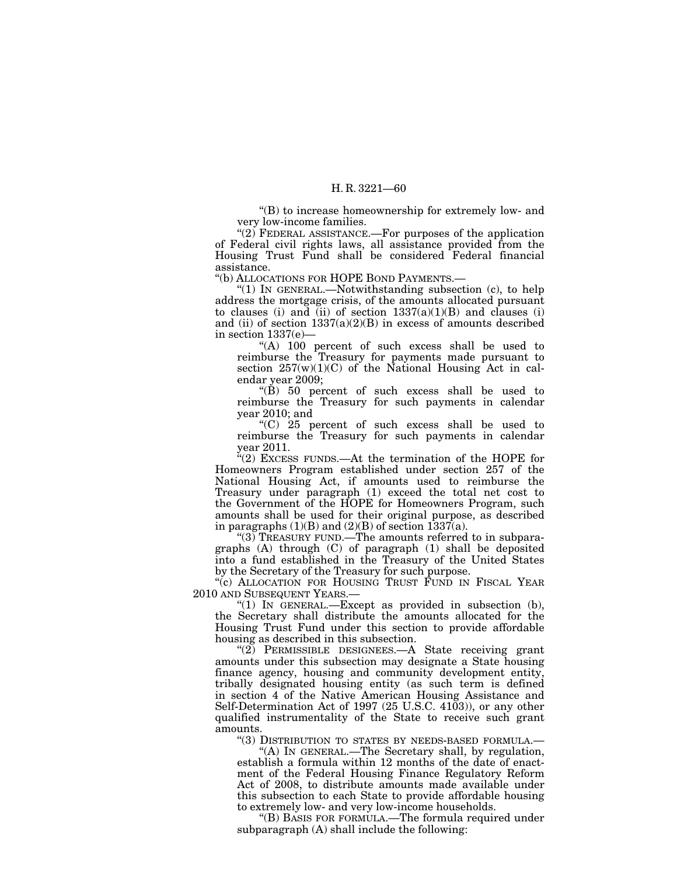''(B) to increase homeownership for extremely low- and very low-income families.

" $(2)$  FEDERAL ASSISTANCE.—For purposes of the application of Federal civil rights laws, all assistance provided from the Housing Trust Fund shall be considered Federal financial assistance.

''(b) ALLOCATIONS FOR HOPE BOND PAYMENTS.—

''(1) IN GENERAL.—Notwithstanding subsection (c), to help address the mortgage crisis, of the amounts allocated pursuant to clauses (i) and (ii) of section  $1337(a)(1)(B)$  and clauses (i) and (ii) of section  $1337(a)(2)(B)$  in excess of amounts described in section 1337(e)—

"(A) 100 percent of such excess shall be used to reimburse the Treasury for payments made pursuant to section  $257(w)(1)(C)$  of the National Housing Act in calendar year 2009;

''(B) 50 percent of such excess shall be used to reimburse the Treasury for such payments in calendar year 2010; and

''(C) 25 percent of such excess shall be used to reimburse the Treasury for such payments in calendar year 2011.

 $E(2)$  EXCESS FUNDS.—At the termination of the HOPE for Homeowners Program established under section 257 of the National Housing Act, if amounts used to reimburse the Treasury under paragraph (1) exceed the total net cost to the Government of the HOPE for Homeowners Program, such amounts shall be used for their original purpose, as described in paragraphs  $(1)(B)$  and  $(2)(B)$  of section  $\overline{1337(a)}$ .

''(3) TREASURY FUND.—The amounts referred to in subparagraphs (A) through (C) of paragraph (1) shall be deposited into a fund established in the Treasury of the United States by the Secretary of the Treasury for such purpose.

''(c) ALLOCATION FOR HOUSING TRUST FUND IN FISCAL YEAR 2010 AND SUBSEQUENT YEARS.—

" $(1)$  In GENERAL.—Except as provided in subsection  $(b)$ , the Secretary shall distribute the amounts allocated for the Housing Trust Fund under this section to provide affordable housing as described in this subsection.

''(2) PERMISSIBLE DESIGNEES.—A State receiving grant amounts under this subsection may designate a State housing finance agency, housing and community development entity, tribally designated housing entity (as such term is defined in section 4 of the Native American Housing Assistance and Self-Determination Act of 1997 (25 U.S.C. 4103)), or any other qualified instrumentality of the State to receive such grant amounts.

''(3) DISTRIBUTION TO STATES BY NEEDS-BASED FORMULA.—

''(A) IN GENERAL.—The Secretary shall, by regulation, establish a formula within 12 months of the date of enactment of the Federal Housing Finance Regulatory Reform Act of 2008, to distribute amounts made available under this subsection to each State to provide affordable housing to extremely low- and very low-income households.

''(B) BASIS FOR FORMULA.—The formula required under subparagraph (A) shall include the following: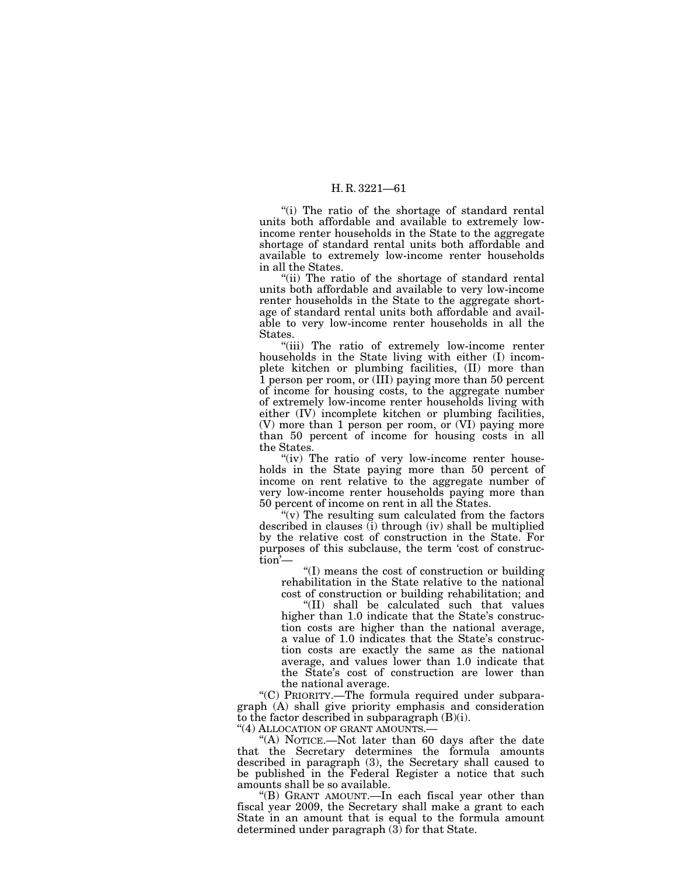''(i) The ratio of the shortage of standard rental units both affordable and available to extremely lowincome renter households in the State to the aggregate shortage of standard rental units both affordable and available to extremely low-income renter households in all the States.

"(ii) The ratio of the shortage of standard rental units both affordable and available to very low-income renter households in the State to the aggregate shortage of standard rental units both affordable and available to very low-income renter households in all the States.

"(iii) The ratio of extremely low-income renter households in the State living with either (I) incomplete kitchen or plumbing facilities, (II) more than 1 person per room, or (III) paying more than 50 percent of income for housing costs, to the aggregate number of extremely low-income renter households living with either (IV) incomplete kitchen or plumbing facilities, (V) more than 1 person per room, or (VI) paying more than 50 percent of income for housing costs in all the States.

"(iv) The ratio of very low-income renter households in the State paying more than 50 percent of income on rent relative to the aggregate number of very low-income renter households paying more than 50 percent of income on rent in all the States.

" $(v)$  The resulting sum calculated from the factors" described in clauses (i) through (iv) shall be multiplied by the relative cost of construction in the State. For purposes of this subclause, the term 'cost of construction'—

''(I) means the cost of construction or building rehabilitation in the State relative to the national cost of construction or building rehabilitation; and

''(II) shall be calculated such that values higher than 1.0 indicate that the State's construction costs are higher than the national average, a value of 1.0 indicates that the State's construction costs are exactly the same as the national average, and values lower than 1.0 indicate that the State's cost of construction are lower than the national average.

''(C) PRIORITY.—The formula required under subparagraph (A) shall give priority emphasis and consideration to the factor described in subparagraph (B)(i).

"(4) ALLOCATION OF GRANT AMOUNTS.-

"(A) NOTICE.—Not later than 60 days after the date that the Secretary determines the formula amounts described in paragraph (3), the Secretary shall caused to be published in the Federal Register a notice that such amounts shall be so available.

''(B) GRANT AMOUNT.—In each fiscal year other than fiscal year 2009, the Secretary shall make a grant to each State in an amount that is equal to the formula amount determined under paragraph (3) for that State.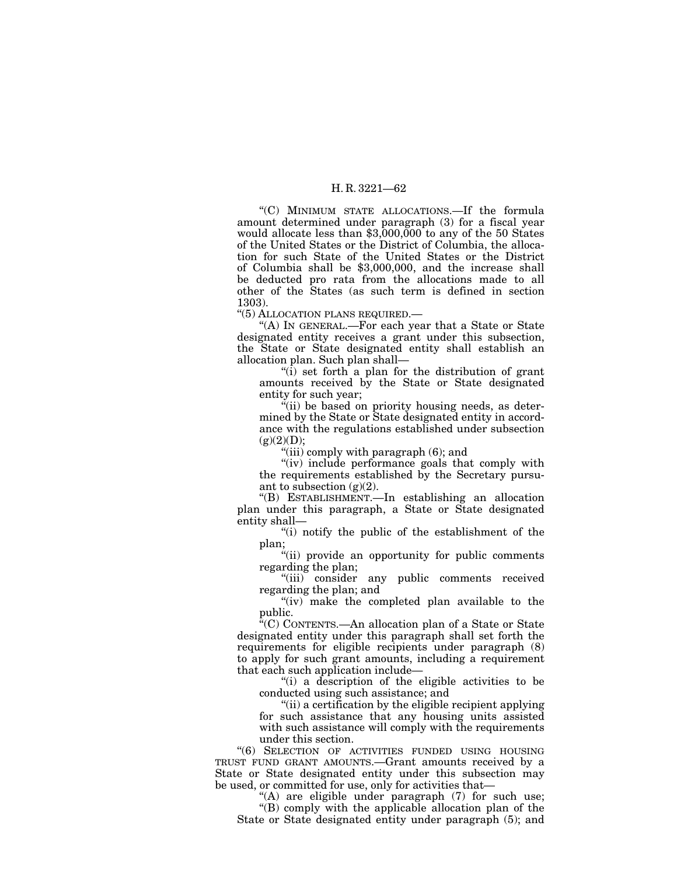''(C) MINIMUM STATE ALLOCATIONS.—If the formula amount determined under paragraph (3) for a fiscal year would allocate less than \$3,000,000 to any of the 50 States of the United States or the District of Columbia, the allocation for such State of the United States or the District of Columbia shall be \$3,000,000, and the increase shall be deducted pro rata from the allocations made to all other of the States (as such term is defined in section 1303).

''(5) ALLOCATION PLANS REQUIRED.—

''(A) IN GENERAL.—For each year that a State or State designated entity receives a grant under this subsection, the State or State designated entity shall establish an allocation plan. Such plan shall—

''(i) set forth a plan for the distribution of grant amounts received by the State or State designated entity for such year;

''(ii) be based on priority housing needs, as determined by the State or State designated entity in accordance with the regulations established under subsection  $(g)(2)(D);$ 

''(iii) comply with paragraph (6); and

"(iv) include performance goals that comply with the requirements established by the Secretary pursuant to subsection  $(g)(2)$ .

''(B) ESTABLISHMENT.—In establishing an allocation plan under this paragraph, a State or State designated entity shall—

''(i) notify the public of the establishment of the plan;

''(ii) provide an opportunity for public comments regarding the plan;

''(iii) consider any public comments received regarding the plan; and

"(iv) make the completed plan available to the public.

''(C) CONTENTS.—An allocation plan of a State or State designated entity under this paragraph shall set forth the requirements for eligible recipients under paragraph (8) to apply for such grant amounts, including a requirement that each such application include—

''(i) a description of the eligible activities to be conducted using such assistance; and

''(ii) a certification by the eligible recipient applying for such assistance that any housing units assisted with such assistance will comply with the requirements under this section.

''(6) SELECTION OF ACTIVITIES FUNDED USING HOUSING TRUST FUND GRANT AMOUNTS.—Grant amounts received by a State or State designated entity under this subsection may be used, or committed for use, only for activities that—

"(A) are eligible under paragraph  $(7)$  for such use;

''(B) comply with the applicable allocation plan of the State or State designated entity under paragraph (5); and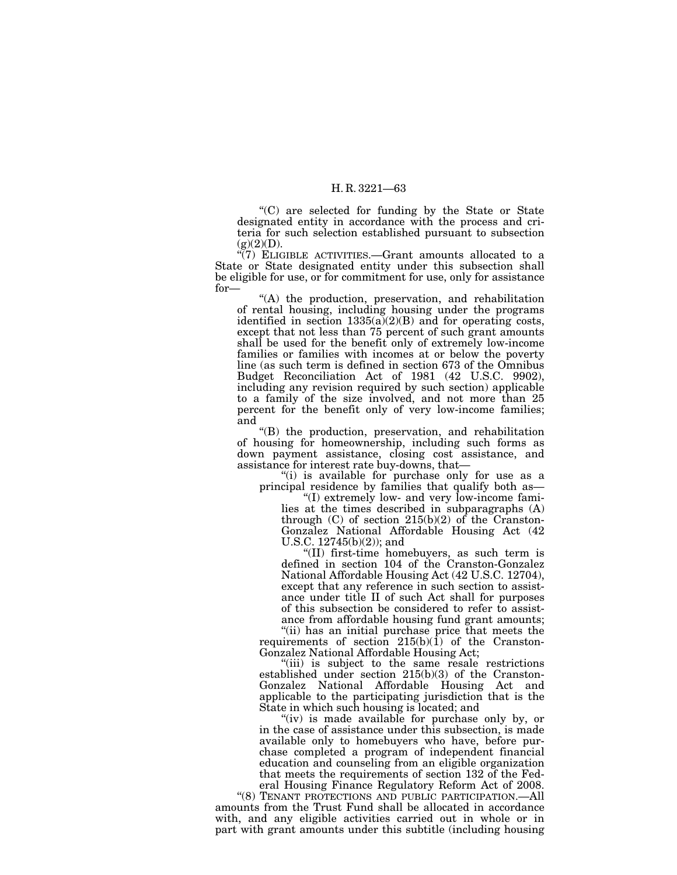''(C) are selected for funding by the State or State designated entity in accordance with the process and criteria for such selection established pursuant to subsection  $(g)(2)(D).$ 

''(7) ELIGIBLE ACTIVITIES.—Grant amounts allocated to a State or State designated entity under this subsection shall be eligible for use, or for commitment for use, only for assistance for—

"(A) the production, preservation, and rehabilitation of rental housing, including housing under the programs identified in section 1335(a)(2)(B) and for operating costs, except that not less than 75 percent of such grant amounts shall be used for the benefit only of extremely low-income families or families with incomes at or below the poverty line (as such term is defined in section 673 of the Omnibus Budget Reconciliation Act of 1981 (42 U.S.C. 9902), including any revision required by such section) applicable to a family of the size involved, and not more than 25 percent for the benefit only of very low-income families; and

''(B) the production, preservation, and rehabilitation of housing for homeownership, including such forms as down payment assistance, closing cost assistance, and assistance for interest rate buy-downs, that—

"(i) is available for purchase only for use as a principal residence by families that qualify both as—

''(I) extremely low- and very low-income families at the times described in subparagraphs (A) through  $(C)$  of section  $215(b)(2)$  of the Cranston-Gonzalez National Affordable Housing Act (42 U.S.C. 12745(b)(2)); and

''(II) first-time homebuyers, as such term is defined in section 104 of the Cranston-Gonzalez National Affordable Housing Act (42 U.S.C. 12704), except that any reference in such section to assistance under title II of such Act shall for purposes of this subsection be considered to refer to assistance from affordable housing fund grant amounts;

"(ii) has an initial purchase price that meets the requirements of section  $215(b)(1)$  of the Cranston-Gonzalez National Affordable Housing Act;

"(iii) is subject to the same resale restrictions established under section 215(b)(3) of the Cranston-Gonzalez National Affordable Housing Act and applicable to the participating jurisdiction that is the State in which such housing is located; and

''(iv) is made available for purchase only by, or in the case of assistance under this subsection, is made available only to homebuyers who have, before purchase completed a program of independent financial education and counseling from an eligible organization that meets the requirements of section 132 of the Federal Housing Finance Regulatory Reform Act of 2008.

''(8) TENANT PROTECTIONS AND PUBLIC PARTICIPATION.—All amounts from the Trust Fund shall be allocated in accordance with, and any eligible activities carried out in whole or in part with grant amounts under this subtitle (including housing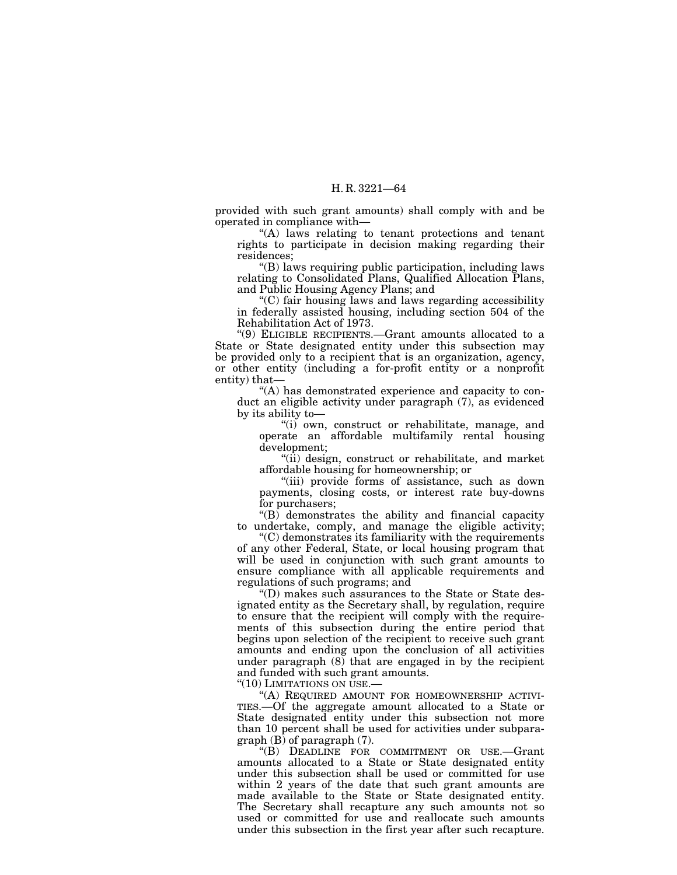provided with such grant amounts) shall comply with and be operated in compliance with—

"(A) laws relating to tenant protections and tenant rights to participate in decision making regarding their residences;

''(B) laws requiring public participation, including laws relating to Consolidated Plans, Qualified Allocation Plans, and Public Housing Agency Plans; and

''(C) fair housing laws and laws regarding accessibility in federally assisted housing, including section 504 of the Rehabilitation Act of 1973.

''(9) ELIGIBLE RECIPIENTS.—Grant amounts allocated to a State or State designated entity under this subsection may be provided only to a recipient that is an organization, agency, or other entity (including a for-profit entity or a nonprofit entity) that—

 $(A)$  has demonstrated experience and capacity to conduct an eligible activity under paragraph (7), as evidenced by its ability to—

''(i) own, construct or rehabilitate, manage, and operate an affordable multifamily rental housing development;

''(ii) design, construct or rehabilitate, and market affordable housing for homeownership; or

''(iii) provide forms of assistance, such as down payments, closing costs, or interest rate buy-downs for purchasers;

 $'(B)$  demonstrates the ability and financial capacity to undertake, comply, and manage the eligible activity;

''(C) demonstrates its familiarity with the requirements of any other Federal, State, or local housing program that will be used in conjunction with such grant amounts to ensure compliance with all applicable requirements and regulations of such programs; and

''(D) makes such assurances to the State or State designated entity as the Secretary shall, by regulation, require to ensure that the recipient will comply with the requirements of this subsection during the entire period that begins upon selection of the recipient to receive such grant amounts and ending upon the conclusion of all activities under paragraph (8) that are engaged in by the recipient and funded with such grant amounts.

''(10) LIMITATIONS ON USE.—

''(A) REQUIRED AMOUNT FOR HOMEOWNERSHIP ACTIVI-TIES.—Of the aggregate amount allocated to a State or State designated entity under this subsection not more than 10 percent shall be used for activities under subparagraph (B) of paragraph (7).

''(B) DEADLINE FOR COMMITMENT OR USE.—Grant amounts allocated to a State or State designated entity under this subsection shall be used or committed for use within 2 years of the date that such grant amounts are made available to the State or State designated entity. The Secretary shall recapture any such amounts not so used or committed for use and reallocate such amounts under this subsection in the first year after such recapture.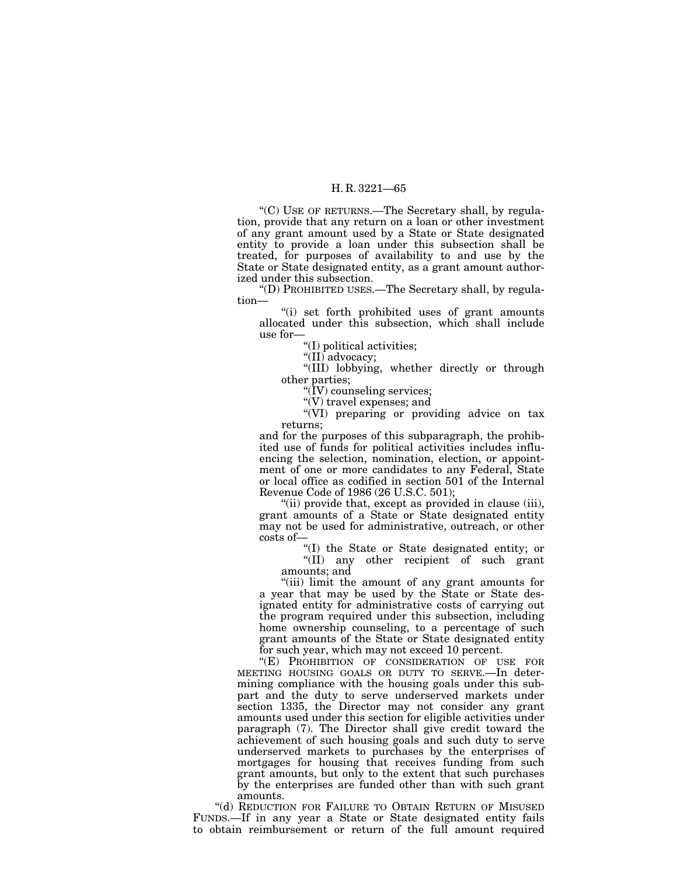''(C) USE OF RETURNS.—The Secretary shall, by regulation, provide that any return on a loan or other investment of any grant amount used by a State or State designated entity to provide a loan under this subsection shall be treated, for purposes of availability to and use by the State or State designated entity, as a grant amount authorized under this subsection.

''(D) PROHIBITED USES.—The Secretary shall, by regulation—

''(i) set forth prohibited uses of grant amounts allocated under this subsection, which shall include use for—

''(I) political activities;

"(II) advocacy;

''(III) lobbying, whether directly or through other parties;

''(IV) counseling services;

''(V) travel expenses; and

"(VI) preparing or providing advice on tax returns;

and for the purposes of this subparagraph, the prohibited use of funds for political activities includes influencing the selection, nomination, election, or appointment of one or more candidates to any Federal, State or local office as codified in section 501 of the Internal Revenue Code of 1986 (26 U.S.C. 501);

"(ii) provide that, except as provided in clause (iii), grant amounts of a State or State designated entity may not be used for administrative, outreach, or other costs of—

''(I) the State or State designated entity; or "(II) any other recipient of such grant amounts; and

''(iii) limit the amount of any grant amounts for a year that may be used by the State or State designated entity for administrative costs of carrying out the program required under this subsection, including home ownership counseling, to a percentage of such grant amounts of the State or State designated entity for such year, which may not exceed 10 percent.

''(E) PROHIBITION OF CONSIDERATION OF USE FOR MEETING HOUSING GOALS OR DUTY TO SERVE.—In determining compliance with the housing goals under this subpart and the duty to serve underserved markets under section 1335, the Director may not consider any grant amounts used under this section for eligible activities under paragraph (7). The Director shall give credit toward the achievement of such housing goals and such duty to serve underserved markets to purchases by the enterprises of mortgages for housing that receives funding from such grant amounts, but only to the extent that such purchases by the enterprises are funded other than with such grant amounts.

''(d) REDUCTION FOR FAILURE TO OBTAIN RETURN OF MISUSED FUNDS.—If in any year a State or State designated entity fails to obtain reimbursement or return of the full amount required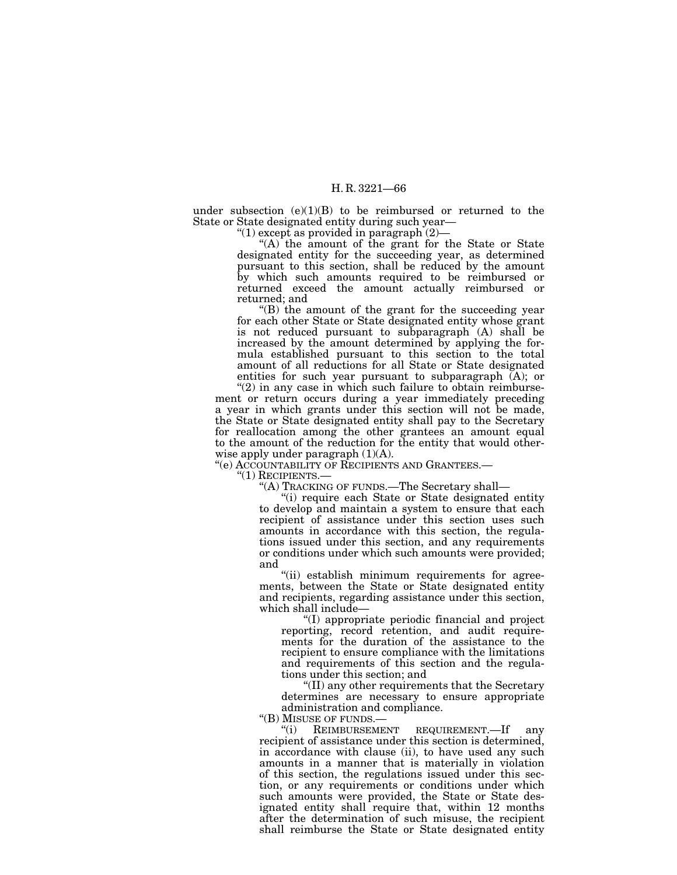under subsection  $(e)(1)(B)$  to be reimbursed or returned to the State or State designated entity during such year—

"(1) except as provided in paragraph  $(2)$ -

"(A) the amount of the grant for the State or State designated entity for the succeeding year, as determined pursuant to this section, shall be reduced by the amount by which such amounts required to be reimbursed or returned exceed the amount actually reimbursed or returned; and

"(B) the amount of the grant for the succeeding year for each other State or State designated entity whose grant is not reduced pursuant to subparagraph (A) shall be increased by the amount determined by applying the formula established pursuant to this section to the total amount of all reductions for all State or State designated entities for such year pursuant to subparagraph (A); or

 $(2)$  in any case in which such failure to obtain reimbursement or return occurs during a year immediately preceding a year in which grants under this section will not be made, the State or State designated entity shall pay to the Secretary for reallocation among the other grantees an amount equal to the amount of the reduction for the entity that would otherwise apply under paragraph  $(1)(A)$ .

''(e) ACCOUNTABILITY OF RECIPIENTS AND GRANTEES.—

''(1) RECIPIENTS.—

''(A) TRACKING OF FUNDS.—The Secretary shall—

''(i) require each State or State designated entity to develop and maintain a system to ensure that each recipient of assistance under this section uses such amounts in accordance with this section, the regulations issued under this section, and any requirements or conditions under which such amounts were provided; and

"(ii) establish minimum requirements for agreements, between the State or State designated entity and recipients, regarding assistance under this section, which shall include—

''(I) appropriate periodic financial and project reporting, record retention, and audit requirements for the duration of the assistance to the recipient to ensure compliance with the limitations and requirements of this section and the regulations under this section; and

''(II) any other requirements that the Secretary determines are necessary to ensure appropriate administration and compliance.

"(B) MISUSE OF FUNDS.—<br>"(i) REIMBURSEMENT

REQUIREMENT.—If any recipient of assistance under this section is determined, in accordance with clause (ii), to have used any such amounts in a manner that is materially in violation of this section, the regulations issued under this section, or any requirements or conditions under which such amounts were provided, the State or State designated entity shall require that, within 12 months after the determination of such misuse, the recipient shall reimburse the State or State designated entity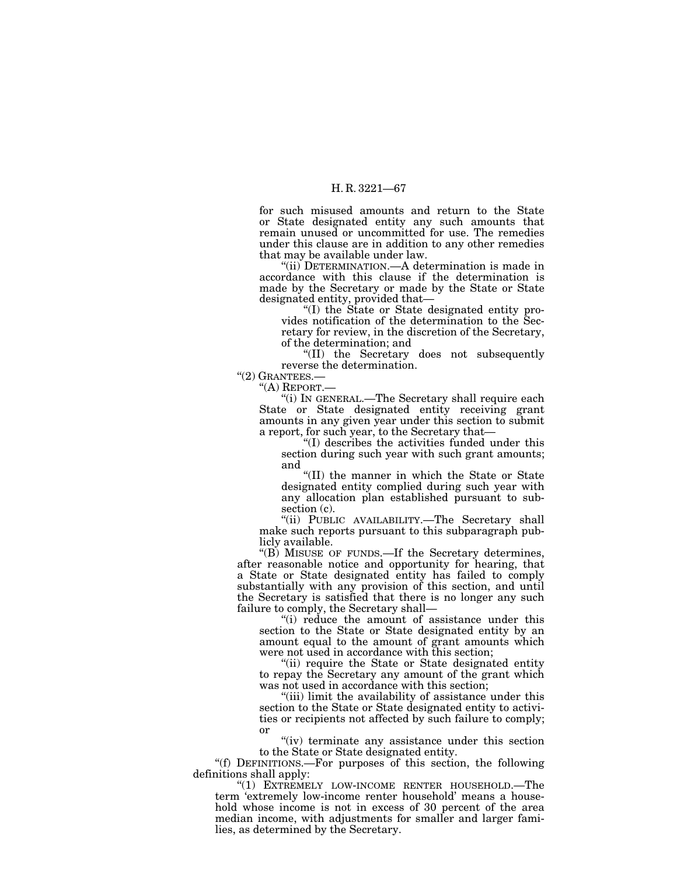for such misused amounts and return to the State or State designated entity any such amounts that remain unused or uncommitted for use. The remedies under this clause are in addition to any other remedies that may be available under law.

''(ii) DETERMINATION.—A determination is made in accordance with this clause if the determination is made by the Secretary or made by the State or State designated entity, provided that—

''(I) the State or State designated entity provides notification of the determination to the Secretary for review, in the discretion of the Secretary, of the determination; and

''(II) the Secretary does not subsequently reverse the determination.

''(2) GRANTEES.—

''(A) REPORT.—

''(i) IN GENERAL.—The Secretary shall require each State or State designated entity receiving grant amounts in any given year under this section to submit a report, for such year, to the Secretary that—

''(I) describes the activities funded under this section during such year with such grant amounts; and

''(II) the manner in which the State or State designated entity complied during such year with any allocation plan established pursuant to subsection (c).

''(ii) PUBLIC AVAILABILITY.—The Secretary shall make such reports pursuant to this subparagraph publicly available.

"(B) MISUSE OF FUNDS.—If the Secretary determines, after reasonable notice and opportunity for hearing, that a State or State designated entity has failed to comply substantially with any provision of this section, and until the Secretary is satisfied that there is no longer any such failure to comply, the Secretary shall—

''(i) reduce the amount of assistance under this section to the State or State designated entity by an amount equal to the amount of grant amounts which were not used in accordance with this section;

''(ii) require the State or State designated entity to repay the Secretary any amount of the grant which was not used in accordance with this section;

''(iii) limit the availability of assistance under this section to the State or State designated entity to activities or recipients not affected by such failure to comply; or

"(iv) terminate any assistance under this section to the State or State designated entity.

''(f) DEFINITIONS.—For purposes of this section, the following definitions shall apply:

''(1) EXTREMELY LOW-INCOME RENTER HOUSEHOLD.—The term 'extremely low-income renter household' means a household whose income is not in excess of 30 percent of the area median income, with adjustments for smaller and larger families, as determined by the Secretary.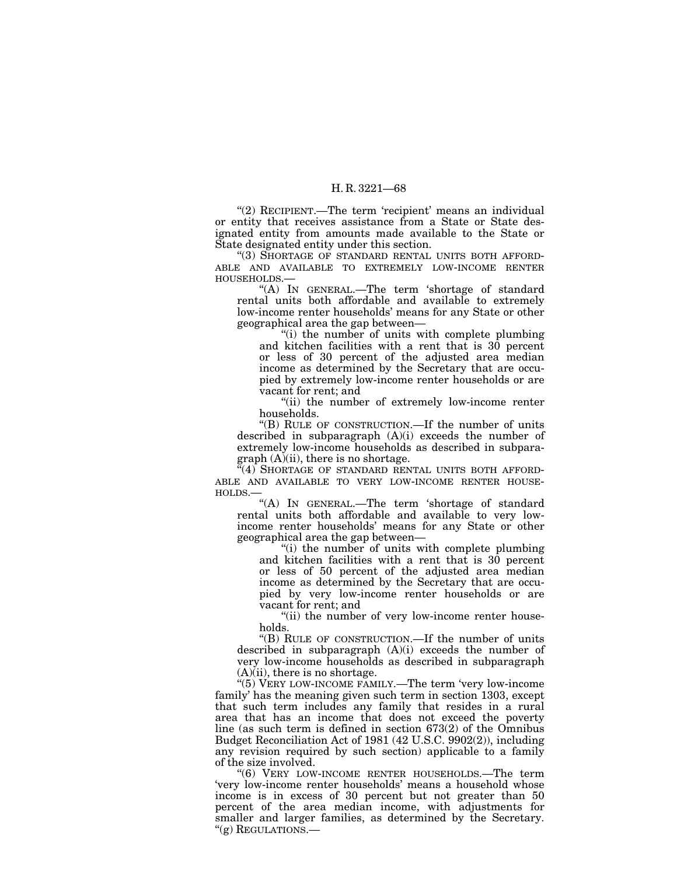"(2) RECIPIENT.—The term 'recipient' means an individual or entity that receives assistance from a State or State designated entity from amounts made available to the State or State designated entity under this section.

''(3) SHORTAGE OF STANDARD RENTAL UNITS BOTH AFFORD-ABLE AND AVAILABLE TO EXTREMELY LOW-INCOME RENTER HOUSEHOLDS.—

''(A) IN GENERAL.—The term 'shortage of standard rental units both affordable and available to extremely low-income renter households' means for any State or other geographical area the gap between—

''(i) the number of units with complete plumbing and kitchen facilities with a rent that is 30 percent or less of 30 percent of the adjusted area median income as determined by the Secretary that are occupied by extremely low-income renter households or are vacant for rent; and

''(ii) the number of extremely low-income renter households.

''(B) RULE OF CONSTRUCTION.—If the number of units described in subparagraph (A)(i) exceeds the number of extremely low-income households as described in subparagraph (A)(ii), there is no shortage.

"(4) SHORTAGE OF STANDARD RENTAL UNITS BOTH AFFORD-ABLE AND AVAILABLE TO VERY LOW-INCOME RENTER HOUSE-HOLDS.—

''(A) IN GENERAL.—The term 'shortage of standard rental units both affordable and available to very lowincome renter households' means for any State or other geographical area the gap between—

"(i) the number of units with complete plumbing and kitchen facilities with a rent that is 30 percent or less of 50 percent of the adjusted area median income as determined by the Secretary that are occupied by very low-income renter households or are vacant for rent; and

"(ii) the number of very low-income renter households.

''(B) RULE OF CONSTRUCTION.—If the number of units described in subparagraph (A)(i) exceeds the number of very low-income households as described in subparagraph  $(A)(ii)$ , there is no shortage.

''(5) VERY LOW-INCOME FAMILY.—The term 'very low-income family' has the meaning given such term in section 1303, except that such term includes any family that resides in a rural area that has an income that does not exceed the poverty line (as such term is defined in section 673(2) of the Omnibus Budget Reconciliation Act of 1981 (42 U.S.C. 9902(2)), including any revision required by such section) applicable to a family of the size involved.

''(6) VERY LOW-INCOME RENTER HOUSEHOLDS.—The term 'very low-income renter households' means a household whose income is in excess of 30 percent but not greater than 50 percent of the area median income, with adjustments for smaller and larger families, as determined by the Secretary. ''(g) REGULATIONS.—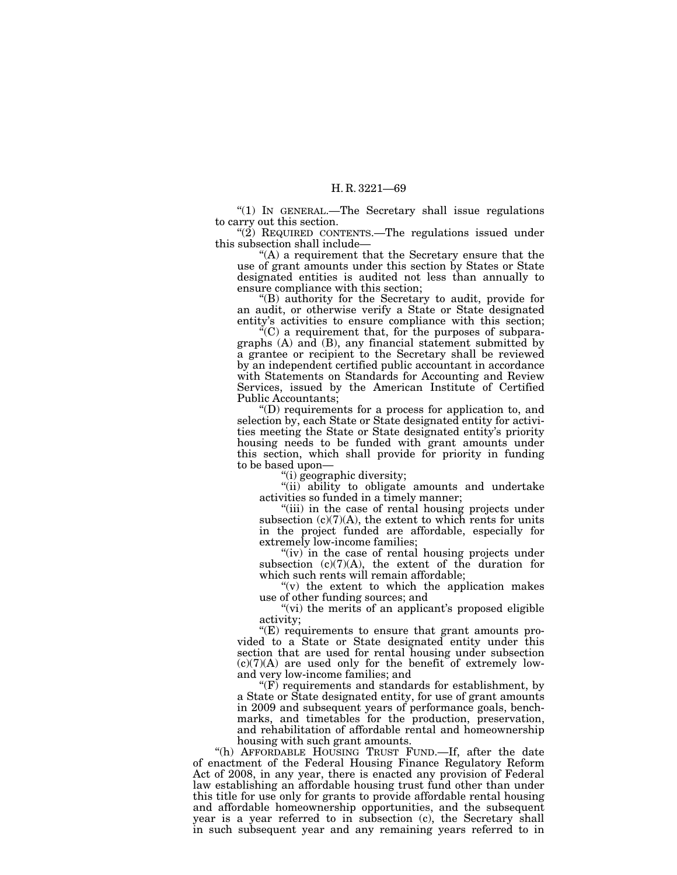''(1) IN GENERAL.—The Secretary shall issue regulations to carry out this section.

" $(2)$  REQUIRED CONTENTS.—The regulations issued under this subsection shall include—

"(A) a requirement that the Secretary ensure that the use of grant amounts under this section by States or State designated entities is audited not less than annually to ensure compliance with this section;

''(B) authority for the Secretary to audit, provide for an audit, or otherwise verify a State or State designated entity's activities to ensure compliance with this section;

''(C) a requirement that, for the purposes of subparagraphs (A) and (B), any financial statement submitted by a grantee or recipient to the Secretary shall be reviewed by an independent certified public accountant in accordance with Statements on Standards for Accounting and Review Services, issued by the American Institute of Certified Public Accountants;

''(D) requirements for a process for application to, and selection by, each State or State designated entity for activities meeting the State or State designated entity's priority housing needs to be funded with grant amounts under this section, which shall provide for priority in funding to be based upon—

''(i) geographic diversity;

''(ii) ability to obligate amounts and undertake activities so funded in a timely manner;

"(iii) in the case of rental housing projects under subsection  $(c)(7)(A)$ , the extent to which rents for units in the project funded are affordable, especially for extremely low-income families;

"(iv) in the case of rental housing projects under subsection  $(c)(7)(A)$ , the extent of the duration for which such rents will remain affordable;

 $(v)$  the extent to which the application makes use of other funding sources; and

"(vi) the merits of an applicant's proposed eligible activity;

''(E) requirements to ensure that grant amounts provided to a State or State designated entity under this section that are used for rental housing under subsection  $(c)(7)(A)$  are used only for the benefit of extremely lowand very low-income families; and

 $\mathcal{F}(F)$  requirements and standards for establishment, by a State or State designated entity, for use of grant amounts in 2009 and subsequent years of performance goals, benchmarks, and timetables for the production, preservation, and rehabilitation of affordable rental and homeownership housing with such grant amounts.

''(h) AFFORDABLE HOUSING TRUST FUND.—If, after the date of enactment of the Federal Housing Finance Regulatory Reform Act of 2008, in any year, there is enacted any provision of Federal law establishing an affordable housing trust fund other than under this title for use only for grants to provide affordable rental housing and affordable homeownership opportunities, and the subsequent year is a year referred to in subsection (c), the Secretary shall in such subsequent year and any remaining years referred to in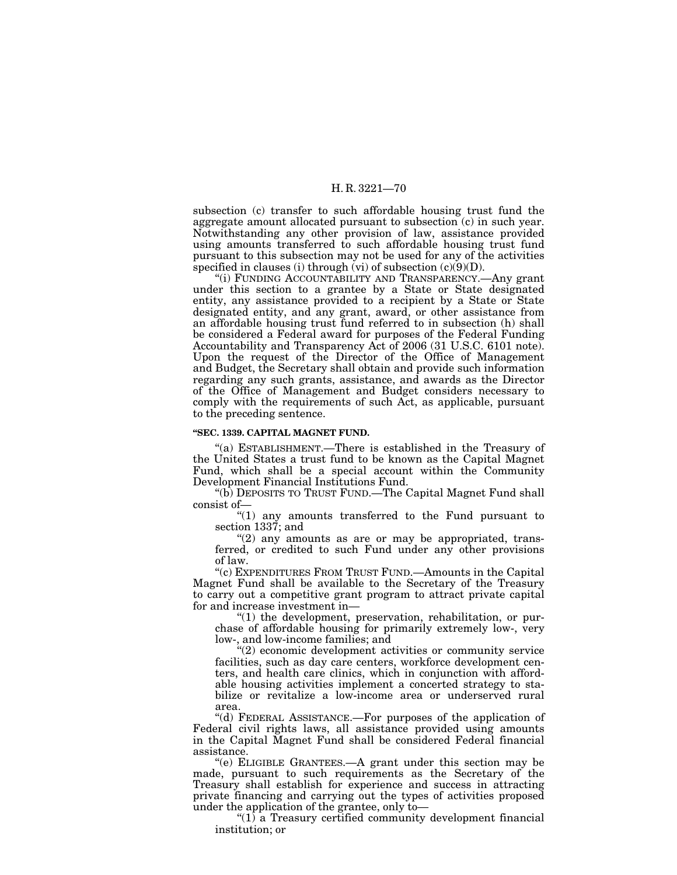subsection (c) transfer to such affordable housing trust fund the aggregate amount allocated pursuant to subsection (c) in such year. Notwithstanding any other provision of law, assistance provided using amounts transferred to such affordable housing trust fund pursuant to this subsection may not be used for any of the activities specified in clauses (i) through (vi) of subsection  $(c)(9)(D)$ .

''(i) FUNDING ACCOUNTABILITY AND TRANSPARENCY.—Any grant under this section to a grantee by a State or State designated entity, any assistance provided to a recipient by a State or State designated entity, and any grant, award, or other assistance from an affordable housing trust fund referred to in subsection (h) shall be considered a Federal award for purposes of the Federal Funding Accountability and Transparency Act of 2006 (31 U.S.C. 6101 note). Upon the request of the Director of the Office of Management and Budget, the Secretary shall obtain and provide such information regarding any such grants, assistance, and awards as the Director of the Office of Management and Budget considers necessary to comply with the requirements of such Act, as applicable, pursuant to the preceding sentence.

### **''SEC. 1339. CAPITAL MAGNET FUND.**

''(a) ESTABLISHMENT.—There is established in the Treasury of the United States a trust fund to be known as the Capital Magnet Fund, which shall be a special account within the Community Development Financial Institutions Fund.

''(b) DEPOSITS TO TRUST FUND.—The Capital Magnet Fund shall consist of—

''(1) any amounts transferred to the Fund pursuant to section 1337; and

 $''(2)$  any amounts as are or may be appropriated, transferred, or credited to such Fund under any other provisions of law.

''(c) EXPENDITURES FROM TRUST FUND.—Amounts in the Capital Magnet Fund shall be available to the Secretary of the Treasury to carry out a competitive grant program to attract private capital for and increase investment in—

 $''(1)$  the development, preservation, rehabilitation, or purchase of affordable housing for primarily extremely low-, very low-, and low-income families; and

''(2) economic development activities or community service facilities, such as day care centers, workforce development centers, and health care clinics, which in conjunction with affordable housing activities implement a concerted strategy to stabilize or revitalize a low-income area or underserved rural area.

''(d) FEDERAL ASSISTANCE.—For purposes of the application of Federal civil rights laws, all assistance provided using amounts in the Capital Magnet Fund shall be considered Federal financial assistance.

''(e) ELIGIBLE GRANTEES.—A grant under this section may be made, pursuant to such requirements as the Secretary of the Treasury shall establish for experience and success in attracting private financing and carrying out the types of activities proposed under the application of the grantee, only to—

" $(1)$  a Treasury certified community development financial institution; or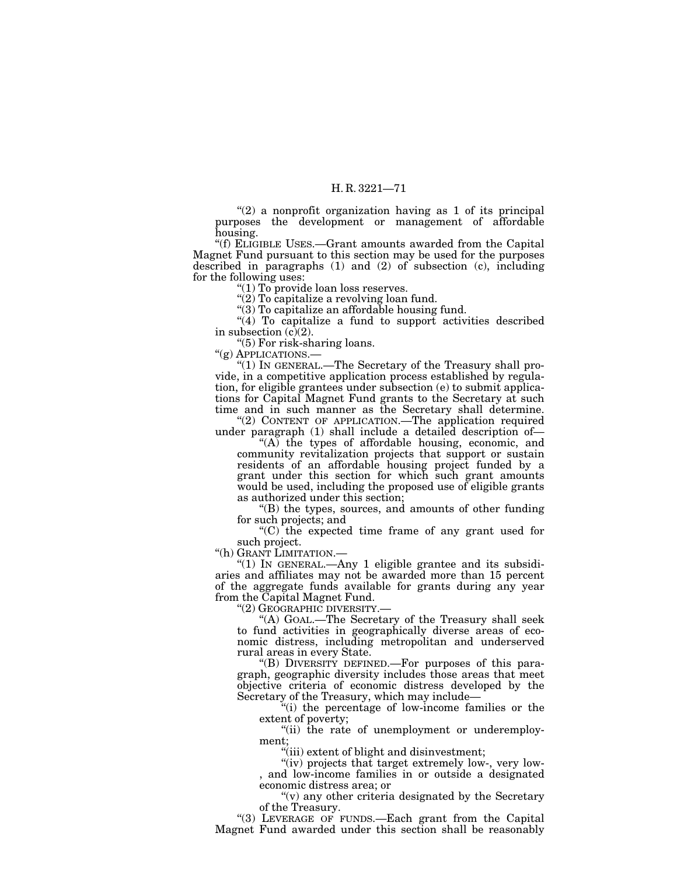" $(2)$  a nonprofit organization having as 1 of its principal purposes the development or management of affordable housing.

''(f) ELIGIBLE USES.—Grant amounts awarded from the Capital Magnet Fund pursuant to this section may be used for the purposes described in paragraphs (1) and (2) of subsection (c), including for the following uses:

''(1) To provide loan loss reserves.

" $(2)$  To capitalize a revolving loan fund.

''(3) To capitalize an affordable housing fund.

 $''(4)$  To capitalize a fund to support activities described in subsection  $(c)(2)$ .

''(5) For risk-sharing loans.

''(g) APPLICATIONS.—

''(1) IN GENERAL.—The Secretary of the Treasury shall provide, in a competitive application process established by regulation, for eligible grantees under subsection (e) to submit applications for Capital Magnet Fund grants to the Secretary at such time and in such manner as the Secretary shall determine.

"(2) CONTENT OF APPLICATION.—The application required under paragraph (1) shall include a detailed description of—

''(A) the types of affordable housing, economic, and community revitalization projects that support or sustain residents of an affordable housing project funded by a grant under this section for which such grant amounts would be used, including the proposed use of eligible grants as authorized under this section;

''(B) the types, sources, and amounts of other funding for such projects; and

 $(C)$  the expected time frame of any grant used for such project.

''(h) GRANT LIMITATION.—

" $(1)$  In GENERAL.—Any 1 eligible grantee and its subsidiaries and affiliates may not be awarded more than 15 percent of the aggregate funds available for grants during any year from the Capital Magnet Fund.

''(2) GEOGRAPHIC DIVERSITY.—

"(A) GOAL.-The Secretary of the Treasury shall seek to fund activities in geographically diverse areas of economic distress, including metropolitan and underserved rural areas in every State.

''(B) DIVERSITY DEFINED.—For purposes of this paragraph, geographic diversity includes those areas that meet objective criteria of economic distress developed by the Secretary of the Treasury, which may include—

''(i) the percentage of low-income families or the extent of poverty;

"(ii) the rate of unemployment or underemployment;

''(iii) extent of blight and disinvestment;

"(iv) projects that target extremely low-, very low-, and low-income families in or outside a designated economic distress area; or

''(v) any other criteria designated by the Secretary of the Treasury.

"(3) LEVERAGE OF FUNDS.—Each grant from the Capital Magnet Fund awarded under this section shall be reasonably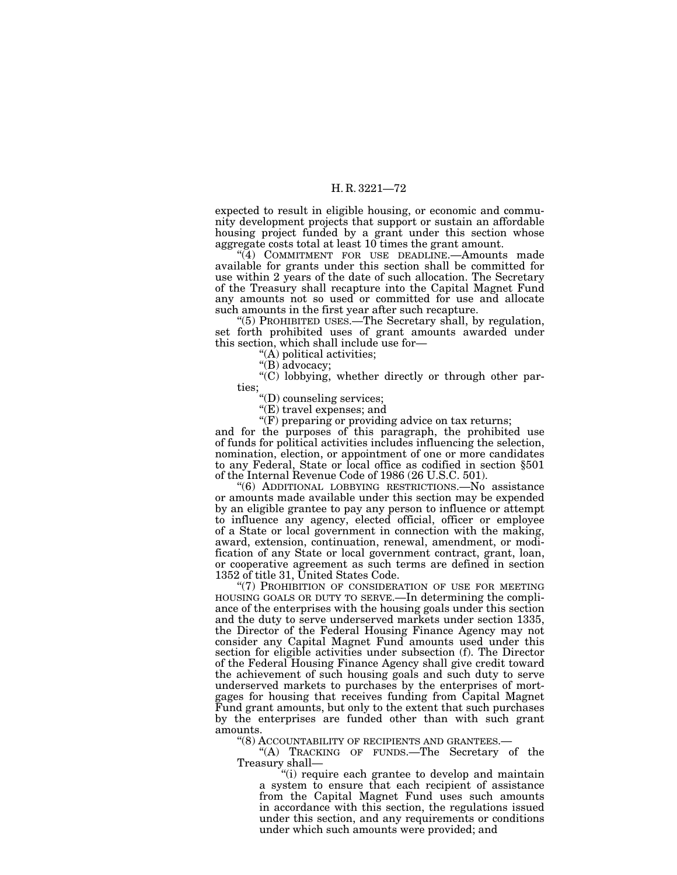expected to result in eligible housing, or economic and community development projects that support or sustain an affordable housing project funded by a grant under this section whose aggregate costs total at least 10 times the grant amount.

''(4) COMMITMENT FOR USE DEADLINE.—Amounts made available for grants under this section shall be committed for use within 2 years of the date of such allocation. The Secretary of the Treasury shall recapture into the Capital Magnet Fund any amounts not so used or committed for use and allocate such amounts in the first year after such recapture.

''(5) PROHIBITED USES.—The Secretary shall, by regulation, set forth prohibited uses of grant amounts awarded under this section, which shall include use for—

''(A) political activities;

"(B) advocacy;

''(C) lobbying, whether directly or through other parties;

''(D) counseling services;

''(E) travel expenses; and

"(F) preparing or providing advice on tax returns;

and for the purposes of this paragraph, the prohibited use of funds for political activities includes influencing the selection, nomination, election, or appointment of one or more candidates to any Federal, State or local office as codified in section §501 of the Internal Revenue Code of 1986 (26 U.S.C. 501).

''(6) ADDITIONAL LOBBYING RESTRICTIONS.—No assistance or amounts made available under this section may be expended by an eligible grantee to pay any person to influence or attempt to influence any agency, elected official, officer or employee of a State or local government in connection with the making, award, extension, continuation, renewal, amendment, or modification of any State or local government contract, grant, loan, or cooperative agreement as such terms are defined in section 1352 of title 31, United States Code.

"(7) PROHIBITION OF CONSIDERATION OF USE FOR MEETING HOUSING GOALS OR DUTY TO SERVE.—In determining the compliance of the enterprises with the housing goals under this section and the duty to serve underserved markets under section 1335, the Director of the Federal Housing Finance Agency may not consider any Capital Magnet Fund amounts used under this section for eligible activities under subsection (f). The Director of the Federal Housing Finance Agency shall give credit toward the achievement of such housing goals and such duty to serve underserved markets to purchases by the enterprises of mortgages for housing that receives funding from Capital Magnet Fund grant amounts, but only to the extent that such purchases by the enterprises are funded other than with such grant amounts.

''(8) ACCOUNTABILITY OF RECIPIENTS AND GRANTEES.—

''(A) TRACKING OF FUNDS.—The Secretary of the Treasury shall—

''(i) require each grantee to develop and maintain a system to ensure that each recipient of assistance from the Capital Magnet Fund uses such amounts in accordance with this section, the regulations issued under this section, and any requirements or conditions under which such amounts were provided; and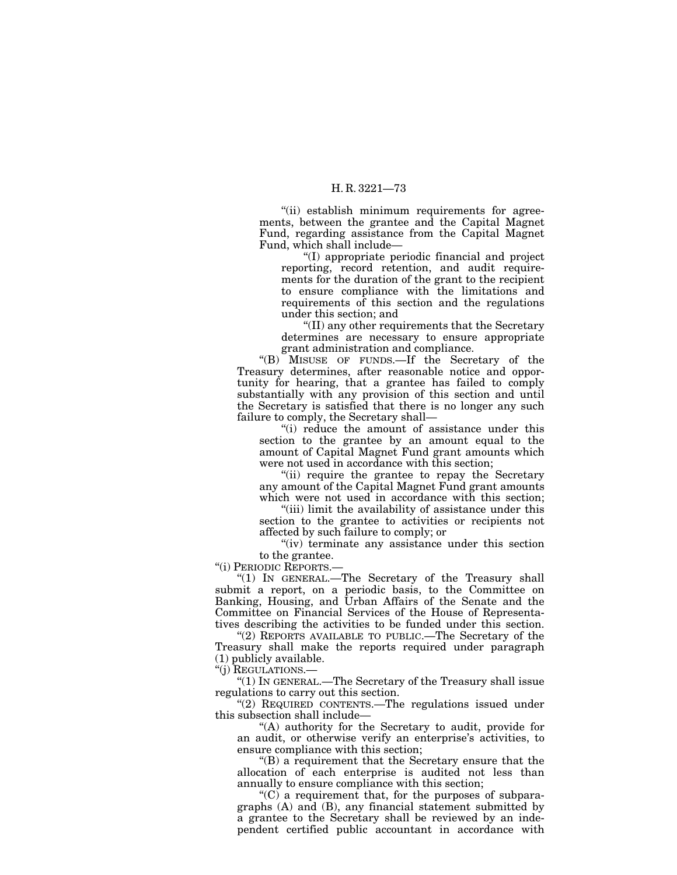''(ii) establish minimum requirements for agreements, between the grantee and the Capital Magnet Fund, regarding assistance from the Capital Magnet Fund, which shall include—

''(I) appropriate periodic financial and project reporting, record retention, and audit requirements for the duration of the grant to the recipient to ensure compliance with the limitations and requirements of this section and the regulations under this section; and

''(II) any other requirements that the Secretary determines are necessary to ensure appropriate grant administration and compliance.

''(B) MISUSE OF FUNDS.—If the Secretary of the Treasury determines, after reasonable notice and opportunity for hearing, that a grantee has failed to comply substantially with any provision of this section and until the Secretary is satisfied that there is no longer any such failure to comply, the Secretary shall—

''(i) reduce the amount of assistance under this section to the grantee by an amount equal to the amount of Capital Magnet Fund grant amounts which were not used in accordance with this section;

''(ii) require the grantee to repay the Secretary any amount of the Capital Magnet Fund grant amounts which were not used in accordance with this section;

"(iii) limit the availability of assistance under this section to the grantee to activities or recipients not affected by such failure to comply; or

"(iv) terminate any assistance under this section to the grantee.

''(i) PERIODIC REPORTS.—

"(1) In GENERAL.—The Secretary of the Treasury shall submit a report, on a periodic basis, to the Committee on Banking, Housing, and Urban Affairs of the Senate and the Committee on Financial Services of the House of Representatives describing the activities to be funded under this section.

"(2) REPORTS AVAILABLE TO PUBLIC.—The Secretary of the Treasury shall make the reports required under paragraph (1) publicly available.

''(j) REGULATIONS.—

''(1) IN GENERAL.—The Secretary of the Treasury shall issue regulations to carry out this section.

"(2) REQUIRED CONTENTS.—The regulations issued under this subsection shall include—

''(A) authority for the Secretary to audit, provide for an audit, or otherwise verify an enterprise's activities, to ensure compliance with this section;

''(B) a requirement that the Secretary ensure that the allocation of each enterprise is audited not less than annually to ensure compliance with this section;

 $C$ ) a requirement that, for the purposes of subparagraphs (A) and (B), any financial statement submitted by a grantee to the Secretary shall be reviewed by an independent certified public accountant in accordance with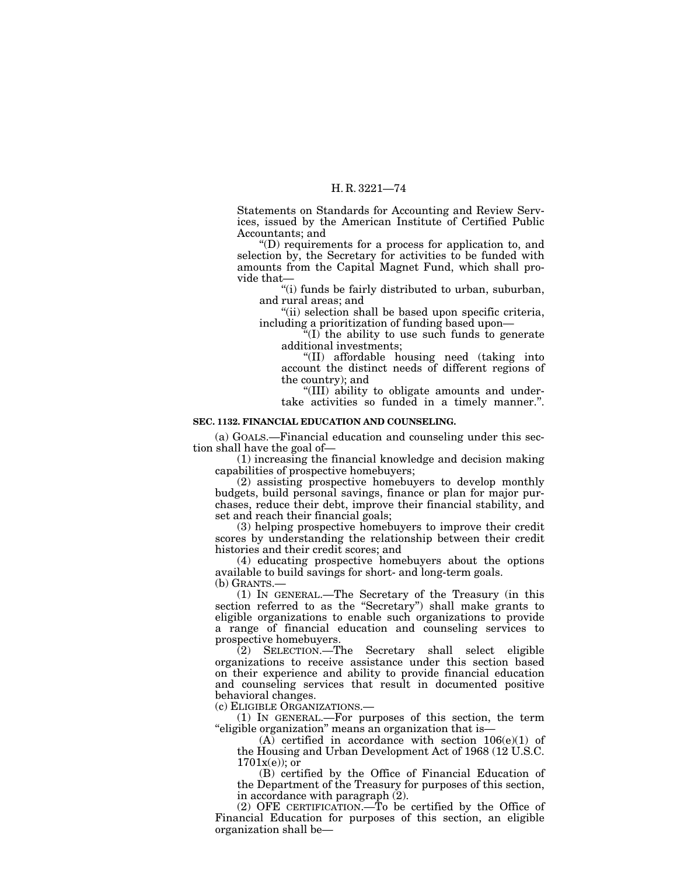Statements on Standards for Accounting and Review Services, issued by the American Institute of Certified Public Accountants; and

''(D) requirements for a process for application to, and selection by, the Secretary for activities to be funded with amounts from the Capital Magnet Fund, which shall provide that—

''(i) funds be fairly distributed to urban, suburban, and rural areas; and

''(ii) selection shall be based upon specific criteria, including a prioritization of funding based upon—

 $\sqrt[4]{(I)}$  the ability to use such funds to generate additional investments;

''(II) affordable housing need (taking into account the distinct needs of different regions of the country); and

''(III) ability to obligate amounts and undertake activities so funded in a timely manner.''.

### **SEC. 1132. FINANCIAL EDUCATION AND COUNSELING.**

(a) GOALS.—Financial education and counseling under this section shall have the goal of—

(1) increasing the financial knowledge and decision making capabilities of prospective homebuyers;

(2) assisting prospective homebuyers to develop monthly budgets, build personal savings, finance or plan for major purchases, reduce their debt, improve their financial stability, and set and reach their financial goals;

(3) helping prospective homebuyers to improve their credit scores by understanding the relationship between their credit histories and their credit scores; and

(4) educating prospective homebuyers about the options available to build savings for short- and long-term goals.

(b) GRANTS.—

(1) IN GENERAL.—The Secretary of the Treasury (in this section referred to as the "Secretary") shall make grants to eligible organizations to enable such organizations to provide a range of financial education and counseling services to prospective homebuyers.

(2) SELECTION.—The Secretary shall select eligible organizations to receive assistance under this section based on their experience and ability to provide financial education and counseling services that result in documented positive behavioral changes.

(c) ELIGIBLE ORGANIZATIONS.—

(1) IN GENERAL.—For purposes of this section, the term ''eligible organization'' means an organization that is—

(A) certified in accordance with section 106(e)(1) of the Housing and Urban Development Act of 1968 (12 U.S.C.  $1701x(e)$ ; or

(B) certified by the Office of Financial Education of the Department of the Treasury for purposes of this section, in accordance with paragraph (2).

(2) OFE CERTIFICATION.—To be certified by the Office of Financial Education for purposes of this section, an eligible organization shall be—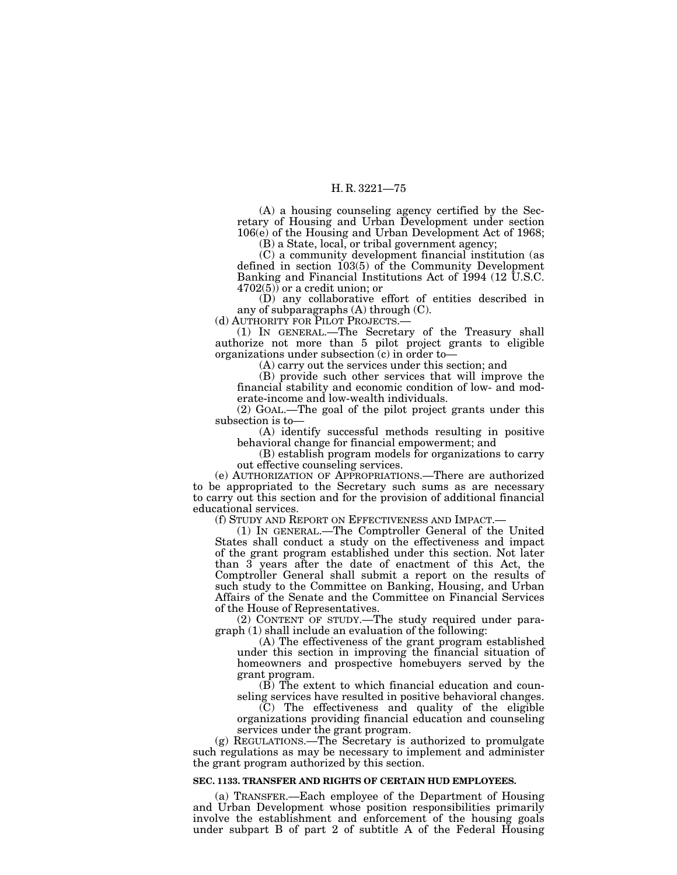(A) a housing counseling agency certified by the Secretary of Housing and Urban Development under section 106(e) of the Housing and Urban Development Act of 1968;

(B) a State, local, or tribal government agency;

(C) a community development financial institution (as defined in section 103(5) of the Community Development Banking and Financial Institutions Act of 1994 (12 U.S.C. 4702(5)) or a credit union; or

(D) any collaborative effort of entities described in any of subparagraphs (A) through (C).

(d) AUTHORITY FOR PILOT PROJECTS.—

(1) IN GENERAL.—The Secretary of the Treasury shall authorize not more than 5 pilot project grants to eligible organizations under subsection (c) in order to—

(A) carry out the services under this section; and

(B) provide such other services that will improve the financial stability and economic condition of low- and moderate-income and low-wealth individuals.

(2) GOAL.—The goal of the pilot project grants under this subsection is to—

(A) identify successful methods resulting in positive behavioral change for financial empowerment; and

(B) establish program models for organizations to carry out effective counseling services.

(e) AUTHORIZATION OF APPROPRIATIONS.—There are authorized to be appropriated to the Secretary such sums as are necessary to carry out this section and for the provision of additional financial educational services.

(f) STUDY AND REPORT ON EFFECTIVENESS AND IMPACT.—

(1) IN GENERAL.—The Comptroller General of the United States shall conduct a study on the effectiveness and impact of the grant program established under this section. Not later than 3 years after the date of enactment of this Act, the Comptroller General shall submit a report on the results of such study to the Committee on Banking, Housing, and Urban Affairs of the Senate and the Committee on Financial Services of the House of Representatives.

(2) CONTENT OF STUDY.—The study required under paragraph (1) shall include an evaluation of the following:

(A) The effectiveness of the grant program established under this section in improving the financial situation of homeowners and prospective homebuyers served by the grant program.

(B) The extent to which financial education and counseling services have resulted in positive behavioral changes.

(C) The effectiveness and quality of the eligible organizations providing financial education and counseling services under the grant program.

(g) REGULATIONS.—The Secretary is authorized to promulgate such regulations as may be necessary to implement and administer the grant program authorized by this section.

#### **SEC. 1133. TRANSFER AND RIGHTS OF CERTAIN HUD EMPLOYEES.**

(a) TRANSFER.—Each employee of the Department of Housing and Urban Development whose position responsibilities primarily involve the establishment and enforcement of the housing goals under subpart B of part 2 of subtitle A of the Federal Housing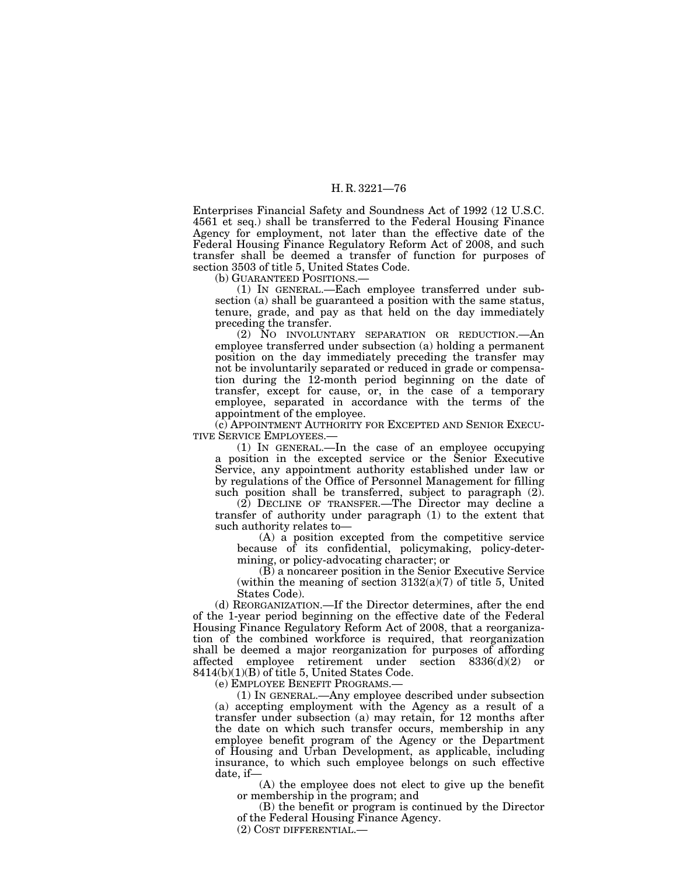Enterprises Financial Safety and Soundness Act of 1992 (12 U.S.C. 4561 et seq.) shall be transferred to the Federal Housing Finance Agency for employment, not later than the effective date of the Federal Housing Finance Regulatory Reform Act of 2008, and such transfer shall be deemed a transfer of function for purposes of section 3503 of title 5, United States Code.

(b) GUARANTEED POSITIONS.—

(1) IN GENERAL.—Each employee transferred under subsection (a) shall be guaranteed a position with the same status, tenure, grade, and pay as that held on the day immediately preceding the transfer.

(2) NO INVOLUNTARY SEPARATION OR REDUCTION.—An employee transferred under subsection (a) holding a permanent position on the day immediately preceding the transfer may not be involuntarily separated or reduced in grade or compensation during the 12-month period beginning on the date of transfer, except for cause, or, in the case of a temporary employee, separated in accordance with the terms of the appointment of the employee.

(c) APPOINTMENT AUTHORITY FOR EXCEPTED AND SENIOR EXECU-TIVE SERVICE EMPLOYEES.—

(1) IN GENERAL.—In the case of an employee occupying a position in the excepted service or the Senior Executive Service, any appointment authority established under law or by regulations of the Office of Personnel Management for filling such position shall be transferred, subject to paragraph (2).

(2) DECLINE OF TRANSFER.—The Director may decline a transfer of authority under paragraph (1) to the extent that such authority relates to—

(A) a position excepted from the competitive service because of its confidential, policymaking, policy-determining, or policy-advocating character; or

(B) a noncareer position in the Senior Executive Service (within the meaning of section  $3132(a)(7)$  of title 5, United States Code).

(d) REORGANIZATION.—If the Director determines, after the end of the 1-year period beginning on the effective date of the Federal Housing Finance Regulatory Reform Act of 2008, that a reorganization of the combined workforce is required, that reorganization shall be deemed a major reorganization for purposes of affording affected employee retirement under section 8336(d)(2) or 8414(b)(1)(B) of title 5, United States Code.

(e) EMPLOYEE BENEFIT PROGRAMS.—

(1) IN GENERAL.—Any employee described under subsection (a) accepting employment with the Agency as a result of a transfer under subsection (a) may retain, for 12 months after the date on which such transfer occurs, membership in any employee benefit program of the Agency or the Department of Housing and Urban Development, as applicable, including insurance, to which such employee belongs on such effective date, if—

(A) the employee does not elect to give up the benefit or membership in the program; and

(B) the benefit or program is continued by the Director of the Federal Housing Finance Agency.

(2) COST DIFFERENTIAL.—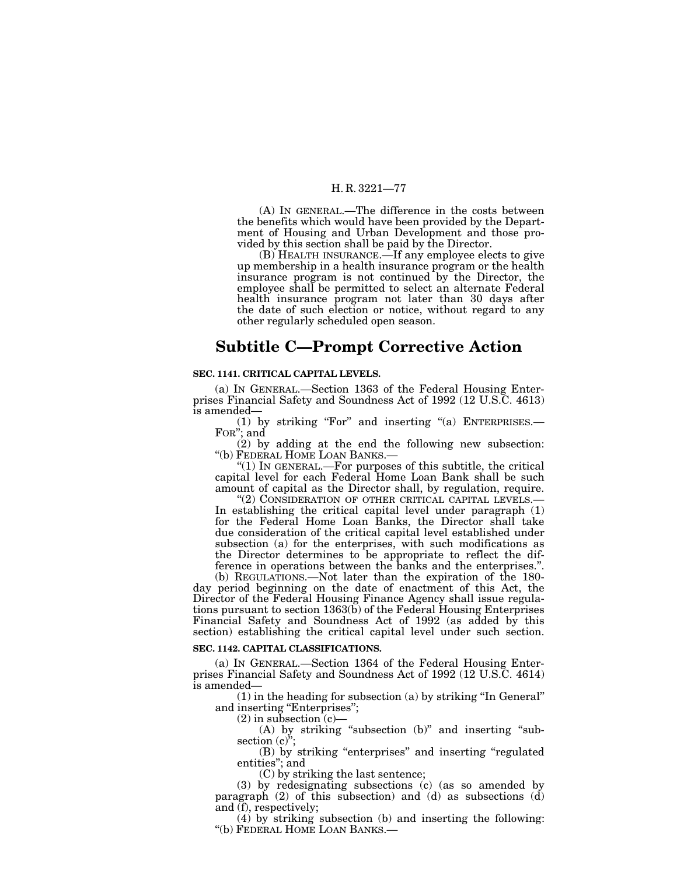(A) IN GENERAL.—The difference in the costs between the benefits which would have been provided by the Department of Housing and Urban Development and those provided by this section shall be paid by the Director.

(B) HEALTH INSURANCE.—If any employee elects to give up membership in a health insurance program or the health insurance program is not continued by the Director, the employee shall be permitted to select an alternate Federal health insurance program not later than 30 days after the date of such election or notice, without regard to any other regularly scheduled open season.

# **Subtitle C—Prompt Corrective Action**

#### **SEC. 1141. CRITICAL CAPITAL LEVELS.**

(a) IN GENERAL.—Section 1363 of the Federal Housing Enterprises Financial Safety and Soundness Act of 1992 (12 U.S.C. 4613) is amended—

(1) by striking "For" and inserting "(a) ENTERPRISES.— FOR"; and

(2) by adding at the end the following new subsection: ''(b) FEDERAL HOME LOAN BANKS.—

''(1) IN GENERAL.—For purposes of this subtitle, the critical capital level for each Federal Home Loan Bank shall be such amount of capital as the Director shall, by regulation, require.

"(2) CONSIDERATION OF OTHER CRITICAL CAPITAL LEVELS.-In establishing the critical capital level under paragraph (1) for the Federal Home Loan Banks, the Director shall take due consideration of the critical capital level established under subsection (a) for the enterprises, with such modifications as the Director determines to be appropriate to reflect the difference in operations between the banks and the enterprises.''.

(b) REGULATIONS.—Not later than the expiration of the 180 day period beginning on the date of enactment of this Act, the Director of the Federal Housing Finance Agency shall issue regulations pursuant to section  $1363(b)$  of the Federal Housing Enterprises Financial Safety and Soundness Act of 1992 (as added by this section) establishing the critical capital level under such section.

#### **SEC. 1142. CAPITAL CLASSIFICATIONS.**

(a) IN GENERAL.—Section 1364 of the Federal Housing Enterprises Financial Safety and Soundness Act of 1992 (12 U.S.C. 4614) is amended—

(1) in the heading for subsection (a) by striking ''In General'' and inserting "Enterprises";

 $(2)$  in subsection  $(c)$ —

 $(A)$  by striking "subsection  $(b)$ " and inserting "subsection (c)";

(B) by striking ''enterprises'' and inserting ''regulated entities''; and

(C) by striking the last sentence;

(3) by redesignating subsections (c) (as so amended by paragraph  $(2)$  of this subsection) and  $(d)$  as subsections  $(d)$ and (f), respectively;

(4) by striking subsection (b) and inserting the following: ''(b) FEDERAL HOME LOAN BANKS.—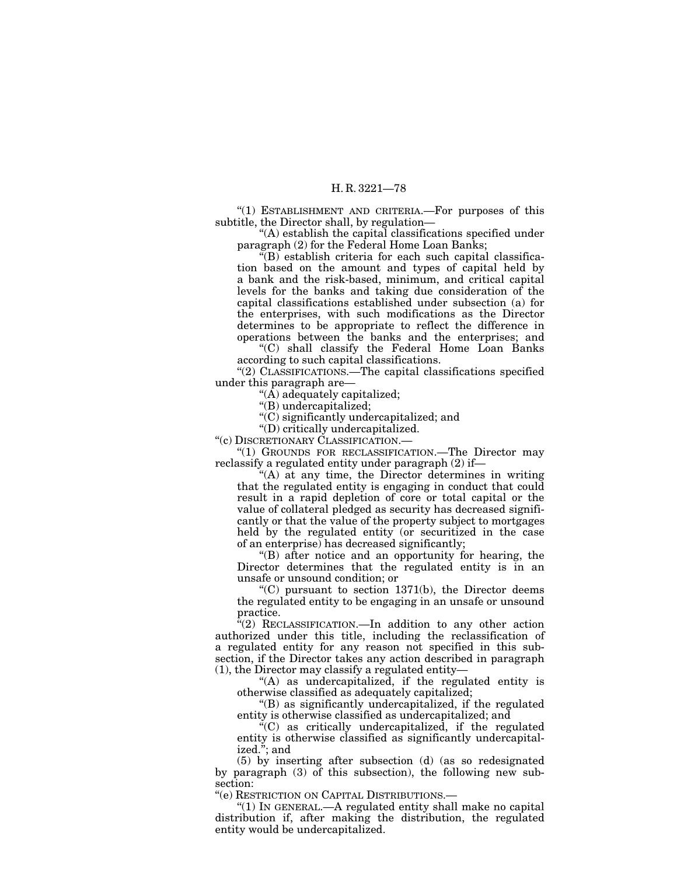"(1) ESTABLISHMENT AND CRITERIA.—For purposes of this subtitle, the Director shall, by regulation—

''(A) establish the capital classifications specified under paragraph (2) for the Federal Home Loan Banks;

 $\sqrt{(\text{B})}$  establish criteria for each such capital classification based on the amount and types of capital held by a bank and the risk-based, minimum, and critical capital levels for the banks and taking due consideration of the capital classifications established under subsection (a) for the enterprises, with such modifications as the Director determines to be appropriate to reflect the difference in operations between the banks and the enterprises; and

''(C) shall classify the Federal Home Loan Banks according to such capital classifications.

''(2) CLASSIFICATIONS.—The capital classifications specified under this paragraph are—

" $(\overline{A})$  adequately capitalized;

''(B) undercapitalized;

''(C) significantly undercapitalized; and

''(D) critically undercapitalized.

''(c) DISCRETIONARY CLASSIFICATION.—

''(1) GROUNDS FOR RECLASSIFICATION.—The Director may reclassify a regulated entity under paragraph (2) if—

''(A) at any time, the Director determines in writing that the regulated entity is engaging in conduct that could result in a rapid depletion of core or total capital or the value of collateral pledged as security has decreased significantly or that the value of the property subject to mortgages held by the regulated entity (or securitized in the case of an enterprise) has decreased significantly;

''(B) after notice and an opportunity for hearing, the Director determines that the regulated entity is in an unsafe or unsound condition; or

 $(C)$  pursuant to section 1371(b), the Director deems the regulated entity to be engaging in an unsafe or unsound practice.

''(2) RECLASSIFICATION.—In addition to any other action authorized under this title, including the reclassification of a regulated entity for any reason not specified in this subsection, if the Director takes any action described in paragraph (1), the Director may classify a regulated entity—

''(A) as undercapitalized, if the regulated entity is otherwise classified as adequately capitalized;

''(B) as significantly undercapitalized, if the regulated entity is otherwise classified as undercapitalized; and

''(C) as critically undercapitalized, if the regulated entity is otherwise classified as significantly undercapitalized.''; and

(5) by inserting after subsection (d) (as so redesignated by paragraph (3) of this subsection), the following new subsection:

''(e) RESTRICTION ON CAPITAL DISTRIBUTIONS.—

''(1) IN GENERAL.—A regulated entity shall make no capital distribution if, after making the distribution, the regulated entity would be undercapitalized.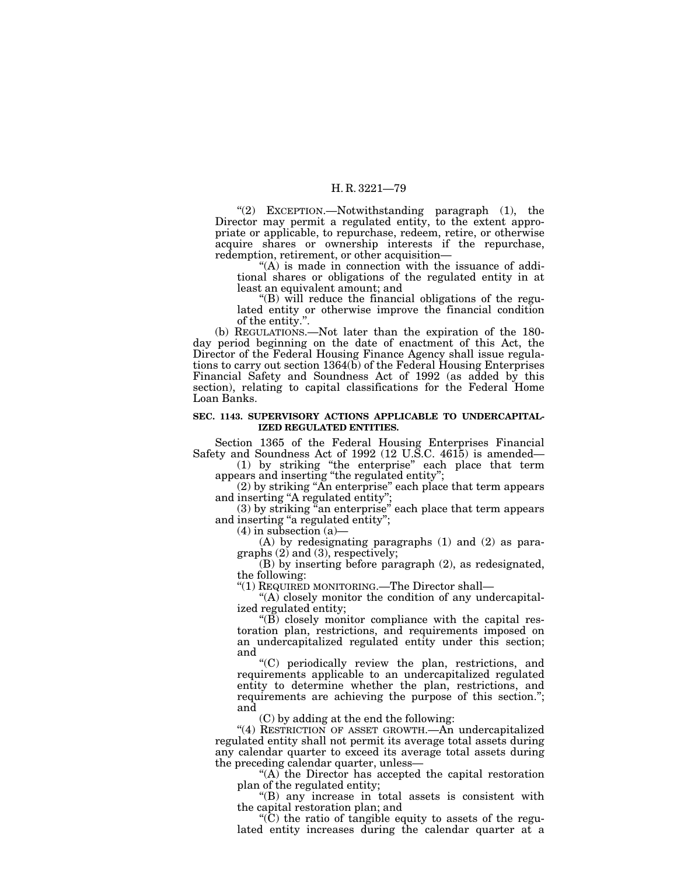''(2) EXCEPTION.—Notwithstanding paragraph (1), the Director may permit a regulated entity, to the extent appropriate or applicable, to repurchase, redeem, retire, or otherwise acquire shares or ownership interests if the repurchase, redemption, retirement, or other acquisition—

"(A) is made in connection with the issuance of additional shares or obligations of the regulated entity in at least an equivalent amount; and

 $\sqrt{\ }$ (B) will reduce the financial obligations of the regulated entity or otherwise improve the financial condition of the entity.''.

(b) REGULATIONS.—Not later than the expiration of the 180 day period beginning on the date of enactment of this Act, the Director of the Federal Housing Finance Agency shall issue regulations to carry out section 1364(b) of the Federal Housing Enterprises Financial Safety and Soundness Act of 1992 (as added by this section), relating to capital classifications for the Federal Home Loan Banks.

#### **SEC. 1143. SUPERVISORY ACTIONS APPLICABLE TO UNDERCAPITAL-IZED REGULATED ENTITIES.**

Section 1365 of the Federal Housing Enterprises Financial Safety and Soundness Act of 1992 (12 U.S.C. 4615) is amended—

(1) by striking ''the enterprise'' each place that term appears and inserting "the regulated entity";

(2) by striking ''An enterprise'' each place that term appears and inserting ''A regulated entity'';

(3) by striking ''an enterprise'' each place that term appears and inserting ''a regulated entity'';

 $(4)$  in subsection  $(a)$ —

(A) by redesignating paragraphs (1) and (2) as paragraphs  $(2)$  and  $(3)$ , respectively;

(B) by inserting before paragraph (2), as redesignated, the following:

''(1) REQUIRED MONITORING.—The Director shall—

''(A) closely monitor the condition of any undercapitalized regulated entity;

 $\sqrt{\widetilde{B}}$  closely monitor compliance with the capital restoration plan, restrictions, and requirements imposed on an undercapitalized regulated entity under this section; and

''(C) periodically review the plan, restrictions, and requirements applicable to an undercapitalized regulated entity to determine whether the plan, restrictions, and requirements are achieving the purpose of this section.''; and

(C) by adding at the end the following:

"(4) RESTRICTION OF ASSET GROWTH.—An undercapitalized regulated entity shall not permit its average total assets during any calendar quarter to exceed its average total assets during the preceding calendar quarter, unless—

 $(A)$  the Director has accepted the capital restoration plan of the regulated entity;

''(B) any increase in total assets is consistent with the capital restoration plan; and

 $(C)$  the ratio of tangible equity to assets of the regulated entity increases during the calendar quarter at a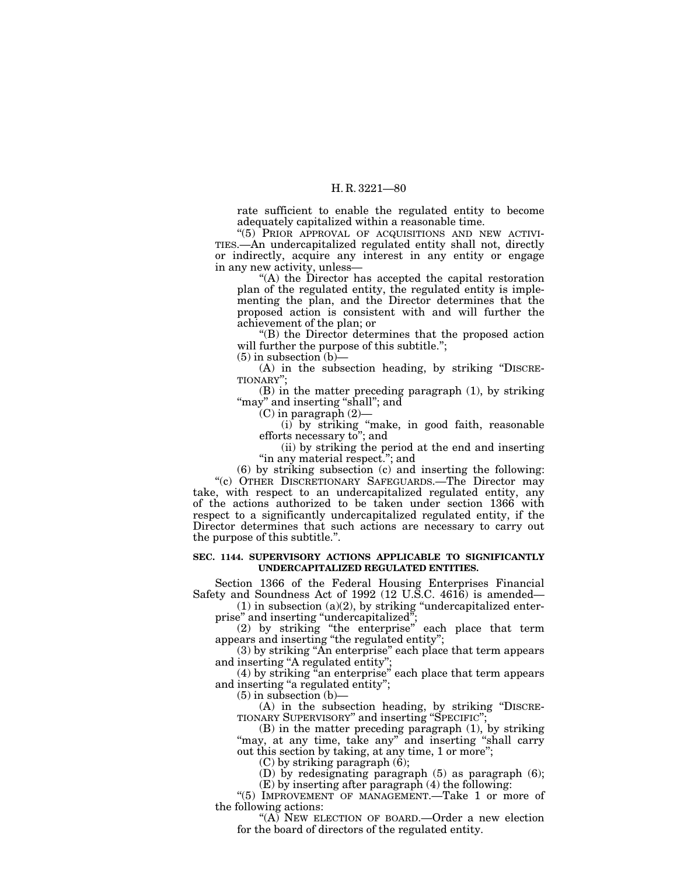rate sufficient to enable the regulated entity to become adequately capitalized within a reasonable time.

''(5) PRIOR APPROVAL OF ACQUISITIONS AND NEW ACTIVI-TIES.—An undercapitalized regulated entity shall not, directly or indirectly, acquire any interest in any entity or engage in any new activity, unless—

''(A) the Director has accepted the capital restoration plan of the regulated entity, the regulated entity is implementing the plan, and the Director determines that the proposed action is consistent with and will further the achievement of the plan; or

''(B) the Director determines that the proposed action will further the purpose of this subtitle.";

 $(5)$  in subsection  $(b)$ —

(A) in the subsection heading, by striking ''DISCRE-TIONARY'';

(B) in the matter preceding paragraph (1), by striking "may" and inserting "shall"; and

 $(C)$  in paragraph  $(2)$ —

(i) by striking ''make, in good faith, reasonable efforts necessary to''; and

(ii) by striking the period at the end and inserting "in any material respect."; and

(6) by striking subsection (c) and inserting the following: ''(c) OTHER DISCRETIONARY SAFEGUARDS.—The Director may

take, with respect to an undercapitalized regulated entity, any of the actions authorized to be taken under section 1366 with respect to a significantly undercapitalized regulated entity, if the Director determines that such actions are necessary to carry out the purpose of this subtitle.''.

#### **SEC. 1144. SUPERVISORY ACTIONS APPLICABLE TO SIGNIFICANTLY UNDERCAPITALIZED REGULATED ENTITIES.**

Section 1366 of the Federal Housing Enterprises Financial Safety and Soundness Act of 1992 (12 U.S.C. 4616) is amended—

 $(1)$  in subsection  $(a)(2)$ , by striking "undercapitalized enterprise'' and inserting ''undercapitalized'';

(2) by striking ''the enterprise'' each place that term appears and inserting ''the regulated entity'';

(3) by striking ''An enterprise'' each place that term appears and inserting ''A regulated entity'';

 $(4)$  by striking "an enterprise" each place that term appears and inserting "a regulated entity";

 $(5)$  in subsection  $(b)$ —

(A) in the subsection heading, by striking ''DISCRE-TIONARY SUPERVISORY'' and inserting ''SPECIFIC'';

(B) in the matter preceding paragraph  $(1)$ , by striking "may, at any time, take any" and inserting "shall carry out this section by taking, at any time, 1 or more'';

(C) by striking paragraph (6);

(D) by redesignating paragraph (5) as paragraph (6);

(E) by inserting after paragraph (4) the following:

"(5) IMPROVEMENT OF MANAGEMENT.—Take 1 or more of the following actions:

" $(A)$  NEW ELECTION OF BOARD.—Order a new election for the board of directors of the regulated entity.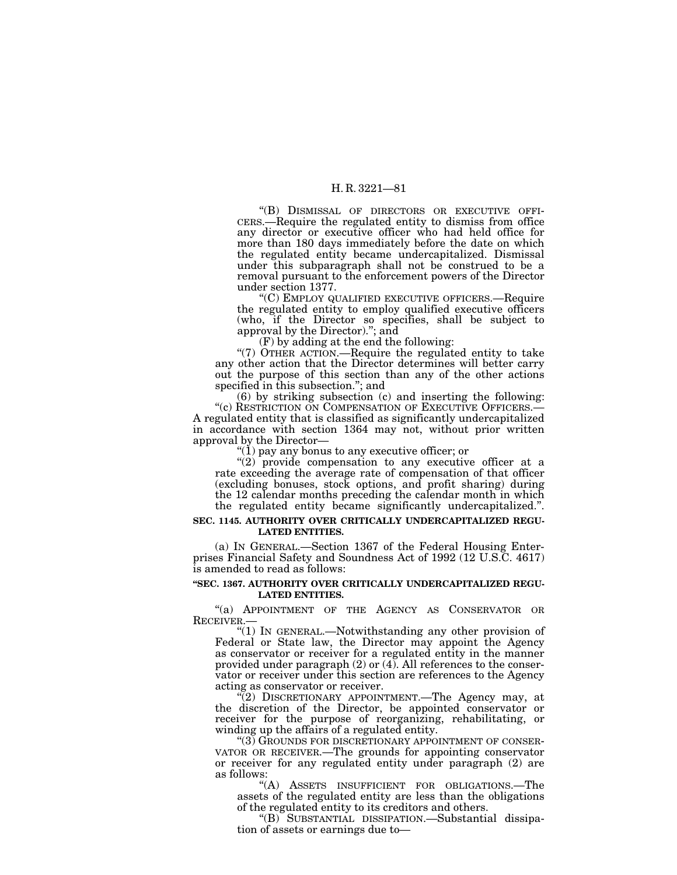''(B) DISMISSAL OF DIRECTORS OR EXECUTIVE OFFI- CERS.—Require the regulated entity to dismiss from office any director or executive officer who had held office for more than 180 days immediately before the date on which the regulated entity became undercapitalized. Dismissal under this subparagraph shall not be construed to be a removal pursuant to the enforcement powers of the Director under section 1377.

''(C) EMPLOY QUALIFIED EXECUTIVE OFFICERS.—Require the regulated entity to employ qualified executive officers (who, if the Director so specifies, shall be subject to approval by the Director).''; and

(F) by adding at the end the following:

"(7) OTHER ACTION.—Require the regulated entity to take any other action that the Director determines will better carry out the purpose of this section than any of the other actions specified in this subsection.''; and

 $(6)$  by striking subsection (c) and inserting the following:  $(6)$  RESTRICTION ON COMPENSATION OF EXECUTIVE OFFICERS. A regulated entity that is classified as significantly undercapitalized in accordance with section 1364 may not, without prior written approval by the Director—

" $(1)$  pay any bonus to any executive officer; or

"(2) provide compensation to any executive officer at a rate exceeding the average rate of compensation of that officer (excluding bonuses, stock options, and profit sharing) during the 12 calendar months preceding the calendar month in which the regulated entity became significantly undercapitalized.''.

#### **SEC. 1145. AUTHORITY OVER CRITICALLY UNDERCAPITALIZED REGU-LATED ENTITIES.**

(a) IN GENERAL.—Section 1367 of the Federal Housing Enterprises Financial Safety and Soundness Act of 1992 (12 U.S.C. 4617) is amended to read as follows:

#### **''SEC. 1367. AUTHORITY OVER CRITICALLY UNDERCAPITALIZED REGU-LATED ENTITIES.**

''(a) APPOINTMENT OF THE AGENCY AS CONSERVATOR OR RECEIVER.—

''(1) IN GENERAL.—Notwithstanding any other provision of Federal or State law, the Director may appoint the Agency as conservator or receiver for a regulated entity in the manner provided under paragraph  $(2)$  or  $(4)$ . All references to the conservator or receiver under this section are references to the Agency acting as conservator or receiver.

"(2) DISCRETIONARY APPOINTMENT.—The Agency may, at the discretion of the Director, be appointed conservator or receiver for the purpose of reorganizing, rehabilitating, or winding up the affairs of a regulated entity.

"(3) GROUNDS FOR DISCRETIONARY APPOINTMENT OF CONSER-VATOR OR RECEIVER.—The grounds for appointing conservator or receiver for any regulated entity under paragraph (2) are as follows:

''(A) ASSETS INSUFFICIENT FOR OBLIGATIONS.—The assets of the regulated entity are less than the obligations of the regulated entity to its creditors and others.

''(B) SUBSTANTIAL DISSIPATION.—Substantial dissipation of assets or earnings due to—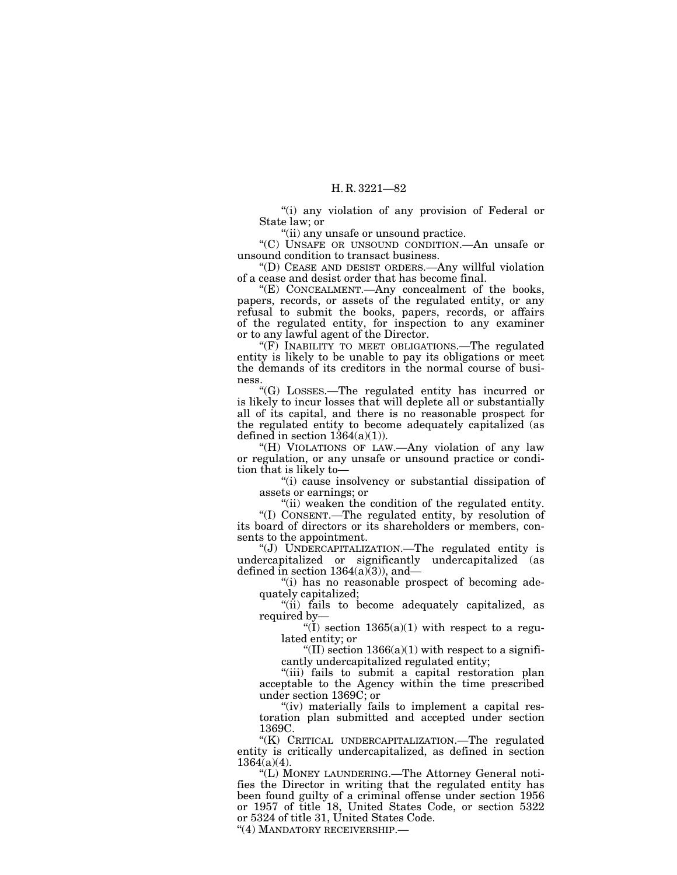''(i) any violation of any provision of Federal or State law; or

''(ii) any unsafe or unsound practice.

''(C) UNSAFE OR UNSOUND CONDITION.—An unsafe or unsound condition to transact business.

''(D) CEASE AND DESIST ORDERS.—Any willful violation of a cease and desist order that has become final.

''(E) CONCEALMENT.—Any concealment of the books, papers, records, or assets of the regulated entity, or any refusal to submit the books, papers, records, or affairs of the regulated entity, for inspection to any examiner or to any lawful agent of the Director.

"(F) INABILITY TO MEET OBLIGATIONS.—The regulated entity is likely to be unable to pay its obligations or meet the demands of its creditors in the normal course of business.

''(G) LOSSES.—The regulated entity has incurred or is likely to incur losses that will deplete all or substantially all of its capital, and there is no reasonable prospect for the regulated entity to become adequately capitalized (as defined in section  $1\overline{3}64(a)(1)$ ).

''(H) VIOLATIONS OF LAW.—Any violation of any law or regulation, or any unsafe or unsound practice or condition that is likely to—

''(i) cause insolvency or substantial dissipation of assets or earnings; or

"(ii) weaken the condition of the regulated entity.

''(I) CONSENT.—The regulated entity, by resolution of its board of directors or its shareholders or members, consents to the appointment.

''(J) UNDERCAPITALIZATION.—The regulated entity is undercapitalized or significantly undercapitalized (as defined in section  $1364(a)(3)$ , and-

''(i) has no reasonable prospect of becoming adequately capitalized;

"(ii) fails to become adequately capitalized, as required by—

"(I) section  $1365(a)(1)$  with respect to a regulated entity; or

"(II) section  $1366(a)(1)$  with respect to a significantly undercapitalized regulated entity;

"(iii) fails to submit a capital restoration plan acceptable to the Agency within the time prescribed under section 1369C; or

"(iv) materially fails to implement a capital restoration plan submitted and accepted under section 1369C.

"(K) CRITICAL UNDERCAPITALIZATION.—The regulated entity is critically undercapitalized, as defined in section  $1364(a)(4)$ .

''(L) MONEY LAUNDERING.—The Attorney General notifies the Director in writing that the regulated entity has been found guilty of a criminal offense under section 1956 or 1957 of title 18, United States Code, or section 5322 or 5324 of title 31, United States Code.

''(4) MANDATORY RECEIVERSHIP.—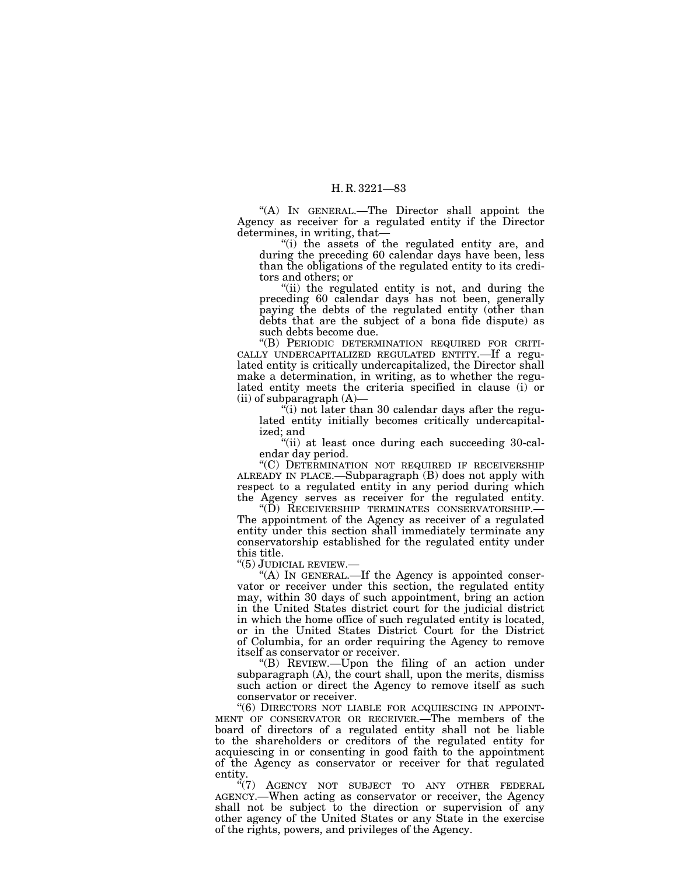''(A) IN GENERAL.—The Director shall appoint the Agency as receiver for a regulated entity if the Director determines, in writing, that—

''(i) the assets of the regulated entity are, and during the preceding 60 calendar days have been, less than the obligations of the regulated entity to its creditors and others; or

''(ii) the regulated entity is not, and during the preceding 60 calendar days has not been, generally paying the debts of the regulated entity (other than debts that are the subject of a bona fide dispute) as such debts become due.

''(B) PERIODIC DETERMINATION REQUIRED FOR CRITI-CALLY UNDERCAPITALIZED REGULATED ENTITY.—If a regulated entity is critically undercapitalized, the Director shall make a determination, in writing, as to whether the regulated entity meets the criteria specified in clause (i) or  $(ii)$  of subparagraph  $(A)$ —

''(i) not later than 30 calendar days after the regulated entity initially becomes critically undercapitalized; and

''(ii) at least once during each succeeding 30-calendar day period.

''(C) DETERMINATION NOT REQUIRED IF RECEIVERSHIP ALREADY IN PLACE.—Subparagraph (B) does not apply with respect to a regulated entity in any period during which the Agency serves as receiver for the regulated entity.

''(D) RECEIVERSHIP TERMINATES CONSERVATORSHIP.— The appointment of the Agency as receiver of a regulated entity under this section shall immediately terminate any conservatorship established for the regulated entity under this title.

''(5) JUDICIAL REVIEW.—

''(A) IN GENERAL.—If the Agency is appointed conservator or receiver under this section, the regulated entity may, within 30 days of such appointment, bring an action in the United States district court for the judicial district in which the home office of such regulated entity is located, or in the United States District Court for the District of Columbia, for an order requiring the Agency to remove itself as conservator or receiver.

''(B) REVIEW.—Upon the filing of an action under subparagraph (A), the court shall, upon the merits, dismiss such action or direct the Agency to remove itself as such conservator or receiver.

"(6) DIRECTORS NOT LIABLE FOR ACQUIESCING IN APPOINT-MENT OF CONSERVATOR OR RECEIVER.—The members of the board of directors of a regulated entity shall not be liable to the shareholders or creditors of the regulated entity for acquiescing in or consenting in good faith to the appointment of the Agency as conservator or receiver for that regulated entity.

"(7) AGENCY NOT SUBJECT TO ANY OTHER FEDERAL AGENCY.—When acting as conservator or receiver, the Agency shall not be subject to the direction or supervision of any other agency of the United States or any State in the exercise of the rights, powers, and privileges of the Agency.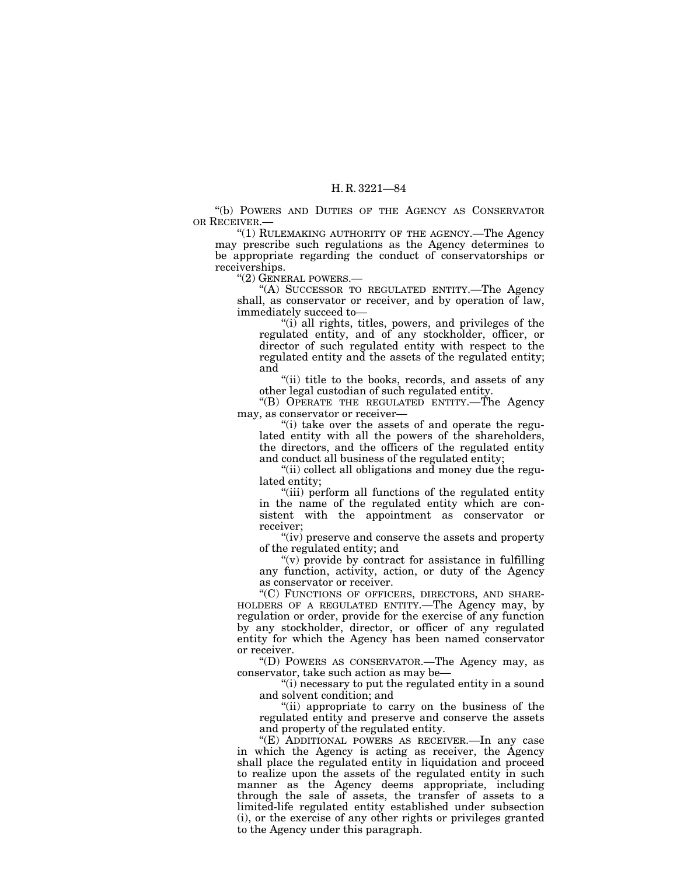''(b) POWERS AND DUTIES OF THE AGENCY AS CONSERVATOR OR RECEIVER.—

"(1) RULEMAKING AUTHORITY OF THE AGENCY.—The Agency may prescribe such regulations as the Agency determines to be appropriate regarding the conduct of conservatorships or receiverships.

''(2) GENERAL POWERS.—

''(A) SUCCESSOR TO REGULATED ENTITY.—The Agency shall, as conservator or receiver, and by operation of law, immediately succeed to—

''(i) all rights, titles, powers, and privileges of the regulated entity, and of any stockholder, officer, or director of such regulated entity with respect to the regulated entity and the assets of the regulated entity; and

''(ii) title to the books, records, and assets of any other legal custodian of such regulated entity.

''(B) OPERATE THE REGULATED ENTITY.—The Agency may, as conservator or receiver—

''(i) take over the assets of and operate the regulated entity with all the powers of the shareholders, the directors, and the officers of the regulated entity and conduct all business of the regulated entity;

''(ii) collect all obligations and money due the regulated entity;

''(iii) perform all functions of the regulated entity in the name of the regulated entity which are consistent with the appointment as conservator or receiver;

"(iv) preserve and conserve the assets and property of the regulated entity; and

 $''(v)$  provide by contract for assistance in fulfilling any function, activity, action, or duty of the Agency as conservator or receiver.

''(C) FUNCTIONS OF OFFICERS, DIRECTORS, AND SHARE-HOLDERS OF A REGULATED ENTITY.—The Agency may, by regulation or order, provide for the exercise of any function by any stockholder, director, or officer of any regulated entity for which the Agency has been named conservator or receiver.

''(D) POWERS AS CONSERVATOR.—The Agency may, as conservator, take such action as may be—

''(i) necessary to put the regulated entity in a sound and solvent condition; and

"(ii) appropriate to carry on the business of the regulated entity and preserve and conserve the assets and property of the regulated entity.

''(E) ADDITIONAL POWERS AS RECEIVER.—In any case in which the Agency is acting as receiver, the Agency shall place the regulated entity in liquidation and proceed to realize upon the assets of the regulated entity in such manner as the Agency deems appropriate, including through the sale of assets, the transfer of assets to a limited-life regulated entity established under subsection (i), or the exercise of any other rights or privileges granted to the Agency under this paragraph.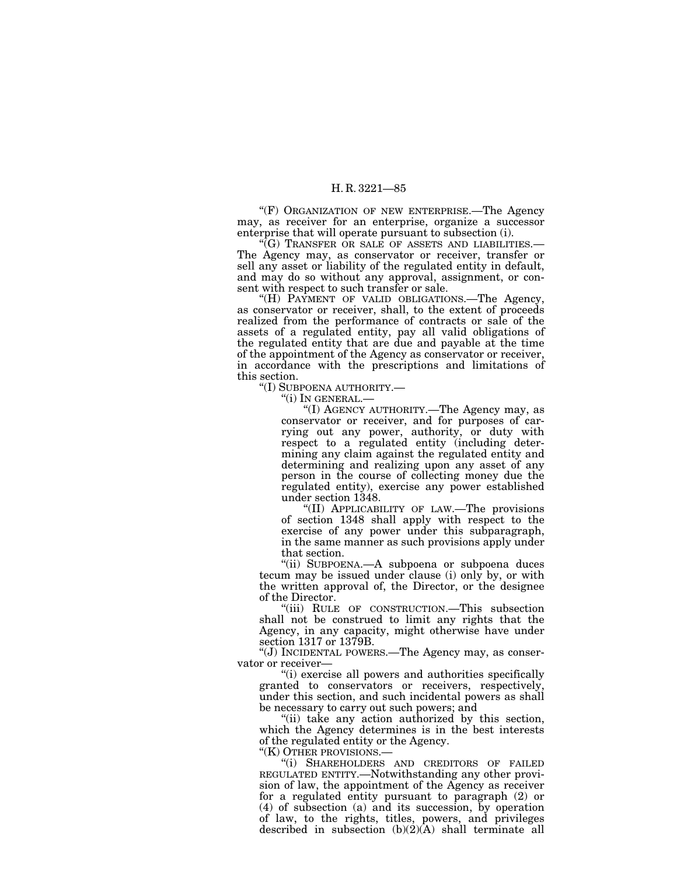''(F) ORGANIZATION OF NEW ENTERPRISE.—The Agency may, as receiver for an enterprise, organize a successor enterprise that will operate pursuant to subsection (i).

''(G) TRANSFER OR SALE OF ASSETS AND LIABILITIES.— The Agency may, as conservator or receiver, transfer or sell any asset or liability of the regulated entity in default, and may do so without any approval, assignment, or consent with respect to such transfer or sale.

"(H) PAYMENT OF VALID OBLIGATIONS.—The Agency, as conservator or receiver, shall, to the extent of proceeds realized from the performance of contracts or sale of the assets of a regulated entity, pay all valid obligations of the regulated entity that are due and payable at the time of the appointment of the Agency as conservator or receiver, in accordance with the prescriptions and limitations of this section.

''(I) SUBPOENA AUTHORITY.—

''(i) IN GENERAL.—

''(I) AGENCY AUTHORITY.—The Agency may, as conservator or receiver, and for purposes of carrying out any power, authority, or duty with respect to a regulated entity (including determining any claim against the regulated entity and determining and realizing upon any asset of any person in the course of collecting money due the regulated entity), exercise any power established under section 1348.

''(II) APPLICABILITY OF LAW.—The provisions of section 1348 shall apply with respect to the exercise of any power under this subparagraph, in the same manner as such provisions apply under that section.

''(ii) SUBPOENA.—A subpoena or subpoena duces tecum may be issued under clause (i) only by, or with the written approval of, the Director, or the designee of the Director.

''(iii) RULE OF CONSTRUCTION.—This subsection shall not be construed to limit any rights that the Agency, in any capacity, might otherwise have under section 1317 or 1379B.

''(J) INCIDENTAL POWERS.—The Agency may, as conservator or receiver—

''(i) exercise all powers and authorities specifically granted to conservators or receivers, respectively, under this section, and such incidental powers as shall be necessary to carry out such powers; and

''(ii) take any action authorized by this section, which the Agency determines is in the best interests of the regulated entity or the Agency.

''(K) OTHER PROVISIONS.—

''(i) SHAREHOLDERS AND CREDITORS OF FAILED REGULATED ENTITY.—Notwithstanding any other provision of law, the appointment of the Agency as receiver for a regulated entity pursuant to paragraph (2) or (4) of subsection (a) and its succession, by operation of law, to the rights, titles, powers, and privileges described in subsection (b)(2)(A) shall terminate all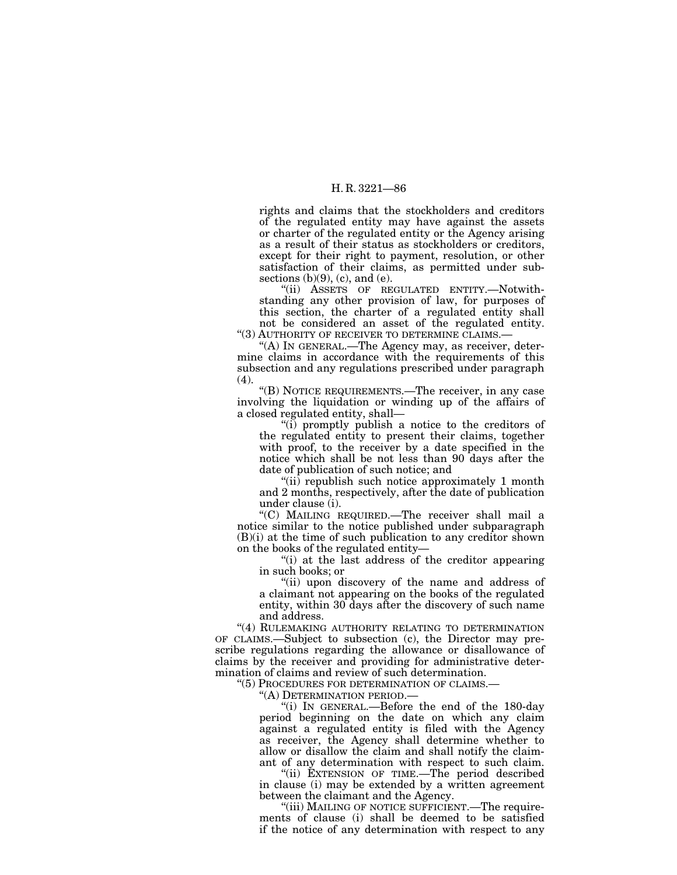rights and claims that the stockholders and creditors of the regulated entity may have against the assets or charter of the regulated entity or the Agency arising as a result of their status as stockholders or creditors, except for their right to payment, resolution, or other satisfaction of their claims, as permitted under subsections  $(b)(9)$ ,  $(c)$ , and  $(e)$ .

"(ii) ASSETS OF REGULATED ENTITY.-Notwithstanding any other provision of law, for purposes of this section, the charter of a regulated entity shall not be considered an asset of the regulated entity. ''(3) AUTHORITY OF RECEIVER TO DETERMINE CLAIMS.—

''(A) IN GENERAL.—The Agency may, as receiver, determine claims in accordance with the requirements of this subsection and any regulations prescribed under paragraph (4).

''(B) NOTICE REQUIREMENTS.—The receiver, in any case involving the liquidation or winding up of the affairs of a closed regulated entity, shall—

''(i) promptly publish a notice to the creditors of the regulated entity to present their claims, together with proof, to the receiver by a date specified in the notice which shall be not less than 90 days after the date of publication of such notice; and

 $\lim_{h \to 0}$  republish such notice approximately 1 month and 2 months, respectively, after the date of publication under clause (i).

''(C) MAILING REQUIRED.—The receiver shall mail a notice similar to the notice published under subparagraph (B)(i) at the time of such publication to any creditor shown on the books of the regulated entity—

''(i) at the last address of the creditor appearing in such books; or

"(ii) upon discovery of the name and address of a claimant not appearing on the books of the regulated entity, within 30 days after the discovery of such name and address.

"(4) RULEMAKING AUTHORITY RELATING TO DETERMINATION OF CLAIMS.—Subject to subsection (c), the Director may prescribe regulations regarding the allowance or disallowance of claims by the receiver and providing for administrative determination of claims and review of such determination.

''(5) PROCEDURES FOR DETERMINATION OF CLAIMS.—

''(A) DETERMINATION PERIOD.—

''(i) IN GENERAL.—Before the end of the 180-day period beginning on the date on which any claim against a regulated entity is filed with the Agency as receiver, the Agency shall determine whether to allow or disallow the claim and shall notify the claimant of any determination with respect to such claim.

''(ii) EXTENSION OF TIME.—The period described in clause (i) may be extended by a written agreement between the claimant and the Agency.

"(iii) MAILING OF NOTICE SUFFICIENT.—The requirements of clause (i) shall be deemed to be satisfied if the notice of any determination with respect to any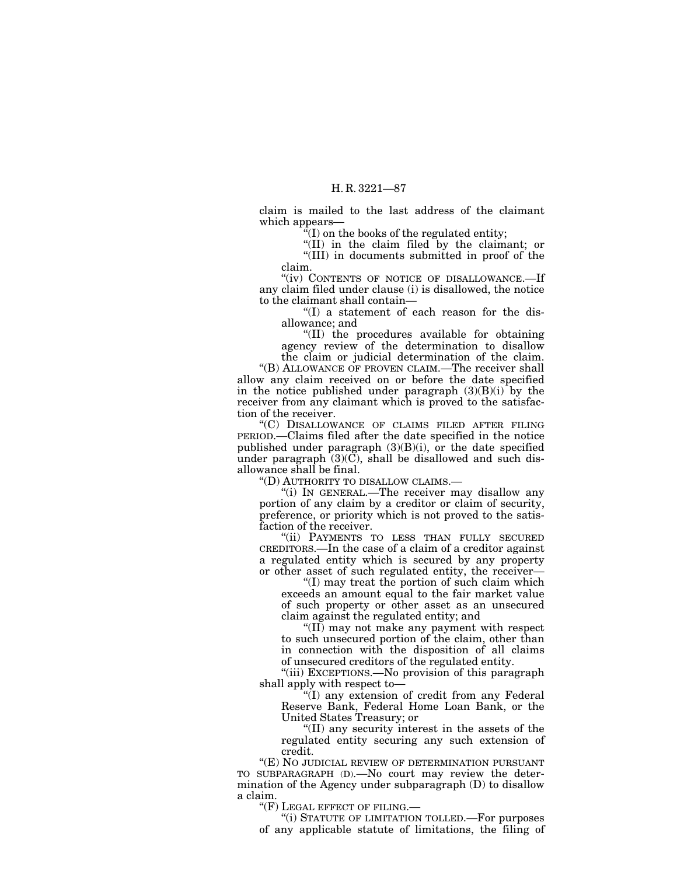claim is mailed to the last address of the claimant which appears—

 $\sqrt[\alpha]{(I)}$  on the books of the regulated entity;

''(II) in the claim filed by the claimant; or ''(III) in documents submitted in proof of the

claim. "(iv) CONTENTS OF NOTICE OF DISALLOWANCE.—If any claim filed under clause (i) is disallowed, the notice to the claimant shall contain—

''(I) a statement of each reason for the disallowance; and

''(II) the procedures available for obtaining agency review of the determination to disallow the claim or judicial determination of the claim.

"(B) ALLOWANCE OF PROVEN CLAIM.—The receiver shall allow any claim received on or before the date specified in the notice published under paragraph  $(3)(B)(i)$  by the receiver from any claimant which is proved to the satisfaction of the receiver.

''(C) DISALLOWANCE OF CLAIMS FILED AFTER FILING PERIOD.—Claims filed after the date specified in the notice published under paragraph  $(3)(B)(i)$ , or the date specified under paragraph  $(3)(\overrightarrow{C})$ , shall be disallowed and such disallowance shall be final.

''(D) AUTHORITY TO DISALLOW CLAIMS.—

''(i) IN GENERAL.—The receiver may disallow any portion of any claim by a creditor or claim of security, preference, or priority which is not proved to the satisfaction of the receiver.

"(ii) PAYMENTS TO LESS THAN FULLY SECURED CREDITORS.—In the case of a claim of a creditor against a regulated entity which is secured by any property or other asset of such regulated entity, the receiver—

''(I) may treat the portion of such claim which exceeds an amount equal to the fair market value of such property or other asset as an unsecured claim against the regulated entity; and

''(II) may not make any payment with respect to such unsecured portion of the claim, other than in connection with the disposition of all claims of unsecured creditors of the regulated entity.

''(iii) EXCEPTIONS.—No provision of this paragraph shall apply with respect to—

''(I) any extension of credit from any Federal Reserve Bank, Federal Home Loan Bank, or the United States Treasury; or

''(II) any security interest in the assets of the regulated entity securing any such extension of credit.

''(E) NO JUDICIAL REVIEW OF DETERMINATION PURSUANT TO SUBPARAGRAPH (D).—No court may review the determination of the Agency under subparagraph (D) to disallow a claim.

''(F) LEGAL EFFECT OF FILING.—

''(i) STATUTE OF LIMITATION TOLLED.—For purposes of any applicable statute of limitations, the filing of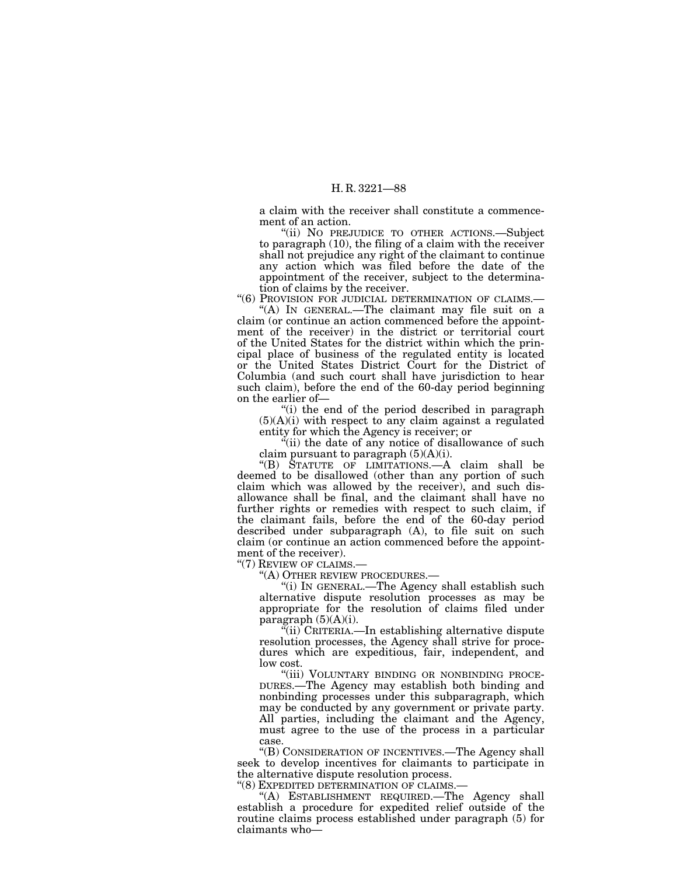a claim with the receiver shall constitute a commencement of an action.

''(ii) NO PREJUDICE TO OTHER ACTIONS.—Subject to paragraph (10), the filing of a claim with the receiver shall not prejudice any right of the claimant to continue any action which was filed before the date of the appointment of the receiver, subject to the determination of claims by the receiver.

''(6) PROVISION FOR JUDICIAL DETERMINATION OF CLAIMS.—

''(A) IN GENERAL.—The claimant may file suit on a claim (or continue an action commenced before the appointment of the receiver) in the district or territorial court of the United States for the district within which the principal place of business of the regulated entity is located or the United States District Court for the District of Columbia (and such court shall have jurisdiction to hear such claim), before the end of the 60-day period beginning on the earlier of—

''(i) the end of the period described in paragraph  $(5)(A)(i)$  with respect to any claim against a regulated entity for which the Agency is receiver; or

"(ii) the date of any notice of disallowance of such claim pursuant to paragraph  $(5)(A)(i)$ .

''(B) STATUTE OF LIMITATIONS.—A claim shall be deemed to be disallowed (other than any portion of such claim which was allowed by the receiver), and such disallowance shall be final, and the claimant shall have no further rights or remedies with respect to such claim, if the claimant fails, before the end of the 60-day period described under subparagraph (A), to file suit on such claim (or continue an action commenced before the appointment of the receiver).

"(7) REVIEW OF CLAIMS.-

''(A) OTHER REVIEW PROCEDURES.—

''(i) IN GENERAL.—The Agency shall establish such alternative dispute resolution processes as may be appropriate for the resolution of claims filed under paragraph  $(5)(A)(i)$ .

 $\tilde{f}$ (ii) CRITERIA.—In establishing alternative dispute resolution processes, the Agency shall strive for procedures which are expeditious, fair, independent, and low cost.

''(iii) VOLUNTARY BINDING OR NONBINDING PROCE-DURES.—The Agency may establish both binding and nonbinding processes under this subparagraph, which may be conducted by any government or private party. All parties, including the claimant and the Agency, must agree to the use of the process in a particular case.

''(B) CONSIDERATION OF INCENTIVES.—The Agency shall seek to develop incentives for claimants to participate in the alternative dispute resolution process.

''(8) EXPEDITED DETERMINATION OF CLAIMS.—

''(A) ESTABLISHMENT REQUIRED.—The Agency shall establish a procedure for expedited relief outside of the routine claims process established under paragraph (5) for claimants who—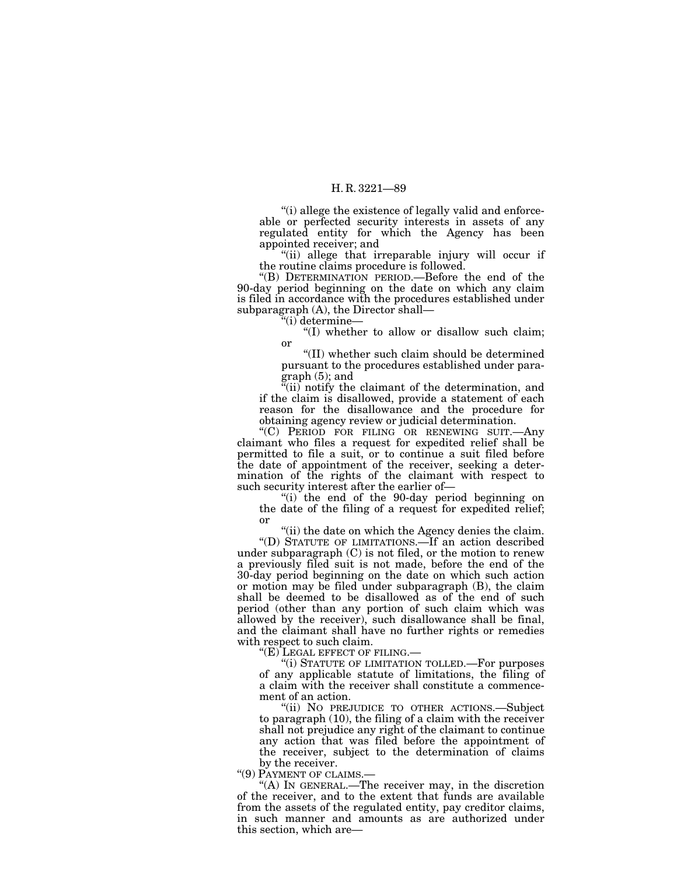''(i) allege the existence of legally valid and enforceable or perfected security interests in assets of any regulated entity for which the Agency has been appointed receiver; and

"(ii) allege that irreparable injury will occur if the routine claims procedure is followed.

''(B) DETERMINATION PERIOD.—Before the end of the 90-day period beginning on the date on which any claim is filed in accordance with the procedures established under subparagraph (A), the Director shall—

''(i) determine—

''(I) whether to allow or disallow such claim; or

''(II) whether such claim should be determined pursuant to the procedures established under paragraph (5); and

''(ii) notify the claimant of the determination, and if the claim is disallowed, provide a statement of each reason for the disallowance and the procedure for obtaining agency review or judicial determination.

''(C) PERIOD FOR FILING OR RENEWING SUIT.—Any claimant who files a request for expedited relief shall be permitted to file a suit, or to continue a suit filed before the date of appointment of the receiver, seeking a determination of the rights of the claimant with respect to such security interest after the earlier of—

''(i) the end of the 90-day period beginning on the date of the filing of a request for expedited relief; or

"(ii) the date on which the Agency denies the claim.

''(D) STATUTE OF LIMITATIONS.—If an action described under subparagraph (C) is not filed, or the motion to renew a previously filed suit is not made, before the end of the 30-day period beginning on the date on which such action or motion may be filed under subparagraph (B), the claim shall be deemed to be disallowed as of the end of such period (other than any portion of such claim which was allowed by the receiver), such disallowance shall be final, and the claimant shall have no further rights or remedies with respect to such claim.

''(E) LEGAL EFFECT OF FILING.—

''(i) STATUTE OF LIMITATION TOLLED.—For purposes of any applicable statute of limitations, the filing of a claim with the receiver shall constitute a commencement of an action.

''(ii) NO PREJUDICE TO OTHER ACTIONS.—Subject to paragraph (10), the filing of a claim with the receiver shall not prejudice any right of the claimant to continue any action that was filed before the appointment of the receiver, subject to the determination of claims

by the receiver.<br>"(9) PAYMENT OF CLAIMS.-

"(A) IN GENERAL.—The receiver may, in the discretion of the receiver, and to the extent that funds are available from the assets of the regulated entity, pay creditor claims, in such manner and amounts as are authorized under this section, which are—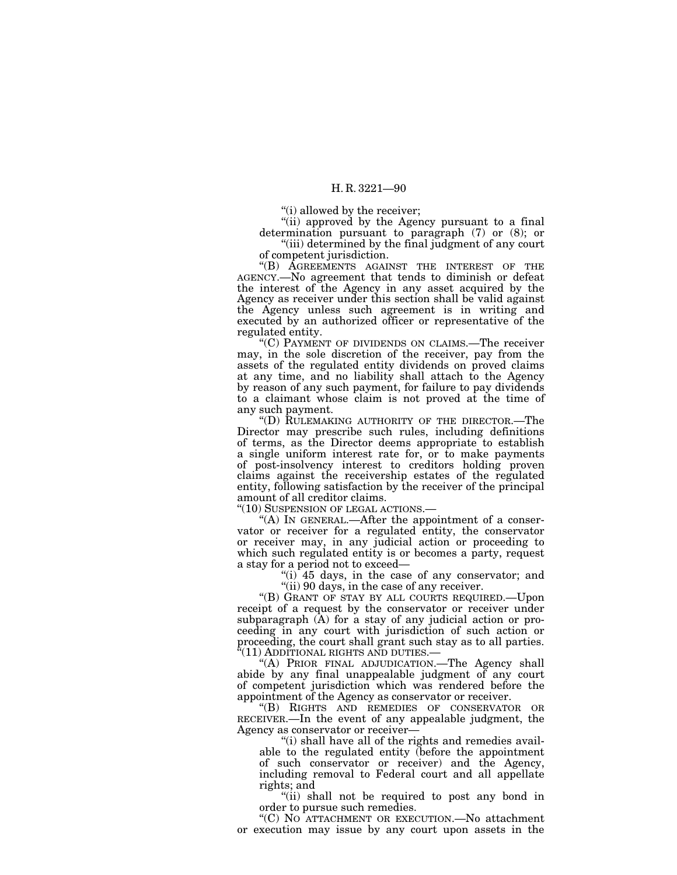"(i) allowed by the receiver;

"(ii) approved by the Agency pursuant to a final determination pursuant to paragraph (7) or (8); or

''(iii) determined by the final judgment of any court of competent jurisdiction.

''(B) AGREEMENTS AGAINST THE INTEREST OF THE AGENCY.—No agreement that tends to diminish or defeat the interest of the Agency in any asset acquired by the Agency as receiver under this section shall be valid against the Agency unless such agreement is in writing and executed by an authorized officer or representative of the regulated entity.

''(C) PAYMENT OF DIVIDENDS ON CLAIMS.—The receiver may, in the sole discretion of the receiver, pay from the assets of the regulated entity dividends on proved claims at any time, and no liability shall attach to the Agency by reason of any such payment, for failure to pay dividends to a claimant whose claim is not proved at the time of any such payment.

"(D) RULEMAKING AUTHORITY OF THE DIRECTOR.—The Director may prescribe such rules, including definitions of terms, as the Director deems appropriate to establish a single uniform interest rate for, or to make payments of post-insolvency interest to creditors holding proven claims against the receivership estates of the regulated entity, following satisfaction by the receiver of the principal amount of all creditor claims.

''(10) SUSPENSION OF LEGAL ACTIONS.—

''(A) IN GENERAL.—After the appointment of a conservator or receiver for a regulated entity, the conservator or receiver may, in any judicial action or proceeding to which such regulated entity is or becomes a party, request a stay for a period not to exceed—

"(i) 45 days, in the case of any conservator; and "(ii) 90 days, in the case of any receiver.

''(B) GRANT OF STAY BY ALL COURTS REQUIRED.—Upon receipt of a request by the conservator or receiver under subparagraph (A) for a stay of any judicial action or proceeding in any court with jurisdiction of such action or proceeding, the court shall grant such stay as to all parties. ''(11) ADDITIONAL RIGHTS AND DUTIES.—

''(A) PRIOR FINAL ADJUDICATION.—The Agency shall abide by any final unappealable judgment of any court of competent jurisdiction which was rendered before the appointment of the Agency as conservator or receiver.

''(B) RIGHTS AND REMEDIES OF CONSERVATOR OR RECEIVER.—In the event of any appealable judgment, the Agency as conservator or receiver—

''(i) shall have all of the rights and remedies available to the regulated entity (before the appointment of such conservator or receiver) and the Agency, including removal to Federal court and all appellate rights; and

''(ii) shall not be required to post any bond in order to pursue such remedies.

''(C) NO ATTACHMENT OR EXECUTION.—No attachment or execution may issue by any court upon assets in the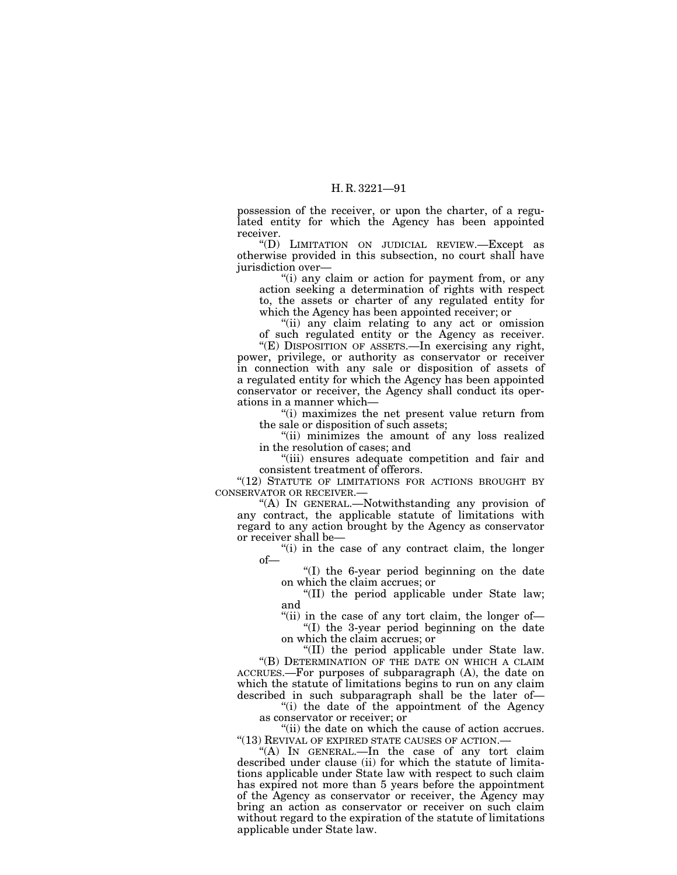possession of the receiver, or upon the charter, of a regulated entity for which the Agency has been appointed receiver.

''(D) LIMITATION ON JUDICIAL REVIEW.—Except as otherwise provided in this subsection, no court shall have jurisdiction over—

''(i) any claim or action for payment from, or any action seeking a determination of rights with respect to, the assets or charter of any regulated entity for which the Agency has been appointed receiver; or

''(ii) any claim relating to any act or omission of such regulated entity or the Agency as receiver.

"(E) DISPOSITION OF ASSETS.—In exercising any right, power, privilege, or authority as conservator or receiver in connection with any sale or disposition of assets of a regulated entity for which the Agency has been appointed conservator or receiver, the Agency shall conduct its operations in a manner which—

''(i) maximizes the net present value return from the sale or disposition of such assets;

"(ii) minimizes the amount of any loss realized in the resolution of cases; and

''(iii) ensures adequate competition and fair and consistent treatment of offerors.

"(12) STATUTE OF LIMITATIONS FOR ACTIONS BROUGHT BY CONSERVATOR OR RECEIVER.—

''(A) IN GENERAL.—Notwithstanding any provision of any contract, the applicable statute of limitations with regard to any action brought by the Agency as conservator or receiver shall be—

''(i) in the case of any contract claim, the longer of—

''(I) the 6-year period beginning on the date on which the claim accrues; or

''(II) the period applicable under State law; and

"(ii) in the case of any tort claim, the longer of-''(I) the 3-year period beginning on the date on which the claim accrues; or

''(II) the period applicable under State law. ''(B) DETERMINATION OF THE DATE ON WHICH A CLAIM ACCRUES.—For purposes of subparagraph (A), the date on which the statute of limitations begins to run on any claim described in such subparagraph shall be the later of—

"(i) the date of the appointment of the Agency as conservator or receiver; or

"(ii) the date on which the cause of action accrues. ''(13) REVIVAL OF EXPIRED STATE CAUSES OF ACTION.—

''(A) IN GENERAL.—In the case of any tort claim described under clause (ii) for which the statute of limitations applicable under State law with respect to such claim has expired not more than 5 years before the appointment of the Agency as conservator or receiver, the Agency may bring an action as conservator or receiver on such claim without regard to the expiration of the statute of limitations applicable under State law.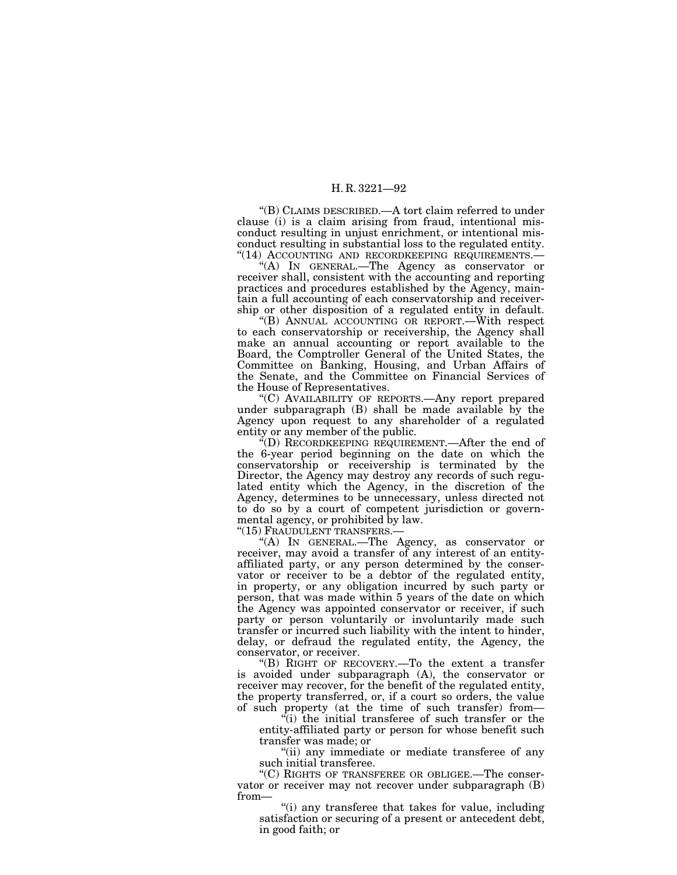''(B) CLAIMS DESCRIBED.—A tort claim referred to under clause (i) is a claim arising from fraud, intentional misconduct resulting in unjust enrichment, or intentional misconduct resulting in substantial loss to the regulated entity. "(14) ACCOUNTING AND RECORDKEEPING REQUIREMENTS.-

''(A) IN GENERAL.—The Agency as conservator or receiver shall, consistent with the accounting and reporting practices and procedures established by the Agency, maintain a full accounting of each conservatorship and receivership or other disposition of a regulated entity in default.

''(B) ANNUAL ACCOUNTING OR REPORT.—With respect to each conservatorship or receivership, the Agency shall make an annual accounting or report available to the Board, the Comptroller General of the United States, the Committee on Banking, Housing, and Urban Affairs of the Senate, and the Committee on Financial Services of the House of Representatives.

''(C) AVAILABILITY OF REPORTS.—Any report prepared under subparagraph (B) shall be made available by the Agency upon request to any shareholder of a regulated entity or any member of the public.

''(D) RECORDKEEPING REQUIREMENT.—After the end of the 6-year period beginning on the date on which the conservatorship or receivership is terminated by the Director, the Agency may destroy any records of such regulated entity which the Agency, in the discretion of the Agency, determines to be unnecessary, unless directed not to do so by a court of competent jurisdiction or governmental agency, or prohibited by law.

"(15) FRAUDULENT TRANSFERS.-

''(A) IN GENERAL.—The Agency, as conservator or receiver, may avoid a transfer of any interest of an entityaffiliated party, or any person determined by the conservator or receiver to be a debtor of the regulated entity, in property, or any obligation incurred by such party or person, that was made within 5 years of the date on which the Agency was appointed conservator or receiver, if such party or person voluntarily or involuntarily made such transfer or incurred such liability with the intent to hinder, delay, or defraud the regulated entity, the Agency, the conservator, or receiver.

''(B) RIGHT OF RECOVERY.—To the extent a transfer is avoided under subparagraph (A), the conservator or receiver may recover, for the benefit of the regulated entity, the property transferred, or, if a court so orders, the value of such property (at the time of such transfer) from—

 $\hat{f}(i)$  the initial transferee of such transfer or the entity-affiliated party or person for whose benefit such transfer was made; or

''(ii) any immediate or mediate transferee of any such initial transferee.

''(C) RIGHTS OF TRANSFEREE OR OBLIGEE.—The conservator or receiver may not recover under subparagraph (B) from—

''(i) any transferee that takes for value, including satisfaction or securing of a present or antecedent debt, in good faith; or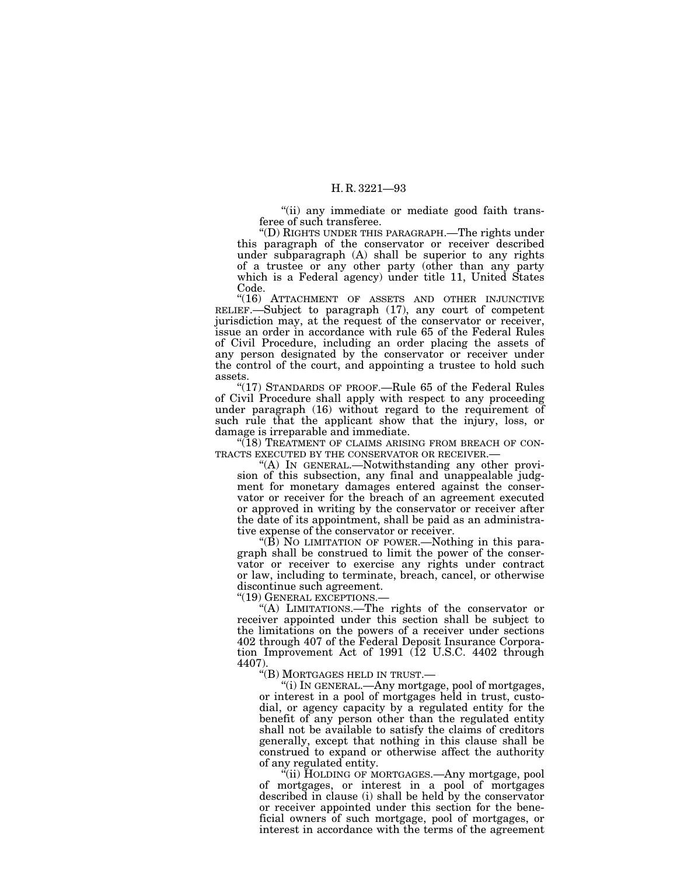"(ii) any immediate or mediate good faith transferee of such transferee.

''(D) RIGHTS UNDER THIS PARAGRAPH.—The rights under this paragraph of the conservator or receiver described under subparagraph (A) shall be superior to any rights of a trustee or any other party (other than any party which is a Federal agency) under title 11, United States Code.

''(16) ATTACHMENT OF ASSETS AND OTHER INJUNCTIVE RELIEF.—Subject to paragraph (17), any court of competent jurisdiction may, at the request of the conservator or receiver, issue an order in accordance with rule 65 of the Federal Rules of Civil Procedure, including an order placing the assets of any person designated by the conservator or receiver under the control of the court, and appointing a trustee to hold such assets.

"(17) STANDARDS OF PROOF.—Rule 65 of the Federal Rules of Civil Procedure shall apply with respect to any proceeding under paragraph (16) without regard to the requirement of such rule that the applicant show that the injury, loss, or damage is irreparable and immediate.

"(18) TREATMENT OF CLAIMS ARISING FROM BREACH OF CON-TRACTS EXECUTED BY THE CONSERVATOR OR RECEIVER.—

''(A) IN GENERAL.—Notwithstanding any other provision of this subsection, any final and unappealable judgment for monetary damages entered against the conservator or receiver for the breach of an agreement executed or approved in writing by the conservator or receiver after the date of its appointment, shall be paid as an administrative expense of the conservator or receiver.

''(B) NO LIMITATION OF POWER.—Nothing in this paragraph shall be construed to limit the power of the conservator or receiver to exercise any rights under contract or law, including to terminate, breach, cancel, or otherwise discontinue such agreement.

''(19) GENERAL EXCEPTIONS.—

''(A) LIMITATIONS.—The rights of the conservator or receiver appointed under this section shall be subject to the limitations on the powers of a receiver under sections 402 through 407 of the Federal Deposit Insurance Corporation Improvement Act of 1991 (12 U.S.C. 4402 through 4407).

''(B) MORTGAGES HELD IN TRUST.—

''(i) IN GENERAL.—Any mortgage, pool of mortgages, or interest in a pool of mortgages held in trust, custodial, or agency capacity by a regulated entity for the benefit of any person other than the regulated entity shall not be available to satisfy the claims of creditors generally, except that nothing in this clause shall be construed to expand or otherwise affect the authority of any regulated entity.

''(ii) HOLDING OF MORTGAGES.—Any mortgage, pool of mortgages, or interest in a pool of mortgages described in clause (i) shall be held by the conservator or receiver appointed under this section for the beneficial owners of such mortgage, pool of mortgages, or interest in accordance with the terms of the agreement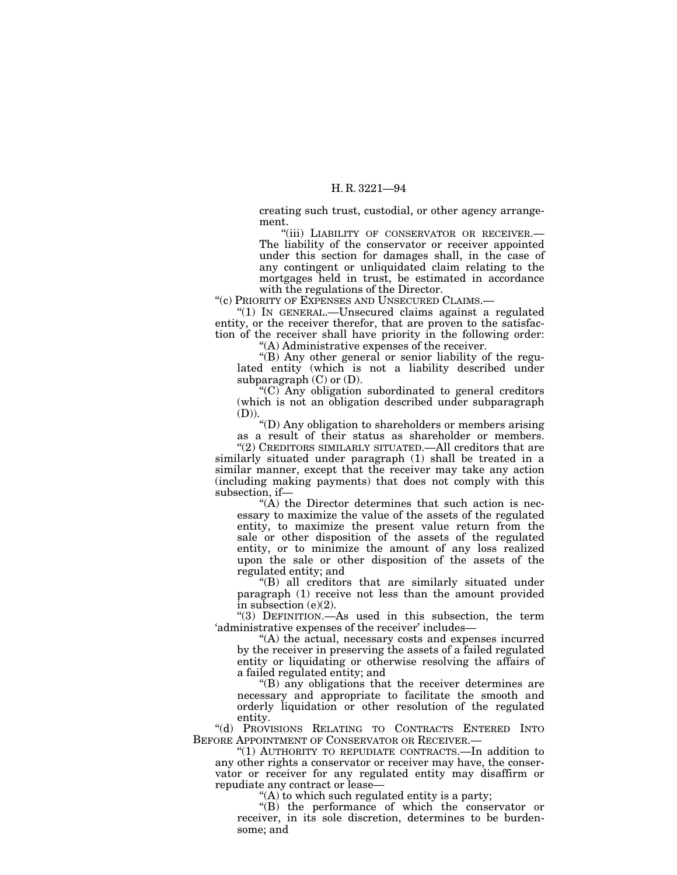creating such trust, custodial, or other agency arrangement.

"(iii) LIABILITY OF CONSERVATOR OR RECEIVER.-The liability of the conservator or receiver appointed under this section for damages shall, in the case of any contingent or unliquidated claim relating to the mortgages held in trust, be estimated in accordance with the regulations of the Director.

''(c) PRIORITY OF EXPENSES AND UNSECURED CLAIMS.—

''(1) IN GENERAL.—Unsecured claims against a regulated entity, or the receiver therefor, that are proven to the satisfaction of the receiver shall have priority in the following order:

''(A) Administrative expenses of the receiver.

''(B) Any other general or senior liability of the regulated entity (which is not a liability described under subparagraph (C) or (D).

 $(C)$  Any obligation subordinated to general creditors (which is not an obligation described under subparagraph (D)).

''(D) Any obligation to shareholders or members arising as a result of their status as shareholder or members.

''(2) CREDITORS SIMILARLY SITUATED.—All creditors that are similarly situated under paragraph (1) shall be treated in a similar manner, except that the receiver may take any action (including making payments) that does not comply with this subsection, if—

"(A) the Director determines that such action is necessary to maximize the value of the assets of the regulated entity, to maximize the present value return from the sale or other disposition of the assets of the regulated entity, or to minimize the amount of any loss realized upon the sale or other disposition of the assets of the regulated entity; and

''(B) all creditors that are similarly situated under paragraph (1) receive not less than the amount provided in subsection  $(e)(2)$ .

''(3) DEFINITION.—As used in this subsection, the term 'administrative expenses of the receiver' includes—

''(A) the actual, necessary costs and expenses incurred by the receiver in preserving the assets of a failed regulated entity or liquidating or otherwise resolving the affairs of a failed regulated entity; and

''(B) any obligations that the receiver determines are necessary and appropriate to facilitate the smooth and orderly liquidation or other resolution of the regulated entity.

''(d) PROVISIONS RELATING TO CONTRACTS ENTERED INTO BEFORE APPOINTMENT OF CONSERVATOR OR RECEIVER.—

''(1) AUTHORITY TO REPUDIATE CONTRACTS.—In addition to any other rights a conservator or receiver may have, the conservator or receiver for any regulated entity may disaffirm or repudiate any contract or lease—

''(A) to which such regulated entity is a party;

''(B) the performance of which the conservator or receiver, in its sole discretion, determines to be burdensome; and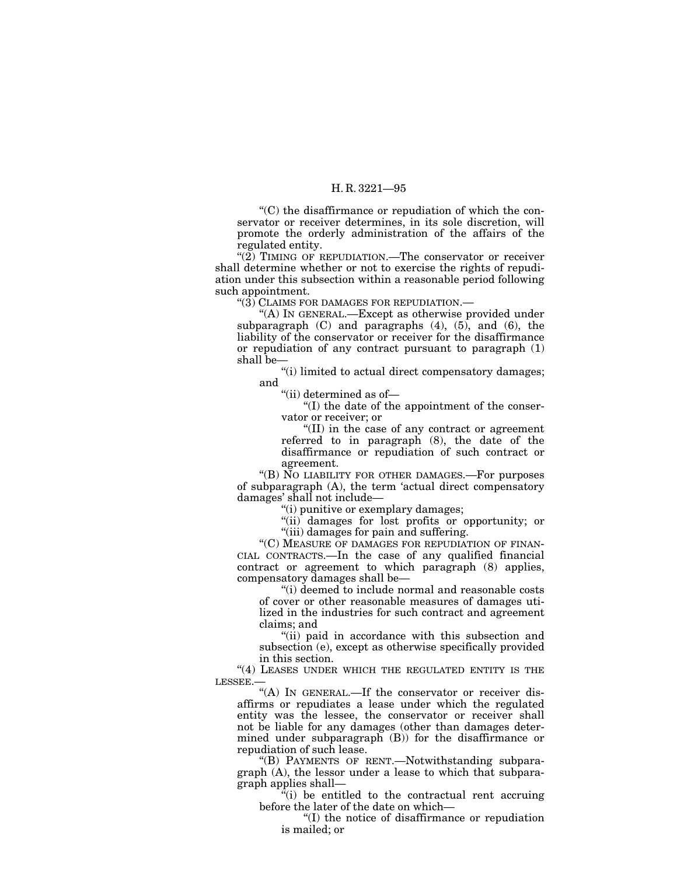''(C) the disaffirmance or repudiation of which the conservator or receiver determines, in its sole discretion, will promote the orderly administration of the affairs of the regulated entity.

"( $\tilde{2}$ ) TIMING OF REPUDIATION.—The conservator or receiver shall determine whether or not to exercise the rights of repudiation under this subsection within a reasonable period following such appointment.

 $\cdot$ "(3) CLAIMS FOR DAMAGES FOR REPUDIATION.—

''(A) IN GENERAL.—Except as otherwise provided under subparagraph  $(C)$  and paragraphs  $(4)$ ,  $(5)$ , and  $(6)$ , the liability of the conservator or receiver for the disaffirmance or repudiation of any contract pursuant to paragraph (1) shall be—

''(i) limited to actual direct compensatory damages; and

''(ii) determined as of—

''(I) the date of the appointment of the conservator or receiver; or

''(II) in the case of any contract or agreement referred to in paragraph (8), the date of the disaffirmance or repudiation of such contract or agreement.

''(B) NO LIABILITY FOR OTHER DAMAGES.—For purposes of subparagraph (A), the term 'actual direct compensatory damages' shall not include—

''(i) punitive or exemplary damages;

''(ii) damages for lost profits or opportunity; or ''(iii) damages for pain and suffering.

''(C) MEASURE OF DAMAGES FOR REPUDIATION OF FINAN-CIAL CONTRACTS.—In the case of any qualified financial contract or agreement to which paragraph (8) applies, compensatory damages shall be—

''(i) deemed to include normal and reasonable costs of cover or other reasonable measures of damages utilized in the industries for such contract and agreement claims; and

''(ii) paid in accordance with this subsection and subsection (e), except as otherwise specifically provided in this section.

"(4) LEASES UNDER WHICH THE REGULATED ENTITY IS THE LESSEE.—

"(A) IN GENERAL.—If the conservator or receiver disaffirms or repudiates a lease under which the regulated entity was the lessee, the conservator or receiver shall not be liable for any damages (other than damages determined under subparagraph (B)) for the disaffirmance or repudiation of such lease.

''(B) PAYMENTS OF RENT.—Notwithstanding subparagraph (A), the lessor under a lease to which that subparagraph applies shall—

 $\hat{f}(i)$  be entitled to the contractual rent accruing before the later of the date on which—

''(I) the notice of disaffirmance or repudiation is mailed; or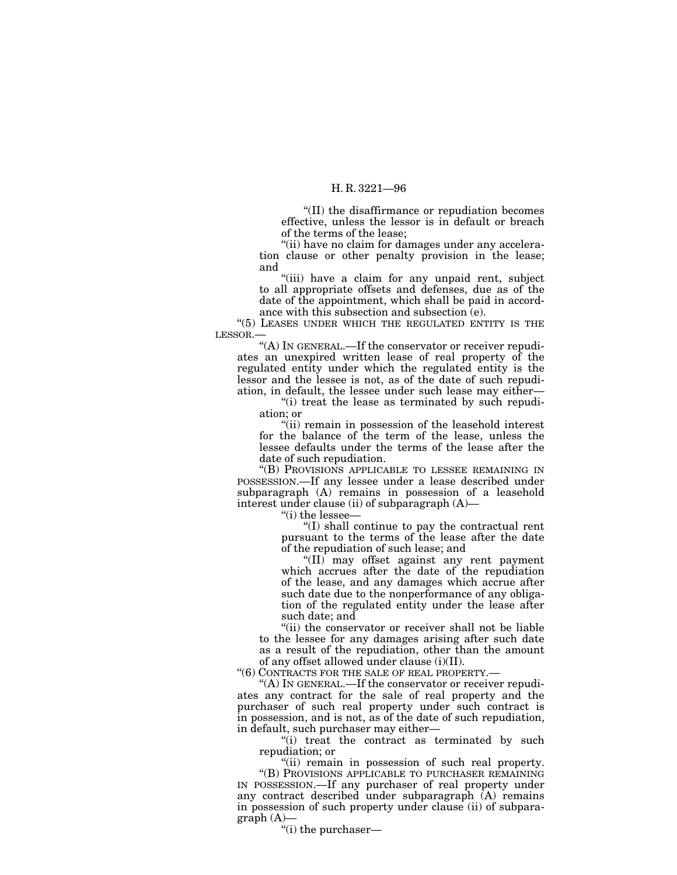''(II) the disaffirmance or repudiation becomes effective, unless the lessor is in default or breach of the terms of the lease;

''(ii) have no claim for damages under any acceleration clause or other penalty provision in the lease; and

"(iii) have a claim for any unpaid rent, subject to all appropriate offsets and defenses, due as of the date of the appointment, which shall be paid in accordance with this subsection and subsection  $\overline{e}$ .

"(5) LEASES UNDER WHICH THE REGULATED ENTITY IS THE LESSOR.

"(A) IN GENERAL.—If the conservator or receiver repudiates an unexpired written lease of real property of the regulated entity under which the regulated entity is the lessor and the lessee is not, as of the date of such repudiation, in default, the lessee under such lease may either—

''(i) treat the lease as terminated by such repudiation; or

"(ii) remain in possession of the leasehold interest for the balance of the term of the lease, unless the lessee defaults under the terms of the lease after the date of such repudiation.

''(B) PROVISIONS APPLICABLE TO LESSEE REMAINING IN POSSESSION.—If any lessee under a lease described under subparagraph (A) remains in possession of a leasehold interest under clause (ii) of subparagraph (A)—

''(i) the lessee—

''(I) shall continue to pay the contractual rent pursuant to the terms of the lease after the date of the repudiation of such lease; and

''(II) may offset against any rent payment which accrues after the date of the repudiation of the lease, and any damages which accrue after such date due to the nonperformance of any obligation of the regulated entity under the lease after such date; and

"(ii) the conservator or receiver shall not be liable to the lessee for any damages arising after such date as a result of the repudiation, other than the amount of any offset allowed under clause (i)(II).

''(6) CONTRACTS FOR THE SALE OF REAL PROPERTY.—

"(A) IN GENERAL.—If the conservator or receiver repudiates any contract for the sale of real property and the purchaser of such real property under such contract is in possession, and is not, as of the date of such repudiation, in default, such purchaser may either—

''(i) treat the contract as terminated by such repudiation; or

"(ii) remain in possession of such real property. ''(B) PROVISIONS APPLICABLE TO PURCHASER REMAINING IN POSSESSION.—If any purchaser of real property under any contract described under subparagraph  $(A)$  remains in possession of such property under clause (ii) of subpara $graph (A)$ -

''(i) the purchaser—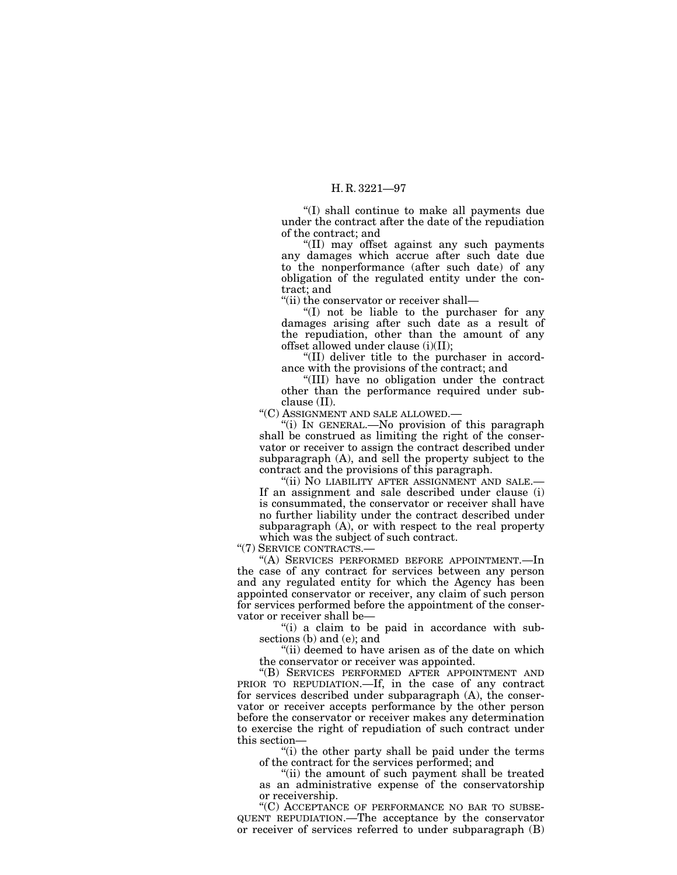''(I) shall continue to make all payments due under the contract after the date of the repudiation of the contract; and

''(II) may offset against any such payments any damages which accrue after such date due to the nonperformance (after such date) of any obligation of the regulated entity under the contract; and

''(ii) the conservator or receiver shall—

''(I) not be liable to the purchaser for any damages arising after such date as a result of the repudiation, other than the amount of any offset allowed under clause (i)(II);

''(II) deliver title to the purchaser in accordance with the provisions of the contract; and

''(III) have no obligation under the contract other than the performance required under subclause (II).

''(C) ASSIGNMENT AND SALE ALLOWED.—

''(i) IN GENERAL.—No provision of this paragraph shall be construed as limiting the right of the conservator or receiver to assign the contract described under subparagraph  $(A)$ , and sell the property subject to the contract and the provisions of this paragraph.

"(ii) NO LIABILITY AFTER ASSIGNMENT AND SALE.-If an assignment and sale described under clause (i) is consummated, the conservator or receiver shall have no further liability under the contract described under subparagraph (A), or with respect to the real property which was the subject of such contract.

''(7) SERVICE CONTRACTS.—

''(A) SERVICES PERFORMED BEFORE APPOINTMENT.—In the case of any contract for services between any person and any regulated entity for which the Agency has been appointed conservator or receiver, any claim of such person for services performed before the appointment of the conservator or receiver shall be—

''(i) a claim to be paid in accordance with subsections (b) and (e); and

"(ii) deemed to have arisen as of the date on which the conservator or receiver was appointed.

''(B) SERVICES PERFORMED AFTER APPOINTMENT AND PRIOR TO REPUDIATION.—If, in the case of any contract for services described under subparagraph (A), the conservator or receiver accepts performance by the other person before the conservator or receiver makes any determination to exercise the right of repudiation of such contract under this section—

''(i) the other party shall be paid under the terms of the contract for the services performed; and

"(ii) the amount of such payment shall be treated as an administrative expense of the conservatorship or receivership.

''(C) ACCEPTANCE OF PERFORMANCE NO BAR TO SUBSE-QUENT REPUDIATION.—The acceptance by the conservator or receiver of services referred to under subparagraph (B)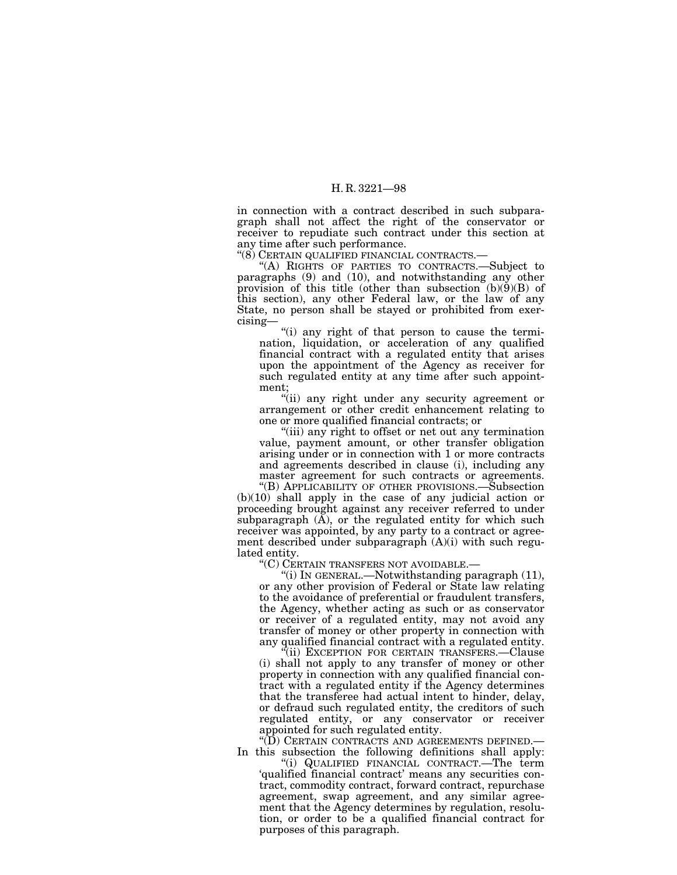in connection with a contract described in such subparagraph shall not affect the right of the conservator or receiver to repudiate such contract under this section at any time after such performance.

''(8) CERTAIN QUALIFIED FINANCIAL CONTRACTS.—

''(A) RIGHTS OF PARTIES TO CONTRACTS.—Subject to paragraphs (9) and (10), and notwithstanding any other provision of this title (other than subsection  $(b)(9)(B)$  of this section), any other Federal law, or the law of any State, no person shall be stayed or prohibited from exercising—

''(i) any right of that person to cause the termination, liquidation, or acceleration of any qualified financial contract with a regulated entity that arises upon the appointment of the Agency as receiver for such regulated entity at any time after such appointment;

''(ii) any right under any security agreement or arrangement or other credit enhancement relating to one or more qualified financial contracts; or

"(iii) any right to offset or net out any termination value, payment amount, or other transfer obligation arising under or in connection with 1 or more contracts and agreements described in clause (i), including any master agreement for such contracts or agreements.

''(B) APPLICABILITY OF OTHER PROVISIONS.—Subsection (b)(10) shall apply in the case of any judicial action or proceeding brought against any receiver referred to under subparagraph  $(A)$ , or the regulated entity for which such receiver was appointed, by any party to a contract or agreement described under subparagraph  $(A)(i)$  with such regulated entity.

''(C) CERTAIN TRANSFERS NOT AVOIDABLE.—

''(i) IN GENERAL.—Notwithstanding paragraph (11), or any other provision of Federal or State law relating to the avoidance of preferential or fraudulent transfers, the Agency, whether acting as such or as conservator or receiver of a regulated entity, may not avoid any transfer of money or other property in connection with any qualified financial contract with a regulated entity.

(ii) EXCEPTION FOR CERTAIN TRANSFERS.—Clause (i) shall not apply to any transfer of money or other property in connection with any qualified financial contract with a regulated entity if the Agency determines that the transferee had actual intent to hinder, delay, or defraud such regulated entity, the creditors of such regulated entity, or any conservator or receiver appointed for such regulated entity.

''(D) CERTAIN CONTRACTS AND AGREEMENTS DEFINED.— In this subsection the following definitions shall apply:

''(i) QUALIFIED FINANCIAL CONTRACT.—The term 'qualified financial contract' means any securities contract, commodity contract, forward contract, repurchase agreement, swap agreement, and any similar agreement that the Agency determines by regulation, resolution, or order to be a qualified financial contract for purposes of this paragraph.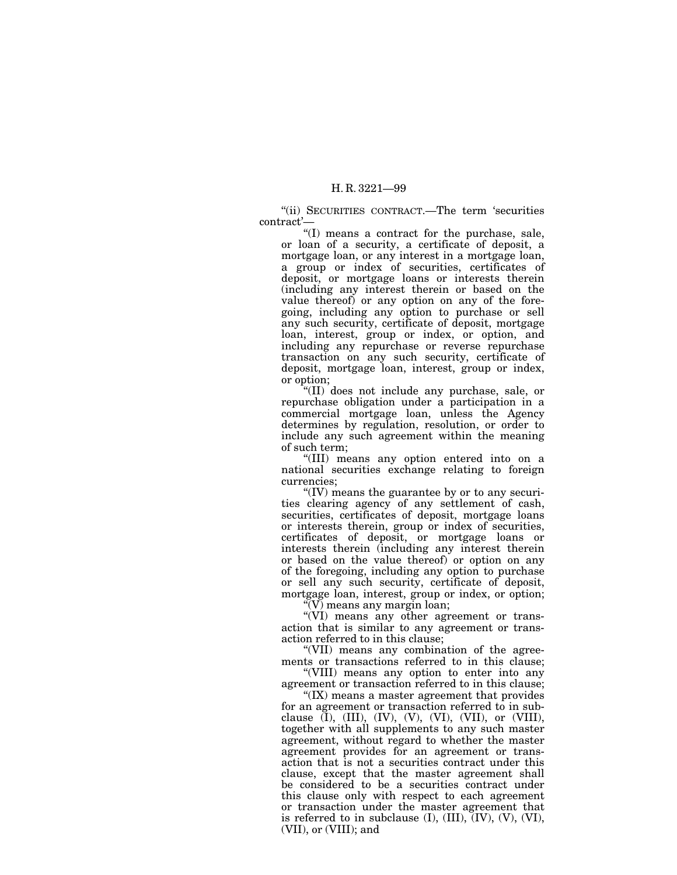''(ii) SECURITIES CONTRACT.—The term 'securities contract'—

''(I) means a contract for the purchase, sale, or loan of a security, a certificate of deposit, a mortgage loan, or any interest in a mortgage loan, a group or index of securities, certificates of deposit, or mortgage loans or interests therein (including any interest therein or based on the value thereof) or any option on any of the foregoing, including any option to purchase or sell any such security, certificate of deposit, mortgage loan, interest, group or index, or option, and including any repurchase or reverse repurchase transaction on any such security, certificate of deposit, mortgage loan, interest, group or index, or option;

''(II) does not include any purchase, sale, or repurchase obligation under a participation in a commercial mortgage loan, unless the Agency determines by regulation, resolution, or order to include any such agreement within the meaning of such term;

''(III) means any option entered into on a national securities exchange relating to foreign currencies;

 $\Gamma(W)$  means the guarantee by or to any securities clearing agency of any settlement of cash, securities, certificates of deposit, mortgage loans or interests therein, group or index of securities, certificates of deposit, or mortgage loans or interests therein (including any interest therein or based on the value thereof) or option on any of the foregoing, including any option to purchase or sell any such security, certificate of deposit, mortgage loan, interest, group or index, or option;

''(V) means any margin loan;

"(VI) means any other agreement or transaction that is similar to any agreement or transaction referred to in this clause;

''(VII) means any combination of the agreements or transactions referred to in this clause;

''(VIII) means any option to enter into any agreement or transaction referred to in this clause;

''(IX) means a master agreement that provides for an agreement or transaction referred to in subclause (I), (III), (IV), (V), (VI), (VII), or (VIII), together with all supplements to any such master agreement, without regard to whether the master agreement provides for an agreement or transaction that is not a securities contract under this clause, except that the master agreement shall be considered to be a securities contract under this clause only with respect to each agreement or transaction under the master agreement that is referred to in subclause  $(I)$ ,  $(III)$ ,  $(IV)$ ,  $(V)$ ,  $(VI)$ , (VII), or (VIII); and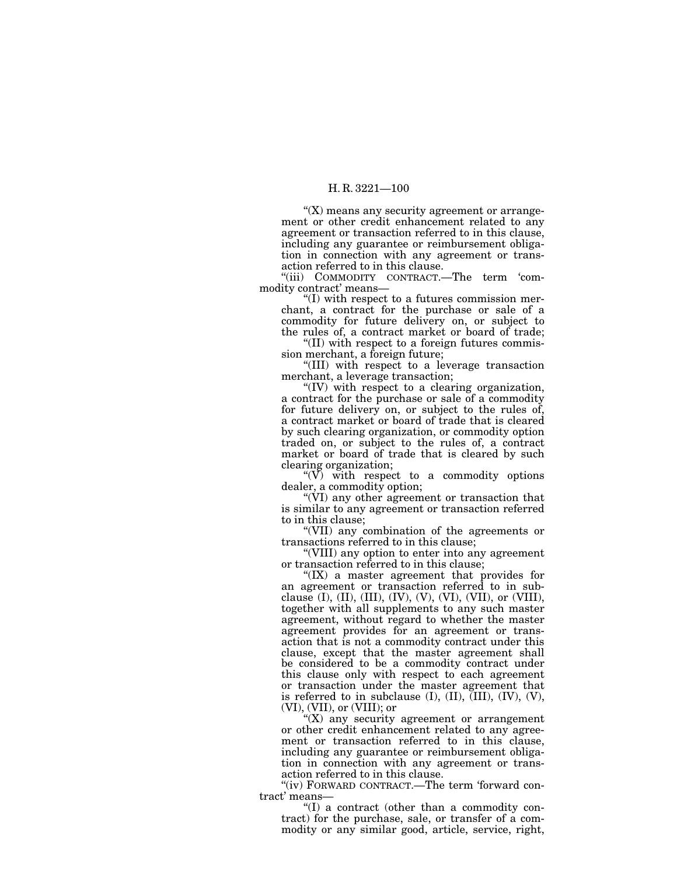''(X) means any security agreement or arrangement or other credit enhancement related to any agreement or transaction referred to in this clause, including any guarantee or reimbursement obligation in connection with any agreement or transaction referred to in this clause.

''(iii) COMMODITY CONTRACT.—The term 'commodity contract' means—

 $\degree$ (I) with respect to a futures commission merchant, a contract for the purchase or sale of a commodity for future delivery on, or subject to the rules of, a contract market or board of trade;

''(II) with respect to a foreign futures commission merchant, a foreign future;

''(III) with respect to a leverage transaction merchant, a leverage transaction;

 $\Gamma(W)$  with respect to a clearing organization, a contract for the purchase or sale of a commodity for future delivery on, or subject to the rules of, a contract market or board of trade that is cleared by such clearing organization, or commodity option traded on, or subject to the rules of, a contract market or board of trade that is cleared by such clearing organization;

" $(V)$  with respect to a commodity options" dealer, a commodity option;

''(VI) any other agreement or transaction that is similar to any agreement or transaction referred to in this clause;

''(VII) any combination of the agreements or transactions referred to in this clause;

''(VIII) any option to enter into any agreement or transaction referred to in this clause;

"(IX) a master agreement that provides for an agreement or transaction referred to in subclause (I), (II), (III), (IV), (V), (VI), (VII), or (VIII), together with all supplements to any such master agreement, without regard to whether the master agreement provides for an agreement or transaction that is not a commodity contract under this clause, except that the master agreement shall be considered to be a commodity contract under this clause only with respect to each agreement or transaction under the master agreement that is referred to in subclause  $(I)$ ,  $(II)$ ,  $(III)$ ,  $(IV)$ ,  $(V)$ ,  $(VI)$ ,  $(VII)$ , or  $(VIII)$ ; or

'(X) any security agreement or arrangement or other credit enhancement related to any agreement or transaction referred to in this clause, including any guarantee or reimbursement obligation in connection with any agreement or transaction referred to in this clause.

''(iv) FORWARD CONTRACT.—The term 'forward contract' means—

''(I) a contract (other than a commodity contract) for the purchase, sale, or transfer of a commodity or any similar good, article, service, right,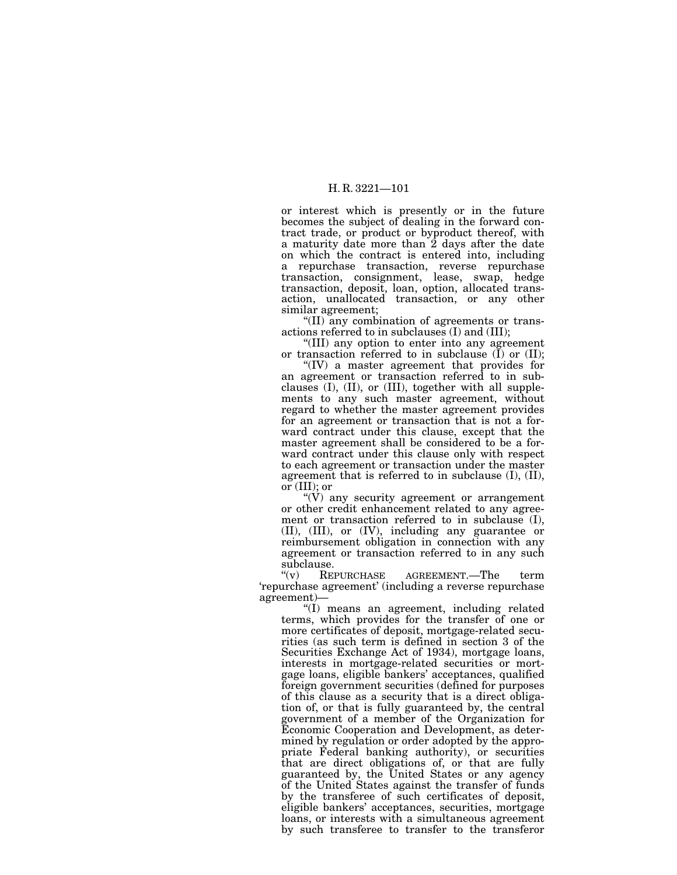or interest which is presently or in the future becomes the subject of dealing in the forward contract trade, or product or byproduct thereof, with a maturity date more than 2 days after the date on which the contract is entered into, including a repurchase transaction, reverse repurchase transaction, consignment, lease, swap, hedge transaction, deposit, loan, option, allocated transaction, unallocated transaction, or any other similar agreement;

''(II) any combination of agreements or transactions referred to in subclauses (I) and (III);

''(III) any option to enter into any agreement or transaction referred to in subclause (I) or (II);

 $\Gamma(W)$  a master agreement that provides for an agreement or transaction referred to in subclauses (I), (II), or (III), together with all supplements to any such master agreement, without regard to whether the master agreement provides for an agreement or transaction that is not a forward contract under this clause, except that the master agreement shall be considered to be a forward contract under this clause only with respect to each agreement or transaction under the master agreement that is referred to in subclause (I), (II), or  $(III)$ ; or

" $(V)$  any security agreement or arrangement or other credit enhancement related to any agreement or transaction referred to in subclause (I), (II), (III), or (IV), including any guarantee or reimbursement obligation in connection with any agreement or transaction referred to in any such subclause.<br>"(v) REPURCHASE

AGREEMENT.—The term 'repurchase agreement' (including a reverse repurchase agreement)—

''(I) means an agreement, including related terms, which provides for the transfer of one or more certificates of deposit, mortgage-related securities (as such term is defined in section 3 of the Securities Exchange Act of 1934), mortgage loans, interests in mortgage-related securities or mortgage loans, eligible bankers' acceptances, qualified foreign government securities (defined for purposes of this clause as a security that is a direct obligation of, or that is fully guaranteed by, the central government of a member of the Organization for Economic Cooperation and Development, as determined by regulation or order adopted by the appropriate Federal banking authority), or securities that are direct obligations of, or that are fully guaranteed by, the United States or any agency of the United States against the transfer of funds by the transferee of such certificates of deposit, eligible bankers' acceptances, securities, mortgage loans, or interests with a simultaneous agreement by such transferee to transfer to the transferor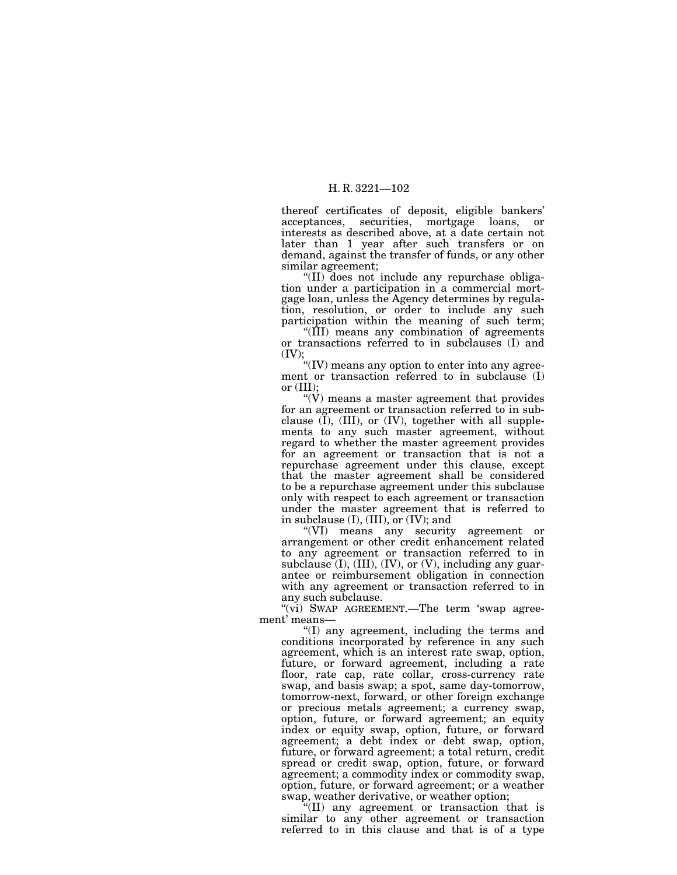thereof certificates of deposit, eligible bankers' acceptances, securities, mortgage loans, or interests as described above, at a date certain not later than 1 year after such transfers or on demand, against the transfer of funds, or any other similar agreement;

''(II) does not include any repurchase obligation under a participation in a commercial mortgage loan, unless the Agency determines by regulation, resolution, or order to include any such participation within the meaning of such term;

''(III) means any combination of agreements or transactions referred to in subclauses (I) and (IV);

''(IV) means any option to enter into any agreement or transaction referred to in subclause (I) or  $(III)$ :

''(V) means a master agreement that provides for an agreement or transaction referred to in subclause  $(\check{I})$ ,  $(III)$ , or  $(IV)$ , together with all supplements to any such master agreement, without regard to whether the master agreement provides for an agreement or transaction that is not a repurchase agreement under this clause, except that the master agreement shall be considered to be a repurchase agreement under this subclause only with respect to each agreement or transaction under the master agreement that is referred to in subclause (I), (III), or (IV); and

''(VI) means any security agreement or arrangement or other credit enhancement related to any agreement or transaction referred to in subclause (I), (III), (IV), or (V), including any guarantee or reimbursement obligation in connection with any agreement or transaction referred to in any such subclause.

"(vi) SWAP AGREEMENT.—The term 'swap agreement' means—

''(I) any agreement, including the terms and conditions incorporated by reference in any such agreement, which is an interest rate swap, option, future, or forward agreement, including a rate floor, rate cap, rate collar, cross-currency rate swap, and basis swap; a spot, same day-tomorrow, tomorrow-next, forward, or other foreign exchange or precious metals agreement; a currency swap, option, future, or forward agreement; an equity index or equity swap, option, future, or forward agreement; a debt index or debt swap, option, future, or forward agreement; a total return, credit spread or credit swap, option, future, or forward agreement; a commodity index or commodity swap, option, future, or forward agreement; or a weather swap, weather derivative, or weather option;

''(II) any agreement or transaction that is similar to any other agreement or transaction referred to in this clause and that is of a type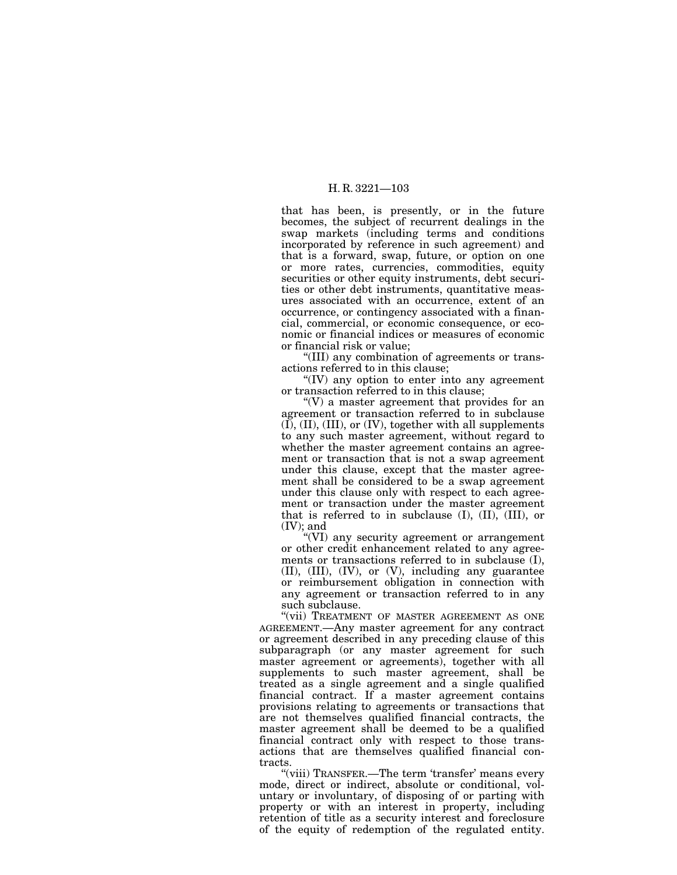that has been, is presently, or in the future becomes, the subject of recurrent dealings in the swap markets (including terms and conditions incorporated by reference in such agreement) and that is a forward, swap, future, or option on one or more rates, currencies, commodities, equity securities or other equity instruments, debt securities or other debt instruments, quantitative measures associated with an occurrence, extent of an occurrence, or contingency associated with a financial, commercial, or economic consequence, or economic or financial indices or measures of economic or financial risk or value;

''(III) any combination of agreements or transactions referred to in this clause;

''(IV) any option to enter into any agreement or transaction referred to in this clause;

"(V) a master agreement that provides for an agreement or transaction referred to in subclause (I), (II), (III), or (IV), together with all supplements to any such master agreement, without regard to whether the master agreement contains an agreement or transaction that is not a swap agreement under this clause, except that the master agreement shall be considered to be a swap agreement under this clause only with respect to each agreement or transaction under the master agreement that is referred to in subclause  $(I)$ ,  $(II)$ ,  $(III)$ , or (IV); and

''(VI) any security agreement or arrangement or other credit enhancement related to any agreements or transactions referred to in subclause (I), (II), (III), (IV), or (V), including any guarantee or reimbursement obligation in connection with any agreement or transaction referred to in any such subclause.

''(vii) TREATMENT OF MASTER AGREEMENT AS ONE AGREEMENT.—Any master agreement for any contract or agreement described in any preceding clause of this subparagraph (or any master agreement for such master agreement or agreements), together with all supplements to such master agreement, shall be treated as a single agreement and a single qualified financial contract. If a master agreement contains provisions relating to agreements or transactions that are not themselves qualified financial contracts, the master agreement shall be deemed to be a qualified financial contract only with respect to those transactions that are themselves qualified financial contracts.

"(viii) TRANSFER.—The term 'transfer' means every mode, direct or indirect, absolute or conditional, voluntary or involuntary, of disposing of or parting with property or with an interest in property, including retention of title as a security interest and foreclosure of the equity of redemption of the regulated entity.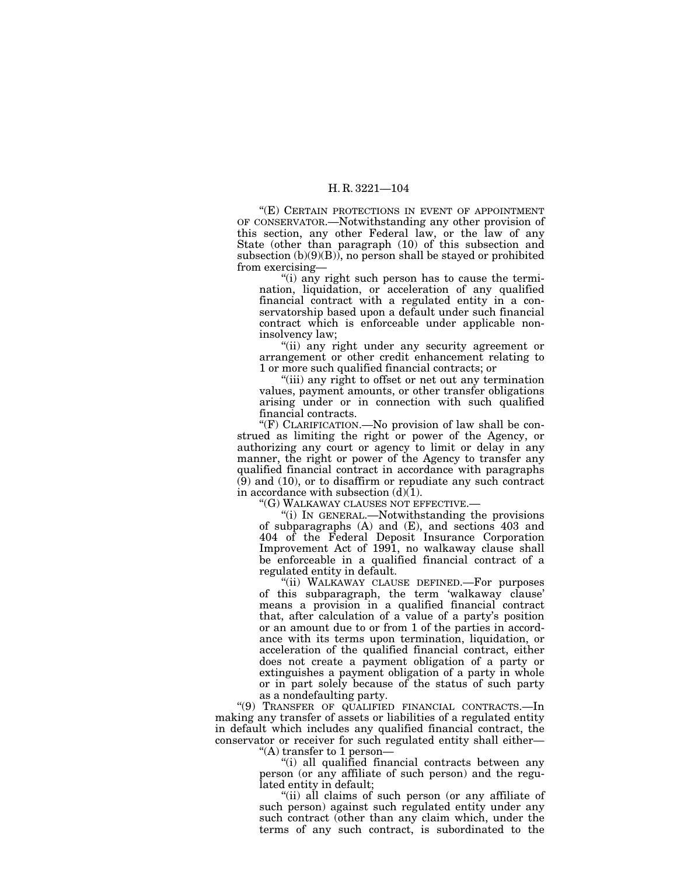"(E) CERTAIN PROTECTIONS IN EVENT OF APPOINTMENT OF CONSERVATOR.—Notwithstanding any other provision of this section, any other Federal law, or the law of any State (other than paragraph (10) of this subsection and subsection  $(b)(9)(B)$ , no person shall be stayed or prohibited from exercising—

"(i) any right such person has to cause the termination, liquidation, or acceleration of any qualified financial contract with a regulated entity in a conservatorship based upon a default under such financial contract which is enforceable under applicable noninsolvency law;

''(ii) any right under any security agreement or arrangement or other credit enhancement relating to 1 or more such qualified financial contracts; or

''(iii) any right to offset or net out any termination values, payment amounts, or other transfer obligations arising under or in connection with such qualified financial contracts.

" $(F)$  CLARIFICATION.—No provision of law shall be construed as limiting the right or power of the Agency, or authorizing any court or agency to limit or delay in any manner, the right or power of the Agency to transfer any qualified financial contract in accordance with paragraphs  $(9)$  and  $(10)$ , or to disaffirm or repudiate any such contract in accordance with subsection  $(d)(1)$ .

''(G) WALKAWAY CLAUSES NOT EFFECTIVE.—

''(i) IN GENERAL.—Notwithstanding the provisions of subparagraphs (A) and (E), and sections 403 and 404 of the Federal Deposit Insurance Corporation Improvement Act of 1991, no walkaway clause shall be enforceable in a qualified financial contract of a regulated entity in default.

''(ii) WALKAWAY CLAUSE DEFINED.—For purposes of this subparagraph, the term 'walkaway clause' means a provision in a qualified financial contract that, after calculation of a value of a party's position or an amount due to or from 1 of the parties in accordance with its terms upon termination, liquidation, or acceleration of the qualified financial contract, either does not create a payment obligation of a party or extinguishes a payment obligation of a party in whole or in part solely because of the status of such party as a nondefaulting party.

''(9) TRANSFER OF QUALIFIED FINANCIAL CONTRACTS.—In making any transfer of assets or liabilities of a regulated entity in default which includes any qualified financial contract, the conservator or receiver for such regulated entity shall either—

''(A) transfer to 1 person—

''(i) all qualified financial contracts between any person (or any affiliate of such person) and the regulated entity in default;

''(ii) all claims of such person (or any affiliate of such person) against such regulated entity under any such contract (other than any claim which, under the terms of any such contract, is subordinated to the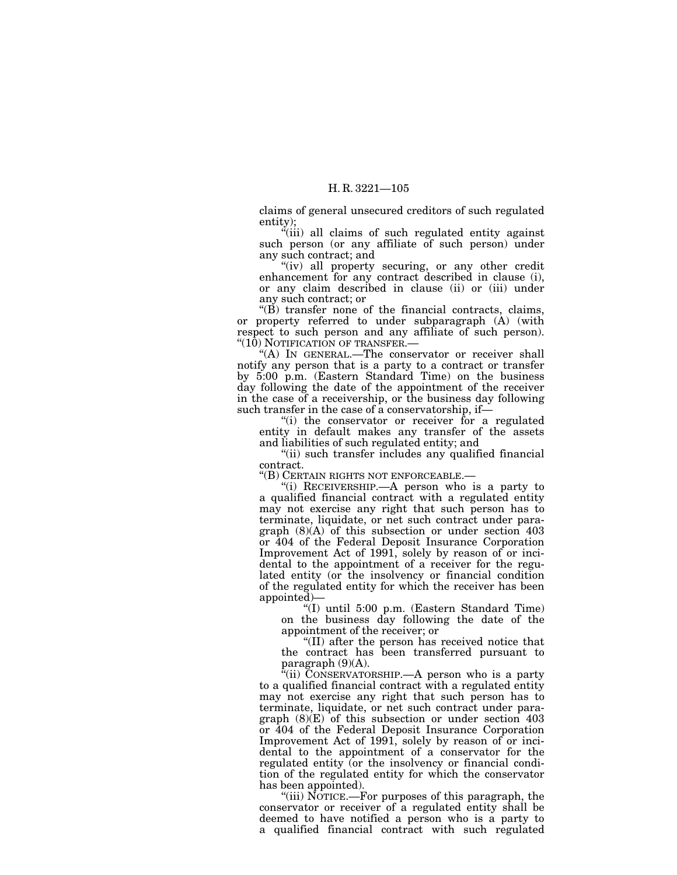claims of general unsecured creditors of such regulated entity);

 $\ell$ <sup>'(iii)</sup> all claims of such regulated entity against such person (or any affiliate of such person) under any such contract; and

"(iv) all property securing, or any other credit enhancement for any contract described in clause (i), or any claim described in clause (ii) or (iii) under any such contract; or

''(B) transfer none of the financial contracts, claims, or property referred to under subparagraph (A) (with respect to such person and any affiliate of such person).  $\rm ^{\prime \prime}(1\bar{0})$  Notification of transfer.—

''(A) IN GENERAL.—The conservator or receiver shall notify any person that is a party to a contract or transfer by 5:00 p.m. (Eastern Standard Time) on the business day following the date of the appointment of the receiver in the case of a receivership, or the business day following such transfer in the case of a conservatorship, if—

"(i) the conservator or receiver for a regulated entity in default makes any transfer of the assets and liabilities of such regulated entity; and

"(ii) such transfer includes any qualified financial contract.

''(B) CERTAIN RIGHTS NOT ENFORCEABLE.—

''(i) RECEIVERSHIP.—A person who is a party to a qualified financial contract with a regulated entity may not exercise any right that such person has to terminate, liquidate, or net such contract under paragraph (8)(A) of this subsection or under section 403 or 404 of the Federal Deposit Insurance Corporation Improvement Act of 1991, solely by reason of or incidental to the appointment of a receiver for the regulated entity (or the insolvency or financial condition of the regulated entity for which the receiver has been appointed)—

''(I) until 5:00 p.m. (Eastern Standard Time) on the business day following the date of the appointment of the receiver; or

''(II) after the person has received notice that the contract has been transferred pursuant to paragraph  $(9)(A)$ .

 $\alpha$ <sup>"</sup>(ii) CONSERVATORSHIP.—A person who is a party to a qualified financial contract with a regulated entity may not exercise any right that such person has to terminate, liquidate, or net such contract under paragraph  $(8)(E)$  of this subsection or under section 403 or 404 of the Federal Deposit Insurance Corporation Improvement Act of 1991, solely by reason of or incidental to the appointment of a conservator for the regulated entity (or the insolvency or financial condition of the regulated entity for which the conservator has been appointed).

"(iii)  $\overline{\text{NOTE}}$ . For purposes of this paragraph, the conservator or receiver of a regulated entity shall be deemed to have notified a person who is a party to a qualified financial contract with such regulated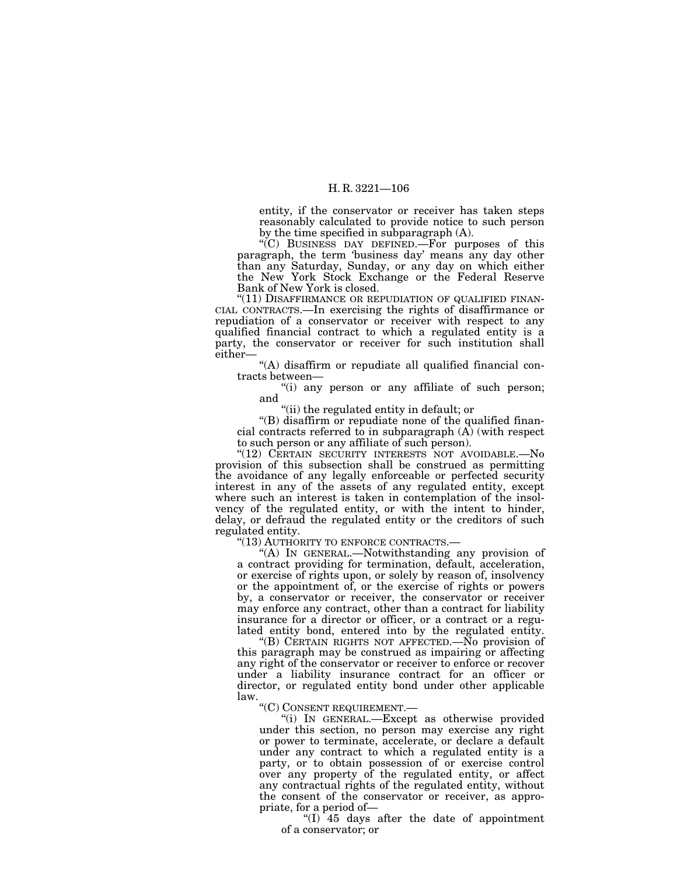entity, if the conservator or receiver has taken steps reasonably calculated to provide notice to such person by the time specified in subparagraph (A).

''(C) BUSINESS DAY DEFINED.—For purposes of this paragraph, the term 'business day' means any day other than any Saturday, Sunday, or any day on which either the New York Stock Exchange or the Federal Reserve Bank of New York is closed.

"(11) DISAFFIRMANCE OR REPUDIATION OF QUALIFIED FINAN-CIAL CONTRACTS.—In exercising the rights of disaffirmance or repudiation of a conservator or receiver with respect to any qualified financial contract to which a regulated entity is a party, the conservator or receiver for such institution shall either—

''(A) disaffirm or repudiate all qualified financial contracts between—

''(i) any person or any affiliate of such person; and

''(ii) the regulated entity in default; or

''(B) disaffirm or repudiate none of the qualified financial contracts referred to in subparagraph  $(A)$  (with respect to such person or any affiliate of such person).

"(12) CERTAIN SECURITY INTERESTS NOT AVOIDABLE.- No provision of this subsection shall be construed as permitting the avoidance of any legally enforceable or perfected security interest in any of the assets of any regulated entity, except where such an interest is taken in contemplation of the insolvency of the regulated entity, or with the intent to hinder, delay, or defraud the regulated entity or the creditors of such regulated entity.

''(13) AUTHORITY TO ENFORCE CONTRACTS.—

'(A) IN GENERAL.—Notwithstanding any provision of a contract providing for termination, default, acceleration, or exercise of rights upon, or solely by reason of, insolvency or the appointment of, or the exercise of rights or powers by, a conservator or receiver, the conservator or receiver may enforce any contract, other than a contract for liability insurance for a director or officer, or a contract or a regulated entity bond, entered into by the regulated entity.

''(B) CERTAIN RIGHTS NOT AFFECTED.—No provision of this paragraph may be construed as impairing or affecting any right of the conservator or receiver to enforce or recover under a liability insurance contract for an officer or director, or regulated entity bond under other applicable

law.<br>"(C) CONSENT REQUIREMENT.—

"(i) IN GENERAL.—Except as otherwise provided under this section, no person may exercise any right or power to terminate, accelerate, or declare a default under any contract to which a regulated entity is a party, or to obtain possession of or exercise control over any property of the regulated entity, or affect any contractual rights of the regulated entity, without the consent of the conservator or receiver, as appropriate, for a period of—

''(I) 45 days after the date of appointment of a conservator; or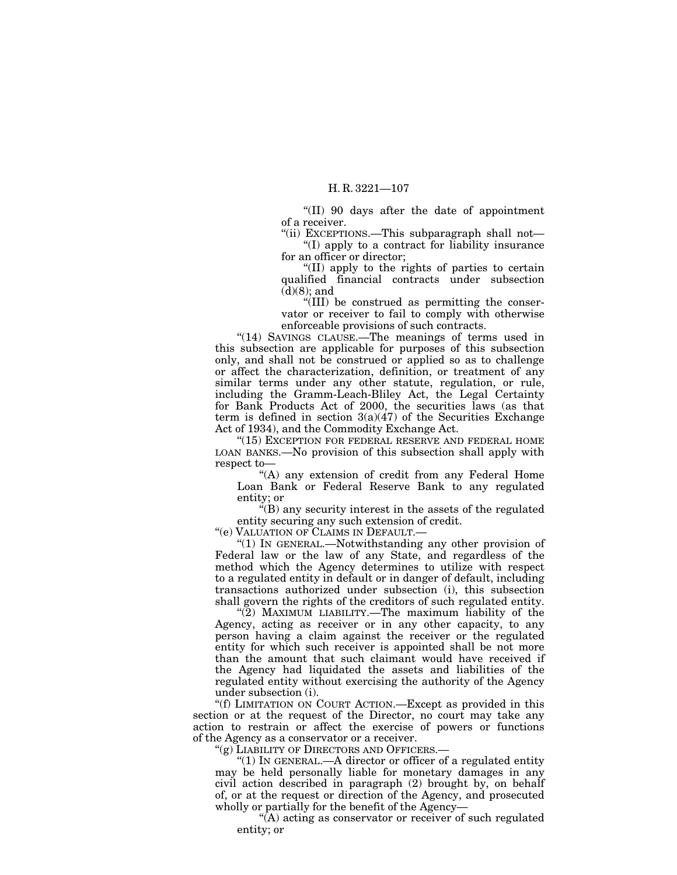''(II) 90 days after the date of appointment of a receiver.

''(ii) EXCEPTIONS.—This subparagraph shall not—

''(I) apply to a contract for liability insurance for an officer or director;

''(II) apply to the rights of parties to certain qualified financial contracts under subsection  $(d)(8)$ ; and

''(III) be construed as permitting the conservator or receiver to fail to comply with otherwise enforceable provisions of such contracts.

"(14) SAVINGS CLAUSE.—The meanings of terms used in this subsection are applicable for purposes of this subsection only, and shall not be construed or applied so as to challenge or affect the characterization, definition, or treatment of any similar terms under any other statute, regulation, or rule, including the Gramm-Leach-Bliley Act, the Legal Certainty for Bank Products Act of 2000, the securities laws (as that term is defined in section  $3(a)(47)$  of the Securities Exchange Act of 1934), and the Commodity Exchange Act.

"(15) EXCEPTION FOR FEDERAL RESERVE AND FEDERAL HOME LOAN BANKS.—No provision of this subsection shall apply with respect to—

"(A) any extension of credit from any Federal Home" Loan Bank or Federal Reserve Bank to any regulated entity; or

''(B) any security interest in the assets of the regulated entity securing any such extension of credit.

''(e) VALUATION OF CLAIMS IN DEFAULT.—

''(1) IN GENERAL.—Notwithstanding any other provision of Federal law or the law of any State, and regardless of the method which the Agency determines to utilize with respect to a regulated entity in default or in danger of default, including transactions authorized under subsection (i), this subsection shall govern the rights of the creditors of such regulated entity.

"(2) MAXIMUM LIABILITY.—The maximum liability of the Agency, acting as receiver or in any other capacity, to any person having a claim against the receiver or the regulated entity for which such receiver is appointed shall be not more than the amount that such claimant would have received if the Agency had liquidated the assets and liabilities of the regulated entity without exercising the authority of the Agency under subsection (i).

''(f) LIMITATION ON COURT ACTION.—Except as provided in this section or at the request of the Director, no court may take any action to restrain or affect the exercise of powers or functions of the Agency as a conservator or a receiver.

"(g) LIABILITY OF DIRECTORS AND OFFICERS.—

''(1) IN GENERAL.—A director or officer of a regulated entity may be held personally liable for monetary damages in any civil action described in paragraph (2) brought by, on behalf of, or at the request or direction of the Agency, and prosecuted wholly or partially for the benefit of the Agency—

''(A) acting as conservator or receiver of such regulated entity; or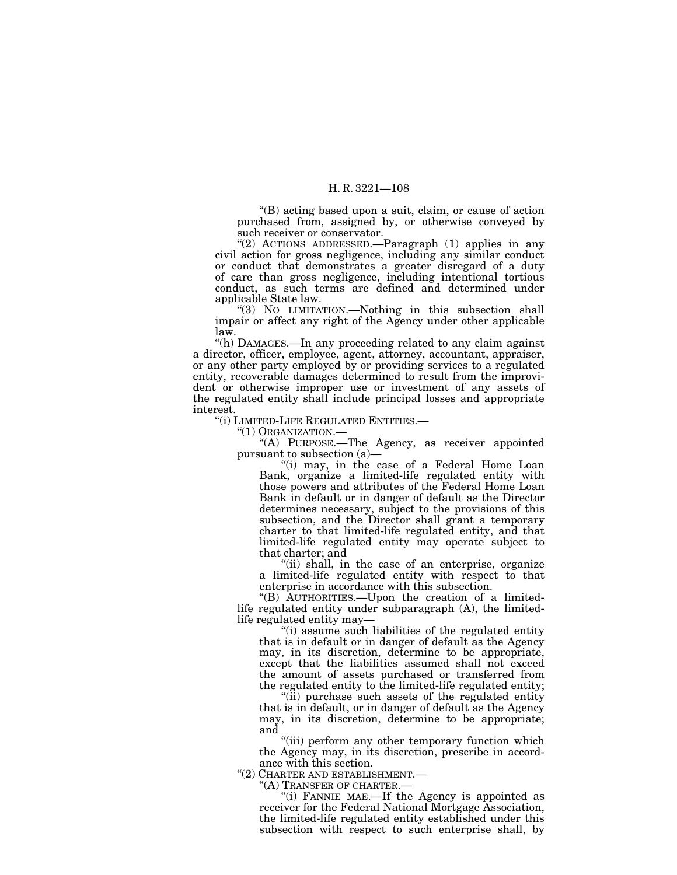''(B) acting based upon a suit, claim, or cause of action purchased from, assigned by, or otherwise conveyed by such receiver or conservator.

"(2) ACTIONS ADDRESSED. - Paragraph (1) applies in any civil action for gross negligence, including any similar conduct or conduct that demonstrates a greater disregard of a duty of care than gross negligence, including intentional tortious conduct, as such terms are defined and determined under applicable State law.

"(3) NO LIMITATION.—Nothing in this subsection shall impair or affect any right of the Agency under other applicable law.

''(h) DAMAGES.—In any proceeding related to any claim against a director, officer, employee, agent, attorney, accountant, appraiser, or any other party employed by or providing services to a regulated entity, recoverable damages determined to result from the improvident or otherwise improper use or investment of any assets of the regulated entity shall include principal losses and appropriate interest.

''(i) LIMITED-LIFE REGULATED ENTITIES.—

''(1) ORGANIZATION.—

''(A) PURPOSE.—The Agency, as receiver appointed pursuant to subsection (a)—

''(i) may, in the case of a Federal Home Loan Bank, organize a limited-life regulated entity with those powers and attributes of the Federal Home Loan Bank in default or in danger of default as the Director determines necessary, subject to the provisions of this subsection, and the Director shall grant a temporary charter to that limited-life regulated entity, and that limited-life regulated entity may operate subject to that charter; and

"(ii) shall, in the case of an enterprise, organize a limited-life regulated entity with respect to that enterprise in accordance with this subsection.

''(B) AUTHORITIES.—Upon the creation of a limitedlife regulated entity under subparagraph (A), the limitedlife regulated entity may—

"(i) assume such liabilities of the regulated entity that is in default or in danger of default as the Agency may, in its discretion, determine to be appropriate, except that the liabilities assumed shall not exceed the amount of assets purchased or transferred from the regulated entity to the limited-life regulated entity;

''(ii) purchase such assets of the regulated entity that is in default, or in danger of default as the Agency may, in its discretion, determine to be appropriate; and

''(iii) perform any other temporary function which the Agency may, in its discretion, prescribe in accordance with this section.

''(2) CHARTER AND ESTABLISHMENT.— ''(A) TRANSFER OF CHARTER.—

''(i) FANNIE MAE.—If the Agency is appointed as receiver for the Federal National Mortgage Association, the limited-life regulated entity established under this subsection with respect to such enterprise shall, by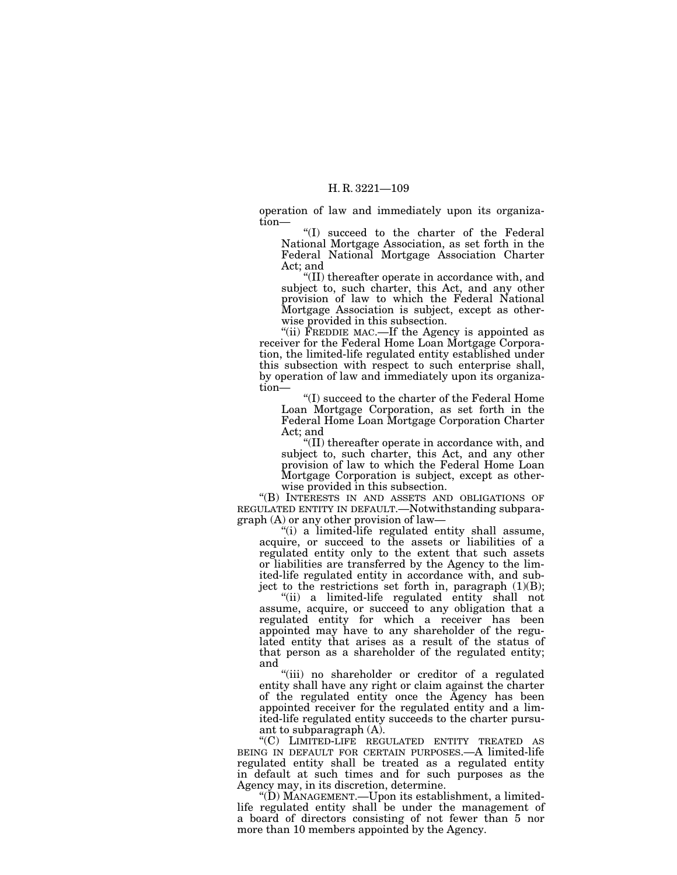operation of law and immediately upon its organization—

''(I) succeed to the charter of the Federal National Mortgage Association, as set forth in the Federal National Mortgage Association Charter Act; and

''(II) thereafter operate in accordance with, and subject to, such charter, this Act, and any other provision of law to which the Federal National Mortgage Association is subject, except as otherwise provided in this subsection.

"(ii) FREDDIE MAC.—If the Agency is appointed as receiver for the Federal Home Loan Mortgage Corporation, the limited-life regulated entity established under this subsection with respect to such enterprise shall, by operation of law and immediately upon its organization—

''(I) succeed to the charter of the Federal Home Loan Mortgage Corporation, as set forth in the Federal Home Loan Mortgage Corporation Charter Act; and

''(II) thereafter operate in accordance with, and subject to, such charter, this Act, and any other provision of law to which the Federal Home Loan Mortgage Corporation is subject, except as otherwise provided in this subsection.

''(B) INTERESTS IN AND ASSETS AND OBLIGATIONS OF REGULATED ENTITY IN DEFAULT.—Notwithstanding subparagraph (A) or any other provision of law—

''(i) a limited-life regulated entity shall assume, acquire, or succeed to the assets or liabilities of a regulated entity only to the extent that such assets or liabilities are transferred by the Agency to the limited-life regulated entity in accordance with, and subject to the restrictions set forth in, paragraph  $(1)(B)$ ;

''(ii) a limited-life regulated entity shall not assume, acquire, or succeed to any obligation that a regulated entity for which a receiver has been appointed may have to any shareholder of the regulated entity that arises as a result of the status of that person as a shareholder of the regulated entity; and

"(iii) no shareholder or creditor of a regulated entity shall have any right or claim against the charter of the regulated entity once the Agency has been appointed receiver for the regulated entity and a limited-life regulated entity succeeds to the charter pursuant to subparagraph (A).

''(C) LIMITED-LIFE REGULATED ENTITY TREATED AS BEING IN DEFAULT FOR CERTAIN PURPOSES.—A limited-life regulated entity shall be treated as a regulated entity in default at such times and for such purposes as the Agency may, in its discretion, determine.

''(D) MANAGEMENT.—Upon its establishment, a limitedlife regulated entity shall be under the management of a board of directors consisting of not fewer than 5 nor more than 10 members appointed by the Agency.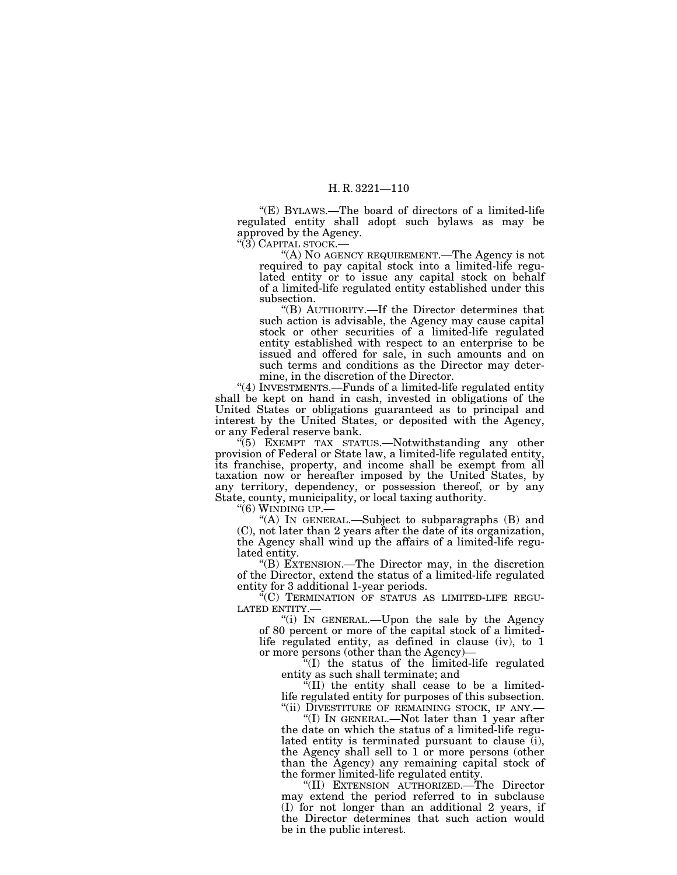''(E) BYLAWS.—The board of directors of a limited-life regulated entity shall adopt such bylaws as may be approved by the Agency.

''(3) CAPITAL STOCK.—

''(A) NO AGENCY REQUIREMENT.—The Agency is not required to pay capital stock into a limited-life regulated entity or to issue any capital stock on behalf of a limited-life regulated entity established under this subsection.

''(B) AUTHORITY.—If the Director determines that such action is advisable, the Agency may cause capital stock or other securities of a limited-life regulated entity established with respect to an enterprise to be issued and offered for sale, in such amounts and on such terms and conditions as the Director may determine, in the discretion of the Director.

"(4) INVESTMENTS.—Funds of a limited-life regulated entity shall be kept on hand in cash, invested in obligations of the United States or obligations guaranteed as to principal and interest by the United States, or deposited with the Agency, or any Federal reserve bank.

''(5) EXEMPT TAX STATUS.—Notwithstanding any other provision of Federal or State law, a limited-life regulated entity, its franchise, property, and income shall be exempt from all taxation now or hereafter imposed by the United States, by any territory, dependency, or possession thereof, or by any State, county, municipality, or local taxing authority.

''(6) WINDING UP.—

''(A) IN GENERAL.—Subject to subparagraphs (B) and (C), not later than 2 years after the date of its organization, the Agency shall wind up the affairs of a limited-life regulated entity.

''(B) EXTENSION.—The Director may, in the discretion of the Director, extend the status of a limited-life regulated entity for 3 additional 1-year periods.

''(C) TERMINATION OF STATUS AS LIMITED-LIFE REGU-LATED ENTITY.—

''(i) IN GENERAL.—Upon the sale by the Agency of 80 percent or more of the capital stock of a limitedlife regulated entity, as defined in clause (iv), to 1 or more persons (other than the Agency)—

''(I) the status of the limited-life regulated entity as such shall terminate; and

 $\sqrt{\text{III}}$  the entity shall cease to be a limitedlife regulated entity for purposes of this subsection.

''(ii) DIVESTITURE OF REMAINING STOCK, IF ANY.— ''(I) IN GENERAL.—Not later than 1 year after the date on which the status of a limited-life regulated entity is terminated pursuant to clause (i), the Agency shall sell to 1 or more persons (other than the Agency) any remaining capital stock of the former limited-life regulated entity.

''(II) EXTENSION AUTHORIZED.—The Director may extend the period referred to in subclause (I) for not longer than an additional 2 years, if the Director determines that such action would be in the public interest.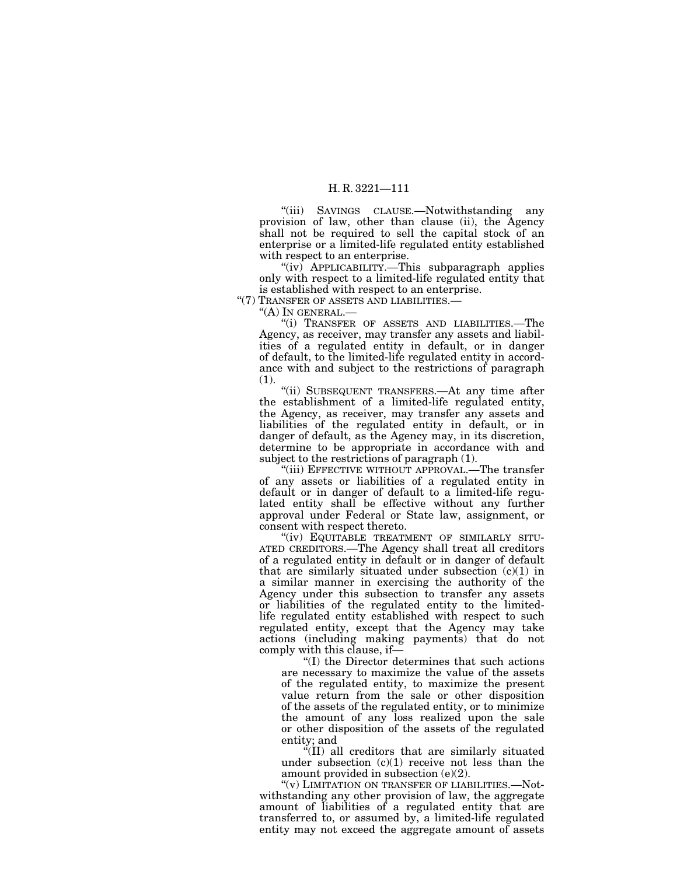''(iii) SAVINGS CLAUSE.—Notwithstanding any provision of law, other than clause (ii), the Agency shall not be required to sell the capital stock of an enterprise or a limited-life regulated entity established with respect to an enterprise.

"(iv) APPLICABILITY.—This subparagraph applies only with respect to a limited-life regulated entity that is established with respect to an enterprise.

''(7) TRANSFER OF ASSETS AND LIABILITIES.—

''(A) IN GENERAL.—

''(i) TRANSFER OF ASSETS AND LIABILITIES.—The Agency, as receiver, may transfer any assets and liabilities of a regulated entity in default, or in danger of default, to the limited-life regulated entity in accordance with and subject to the restrictions of paragraph (1).

''(ii) SUBSEQUENT TRANSFERS.—At any time after the establishment of a limited-life regulated entity, the Agency, as receiver, may transfer any assets and liabilities of the regulated entity in default, or in danger of default, as the Agency may, in its discretion, determine to be appropriate in accordance with and subject to the restrictions of paragraph (1).

"(iii) EFFECTIVE WITHOUT APPROVAL.—The transfer of any assets or liabilities of a regulated entity in default or in danger of default to a limited-life regulated entity shall be effective without any further approval under Federal or State law, assignment, or consent with respect thereto.

"(iv) EQUITABLE TREATMENT OF SIMILARLY SITU-ATED CREDITORS.—The Agency shall treat all creditors of a regulated entity in default or in danger of default that are similarly situated under subsection  $(c)(1)$  in a similar manner in exercising the authority of the Agency under this subsection to transfer any assets or liabilities of the regulated entity to the limitedlife regulated entity established with respect to such regulated entity, except that the Agency may take actions (including making payments) that do not comply with this clause, if—

''(I) the Director determines that such actions are necessary to maximize the value of the assets of the regulated entity, to maximize the present value return from the sale or other disposition of the assets of the regulated entity, or to minimize the amount of any loss realized upon the sale or other disposition of the assets of the regulated entity; and

 $\sqrt{\text{III}}$  all creditors that are similarly situated under subsection  $(c)(1)$  receive not less than the amount provided in subsection (e)(2).

"(v) LIMITATION ON TRANSFER OF LIABILITIES.-Notwithstanding any other provision of law, the aggregate amount of liabilities of a regulated entity that are transferred to, or assumed by, a limited-life regulated entity may not exceed the aggregate amount of assets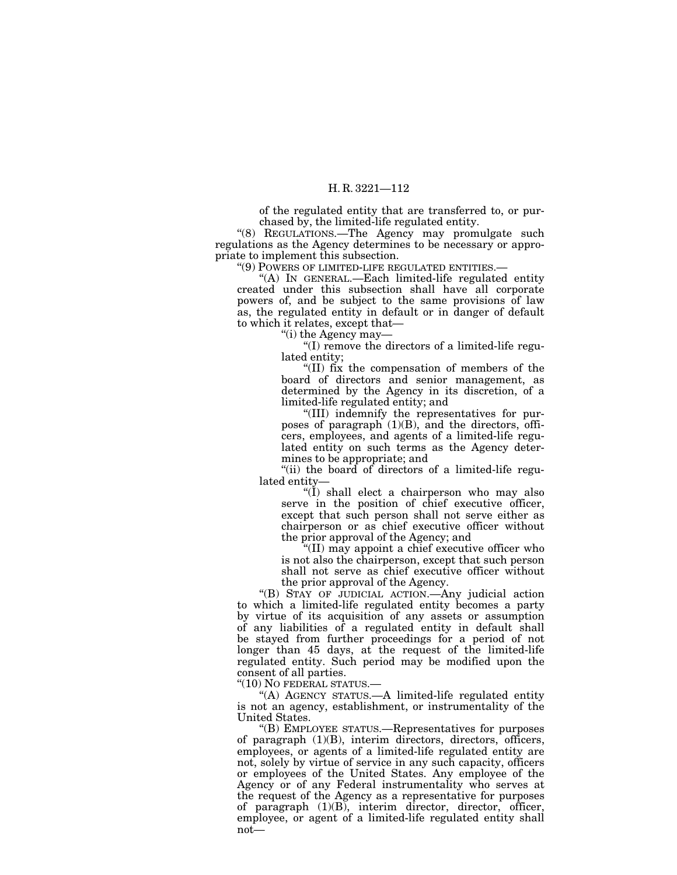of the regulated entity that are transferred to, or purchased by, the limited-life regulated entity.

"(8) REGULATIONS.-The Agency may promulgate such regulations as the Agency determines to be necessary or appropriate to implement this subsection.

''(9) POWERS OF LIMITED-LIFE REGULATED ENTITIES.—

''(A) IN GENERAL.—Each limited-life regulated entity created under this subsection shall have all corporate powers of, and be subject to the same provisions of law as, the regulated entity in default or in danger of default to which it relates, except that—

''(i) the Agency may—

''(I) remove the directors of a limited-life regulated entity;

''(II) fix the compensation of members of the board of directors and senior management, as determined by the Agency in its discretion, of a limited-life regulated entity; and

''(III) indemnify the representatives for purposes of paragraph (1)(B), and the directors, officers, employees, and agents of a limited-life regulated entity on such terms as the Agency determines to be appropriate; and

''(ii) the board of directors of a limited-life regulated entity—

''(I) shall elect a chairperson who may also serve in the position of chief executive officer, except that such person shall not serve either as chairperson or as chief executive officer without the prior approval of the Agency; and

''(II) may appoint a chief executive officer who is not also the chairperson, except that such person shall not serve as chief executive officer without the prior approval of the Agency.

''(B) STAY OF JUDICIAL ACTION.—Any judicial action to which a limited-life regulated entity becomes a party by virtue of its acquisition of any assets or assumption of any liabilities of a regulated entity in default shall be stayed from further proceedings for a period of not longer than 45 days, at the request of the limited-life regulated entity. Such period may be modified upon the consent of all parties.

''(10) NO FEDERAL STATUS.—

''(A) AGENCY STATUS.—A limited-life regulated entity is not an agency, establishment, or instrumentality of the United States.

''(B) EMPLOYEE STATUS.—Representatives for purposes of paragraph (1)(B), interim directors, directors, officers, employees, or agents of a limited-life regulated entity are not, solely by virtue of service in any such capacity, officers or employees of the United States. Any employee of the Agency or of any Federal instrumentality who serves at the request of the Agency as a representative for purposes of paragraph  $(1)(B)$ , interim director, director, officer, employee, or agent of a limited-life regulated entity shall not—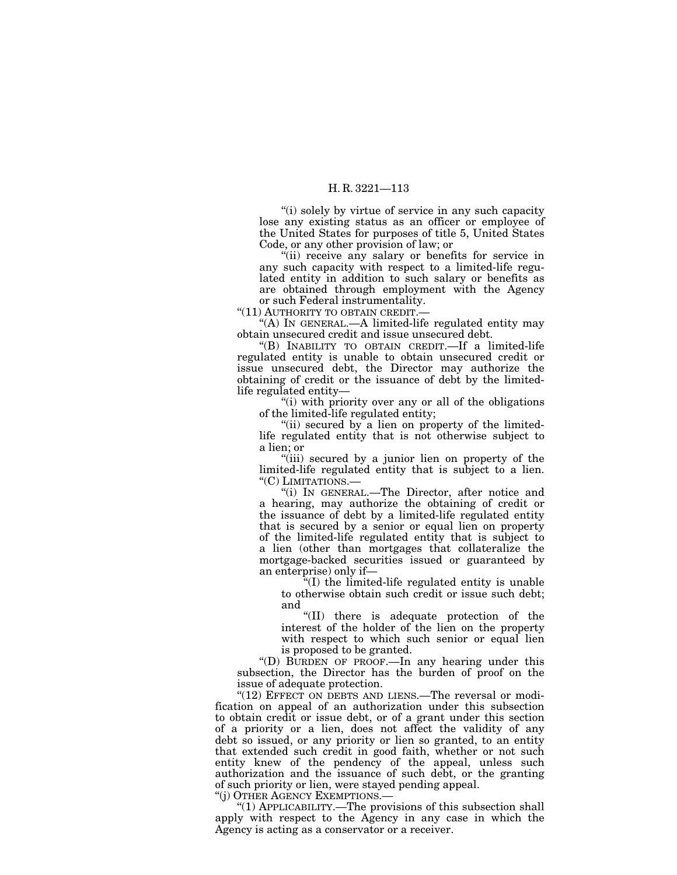''(i) solely by virtue of service in any such capacity lose any existing status as an officer or employee of the United States for purposes of title 5, United States Code, or any other provision of law; or

"(ii) receive any salary or benefits for service in any such capacity with respect to a limited-life regulated entity in addition to such salary or benefits as are obtained through employment with the Agency or such Federal instrumentality.

"(11) AUTHORITY TO OBTAIN CREDIT.-

''(A) IN GENERAL.—A limited-life regulated entity may obtain unsecured credit and issue unsecured debt.

''(B) INABILITY TO OBTAIN CREDIT.—If a limited-life regulated entity is unable to obtain unsecured credit or issue unsecured debt, the Director may authorize the obtaining of credit or the issuance of debt by the limitedlife regulated entity—

"(i) with priority over any or all of the obligations" of the limited-life regulated entity;

"(ii) secured by a lien on property of the limitedlife regulated entity that is not otherwise subject to a lien; or

"(iii) secured by a junior lien on property of the limited-life regulated entity that is subject to a lien. ''(C) LIMITATIONS.—

''(i) IN GENERAL.—The Director, after notice and a hearing, may authorize the obtaining of credit or the issuance of debt by a limited-life regulated entity that is secured by a senior or equal lien on property of the limited-life regulated entity that is subject to a lien (other than mortgages that collateralize the mortgage-backed securities issued or guaranteed by an enterprise) only if—

 $f(I)$  the limited-life regulated entity is unable to otherwise obtain such credit or issue such debt; and

''(II) there is adequate protection of the interest of the holder of the lien on the property with respect to which such senior or equal lien is proposed to be granted.

''(D) BURDEN OF PROOF.—In any hearing under this subsection, the Director has the burden of proof on the issue of adequate protection.

"(12) EFFECT ON DEBTS AND LIENS.—The reversal or modification on appeal of an authorization under this subsection to obtain credit or issue debt, or of a grant under this section of a priority or a lien, does not affect the validity of any debt so issued, or any priority or lien so granted, to an entity that extended such credit in good faith, whether or not such entity knew of the pendency of the appeal, unless such authorization and the issuance of such debt, or the granting of such priority or lien, were stayed pending appeal.

''(j) OTHER AGENCY EXEMPTIONS.—

''(1) APPLICABILITY.—The provisions of this subsection shall apply with respect to the Agency in any case in which the Agency is acting as a conservator or a receiver.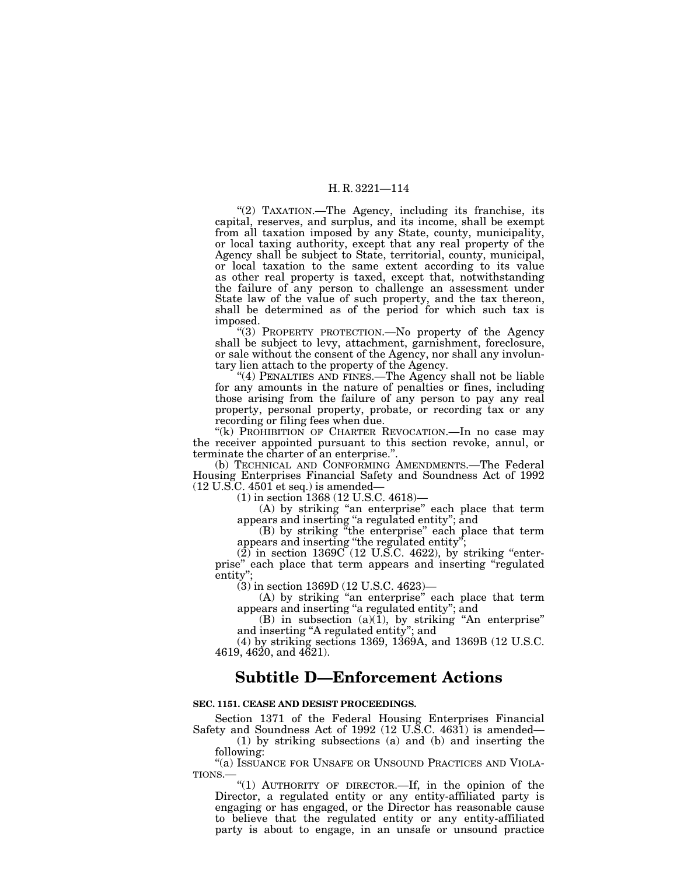"(2) TAXATION.—The Agency, including its franchise, its capital, reserves, and surplus, and its income, shall be exempt from all taxation imposed by any State, county, municipality, or local taxing authority, except that any real property of the Agency shall be subject to State, territorial, county, municipal, or local taxation to the same extent according to its value as other real property is taxed, except that, notwithstanding the failure of any person to challenge an assessment under State law of the value of such property, and the tax thereon, shall be determined as of the period for which such tax is imposed.

''(3) PROPERTY PROTECTION.—No property of the Agency shall be subject to levy, attachment, garnishment, foreclosure, or sale without the consent of the Agency, nor shall any involuntary lien attach to the property of the Agency.

"(4) PENALTIES AND FINES.—The Agency shall not be liable for any amounts in the nature of penalties or fines, including those arising from the failure of any person to pay any real property, personal property, probate, or recording tax or any recording or filing fees when due.

"(k) PROHIBITION OF CHARTER REVOCATION.—In no case may the receiver appointed pursuant to this section revoke, annul, or terminate the charter of an enterprise.''.

(b) TECHNICAL AND CONFORMING AMENDMENTS.—The Federal Housing Enterprises Financial Safety and Soundness Act of 1992 (12 U.S.C. 4501 et seq.) is amended—

(1) in section 1368 (12 U.S.C. 4618)—

(A) by striking ''an enterprise'' each place that term appears and inserting ''a regulated entity''; and

(B) by striking ''the enterprise'' each place that term appears and inserting ''the regulated entity'';

 $(2)$  in section 1369C  $(12 \text{ U.S.C. } 4622)$ , by striking "enterprise'' each place that term appears and inserting ''regulated entity'';

(3) in section 1369D (12 U.S.C. 4623)—

(A) by striking ''an enterprise'' each place that term appears and inserting ''a regulated entity''; and

(B) in subsection  $(a)(\tilde{1})$ , by striking "An enterprise" and inserting ''A regulated entity''; and

(4) by striking sections 1369, 1369A, and 1369B (12 U.S.C. 4619, 4620, and 4621).

# **Subtitle D—Enforcement Actions**

## **SEC. 1151. CEASE AND DESIST PROCEEDINGS.**

Section 1371 of the Federal Housing Enterprises Financial Safety and Soundness Act of 1992 (12 U.S.C. 4631) is amended—

(1) by striking subsections (a) and (b) and inserting the following:

''(a) ISSUANCE FOR UNSAFE OR UNSOUND PRACTICES AND VIOLA-TIONS.— ''(1) AUTHORITY OF DIRECTOR.—If, in the opinion of the

Director, a regulated entity or any entity-affiliated party is engaging or has engaged, or the Director has reasonable cause to believe that the regulated entity or any entity-affiliated party is about to engage, in an unsafe or unsound practice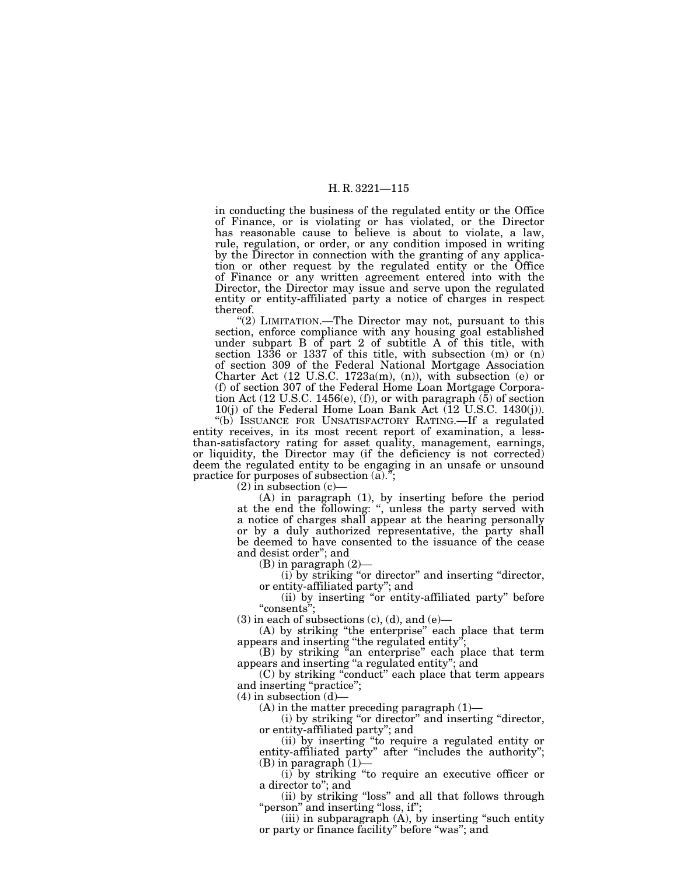in conducting the business of the regulated entity or the Office of Finance, or is violating or has violated, or the Director has reasonable cause to believe is about to violate, a law, rule, regulation, or order, or any condition imposed in writing by the Director in connection with the granting of any application or other request by the regulated entity or the Office of Finance or any written agreement entered into with the Director, the Director may issue and serve upon the regulated entity or entity-affiliated party a notice of charges in respect thereof.

''(2) LIMITATION.—The Director may not, pursuant to this section, enforce compliance with any housing goal established under subpart B of part 2 of subtitle A of this title, with section 1336 or 1337 of this title, with subsection (m) or (n) of section 309 of the Federal National Mortgage Association Charter Act (12 U.S.C. 1723a(m), (n)), with subsection (e) or (f) of section 307 of the Federal Home Loan Mortgage Corporation Act (12 U.S.C. 1456(e), (f)), or with paragraph (5) of section 10(j) of the Federal Home Loan Bank Act (12 U.S.C. 1430(j)).

''(b) ISSUANCE FOR UNSATISFACTORY RATING.—If a regulated entity receives, in its most recent report of examination, a lessthan-satisfactory rating for asset quality, management, earnings, or liquidity, the Director may (if the deficiency is not corrected) deem the regulated entity to be engaging in an unsafe or unsound practice for purposes of subsection  $(a)$ .";

 $(2)$  in subsection  $(c)$ —

(A) in paragraph (1), by inserting before the period at the end the following: '', unless the party served with a notice of charges shall appear at the hearing personally or by a duly authorized representative, the party shall be deemed to have consented to the issuance of the cease and desist order''; and

(B) in paragraph (2)—

(i) by striking ''or director'' and inserting ''director, or entity-affiliated party''; and

(ii) by inserting ''or entity-affiliated party'' before ''consents'';

(3) in each of subsections (c), (d), and (e)—

(A) by striking ''the enterprise'' each place that term appears and inserting ''the regulated entity'';

(B) by striking ''an enterprise'' each place that term appears and inserting ''a regulated entity''; and

(C) by striking ''conduct'' each place that term appears and inserting "practice";

 $(4)$  in subsection  $(d)$ –

 $(A)$  in the matter preceding paragraph  $(1)$ —

(i) by striking ''or director'' and inserting ''director, or entity-affiliated party''; and

(ii) by inserting ''to require a regulated entity or entity-affiliated party" after "includes the authority";  $(B)$  in paragraph  $(1)$ —

(i) by striking ''to require an executive officer or a director to''; and

(ii) by striking ''loss'' and all that follows through "person" and inserting "loss, if";

(iii) in subparagraph (A), by inserting ''such entity or party or finance facility'' before ''was''; and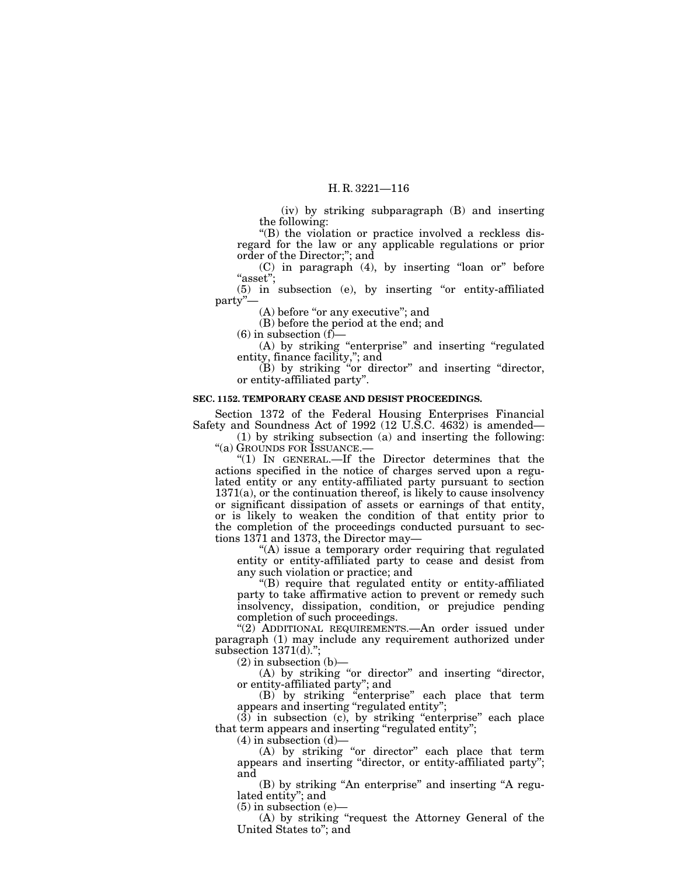(iv) by striking subparagraph (B) and inserting the following:

''(B) the violation or practice involved a reckless disregard for the law or any applicable regulations or prior order of the Director;''; and

(C) in paragraph (4), by inserting ''loan or'' before "asset";

(5) in subsection (e), by inserting ''or entity-affiliated party''—

(A) before "or any executive"; and

(B) before the period at the end; and

 $(6)$  in subsection  $(f)$ –

(A) by striking "enterprise" and inserting "regulated entity, finance facility,''; and

(B) by striking ''or director'' and inserting ''director, or entity-affiliated party''.

## **SEC. 1152. TEMPORARY CEASE AND DESIST PROCEEDINGS.**

Section 1372 of the Federal Housing Enterprises Financial Safety and Soundness Act of 1992 (12 U.S.C. 4632) is amended—

(1) by striking subsection (a) and inserting the following: ''(a) GROUNDS FOR ISSUANCE.—

''(1) IN GENERAL.—If the Director determines that the actions specified in the notice of charges served upon a regulated entity or any entity-affiliated party pursuant to section 1371(a), or the continuation thereof, is likely to cause insolvency or significant dissipation of assets or earnings of that entity, or is likely to weaken the condition of that entity prior to the completion of the proceedings conducted pursuant to sections 1371 and 1373, the Director may—

"(A) issue a temporary order requiring that regulated entity or entity-affiliated party to cease and desist from any such violation or practice; and

''(B) require that regulated entity or entity-affiliated party to take affirmative action to prevent or remedy such insolvency, dissipation, condition, or prejudice pending completion of such proceedings.

"(2) ADDITIONAL REQUIREMENTS.—An order issued under paragraph (1) may include any requirement authorized under subsection 1371(d).";

(2) in subsection (b)—

(A) by striking ''or director'' and inserting ''director, or entity-affiliated party''; and

(B) by striking ''enterprise'' each place that term appears and inserting ''regulated entity'';

(3) in subsection (c), by striking ''enterprise'' each place that term appears and inserting "regulated entity";

 $(4)$  in subsection  $(d)$ —

(A) by striking ''or director'' each place that term appears and inserting "director, or entity-affiliated party"; and

(B) by striking ''An enterprise'' and inserting ''A regulated entity''; and

(5) in subsection (e)—

(A) by striking ''request the Attorney General of the United States to''; and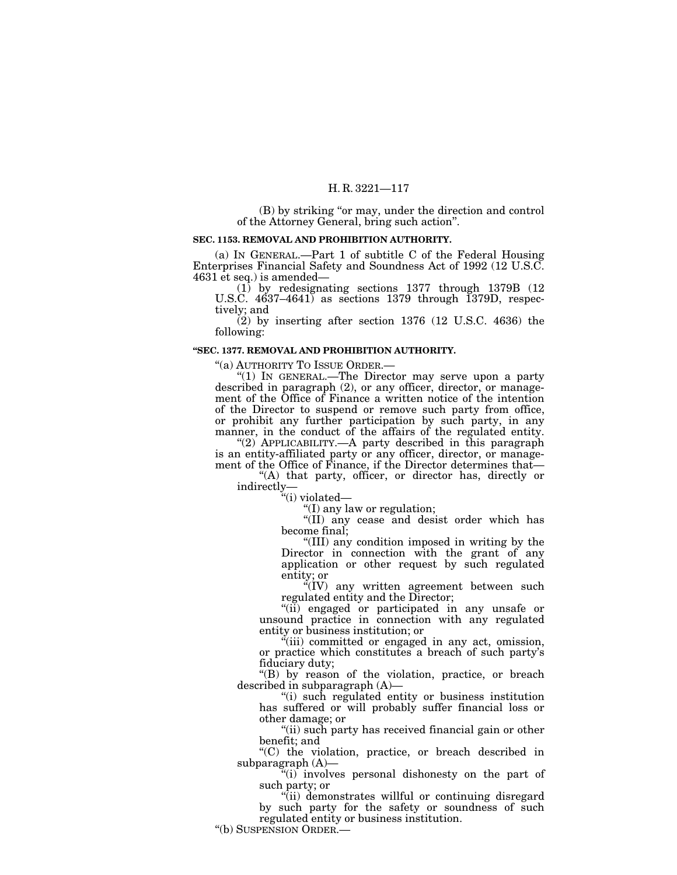(B) by striking ''or may, under the direction and control of the Attorney General, bring such action''.

#### **SEC. 1153. REMOVAL AND PROHIBITION AUTHORITY.**

(a) IN GENERAL.—Part 1 of subtitle C of the Federal Housing Enterprises Financial Safety and Soundness Act of 1992 (12 U.S.C. 4631 et seq.) is amended—

(1) by redesignating sections 1377 through 1379B (12 U.S.C. 4637–4641) as sections 1379 through 1379D, respectively; and

 $(2)$  by inserting after section 1376 (12 U.S.C. 4636) the following:

#### **''SEC. 1377. REMOVAL AND PROHIBITION AUTHORITY.**

''(a) AUTHORITY TO ISSUE ORDER.—

''(1) IN GENERAL.—The Director may serve upon a party described in paragraph (2), or any officer, director, or management of the Office of Finance a written notice of the intention of the Director to suspend or remove such party from office, or prohibit any further participation by such party, in any manner, in the conduct of the affairs of the regulated entity.

''(2) APPLICABILITY.—A party described in this paragraph is an entity-affiliated party or any officer, director, or management of the Office of Finance, if the Director determines that—

''(A) that party, officer, or director has, directly or indirectly—

''(i) violated—

''(I) any law or regulation;

''(II) any cease and desist order which has become final;

''(III) any condition imposed in writing by the Director in connection with the grant of any application or other request by such regulated entity; or

 $\sqrt{\rm q(V)}$  any written agreement between such regulated entity and the Director;

''(ii) engaged or participated in any unsafe or unsound practice in connection with any regulated entity or business institution; or

 $\mathcal{L}$ <sup> $\mathcal{L}$ </sup>(iii) committed or engaged in any act, omission, or practice which constitutes a breach of such party's fiduciary duty;

''(B) by reason of the violation, practice, or breach described in subparagraph (A)—

''(i) such regulated entity or business institution has suffered or will probably suffer financial loss or other damage; or

"(ii) such party has received financial gain or other benefit; and

''(C) the violation, practice, or breach described in subparagraph (A)—

"(i) involves personal dishonesty on the part of such party; or

"(ii) demonstrates willful or continuing disregard by such party for the safety or soundness of such regulated entity or business institution.

''(b) SUSPENSION ORDER.—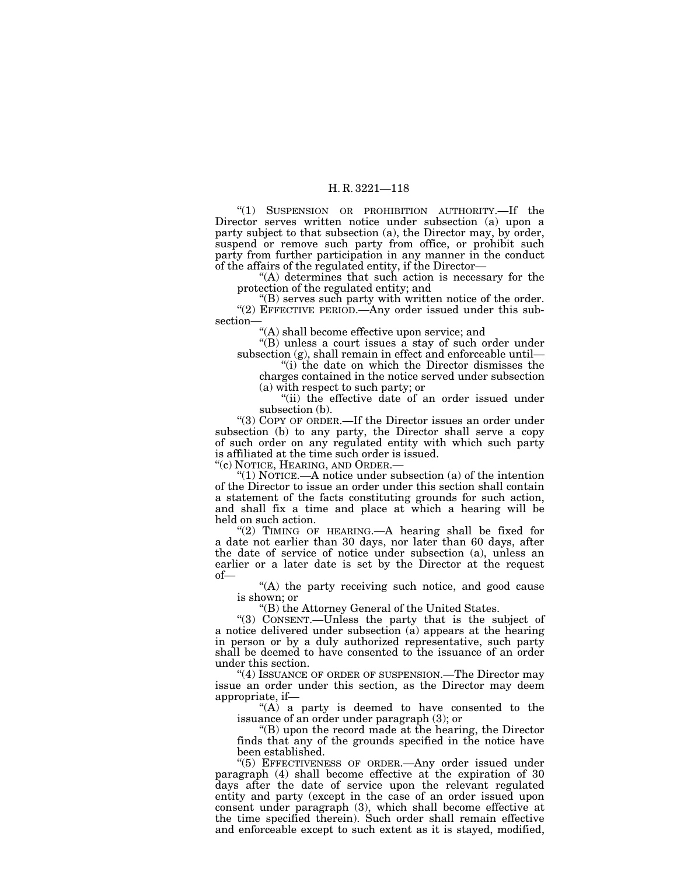"(1) SUSPENSION OR PROHIBITION AUTHORITY.—If the Director serves written notice under subsection (a) upon a party subject to that subsection (a), the Director may, by order, suspend or remove such party from office, or prohibit such party from further participation in any manner in the conduct of the affairs of the regulated entity, if the Director—

"(A) determines that such action is necessary for the protection of the regulated entity; and

''(B) serves such party with written notice of the order. "(2) EFFECTIVE PERIOD.—Any order issued under this subsection—

''(A) shall become effective upon service; and

''(B) unless a court issues a stay of such order under subsection (g), shall remain in effect and enforceable until—

''(i) the date on which the Director dismisses the charges contained in the notice served under subsection (a) with respect to such party; or

''(ii) the effective date of an order issued under subsection (b).

"(3) COPY OF ORDER.—If the Director issues an order under subsection (b) to any party, the Director shall serve a copy of such order on any regulated entity with which such party is affiliated at the time such order is issued.

''(c) NOTICE, HEARING, AND ORDER.—

"(1) NOTICE.—A notice under subsection (a) of the intention of the Director to issue an order under this section shall contain a statement of the facts constituting grounds for such action, and shall fix a time and place at which a hearing will be held on such action.

" $(2)$  TIMING OF HEARING.—A hearing shall be fixed for a date not earlier than 30 days, nor later than 60 days, after the date of service of notice under subsection (a), unless an earlier or a later date is set by the Director at the request of—

"(A) the party receiving such notice, and good cause is shown; or

''(B) the Attorney General of the United States.

''(3) CONSENT.—Unless the party that is the subject of a notice delivered under subsection (a) appears at the hearing in person or by a duly authorized representative, such party shall be deemed to have consented to the issuance of an order under this section.

"(4) ISSUANCE OF ORDER OF SUSPENSION.—The Director may issue an order under this section, as the Director may deem appropriate, if—

''(A) a party is deemed to have consented to the issuance of an order under paragraph (3); or

''(B) upon the record made at the hearing, the Director finds that any of the grounds specified in the notice have been established.

''(5) EFFECTIVENESS OF ORDER.—Any order issued under paragraph (4) shall become effective at the expiration of 30 days after the date of service upon the relevant regulated entity and party (except in the case of an order issued upon consent under paragraph (3), which shall become effective at the time specified therein). Such order shall remain effective and enforceable except to such extent as it is stayed, modified,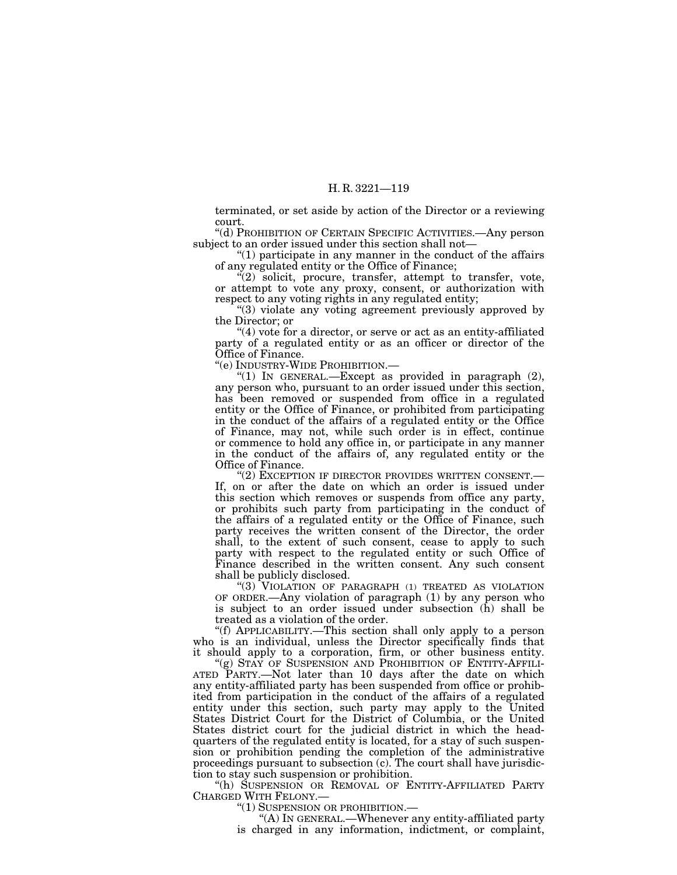terminated, or set aside by action of the Director or a reviewing court.

''(d) PROHIBITION OF CERTAIN SPECIFIC ACTIVITIES.—Any person subject to an order issued under this section shall not—

 $''(1)$  participate in any manner in the conduct of the affairs of any regulated entity or the Office of Finance;

 $(2)$  solicit, procure, transfer, attempt to transfer, vote, or attempt to vote any proxy, consent, or authorization with respect to any voting rights in any regulated entity;

"(3) violate any voting agreement previously approved by the Director; or

''(4) vote for a director, or serve or act as an entity-affiliated party of a regulated entity or as an officer or director of the Office of Finance.

''(e) INDUSTRY-WIDE PROHIBITION.—

"(1) IN GENERAL.—Except as provided in paragraph  $(2)$ , any person who, pursuant to an order issued under this section, has been removed or suspended from office in a regulated entity or the Office of Finance, or prohibited from participating in the conduct of the affairs of a regulated entity or the Office of Finance, may not, while such order is in effect, continue or commence to hold any office in, or participate in any manner in the conduct of the affairs of, any regulated entity or the Office of Finance.

"(2) EXCEPTION IF DIRECTOR PROVIDES WRITTEN CONSENT.— If, on or after the date on which an order is issued under this section which removes or suspends from office any party, or prohibits such party from participating in the conduct of the affairs of a regulated entity or the Office of Finance, such party receives the written consent of the Director, the order shall, to the extent of such consent, cease to apply to such party with respect to the regulated entity or such Office of Finance described in the written consent. Any such consent shall be publicly disclosed.

"(3) VIOLATION OF PARAGRAPH (1) TREATED AS VIOLATION OF ORDER.—Any violation of paragraph (1) by any person who is subject to an order issued under subsection (h) shall be treated as a violation of the order.

''(f) APPLICABILITY.—This section shall only apply to a person who is an individual, unless the Director specifically finds that it should apply to a corporation, firm, or other business entity.

"(g) STAY OF SUSPENSION AND PROHIBITION OF ENTITY-AFFILI-ATED PARTY.—Not later than 10 days after the date on which any entity-affiliated party has been suspended from office or prohibited from participation in the conduct of the affairs of a regulated entity under this section, such party may apply to the United States District Court for the District of Columbia, or the United States district court for the judicial district in which the headquarters of the regulated entity is located, for a stay of such suspension or prohibition pending the completion of the administrative proceedings pursuant to subsection (c). The court shall have jurisdiction to stay such suspension or prohibition.

''(h) SUSPENSION OR REMOVAL OF ENTITY-AFFILIATED PARTY CHARGED WITH FELONY.—

''(1) SUSPENSION OR PROHIBITION.—

''(A) IN GENERAL.—Whenever any entity-affiliated party is charged in any information, indictment, or complaint,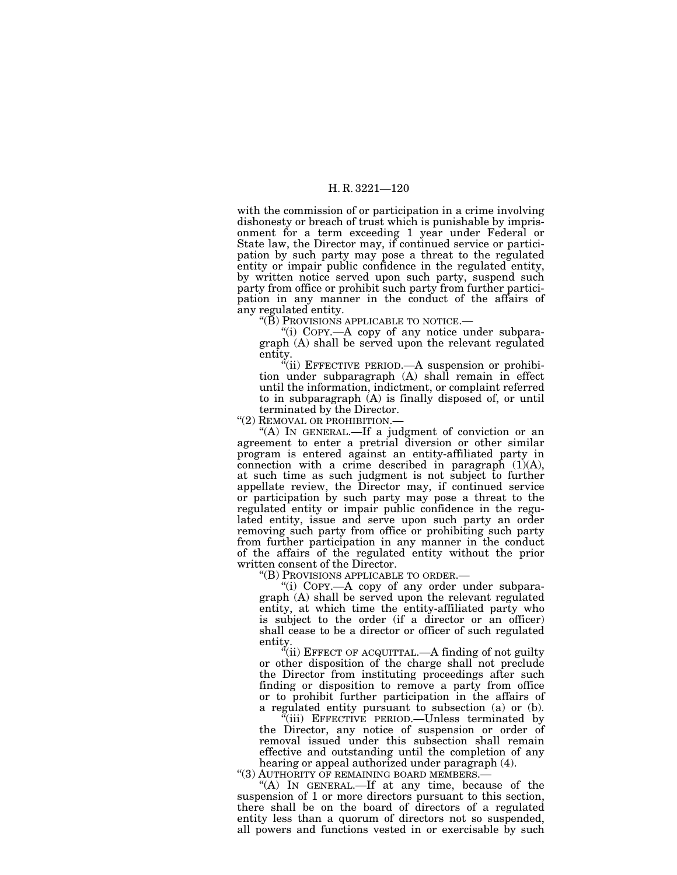with the commission of or participation in a crime involving dishonesty or breach of trust which is punishable by imprisonment for a term exceeding 1 year under Federal or State law, the Director may, if continued service or participation by such party may pose a threat to the regulated entity or impair public confidence in the regulated entity, by written notice served upon such party, suspend such party from office or prohibit such party from further participation in any manner in the conduct of the affairs of any regulated entity.

''(B) PROVISIONS APPLICABLE TO NOTICE.—

''(i) COPY.—A copy of any notice under subparagraph (A) shall be served upon the relevant regulated entity.

''(ii) EFFECTIVE PERIOD.—A suspension or prohibition under subparagraph (A) shall remain in effect until the information, indictment, or complaint referred to in subparagraph (A) is finally disposed of, or until terminated by the Director.

''(2) REMOVAL OR PROHIBITION.—

"(A) IN GENERAL.—If a judgment of conviction or an agreement to enter a pretrial diversion or other similar program is entered against an entity-affiliated party in connection with a crime described in paragraph  $(1)(A)$ , at such time as such judgment is not subject to further appellate review, the Director may, if continued service or participation by such party may pose a threat to the regulated entity or impair public confidence in the regulated entity, issue and serve upon such party an order removing such party from office or prohibiting such party from further participation in any manner in the conduct of the affairs of the regulated entity without the prior written consent of the Director.

''(B) PROVISIONS APPLICABLE TO ORDER.—

''(i) COPY.—A copy of any order under subparagraph (A) shall be served upon the relevant regulated entity, at which time the entity-affiliated party who is subject to the order (if a director or an officer) shall cease to be a director or officer of such regulated entity.

 $\hat{f}$ (ii) EFFECT OF ACQUITTAL.—A finding of not guilty or other disposition of the charge shall not preclude the Director from instituting proceedings after such finding or disposition to remove a party from office or to prohibit further participation in the affairs of a regulated entity pursuant to subsection (a) or (b).

 $\tilde{f}$ (iii) EFFECTIVE PERIOD.—Unless terminated by the Director, any notice of suspension or order of removal issued under this subsection shall remain effective and outstanding until the completion of any hearing or appeal authorized under paragraph (4).<br>"(3) AUTHORITY OF REMAINING BOARD MEMBERS.—

"(A) In GENERAL.—If at any time, because of the suspension of 1 or more directors pursuant to this section, there shall be on the board of directors of a regulated entity less than a quorum of directors not so suspended, all powers and functions vested in or exercisable by such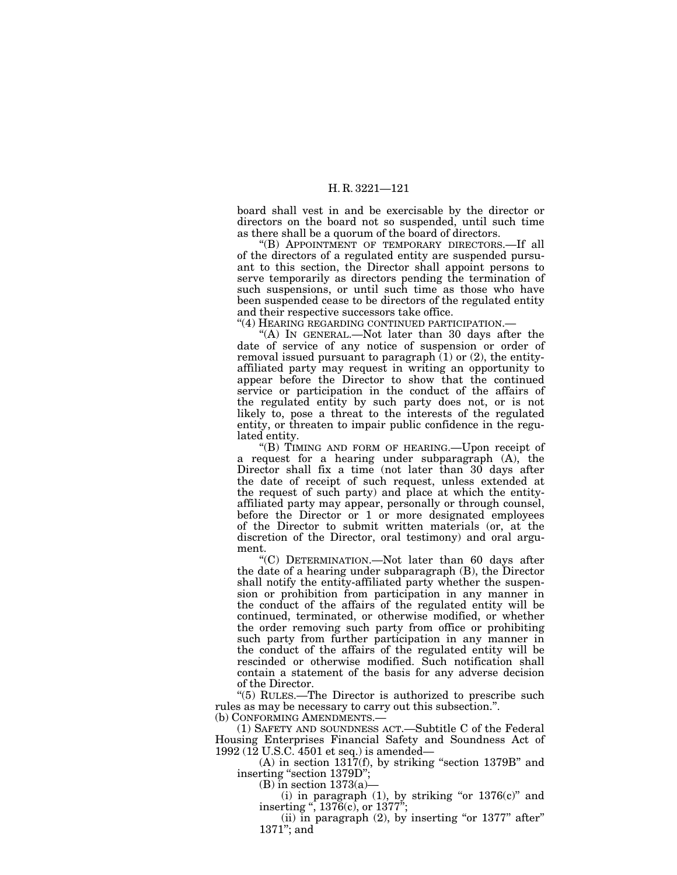board shall vest in and be exercisable by the director or directors on the board not so suspended, until such time as there shall be a quorum of the board of directors.

''(B) APPOINTMENT OF TEMPORARY DIRECTORS.—If all of the directors of a regulated entity are suspended pursuant to this section, the Director shall appoint persons to serve temporarily as directors pending the termination of such suspensions, or until such time as those who have been suspended cease to be directors of the regulated entity and their respective successors take office.

''(4) HEARING REGARDING CONTINUED PARTICIPATION.—

''(A) IN GENERAL.—Not later than 30 days after the date of service of any notice of suspension or order of removal issued pursuant to paragraph  $(1)$  or  $(2)$ , the entityaffiliated party may request in writing an opportunity to appear before the Director to show that the continued service or participation in the conduct of the affairs of the regulated entity by such party does not, or is not likely to, pose a threat to the interests of the regulated entity, or threaten to impair public confidence in the regulated entity.

''(B) TIMING AND FORM OF HEARING.—Upon receipt of a request for a hearing under subparagraph (A), the Director shall fix a time (not later than 30 days after the date of receipt of such request, unless extended at the request of such party) and place at which the entityaffiliated party may appear, personally or through counsel, before the Director or 1 or more designated employees of the Director to submit written materials (or, at the discretion of the Director, oral testimony) and oral argument.

''(C) DETERMINATION.—Not later than 60 days after the date of a hearing under subparagraph (B), the Director shall notify the entity-affiliated party whether the suspension or prohibition from participation in any manner in the conduct of the affairs of the regulated entity will be continued, terminated, or otherwise modified, or whether the order removing such party from office or prohibiting such party from further participation in any manner in the conduct of the affairs of the regulated entity will be rescinded or otherwise modified. Such notification shall contain a statement of the basis for any adverse decision of the Director.

''(5) RULES.—The Director is authorized to prescribe such rules as may be necessary to carry out this subsection.''.

(b) CONFORMING AMENDMENTS.—

(1) SAFETY AND SOUNDNESS ACT.—Subtitle C of the Federal Housing Enterprises Financial Safety and Soundness Act of 1992 (12 U.S.C. 4501 et seq.) is amended—

 $(A)$  in section 1317(f), by striking "section 1379B" and inserting "section 1379D";

 $(B)$  in section 1373(a)-

(i) in paragraph  $(1)$ , by striking "or  $1376(c)$ " and inserting ",  $1376(c)$ , or  $1377$ ";

(ii) in paragraph  $(2)$ , by inserting "or 1377" after" 1371''; and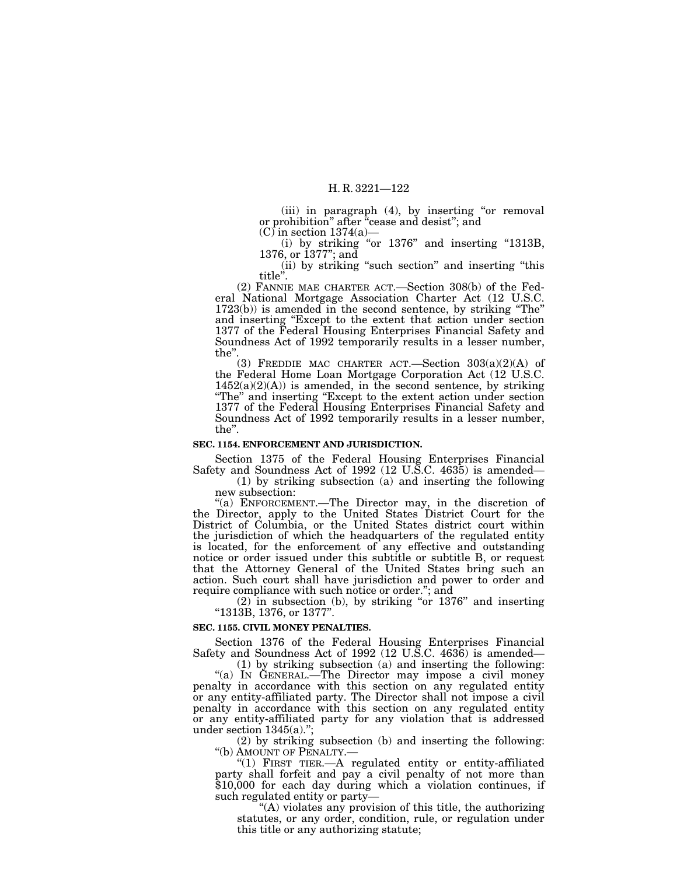(iii) in paragraph (4), by inserting "or removal or prohibition'' after ''cease and desist''; and

(C) in section 1374(a)—<br>(i) by striking "or

"or  $1376"$  and inserting "1313B, 1376, or 1377''; and

(ii) by striking ''such section'' and inserting ''this title''.

(2) FANNIE MAE CHARTER ACT.—Section 308(b) of the Federal National Mortgage Association Charter Act (12 U.S.C.  $1723(b)$ ) is amended in the second sentence, by striking "The" and inserting ''Except to the extent that action under section 1377 of the Federal Housing Enterprises Financial Safety and Soundness Act of 1992 temporarily results in a lesser number, the''.

(3) FREDDIE MAC CHARTER ACT.—Section  $303(a)(2)(A)$  of the Federal Home Loan Mortgage Corporation Act (12 U.S.C.  $1452(a)(2)(A)$  is amended, in the second sentence, by striking ''The'' and inserting ''Except to the extent action under section 1377 of the Federal Housing Enterprises Financial Safety and Soundness Act of 1992 temporarily results in a lesser number, the''.

## **SEC. 1154. ENFORCEMENT AND JURISDICTION.**

Section 1375 of the Federal Housing Enterprises Financial Safety and Soundness Act of 1992 (12 U.S.C. 4635) is amended—

(1) by striking subsection (a) and inserting the following new subsection:

''(a) ENFORCEMENT.—The Director may, in the discretion of the Director, apply to the United States District Court for the District of Columbia, or the United States district court within the jurisdiction of which the headquarters of the regulated entity is located, for the enforcement of any effective and outstanding notice or order issued under this subtitle or subtitle B, or request that the Attorney General of the United States bring such an action. Such court shall have jurisdiction and power to order and require compliance with such notice or order.''; and

 $(2)$  in subsection (b), by striking "or 1376" and inserting ''1313B, 1376, or 1377''.

## **SEC. 1155. CIVIL MONEY PENALTIES.**

Section 1376 of the Federal Housing Enterprises Financial Safety and Soundness Act of 1992 (12 U.S.C. 4636) is amended—

(1) by striking subsection (a) and inserting the following: "(a) IN GENERAL.—The Director may impose a civil money penalty in accordance with this section on any regulated entity or any entity-affiliated party. The Director shall not impose a civil penalty in accordance with this section on any regulated entity or any entity-affiliated party for any violation that is addressed under section 1345(a).";

(2) by striking subsection (b) and inserting the following: ''(b) AMOUNT OF PENALTY.—

''(1) FIRST TIER.—A regulated entity or entity-affiliated party shall forfeit and pay a civil penalty of not more than \$10,000 for each day during which a violation continues, if such regulated entity or party—

''(A) violates any provision of this title, the authorizing statutes, or any order, condition, rule, or regulation under this title or any authorizing statute;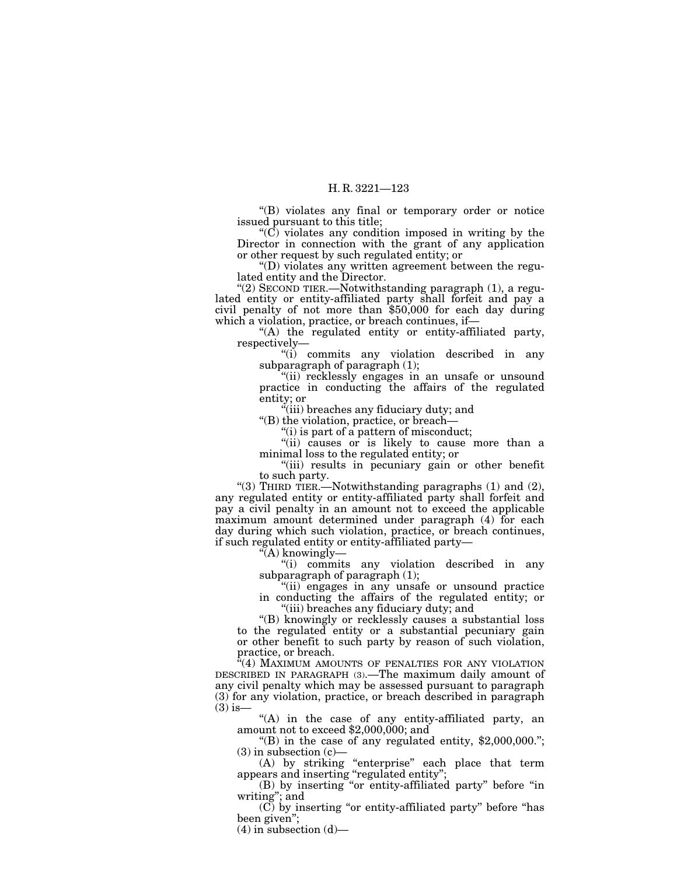''(B) violates any final or temporary order or notice issued pursuant to this title;

" $(\overline{C})$  violates any condition imposed in writing by the Director in connection with the grant of any application or other request by such regulated entity; or

''(D) violates any written agreement between the regulated entity and the Director.

"(2) SECOND TIER.-Notwithstanding paragraph (1), a regulated entity or entity-affiliated party shall forfeit and pay a civil penalty of not more than \$50,000 for each day during which a violation, practice, or breach continues, if—

''(A) the regulated entity or entity-affiliated party, respectively—

''(i) commits any violation described in any subparagraph of paragraph (1);

''(ii) recklessly engages in an unsafe or unsound practice in conducting the affairs of the regulated entity; or

''(iii) breaches any fiduciary duty; and

''(B) the violation, practice, or breach—

''(i) is part of a pattern of misconduct;

"(ii) causes or is likely to cause more than a minimal loss to the regulated entity; or

"(iii) results in pecuniary gain or other benefit to such party.

"(3) THIRD TIER.—Notwithstanding paragraphs (1) and (2), any regulated entity or entity-affiliated party shall forfeit and pay a civil penalty in an amount not to exceed the applicable maximum amount determined under paragraph (4) for each day during which such violation, practice, or breach continues, if such regulated entity or entity-affiliated party—

''(A) knowingly—

''(i) commits any violation described in any subparagraph of paragraph (1);

''(ii) engages in any unsafe or unsound practice in conducting the affairs of the regulated entity; or ''(iii) breaches any fiduciary duty; and

''(B) knowingly or recklessly causes a substantial loss to the regulated entity or a substantial pecuniary gain or other benefit to such party by reason of such violation, practice, or breach.

"(4) MAXIMUM AMOUNTS OF PENALTIES FOR ANY VIOLATION DESCRIBED IN PARAGRAPH (3).—The maximum daily amount of any civil penalty which may be assessed pursuant to paragraph (3) for any violation, practice, or breach described in paragraph  $(3)$  is-

''(A) in the case of any entity-affiliated party, an amount not to exceed  $$2,000,000$ ; and

" $(B)$  in the case of any regulated entity, \$2,000,000.";  $(3)$  in subsection  $(c)$ —

(A) by striking ''enterprise'' each place that term appears and inserting ''regulated entity'';

(B) by inserting ''or entity-affiliated party'' before ''in writing''; and

(C) by inserting ''or entity-affiliated party'' before ''has been given'';

 $(4)$  in subsection  $(d)$ —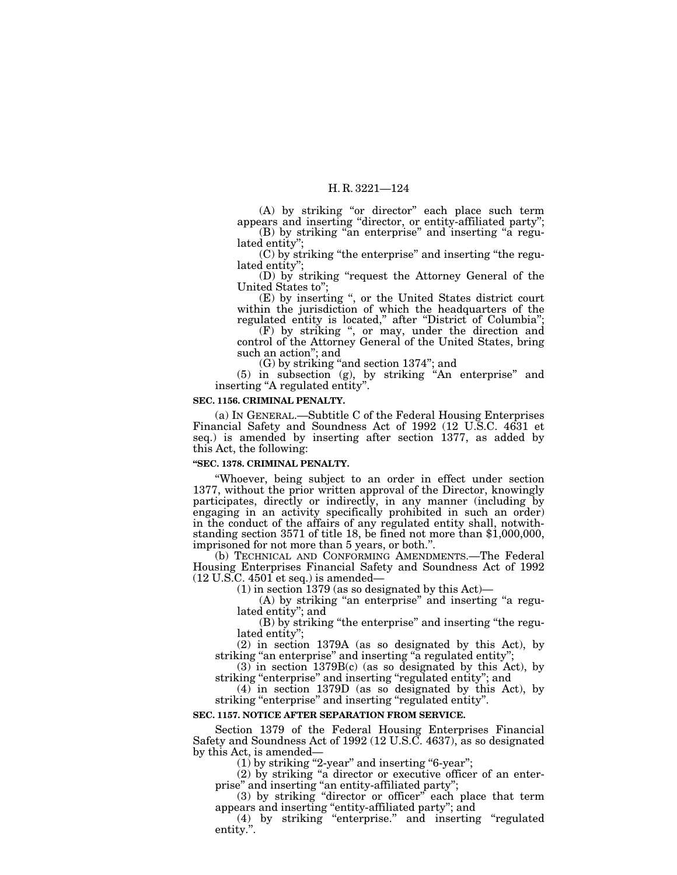(A) by striking "or director" each place such term appears and inserting ''director, or entity-affiliated party'';

(B) by striking ''an enterprise'' and inserting ''a regulated entity"

(C) by striking ''the enterprise'' and inserting ''the regulated entity'';

(D) by striking ''request the Attorney General of the United States to'';

(E) by inserting '', or the United States district court within the jurisdiction of which the headquarters of the regulated entity is located,'' after ''District of Columbia'';

(F) by striking '', or may, under the direction and control of the Attorney General of the United States, bring such an action''; and

(G) by striking ''and section 1374''; and

(5) in subsection (g), by striking ''An enterprise'' and inserting "A regulated entity".

#### **SEC. 1156. CRIMINAL PENALTY.**

(a) IN GENERAL.—Subtitle C of the Federal Housing Enterprises Financial Safety and Soundness Act of 1992 (12 U.S.C. 4631 et seq.) is amended by inserting after section 1377, as added by this Act, the following:

#### **''SEC. 1378. CRIMINAL PENALTY.**

''Whoever, being subject to an order in effect under section 1377, without the prior written approval of the Director, knowingly participates, directly or indirectly, in any manner (including by engaging in an activity specifically prohibited in such an order) in the conduct of the affairs of any regulated entity shall, notwithstanding section 3571 of title 18, be fined not more than \$1,000,000, imprisoned for not more than 5 years, or both.''.

(b) TECHNICAL AND CONFORMING AMENDMENTS.—The Federal Housing Enterprises Financial Safety and Soundness Act of 1992  $(12 \text{ U.S.C. } 4501 \text{ et seq.})$  is amended—

(1) in section 1379 (as so designated by this Act)—

(A) by striking "an enterprise" and inserting "a regulated entity"; and

(B) by striking ''the enterprise'' and inserting ''the regulated entity'';

(2) in section 1379A (as so designated by this Act), by striking "an enterprise" and inserting "a regulated entity";

(3) in section 1379B(c) (as so designated by this Act), by striking "enterprise" and inserting "regulated entity"; and

(4) in section 1379D (as so designated by this Act), by striking "enterprise" and inserting "regulated entity".

#### **SEC. 1157. NOTICE AFTER SEPARATION FROM SERVICE.**

Section 1379 of the Federal Housing Enterprises Financial Safety and Soundness Act of 1992 (12 U.S.C. 4637), as so designated by this Act, is amended—

(1) by striking "2-year" and inserting "6-year";

(2) by striking ''a director or executive officer of an enterprise'' and inserting ''an entity-affiliated party'';

(3) by striking "director or officer" each place that term appears and inserting ''entity-affiliated party''; and

(4) by striking ''enterprise.'' and inserting ''regulated entity.''.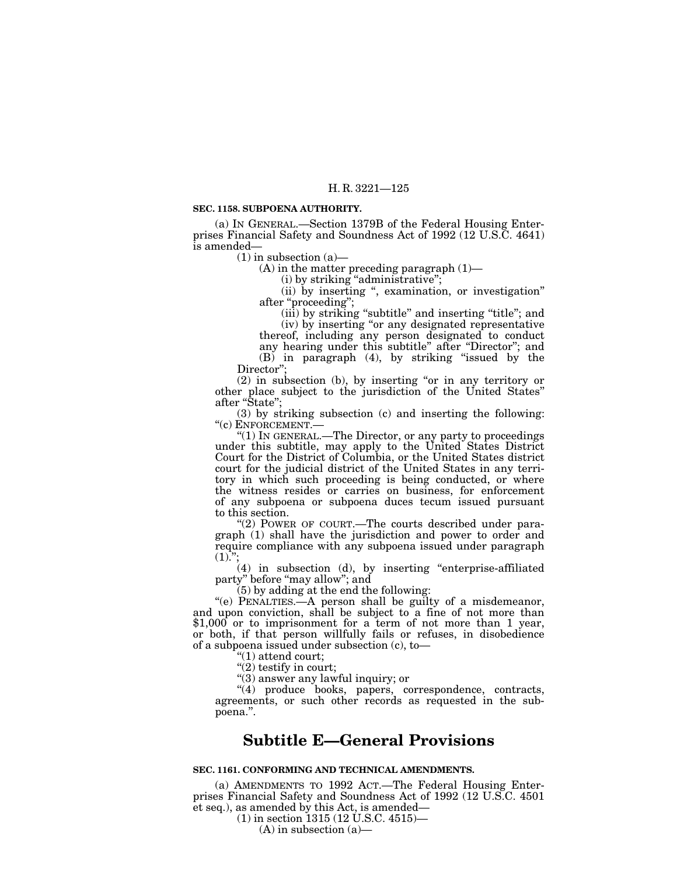#### **SEC. 1158. SUBPOENA AUTHORITY.**

(a) IN GENERAL.—Section 1379B of the Federal Housing Enterprises Financial Safety and Soundness Act of 1992 (12 U.S.C. 4641) is amended—

 $(1)$  in subsection  $(a)$ —

 $(A)$  in the matter preceding paragraph  $(1)$ —

(i) by striking ''administrative'';

(ii) by inserting ", examination, or investigation" after "proceeding";

(iii) by striking "subtitle" and inserting "title"; and (iv) by inserting ''or any designated representative thereof, including any person designated to conduct any hearing under this subtitle'' after ''Director''; and  $(B)$  in paragraph  $(4)$ , by striking "issued by the

Director"; (2) in subsection (b), by inserting ''or in any territory or other place subject to the jurisdiction of the United States''

after ''State''; (3) by striking subsection (c) and inserting the following: "(c) ENFORCEMENT.-

''(1) IN GENERAL.—The Director, or any party to proceedings under this subtitle, may apply to the United States District Court for the District of Columbia, or the United States district court for the judicial district of the United States in any territory in which such proceeding is being conducted, or where the witness resides or carries on business, for enforcement of any subpoena or subpoena duces tecum issued pursuant to this section.

"(2) POWER OF COURT.—The courts described under paragraph (1) shall have the jurisdiction and power to order and require compliance with any subpoena issued under paragraph  $(1).$ ";

(4) in subsection (d), by inserting ''enterprise-affiliated party" before "may allow"; and

(5) by adding at the end the following:

''(e) PENALTIES.—A person shall be guilty of a misdemeanor, and upon conviction, shall be subject to a fine of not more than \$1,000 or to imprisonment for a term of not more than 1 year, or both, if that person willfully fails or refuses, in disobedience of a subpoena issued under subsection (c), to—

''(1) attend court;

 $\cdot$ (2) testify in court;

''(3) answer any lawful inquiry; or

"(4) produce books, papers, correspondence, contracts, agreements, or such other records as requested in the subpoena.''.

# **Subtitle E—General Provisions**

## **SEC. 1161. CONFORMING AND TECHNICAL AMENDMENTS.**

(a) AMENDMENTS TO 1992 ACT.—The Federal Housing Enterprises Financial Safety and Soundness Act of 1992 (12 U.S.C. 4501 et seq.), as amended by this Act, is amended—

(1) in section 1315 (12 U.S.C. 4515)—

(A) in subsection (a)—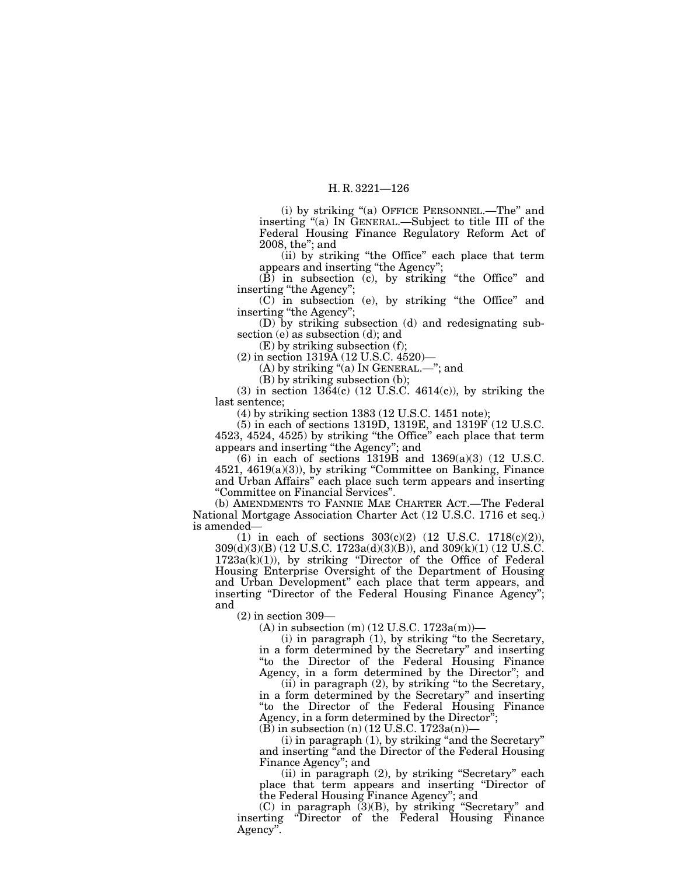(i) by striking ''(a) OFFICE PERSONNEL.—The'' and inserting ''(a) IN GENERAL.—Subject to title III of the Federal Housing Finance Regulatory Reform Act of 2008, the''; and

(ii) by striking ''the Office'' each place that term appears and inserting ''the Agency'';

(B) in subsection (c), by striking ''the Office'' and inserting "the Agency";

(C) in subsection (e), by striking ''the Office'' and inserting "the Agency";

(D) by striking subsection (d) and redesignating subsection (e) as subsection (d); and

(E) by striking subsection (f);

(2) in section 1319A (12 U.S.C. 4520)—

 $(A)$  by striking " $(a)$  In GENERAL.—"; and

(B) by striking subsection (b);

 $(3)$  in section 1364 $(c)$   $(12 \text{ U.S.C. } 4614(c))$ , by striking the last sentence;

(4) by striking section 1383 (12 U.S.C. 1451 note);

(5) in each of sections 1319D, 1319E, and 1319F (12 U.S.C. 4523, 4524, 4525) by striking ''the Office'' each place that term appears and inserting ''the Agency''; and

(6) in each of sections 1319B and 1369(a)(3) (12 U.S.C. 4521, 4619(a)(3)), by striking ''Committee on Banking, Finance and Urban Affairs'' each place such term appears and inserting ''Committee on Financial Services''.

(b) AMENDMENTS TO FANNIE MAE CHARTER ACT.—The Federal National Mortgage Association Charter Act (12 U.S.C. 1716 et seq.) is amended—

(1) in each of sections 303(c)(2) (12 U.S.C. 1718(c)(2)), 309(d)(3)(B) (12 U.S.C. 1723a(d)(3)(B)), and 309(k)(1) (12 U.S.C. 1723a(k)(1)), by striking ''Director of the Office of Federal Housing Enterprise Oversight of the Department of Housing and Urban Development'' each place that term appears, and inserting "Director of the Federal Housing Finance Agency"; and

(2) in section 309—

(A) in subsection (m) (12 U.S.C. 1723a(m))—

(i) in paragraph (1), by striking ''to the Secretary, in a form determined by the Secretary'' and inserting ''to the Director of the Federal Housing Finance Agency, in a form determined by the Director''; and

(ii) in paragraph (2), by striking ''to the Secretary, in a form determined by the Secretary'' and inserting ''to the Director of the Federal Housing Finance Agency, in a form determined by the Director<sup> $\bar{r}$ </sup>

 $(B)$  in subsection (n) (12 U.S.C. 1723a(n))-

(i) in paragraph (1), by striking ''and the Secretary'' and inserting ''and the Director of the Federal Housing Finance Agency''; and

(ii) in paragraph (2), by striking ''Secretary'' each place that term appears and inserting ''Director of the Federal Housing Finance Agency''; and

(C) in paragraph (3)(B), by striking ''Secretary'' and inserting ''Director of the Federal Housing Finance Agency''.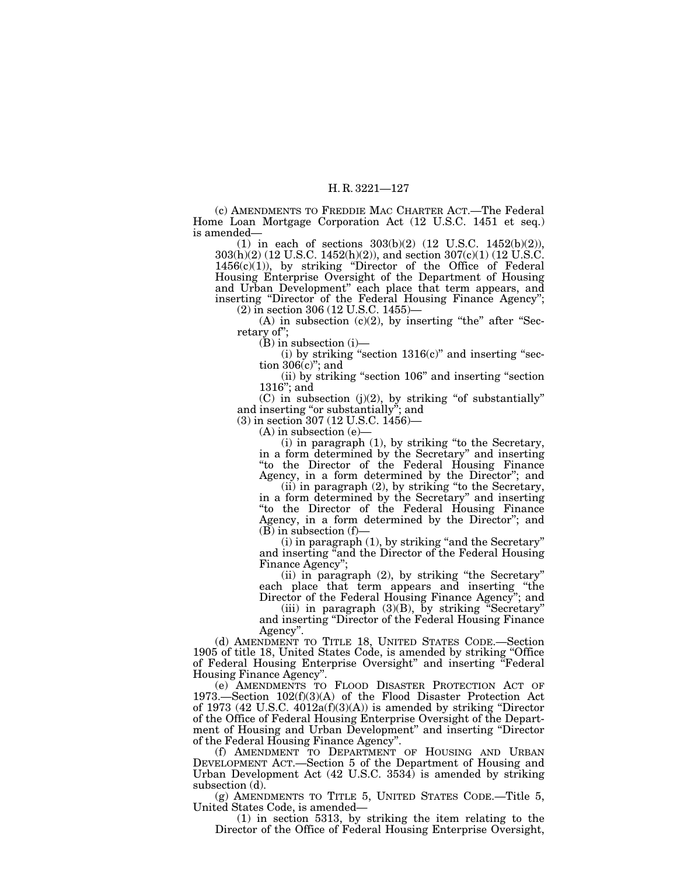(c) AMENDMENTS TO FREDDIE MAC CHARTER ACT.—The Federal Home Loan Mortgage Corporation Act (12 U.S.C. 1451 et seq.) is amended—

(1) in each of sections 303(b)(2) (12 U.S.C. 1452(b)(2)), 303(h)(2) (12 U.S.C. 1452(h)(2)), and section 307(c)(1) (12 U.S.C.  $1456(c)(1)$ , by striking "Director of the Office of Federal Housing Enterprise Oversight of the Department of Housing and Urban Development'' each place that term appears, and inserting "Director of the Federal Housing Finance Agency";

(2) in section 306 (12 U.S.C. 1455)—

 $(A)$  in subsection  $(c)(2)$ , by inserting "the" after "Secretary of'';

(B) in subsection (i)—

(i) by striking "section  $1316(c)$ " and inserting "section  $306(c)$ "; and

(ii) by striking ''section 106'' and inserting ''section 1316''; and

 $(C)$  in subsection  $(j)(2)$ , by striking "of substantially" and inserting "or substantially"; and

(3) in section 307 (12 U.S.C. 1456)—

(A) in subsection (e)—

(i) in paragraph (1), by striking ''to the Secretary, in a form determined by the Secretary'' and inserting ''to the Director of the Federal Housing Finance Agency, in a form determined by the Director"; and

(ii) in paragraph (2), by striking ''to the Secretary, in a form determined by the Secretary'' and inserting ''to the Director of the Federal Housing Finance Agency, in a form determined by the Director''; and (B) in subsection (f)—

(i) in paragraph (1), by striking ''and the Secretary'' and inserting ''and the Director of the Federal Housing Finance Agency'';

(ii) in paragraph (2), by striking ''the Secretary'' each place that term appears and inserting ''the Director of the Federal Housing Finance Agency"; and

(iii) in paragraph  $(3)(B)$ , by striking "Secretary" and inserting ''Director of the Federal Housing Finance Agency''.

(d) AMENDMENT TO TITLE 18, UNITED STATES CODE.—Section 1905 of title 18, United States Code, is amended by striking ''Office of Federal Housing Enterprise Oversight'' and inserting ''Federal Housing Finance Agency''.

(e) AMENDMENTS TO FLOOD DISASTER PROTECTION ACT OF 1973.—Section 102(f)(3)(A) of the Flood Disaster Protection Act of 1973 (42 U.S.C. 4012a( $f(3)(A)$ ) is amended by striking "Director of the Office of Federal Housing Enterprise Oversight of the Department of Housing and Urban Development'' and inserting ''Director of the Federal Housing Finance Agency''.

(f) AMENDMENT TO DEPARTMENT OF HOUSING AND URBAN DEVELOPMENT ACT.—Section 5 of the Department of Housing and Urban Development Act (42 U.S.C. 3534) is amended by striking subsection (d).

(g) AMENDMENTS TO TITLE 5, UNITED STATES CODE.—Title 5, United States Code, is amended—

(1) in section 5313, by striking the item relating to the Director of the Office of Federal Housing Enterprise Oversight,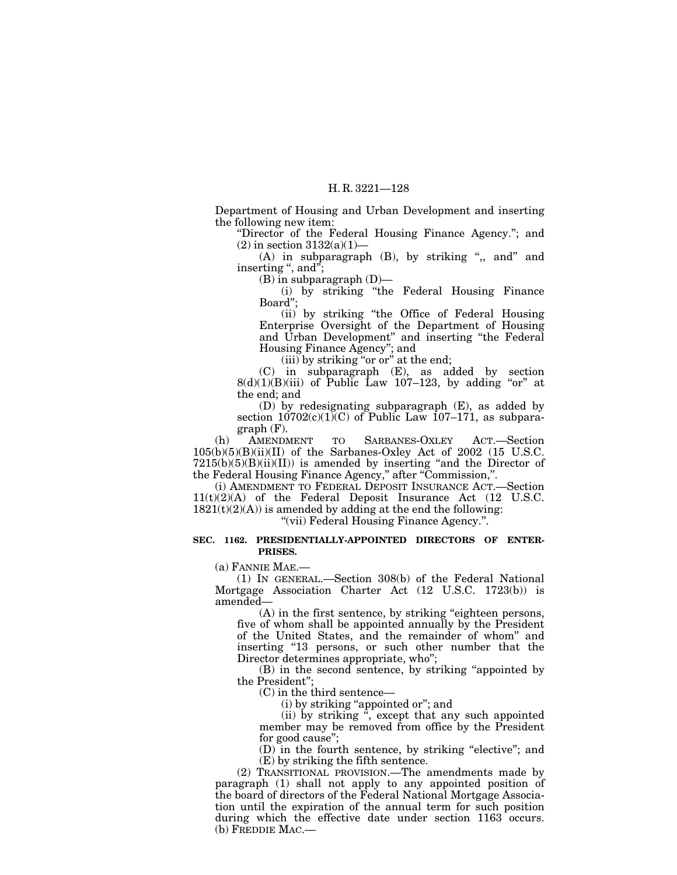Department of Housing and Urban Development and inserting the following new item:

"Director of the Federal Housing Finance Agency."; and  $(2)$  in section 3132 $(a)(1)$ —

 $(A)$  in subparagraph  $(B)$ , by striking ",, and" and inserting ", and";

(B) in subparagraph (D)—

(i) by striking ''the Federal Housing Finance Board"

(ii) by striking ''the Office of Federal Housing Enterprise Oversight of the Department of Housing and Urban Development" and inserting "the Federal Housing Finance Agency''; and

(iii) by striking "or or" at the end;

(C) in subparagraph (E), as added by section  $8(d)(1)(B)(iii)$  of Public Law 107-123, by adding "or" at the end; and

(D) by redesignating subparagraph (E), as added by section  $10702(c)(1)(C)$  of Public Law 107–171, as subparagraph (F).

(h) AMENDMENT TO SARBANES-OXLEY ACT.—Section 105(b)(5)(B)(ii)(II) of the Sarbanes-Oxley Act of 2002 (15 U.S.C.  $7215(b)(5)(B)(ii)(II))$  is amended by inserting "and the Director of the Federal Housing Finance Agency,'' after ''Commission,''.

(i) AMENDMENT TO FEDERAL DEPOSIT INSURANCE ACT.—Section  $11(t)(2)(A)$  of the Federal Deposit Insurance Act (12 U.S.C.  $1821(t)(2)(A)$  is amended by adding at the end the following:

''(vii) Federal Housing Finance Agency.''.

#### **SEC. 1162. PRESIDENTIALLY-APPOINTED DIRECTORS OF ENTER-PRISES.**

(a) FANNIE MAE.—

(1) IN GENERAL.—Section 308(b) of the Federal National Mortgage Association Charter Act (12 U.S.C. 1723(b)) is amended—

(A) in the first sentence, by striking "eighteen persons, five of whom shall be appointed annually by the President of the United States, and the remainder of whom'' and inserting "13 persons, or such other number that the Director determines appropriate, who'';

(B) in the second sentence, by striking ''appointed by the President'';

(C) in the third sentence—

(i) by striking ''appointed or''; and

(ii) by striking  $\ddot{ }$ , except that any such appointed member may be removed from office by the President for good cause'';

(D) in the fourth sentence, by striking ''elective''; and (E) by striking the fifth sentence.

(2) TRANSITIONAL PROVISION.—The amendments made by paragraph (1) shall not apply to any appointed position of the board of directors of the Federal National Mortgage Association until the expiration of the annual term for such position during which the effective date under section 1163 occurs. (b) FREDDIE MAC.—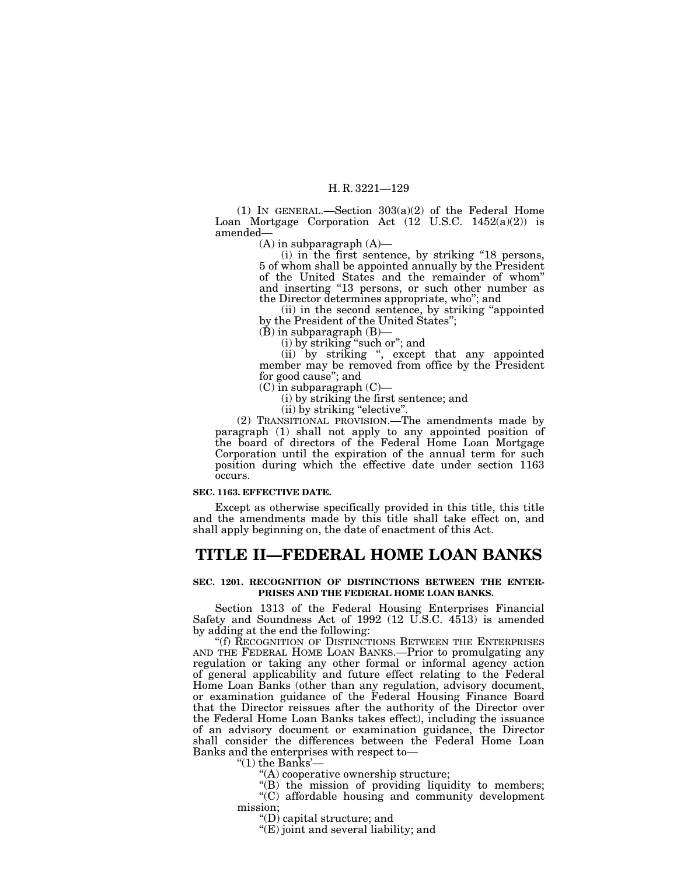(1) IN GENERAL.—Section 303(a)(2) of the Federal Home Loan Mortgage Corporation Act (12 U.S.C. 1452(a)(2)) is amended—

 $(A)$  in subparagraph  $(A)$ —

(i) in the first sentence, by striking ''18 persons, 5 of whom shall be appointed annually by the President of the United States and the remainder of whom'' and inserting "13 persons, or such other number as the Director determines appropriate, who''; and

(ii) in the second sentence, by striking ''appointed by the President of the United States'';

 $(B)$  in subparagraph  $(B)$ –

(i) by striking ''such or''; and

(ii) by striking '', except that any appointed member may be removed from office by the President for good cause''; and

 $(C)$  in subparagraph  $(C)$ —

(i) by striking the first sentence; and

(ii) by striking "elective".

(2) TRANSITIONAL PROVISION.—The amendments made by paragraph (1) shall not apply to any appointed position of the board of directors of the Federal Home Loan Mortgage Corporation until the expiration of the annual term for such position during which the effective date under section 1163 occurs.

#### **SEC. 1163. EFFECTIVE DATE.**

Except as otherwise specifically provided in this title, this title and the amendments made by this title shall take effect on, and shall apply beginning on, the date of enactment of this Act.

# **TITLE II—FEDERAL HOME LOAN BANKS**

#### **SEC. 1201. RECOGNITION OF DISTINCTIONS BETWEEN THE ENTER-PRISES AND THE FEDERAL HOME LOAN BANKS.**

Section 1313 of the Federal Housing Enterprises Financial Safety and Soundness Act of 1992 (12 U.S.C. 4513) is amended by adding at the end the following:

''(f) RECOGNITION OF DISTINCTIONS BETWEEN THE ENTERPRISES AND THE FEDERAL HOME LOAN BANKS.—Prior to promulgating any regulation or taking any other formal or informal agency action of general applicability and future effect relating to the Federal Home Loan Banks (other than any regulation, advisory document, or examination guidance of the Federal Housing Finance Board that the Director reissues after the authority of the Director over the Federal Home Loan Banks takes effect), including the issuance of an advisory document or examination guidance, the Director shall consider the differences between the Federal Home Loan Banks and the enterprises with respect to—

''(1) the Banks'—

"(A) cooperative ownership structure;

"(B) the mission of providing liquidity to members;

''(C) affordable housing and community development

mission;

''(D) capital structure; and

''(E) joint and several liability; and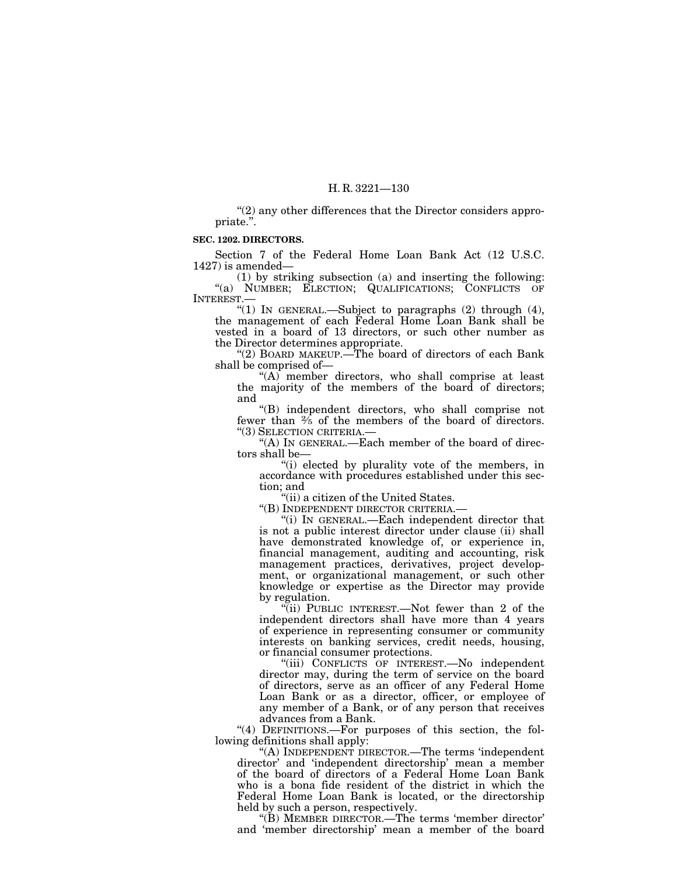"(2) any other differences that the Director considers appropriate.''.

#### **SEC. 1202. DIRECTORS.**

Section 7 of the Federal Home Loan Bank Act (12 U.S.C. 1427) is amended—

(1) by striking subsection (a) and inserting the following: ''(a) NUMBER; ELECTION; QUALIFICATIONS; CONFLICTS OF INTEREST.—

"(1) IN GENERAL.—Subject to paragraphs (2) through (4), the management of each Federal Home Loan Bank shall be vested in a board of 13 directors, or such other number as the Director determines appropriate.

"(2) BOARD MAKEUP.—The board of directors of each Bank shall be comprised of—

"(A) member directors, who shall comprise at least the majority of the members of the board of directors; and

''(B) independent directors, who shall comprise not fewer than  $\frac{2}{5}$  of the members of the board of directors. ''(3) SELECTION CRITERIA.—

''(A) IN GENERAL.—Each member of the board of directors shall be—

''(i) elected by plurality vote of the members, in accordance with procedures established under this section; and

''(ii) a citizen of the United States.

''(B) INDEPENDENT DIRECTOR CRITERIA.—

''(i) IN GENERAL.—Each independent director that is not a public interest director under clause (ii) shall have demonstrated knowledge of, or experience in, financial management, auditing and accounting, risk management practices, derivatives, project development, or organizational management, or such other knowledge or expertise as the Director may provide by regulation.

''(ii) PUBLIC INTEREST.—Not fewer than 2 of the independent directors shall have more than 4 years of experience in representing consumer or community interests on banking services, credit needs, housing, or financial consumer protections.

''(iii) CONFLICTS OF INTEREST.—No independent director may, during the term of service on the board of directors, serve as an officer of any Federal Home Loan Bank or as a director, officer, or employee of any member of a Bank, or of any person that receives advances from a Bank.

"(4) DEFINITIONS.—For purposes of this section, the following definitions shall apply:

'(A) INDEPENDENT DIRECTOR.—The terms 'independent director' and 'independent directorship' mean a member of the board of directors of a Federal Home Loan Bank who is a bona fide resident of the district in which the Federal Home Loan Bank is located, or the directorship held by such a person, respectively.

''(B) MEMBER DIRECTOR.—The terms 'member director' and 'member directorship' mean a member of the board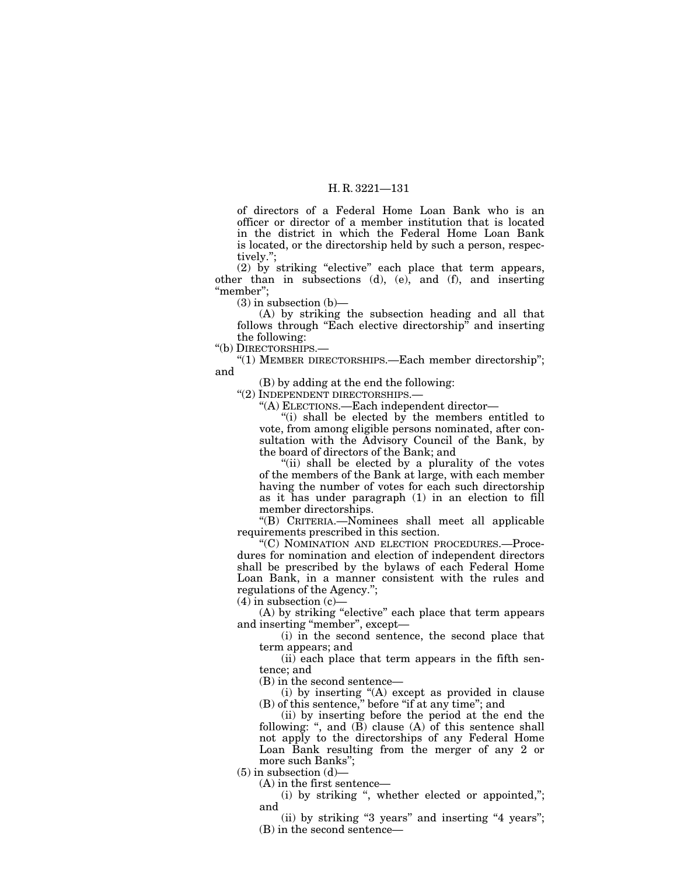of directors of a Federal Home Loan Bank who is an officer or director of a member institution that is located in the district in which the Federal Home Loan Bank is located, or the directorship held by such a person, respectively.'';

(2) by striking ''elective'' each place that term appears, other than in subsections (d), (e), and (f), and inserting "member";

 $(3)$  in subsection  $(b)$ —

(A) by striking the subsection heading and all that follows through "Each elective directorship" and inserting the following:

''(b) DIRECTORSHIPS.—

''(1) MEMBER DIRECTORSHIPS.—Each member directorship''; and

(B) by adding at the end the following:

''(2) INDEPENDENT DIRECTORSHIPS.—

''(A) ELECTIONS.—Each independent director—

''(i) shall be elected by the members entitled to vote, from among eligible persons nominated, after consultation with the Advisory Council of the Bank, by the board of directors of the Bank; and

"(ii) shall be elected by a plurality of the votes" of the members of the Bank at large, with each member having the number of votes for each such directorship as it has under paragraph (1) in an election to fill member directorships.

''(B) CRITERIA.—Nominees shall meet all applicable requirements prescribed in this section.

''(C) NOMINATION AND ELECTION PROCEDURES.—Procedures for nomination and election of independent directors shall be prescribed by the bylaws of each Federal Home Loan Bank, in a manner consistent with the rules and regulations of the Agency.'';

 $(4)$  in subsection  $(c)$ —

(A) by striking ''elective'' each place that term appears and inserting ''member'', except—

(i) in the second sentence, the second place that term appears; and

(ii) each place that term appears in the fifth sentence; and

(B) in the second sentence—

(i) by inserting ''(A) except as provided in clause (B) of this sentence,'' before ''if at any time''; and

(ii) by inserting before the period at the end the following: '', and (B) clause (A) of this sentence shall not apply to the directorships of any Federal Home Loan Bank resulting from the merger of any 2 or more such Banks'';

 $(5)$  in subsection  $(d)$ 

(A) in the first sentence—

(i) by striking '', whether elected or appointed,''; and

(ii) by striking "3 years" and inserting "4 years"; (B) in the second sentence—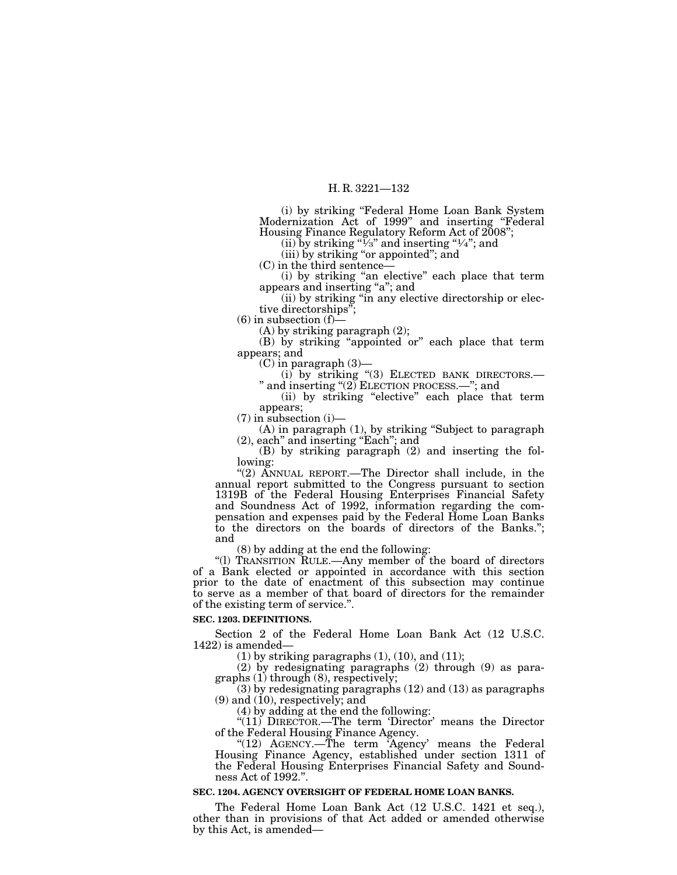(i) by striking ''Federal Home Loan Bank System Modernization Act of 1999'' and inserting ''Federal Housing Finance Regulatory Reform Act of 2008'';

(ii) by striking " $\frac{1}{2}$ " and inserting " $\frac{1}{4}$ "; and

(iii) by striking ''or appointed''; and

(C) in the third sentence—

(i) by striking ''an elective'' each place that term appears and inserting "a"; and

(ii) by striking ''in any elective directorship or elective directorships'';

 $(6)$  in subsection  $(f)$ —

(A) by striking paragraph (2);

(B) by striking ''appointed or'' each place that term appears; and

(C) in paragraph (3)—<br>(i) by striking "(3) ELECTED BANK DIRECTORS.— " and inserting " $(2)$  ELECTION PROCESS.—"; and

(ii) by striking ''elective'' each place that term appears;

(7) in subsection (i)—

(A) in paragraph (1), by striking ''Subject to paragraph (2), each'' and inserting ''Each''; and

(B) by striking paragraph (2) and inserting the following:

"(2) ANNUAL REPORT.—The Director shall include, in the annual report submitted to the Congress pursuant to section 1319B of the Federal Housing Enterprises Financial Safety and Soundness Act of 1992, information regarding the compensation and expenses paid by the Federal Home Loan Banks to the directors on the boards of directors of the Banks."; and

(8) by adding at the end the following:

''(l) TRANSITION RULE.—Any member of the board of directors of a Bank elected or appointed in accordance with this section prior to the date of enactment of this subsection may continue to serve as a member of that board of directors for the remainder of the existing term of service.''.

#### **SEC. 1203. DEFINITIONS.**

Section 2 of the Federal Home Loan Bank Act (12 U.S.C. 1422) is amended—

 $(1)$  by striking paragraphs  $(1)$ ,  $(10)$ , and  $(11)$ ;

(2) by redesignating paragraphs (2) through (9) as paragraphs (1) through (8), respectively;

(3) by redesignating paragraphs (12) and (13) as paragraphs  $(9)$  and  $(10)$ , respectively; and

(4) by adding at the end the following:

"(11) DIRECTOR.—The term 'Director' means the Director of the Federal Housing Finance Agency.

" $(12)$  AGENCY.—The term 'Agency' means the Federal Housing Finance Agency, established under section 1311 of the Federal Housing Enterprises Financial Safety and Soundness Act of 1992.''.

#### **SEC. 1204. AGENCY OVERSIGHT OF FEDERAL HOME LOAN BANKS.**

The Federal Home Loan Bank Act (12 U.S.C. 1421 et seq.), other than in provisions of that Act added or amended otherwise by this Act, is amended—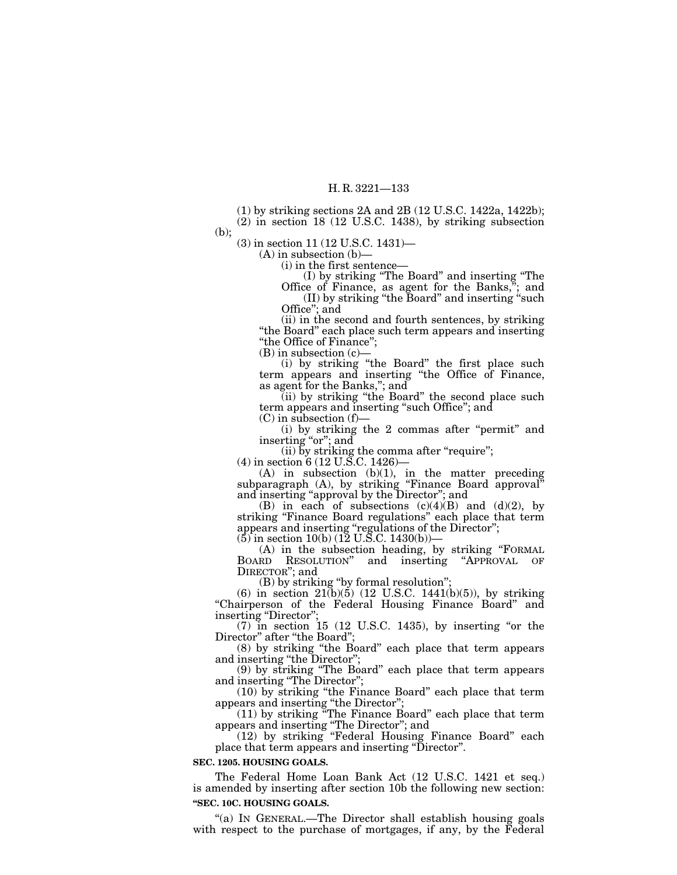(1) by striking sections 2A and 2B (12 U.S.C. 1422a, 1422b);

 $(2)$  in section 18 (12 U.S.C. 1438), by striking subsection (b);

(3) in section 11 (12 U.S.C. 1431)—

(A) in subsection (b)—

(i) in the first sentence—

(I) by striking ''The Board'' and inserting ''The Office of Finance, as agent for the Banks,"; and (II) by striking ''the Board'' and inserting ''such Office''; and

(ii) in the second and fourth sentences, by striking "the Board" each place such term appears and inserting ''the Office of Finance'';

(B) in subsection (c)—

(i) by striking ''the Board'' the first place such term appears and inserting ''the Office of Finance, as agent for the Banks,''; and

(ii) by striking ''the Board'' the second place such term appears and inserting ''such Office''; and

 $(C)$  in subsection  $(f)$ –

(i) by striking the 2 commas after ''permit'' and inserting ''or''; and

(ii) by striking the comma after "require";

(4) in section 6 (12 U.S.C. 1426)—

 $(A)$  in subsection  $(b)(1)$ , in the matter preceding subparagraph (A), by striking ''Finance Board approval'' and inserting ''approval by the Director''; and

(B) in each of subsections  $(c)(4)(B)$  and  $(d)(2)$ , by striking "Finance Board regulations" each place that term appears and inserting ''regulations of the Director'';  $(5)$  in section 10(b) (12 U.S.C. 1430(b))—

(A) in the subsection heading, by striking ''FORMAL BOARD RESOLUTION'' and inserting ''APPROVAL OF DIRECTOR''; and

(B) by striking ''by formal resolution'';

(6) in section  $21(b)(5)$  (12 U.S.C. 1441(b)(5)), by striking "Chairperson of the Federal Housing Finance Board" and inserting "Director";

 $(7)$  in section 15  $(12 \text{ U.S.C. } 1435)$ , by inserting "or the Director" after "the Board";

(8) by striking ''the Board'' each place that term appears and inserting ''the Director'';

(9) by striking ''The Board'' each place that term appears and inserting ''The Director'';

(10) by striking ''the Finance Board'' each place that term appears and inserting ''the Director'';

(11) by striking ''The Finance Board'' each place that term appears and inserting ''The Director''; and

(12) by striking ''Federal Housing Finance Board'' each place that term appears and inserting ''Director''.

#### **SEC. 1205. HOUSING GOALS.**

The Federal Home Loan Bank Act (12 U.S.C. 1421 et seq.) is amended by inserting after section 10b the following new section: **''SEC. 10C. HOUSING GOALS.** 

''(a) IN GENERAL.—The Director shall establish housing goals with respect to the purchase of mortgages, if any, by the Federal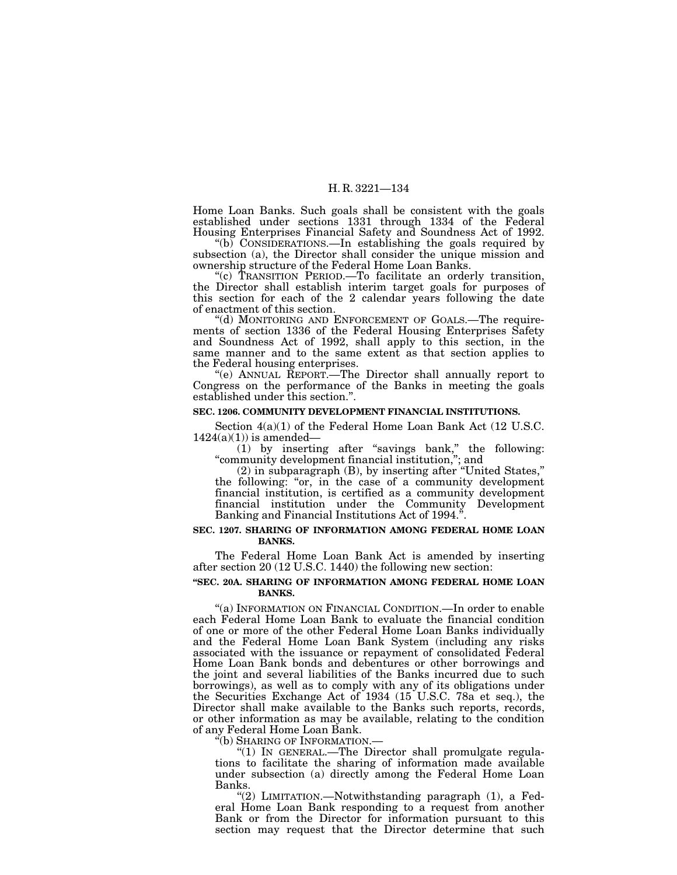Home Loan Banks. Such goals shall be consistent with the goals established under sections 1331 through 1334 of the Federal Housing Enterprises Financial Safety and Soundness Act of 1992.

''(b) CONSIDERATIONS.—In establishing the goals required by subsection (a), the Director shall consider the unique mission and ownership structure of the Federal Home Loan Banks.

''(c) TRANSITION PERIOD.—To facilitate an orderly transition, the Director shall establish interim target goals for purposes of this section for each of the 2 calendar years following the date of enactment of this section.

"(d) MONITORING AND ENFORCEMENT OF GOALS.—The requirements of section 1336 of the Federal Housing Enterprises Safety and Soundness Act of 1992, shall apply to this section, in the same manner and to the same extent as that section applies to the Federal housing enterprises.

''(e) ANNUAL REPORT.—The Director shall annually report to Congress on the performance of the Banks in meeting the goals established under this section.''.

#### **SEC. 1206. COMMUNITY DEVELOPMENT FINANCIAL INSTITUTIONS.**

Section 4(a)(1) of the Federal Home Loan Bank Act (12 U.S.C.  $1424(a)(1)$ ) is amended—

(1) by inserting after ''savings bank,'' the following: ''community development financial institution,''; and

(2) in subparagraph (B), by inserting after ''United States,'' the following: ''or, in the case of a community development financial institution, is certified as a community development financial institution under the Community Development Banking and Financial Institutions Act of 1994.".

#### **SEC. 1207. SHARING OF INFORMATION AMONG FEDERAL HOME LOAN BANKS.**

The Federal Home Loan Bank Act is amended by inserting after section 20 (12 U.S.C. 1440) the following new section:

#### **''SEC. 20A. SHARING OF INFORMATION AMONG FEDERAL HOME LOAN BANKS.**

''(a) INFORMATION ON FINANCIAL CONDITION.—In order to enable each Federal Home Loan Bank to evaluate the financial condition of one or more of the other Federal Home Loan Banks individually and the Federal Home Loan Bank System (including any risks associated with the issuance or repayment of consolidated Federal Home Loan Bank bonds and debentures or other borrowings and the joint and several liabilities of the Banks incurred due to such borrowings), as well as to comply with any of its obligations under the Securities Exchange Act of 1934 (15 U.S.C. 78a et seq.), the Director shall make available to the Banks such reports, records, or other information as may be available, relating to the condition of any Federal Home Loan Bank.

''(b) SHARING OF INFORMATION.—

"(1) In GENERAL.-The Director shall promulgate regulations to facilitate the sharing of information made available under subsection (a) directly among the Federal Home Loan Banks.

"(2) LIMITATION.—Notwithstanding paragraph (1), a Federal Home Loan Bank responding to a request from another Bank or from the Director for information pursuant to this section may request that the Director determine that such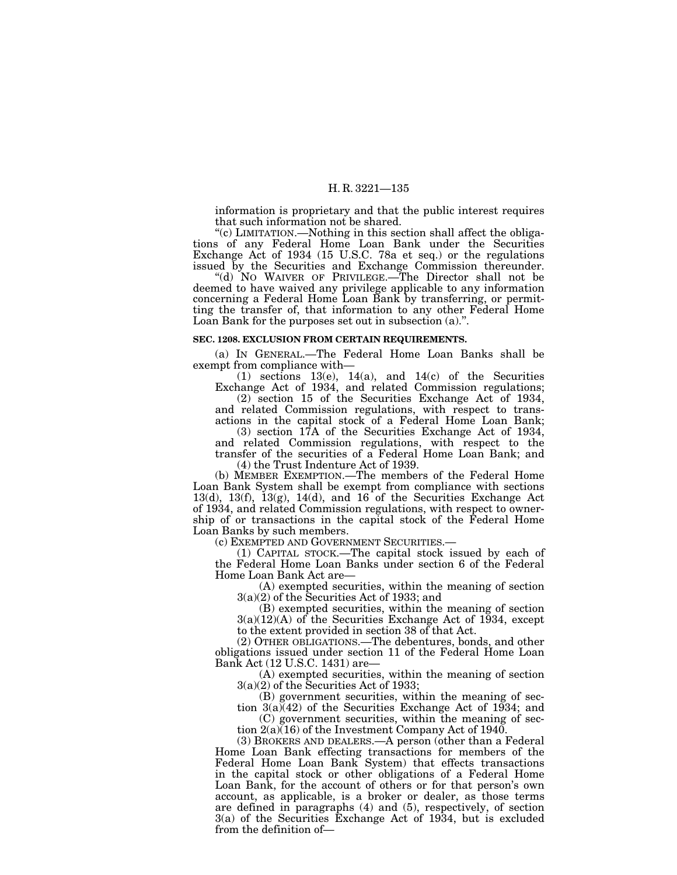information is proprietary and that the public interest requires that such information not be shared.

''(c) LIMITATION.—Nothing in this section shall affect the obligations of any Federal Home Loan Bank under the Securities Exchange Act of 1934 (15 U.S.C. 78a et seq.) or the regulations issued by the Securities and Exchange Commission thereunder.

''(d) NO WAIVER OF PRIVILEGE.—The Director shall not be deemed to have waived any privilege applicable to any information concerning a Federal Home Loan Bank by transferring, or permitting the transfer of, that information to any other Federal Home Loan Bank for the purposes set out in subsection (a).''.

#### **SEC. 1208. EXCLUSION FROM CERTAIN REQUIREMENTS.**

(a) IN GENERAL.—The Federal Home Loan Banks shall be exempt from compliance with—

(1) sections 13(e), 14(a), and 14(c) of the Securities Exchange Act of 1934, and related Commission regulations;

(2) section 15 of the Securities Exchange Act of 1934, and related Commission regulations, with respect to transactions in the capital stock of a Federal Home Loan Bank;

(3) section 17A of the Securities Exchange Act of 1934, and related Commission regulations, with respect to the transfer of the securities of a Federal Home Loan Bank; and

(4) the Trust Indenture Act of 1939.

(b) MEMBER EXEMPTION.—The members of the Federal Home Loan Bank System shall be exempt from compliance with sections  $13(d)$ ,  $13(f)$ ,  $13(g)$ ,  $14(d)$ , and 16 of the Securities Exchange Act of 1934, and related Commission regulations, with respect to ownership of or transactions in the capital stock of the Federal Home Loan Banks by such members.

(c) EXEMPTED AND GOVERNMENT SECURITIES.—

(1) CAPITAL STOCK.—The capital stock issued by each of the Federal Home Loan Banks under section 6 of the Federal Home Loan Bank Act are—

(A) exempted securities, within the meaning of section 3(a)(2) of the Securities Act of 1933; and

(B) exempted securities, within the meaning of section  $3(a)(12)(A)$  of the Securities Exchange Act of 1934, except to the extent provided in section 38 of that Act.

(2) OTHER OBLIGATIONS.—The debentures, bonds, and other obligations issued under section 11 of the Federal Home Loan Bank Act (12 U.S.C. 1431) are—

(A) exempted securities, within the meaning of section 3(a)(2) of the Securities Act of 1933;

(B) government securities, within the meaning of section 3(a)(42) of the Securities Exchange Act of 1934; and

(C) government securities, within the meaning of section  $2(a)$ (16) of the Investment Company Act of 1940.

(3) BROKERS AND DEALERS.—A person (other than a Federal Home Loan Bank effecting transactions for members of the Federal Home Loan Bank System) that effects transactions in the capital stock or other obligations of a Federal Home Loan Bank, for the account of others or for that person's own account, as applicable, is a broker or dealer, as those terms are defined in paragraphs (4) and (5), respectively, of section 3(a) of the Securities Exchange Act of 1934, but is excluded from the definition of—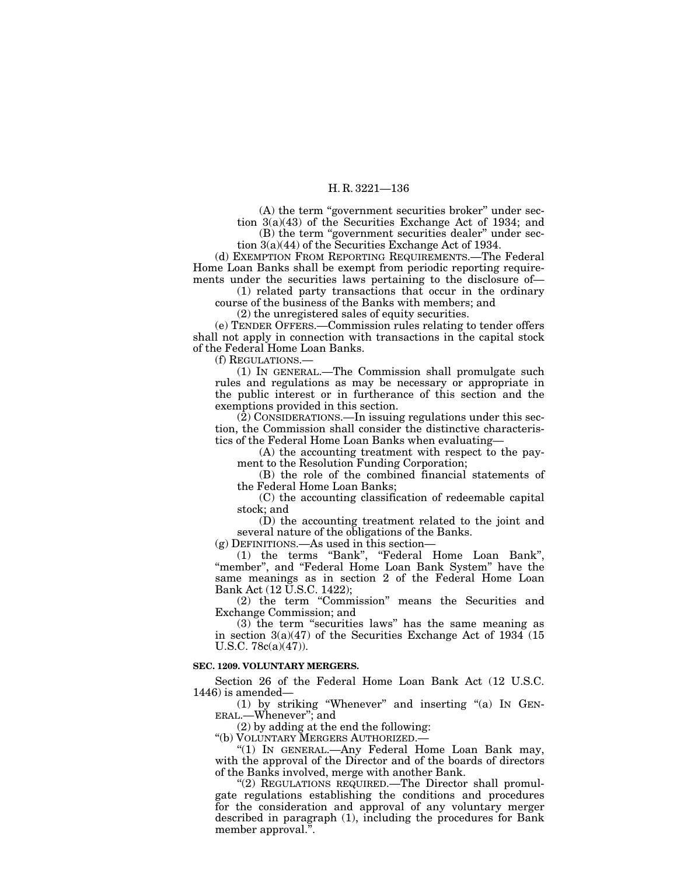(A) the term ''government securities broker'' under sec-

tion 3(a)(43) of the Securities Exchange Act of 1934; and (B) the term "government securities dealer" under section 3(a)(44) of the Securities Exchange Act of 1934.

(d) EXEMPTION FROM REPORTING REQUIREMENTS.—The Federal Home Loan Banks shall be exempt from periodic reporting require-

ments under the securities laws pertaining to the disclosure of— (1) related party transactions that occur in the ordinary

course of the business of the Banks with members; and (2) the unregistered sales of equity securities.

(e) TENDER OFFERS.—Commission rules relating to tender offers shall not apply in connection with transactions in the capital stock of the Federal Home Loan Banks.

(f) REGULATIONS.—

(1) IN GENERAL.—The Commission shall promulgate such rules and regulations as may be necessary or appropriate in the public interest or in furtherance of this section and the exemptions provided in this section.

(2) CONSIDERATIONS.—In issuing regulations under this section, the Commission shall consider the distinctive characteristics of the Federal Home Loan Banks when evaluating—

(A) the accounting treatment with respect to the payment to the Resolution Funding Corporation;

(B) the role of the combined financial statements of the Federal Home Loan Banks;

(C) the accounting classification of redeemable capital stock; and

(D) the accounting treatment related to the joint and several nature of the obligations of the Banks.

(g) DEFINITIONS.—As used in this section—

(1) the terms ''Bank'', ''Federal Home Loan Bank'', "member", and "Federal Home Loan Bank System" have the same meanings as in section 2 of the Federal Home Loan Bank Act (12 U.S.C. 1422);

(2) the term ''Commission'' means the Securities and Exchange Commission; and

(3) the term ''securities laws'' has the same meaning as in section  $3(a)(47)$  of the Securities Exchange Act of 1934 (15) U.S.C. 78c(a)(47)).

#### **SEC. 1209. VOLUNTARY MERGERS.**

Section 26 of the Federal Home Loan Bank Act (12 U.S.C. 1446) is amended—

(1) by striking ''Whenever'' and inserting ''(a) IN GEN-ERAL.—Whenever''; and

(2) by adding at the end the following:

''(b) VOLUNTARY MERGERS AUTHORIZED.—

''(1) IN GENERAL.—Any Federal Home Loan Bank may, with the approval of the Director and of the boards of directors of the Banks involved, merge with another Bank.

"(2) REGULATIONS REQUIRED.—The Director shall promulgate regulations establishing the conditions and procedures for the consideration and approval of any voluntary merger described in paragraph (1), including the procedures for Bank member approval.''.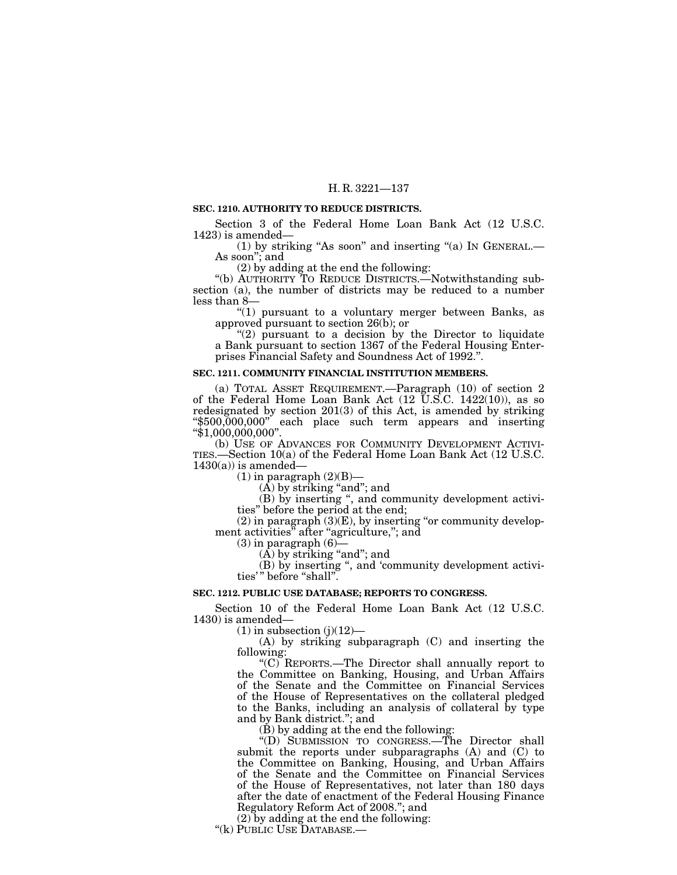## **SEC. 1210. AUTHORITY TO REDUCE DISTRICTS.**

Section 3 of the Federal Home Loan Bank Act (12 U.S.C. 1423) is amended—

(1) by striking "As soon" and inserting "(a) In GENERAL.—As soon"; and

(2) by adding at the end the following:

''(b) AUTHORITY TO REDUCE DISTRICTS.—Notwithstanding subsection (a), the number of districts may be reduced to a number less than 8—

" $(1)$  pursuant to a voluntary merger between Banks, as approved pursuant to section 26(b); or

"(2) pursuant to a decision by the Director to liquidate a Bank pursuant to section 1367 of the Federal Housing Enterprises Financial Safety and Soundness Act of 1992.''.

#### **SEC. 1211. COMMUNITY FINANCIAL INSTITUTION MEMBERS.**

(a) TOTAL ASSET REQUIREMENT.—Paragraph (10) of section 2 of the Federal Home Loan Bank Act  $(12 \text{ U.S.C. } 1422(10))$ , as so redesignated by section 201(3) of this Act, is amended by striking ''\$500,000,000'' each place such term appears and inserting

"\$1,000,000,000".<br>
(b) USE OF ADVANCES FOR COMMUNITY DEVELOPMENT ACTIVI-TIES.—Section  $10(a)$  of the Federal Home Loan Bank Act (12 U.S.C.  $1430(a)$  is amended–

 $(1)$  in paragraph  $(2)(B)$ —

 $(\vec{A})$  by striking "and"; and

(B) by inserting '', and community development activities'' before the period at the end;

(2) in paragraph  $(3)(E)$ , by inserting "or community development activities" after "agriculture,"; and

 $(3)$  in paragraph  $(6)$ —

 $(A)$  by striking "and"; and

(B) by inserting '', and 'community development activities'" before "shall".

## **SEC. 1212. PUBLIC USE DATABASE; REPORTS TO CONGRESS.**

Section 10 of the Federal Home Loan Bank Act (12 U.S.C. 1430) is amended—

 $(1)$  in subsection  $(j)(12)$ —

(A) by striking subparagraph (C) and inserting the following:

''(C) REPORTS.—The Director shall annually report to the Committee on Banking, Housing, and Urban Affairs of the Senate and the Committee on Financial Services of the House of Representatives on the collateral pledged to the Banks, including an analysis of collateral by type and by Bank district.''; and

(B) by adding at the end the following:

''(D) SUBMISSION TO CONGRESS.—The Director shall submit the reports under subparagraphs (A) and (C) to the Committee on Banking, Housing, and Urban Affairs of the Senate and the Committee on Financial Services of the House of Representatives, not later than 180 days after the date of enactment of the Federal Housing Finance Regulatory Reform Act of 2008.''; and

(2) by adding at the end the following:

''(k) PUBLIC USE DATABASE.—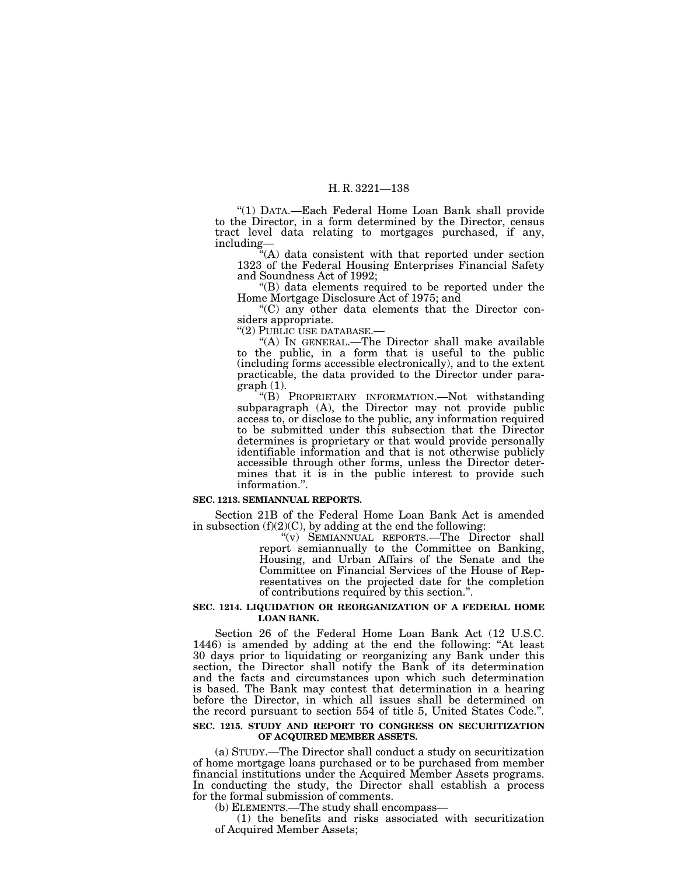''(1) DATA.—Each Federal Home Loan Bank shall provide to the Director, in a form determined by the Director, census tract level data relating to mortgages purchased, if any, including—

 $\hat{f}(A)$  data consistent with that reported under section 1323 of the Federal Housing Enterprises Financial Safety and Soundness Act of 1992;

''(B) data elements required to be reported under the Home Mortgage Disclosure Act of 1975; and

''(C) any other data elements that the Director con-

siders appropriate.<br>"(2) PUBLIC USE DATABASE.-

"(A) IN GENERAL.—The Director shall make available to the public, in a form that is useful to the public (including forms accessible electronically), and to the extent practicable, the data provided to the Director under para $graph(1)$ .

''(B) PROPRIETARY INFORMATION.—Not withstanding subparagraph (A), the Director may not provide public access to, or disclose to the public, any information required to be submitted under this subsection that the Director determines is proprietary or that would provide personally identifiable information and that is not otherwise publicly accessible through other forms, unless the Director determines that it is in the public interest to provide such information.''.

#### **SEC. 1213. SEMIANNUAL REPORTS.**

Section 21B of the Federal Home Loan Bank Act is amended in subsection  $(f)(2)(C)$ , by adding at the end the following:

''(v) SEMIANNUAL REPORTS.—The Director shall report semiannually to the Committee on Banking, Housing, and Urban Affairs of the Senate and the Committee on Financial Services of the House of Representatives on the projected date for the completion of contributions required by this section.''.

#### **SEC. 1214. LIQUIDATION OR REORGANIZATION OF A FEDERAL HOME LOAN BANK.**

Section 26 of the Federal Home Loan Bank Act (12 U.S.C. 1446) is amended by adding at the end the following: "At least 30 days prior to liquidating or reorganizing any Bank under this section, the Director shall notify the Bank of its determination and the facts and circumstances upon which such determination is based. The Bank may contest that determination in a hearing before the Director, in which all issues shall be determined on the record pursuant to section 554 of title 5, United States Code.''.

## **SEC. 1215. STUDY AND REPORT TO CONGRESS ON SECURITIZATION OF ACQUIRED MEMBER ASSETS.**

(a) STUDY.—The Director shall conduct a study on securitization of home mortgage loans purchased or to be purchased from member financial institutions under the Acquired Member Assets programs. In conducting the study, the Director shall establish a process for the formal submission of comments.

(b) ELEMENTS.—The study shall encompass—

(1) the benefits and risks associated with securitization of Acquired Member Assets;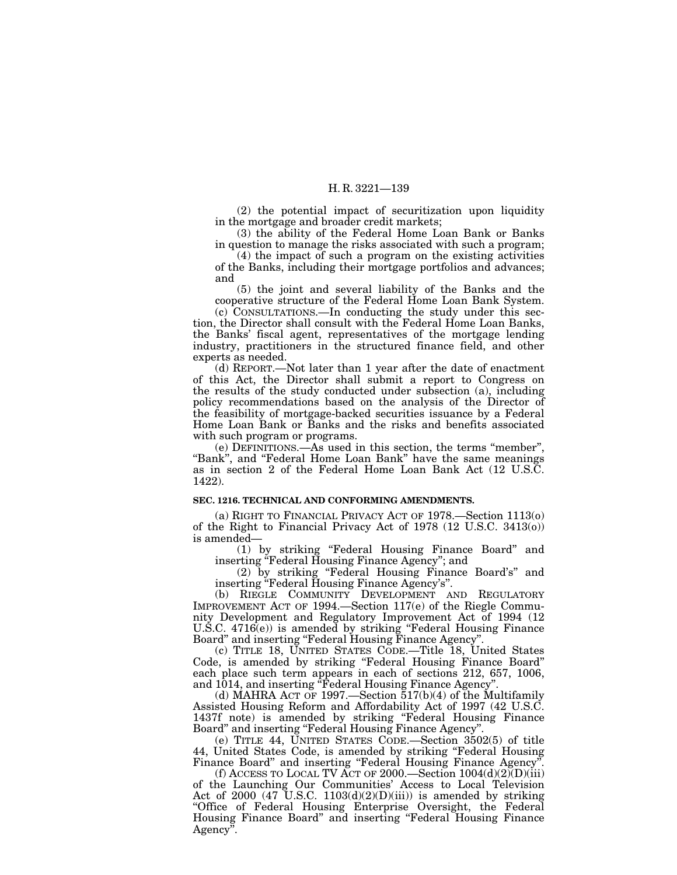(2) the potential impact of securitization upon liquidity in the mortgage and broader credit markets;

(3) the ability of the Federal Home Loan Bank or Banks in question to manage the risks associated with such a program;

(4) the impact of such a program on the existing activities of the Banks, including their mortgage portfolios and advances; and

(5) the joint and several liability of the Banks and the cooperative structure of the Federal Home Loan Bank System.

(c) CONSULTATIONS.—In conducting the study under this section, the Director shall consult with the Federal Home Loan Banks, the Banks' fiscal agent, representatives of the mortgage lending industry, practitioners in the structured finance field, and other experts as needed.

(d) REPORT.—Not later than 1 year after the date of enactment of this Act, the Director shall submit a report to Congress on the results of the study conducted under subsection (a), including policy recommendations based on the analysis of the Director of the feasibility of mortgage-backed securities issuance by a Federal Home Loan Bank or Banks and the risks and benefits associated with such program or programs.

(e) DEFINITIONS.—As used in this section, the terms ''member'', "Bank", and "Federal Home Loan Bank" have the same meanings as in section 2 of the Federal Home Loan Bank Act (12 U.S.C. 1422).

#### **SEC. 1216. TECHNICAL AND CONFORMING AMENDMENTS.**

(a) RIGHT TO FINANCIAL PRIVACY ACT OF 1978.—Section 1113(o) of the Right to Financial Privacy Act of 1978 (12 U.S.C. 3413(o)) is amended—

(1) by striking ''Federal Housing Finance Board'' and inserting "Federal Housing Finance Agency"; and

(2) by striking ''Federal Housing Finance Board's'' and inserting "Federal Housing Finance Agency's".

(b) RIEGLE COMMUNITY DEVELOPMENT AND REGULATORY IMPROVEMENT ACT OF 1994.—Section 117(e) of the Riegle Community Development and Regulatory Improvement Act of 1994 (12 U.S.C. 4716(e)) is amended by striking "Federal Housing Finance Board'' and inserting ''Federal Housing Finance Agency''.

(c) TITLE 18, UNITED STATES CODE.—Title 18, United States Code, is amended by striking ''Federal Housing Finance Board'' each place such term appears in each of sections 212, 657, 1006, and 1014, and inserting ''Federal Housing Finance Agency''.

(d) MAHRA ACT OF 1997.—Section  $\frac{517(b)}{4}$  of the Multifamily Assisted Housing Reform and Affordability Act of 1997 (42 U.S.C. 1437f note) is amended by striking "Federal Housing Finance Board'' and inserting ''Federal Housing Finance Agency''.

(e) TITLE 44, UNITED STATES CODE.—Section 3502(5) of title 44, United States Code, is amended by striking ''Federal Housing Finance Board'' and inserting ''Federal Housing Finance Agency''.

(f) ACCESS TO LOCAL TV ACT OF 2000.—Section  $1004(d)(2)$ (D)(iii) of the Launching Our Communities' Access to Local Television Act of 2000 (47 U.S.C. 1103(d)(2)(D)(iii)) is amended by striking ''Office of Federal Housing Enterprise Oversight, the Federal Housing Finance Board'' and inserting ''Federal Housing Finance Agency''.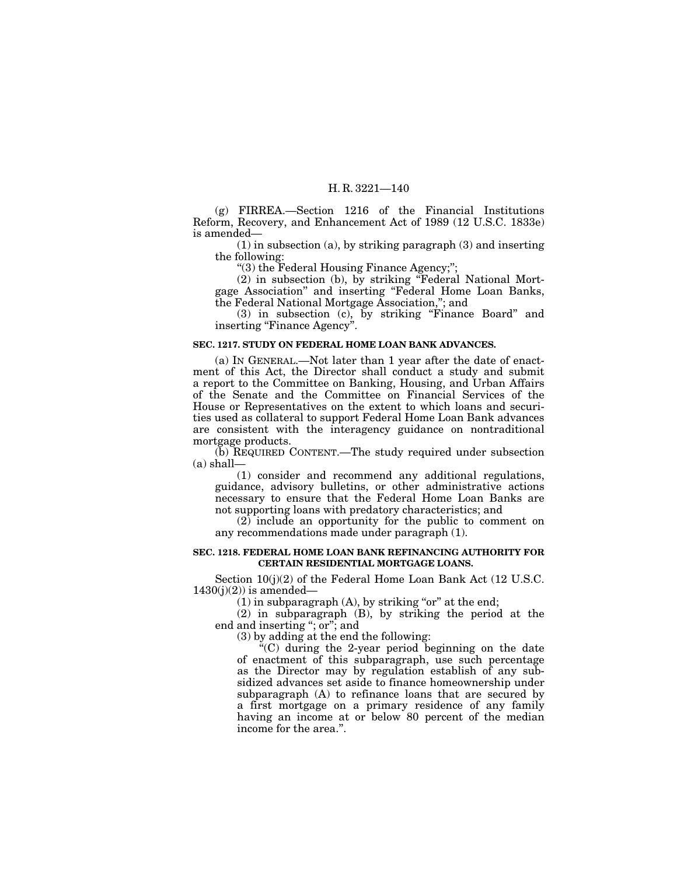(g) FIRREA.—Section 1216 of the Financial Institutions Reform, Recovery, and Enhancement Act of 1989 (12 U.S.C. 1833e) is amended—

(1) in subsection (a), by striking paragraph (3) and inserting the following:

''(3) the Federal Housing Finance Agency;'';

(2) in subsection (b), by striking ''Federal National Mortgage Association'' and inserting ''Federal Home Loan Banks, the Federal National Mortgage Association,''; and

(3) in subsection (c), by striking ''Finance Board'' and inserting "Finance Agency".

## **SEC. 1217. STUDY ON FEDERAL HOME LOAN BANK ADVANCES.**

(a) IN GENERAL.—Not later than 1 year after the date of enactment of this Act, the Director shall conduct a study and submit a report to the Committee on Banking, Housing, and Urban Affairs of the Senate and the Committee on Financial Services of the House or Representatives on the extent to which loans and securities used as collateral to support Federal Home Loan Bank advances are consistent with the interagency guidance on nontraditional mortgage products.

(b) REQUIRED CONTENT.—The study required under subsection  $(a)$  shall-

(1) consider and recommend any additional regulations, guidance, advisory bulletins, or other administrative actions necessary to ensure that the Federal Home Loan Banks are not supporting loans with predatory characteristics; and

(2) include an opportunity for the public to comment on any recommendations made under paragraph (1).

## **SEC. 1218. FEDERAL HOME LOAN BANK REFINANCING AUTHORITY FOR CERTAIN RESIDENTIAL MORTGAGE LOANS.**

Section  $10(i)(2)$  of the Federal Home Loan Bank Act (12 U.S.C.  $1430(i)(2)$ ) is amended—

 $(1)$  in subparagraph  $(A)$ , by striking "or" at the end;

(2) in subparagraph (B), by striking the period at the end and inserting "; or"; and

(3) by adding at the end the following:

''(C) during the 2-year period beginning on the date of enactment of this subparagraph, use such percentage as the Director may by regulation establish of any subsidized advances set aside to finance homeownership under subparagraph (A) to refinance loans that are secured by a first mortgage on a primary residence of any family having an income at or below 80 percent of the median income for the area.''.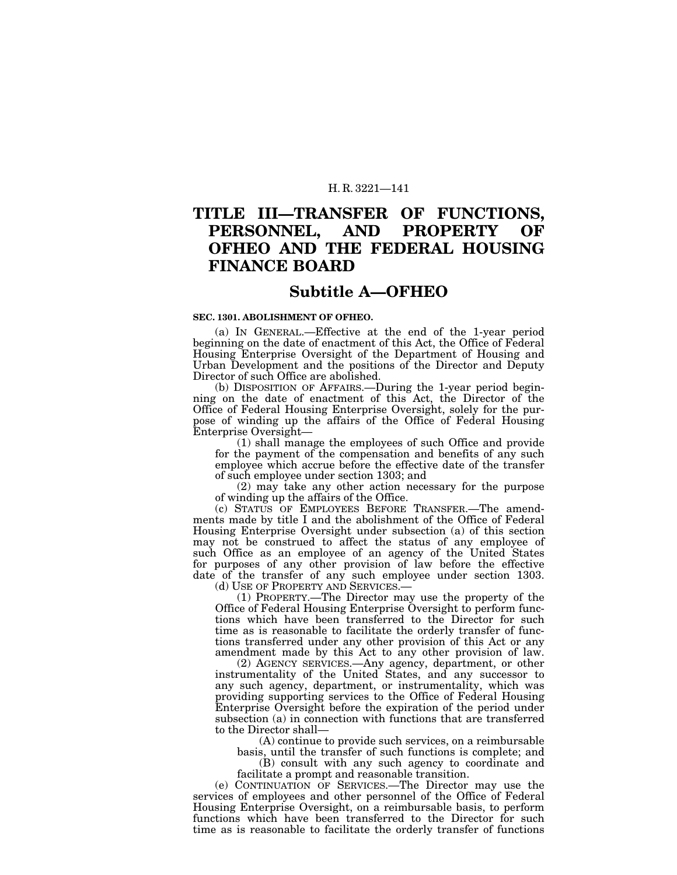# **TITLE III—TRANSFER OF FUNCTIONS, PERSONNEL, AND PROPERTY OF OFHEO AND THE FEDERAL HOUSING FINANCE BOARD**

## **Subtitle A—OFHEO**

#### **SEC. 1301. ABOLISHMENT OF OFHEO.**

(a) IN GENERAL.—Effective at the end of the 1-year period beginning on the date of enactment of this Act, the Office of Federal Housing Enterprise Oversight of the Department of Housing and Urban Development and the positions of the Director and Deputy Director of such Office are abolished.

(b) DISPOSITION OF AFFAIRS.—During the 1-year period beginning on the date of enactment of this Act, the Director of the Office of Federal Housing Enterprise Oversight, solely for the purpose of winding up the affairs of the Office of Federal Housing Enterprise Oversight—

(1) shall manage the employees of such Office and provide for the payment of the compensation and benefits of any such employee which accrue before the effective date of the transfer of such employee under section 1303; and

(2) may take any other action necessary for the purpose of winding up the affairs of the Office.

(c) STATUS OF EMPLOYEES BEFORE TRANSFER.—The amendments made by title I and the abolishment of the Office of Federal Housing Enterprise Oversight under subsection (a) of this section may not be construed to affect the status of any employee of such Office as an employee of an agency of the United States for purposes of any other provision of law before the effective date of the transfer of any such employee under section 1303. (d) USE OF PROPERTY AND SERVICES.—

(1) PROPERTY.—The Director may use the property of the Office of Federal Housing Enterprise Oversight to perform functions which have been transferred to the Director for such time as is reasonable to facilitate the orderly transfer of functions transferred under any other provision of this Act or any amendment made by this Act to any other provision of law.

(2) AGENCY SERVICES.—Any agency, department, or other instrumentality of the United States, and any successor to any such agency, department, or instrumentality, which was providing supporting services to the Office of Federal Housing Enterprise Oversight before the expiration of the period under subsection (a) in connection with functions that are transferred to the Director shall—

(A) continue to provide such services, on a reimbursable

basis, until the transfer of such functions is complete; and (B) consult with any such agency to coordinate and

facilitate a prompt and reasonable transition.

(e) CONTINUATION OF SERVICES.—The Director may use the services of employees and other personnel of the Office of Federal Housing Enterprise Oversight, on a reimbursable basis, to perform functions which have been transferred to the Director for such time as is reasonable to facilitate the orderly transfer of functions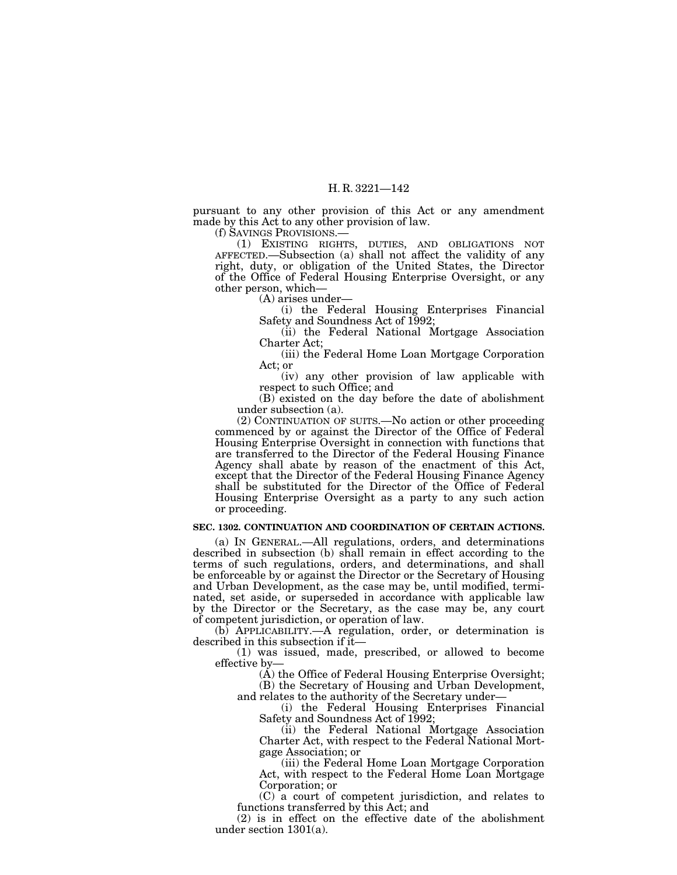pursuant to any other provision of this Act or any amendment made by this Act to any other provision of law.

(f) SAVINGS PROVISIONS.—

(1) EXISTING RIGHTS, DUTIES, AND OBLIGATIONS NOT AFFECTED.—Subsection (a) shall not affect the validity of any right, duty, or obligation of the United States, the Director of the Office of Federal Housing Enterprise Oversight, or any other person, which—

(A) arises under—

(i) the Federal Housing Enterprises Financial Safety and Soundness Act of 1992;

(ii) the Federal National Mortgage Association Charter Act;

(iii) the Federal Home Loan Mortgage Corporation Act; or

(iv) any other provision of law applicable with respect to such Office; and

(B) existed on the day before the date of abolishment under subsection (a).

(2) CONTINUATION OF SUITS.—No action or other proceeding commenced by or against the Director of the Office of Federal Housing Enterprise Oversight in connection with functions that are transferred to the Director of the Federal Housing Finance Agency shall abate by reason of the enactment of this Act, except that the Director of the Federal Housing Finance Agency shall be substituted for the Director of the Office of Federal Housing Enterprise Oversight as a party to any such action or proceeding.

## **SEC. 1302. CONTINUATION AND COORDINATION OF CERTAIN ACTIONS.**

(a) IN GENERAL.—All regulations, orders, and determinations described in subsection (b) shall remain in effect according to the terms of such regulations, orders, and determinations, and shall be enforceable by or against the Director or the Secretary of Housing and Urban Development, as the case may be, until modified, terminated, set aside, or superseded in accordance with applicable law by the Director or the Secretary, as the case may be, any court of competent jurisdiction, or operation of law.

(b) APPLICABILITY.—A regulation, order, or determination is described in this subsection if it—

(1) was issued, made, prescribed, or allowed to become effective by—

(A) the Office of Federal Housing Enterprise Oversight;

(B) the Secretary of Housing and Urban Development, and relates to the authority of the Secretary under—

(i) the Federal Housing Enterprises Financial Safety and Soundness Act of 1992;

(ii) the Federal National Mortgage Association Charter Act, with respect to the Federal National Mortgage Association; or

(iii) the Federal Home Loan Mortgage Corporation Act, with respect to the Federal Home Loan Mortgage Corporation; or

 $(C)$  a court of competent jurisdiction, and relates to functions transferred by this Act; and

(2) is in effect on the effective date of the abolishment under section 1301(a).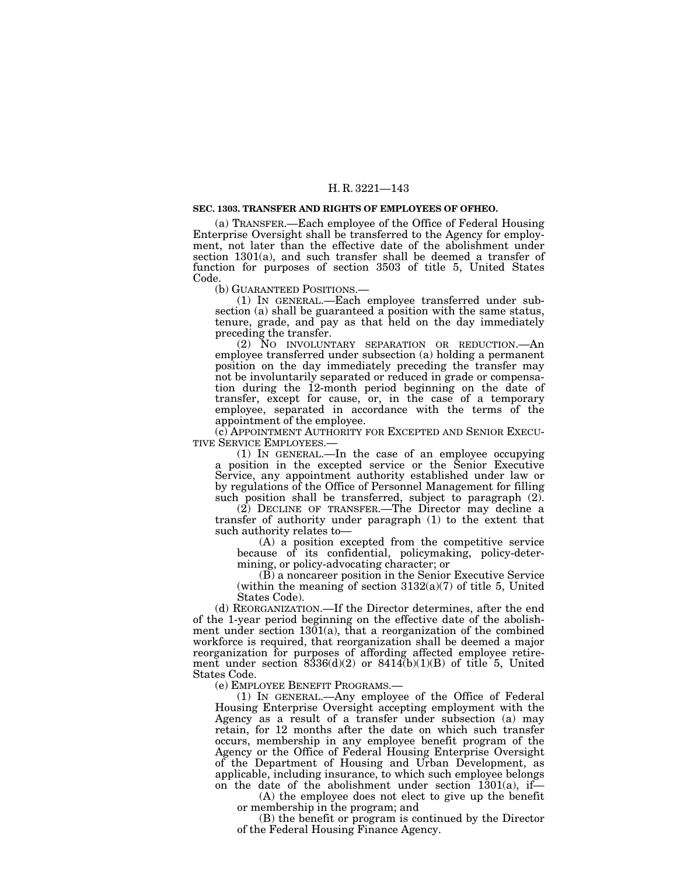#### **SEC. 1303. TRANSFER AND RIGHTS OF EMPLOYEES OF OFHEO.**

(a) TRANSFER.—Each employee of the Office of Federal Housing Enterprise Oversight shall be transferred to the Agency for employment, not later than the effective date of the abolishment under section 1301(a), and such transfer shall be deemed a transfer of function for purposes of section 3503 of title 5, United States Code.<br>(b) GUARANTEED POSITIONS.—

 $(1)$  In GENERAL.—Each employee transferred under subsection (a) shall be guaranteed a position with the same status, tenure, grade, and pay as that held on the day immediately preceding the transfer.

(2) NO INVOLUNTARY SEPARATION OR REDUCTION.—An employee transferred under subsection (a) holding a permanent position on the day immediately preceding the transfer may not be involuntarily separated or reduced in grade or compensation during the 12-month period beginning on the date of transfer, except for cause, or, in the case of a temporary employee, separated in accordance with the terms of the appointment of the employee.

(c) APPOINTMENT AUTHORITY FOR EXCEPTED AND SENIOR EXECU-TIVE SERVICE EMPLOYEES.—

(1) IN GENERAL.—In the case of an employee occupying a position in the excepted service or the Senior Executive Service, any appointment authority established under law or by regulations of the Office of Personnel Management for filling such position shall be transferred, subject to paragraph (2).

(2) DECLINE OF TRANSFER.—The Director may decline a transfer of authority under paragraph (1) to the extent that such authority relates to—

(A) a position excepted from the competitive service because of its confidential, policymaking, policy-determining, or policy-advocating character; or

(B) a noncareer position in the Senior Executive Service (within the meaning of section  $3132(a)(7)$  of title 5, United States Code).

(d) REORGANIZATION.—If the Director determines, after the end of the 1-year period beginning on the effective date of the abolishment under section  $1301(a)$ , that a reorganization of the combined workforce is required, that reorganization shall be deemed a major reorganization for purposes of affording affected employee retirement under section 8336(d)(2) or 8414(b)(1)(B) of title 5, United States Code.<br>(e) EMPLOYEE BENEFIT PROGRAMS.—

 $(1)$  In GENERAL.—Any employee of the Office of Federal Housing Enterprise Oversight accepting employment with the Agency as a result of a transfer under subsection (a) may retain, for 12 months after the date on which such transfer occurs, membership in any employee benefit program of the Agency or the Office of Federal Housing Enterprise Oversight of the Department of Housing and Urban Development, as applicable, including insurance, to which such employee belongs on the date of the abolishment under section  $1301(a)$ , if

(A) the employee does not elect to give up the benefit or membership in the program; and

(B) the benefit or program is continued by the Director of the Federal Housing Finance Agency.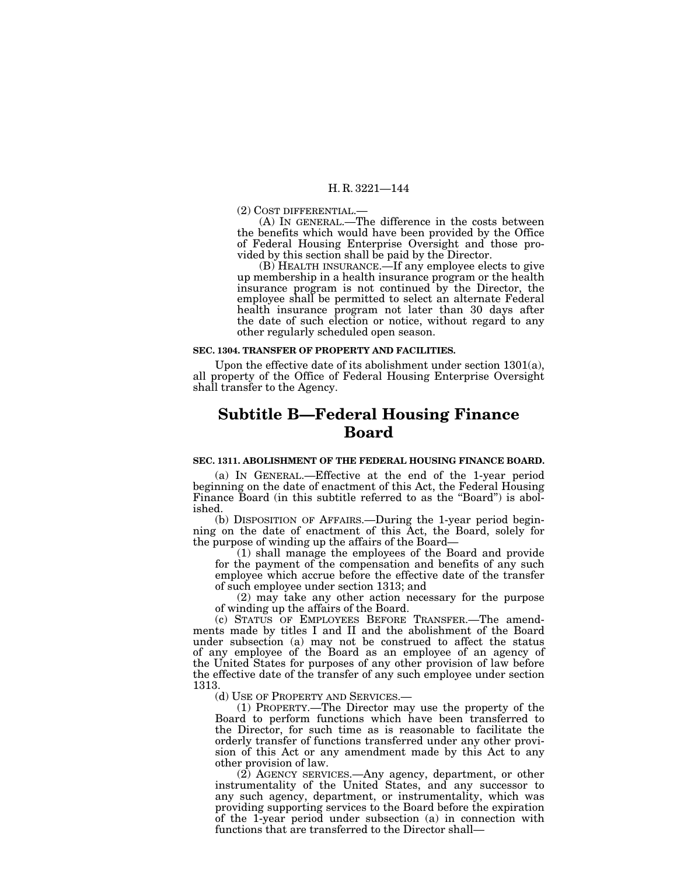(2) COST DIFFERENTIAL.—

(A) IN GENERAL.—The difference in the costs between the benefits which would have been provided by the Office of Federal Housing Enterprise Oversight and those provided by this section shall be paid by the Director.

(B) HEALTH INSURANCE.—If any employee elects to give up membership in a health insurance program or the health insurance program is not continued by the Director, the employee shall be permitted to select an alternate Federal health insurance program not later than 30 days after the date of such election or notice, without regard to any other regularly scheduled open season.

#### **SEC. 1304. TRANSFER OF PROPERTY AND FACILITIES.**

Upon the effective date of its abolishment under section 1301(a), all property of the Office of Federal Housing Enterprise Oversight shall transfer to the Agency.

# **Subtitle B—Federal Housing Finance Board**

#### **SEC. 1311. ABOLISHMENT OF THE FEDERAL HOUSING FINANCE BOARD.**

(a) IN GENERAL.—Effective at the end of the 1-year period beginning on the date of enactment of this Act, the Federal Housing Finance Board (in this subtitle referred to as the "Board") is abolished.

(b) DISPOSITION OF AFFAIRS.—During the 1-year period beginning on the date of enactment of this Act, the Board, solely for the purpose of winding up the affairs of the Board—

(1) shall manage the employees of the Board and provide for the payment of the compensation and benefits of any such employee which accrue before the effective date of the transfer of such employee under section 1313; and

(2) may take any other action necessary for the purpose of winding up the affairs of the Board.

(c) STATUS OF EMPLOYEES BEFORE TRANSFER.—The amendments made by titles I and II and the abolishment of the Board under subsection (a) may not be construed to affect the status of any employee of the Board as an employee of an agency of the United States for purposes of any other provision of law before the effective date of the transfer of any such employee under section 1313.

(d) USE OF PROPERTY AND SERVICES.—

(1) PROPERTY.—The Director may use the property of the Board to perform functions which have been transferred to the Director, for such time as is reasonable to facilitate the orderly transfer of functions transferred under any other provision of this Act or any amendment made by this Act to any other provision of law.

(2) AGENCY SERVICES.—Any agency, department, or other instrumentality of the United States, and any successor to any such agency, department, or instrumentality, which was providing supporting services to the Board before the expiration of the 1-year period under subsection (a) in connection with functions that are transferred to the Director shall—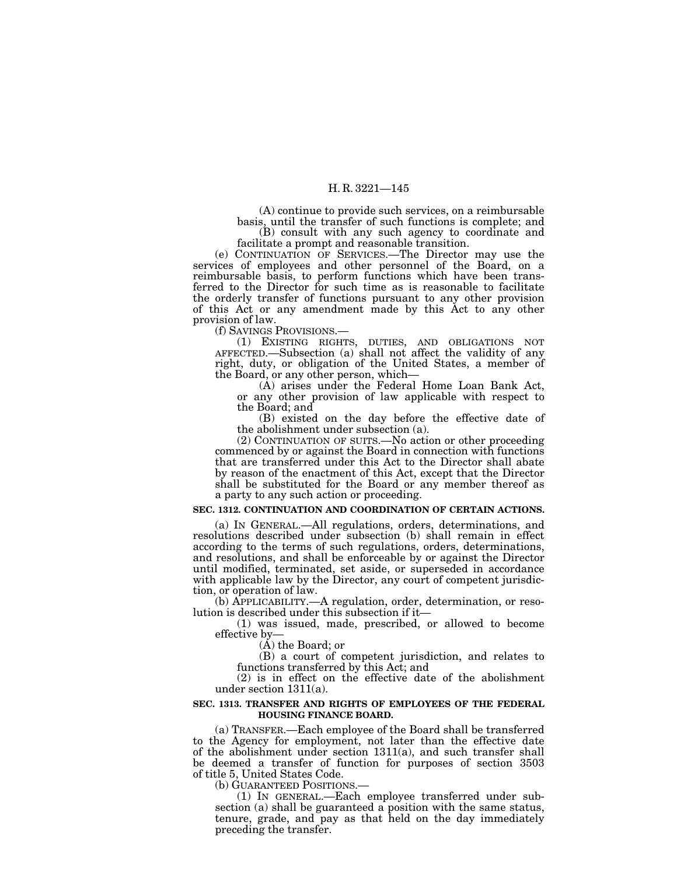(A) continue to provide such services, on a reimbursable

basis, until the transfer of such functions is complete; and (B) consult with any such agency to coordinate and facilitate a prompt and reasonable transition.

(e) CONTINUATION OF SERVICES.—The Director may use the services of employees and other personnel of the Board, on a reimbursable basis, to perform functions which have been transferred to the Director for such time as is reasonable to facilitate the orderly transfer of functions pursuant to any other provision of this Act or any amendment made by this Act to any other provision of law.<br>(f) SAVINGS PROVISIONS.

(1) EXISTING RIGHTS, DUTIES, AND OBLIGATIONS NOT AFFECTED.—Subsection (a) shall not affect the validity of any right, duty, or obligation of the United States, a member of the Board, or any other person, which—

(A) arises under the Federal Home Loan Bank Act, or any other provision of law applicable with respect to the Board; and

(B) existed on the day before the effective date of the abolishment under subsection (a).

(2) CONTINUATION OF SUITS.—No action or other proceeding commenced by or against the Board in connection with functions that are transferred under this Act to the Director shall abate by reason of the enactment of this Act, except that the Director shall be substituted for the Board or any member thereof as a party to any such action or proceeding.

# **SEC. 1312. CONTINUATION AND COORDINATION OF CERTAIN ACTIONS.**

(a) IN GENERAL.—All regulations, orders, determinations, and resolutions described under subsection (b) shall remain in effect according to the terms of such regulations, orders, determinations, and resolutions, and shall be enforceable by or against the Director until modified, terminated, set aside, or superseded in accordance with applicable law by the Director, any court of competent jurisdiction, or operation of law.

(b) APPLICABILITY.—A regulation, order, determination, or resolution is described under this subsection if it—

(1) was issued, made, prescribed, or allowed to become effective by—

(A) the Board; or

(B) a court of competent jurisdiction, and relates to functions transferred by this Act; and

(2) is in effect on the effective date of the abolishment under section 1311(a).

## **SEC. 1313. TRANSFER AND RIGHTS OF EMPLOYEES OF THE FEDERAL HOUSING FINANCE BOARD.**

(a) TRANSFER.—Each employee of the Board shall be transferred to the Agency for employment, not later than the effective date of the abolishment under section 1311(a), and such transfer shall be deemed a transfer of function for purposes of section 3503 of title 5, United States Code.

(b) GUARANTEED POSITIONS.—

(1) IN GENERAL.—Each employee transferred under subsection (a) shall be guaranteed a position with the same status, tenure, grade, and pay as that held on the day immediately preceding the transfer.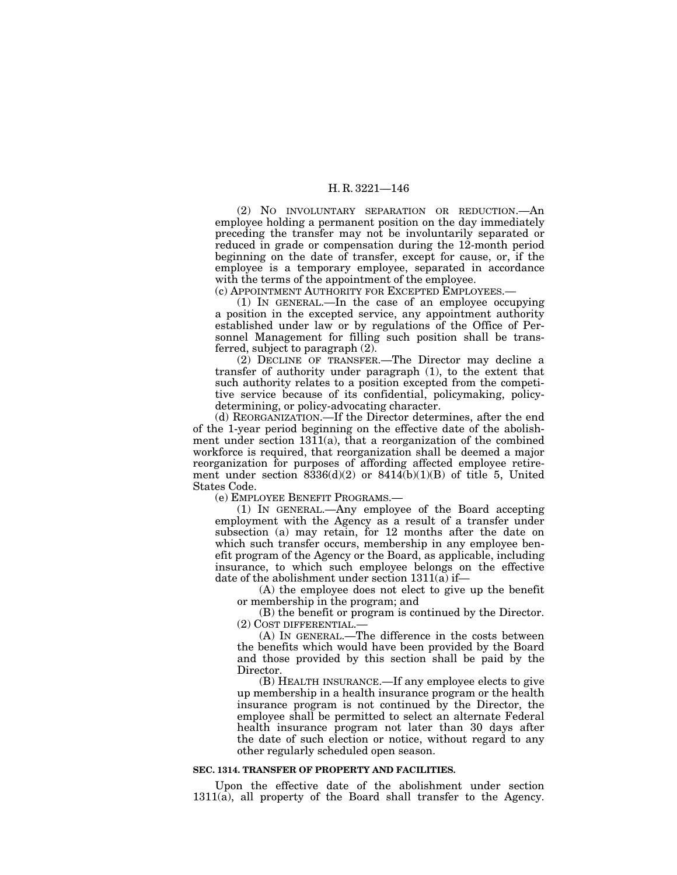(2) NO INVOLUNTARY SEPARATION OR REDUCTION.—An employee holding a permanent position on the day immediately preceding the transfer may not be involuntarily separated or reduced in grade or compensation during the 12-month period beginning on the date of transfer, except for cause, or, if the employee is a temporary employee, separated in accordance with the terms of the appointment of the employee.

(c) APPOINTMENT AUTHORITY FOR EXCEPTED EMPLOYEES.—

(1) IN GENERAL.—In the case of an employee occupying a position in the excepted service, any appointment authority established under law or by regulations of the Office of Personnel Management for filling such position shall be transferred, subject to paragraph (2).

(2) DECLINE OF TRANSFER.—The Director may decline a transfer of authority under paragraph (1), to the extent that such authority relates to a position excepted from the competitive service because of its confidential, policymaking, policydetermining, or policy-advocating character.

(d) REORGANIZATION.—If the Director determines, after the end of the 1-year period beginning on the effective date of the abolishment under section 1311(a), that a reorganization of the combined workforce is required, that reorganization shall be deemed a major reorganization for purposes of affording affected employee retirement under section  $8336(d)(2)$  or  $8414(b)(1)(B)$  of title 5, United States Code.

(e) EMPLOYEE BENEFIT PROGRAMS.—

(1) IN GENERAL.—Any employee of the Board accepting employment with the Agency as a result of a transfer under subsection (a) may retain, for 12 months after the date on which such transfer occurs, membership in any employee benefit program of the Agency or the Board, as applicable, including insurance, to which such employee belongs on the effective date of the abolishment under section 1311(a) if—

(A) the employee does not elect to give up the benefit or membership in the program; and

(B) the benefit or program is continued by the Director. (2) COST DIFFERENTIAL.—

(A) IN GENERAL.—The difference in the costs between the benefits which would have been provided by the Board and those provided by this section shall be paid by the Director.

(B) HEALTH INSURANCE.—If any employee elects to give up membership in a health insurance program or the health insurance program is not continued by the Director, the employee shall be permitted to select an alternate Federal health insurance program not later than 30 days after the date of such election or notice, without regard to any other regularly scheduled open season.

#### **SEC. 1314. TRANSFER OF PROPERTY AND FACILITIES.**

Upon the effective date of the abolishment under section 1311(a), all property of the Board shall transfer to the Agency.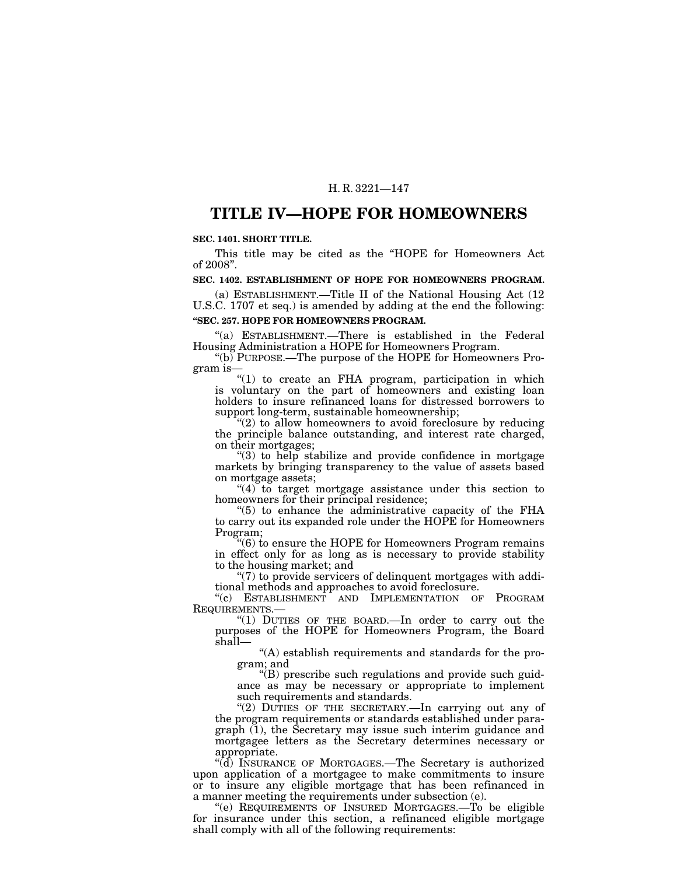# **TITLE IV—HOPE FOR HOMEOWNERS**

## **SEC. 1401. SHORT TITLE.**

This title may be cited as the "HOPE for Homeowners Act of 2008''.

**SEC. 1402. ESTABLISHMENT OF HOPE FOR HOMEOWNERS PROGRAM.** 

(a) ESTABLISHMENT.—Title II of the National Housing Act (12 U.S.C. 1707 et seq.) is amended by adding at the end the following:

#### **''SEC. 257. HOPE FOR HOMEOWNERS PROGRAM.**

''(a) ESTABLISHMENT.—There is established in the Federal Housing Administration a HOPE for Homeowners Program.

''(b) PURPOSE.—The purpose of the HOPE for Homeowners Program is—

" $(1)$  to create an FHA program, participation in which is voluntary on the part of homeowners and existing loan holders to insure refinanced loans for distressed borrowers to support long-term, sustainable homeownership;

"(2) to allow homeowners to avoid foreclosure by reducing the principle balance outstanding, and interest rate charged, on their mortgages;

''(3) to help stabilize and provide confidence in mortgage markets by bringing transparency to the value of assets based on mortgage assets;

 $''(4)$  to target mortgage assistance under this section to homeowners for their principal residence;

''(5) to enhance the administrative capacity of the FHA to carry out its expanded role under the HOPE for Homeowners Program;

''(6) to ensure the HOPE for Homeowners Program remains in effect only for as long as is necessary to provide stability to the housing market; and

 $''(7)$  to provide servicers of delinquent mortgages with additional methods and approaches to avoid foreclosure.

"(c) ESTABLISHMENT AND IMPLEMENTATION OF PROGRAM REQUIREMENTS.—

"(1) DUTIES OF THE BOARD.—In order to carry out the purposes of the HOPE for Homeowners Program, the Board shall—

"(A) establish requirements and standards for the program; and

''(B) prescribe such regulations and provide such guidance as may be necessary or appropriate to implement such requirements and standards.

"(2) DUTIES OF THE SECRETARY.—In carrying out any of the program requirements or standards established under paragraph  $(1)$ , the Secretary may issue such interim guidance and mortgagee letters as the Secretary determines necessary or appropriate.

''(d) INSURANCE OF MORTGAGES.—The Secretary is authorized upon application of a mortgagee to make commitments to insure or to insure any eligible mortgage that has been refinanced in a manner meeting the requirements under subsection (e).

''(e) REQUIREMENTS OF INSURED MORTGAGES.—To be eligible for insurance under this section, a refinanced eligible mortgage shall comply with all of the following requirements: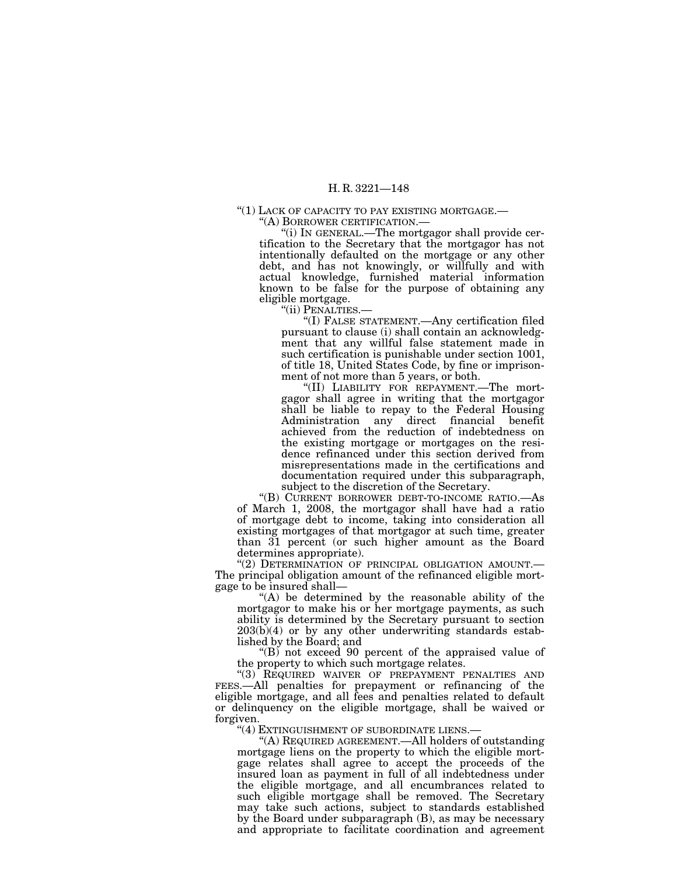## "(1) LACK OF CAPACITY TO PAY EXISTING MORTGAGE.-

''(A) BORROWER CERTIFICATION.—

''(i) IN GENERAL.—The mortgagor shall provide certification to the Secretary that the mortgagor has not intentionally defaulted on the mortgage or any other debt, and has not knowingly, or willfully and with actual knowledge, furnished material information known to be false for the purpose of obtaining any eligible mortgage.

''(ii) PENALTIES.—

''(I) FALSE STATEMENT.—Any certification filed pursuant to clause (i) shall contain an acknowledgment that any willful false statement made in such certification is punishable under section 1001, of title 18, United States Code, by fine or imprisonment of not more than 5 years, or both.

''(II) LIABILITY FOR REPAYMENT.—The mortgagor shall agree in writing that the mortgagor shall be liable to repay to the Federal Housing Administration any direct financial benefit achieved from the reduction of indebtedness on the existing mortgage or mortgages on the residence refinanced under this section derived from misrepresentations made in the certifications and documentation required under this subparagraph, subject to the discretion of the Secretary.

''(B) CURRENT BORROWER DEBT-TO-INCOME RATIO.—As of March 1, 2008, the mortgagor shall have had a ratio of mortgage debt to income, taking into consideration all existing mortgages of that mortgagor at such time, greater than 31 percent (or such higher amount as the Board determines appropriate).

"(2) DETERMINATION OF PRINCIPAL OBLIGATION AMOUNT.-The principal obligation amount of the refinanced eligible mortgage to be insured shall—

''(A) be determined by the reasonable ability of the mortgagor to make his or her mortgage payments, as such ability is determined by the Secretary pursuant to section  $203(b)(4)$  or by any other underwriting standards established by the Board; and

''(B) not exceed 90 percent of the appraised value of the property to which such mortgage relates.

"(3) REQUIRED WAIVER OF PREPAYMENT PENALTIES AND FEES.—All penalties for prepayment or refinancing of the eligible mortgage, and all fees and penalties related to default or delinquency on the eligible mortgage, shall be waived or forgiven.<br>"(4) EXTINGUISHMENT OF SUBORDINATE LIENS.—

''(4) EXTINGUISHMENT OF SUBORDINATE LIENS.— ''(A) REQUIRED AGREEMENT.—All holders of outstanding mortgage liens on the property to which the eligible mortgage relates shall agree to accept the proceeds of the insured loan as payment in full of all indebtedness under the eligible mortgage, and all encumbrances related to such eligible mortgage shall be removed. The Secretary may take such actions, subject to standards established by the Board under subparagraph (B), as may be necessary and appropriate to facilitate coordination and agreement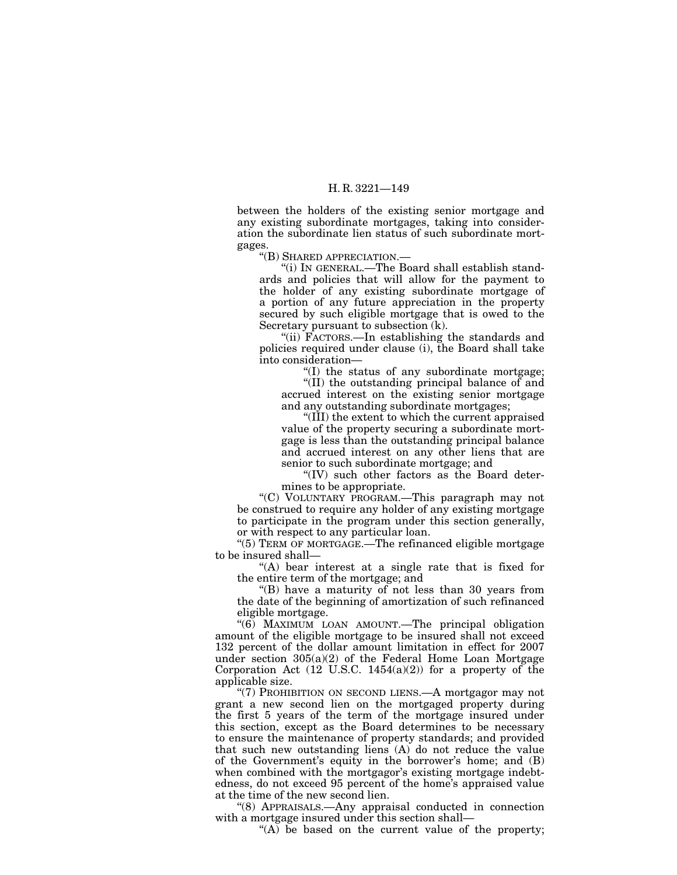between the holders of the existing senior mortgage and any existing subordinate mortgages, taking into consideration the subordinate lien status of such subordinate mortgages.

''(B) SHARED APPRECIATION.—

''(i) IN GENERAL.—The Board shall establish standards and policies that will allow for the payment to the holder of any existing subordinate mortgage of a portion of any future appreciation in the property secured by such eligible mortgage that is owed to the Secretary pursuant to subsection (k).

"(ii) FACTORS.—In establishing the standards and policies required under clause (i), the Board shall take into consideration—

''(I) the status of any subordinate mortgage;

''(II) the outstanding principal balance of and accrued interest on the existing senior mortgage and any outstanding subordinate mortgages;

''(III) the extent to which the current appraised value of the property securing a subordinate mortgage is less than the outstanding principal balance and accrued interest on any other liens that are senior to such subordinate mortgage; and

''(IV) such other factors as the Board determines to be appropriate.

''(C) VOLUNTARY PROGRAM.—This paragraph may not be construed to require any holder of any existing mortgage to participate in the program under this section generally, or with respect to any particular loan.

''(5) TERM OF MORTGAGE.—The refinanced eligible mortgage to be insured shall—

''(A) bear interest at a single rate that is fixed for the entire term of the mortgage; and

"(B) have a maturity of not less than 30 years from the date of the beginning of amortization of such refinanced eligible mortgage.

''(6) MAXIMUM LOAN AMOUNT.—The principal obligation amount of the eligible mortgage to be insured shall not exceed 132 percent of the dollar amount limitation in effect for 2007 under section 305(a)(2) of the Federal Home Loan Mortgage Corporation Act  $(12 \text{ U.S.C. } 1454(a)(2))$  for a property of the applicable size.

"(7) PROHIBITION ON SECOND LIENS.—A mortgagor may not grant a new second lien on the mortgaged property during the first 5 years of the term of the mortgage insured under this section, except as the Board determines to be necessary to ensure the maintenance of property standards; and provided that such new outstanding liens (A) do not reduce the value of the Government's equity in the borrower's home; and (B) when combined with the mortgagor's existing mortgage indebtedness, do not exceed 95 percent of the home's appraised value at the time of the new second lien.

''(8) APPRAISALS.—Any appraisal conducted in connection with a mortgage insured under this section shall—

" $(A)$  be based on the current value of the property;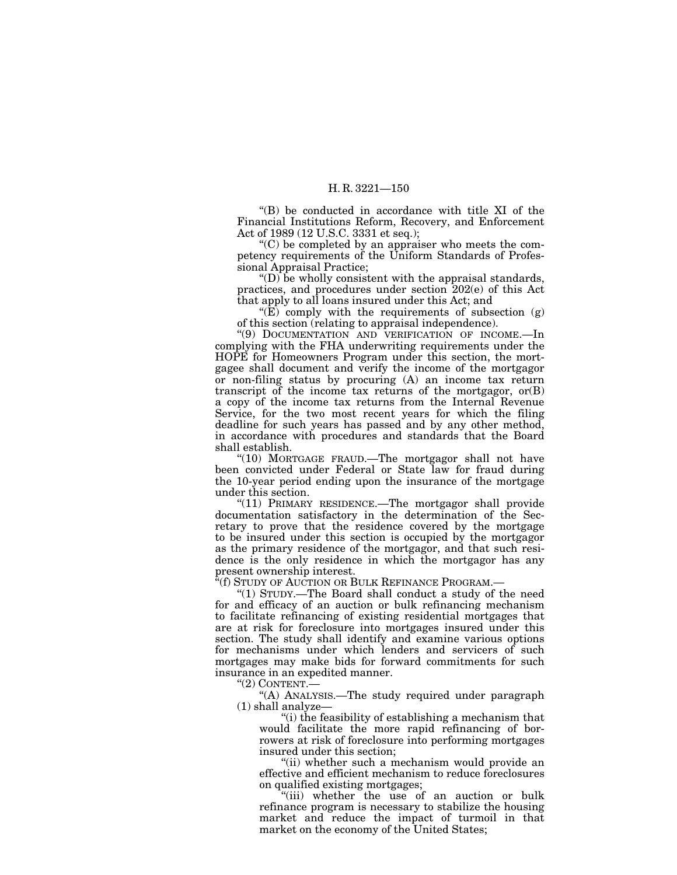''(B) be conducted in accordance with title XI of the Financial Institutions Reform, Recovery, and Enforcement Act of 1989 (12 U.S.C. 3331 et seq.);

''(C) be completed by an appraiser who meets the competency requirements of the Uniform Standards of Professional Appraisal Practice;

 $\sqrt{\text{CD}}$  be wholly consistent with the appraisal standards, practices, and procedures under section 202(e) of this Act that apply to all loans insured under this Act; and

"(E) comply with the requirements of subsection  $(g)$ of this section (relating to appraisal independence).

''(9) DOCUMENTATION AND VERIFICATION OF INCOME.—In complying with the FHA underwriting requirements under the HOPE for Homeowners Program under this section, the mortgagee shall document and verify the income of the mortgagor or non-filing status by procuring (A) an income tax return transcript of the income tax returns of the mortgagor, or(B) a copy of the income tax returns from the Internal Revenue Service, for the two most recent years for which the filing deadline for such years has passed and by any other method, in accordance with procedures and standards that the Board shall establish.

''(10) MORTGAGE FRAUD.—The mortgagor shall not have been convicted under Federal or State law for fraud during the 10-year period ending upon the insurance of the mortgage under this section.

"(11) PRIMARY RESIDENCE.—The mortgagor shall provide documentation satisfactory in the determination of the Secretary to prove that the residence covered by the mortgage to be insured under this section is occupied by the mortgagor as the primary residence of the mortgagor, and that such residence is the only residence in which the mortgagor has any present ownership interest.

''(f) STUDY OF AUCTION OR BULK REFINANCE PROGRAM.—

''(1) STUDY.—The Board shall conduct a study of the need for and efficacy of an auction or bulk refinancing mechanism to facilitate refinancing of existing residential mortgages that are at risk for foreclosure into mortgages insured under this section. The study shall identify and examine various options for mechanisms under which lenders and servicers of such mortgages may make bids for forward commitments for such insurance in an expedited manner.

 $"(2)$  CONTENT.—

''(A) ANALYSIS.—The study required under paragraph (1) shall analyze—

''(i) the feasibility of establishing a mechanism that would facilitate the more rapid refinancing of borrowers at risk of foreclosure into performing mortgages insured under this section;

''(ii) whether such a mechanism would provide an effective and efficient mechanism to reduce foreclosures on qualified existing mortgages;

''(iii) whether the use of an auction or bulk refinance program is necessary to stabilize the housing market and reduce the impact of turmoil in that market on the economy of the United States;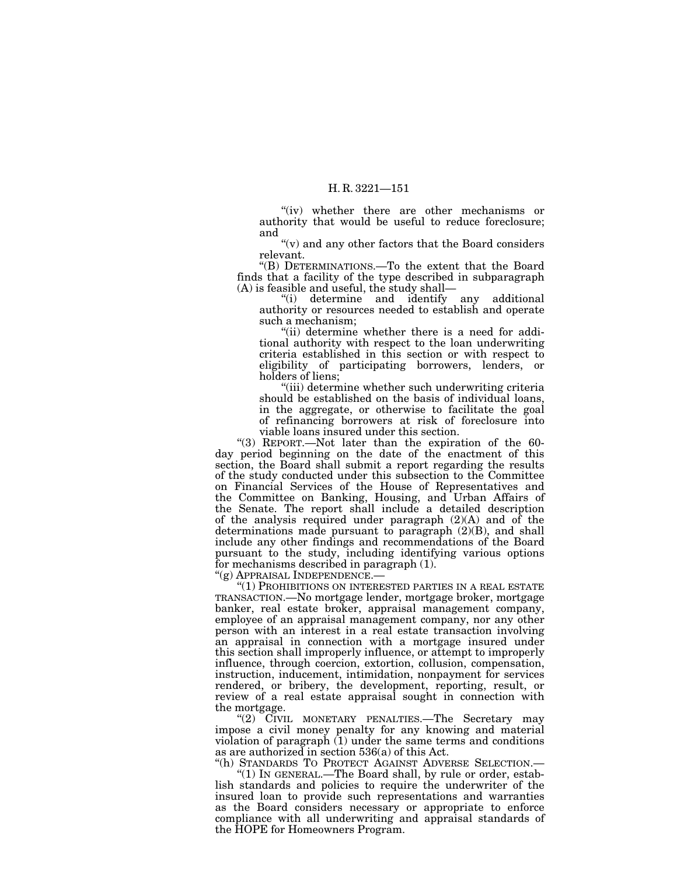''(iv) whether there are other mechanisms or authority that would be useful to reduce foreclosure; and

''(v) and any other factors that the Board considers relevant.

''(B) DETERMINATIONS.—To the extent that the Board finds that a facility of the type described in subparagraph (A) is feasible and useful, the study shall—

''(i) determine and identify any additional authority or resources needed to establish and operate such a mechanism;

''(ii) determine whether there is a need for additional authority with respect to the loan underwriting criteria established in this section or with respect to eligibility of participating borrowers, lenders, or holders of liens;

''(iii) determine whether such underwriting criteria should be established on the basis of individual loans, in the aggregate, or otherwise to facilitate the goal of refinancing borrowers at risk of foreclosure into viable loans insured under this section.

''(3) REPORT.—Not later than the expiration of the 60 day period beginning on the date of the enactment of this section, the Board shall submit a report regarding the results of the study conducted under this subsection to the Committee on Financial Services of the House of Representatives and the Committee on Banking, Housing, and Urban Affairs of the Senate. The report shall include a detailed description of the analysis required under paragraph (2)(A) and of the determinations made pursuant to paragraph (2)(B), and shall include any other findings and recommendations of the Board pursuant to the study, including identifying various options for mechanisms described in paragraph (1).

''(g) APPRAISAL INDEPENDENCE.—

''(1) PROHIBITIONS ON INTERESTED PARTIES IN A REAL ESTATE TRANSACTION.—No mortgage lender, mortgage broker, mortgage banker, real estate broker, appraisal management company, employee of an appraisal management company, nor any other person with an interest in a real estate transaction involving an appraisal in connection with a mortgage insured under this section shall improperly influence, or attempt to improperly influence, through coercion, extortion, collusion, compensation, instruction, inducement, intimidation, nonpayment for services rendered, or bribery, the development, reporting, result, or review of a real estate appraisal sought in connection with the mortgage.

"(2) CIVIL MONETARY PENALTIES.—The Secretary may impose a civil money penalty for any knowing and material violation of paragraph (1) under the same terms and conditions as are authorized in section 536(a) of this Act.

''(h) STANDARDS TO PROTECT AGAINST ADVERSE SELECTION.—

''(1) IN GENERAL.—The Board shall, by rule or order, establish standards and policies to require the underwriter of the insured loan to provide such representations and warranties as the Board considers necessary or appropriate to enforce compliance with all underwriting and appraisal standards of the HOPE for Homeowners Program.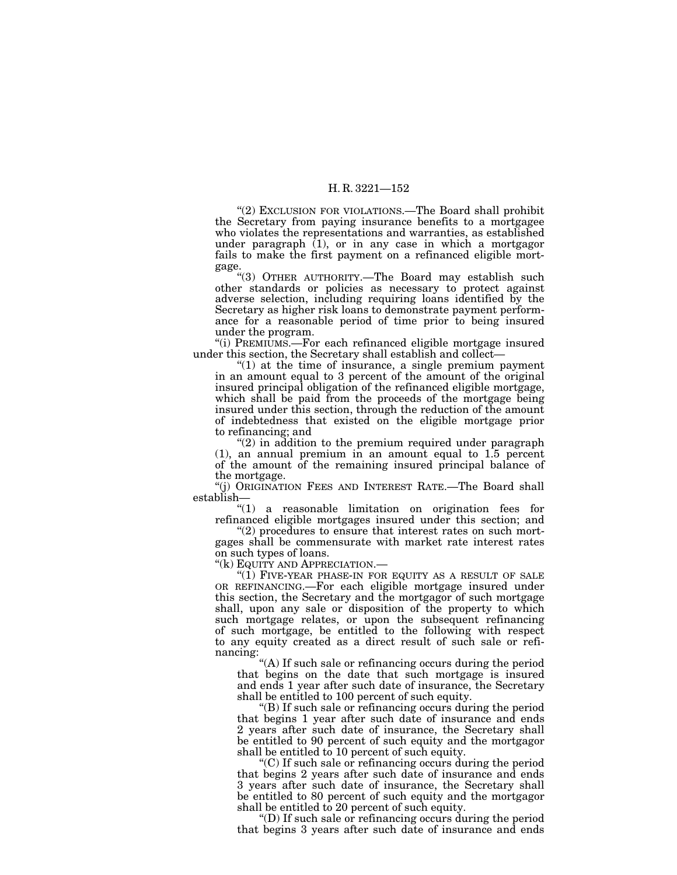''(2) EXCLUSION FOR VIOLATIONS.—The Board shall prohibit the Secretary from paying insurance benefits to a mortgagee who violates the representations and warranties, as established under paragraph  $(1)$ , or in any case in which a mortgagor fails to make the first payment on a refinanced eligible mortgage.

''(3) OTHER AUTHORITY.—The Board may establish such other standards or policies as necessary to protect against adverse selection, including requiring loans identified by the Secretary as higher risk loans to demonstrate payment performance for a reasonable period of time prior to being insured under the program.

''(i) PREMIUMS.—For each refinanced eligible mortgage insured under this section, the Secretary shall establish and collect—

" $(1)$  at the time of insurance, a single premium payment in an amount equal to 3 percent of the amount of the original insured principal obligation of the refinanced eligible mortgage, which shall be paid from the proceeds of the mortgage being insured under this section, through the reduction of the amount of indebtedness that existed on the eligible mortgage prior to refinancing; and

"(2) in addition to the premium required under paragraph (1), an annual premium in an amount equal to 1.5 percent of the amount of the remaining insured principal balance of the mortgage.

''(j) ORIGINATION FEES AND INTEREST RATE.—The Board shall establish—

''(1) a reasonable limitation on origination fees for refinanced eligible mortgages insured under this section; and

''(2) procedures to ensure that interest rates on such mortgages shall be commensurate with market rate interest rates on such types of loans.

"(k) EQUITY AND APPRECIATION.-

"(1) FIVE-YEAR PHASE-IN FOR EQUITY AS A RESULT OF SALE OR REFINANCING.—For each eligible mortgage insured under this section, the Secretary and the mortgagor of such mortgage shall, upon any sale or disposition of the property to which such mortgage relates, or upon the subsequent refinancing of such mortgage, be entitled to the following with respect to any equity created as a direct result of such sale or refinancing:

''(A) If such sale or refinancing occurs during the period that begins on the date that such mortgage is insured and ends 1 year after such date of insurance, the Secretary shall be entitled to 100 percent of such equity.

''(B) If such sale or refinancing occurs during the period that begins 1 year after such date of insurance and ends 2 years after such date of insurance, the Secretary shall be entitled to 90 percent of such equity and the mortgagor shall be entitled to 10 percent of such equity.

''(C) If such sale or refinancing occurs during the period that begins 2 years after such date of insurance and ends 3 years after such date of insurance, the Secretary shall be entitled to 80 percent of such equity and the mortgagor shall be entitled to 20 percent of such equity.

''(D) If such sale or refinancing occurs during the period that begins 3 years after such date of insurance and ends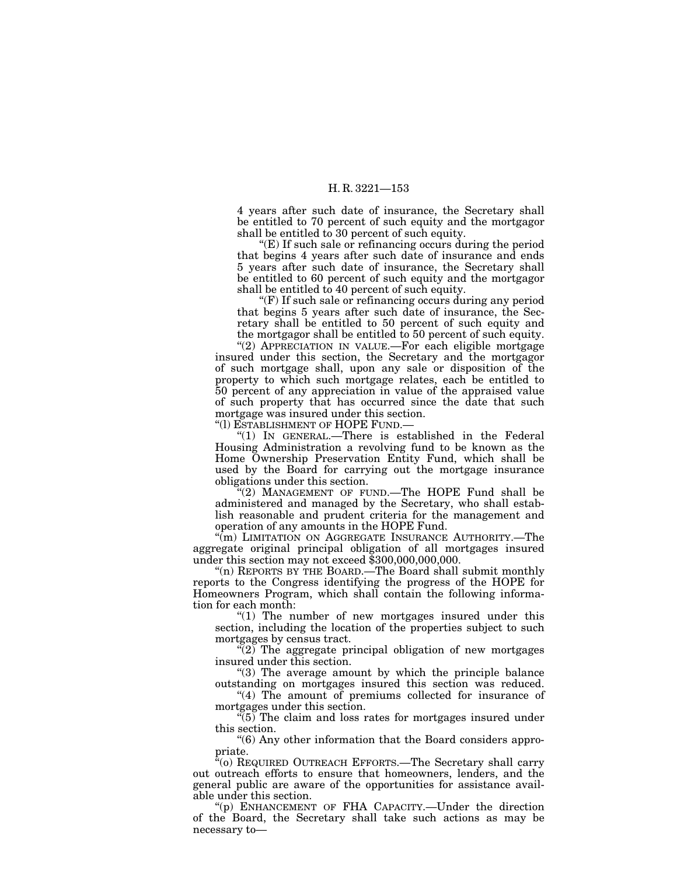4 years after such date of insurance, the Secretary shall be entitled to 70 percent of such equity and the mortgagor shall be entitled to 30 percent of such equity.

''(E) If such sale or refinancing occurs during the period that begins 4 years after such date of insurance and ends 5 years after such date of insurance, the Secretary shall be entitled to 60 percent of such equity and the mortgagor shall be entitled to 40 percent of such equity.

''(F) If such sale or refinancing occurs during any period that begins 5 years after such date of insurance, the Secretary shall be entitled to 50 percent of such equity and the mortgagor shall be entitled to 50 percent of such equity.

"(2) APPRECIATION IN VALUE.—For each eligible mortgage insured under this section, the Secretary and the mortgagor of such mortgage shall, upon any sale or disposition of the property to which such mortgage relates, each be entitled to 50 percent of any appreciation in value of the appraised value of such property that has occurred since the date that such mortgage was insured under this section.

''(l) ESTABLISHMENT OF HOPE FUND.—

''(1) IN GENERAL.—There is established in the Federal Housing Administration a revolving fund to be known as the Home Ownership Preservation Entity Fund, which shall be used by the Board for carrying out the mortgage insurance obligations under this section.

"(2) MANAGEMENT OF FUND.—The HOPE Fund shall be administered and managed by the Secretary, who shall establish reasonable and prudent criteria for the management and operation of any amounts in the HOPE Fund.

"(m) LIMITATION ON AGGREGATE INSURANCE AUTHORITY.—The aggregate original principal obligation of all mortgages insured under this section may not exceed \$300,000,000,000.

''(n) REPORTS BY THE BOARD.—The Board shall submit monthly reports to the Congress identifying the progress of the HOPE for Homeowners Program, which shall contain the following information for each month:

" $(1)$  The number of new mortgages insured under this section, including the location of the properties subject to such mortgages by census tract.

 $\sqrt[4]{(2)}$  The aggregate principal obligation of new mortgages insured under this section.

"(3) The average amount by which the principle balance outstanding on mortgages insured this section was reduced.

"(4) The amount of premiums collected for insurance of mortgages under this section.

''(5) The claim and loss rates for mortgages insured under this section.

''(6) Any other information that the Board considers appropriate.

''(o) REQUIRED OUTREACH EFFORTS.—The Secretary shall carry out outreach efforts to ensure that homeowners, lenders, and the general public are aware of the opportunities for assistance available under this section.

''(p) ENHANCEMENT OF FHA CAPACITY.—Under the direction of the Board, the Secretary shall take such actions as may be necessary to—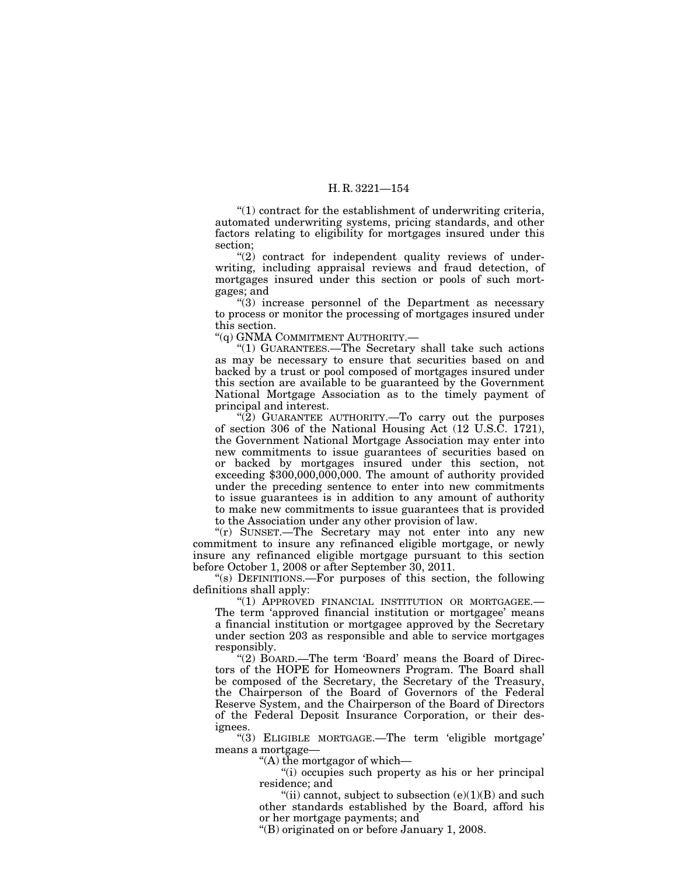$''(1)$  contract for the establishment of underwriting criteria, automated underwriting systems, pricing standards, and other factors relating to eligibility for mortgages insured under this section;

"(2) contract for independent quality reviews of underwriting, including appraisal reviews and fraud detection, of mortgages insured under this section or pools of such mortgages; and

"(3) increase personnel of the Department as necessary to process or monitor the processing of mortgages insured under this section.

''(q) GNMA COMMITMENT AUTHORITY.—

''(1) GUARANTEES.—The Secretary shall take such actions as may be necessary to ensure that securities based on and backed by a trust or pool composed of mortgages insured under this section are available to be guaranteed by the Government National Mortgage Association as to the timely payment of principal and interest.

" $(2)$  GUARANTEE AUTHORITY.—To carry out the purposes of section 306 of the National Housing Act (12 U.S.C. 1721), the Government National Mortgage Association may enter into new commitments to issue guarantees of securities based on or backed by mortgages insured under this section, not exceeding \$300,000,000,000. The amount of authority provided under the preceding sentence to enter into new commitments to issue guarantees is in addition to any amount of authority to make new commitments to issue guarantees that is provided to the Association under any other provision of law.

"(r) SUNSET.—The Secretary may not enter into any new commitment to insure any refinanced eligible mortgage, or newly insure any refinanced eligible mortgage pursuant to this section before October 1, 2008 or after September 30, 2011.

''(s) DEFINITIONS.—For purposes of this section, the following definitions shall apply:

''(1) APPROVED FINANCIAL INSTITUTION OR MORTGAGEE.— The term 'approved financial institution or mortgagee' means a financial institution or mortgagee approved by the Secretary under section 203 as responsible and able to service mortgages responsibly.

"(2) BOARD.—The term 'Board' means the Board of Directors of the HOPE for Homeowners Program. The Board shall be composed of the Secretary, the Secretary of the Treasury, the Chairperson of the Board of Governors of the Federal Reserve System, and the Chairperson of the Board of Directors of the Federal Deposit Insurance Corporation, or their designees.

''(3) ELIGIBLE MORTGAGE.—The term 'eligible mortgage' means a mortgage—

''(A) the mortgagor of which—

''(i) occupies such property as his or her principal residence; and

"(ii) cannot, subject to subsection  $(e)(1)(B)$  and such other standards established by the Board, afford his or her mortgage payments; and

''(B) originated on or before January 1, 2008.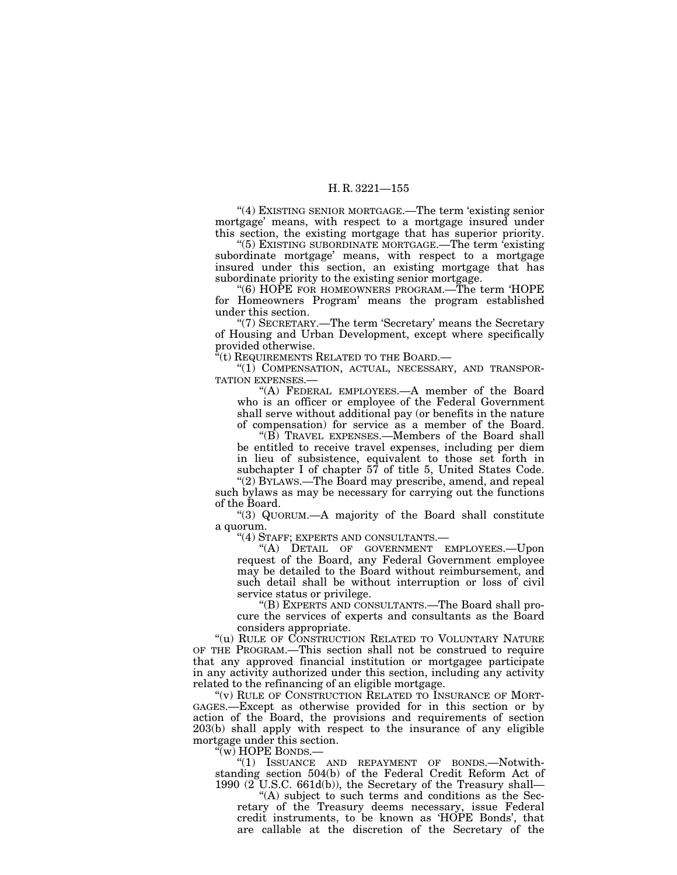''(4) EXISTING SENIOR MORTGAGE.—The term 'existing senior mortgage' means, with respect to a mortgage insured under this section, the existing mortgage that has superior priority.

''(5) EXISTING SUBORDINATE MORTGAGE.—The term 'existing subordinate mortgage' means, with respect to a mortgage insured under this section, an existing mortgage that has subordinate priority to the existing senior mortgage.

''(6) HOPE FOR HOMEOWNERS PROGRAM.—The term 'HOPE for Homeowners Program' means the program established under this section.

"(7) SECRETARY.—The term 'Secretary' means the Secretary of Housing and Urban Development, except where specifically provided otherwise.

''(t) REQUIREMENTS RELATED TO THE BOARD.—

''(1) COMPENSATION, ACTUAL, NECESSARY, AND TRANSPOR-TATION EXPENSES.—

''(A) FEDERAL EMPLOYEES.—A member of the Board who is an officer or employee of the Federal Government shall serve without additional pay (or benefits in the nature of compensation) for service as a member of the Board.

''(B) TRAVEL EXPENSES.—Members of the Board shall be entitled to receive travel expenses, including per diem in lieu of subsistence, equivalent to those set forth in subchapter I of chapter 57 of title 5, United States Code.

''(2) BYLAWS.—The Board may prescribe, amend, and repeal such bylaws as may be necessary for carrying out the functions of the Board.

''(3) QUORUM.—A majority of the Board shall constitute a quorum.

''(4) STAFF; EXPERTS AND CONSULTANTS.—

''(A) DETAIL OF GOVERNMENT EMPLOYEES.—Upon request of the Board, any Federal Government employee may be detailed to the Board without reimbursement, and such detail shall be without interruption or loss of civil service status or privilege.

''(B) EXPERTS AND CONSULTANTS.—The Board shall procure the services of experts and consultants as the Board considers appropriate.

''(u) RULE OF CONSTRUCTION RELATED TO VOLUNTARY NATURE OF THE PROGRAM.—This section shall not be construed to require that any approved financial institution or mortgagee participate in any activity authorized under this section, including any activity related to the refinancing of an eligible mortgage.

"(v) RULE OF CONSTRUCTION RELATED TO INSURANCE OF MORT-GAGES.—Except as otherwise provided for in this section or by action of the Board, the provisions and requirements of section 203(b) shall apply with respect to the insurance of any eligible mortgage under this section.

''(w) HOPE BONDS.—

''(1) ISSUANCE AND REPAYMENT OF BONDS.—Notwithstanding section 504(b) of the Federal Credit Reform Act of 1990 (2 U.S.C. 661d(b)), the Secretary of the Treasury shall—

''(A) subject to such terms and conditions as the Secretary of the Treasury deems necessary, issue Federal credit instruments, to be known as 'HOPE Bonds', that are callable at the discretion of the Secretary of the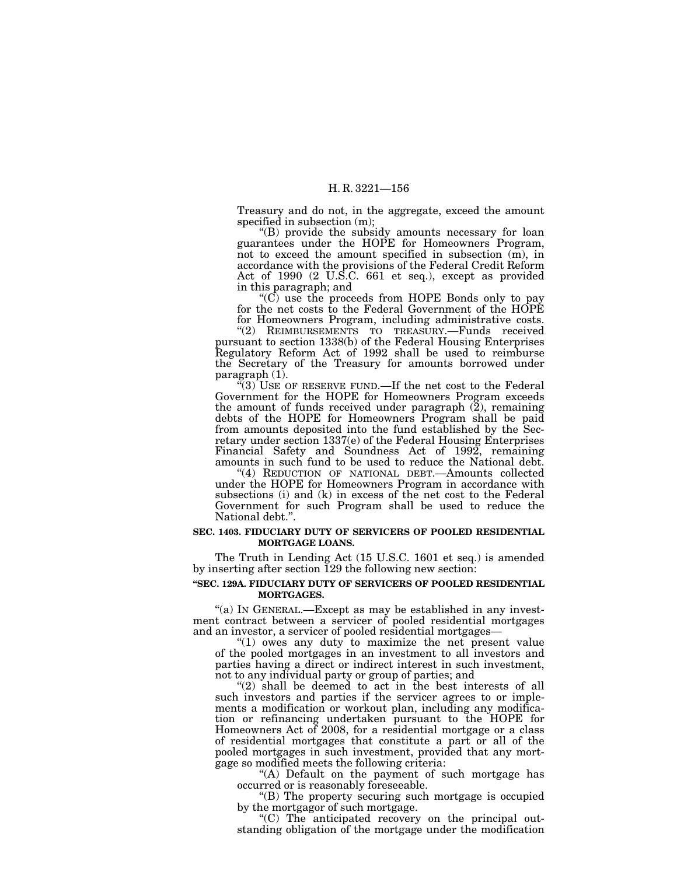Treasury and do not, in the aggregate, exceed the amount specified in subsection (m);

''(B) provide the subsidy amounts necessary for loan guarantees under the HOPE for Homeowners Program, not to exceed the amount specified in subsection (m), in accordance with the provisions of the Federal Credit Reform Act of 1990 (2 U.S.C. 661 et seq.), except as provided in this paragraph; and

''(C) use the proceeds from HOPE Bonds only to pay for the net costs to the Federal Government of the HOPE for Homeowners Program, including administrative costs.

"(2) REIMBURSEMENTS TO TREASURY.-Funds received pursuant to section 1338(b) of the Federal Housing Enterprises Regulatory Reform Act of 1992 shall be used to reimburse the Secretary of the Treasury for amounts borrowed under paragraph (1).

" $(3)$  USE OF RESERVE FUND.—If the net cost to the Federal Government for the HOPE for Homeowners Program exceeds the amount of funds received under paragraph  $(2)$ , remaining debts of the HOPE for Homeowners Program shall be paid from amounts deposited into the fund established by the Secretary under section 1337(e) of the Federal Housing Enterprises Financial Safety and Soundness Act of 1992, remaining amounts in such fund to be used to reduce the National debt.

''(4) REDUCTION OF NATIONAL DEBT.—Amounts collected under the HOPE for Homeowners Program in accordance with subsections (i) and (k) in excess of the net cost to the Federal Government for such Program shall be used to reduce the National debt.''.

#### **SEC. 1403. FIDUCIARY DUTY OF SERVICERS OF POOLED RESIDENTIAL MORTGAGE LOANS.**

The Truth in Lending Act (15 U.S.C. 1601 et seq.) is amended by inserting after section 129 the following new section:

#### **''SEC. 129A. FIDUCIARY DUTY OF SERVICERS OF POOLED RESIDENTIAL MORTGAGES.**

"(a) IN GENERAL.—Except as may be established in any investment contract between a servicer of pooled residential mortgages and an investor, a servicer of pooled residential mortgages—

" $(1)$  owes any duty to maximize the net present value of the pooled mortgages in an investment to all investors and parties having a direct or indirect interest in such investment, not to any individual party or group of parties; and

"(2) shall be deemed to act in the best interests of all such investors and parties if the servicer agrees to or implements a modification or workout plan, including any modification or refinancing undertaken pursuant to the HOPE for Homeowners Act of 2008, for a residential mortgage or a class of residential mortgages that constitute a part or all of the pooled mortgages in such investment, provided that any mortgage so modified meets the following criteria:

''(A) Default on the payment of such mortgage has occurred or is reasonably foreseeable.

''(B) The property securing such mortgage is occupied by the mortgagor of such mortgage.

''(C) The anticipated recovery on the principal outstanding obligation of the mortgage under the modification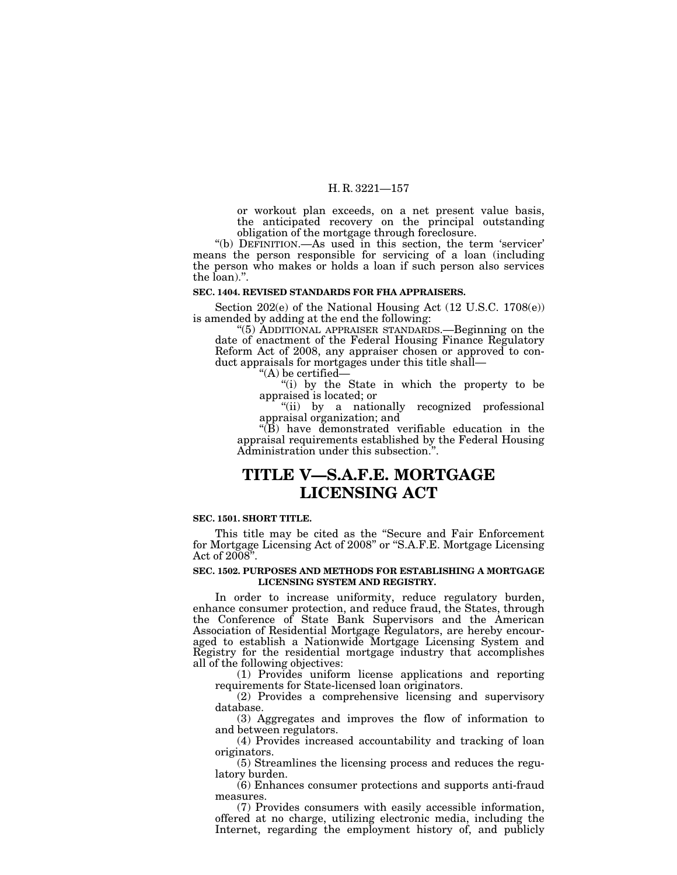or workout plan exceeds, on a net present value basis, the anticipated recovery on the principal outstanding obligation of the mortgage through foreclosure.

''(b) DEFINITION.—As used in this section, the term 'servicer' means the person responsible for servicing of a loan (including the person who makes or holds a loan if such person also services the loan).''.

## **SEC. 1404. REVISED STANDARDS FOR FHA APPRAISERS.**

Section 202(e) of the National Housing Act (12 U.S.C. 1708(e)) is amended by adding at the end the following:

''(5) ADDITIONAL APPRAISER STANDARDS.—Beginning on the date of enactment of the Federal Housing Finance Regulatory Reform Act of 2008, any appraiser chosen or approved to conduct appraisals for mortgages under this title shall—

''(A) be certified—

''(i) by the State in which the property to be appraised is located; or

''(ii) by a nationally recognized professional appraisal organization; and

 $\sqrt{\text{B}}$ ) have demonstrated verifiable education in the appraisal requirements established by the Federal Housing Administration under this subsection.''.

# **TITLE V—S.A.F.E. MORTGAGE LICENSING ACT**

#### **SEC. 1501. SHORT TITLE.**

This title may be cited as the ''Secure and Fair Enforcement for Mortgage Licensing Act of 2008'' or ''S.A.F.E. Mortgage Licensing Act of 2008''.

#### **SEC. 1502. PURPOSES AND METHODS FOR ESTABLISHING A MORTGAGE LICENSING SYSTEM AND REGISTRY.**

In order to increase uniformity, reduce regulatory burden, enhance consumer protection, and reduce fraud, the States, through the Conference of State Bank Supervisors and the American Association of Residential Mortgage Regulators, are hereby encouraged to establish a Nationwide Mortgage Licensing System and Registry for the residential mortgage industry that accomplishes all of the following objectives:

(1) Provides uniform license applications and reporting requirements for State-licensed loan originators.

(2) Provides a comprehensive licensing and supervisory database.

(3) Aggregates and improves the flow of information to and between regulators.

(4) Provides increased accountability and tracking of loan originators.

(5) Streamlines the licensing process and reduces the regulatory burden.

(6) Enhances consumer protections and supports anti-fraud measures.

(7) Provides consumers with easily accessible information, offered at no charge, utilizing electronic media, including the Internet, regarding the employment history of, and publicly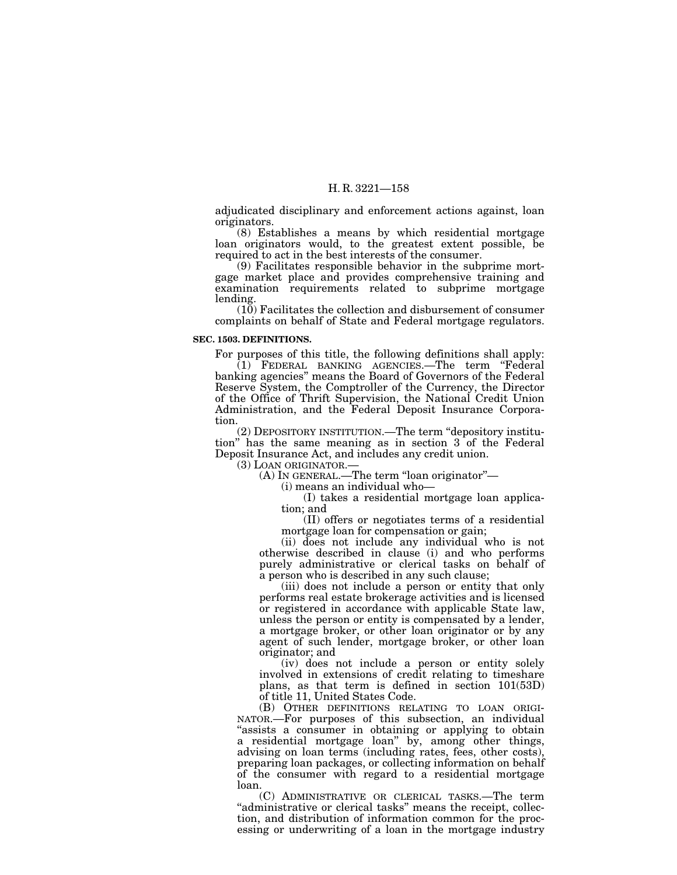adjudicated disciplinary and enforcement actions against, loan originators.

(8) Establishes a means by which residential mortgage loan originators would, to the greatest extent possible, be required to act in the best interests of the consumer.

(9) Facilitates responsible behavior in the subprime mortgage market place and provides comprehensive training and examination requirements related to subprime mortgage lending.

(10) Facilitates the collection and disbursement of consumer complaints on behalf of State and Federal mortgage regulators.

#### **SEC. 1503. DEFINITIONS.**

For purposes of this title, the following definitions shall apply:

(1) FEDERAL BANKING AGENCIES.—The term ''Federal banking agencies'' means the Board of Governors of the Federal Reserve System, the Comptroller of the Currency, the Director of the Office of Thrift Supervision, the National Credit Union Administration, and the Federal Deposit Insurance Corporation.

(2) DEPOSITORY INSTITUTION.—The term ''depository institution" has the same meaning as in section  $3$  of the Federal Deposit Insurance Act, and includes any credit union.

(3) LOAN ORIGINATOR.—

(A) IN GENERAL.—The term ''loan originator''—

(i) means an individual who—

(I) takes a residential mortgage loan application; and

(II) offers or negotiates terms of a residential mortgage loan for compensation or gain;

(ii) does not include any individual who is not otherwise described in clause (i) and who performs purely administrative or clerical tasks on behalf of a person who is described in any such clause;

(iii) does not include a person or entity that only performs real estate brokerage activities and is licensed or registered in accordance with applicable State law, unless the person or entity is compensated by a lender, a mortgage broker, or other loan originator or by any agent of such lender, mortgage broker, or other loan originator; and

(iv) does not include a person or entity solely involved in extensions of credit relating to timeshare plans, as that term is defined in section 101(53D) of title 11, United States Code.

(B) OTHER DEFINITIONS RELATING TO LOAN ORIGI-NATOR.—For purposes of this subsection, an individual "assists a consumer in obtaining or applying to obtain a residential mortgage loan'' by, among other things, advising on loan terms (including rates, fees, other costs), preparing loan packages, or collecting information on behalf of the consumer with regard to a residential mortgage loan.

(C) ADMINISTRATIVE OR CLERICAL TASKS.—The term "administrative or clerical tasks" means the receipt, collection, and distribution of information common for the processing or underwriting of a loan in the mortgage industry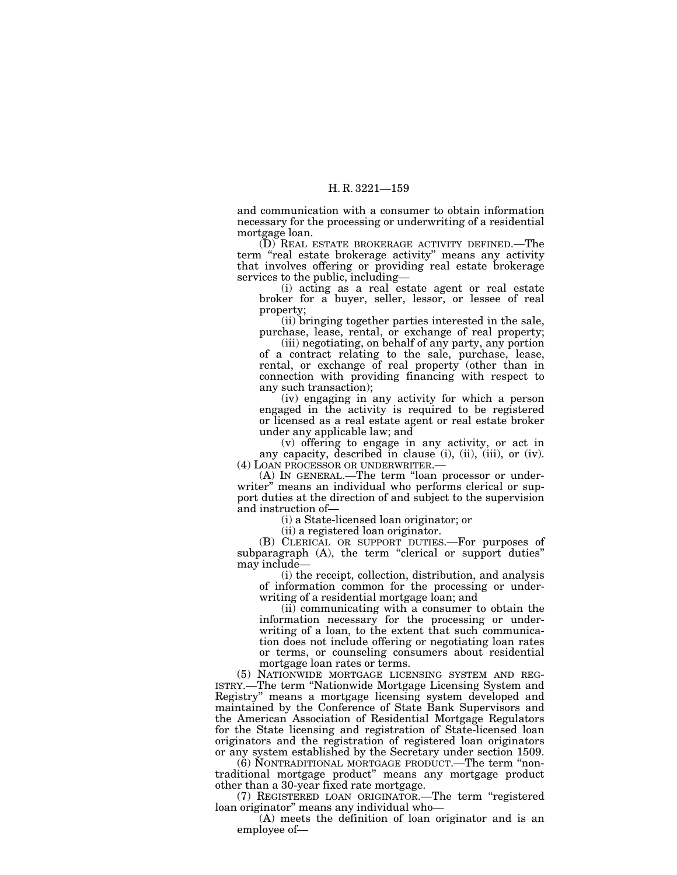and communication with a consumer to obtain information necessary for the processing or underwriting of a residential mortgage loan.

(D) REAL ESTATE BROKERAGE ACTIVITY DEFINED.—The term "real estate brokerage activity" means any activity that involves offering or providing real estate brokerage services to the public, including—

(i) acting as a real estate agent or real estate broker for a buyer, seller, lessor, or lessee of real property;

(ii) bringing together parties interested in the sale, purchase, lease, rental, or exchange of real property;

(iii) negotiating, on behalf of any party, any portion of a contract relating to the sale, purchase, lease, rental, or exchange of real property (other than in connection with providing financing with respect to any such transaction);

(iv) engaging in any activity for which a person engaged in the activity is required to be registered or licensed as a real estate agent or real estate broker under any applicable law; and

(v) offering to engage in any activity, or act in any capacity, described in clause (i), (ii), (iii), or (iv). (4) LOAN PROCESSOR OR UNDERWRITER.—

(A) IN GENERAL.—The term ''loan processor or underwriter" means an individual who performs clerical or support duties at the direction of and subject to the supervision and instruction of—

(i) a State-licensed loan originator; or

(ii) a registered loan originator.

(B) CLERICAL OR SUPPORT DUTIES.—For purposes of subparagraph (A), the term "clerical or support duties" may include—

(i) the receipt, collection, distribution, and analysis of information common for the processing or underwriting of a residential mortgage loan; and

(ii) communicating with a consumer to obtain the information necessary for the processing or underwriting of a loan, to the extent that such communication does not include offering or negotiating loan rates or terms, or counseling consumers about residential mortgage loan rates or terms.

(5) NATIONWIDE MORTGAGE LICENSING SYSTEM AND REG-ISTRY.—The term ''Nationwide Mortgage Licensing System and Registry'' means a mortgage licensing system developed and maintained by the Conference of State Bank Supervisors and the American Association of Residential Mortgage Regulators for the State licensing and registration of State-licensed loan originators and the registration of registered loan originators or any system established by the Secretary under section 1509.

(6) NONTRADITIONAL MORTGAGE PRODUCT.—The term ''nontraditional mortgage product'' means any mortgage product other than a 30-year fixed rate mortgage.

(7) REGISTERED LOAN ORIGINATOR.—The term ''registered loan originator'' means any individual who—

(A) meets the definition of loan originator and is an employee of—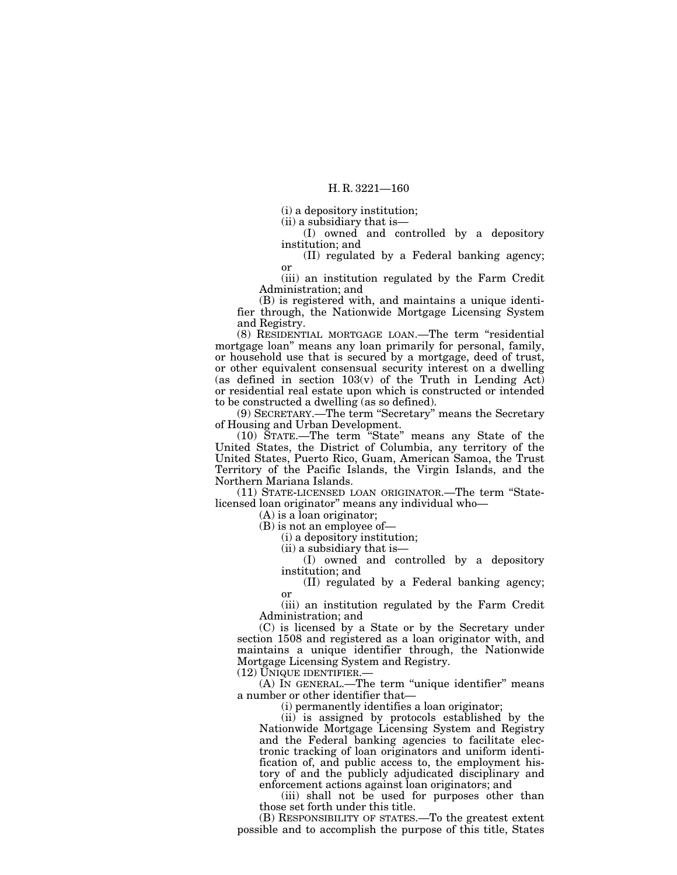(i) a depository institution;

(ii) a subsidiary that is—

(I) owned and controlled by a depository institution; and

(II) regulated by a Federal banking agency; or

(iii) an institution regulated by the Farm Credit Administration; and

(B) is registered with, and maintains a unique identifier through, the Nationwide Mortgage Licensing System and Registry.

(8) RESIDENTIAL MORTGAGE LOAN.—The term ''residential mortgage loan'' means any loan primarily for personal, family, or household use that is secured by a mortgage, deed of trust, or other equivalent consensual security interest on a dwelling (as defined in section  $103(v)$  of the Truth in Lending Act) or residential real estate upon which is constructed or intended to be constructed a dwelling (as so defined).

(9) SECRETARY.—The term ''Secretary'' means the Secretary of Housing and Urban Development.

(10) STATE.—The term ''State'' means any State of the United States, the District of Columbia, any territory of the United States, Puerto Rico, Guam, American Samoa, the Trust Territory of the Pacific Islands, the Virgin Islands, and the Northern Mariana Islands.

(11) STATE-LICENSED LOAN ORIGINATOR.—The term ''Statelicensed loan originator'' means any individual who—

(A) is a loan originator;

(B) is not an employee of—

(i) a depository institution;

(ii) a subsidiary that is—

(I) owned and controlled by a depository institution; and

(II) regulated by a Federal banking agency; or

(iii) an institution regulated by the Farm Credit Administration; and

(C) is licensed by a State or by the Secretary under section 1508 and registered as a loan originator with, and maintains a unique identifier through, the Nationwide Mortgage Licensing System and Registry.

(12) UNIQUE IDENTIFIER.—

(A) IN GENERAL.—The term ''unique identifier'' means a number or other identifier that—

(i) permanently identifies a loan originator;

(ii) is assigned by protocols established by the Nationwide Mortgage Licensing System and Registry and the Federal banking agencies to facilitate electronic tracking of loan originators and uniform identification of, and public access to, the employment history of and the publicly adjudicated disciplinary and enforcement actions against loan originators; and

(iii) shall not be used for purposes other than those set forth under this title.

(B) RESPONSIBILITY OF STATES.—To the greatest extent possible and to accomplish the purpose of this title, States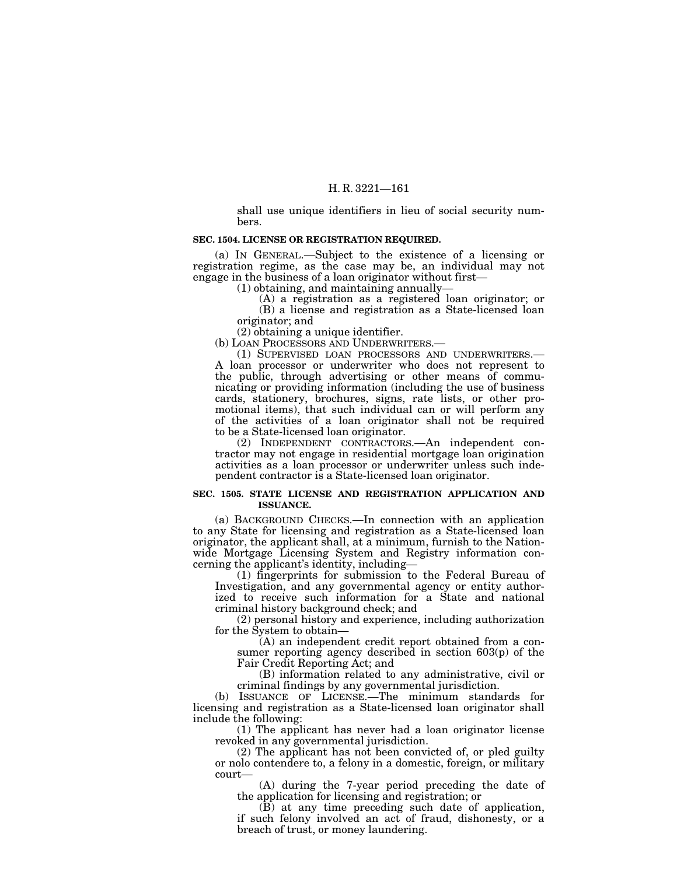shall use unique identifiers in lieu of social security numbers.

#### **SEC. 1504. LICENSE OR REGISTRATION REQUIRED.**

(a) IN GENERAL.—Subject to the existence of a licensing or registration regime, as the case may be, an individual may not engage in the business of a loan originator without first—

(1) obtaining, and maintaining annually—

(A) a registration as a registered loan originator; or (B) a license and registration as a State-licensed loan originator; and

(2) obtaining a unique identifier.

(b) LOAN PROCESSORS AND UNDERWRITERS.—

(1) SUPERVISED LOAN PROCESSORS AND UNDERWRITERS.— A loan processor or underwriter who does not represent to the public, through advertising or other means of communicating or providing information (including the use of business cards, stationery, brochures, signs, rate lists, or other promotional items), that such individual can or will perform any of the activities of a loan originator shall not be required to be a State-licensed loan originator.

(2) INDEPENDENT CONTRACTORS.—An independent contractor may not engage in residential mortgage loan origination activities as a loan processor or underwriter unless such independent contractor is a State-licensed loan originator.

#### **SEC. 1505. STATE LICENSE AND REGISTRATION APPLICATION AND ISSUANCE.**

(a) BACKGROUND CHECKS.—In connection with an application to any State for licensing and registration as a State-licensed loan originator, the applicant shall, at a minimum, furnish to the Nationwide Mortgage Licensing System and Registry information concerning the applicant's identity, including—

(1) fingerprints for submission to the Federal Bureau of Investigation, and any governmental agency or entity authorized to receive such information for a State and national criminal history background check; and

(2) personal history and experience, including authorization for the System to obtain—

(A) an independent credit report obtained from a consumer reporting agency described in section 603(p) of the Fair Credit Reporting Act; and

(B) information related to any administrative, civil or criminal findings by any governmental jurisdiction.

(b) ISSUANCE OF LICENSE.—The minimum standards for licensing and registration as a State-licensed loan originator shall include the following:

(1) The applicant has never had a loan originator license revoked in any governmental jurisdiction.

(2) The applicant has not been convicted of, or pled guilty or nolo contendere to, a felony in a domestic, foreign, or military court—

(A) during the 7-year period preceding the date of the application for licensing and registration; or

(B) at any time preceding such date of application, if such felony involved an act of fraud, dishonesty, or a breach of trust, or money laundering.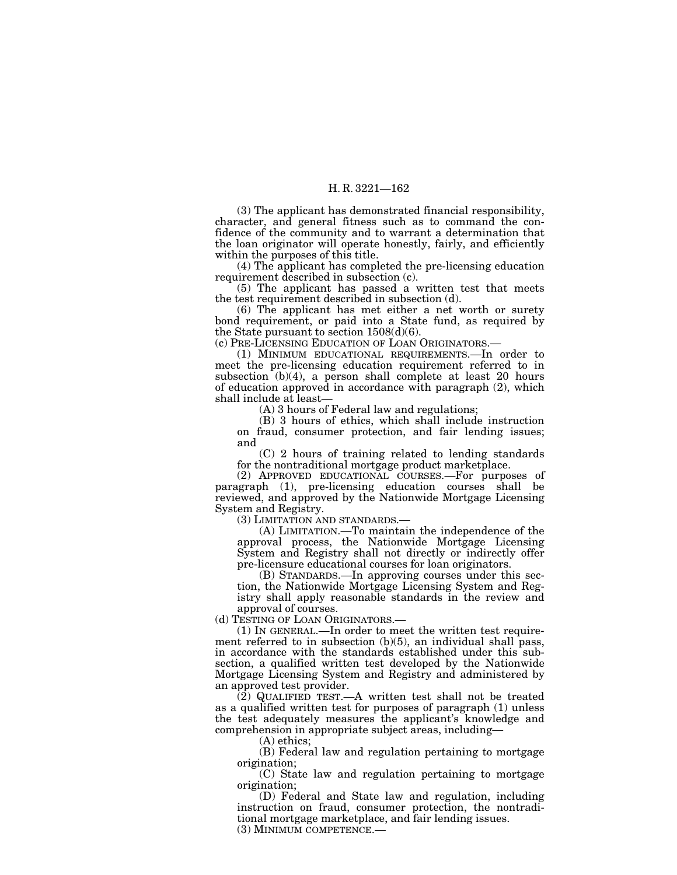(3) The applicant has demonstrated financial responsibility, character, and general fitness such as to command the confidence of the community and to warrant a determination that the loan originator will operate honestly, fairly, and efficiently within the purposes of this title.

(4) The applicant has completed the pre-licensing education requirement described in subsection (c).

(5) The applicant has passed a written test that meets the test requirement described in subsection (d).

(6) The applicant has met either a net worth or surety bond requirement, or paid into a State fund, as required by the State pursuant to section 1508(d)(6).

(c) PRE-LICENSING EDUCATION OF LOAN ORIGINATORS.—

(1) MINIMUM EDUCATIONAL REQUIREMENTS.—In order to meet the pre-licensing education requirement referred to in subsection (b)(4), a person shall complete at least 20 hours of education approved in accordance with paragraph (2), which shall include at least—

(A) 3 hours of Federal law and regulations;

(B) 3 hours of ethics, which shall include instruction on fraud, consumer protection, and fair lending issues; and

(C) 2 hours of training related to lending standards for the nontraditional mortgage product marketplace.

(2) APPROVED EDUCATIONAL COURSES.—For purposes of paragraph (1), pre-licensing education courses shall be reviewed, and approved by the Nationwide Mortgage Licensing System and Registry.

(3) LIMITATION AND STANDARDS.—

(A) LIMITATION.—To maintain the independence of the approval process, the Nationwide Mortgage Licensing System and Registry shall not directly or indirectly offer pre-licensure educational courses for loan originators.

(B) STANDARDS.—In approving courses under this section, the Nationwide Mortgage Licensing System and Registry shall apply reasonable standards in the review and approval of courses.

(d) TESTING OF LOAN ORIGINATORS.—

(1) IN GENERAL.—In order to meet the written test requirement referred to in subsection  $(b)(5)$ , an individual shall pass, in accordance with the standards established under this subsection, a qualified written test developed by the Nationwide Mortgage Licensing System and Registry and administered by an approved test provider.

(2) QUALIFIED TEST.—A written test shall not be treated as a qualified written test for purposes of paragraph (1) unless the test adequately measures the applicant's knowledge and comprehension in appropriate subject areas, including—

(A) ethics;

(B) Federal law and regulation pertaining to mortgage origination;

(C) State law and regulation pertaining to mortgage origination;

(D) Federal and State law and regulation, including instruction on fraud, consumer protection, the nontraditional mortgage marketplace, and fair lending issues.

(3) MINIMUM COMPETENCE.—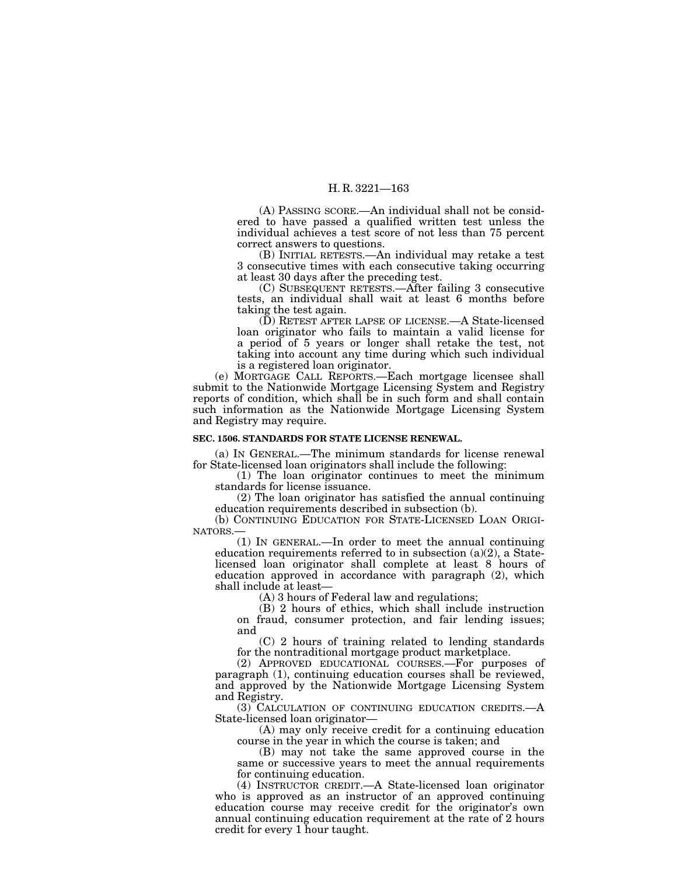(A) PASSING SCORE.—An individual shall not be considered to have passed a qualified written test unless the individual achieves a test score of not less than 75 percent correct answers to questions.

(B) INITIAL RETESTS.—An individual may retake a test 3 consecutive times with each consecutive taking occurring at least 30 days after the preceding test.

(C) SUBSEQUENT RETESTS.—After failing 3 consecutive tests, an individual shall wait at least 6 months before taking the test again.

(D) RETEST AFTER LAPSE OF LICENSE.—A State-licensed loan originator who fails to maintain a valid license for a period of 5 years or longer shall retake the test, not taking into account any time during which such individual is a registered loan originator.

(e) MORTGAGE CALL REPORTS.—Each mortgage licensee shall submit to the Nationwide Mortgage Licensing System and Registry reports of condition, which shall be in such form and shall contain such information as the Nationwide Mortgage Licensing System and Registry may require.

#### **SEC. 1506. STANDARDS FOR STATE LICENSE RENEWAL.**

(a) IN GENERAL.—The minimum standards for license renewal for State-licensed loan originators shall include the following:

(1) The loan originator continues to meet the minimum standards for license issuance.

(2) The loan originator has satisfied the annual continuing education requirements described in subsection (b).

(b) CONTINUING EDUCATION FOR STATE-LICENSED LOAN ORIGI-NATORS.—

(1) IN GENERAL.—In order to meet the annual continuing education requirements referred to in subsection  $(a)(2)$ , a Statelicensed loan originator shall complete at least 8 hours of education approved in accordance with paragraph (2), which shall include at least—

(A) 3 hours of Federal law and regulations;

(B) 2 hours of ethics, which shall include instruction on fraud, consumer protection, and fair lending issues; and

(C) 2 hours of training related to lending standards for the nontraditional mortgage product marketplace.

(2) APPROVED EDUCATIONAL COURSES.—For purposes of paragraph (1), continuing education courses shall be reviewed, and approved by the Nationwide Mortgage Licensing System and Registry.

(3) CALCULATION OF CONTINUING EDUCATION CREDITS.—A State-licensed loan originator—

(A) may only receive credit for a continuing education course in the year in which the course is taken; and

(B) may not take the same approved course in the same or successive years to meet the annual requirements for continuing education.

(4) INSTRUCTOR CREDIT.—A State-licensed loan originator who is approved as an instructor of an approved continuing education course may receive credit for the originator's own annual continuing education requirement at the rate of 2 hours credit for every 1 hour taught.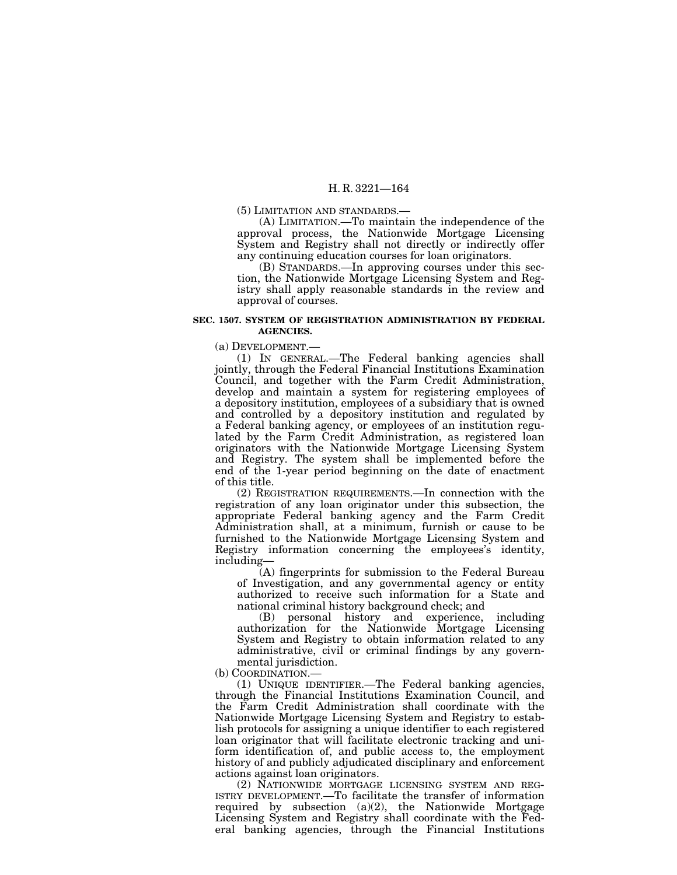(5) LIMITATION AND STANDARDS.—

(A) LIMITATION.—To maintain the independence of the approval process, the Nationwide Mortgage Licensing System and Registry shall not directly or indirectly offer any continuing education courses for loan originators.

(B) STANDARDS.—In approving courses under this section, the Nationwide Mortgage Licensing System and Registry shall apply reasonable standards in the review and approval of courses.

#### **SEC. 1507. SYSTEM OF REGISTRATION ADMINISTRATION BY FEDERAL AGENCIES.**

(a) DEVELOPMENT.—

(1) IN GENERAL.—The Federal banking agencies shall jointly, through the Federal Financial Institutions Examination Council, and together with the Farm Credit Administration, develop and maintain a system for registering employees of a depository institution, employees of a subsidiary that is owned and controlled by a depository institution and regulated by a Federal banking agency, or employees of an institution regulated by the Farm Credit Administration, as registered loan originators with the Nationwide Mortgage Licensing System and Registry. The system shall be implemented before the end of the 1-year period beginning on the date of enactment of this title.

(2) REGISTRATION REQUIREMENTS.—In connection with the registration of any loan originator under this subsection, the appropriate Federal banking agency and the Farm Credit Administration shall, at a minimum, furnish or cause to be furnished to the Nationwide Mortgage Licensing System and Registry information concerning the employees's identity, including—

(A) fingerprints for submission to the Federal Bureau of Investigation, and any governmental agency or entity authorized to receive such information for a State and national criminal history background check; and

(B) personal history and experience, including authorization for the Nationwide Mortgage Licensing System and Registry to obtain information related to any administrative, civil or criminal findings by any governmental jurisdiction.

(b) COORDINATION.—

(1) UNIQUE IDENTIFIER.—The Federal banking agencies, through the Financial Institutions Examination Council, and the Farm Credit Administration shall coordinate with the Nationwide Mortgage Licensing System and Registry to establish protocols for assigning a unique identifier to each registered loan originator that will facilitate electronic tracking and uniform identification of, and public access to, the employment history of and publicly adjudicated disciplinary and enforcement actions against loan originators.

(2) NATIONWIDE MORTGAGE LICENSING SYSTEM AND REG-ISTRY DEVELOPMENT.—To facilitate the transfer of information required by subsection  $(a)(2)$ , the Nationwide Mortgage Licensing System and Registry shall coordinate with the Federal banking agencies, through the Financial Institutions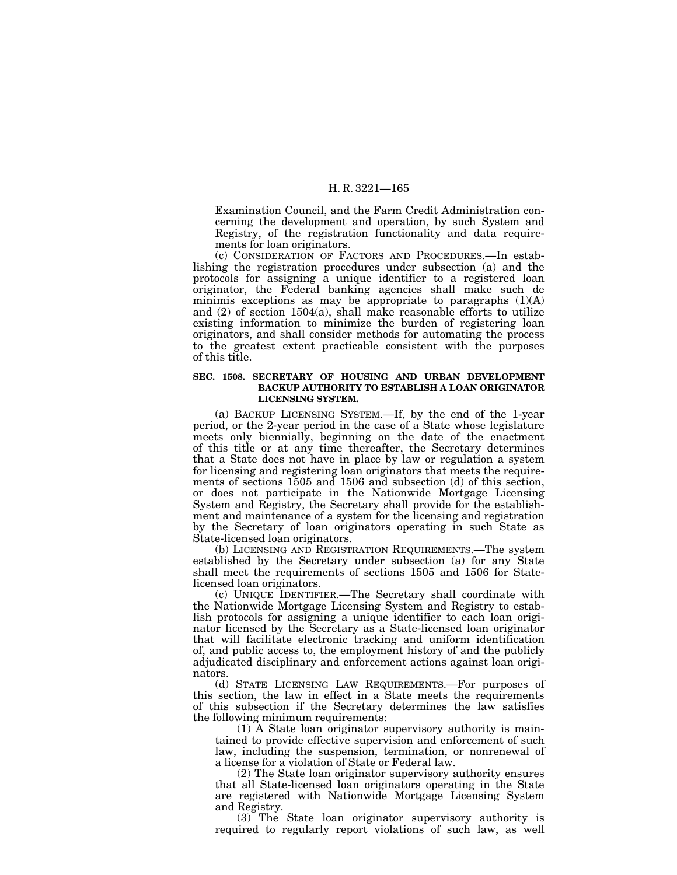Examination Council, and the Farm Credit Administration concerning the development and operation, by such System and Registry, of the registration functionality and data requirements for loan originators.

(c) CONSIDERATION OF FACTORS AND PROCEDURES.—In establishing the registration procedures under subsection (a) and the protocols for assigning a unique identifier to a registered loan originator, the Federal banking agencies shall make such de minimis exceptions as may be appropriate to paragraphs  $(1)(A)$ and (2) of section 1504(a), shall make reasonable efforts to utilize existing information to minimize the burden of registering loan originators, and shall consider methods for automating the process to the greatest extent practicable consistent with the purposes of this title.

#### **SEC. 1508. SECRETARY OF HOUSING AND URBAN DEVELOPMENT BACKUP AUTHORITY TO ESTABLISH A LOAN ORIGINATOR LICENSING SYSTEM.**

(a) BACKUP LICENSING SYSTEM.—If, by the end of the 1-year period, or the 2-year period in the case of a State whose legislature meets only biennially, beginning on the date of the enactment of this title or at any time thereafter, the Secretary determines that a State does not have in place by law or regulation a system for licensing and registering loan originators that meets the requirements of sections 1505 and 1506 and subsection (d) of this section, or does not participate in the Nationwide Mortgage Licensing System and Registry, the Secretary shall provide for the establishment and maintenance of a system for the licensing and registration by the Secretary of loan originators operating in such State as State-licensed loan originators.

(b) LICENSING AND REGISTRATION REQUIREMENTS.—The system established by the Secretary under subsection (a) for any State shall meet the requirements of sections 1505 and 1506 for Statelicensed loan originators.

(c) UNIQUE IDENTIFIER.—The Secretary shall coordinate with the Nationwide Mortgage Licensing System and Registry to establish protocols for assigning a unique identifier to each loan originator licensed by the Secretary as a State-licensed loan originator that will facilitate electronic tracking and uniform identification of, and public access to, the employment history of and the publicly adjudicated disciplinary and enforcement actions against loan originators.

(d) STATE LICENSING LAW REQUIREMENTS.—For purposes of this section, the law in effect in a State meets the requirements of this subsection if the Secretary determines the law satisfies the following minimum requirements:

(1) A State loan originator supervisory authority is maintained to provide effective supervision and enforcement of such law, including the suspension, termination, or nonrenewal of a license for a violation of State or Federal law.

(2) The State loan originator supervisory authority ensures that all State-licensed loan originators operating in the State are registered with Nationwide Mortgage Licensing System and Registry.

(3) The State loan originator supervisory authority is required to regularly report violations of such law, as well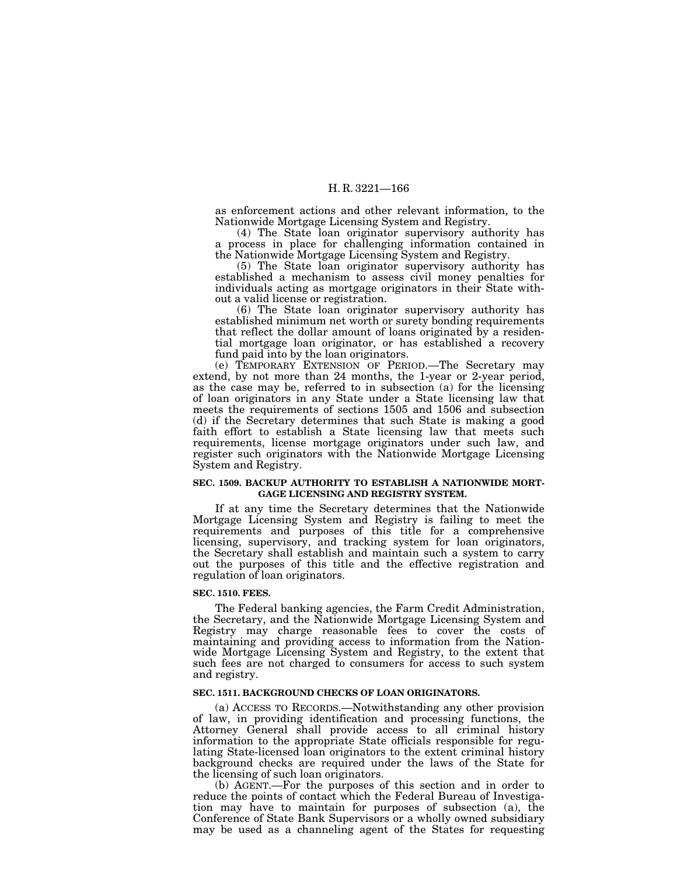as enforcement actions and other relevant information, to the Nationwide Mortgage Licensing System and Registry.

(4) The State loan originator supervisory authority has a process in place for challenging information contained in the Nationwide Mortgage Licensing System and Registry.

(5) The State loan originator supervisory authority has established a mechanism to assess civil money penalties for individuals acting as mortgage originators in their State without a valid license or registration.

(6) The State loan originator supervisory authority has established minimum net worth or surety bonding requirements that reflect the dollar amount of loans originated by a residential mortgage loan originator, or has established a recovery fund paid into by the loan originators.

(e) TEMPORARY EXTENSION OF PERIOD.—The Secretary may extend, by not more than 24 months, the 1-year or 2-year period, as the case may be, referred to in subsection (a) for the licensing of loan originators in any State under a State licensing law that meets the requirements of sections 1505 and 1506 and subsection (d) if the Secretary determines that such State is making a good faith effort to establish a State licensing law that meets such requirements, license mortgage originators under such law, and register such originators with the Nationwide Mortgage Licensing System and Registry.

#### **SEC. 1509. BACKUP AUTHORITY TO ESTABLISH A NATIONWIDE MORT-GAGE LICENSING AND REGISTRY SYSTEM.**

If at any time the Secretary determines that the Nationwide Mortgage Licensing System and Registry is failing to meet the requirements and purposes of this title for a comprehensive licensing, supervisory, and tracking system for loan originators, the Secretary shall establish and maintain such a system to carry out the purposes of this title and the effective registration and regulation of loan originators.

## **SEC. 1510. FEES.**

The Federal banking agencies, the Farm Credit Administration, the Secretary, and the Nationwide Mortgage Licensing System and Registry may charge reasonable fees to cover the costs of maintaining and providing access to information from the Nationwide Mortgage Licensing System and Registry, to the extent that such fees are not charged to consumers for access to such system and registry.

# **SEC. 1511. BACKGROUND CHECKS OF LOAN ORIGINATORS.**

(a) ACCESS TO RECORDS.—Notwithstanding any other provision of law, in providing identification and processing functions, the Attorney General shall provide access to all criminal history information to the appropriate State officials responsible for regulating State-licensed loan originators to the extent criminal history background checks are required under the laws of the State for the licensing of such loan originators.

(b) AGENT.—For the purposes of this section and in order to reduce the points of contact which the Federal Bureau of Investigation may have to maintain for purposes of subsection (a), the Conference of State Bank Supervisors or a wholly owned subsidiary may be used as a channeling agent of the States for requesting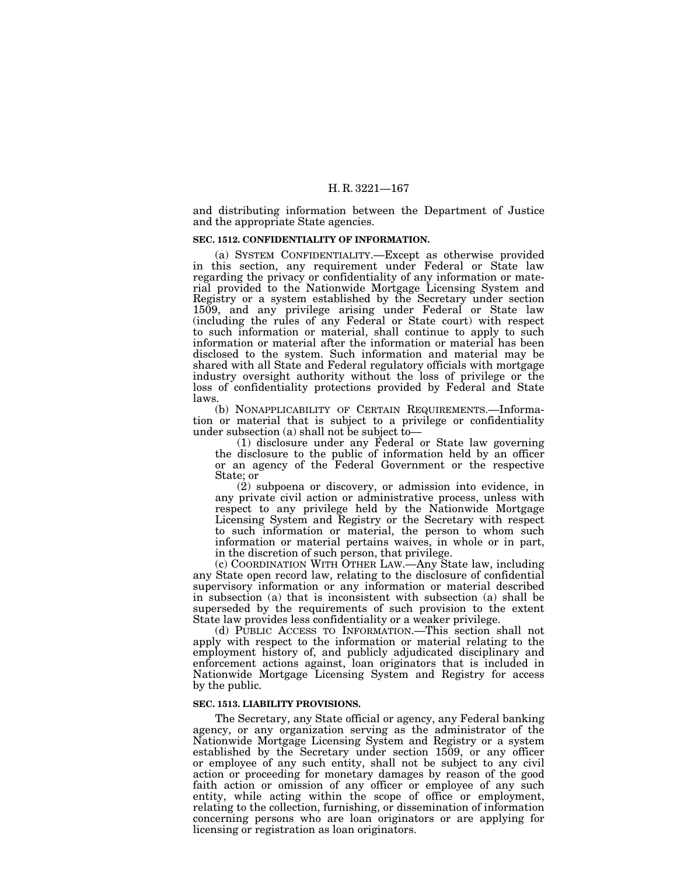and distributing information between the Department of Justice and the appropriate State agencies.

#### **SEC. 1512. CONFIDENTIALITY OF INFORMATION.**

(a) SYSTEM CONFIDENTIALITY.—Except as otherwise provided in this section, any requirement under Federal or State law regarding the privacy or confidentiality of any information or material provided to the Nationwide Mortgage Licensing System and Registry or a system established by the Secretary under section 1509, and any privilege arising under Federal or State law (including the rules of any Federal or State court) with respect to such information or material, shall continue to apply to such information or material after the information or material has been disclosed to the system. Such information and material may be shared with all State and Federal regulatory officials with mortgage industry oversight authority without the loss of privilege or the loss of confidentiality protections provided by Federal and State laws.

(b) NONAPPLICABILITY OF CERTAIN REQUIREMENTS.—Information or material that is subject to a privilege or confidentiality under subsection (a) shall not be subject to—

(1) disclosure under any Federal or State law governing the disclosure to the public of information held by an officer or an agency of the Federal Government or the respective State; or

(2) subpoena or discovery, or admission into evidence, in any private civil action or administrative process, unless with respect to any privilege held by the Nationwide Mortgage Licensing System and Registry or the Secretary with respect to such information or material, the person to whom such information or material pertains waives, in whole or in part, in the discretion of such person, that privilege.

(c) COORDINATION WITH OTHER LAW.—Any State law, including any State open record law, relating to the disclosure of confidential supervisory information or any information or material described in subsection (a) that is inconsistent with subsection (a) shall be superseded by the requirements of such provision to the extent State law provides less confidentiality or a weaker privilege.

(d) PUBLIC ACCESS TO INFORMATION.—This section shall not apply with respect to the information or material relating to the employment history of, and publicly adjudicated disciplinary and enforcement actions against, loan originators that is included in Nationwide Mortgage Licensing System and Registry for access by the public.

## **SEC. 1513. LIABILITY PROVISIONS.**

The Secretary, any State official or agency, any Federal banking agency, or any organization serving as the administrator of the Nationwide Mortgage Licensing System and Registry or a system established by the Secretary under section 1509, or any officer or employee of any such entity, shall not be subject to any civil action or proceeding for monetary damages by reason of the good faith action or omission of any officer or employee of any such entity, while acting within the scope of office or employment, relating to the collection, furnishing, or dissemination of information concerning persons who are loan originators or are applying for licensing or registration as loan originators.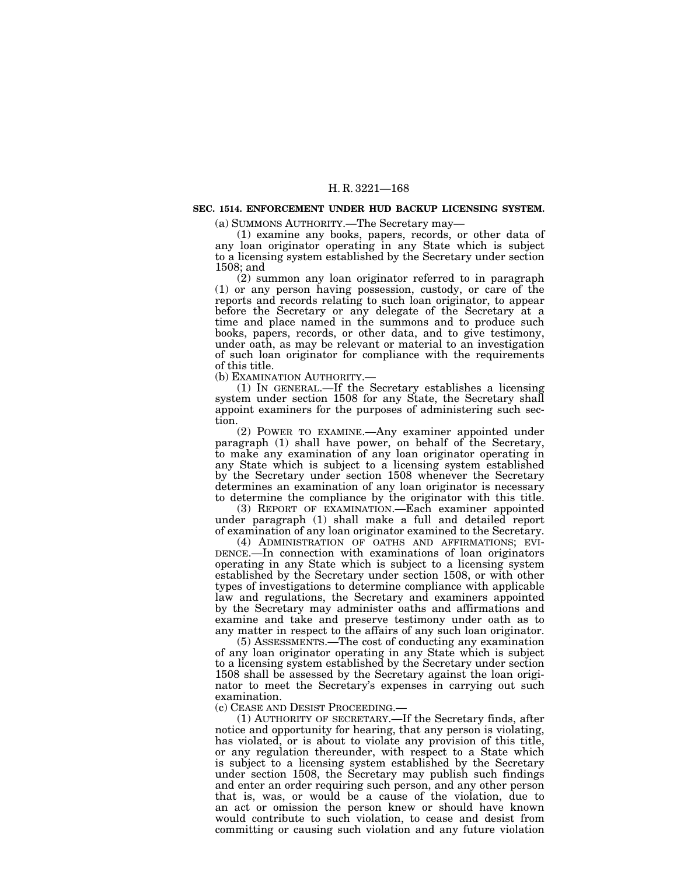#### **SEC. 1514. ENFORCEMENT UNDER HUD BACKUP LICENSING SYSTEM.**

(a) SUMMONS AUTHORITY.—The Secretary may—

(1) examine any books, papers, records, or other data of any loan originator operating in any State which is subject to a licensing system established by the Secretary under section 1508; and

(2) summon any loan originator referred to in paragraph (1) or any person having possession, custody, or care of the reports and records relating to such loan originator, to appear before the Secretary or any delegate of the Secretary at a time and place named in the summons and to produce such books, papers, records, or other data, and to give testimony, under oath, as may be relevant or material to an investigation of such loan originator for compliance with the requirements of this title.<br>(b) Examination Authority.—

 $(1)$  In GENERAL.—If the Secretary establishes a licensing system under section 1508 for any State, the Secretary shall appoint examiners for the purposes of administering such section.

(2) POWER TO EXAMINE.—Any examiner appointed under paragraph (1) shall have power, on behalf of the Secretary, to make any examination of any loan originator operating in any State which is subject to a licensing system established by the Secretary under section 1508 whenever the Secretary determines an examination of any loan originator is necessary to determine the compliance by the originator with this title.

(3) REPORT OF EXAMINATION.—Each examiner appointed under paragraph (1) shall make a full and detailed report of examination of any loan originator examined to the Secretary.

(4) ADMINISTRATION OF OATHS AND AFFIRMATIONS; EVI- DENCE.—In connection with examinations of loan originators operating in any State which is subject to a licensing system established by the Secretary under section 1508, or with other types of investigations to determine compliance with applicable law and regulations, the Secretary and examiners appointed by the Secretary may administer oaths and affirmations and examine and take and preserve testimony under oath as to any matter in respect to the affairs of any such loan originator.

(5) ASSESSMENTS.—The cost of conducting any examination of any loan originator operating in any State which is subject to a licensing system established by the Secretary under section 1508 shall be assessed by the Secretary against the loan originator to meet the Secretary's expenses in carrying out such examination.

(c) CEASE AND DESIST PROCEEDING.—

(1) AUTHORITY OF SECRETARY.—If the Secretary finds, after notice and opportunity for hearing, that any person is violating, has violated, or is about to violate any provision of this title, or any regulation thereunder, with respect to a State which is subject to a licensing system established by the Secretary under section 1508, the Secretary may publish such findings and enter an order requiring such person, and any other person that is, was, or would be a cause of the violation, due to an act or omission the person knew or should have known would contribute to such violation, to cease and desist from committing or causing such violation and any future violation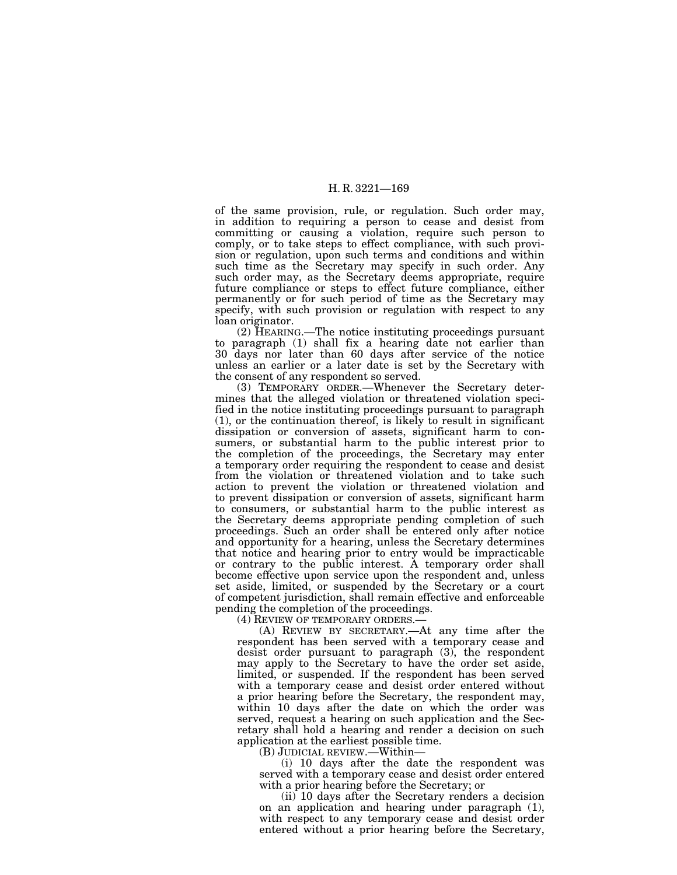of the same provision, rule, or regulation. Such order may, in addition to requiring a person to cease and desist from committing or causing a violation, require such person to comply, or to take steps to effect compliance, with such provision or regulation, upon such terms and conditions and within such time as the Secretary may specify in such order. Any such order may, as the Secretary deems appropriate, require future compliance or steps to effect future compliance, either permanently or for such period of time as the Secretary may specify, with such provision or regulation with respect to any loan originator.

(2) HEARING.—The notice instituting proceedings pursuant to paragraph (1) shall fix a hearing date not earlier than 30 days nor later than 60 days after service of the notice unless an earlier or a later date is set by the Secretary with the consent of any respondent so served.

(3) TEMPORARY ORDER.—Whenever the Secretary determines that the alleged violation or threatened violation specified in the notice instituting proceedings pursuant to paragraph (1), or the continuation thereof, is likely to result in significant dissipation or conversion of assets, significant harm to consumers, or substantial harm to the public interest prior to the completion of the proceedings, the Secretary may enter a temporary order requiring the respondent to cease and desist from the violation or threatened violation and to take such action to prevent the violation or threatened violation and to prevent dissipation or conversion of assets, significant harm to consumers, or substantial harm to the public interest as the Secretary deems appropriate pending completion of such proceedings. Such an order shall be entered only after notice and opportunity for a hearing, unless the Secretary determines that notice and hearing prior to entry would be impracticable or contrary to the public interest. A temporary order shall become effective upon service upon the respondent and, unless set aside, limited, or suspended by the Secretary or a court of competent jurisdiction, shall remain effective and enforceable pending the completion of the proceedings.

(4) REVIEW OF TEMPORARY ORDERS.—

(A) REVIEW BY SECRETARY.—At any time after the respondent has been served with a temporary cease and desist order pursuant to paragraph (3), the respondent may apply to the Secretary to have the order set aside, limited, or suspended. If the respondent has been served with a temporary cease and desist order entered without a prior hearing before the Secretary, the respondent may, within 10 days after the date on which the order was served, request a hearing on such application and the Secretary shall hold a hearing and render a decision on such application at the earliest possible time.

(B) JUDICIAL REVIEW.—Within—

(i) 10 days after the date the respondent was served with a temporary cease and desist order entered with a prior hearing before the Secretary; or

(ii) 10 days after the Secretary renders a decision on an application and hearing under paragraph (1), with respect to any temporary cease and desist order entered without a prior hearing before the Secretary,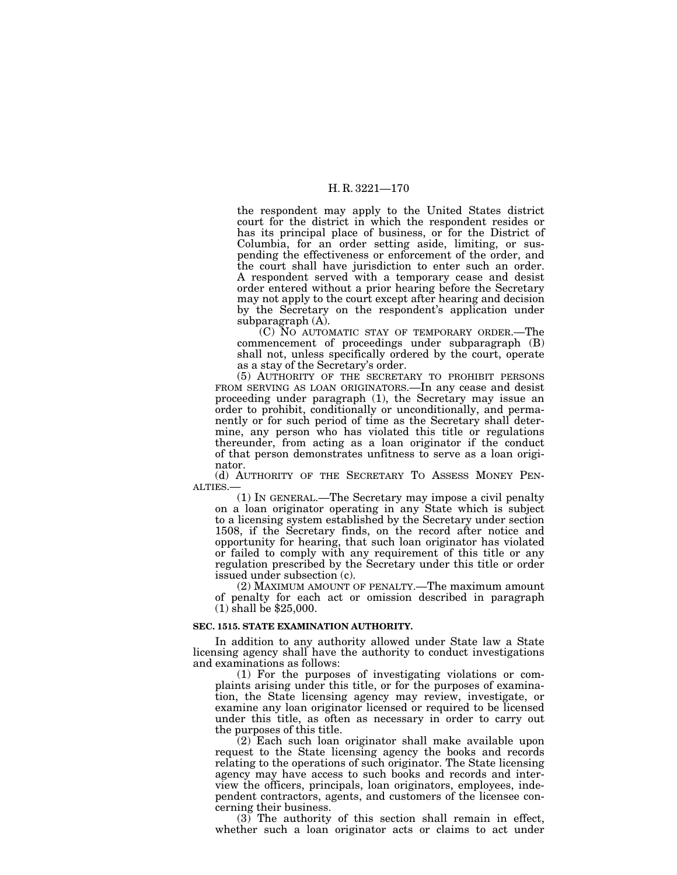the respondent may apply to the United States district court for the district in which the respondent resides or has its principal place of business, or for the District of Columbia, for an order setting aside, limiting, or suspending the effectiveness or enforcement of the order, and the court shall have jurisdiction to enter such an order. A respondent served with a temporary cease and desist order entered without a prior hearing before the Secretary may not apply to the court except after hearing and decision by the Secretary on the respondent's application under subparagraph (A).

(C) NO AUTOMATIC STAY OF TEMPORARY ORDER.—The commencement of proceedings under subparagraph (B) shall not, unless specifically ordered by the court, operate as a stay of the Secretary's order.

(5) AUTHORITY OF THE SECRETARY TO PROHIBIT PERSONS FROM SERVING AS LOAN ORIGINATORS.—In any cease and desist proceeding under paragraph (1), the Secretary may issue an order to prohibit, conditionally or unconditionally, and permanently or for such period of time as the Secretary shall determine, any person who has violated this title or regulations thereunder, from acting as a loan originator if the conduct of that person demonstrates unfitness to serve as a loan originator.

(d) AUTHORITY OF THE SECRETARY TO ASSESS MONEY PEN-ALTIES.—

(1) IN GENERAL.—The Secretary may impose a civil penalty on a loan originator operating in any State which is subject to a licensing system established by the Secretary under section 1508, if the Secretary finds, on the record after notice and opportunity for hearing, that such loan originator has violated or failed to comply with any requirement of this title or any regulation prescribed by the Secretary under this title or order issued under subsection (c).

(2) MAXIMUM AMOUNT OF PENALTY.—The maximum amount of penalty for each act or omission described in paragraph (1) shall be \$25,000.

#### **SEC. 1515. STATE EXAMINATION AUTHORITY.**

In addition to any authority allowed under State law a State licensing agency shall have the authority to conduct investigations and examinations as follows:

(1) For the purposes of investigating violations or complaints arising under this title, or for the purposes of examination, the State licensing agency may review, investigate, or examine any loan originator licensed or required to be licensed under this title, as often as necessary in order to carry out the purposes of this title.

(2) Each such loan originator shall make available upon request to the State licensing agency the books and records relating to the operations of such originator. The State licensing agency may have access to such books and records and interview the officers, principals, loan originators, employees, independent contractors, agents, and customers of the licensee concerning their business.

(3) The authority of this section shall remain in effect, whether such a loan originator acts or claims to act under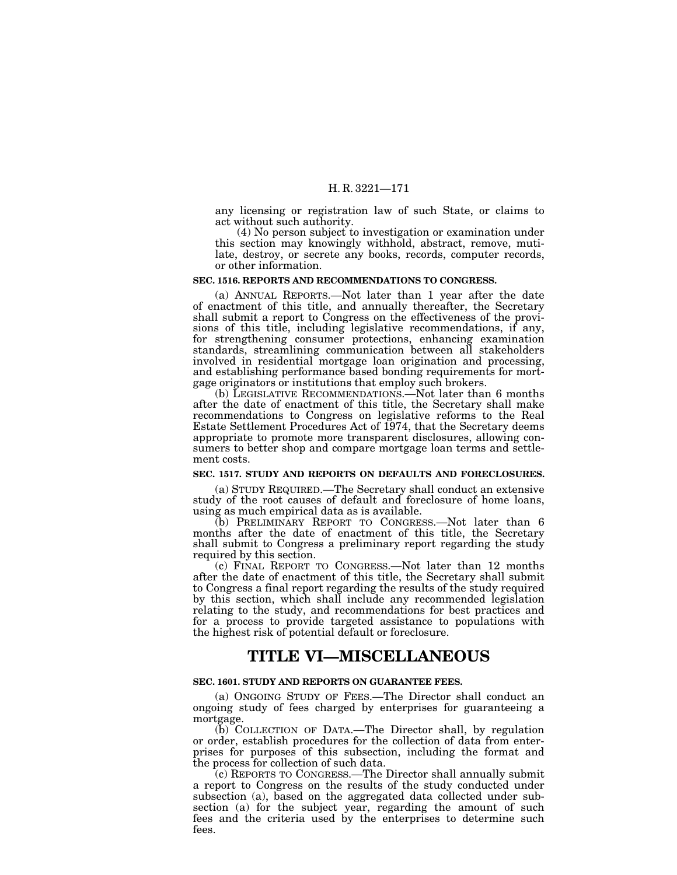any licensing or registration law of such State, or claims to act without such authority.

(4) No person subject to investigation or examination under this section may knowingly withhold, abstract, remove, mutilate, destroy, or secrete any books, records, computer records, or other information.

#### **SEC. 1516. REPORTS AND RECOMMENDATIONS TO CONGRESS.**

(a) ANNUAL REPORTS.—Not later than 1 year after the date of enactment of this title, and annually thereafter, the Secretary shall submit a report to Congress on the effectiveness of the provisions of this title, including legislative recommendations, if any, for strengthening consumer protections, enhancing examination standards, streamlining communication between all stakeholders involved in residential mortgage loan origination and processing, and establishing performance based bonding requirements for mortgage originators or institutions that employ such brokers.

(b) LEGISLATIVE RECOMMENDATIONS.—Not later than 6 months after the date of enactment of this title, the Secretary shall make recommendations to Congress on legislative reforms to the Real Estate Settlement Procedures Act of 1974, that the Secretary deems appropriate to promote more transparent disclosures, allowing consumers to better shop and compare mortgage loan terms and settlement costs.

## **SEC. 1517. STUDY AND REPORTS ON DEFAULTS AND FORECLOSURES.**

(a) STUDY REQUIRED.—The Secretary shall conduct an extensive study of the root causes of default and foreclosure of home loans, using as much empirical data as is available.

(b) PRELIMINARY REPORT TO CONGRESS.—Not later than 6 months after the date of enactment of this title, the Secretary shall submit to Congress a preliminary report regarding the study required by this section.

(c) FINAL REPORT TO CONGRESS.—Not later than 12 months after the date of enactment of this title, the Secretary shall submit to Congress a final report regarding the results of the study required by this section, which shall include any recommended legislation relating to the study, and recommendations for best practices and for a process to provide targeted assistance to populations with the highest risk of potential default or foreclosure.

# **TITLE VI—MISCELLANEOUS**

#### **SEC. 1601. STUDY AND REPORTS ON GUARANTEE FEES.**

(a) ONGOING STUDY OF FEES.—The Director shall conduct an ongoing study of fees charged by enterprises for guaranteeing a mortgage.

(b) COLLECTION OF DATA.—The Director shall, by regulation or order, establish procedures for the collection of data from enterprises for purposes of this subsection, including the format and the process for collection of such data.

(c) REPORTS TO CONGRESS.—The Director shall annually submit a report to Congress on the results of the study conducted under subsection (a), based on the aggregated data collected under subsection (a) for the subject year, regarding the amount of such fees and the criteria used by the enterprises to determine such fees.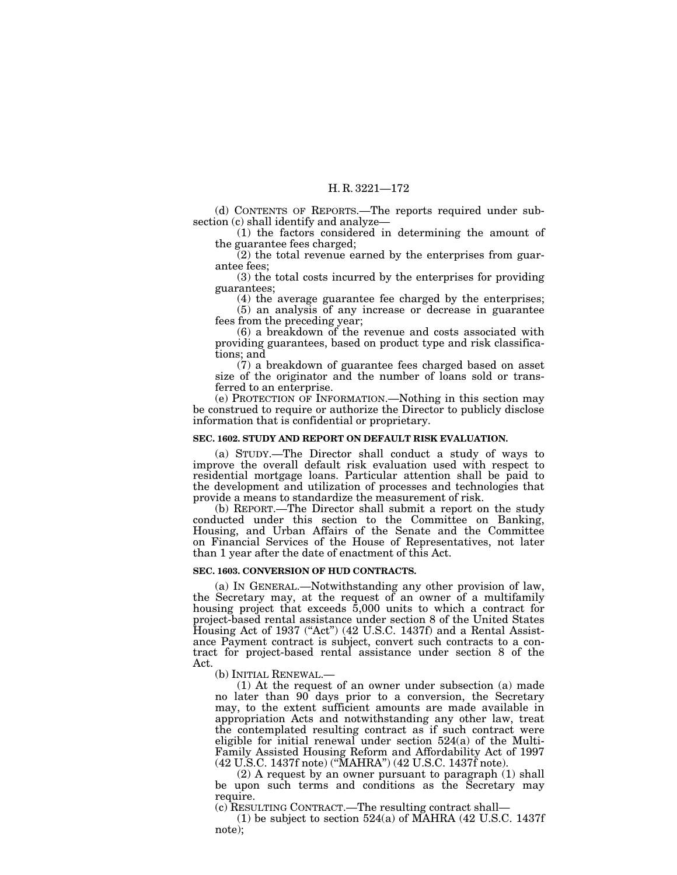(d) CONTENTS OF REPORTS.—The reports required under subsection (c) shall identify and analyze—

(1) the factors considered in determining the amount of the guarantee fees charged;

 $(2)$  the total revenue earned by the enterprises from guarantee fees;

(3) the total costs incurred by the enterprises for providing guarantees;

(4) the average guarantee fee charged by the enterprises; (5) an analysis of any increase or decrease in guarantee

fees from the preceding year; (6) a breakdown of the revenue and costs associated with

providing guarantees, based on product type and risk classifications; and

(7) a breakdown of guarantee fees charged based on asset size of the originator and the number of loans sold or transferred to an enterprise.

(e) PROTECTION OF INFORMATION.—Nothing in this section may be construed to require or authorize the Director to publicly disclose information that is confidential or proprietary.

## **SEC. 1602. STUDY AND REPORT ON DEFAULT RISK EVALUATION.**

(a) STUDY.—The Director shall conduct a study of ways to improve the overall default risk evaluation used with respect to residential mortgage loans. Particular attention shall be paid to the development and utilization of processes and technologies that provide a means to standardize the measurement of risk.

(b) REPORT.—The Director shall submit a report on the study conducted under this section to the Committee on Banking, Housing, and Urban Affairs of the Senate and the Committee on Financial Services of the House of Representatives, not later than 1 year after the date of enactment of this Act.

#### **SEC. 1603. CONVERSION OF HUD CONTRACTS.**

(a) IN GENERAL.—Notwithstanding any other provision of law, the Secretary may, at the request of an owner of a multifamily housing project that exceeds 5,000 units to which a contract for project-based rental assistance under section 8 of the United States Housing Act of 1937 ("Act") (42 U.S.C. 1437f) and a Rental Assistance Payment contract is subject, convert such contracts to a contract for project-based rental assistance under section 8 of the Act.

(b) INITIAL RENEWAL.—

(1) At the request of an owner under subsection (a) made no later than 90 days prior to a conversion, the Secretary may, to the extent sufficient amounts are made available in appropriation Acts and notwithstanding any other law, treat the contemplated resulting contract as if such contract were eligible for initial renewal under section 524(a) of the Multi-Family Assisted Housing Reform and Affordability Act of 1997 (42 U.S.C. 1437f note) (''MAHRA'') (42 U.S.C. 1437f note).

(2) A request by an owner pursuant to paragraph (1) shall be upon such terms and conditions as the Secretary may require.

(c) RESULTING CONTRACT.—The resulting contract shall—

 $(1)$  be subject to section 524 $(a)$  of MAHRA  $(42 \text{ U.S.C. } 1437 \text{ f})$ note);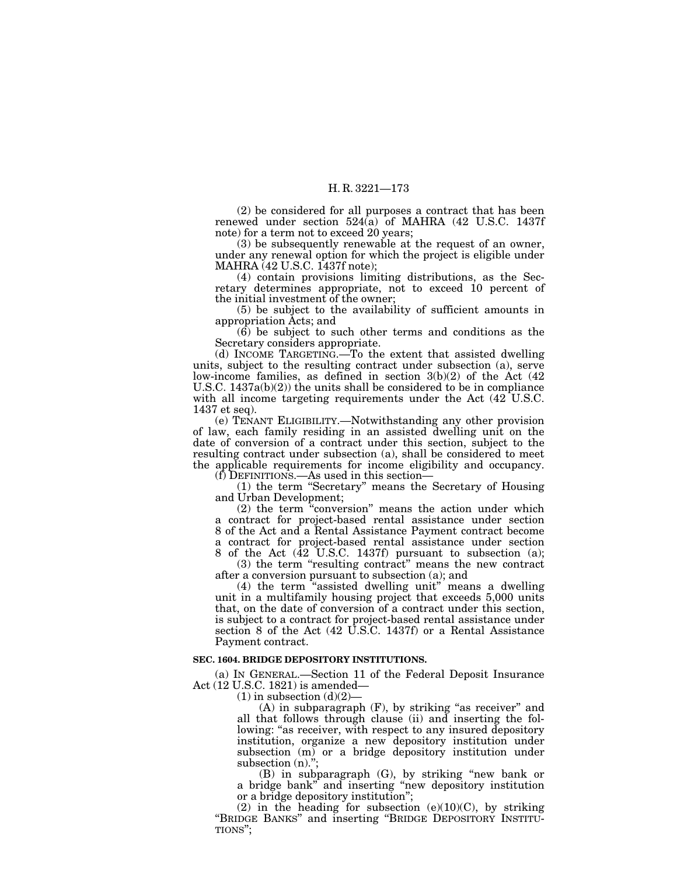(2) be considered for all purposes a contract that has been renewed under section 524(a) of MAHRA (42 U.S.C. 1437f note) for a term not to exceed 20 years;

(3) be subsequently renewable at the request of an owner, under any renewal option for which the project is eligible under MAHRA (42 U.S.C. 1437f note);

(4) contain provisions limiting distributions, as the Secretary determines appropriate, not to exceed 10 percent of the initial investment of the owner;

(5) be subject to the availability of sufficient amounts in appropriation Acts; and

(6) be subject to such other terms and conditions as the Secretary considers appropriate.

(d) INCOME TARGETING.—To the extent that assisted dwelling units, subject to the resulting contract under subsection (a), serve low-income families, as defined in section 3(b)(2) of the Act (42 U.S.C. 1437a(b)(2)) the units shall be considered to be in compliance with all income targeting requirements under the Act (42 U.S.C. 1437 et seq).

(e) TENANT ELIGIBILITY.—Notwithstanding any other provision of law, each family residing in an assisted dwelling unit on the date of conversion of a contract under this section, subject to the resulting contract under subsection (a), shall be considered to meet the applicable requirements for income eligibility and occupancy.

(f) DEFINITIONS.—As used in this section—

(1) the term ''Secretary'' means the Secretary of Housing and Urban Development;

(2) the term ''conversion'' means the action under which a contract for project-based rental assistance under section 8 of the Act and a Rental Assistance Payment contract become a contract for project-based rental assistance under section 8 of the Act (42 U.S.C. 1437f) pursuant to subsection (a);

(3) the term ''resulting contract'' means the new contract after a conversion pursuant to subsection (a); and

(4) the term ''assisted dwelling unit'' means a dwelling unit in a multifamily housing project that exceeds 5,000 units that, on the date of conversion of a contract under this section, is subject to a contract for project-based rental assistance under section 8 of the Act (42 U.S.C. 1437f) or a Rental Assistance Payment contract.

### **SEC. 1604. BRIDGE DEPOSITORY INSTITUTIONS.**

(a) IN GENERAL.—Section 11 of the Federal Deposit Insurance Act (12 U.S.C. 1821) is amended—

 $(1)$  in subsection  $(d)(2)$ –

 $(A)$  in subparagraph  $(F)$ , by striking "as receiver" and all that follows through clause (ii) and inserting the following: "as receiver, with respect to any insured depository institution, organize a new depository institution under subsection (m) or a bridge depository institution under subsection (n).";

(B) in subparagraph (G), by striking ''new bank or a bridge bank'' and inserting ''new depository institution or a bridge depository institution'';

(2) in the heading for subsection  $(e)(10)(C)$ , by striking ''BRIDGE BANKS'' and inserting ''BRIDGE DEPOSITORY INSTITU- TIONS'';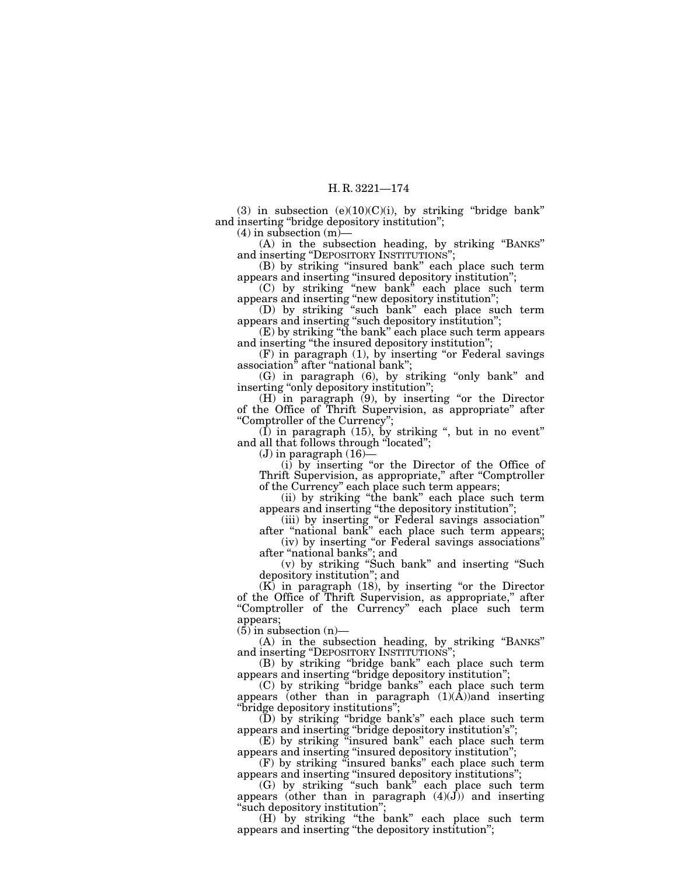(3) in subsection  $(e)(10)(C)(i)$ , by striking "bridge bank" and inserting ''bridge depository institution'';

 $(4)$  in subsection  $(m)$ –

(A) in the subsection heading, by striking ''BANKS'' and inserting "DEPOSITORY INSTITUTIONS";

(B) by striking ''insured bank'' each place such term appears and inserting ''insured depository institution'';

(C) by striking ''new bank'' each place such term appears and inserting ''new depository institution'';

(D) by striking ''such bank'' each place such term appears and inserting ''such depository institution'';

(E) by striking ''the bank'' each place such term appears and inserting ''the insured depository institution'';

(F) in paragraph (1), by inserting ''or Federal savings association<sup>"</sup> after "national bank";

(G) in paragraph (6), by striking ''only bank'' and inserting "only depository institution";

 $(H)$  in paragraph  $(9)$ , by inserting "or the Director of the Office of Thrift Supervision, as appropriate'' after ''Comptroller of the Currency'';

 $(I)$  in paragraph  $(15)$ , by striking ", but in no event" and all that follows through ''located'';

 $(J)$  in paragraph  $(16)$ —

(i) by inserting ''or the Director of the Office of Thrift Supervision, as appropriate," after "Comptroller of the Currency'' each place such term appears;

(ii) by striking ''the bank'' each place such term appears and inserting ''the depository institution'';

(iii) by inserting ''or Federal savings association''

after ''national bank'' each place such term appears; (iv) by inserting ''or Federal savings associations''

after ''national banks''; and (v) by striking ''Such bank'' and inserting ''Such depository institution''; and

(K) in paragraph (18), by inserting ''or the Director of the Office of Thrift Supervision, as appropriate,'' after ''Comptroller of the Currency'' each place such term appears;

 $(5)$  in subsection  $(n)$ —

(A) in the subsection heading, by striking ''BANKS'' and inserting ''DEPOSITORY INSTITUTIONS'';

(B) by striking ''bridge bank'' each place such term appears and inserting ''bridge depository institution'';

(C) by striking ''bridge banks'' each place such term appears (other than in paragraph  $(1)(\dot{A})$ )and inserting ''bridge depository institutions'';

(D) by striking ''bridge bank's'' each place such term appears and inserting ''bridge depository institution's'';

(E) by striking ''insured bank'' each place such term appears and inserting ''insured depository institution'';

(F) by striking ''insured banks'' each place such term appears and inserting ''insured depository institutions'';

(G) by striking ''such bank'' each place such term appears (other than in paragraph  $(4)(J)$ ) and inserting ''such depository institution'';

(H) by striking ''the bank'' each place such term appears and inserting ''the depository institution'';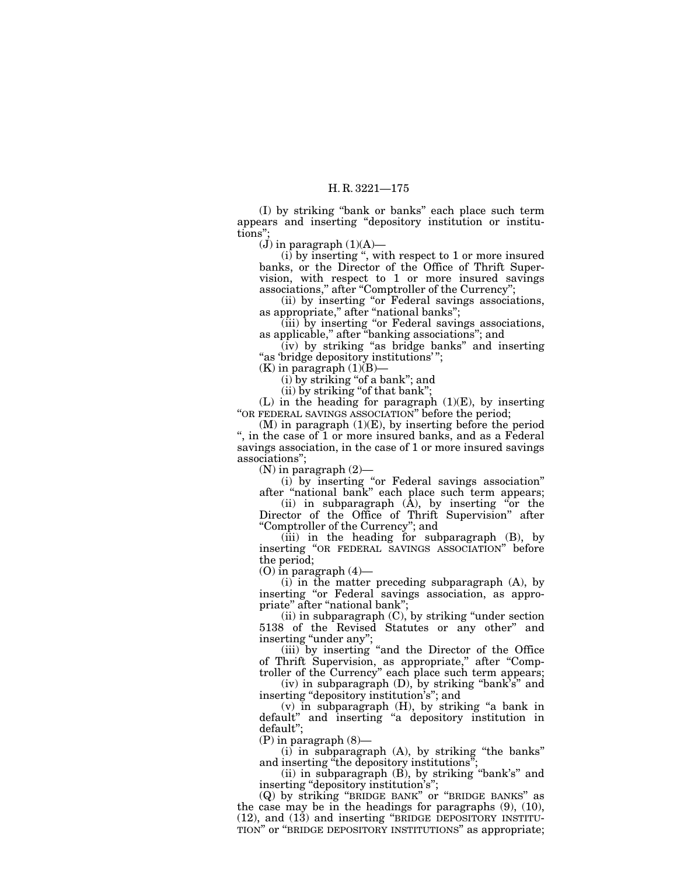(I) by striking ''bank or banks'' each place such term appears and inserting ''depository institution or institutions'

 $(J)$  in paragraph  $(1)(A)$ —

(i) by inserting ", with respect to 1 or more insured banks, or the Director of the Office of Thrift Supervision, with respect to 1 or more insured savings associations," after "Comptroller of the Currency";

(ii) by inserting ''or Federal savings associations, as appropriate,'' after ''national banks'';

(iii) by inserting ''or Federal savings associations, as applicable,'' after ''banking associations''; and

(iv) by striking "as bridge banks" and inserting "as 'bridge depository institutions'";

 $(K)$  in paragraph  $(1)(B)$ —

(i) by striking ''of a bank''; and

(ii) by striking "of that bank";

 $(L)$  in the heading for paragraph  $(1)(E)$ , by inserting "OR FEDERAL SAVINGS ASSOCIATION" before the period;

 $(M)$  in paragraph  $(1)(E)$ , by inserting before the period '', in the case of 1 or more insured banks, and as a Federal savings association, in the case of 1 or more insured savings associations'';

 $(N)$  in paragraph  $(2)$ —

(i) by inserting ''or Federal savings association'' after "national bank" each place such term appears;

(ii) in subparagraph  $(\overline{A})$ , by inserting "or the Director of the Office of Thrift Supervision'' after ''Comptroller of the Currency''; and

(iii) in the heading for subparagraph (B), by inserting ''OR FEDERAL SAVINGS ASSOCIATION'' before the period;

 $(0)$  in paragraph  $(4)$ —

(i) in the matter preceding subparagraph (A), by inserting "or Federal savings association, as appropriate'' after ''national bank'';

(ii) in subparagraph (C), by striking ''under section 5138 of the Revised Statutes or any other'' and inserting "under any";

(iii) by inserting ''and the Director of the Office of Thrift Supervision, as appropriate," after "Comptroller of the Currency'' each place such term appears;

(iv) in subparagraph  $(D)$ , by striking "bank's" and inserting "depository institution's"; and

 $(v)$  in subparagraph  $(H)$ , by striking "a bank in default'' and inserting ''a depository institution in default'';

(P) in paragraph (8)—

 $(i)$  in subparagraph  $(A)$ , by striking "the banks" and inserting "the depository institutions";

(ii) in subparagraph (B), by striking ''bank's'' and inserting ''depository institution's'';

(Q) by striking ''BRIDGE BANK'' or ''BRIDGE BANKS'' as the case may be in the headings for paragraphs (9), (10), (12), and (13) and inserting ''BRIDGE DEPOSITORY INSTITU-TION'' or ''BRIDGE DEPOSITORY INSTITUTIONS'' as appropriate;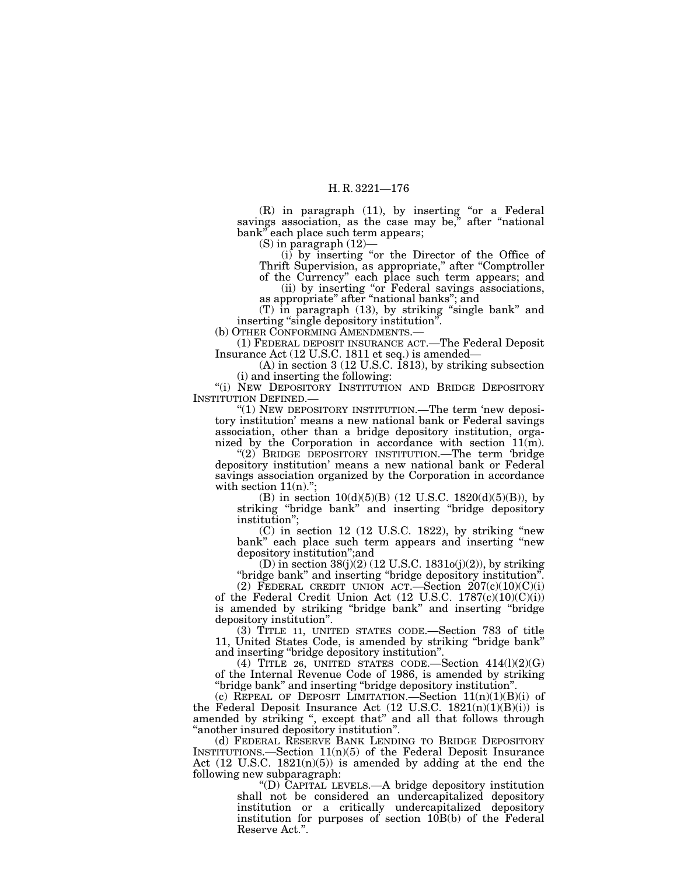(R) in paragraph (11), by inserting ''or a Federal savings association, as the case may be," after "national bank'' each place such term appears;

(S) in paragraph (12)—

(i) by inserting ''or the Director of the Office of Thrift Supervision, as appropriate," after "Comptroller

of the Currency'' each place such term appears; and (ii) by inserting ''or Federal savings associations, as appropriate'' after ''national banks''; and

(T) in paragraph (13), by striking ''single bank'' and inserting ''single depository institution''.

(b) OTHER CONFORMING AMENDMENTS.—

(1) FEDERAL DEPOSIT INSURANCE ACT.—The Federal Deposit Insurance Act (12 U.S.C. 1811 et seq.) is amended—

 $(A)$  in section 3 (12 U.S.C. 1813), by striking subsection (i) and inserting the following:

"(i) NEW DEPOSITORY INSTITUTION AND BRIDGE DEPOSITORY INSTITUTION DEFINED.—

"(1) NEW DEPOSITORY INSTITUTION.—The term 'new depository institution' means a new national bank or Federal savings association, other than a bridge depository institution, organized by the Corporation in accordance with section 11(m).

''(2) BRIDGE DEPOSITORY INSTITUTION.—The term 'bridge depository institution' means a new national bank or Federal savings association organized by the Corporation in accordance with section  $11(n)$ .";

(B) in section  $10(d)(5)(B)$  (12 U.S.C. 1820 $(d)(5)(B)$ ), by striking ''bridge bank'' and inserting ''bridge depository institution'';

 $(C)$  in section 12 (12 U.S.C. 1822), by striking "new bank" each place such term appears and inserting "new depository institution'';and

(D) in section 38(j)(2) (12 U.S.C. 1831o(j)(2)), by striking ''bridge bank'' and inserting ''bridge depository institution''.

(2) FEDERAL CREDIT UNION ACT.—Section  $207(c)(10)(C)(i)$ of the Federal Credit Union Act  $(12 \text{ U.S.C. } 1787(c)(10)(C)(i))$ is amended by striking ''bridge bank'' and inserting ''bridge depository institution''.

(3) TITLE 11, UNITED STATES CODE.—Section 783 of title 11, United States Code, is amended by striking ''bridge bank'' and inserting ''bridge depository institution''.

(4) TITLE 26, UNITED STATES CODE.—Section  $414(1)(2)(G)$ of the Internal Revenue Code of 1986, is amended by striking ''bridge bank'' and inserting ''bridge depository institution''.

(c) REPEAL OF DEPOSIT LIMITATION.—Section  $11(n)(1)(B)(i)$  of the Federal Deposit Insurance Act  $(12 \text{ U.S.C. } 1821(n)(1)(B(i))$  is amended by striking '', except that'' and all that follows through "another insured depository institution".

(d) FEDERAL RESERVE BANK LENDING TO BRIDGE DEPOSITORY INSTITUTIONS.—Section 11(n)(5) of the Federal Deposit Insurance Act  $(12 \text{ U.S.C. } 1821(n)(5))$  is amended by adding at the end the following new subparagraph:

''(D) CAPITAL LEVELS.—A bridge depository institution shall not be considered an undercapitalized depository institution or a critically undercapitalized depository institution for purposes of section 10B(b) of the Federal Reserve Act.''.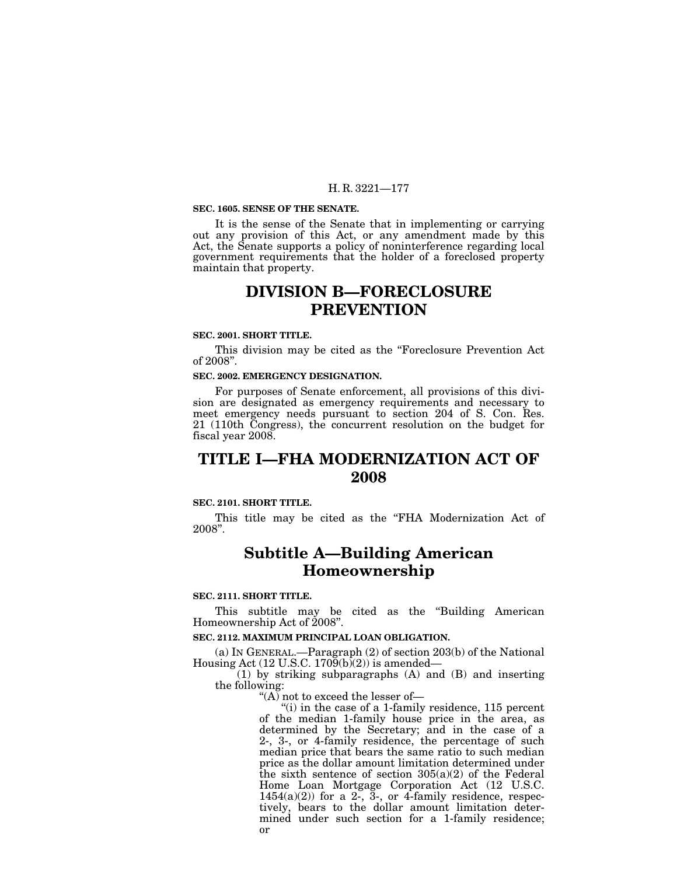#### **SEC. 1605. SENSE OF THE SENATE.**

It is the sense of the Senate that in implementing or carrying out any provision of this Act, or any amendment made by this Act, the Senate supports a policy of noninterference regarding local government requirements that the holder of a foreclosed property maintain that property.

# **DIVISION B—FORECLOSURE PREVENTION**

## **SEC. 2001. SHORT TITLE.**

This division may be cited as the ''Foreclosure Prevention Act of 2008''.

#### **SEC. 2002. EMERGENCY DESIGNATION.**

For purposes of Senate enforcement, all provisions of this division are designated as emergency requirements and necessary to meet emergency needs pursuant to section 204 of S. Con. Res. 21 (110th Congress), the concurrent resolution on the budget for fiscal year 2008.

# **TITLE I—FHA MODERNIZATION ACT OF 2008**

#### **SEC. 2101. SHORT TITLE.**

This title may be cited as the "FHA Modernization Act of 2008''.

# **Subtitle A—Building American Homeownership**

#### **SEC. 2111. SHORT TITLE.**

This subtitle may be cited as the ''Building American Homeownership Act of 2008".

## **SEC. 2112. MAXIMUM PRINCIPAL LOAN OBLIGATION.**

(a) IN GENERAL.—Paragraph (2) of section 203(b) of the National Housing Act (12 U.S.C. 1709 $(b)(2)$ ) is amended—

(1) by striking subparagraphs (A) and (B) and inserting the following:

''(A) not to exceed the lesser of—

"(i) in the case of a 1-family residence,  $115$  percent of the median 1-family house price in the area, as determined by the Secretary; and in the case of a 2-, 3-, or 4-family residence, the percentage of such median price that bears the same ratio to such median price as the dollar amount limitation determined under the sixth sentence of section 305(a)(2) of the Federal Home Loan Mortgage Corporation Act (12 U.S.C.  $1454(a)(2)$  for a  $2\overline{)}$ ,  $\overline{3}$ -, or 4-family residence, respectively, bears to the dollar amount limitation determined under such section for a 1-family residence; or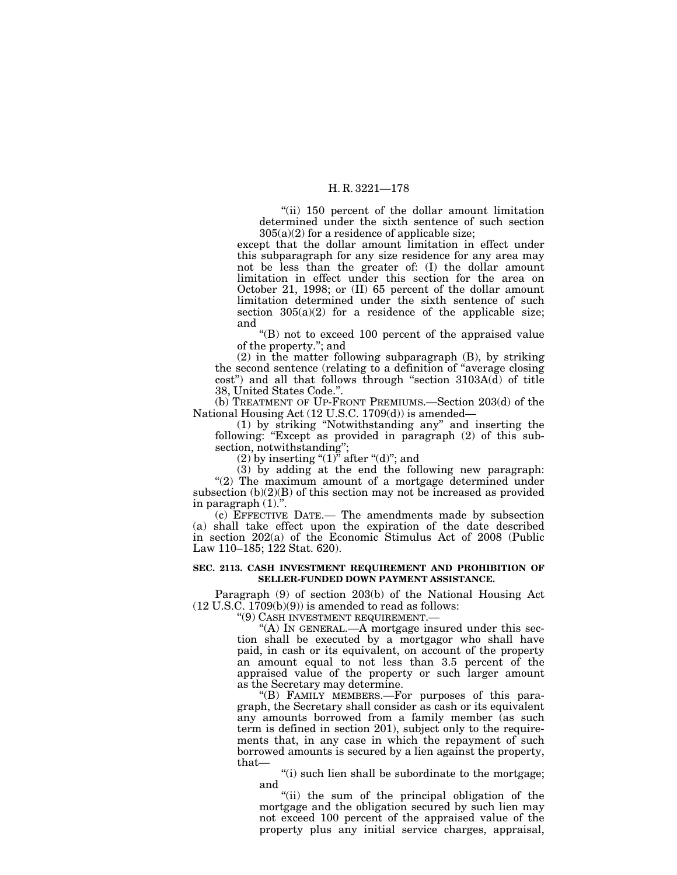"(ii) 150 percent of the dollar amount limitation determined under the sixth sentence of such section  $305(a)(2)$  for a residence of applicable size;

except that the dollar amount limitation in effect under this subparagraph for any size residence for any area may not be less than the greater of: (I) the dollar amount limitation in effect under this section for the area on October 21, 1998; or (II) 65 percent of the dollar amount limitation determined under the sixth sentence of such section  $305(a)(2)$  for a residence of the applicable size; and

''(B) not to exceed 100 percent of the appraised value of the property.''; and

(2) in the matter following subparagraph (B), by striking the second sentence (relating to a definition of ''average closing  $cost$ ) and all that follows through "section  $3103A(\bar{d})$  of title 38, United States Code.''.

(b) TREATMENT OF UP-FRONT PREMIUMS.—Section 203(d) of the National Housing Act (12 U.S.C. 1709(d)) is amended—

(1) by striking ''Notwithstanding any'' and inserting the following: "Except as provided in paragraph (2) of this subsection, notwithstanding'';

(2) by inserting " $(1)$ " after " $(d)$ "; and

(3) by adding at the end the following new paragraph: "(2) The maximum amount of a mortgage determined under subsection (b)(2)(B) of this section may not be increased as provided in paragraph  $(1)$ .".

(c) EFFECTIVE DATE.— The amendments made by subsection (a) shall take effect upon the expiration of the date described in section 202(a) of the Economic Stimulus Act of 2008 (Public Law 110–185; 122 Stat. 620).

#### **SEC. 2113. CASH INVESTMENT REQUIREMENT AND PROHIBITION OF SELLER-FUNDED DOWN PAYMENT ASSISTANCE.**

Paragraph (9) of section 203(b) of the National Housing Act  $(12 \text{ U.S. C. } 1709(b)(9))$  is amended to read as follows:

''(9) CASH INVESTMENT REQUIREMENT.—

"(A) IN GENERAL.—A mortgage insured under this section shall be executed by a mortgagor who shall have paid, in cash or its equivalent, on account of the property an amount equal to not less than 3.5 percent of the appraised value of the property or such larger amount as the Secretary may determine.

''(B) FAMILY MEMBERS.—For purposes of this paragraph, the Secretary shall consider as cash or its equivalent any amounts borrowed from a family member (as such term is defined in section 201), subject only to the requirements that, in any case in which the repayment of such borrowed amounts is secured by a lien against the property, that—

''(i) such lien shall be subordinate to the mortgage; and

"(ii) the sum of the principal obligation of the mortgage and the obligation secured by such lien may not exceed 100 percent of the appraised value of the property plus any initial service charges, appraisal,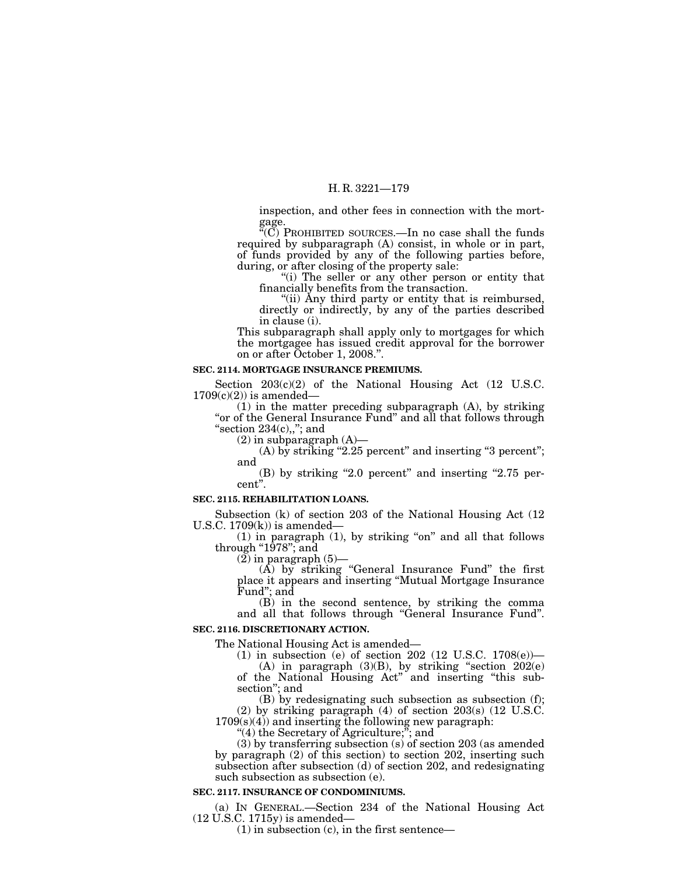inspection, and other fees in connection with the mortgage.

 $\mathcal{F}(\overline{C})$  Prohibited Sources.—In no case shall the funds required by subparagraph (A) consist, in whole or in part, of funds provided by any of the following parties before, during, or after closing of the property sale:

''(i) The seller or any other person or entity that financially benefits from the transaction.

"(ii) Any third party or entity that is reimbursed, directly or indirectly, by any of the parties described in clause (i).

This subparagraph shall apply only to mortgages for which the mortgagee has issued credit approval for the borrower on or after October 1, 2008.''.

## **SEC. 2114. MORTGAGE INSURANCE PREMIUMS.**

Section  $203(c)(2)$  of the National Housing Act (12 U.S.C.  $1709(c)(2)$ ) is amended—

 $(1)$  in the matter preceding subparagraph  $(A)$ , by striking "or of the General Insurance Fund" and all that follows through "section  $234(c)$ ,"; and

 $(2)$  in subparagraph  $(A)$ —

 $(A)$  by striking "2.25 percent" and inserting "3 percent"; and

(B) by striking "2.0 percent" and inserting "2.75 percent''.

## **SEC. 2115. REHABILITATION LOANS.**

Subsection (k) of section 203 of the National Housing Act (12 U.S.C.  $1709(k)$  is amended—

 $(1)$  in paragraph  $(1)$ , by striking "on" and all that follows  $through "1978"$ ; and

 $(2)$  in paragraph  $(5)$ —

(A) by striking ''General Insurance Fund'' the first place it appears and inserting ''Mutual Mortgage Insurance Fund''; and

(B) in the second sentence, by striking the comma and all that follows through ''General Insurance Fund''.

## **SEC. 2116. DISCRETIONARY ACTION.**

The National Housing Act is amended—

(1) in subsection (e) of section 202 (12 U.S.C. 1708(e))—

(A) in paragraph  $(3)(B)$ , by striking "section  $202(e)$ of the National Housing Act'' and inserting ''this subsection''; and

(B) by redesignating such subsection as subsection (f); (2) by striking paragraph (4) of section 203(s) (12 U.S.C.

 $1709(s)(4)$ ) and inserting the following new paragraph:

''(4) the Secretary of Agriculture;''; and

(3) by transferring subsection (s) of section 203 (as amended by paragraph (2) of this section) to section 202, inserting such subsection after subsection (d) of section 202, and redesignating such subsection as subsection (e).

## **SEC. 2117. INSURANCE OF CONDOMINIUMS.**

(a) IN GENERAL.—Section 234 of the National Housing Act (12 U.S.C. 1715y) is amended—

(1) in subsection (c), in the first sentence—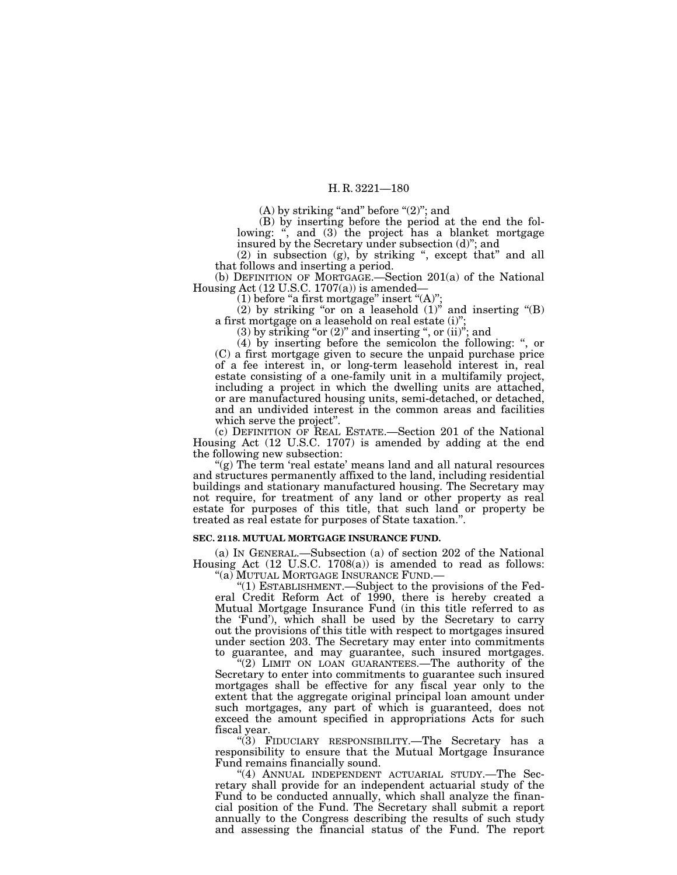$(A)$  by striking "and" before " $(2)$ "; and

(B) by inserting before the period at the end the following: ", and (3) the project has a blanket mortgage insured by the Secretary under subsection (d)''; and

 $(2)$  in subsection  $(g)$ , by striking ", except that" and all that follows and inserting a period.

(b) DEFINITION OF MORTGAGE.—Section 201(a) of the National Housing Act  $(12 \text{ U.S.C. } 1707(a))$  is amended–

(1) before "a first mortgage" insert " $(A)$ "

(2) by striking "or on  $a$  leasehold  $(1)$ " and inserting "(B) a first mortgage on a leasehold on real estate (i)'';

 $(3)$  by striking "or  $(2)$ " and inserting ", or  $(ii)$ "; and

(4) by inserting before the semicolon the following: '', or (C) a first mortgage given to secure the unpaid purchase price of a fee interest in, or long-term leasehold interest in, real estate consisting of a one-family unit in a multifamily project, including a project in which the dwelling units are attached, or are manufactured housing units, semi-detached, or detached, and an undivided interest in the common areas and facilities which serve the project''.

(c) DEFINITION OF REAL ESTATE.—Section 201 of the National Housing Act (12 U.S.C. 1707) is amended by adding at the end the following new subsection:

"(g) The term 'real estate' means land and all natural resources and structures permanently affixed to the land, including residential buildings and stationary manufactured housing. The Secretary may not require, for treatment of any land or other property as real estate for purposes of this title, that such land or property be treated as real estate for purposes of State taxation.''.

#### **SEC. 2118. MUTUAL MORTGAGE INSURANCE FUND.**

(a) IN GENERAL.—Subsection (a) of section 202 of the National Housing Act (12 U.S.C. 1708(a)) is amended to read as follows: ''(a) MUTUAL MORTGAGE INSURANCE FUND.—

''(1) ESTABLISHMENT.—Subject to the provisions of the Federal Credit Reform Act of 1990, there is hereby created a Mutual Mortgage Insurance Fund (in this title referred to as the 'Fund'), which shall be used by the Secretary to carry out the provisions of this title with respect to mortgages insured under section 203. The Secretary may enter into commitments to guarantee, and may guarantee, such insured mortgages.

"(2) LIMIT ON LOAN GUARANTEES.—The authority of the Secretary to enter into commitments to guarantee such insured mortgages shall be effective for any fiscal year only to the extent that the aggregate original principal loan amount under such mortgages, any part of which is guaranteed, does not exceed the amount specified in appropriations Acts for such fiscal year.

''(3) FIDUCIARY RESPONSIBILITY.—The Secretary has a responsibility to ensure that the Mutual Mortgage Insurance Fund remains financially sound.

"(4) ANNUAL INDEPENDENT ACTUARIAL STUDY.—The Secretary shall provide for an independent actuarial study of the Fund to be conducted annually, which shall analyze the financial position of the Fund. The Secretary shall submit a report annually to the Congress describing the results of such study and assessing the financial status of the Fund. The report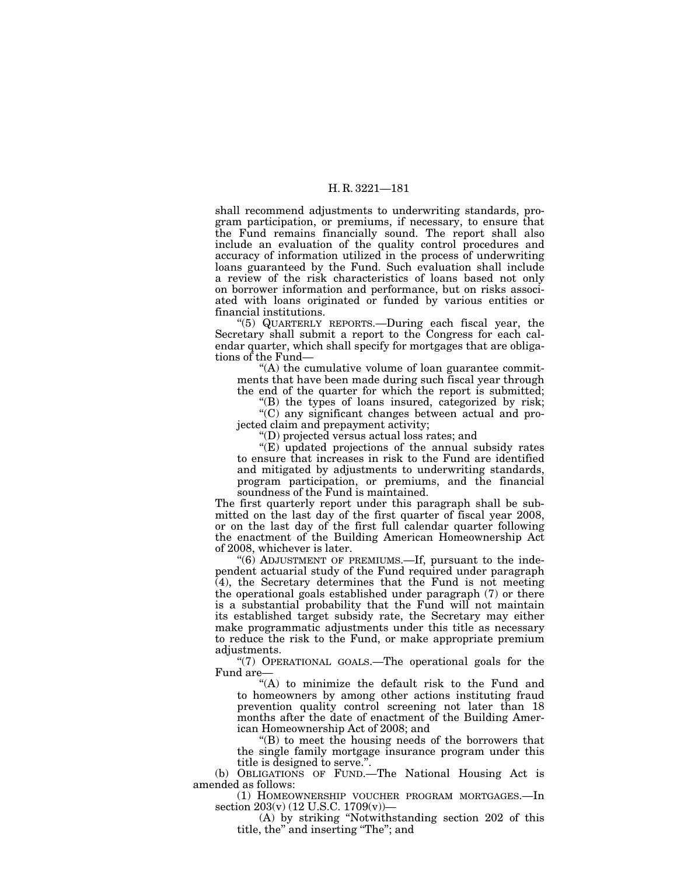shall recommend adjustments to underwriting standards, program participation, or premiums, if necessary, to ensure that the Fund remains financially sound. The report shall also include an evaluation of the quality control procedures and accuracy of information utilized in the process of underwriting loans guaranteed by the Fund. Such evaluation shall include a review of the risk characteristics of loans based not only on borrower information and performance, but on risks associated with loans originated or funded by various entities or financial institutions.

''(5) QUARTERLY REPORTS.—During each fiscal year, the Secretary shall submit a report to the Congress for each calendar quarter, which shall specify for mortgages that are obligations of the Fund—

"(A) the cumulative volume of loan guarantee commitments that have been made during such fiscal year through the end of the quarter for which the report is submitted;

(B) the types of loans insured, categorized by risk;

''(C) any significant changes between actual and projected claim and prepayment activity;

''(D) projected versus actual loss rates; and

''(E) updated projections of the annual subsidy rates to ensure that increases in risk to the Fund are identified and mitigated by adjustments to underwriting standards, program participation, or premiums, and the financial soundness of the Fund is maintained.

The first quarterly report under this paragraph shall be submitted on the last day of the first quarter of fiscal year 2008, or on the last day of the first full calendar quarter following the enactment of the Building American Homeownership Act of 2008, whichever is later.

''(6) ADJUSTMENT OF PREMIUMS.—If, pursuant to the independent actuarial study of the Fund required under paragraph (4), the Secretary determines that the Fund is not meeting the operational goals established under paragraph (7) or there is a substantial probability that the Fund will not maintain its established target subsidy rate, the Secretary may either make programmatic adjustments under this title as necessary to reduce the risk to the Fund, or make appropriate premium adjustments.

''(7) OPERATIONAL GOALS.—The operational goals for the Fund are—

"(A) to minimize the default risk to the Fund and to homeowners by among other actions instituting fraud prevention quality control screening not later than 18 months after the date of enactment of the Building American Homeownership Act of 2008; and

''(B) to meet the housing needs of the borrowers that the single family mortgage insurance program under this title is designed to serve."

(b) OBLIGATIONS OF FUND.—The National Housing Act is amended as follows:

(1) HOMEOWNERSHIP VOUCHER PROGRAM MORTGAGES.—In section 203(v) (12 U.S.C. 1709(v))—

(A) by striking ''Notwithstanding section 202 of this title, the'' and inserting ''The''; and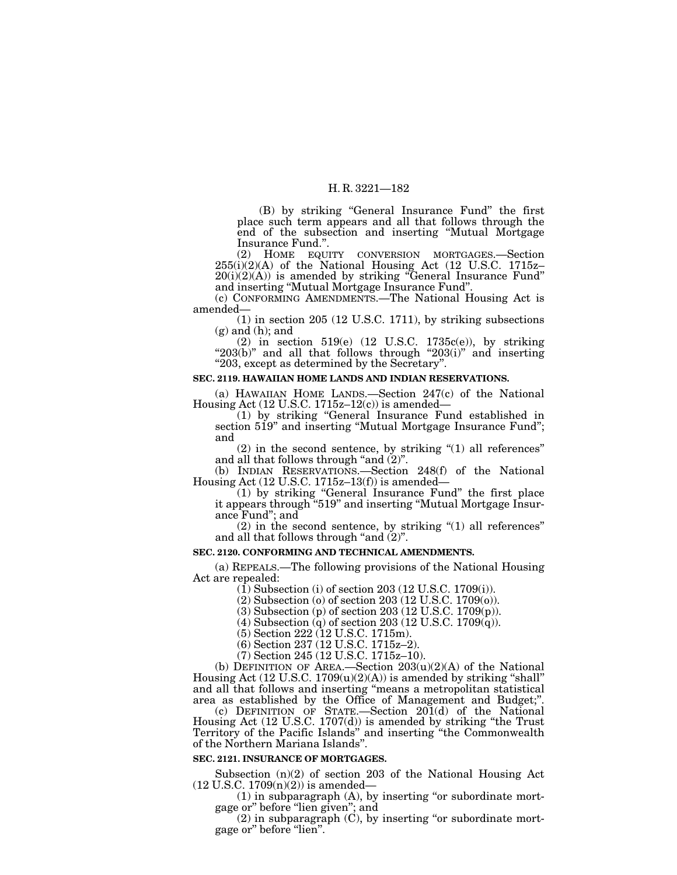(B) by striking ''General Insurance Fund'' the first place such term appears and all that follows through the end of the subsection and inserting ''Mutual Mortgage Insurance Fund.''.

(2) HOME EQUITY CONVERSION MORTGAGES.—Section 255(i)(2)(A) of the National Housing Act (12 U.S.C. 1715z–  $20(i)(2)(A)$  is amended by striking "General Insurance Fund" and inserting ''Mutual Mortgage Insurance Fund''.

(c) CONFORMING AMENDMENTS.—The National Housing Act is amended—

(1) in section 205 (12 U.S.C. 1711), by striking subsections  $(g)$  and  $(h)$ ; and

(2) in section 519(e) (12 U.S.C. 1735c(e)), by striking " $203(b)$ " and all that follows through " $203(i)$ " and inserting ''203, except as determined by the Secretary''.

#### **SEC. 2119. HAWAIIAN HOME LANDS AND INDIAN RESERVATIONS.**

(a) HAWAIIAN HOME LANDS.—Section 247(c) of the National Housing Act (12 U.S.C. 1715z–12(c)) is amended—

(1) by striking ''General Insurance Fund established in section 519" and inserting "Mutual Mortgage Insurance Fund"; and

 $(2)$  in the second sentence, by striking " $(1)$  all references" and all that follows through "and  $(2)$ ".

(b) INDIAN RESERVATIONS.—Section 248(f) of the National Housing Act (12 U.S.C. 1715z–13(f)) is amended—

(1) by striking ''General Insurance Fund'' the first place it appears through ''519'' and inserting ''Mutual Mortgage Insurance Fund''; and

 $(2)$  in the second sentence, by striking " $(1)$  all references" and all that follows through "and  $(2)$ ".

## **SEC. 2120. CONFORMING AND TECHNICAL AMENDMENTS.**

(a) REPEALS.—The following provisions of the National Housing Act are repealed:

(1) Subsection (i) of section 203 (12 U.S.C. 1709(i)).

(2) Subsection (o) of section 203 (12 U.S.C. 1709(o)).

(3) Subsection (p) of section 203 (12 U.S.C. 1709(p)).

(4) Subsection  $\overline{q}$  of section 203 (12 U.S.C. 1709 $\overline{q}$ ).

(5) Section 222 (12 U.S.C. 1715m).

(6) Section 237 (12 U.S.C. 1715z–2).

(7) Section 245 (12 U.S.C. 1715z–10).

(b) DEFINITION OF AREA.—Section  $203(u)(2)(A)$  of the National Housing Act (12 U.S.C. 1709(u)(2)(A)) is amended by striking ''shall'' and all that follows and inserting ''means a metropolitan statistical area as established by the Office of Management and Budget;''.

(c) DEFINITION OF STATE.—Section 201(d) of the National Housing Act (12 U.S.C. 1707(d)) is amended by striking ''the Trust Territory of the Pacific Islands'' and inserting ''the Commonwealth of the Northern Mariana Islands''.

## **SEC. 2121. INSURANCE OF MORTGAGES.**

Subsection (n)(2) of section 203 of the National Housing Act  $(12 \text{ U.S.C. } 1709(n)(2))$  is amended—

 $(1)$  in subparagraph  $(A)$ , by inserting "or subordinate mortgage or" before "lien given"; and

 $(2)$  in subparagraph  $(C)$ , by inserting "or subordinate mortgage or" before "lien".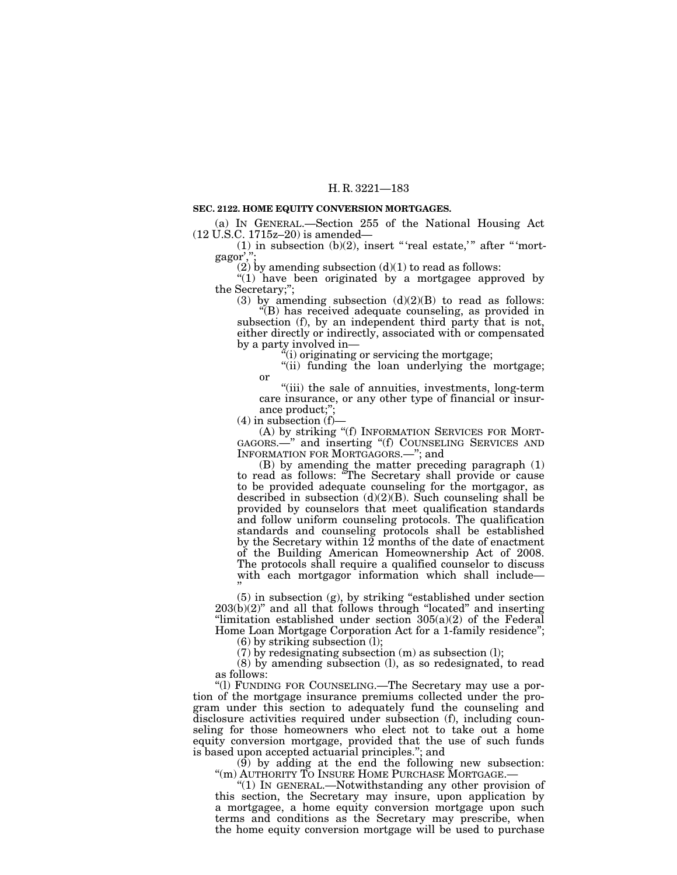### **SEC. 2122. HOME EQUITY CONVERSION MORTGAGES.**

(a) IN GENERAL.—Section 255 of the National Housing Act (12 U.S.C. 1715z–20) is amended—

 $(1)$  in subsection  $(b)(2)$ , insert "'real estate," after "'mortgagor'.

 $(2)$  by amending subsection  $(d)(1)$  to read as follows:

 $\cdot$ (1) have been originated by a mortgagee approved by the Secretary;'';

(3) by amending subsection  $(d)(2)(B)$  to read as follows: ''(B) has received adequate counseling, as provided in

subsection (f), by an independent third party that is not, either directly or indirectly, associated with or compensated by a party involved in—

 $(i)$  originating or servicing the mortgage;

"(ii) funding the loan underlying the mortgage; or

''(iii) the sale of annuities, investments, long-term care insurance, or any other type of financial or insurance product;'';

 $(4)$  in subsection  $(f)$ –

(A) by striking ''(f) INFORMATION SERVICES FOR MORT-GAGORS.—'' and inserting ''(f) COUNSELING SERVICES AND INFORMATION FOR MORTGAGORS.—''; and

(B) by amending the matter preceding paragraph (1) to read as follows: "The Secretary shall provide or cause to be provided adequate counseling for the mortgagor, as described in subsection  $(d)(2)(B)$ . Such counseling shall be provided by counselors that meet qualification standards and follow uniform counseling protocols. The qualification standards and counseling protocols shall be established by the Secretary within  $12 \text{ months}$  of the date of enactment of the Building American Homeownership Act of 2008. The protocols shall require a qualified counselor to discuss with each mortgagor information which shall include— ''

 $(5)$  in subsection  $(g)$ , by striking "established under section  $203(b)(2)$ " and all that follows through "located" and inserting "limitation established under section  $305(a)(2)$  of the Federal Home Loan Mortgage Corporation Act for a 1-family residence'';

(6) by striking subsection (l);

(7) by redesignating subsection (m) as subsection (l);

(8) by amending subsection (l), as so redesignated, to read as follows:

''(l) FUNDING FOR COUNSELING.—The Secretary may use a portion of the mortgage insurance premiums collected under the program under this section to adequately fund the counseling and disclosure activities required under subsection (f), including counseling for those homeowners who elect not to take out a home equity conversion mortgage, provided that the use of such funds is based upon accepted actuarial principles.''; and

(9) by adding at the end the following new subsection: ''(m) AUTHORITY TO INSURE HOME PURCHASE MORTGAGE.—

''(1) IN GENERAL.—Notwithstanding any other provision of this section, the Secretary may insure, upon application by a mortgagee, a home equity conversion mortgage upon such terms and conditions as the Secretary may prescribe, when the home equity conversion mortgage will be used to purchase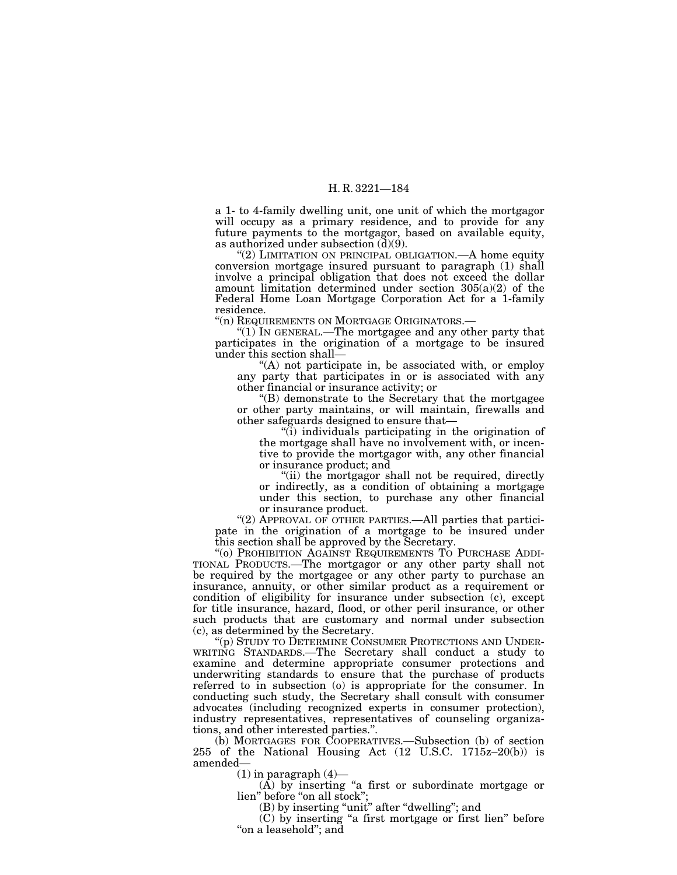a 1- to 4-family dwelling unit, one unit of which the mortgagor will occupy as a primary residence, and to provide for any future payments to the mortgagor, based on available equity, as authorized under subsection (d)(9).

"(2) LIMITATION ON PRINCIPAL OBLIGATION. A home equity conversion mortgage insured pursuant to paragraph (1) shall involve a principal obligation that does not exceed the dollar amount limitation determined under section 305(a)(2) of the Federal Home Loan Mortgage Corporation Act for a 1-family residence.

''(n) REQUIREMENTS ON MORTGAGE ORIGINATORS.—

" $(1)$  In GENERAL.—The mortgagee and any other party that participates in the origination of a mortgage to be insured under this section shall—

''(A) not participate in, be associated with, or employ any party that participates in or is associated with any other financial or insurance activity; or

''(B) demonstrate to the Secretary that the mortgagee or other party maintains, or will maintain, firewalls and other safeguards designed to ensure that—

''(i) individuals participating in the origination of the mortgage shall have no involvement with, or incentive to provide the mortgagor with, any other financial or insurance product; and

''(ii) the mortgagor shall not be required, directly or indirectly, as a condition of obtaining a mortgage under this section, to purchase any other financial or insurance product.

''(2) APPROVAL OF OTHER PARTIES.—All parties that participate in the origination of a mortgage to be insured under this section shall be approved by the Secretary.

''(o) PROHIBITION AGAINST REQUIREMENTS TO PURCHASE ADDI-TIONAL PRODUCTS.—The mortgagor or any other party shall not be required by the mortgagee or any other party to purchase an insurance, annuity, or other similar product as a requirement or condition of eligibility for insurance under subsection (c), except for title insurance, hazard, flood, or other peril insurance, or other such products that are customary and normal under subsection (c), as determined by the Secretary.

''(p) STUDY TO DETERMINE CONSUMER PROTECTIONS AND UNDER-WRITING STANDARDS.—The Secretary shall conduct a study to examine and determine appropriate consumer protections and underwriting standards to ensure that the purchase of products referred to in subsection (o) is appropriate for the consumer. In conducting such study, the Secretary shall consult with consumer advocates (including recognized experts in consumer protection), industry representatives, representatives of counseling organizations, and other interested parties.''.

(b) MORTGAGES FOR COOPERATIVES.—Subsection (b) of section 255 of the National Housing Act (12 U.S.C. 1715z–20(b)) is amended—

 $(1)$  in paragraph  $(4)$ —

(A) by inserting ''a first or subordinate mortgage or lien" before "on all stock";

(B) by inserting "unit" after "dwelling"; and

(C) by inserting ''a first mortgage or first lien'' before ''on a leasehold''; and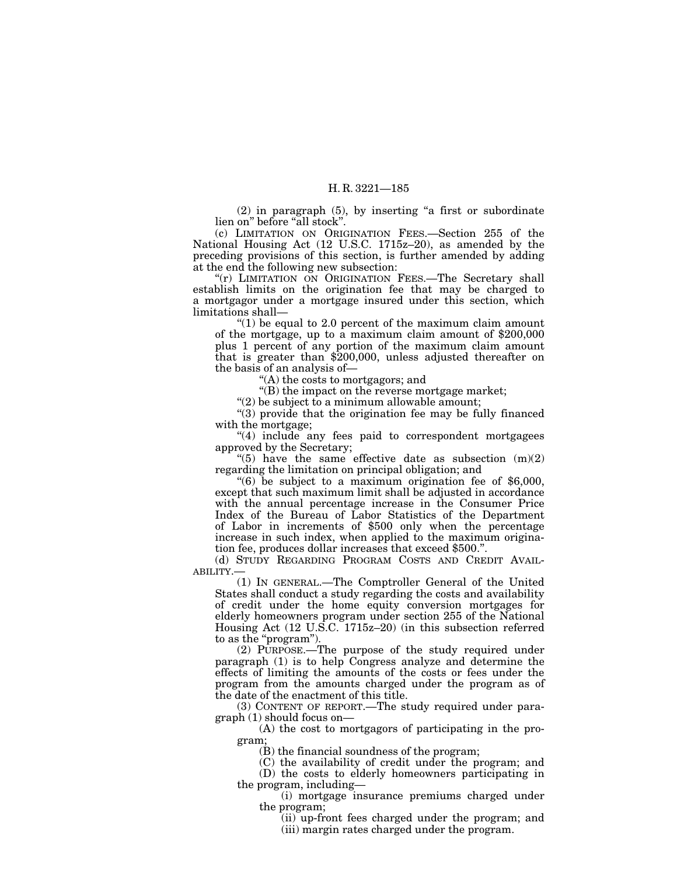$(2)$  in paragraph  $(5)$ , by inserting "a first or subordinate lien on" before "all stock".

(c) LIMITATION ON ORIGINATION FEES.—Section 255 of the National Housing Act (12 U.S.C. 1715z–20), as amended by the preceding provisions of this section, is further amended by adding at the end the following new subsection:

"(r) LIMITATION ON ORIGINATION FEES.—The Secretary shall establish limits on the origination fee that may be charged to a mortgagor under a mortgage insured under this section, which limitations shall—

 $''(1)$  be equal to 2.0 percent of the maximum claim amount of the mortgage, up to a maximum claim amount of \$200,000 plus 1 percent of any portion of the maximum claim amount that is greater than \$200,000, unless adjusted thereafter on the basis of an analysis of—

''(A) the costs to mortgagors; and

"(B) the impact on the reverse mortgage market;

''(2) be subject to a minimum allowable amount;

''(3) provide that the origination fee may be fully financed with the mortgage;

"(4) include any fees paid to correspondent mortgagees approved by the Secretary;

"(5) have the same effective date as subsection  $(m)(2)$ regarding the limitation on principal obligation; and

" $(6)$  be subject to a maximum origination fee of \$6,000, except that such maximum limit shall be adjusted in accordance with the annual percentage increase in the Consumer Price Index of the Bureau of Labor Statistics of the Department of Labor in increments of \$500 only when the percentage increase in such index, when applied to the maximum origination fee, produces dollar increases that exceed \$500.''.

(d) STUDY REGARDING PROGRAM COSTS AND CREDIT AVAIL-ABILITY.—

(1) IN GENERAL.—The Comptroller General of the United States shall conduct a study regarding the costs and availability of credit under the home equity conversion mortgages for elderly homeowners program under section 255 of the National Housing Act (12 U.S.C. 1715z–20) (in this subsection referred to as the ''program'').

(2) PURPOSE.—The purpose of the study required under paragraph (1) is to help Congress analyze and determine the effects of limiting the amounts of the costs or fees under the program from the amounts charged under the program as of the date of the enactment of this title.

(3) CONTENT OF REPORT.—The study required under paragraph (1) should focus on—

(A) the cost to mortgagors of participating in the program;

(B) the financial soundness of the program;

(C) the availability of credit under the program; and

(D) the costs to elderly homeowners participating in the program, including—

(i) mortgage insurance premiums charged under the program;

(ii) up-front fees charged under the program; and

(iii) margin rates charged under the program.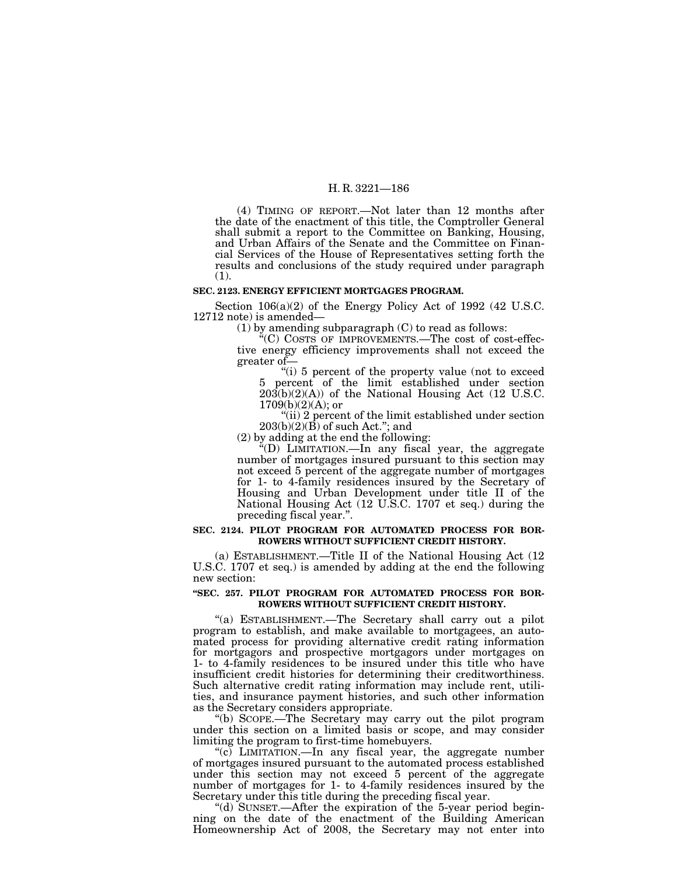(4) TIMING OF REPORT.—Not later than 12 months after the date of the enactment of this title, the Comptroller General shall submit a report to the Committee on Banking, Housing, and Urban Affairs of the Senate and the Committee on Financial Services of the House of Representatives setting forth the results and conclusions of the study required under paragraph (1).

### **SEC. 2123. ENERGY EFFICIENT MORTGAGES PROGRAM.**

Section  $106(a)(2)$  of the Energy Policy Act of 1992 (42 U.S.C. 12712 note) is amended—

(1) by amending subparagraph (C) to read as follows:

 $C^{\kappa}(C)$  COSTS OF IMPROVEMENTS.—The cost of cost-effective energy efficiency improvements shall not exceed the greater of—

"(i) 5 percent of the property value (not to exceed 5 percent of the limit established under section  $203(b)(2)(A)$  of the National Housing Act (12 U.S.C.  $1709(b)(2)(A);$  or

''(ii) 2 percent of the limit established under section  $203(b)(2)(\vec{B})$  of such Act."; and

(2) by adding at the end the following:

''(D) LIMITATION.—In any fiscal year, the aggregate number of mortgages insured pursuant to this section may not exceed 5 percent of the aggregate number of mortgages for 1- to 4-family residences insured by the Secretary of Housing and Urban Development under title II of the National Housing Act (12 U.S.C. 1707 et seq.) during the preceding fiscal year.''.

### **SEC. 2124. PILOT PROGRAM FOR AUTOMATED PROCESS FOR BOR-ROWERS WITHOUT SUFFICIENT CREDIT HISTORY.**

(a) ESTABLISHMENT.—Title II of the National Housing Act (12 U.S.C. 1707 et seq.) is amended by adding at the end the following new section:

### **''SEC. 257. PILOT PROGRAM FOR AUTOMATED PROCESS FOR BOR-ROWERS WITHOUT SUFFICIENT CREDIT HISTORY.**

"(a) ESTABLISHMENT.—The Secretary shall carry out a pilot program to establish, and make available to mortgagees, an automated process for providing alternative credit rating information for mortgagors and prospective mortgagors under mortgages on 1- to 4-family residences to be insured under this title who have insufficient credit histories for determining their creditworthiness. Such alternative credit rating information may include rent, utilities, and insurance payment histories, and such other information as the Secretary considers appropriate.

''(b) SCOPE.—The Secretary may carry out the pilot program under this section on a limited basis or scope, and may consider limiting the program to first-time homebuyers.

''(c) LIMITATION.—In any fiscal year, the aggregate number of mortgages insured pursuant to the automated process established under this section may not exceed 5 percent of the aggregate number of mortgages for 1- to 4-family residences insured by the Secretary under this title during the preceding fiscal year.

''(d) SUNSET.—After the expiration of the 5-year period beginning on the date of the enactment of the Building American Homeownership Act of 2008, the Secretary may not enter into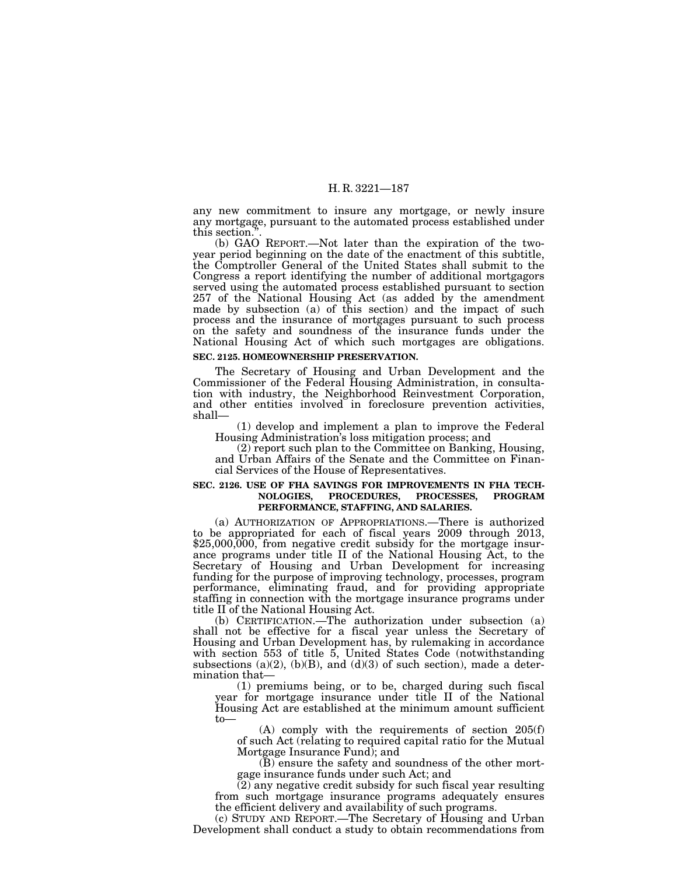any new commitment to insure any mortgage, or newly insure any mortgage, pursuant to the automated process established under this section.

(b) GAO REPORT.—Not later than the expiration of the twoyear period beginning on the date of the enactment of this subtitle, the Comptroller General of the United States shall submit to the Congress a report identifying the number of additional mortgagors served using the automated process established pursuant to section 257 of the National Housing Act (as added by the amendment made by subsection (a) of this section) and the impact of such process and the insurance of mortgages pursuant to such process on the safety and soundness of the insurance funds under the National Housing Act of which such mortgages are obligations.

### **SEC. 2125. HOMEOWNERSHIP PRESERVATION.**

The Secretary of Housing and Urban Development and the Commissioner of the Federal Housing Administration, in consultation with industry, the Neighborhood Reinvestment Corporation, and other entities involved in foreclosure prevention activities, shall—

(1) develop and implement a plan to improve the Federal Housing Administration's loss mitigation process; and

(2) report such plan to the Committee on Banking, Housing, and Urban Affairs of the Senate and the Committee on Financial Services of the House of Representatives.

### **SEC. 2126. USE OF FHA SAVINGS FOR IMPROVEMENTS IN FHA TECH-NOLOGIES, PROCEDURES, PROCESSES, PROGRAM PERFORMANCE, STAFFING, AND SALARIES.**

(a) AUTHORIZATION OF APPROPRIATIONS.—There is authorized to be appropriated for each of fiscal years 2009 through 2013, \$25,000,000, from negative credit subsidy for the mortgage insurance programs under title II of the National Housing Act, to the Secretary of Housing and Urban Development for increasing funding for the purpose of improving technology, processes, program performance, eliminating fraud, and for providing appropriate staffing in connection with the mortgage insurance programs under title II of the National Housing Act.

(b) CERTIFICATION.—The authorization under subsection (a) shall not be effective for a fiscal year unless the Secretary of Housing and Urban Development has, by rulemaking in accordance with section 553 of title 5, United States Code (notwithstanding subsections (a)(2), (b)(B), and (d)(3) of such section), made a determination that—

(1) premiums being, or to be, charged during such fiscal year for mortgage insurance under title II of the National Housing Act are established at the minimum amount sufficient to—

(A) comply with the requirements of section 205(f) of such Act (relating to required capital ratio for the Mutual Mortgage Insurance Fund); and

(B) ensure the safety and soundness of the other mortgage insurance funds under such Act; and

(2) any negative credit subsidy for such fiscal year resulting from such mortgage insurance programs adequately ensures the efficient delivery and availability of such programs.

(c) STUDY AND REPORT.—The Secretary of Housing and Urban Development shall conduct a study to obtain recommendations from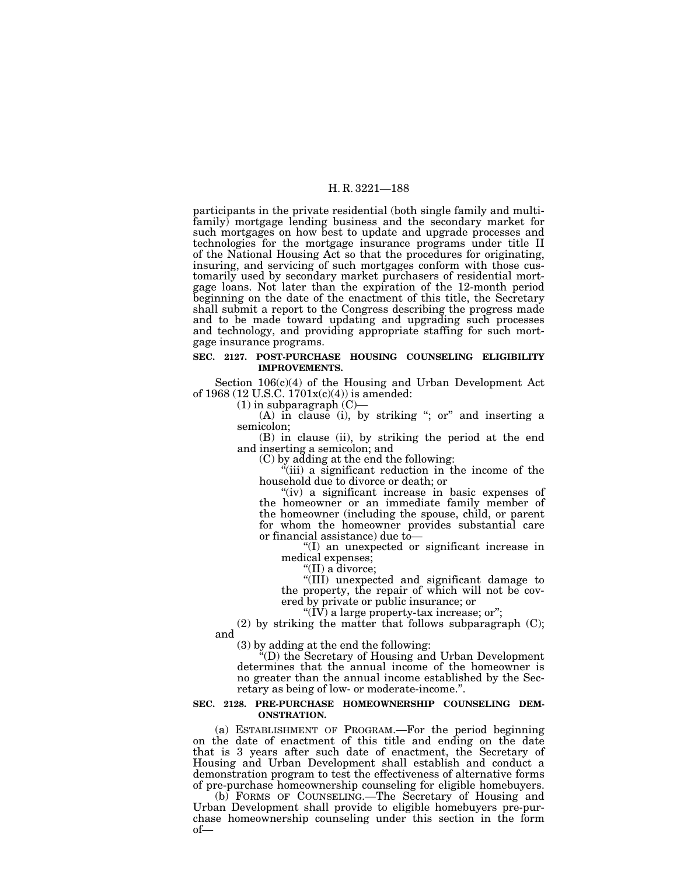participants in the private residential (both single family and multifamily) mortgage lending business and the secondary market for such mortgages on how best to update and upgrade processes and technologies for the mortgage insurance programs under title II of the National Housing Act so that the procedures for originating, insuring, and servicing of such mortgages conform with those customarily used by secondary market purchasers of residential mortgage loans. Not later than the expiration of the 12-month period beginning on the date of the enactment of this title, the Secretary shall submit a report to the Congress describing the progress made and to be made toward updating and upgrading such processes and technology, and providing appropriate staffing for such mortgage insurance programs.

### **SEC. 2127. POST-PURCHASE HOUSING COUNSELING ELIGIBILITY IMPROVEMENTS.**

Section 106(c)(4) of the Housing and Urban Development Act of 1968 (12 U.S.C. 1701x(c)(4)) is amended:

 $(1)$  in subparagraph  $(C)$ 

(A) in clause (i), by striking "; or" and inserting a semicolon;

(B) in clause (ii), by striking the period at the end and inserting a semicolon; and

(C) by adding at the end the following:

 $\cdot$ <sup>"(iii)</sup> a significant reduction in the income of the household due to divorce or death; or

"(iv) a significant increase in basic expenses of the homeowner or an immediate family member of the homeowner (including the spouse, child, or parent for whom the homeowner provides substantial care or financial assistance) due to—

''(I) an unexpected or significant increase in medical expenses;

"(II) a divorce;

''(III) unexpected and significant damage to the property, the repair of which will not be covered by private or public insurance; or

" $(\mathrm{I}\nabla)$  a large property-tax increase; or";

(2) by striking the matter that follows subparagraph (C); and

(3) by adding at the end the following:

 $\tilde{H}(D)$  the Secretary of Housing and Urban Development determines that the annual income of the homeowner is no greater than the annual income established by the Secretary as being of low- or moderate-income.''.

### **SEC. 2128. PRE-PURCHASE HOMEOWNERSHIP COUNSELING DEM-ONSTRATION.**

(a) ESTABLISHMENT OF PROGRAM.—For the period beginning on the date of enactment of this title and ending on the date that is 3 years after such date of enactment, the Secretary of Housing and Urban Development shall establish and conduct a demonstration program to test the effectiveness of alternative forms of pre-purchase homeownership counseling for eligible homebuyers.

(b) FORMS OF COUNSELING.—The Secretary of Housing and Urban Development shall provide to eligible homebuyers pre-purchase homeownership counseling under this section in the form of—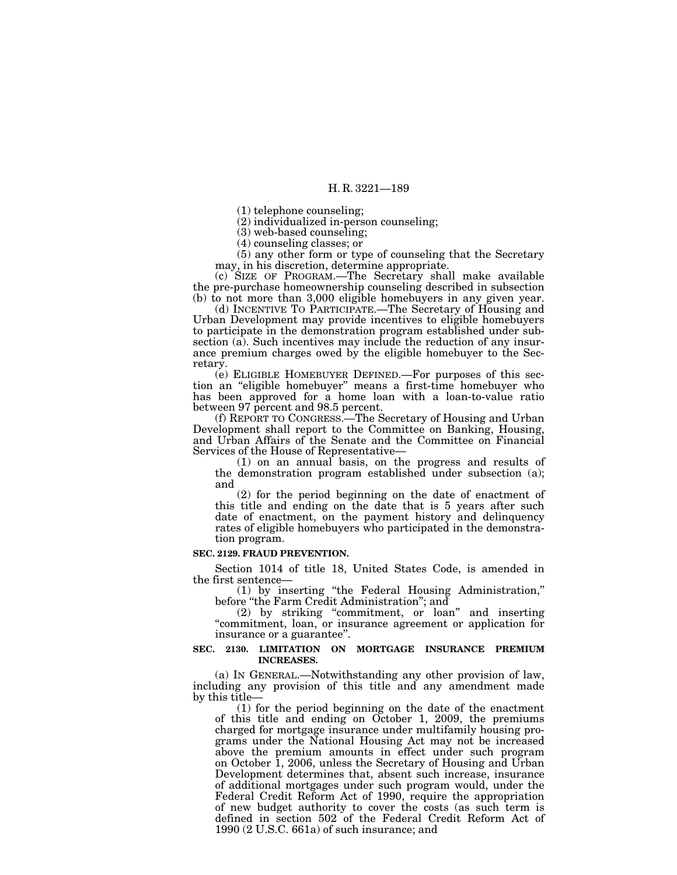(1) telephone counseling;

(2) individualized in-person counseling;

(3) web-based counseling;

(4) counseling classes; or

(5) any other form or type of counseling that the Secretary may, in his discretion, determine appropriate.

(c) SIZE OF PROGRAM.—The Secretary shall make available the pre-purchase homeownership counseling described in subsection (b) to not more than 3,000 eligible homebuyers in any given year.

(d) INCENTIVE TO PARTICIPATE.—The Secretary of Housing and Urban Development may provide incentives to eligible homebuyers to participate in the demonstration program established under subsection (a). Such incentives may include the reduction of any insurance premium charges owed by the eligible homebuyer to the Secretary.

(e) ELIGIBLE HOMEBUYER DEFINED.—For purposes of this section an ''eligible homebuyer'' means a first-time homebuyer who has been approved for a home loan with a loan-to-value ratio between 97 percent and 98.5 percent.

(f) REPORT TO CONGRESS.—The Secretary of Housing and Urban Development shall report to the Committee on Banking, Housing, and Urban Affairs of the Senate and the Committee on Financial Services of the House of Representative—

(1) on an annual basis, on the progress and results of the demonstration program established under subsection (a); and

(2) for the period beginning on the date of enactment of this title and ending on the date that is 5 years after such date of enactment, on the payment history and delinquency rates of eligible homebuyers who participated in the demonstration program.

## **SEC. 2129. FRAUD PREVENTION.**

Section 1014 of title 18, United States Code, is amended in the first sentence—

(1) by inserting ''the Federal Housing Administration,'' before ''the Farm Credit Administration''; and

(2) by striking ''commitment, or loan'' and inserting ''commitment, loan, or insurance agreement or application for insurance or a guarantee''.

### **SEC. 2130. LIMITATION ON MORTGAGE INSURANCE PREMIUM INCREASES.**

(a) IN GENERAL.—Notwithstanding any other provision of law, including any provision of this title and any amendment made by this title—

(1) for the period beginning on the date of the enactment of this title and ending on October 1, 2009, the premiums charged for mortgage insurance under multifamily housing programs under the National Housing Act may not be increased above the premium amounts in effect under such program on October 1, 2006, unless the Secretary of Housing and Urban Development determines that, absent such increase, insurance of additional mortgages under such program would, under the Federal Credit Reform Act of 1990, require the appropriation of new budget authority to cover the costs (as such term is defined in section 502 of the Federal Credit Reform Act of 1990 (2 U.S.C. 661a) of such insurance; and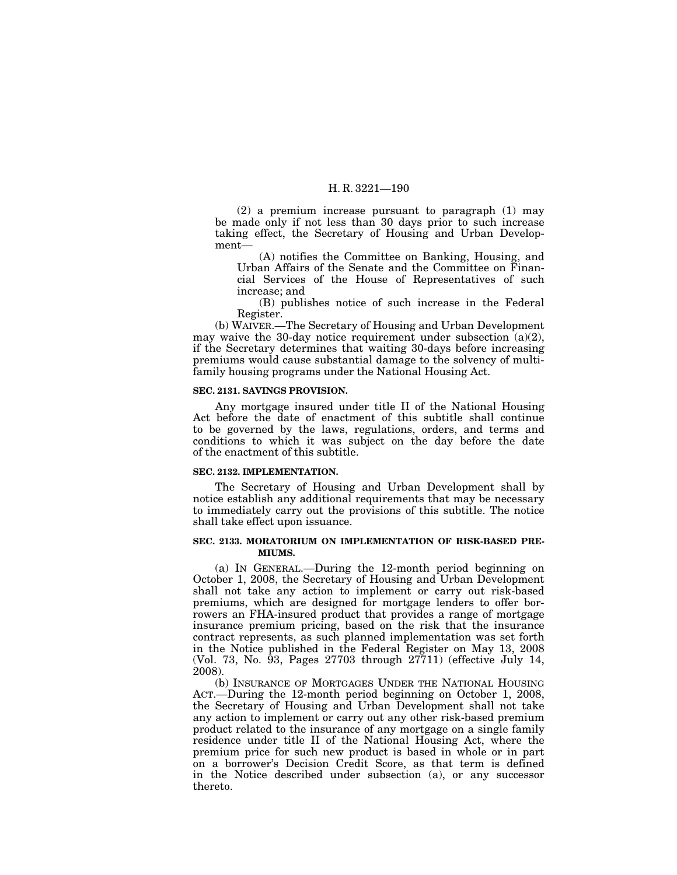(2) a premium increase pursuant to paragraph (1) may be made only if not less than 30 days prior to such increase taking effect, the Secretary of Housing and Urban Development—

(A) notifies the Committee on Banking, Housing, and Urban Affairs of the Senate and the Committee on Financial Services of the House of Representatives of such increase; and

(B) publishes notice of such increase in the Federal Register.

(b) WAIVER.—The Secretary of Housing and Urban Development may waive the 30-day notice requirement under subsection (a)(2), if the Secretary determines that waiting 30-days before increasing premiums would cause substantial damage to the solvency of multifamily housing programs under the National Housing Act.

### **SEC. 2131. SAVINGS PROVISION.**

Any mortgage insured under title II of the National Housing Act before the date of enactment of this subtitle shall continue to be governed by the laws, regulations, orders, and terms and conditions to which it was subject on the day before the date of the enactment of this subtitle.

### **SEC. 2132. IMPLEMENTATION.**

The Secretary of Housing and Urban Development shall by notice establish any additional requirements that may be necessary to immediately carry out the provisions of this subtitle. The notice shall take effect upon issuance.

## **SEC. 2133. MORATORIUM ON IMPLEMENTATION OF RISK-BASED PRE-MIUMS.**

(a) IN GENERAL.—During the 12-month period beginning on October 1, 2008, the Secretary of Housing and Urban Development shall not take any action to implement or carry out risk-based premiums, which are designed for mortgage lenders to offer borrowers an FHA-insured product that provides a range of mortgage insurance premium pricing, based on the risk that the insurance contract represents, as such planned implementation was set forth in the Notice published in the Federal Register on May 13, 2008 (Vol. 73, No. 93, Pages 27703 through 27711) (effective July 14, 2008).

(b) INSURANCE OF MORTGAGES UNDER THE NATIONAL HOUSING ACT.—During the 12-month period beginning on October 1, 2008, the Secretary of Housing and Urban Development shall not take any action to implement or carry out any other risk-based premium product related to the insurance of any mortgage on a single family residence under title II of the National Housing Act, where the premium price for such new product is based in whole or in part on a borrower's Decision Credit Score, as that term is defined in the Notice described under subsection (a), or any successor thereto.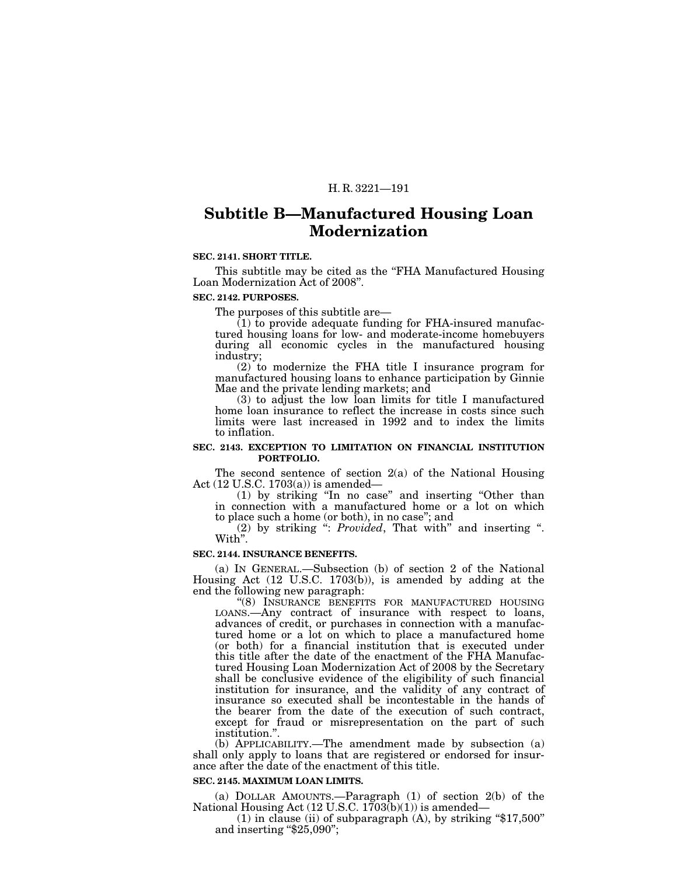# **Subtitle B—Manufactured Housing Loan Modernization**

#### **SEC. 2141. SHORT TITLE.**

This subtitle may be cited as the "FHA Manufactured Housing Loan Modernization Act of 2008''.

## **SEC. 2142. PURPOSES.**

The purposes of this subtitle are—

 $(1)$  to provide adequate funding for FHA-insured manufactured housing loans for low- and moderate-income homebuyers during all economic cycles in the manufactured housing industry;

(2) to modernize the FHA title I insurance program for manufactured housing loans to enhance participation by Ginnie Mae and the private lending markets; and

(3) to adjust the low loan limits for title I manufactured home loan insurance to reflect the increase in costs since such limits were last increased in 1992 and to index the limits to inflation.

### **SEC. 2143. EXCEPTION TO LIMITATION ON FINANCIAL INSTITUTION PORTFOLIO.**

The second sentence of section 2(a) of the National Housing Act (12 U.S.C. 1703(a)) is amended—

(1) by striking ''In no case'' and inserting ''Other than in connection with a manufactured home or a lot on which to place such a home (or both), in no case''; and

(2) by striking '': *Provided*, That with'' and inserting ''. With''.

## **SEC. 2144. INSURANCE BENEFITS.**

(a) IN GENERAL.—Subsection (b) of section 2 of the National Housing Act (12 U.S.C. 1703(b)), is amended by adding at the end the following new paragraph:

''(8) INSURANCE BENEFITS FOR MANUFACTURED HOUSING LOANS.—Any contract of insurance with respect to loans, advances of credit, or purchases in connection with a manufactured home or a lot on which to place a manufactured home (or both) for a financial institution that is executed under this title after the date of the enactment of the FHA Manufactured Housing Loan Modernization Act of 2008 by the Secretary shall be conclusive evidence of the eligibility of such financial institution for insurance, and the validity of any contract of insurance so executed shall be incontestable in the hands of the bearer from the date of the execution of such contract, except for fraud or misrepresentation on the part of such institution.''.

(b) APPLICABILITY.—The amendment made by subsection (a) shall only apply to loans that are registered or endorsed for insurance after the date of the enactment of this title.

### **SEC. 2145. MAXIMUM LOAN LIMITS.**

(a) DOLLAR AMOUNTS.—Paragraph (1) of section 2(b) of the National Housing Act  $(12 \text{ U.S.C. } 1703(b)(1))$  is amended—

 $(1)$  in clause (ii) of subparagraph  $(A)$ , by striking "\$17,500" and inserting "\$25,090";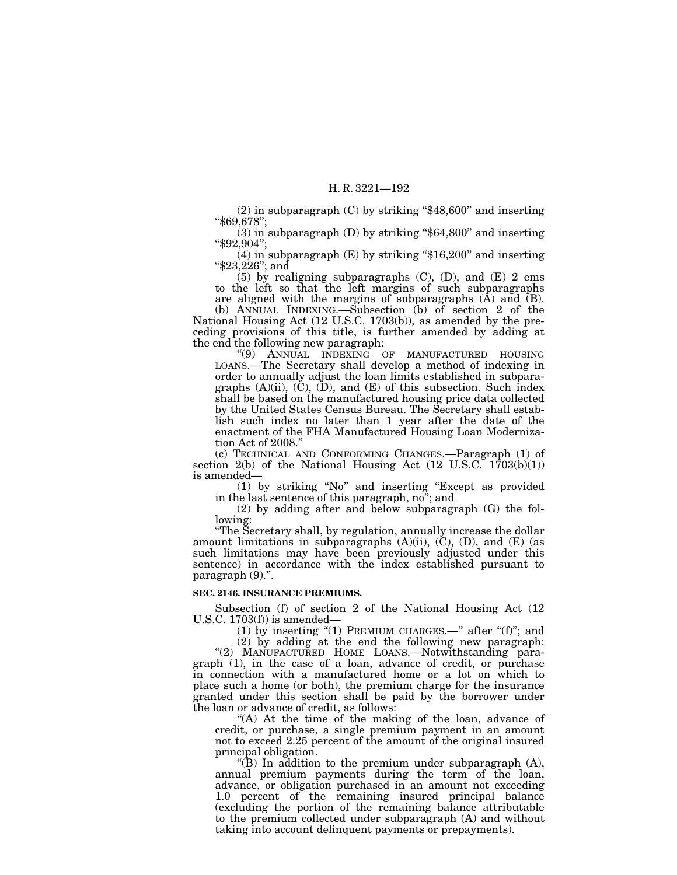$(2)$  in subparagraph  $(C)$  by striking "\$48,600" and inserting ''\$69,678'';

 $(3)$  in subparagraph  $(D)$  by striking "\$64,800" and inserting ''\$92,904'';

 $(4)$  in subparagraph  $(E)$  by striking "\$16,200" and inserting ''\$23,226''; and

(5) by realigning subparagraphs  $(C)$ ,  $(D)$ , and  $(E)$  2 ems to the left so that the left margins of such subparagraphs are aligned with the margins of subparagraphs  $(\tilde{A})$  and  $(\tilde{B})$ .

(b) ANNUAL INDEXING.—Subsection (b) of section 2 of the National Housing Act (12 U.S.C. 1703(b)), as amended by the preceding provisions of this title, is further amended by adding at the end the following new paragraph:

''(9) ANNUAL INDEXING OF MANUFACTURED HOUSING LOANS.—The Secretary shall develop a method of indexing in order to annually adjust the loan limits established in subparagraphs  $(A)(ii)$ ,  $(C)$ ,  $(D)$ , and  $(E)$  of this subsection. Such index shall be based on the manufactured housing price data collected by the United States Census Bureau. The Secretary shall establish such index no later than 1 year after the date of the enactment of the FHA Manufactured Housing Loan Modernization Act of 2008.''

(c) TECHNICAL AND CONFORMING CHANGES.—Paragraph (1) of section 2(b) of the National Housing Act  $(12 \text{ U.S.C. } 1703(b)(1))$ is amended—

(1) by striking ''No'' and inserting ''Except as provided in the last sentence of this paragraph, no''; and

(2) by adding after and below subparagraph (G) the following:

''The Secretary shall, by regulation, annually increase the dollar amount limitations in subparagraphs  $(A)(ii)$ ,  $(C)$ ,  $(D)$ , and  $(E)$  (as such limitations may have been previously adjusted under this sentence) in accordance with the index established pursuant to paragraph  $(9)$ .".

### **SEC. 2146. INSURANCE PREMIUMS.**

Subsection (f) of section 2 of the National Housing Act (12 U.S.C. 1703(f)) is amended—

(1) by inserting " $(1)$  PREMIUM CHARGES.—" after " $(f)$ "; and

(2) by adding at the end the following new paragraph: ''(2) MANUFACTURED HOME LOANS.—Notwithstanding paragraph (1), in the case of a loan, advance of credit, or purchase in connection with a manufactured home or a lot on which to place such a home (or both), the premium charge for the insurance granted under this section shall be paid by the borrower under the loan or advance of credit, as follows:

''(A) At the time of the making of the loan, advance of credit, or purchase, a single premium payment in an amount not to exceed 2.25 percent of the amount of the original insured principal obligation.

"(B) In addition to the premium under subparagraph  $(A)$ , annual premium payments during the term of the loan, advance, or obligation purchased in an amount not exceeding 1.0 percent of the remaining insured principal balance (excluding the portion of the remaining balance attributable to the premium collected under subparagraph (A) and without taking into account delinquent payments or prepayments).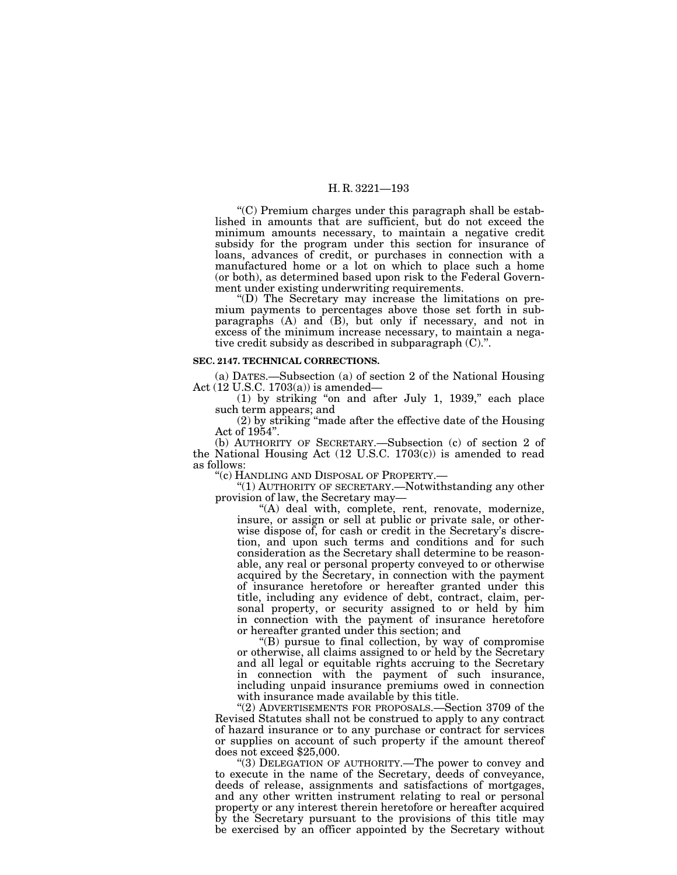''(C) Premium charges under this paragraph shall be established in amounts that are sufficient, but do not exceed the minimum amounts necessary, to maintain a negative credit subsidy for the program under this section for insurance of loans, advances of credit, or purchases in connection with a manufactured home or a lot on which to place such a home (or both), as determined based upon risk to the Federal Government under existing underwriting requirements.

''(D) The Secretary may increase the limitations on premium payments to percentages above those set forth in subparagraphs (A) and (B), but only if necessary, and not in excess of the minimum increase necessary, to maintain a negative credit subsidy as described in subparagraph (C).''.

#### **SEC. 2147. TECHNICAL CORRECTIONS.**

(a) DATES.—Subsection (a) of section 2 of the National Housing Act (12 U.S.C. 1703(a)) is amended—

 $(1)$  by striking "on and after July 1, 1939," each place such term appears; and

(2) by striking ''made after the effective date of the Housing Act of 1954''.

(b) AUTHORITY OF SECRETARY.—Subsection (c) of section 2 of the National Housing Act (12 U.S.C. 1703(c)) is amended to read as follows:

''(c) HANDLING AND DISPOSAL OF PROPERTY.—

''(1) AUTHORITY OF SECRETARY.—Notwithstanding any other provision of law, the Secretary may—

''(A) deal with, complete, rent, renovate, modernize, insure, or assign or sell at public or private sale, or otherwise dispose of, for cash or credit in the Secretary's discretion, and upon such terms and conditions and for such consideration as the Secretary shall determine to be reasonable, any real or personal property conveyed to or otherwise acquired by the Secretary, in connection with the payment of insurance heretofore or hereafter granted under this title, including any evidence of debt, contract, claim, personal property, or security assigned to or held by him in connection with the payment of insurance heretofore or hereafter granted under this section; and

''(B) pursue to final collection, by way of compromise or otherwise, all claims assigned to or held by the Secretary and all legal or equitable rights accruing to the Secretary in connection with the payment of such insurance, including unpaid insurance premiums owed in connection with insurance made available by this title.

"(2) ADVERTISEMENTS FOR PROPOSALS.—Section 3709 of the Revised Statutes shall not be construed to apply to any contract of hazard insurance or to any purchase or contract for services or supplies on account of such property if the amount thereof does not exceed \$25,000.

"(3) DELEGATION OF AUTHORITY.—The power to convey and to execute in the name of the Secretary, deeds of conveyance, deeds of release, assignments and satisfactions of mortgages, and any other written instrument relating to real or personal property or any interest therein heretofore or hereafter acquired by the Secretary pursuant to the provisions of this title may be exercised by an officer appointed by the Secretary without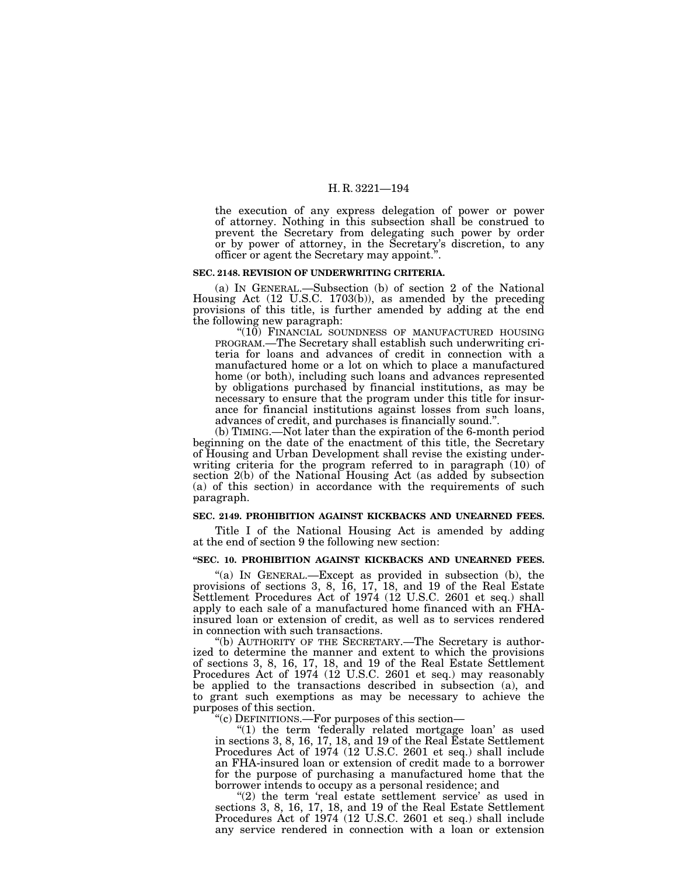the execution of any express delegation of power or power of attorney. Nothing in this subsection shall be construed to prevent the Secretary from delegating such power by order or by power of attorney, in the Secretary's discretion, to any officer or agent the Secretary may appoint.''.

### **SEC. 2148. REVISION OF UNDERWRITING CRITERIA.**

(a) IN GENERAL.—Subsection (b) of section 2 of the National Housing Act (12 U.S.C. 1703(b)), as amended by the preceding provisions of this title, is further amended by adding at the end the following new paragraph:

"(10) FINANCIAL SOUNDNESS OF MANUFACTURED HOUSING PROGRAM.—The Secretary shall establish such underwriting criteria for loans and advances of credit in connection with a manufactured home or a lot on which to place a manufactured home (or both), including such loans and advances represented by obligations purchased by financial institutions, as may be necessary to ensure that the program under this title for insurance for financial institutions against losses from such loans, advances of credit, and purchases is financially sound.''.

(b) TIMING.—Not later than the expiration of the 6-month period beginning on the date of the enactment of this title, the Secretary of Housing and Urban Development shall revise the existing underwriting criteria for the program referred to in paragraph (10) of section 2(b) of the National Housing Act (as added by subsection (a) of this section) in accordance with the requirements of such paragraph.

### **SEC. 2149. PROHIBITION AGAINST KICKBACKS AND UNEARNED FEES.**

Title I of the National Housing Act is amended by adding at the end of section 9 the following new section:

### **''SEC. 10. PROHIBITION AGAINST KICKBACKS AND UNEARNED FEES.**

''(a) IN GENERAL.—Except as provided in subsection (b), the provisions of sections 3, 8, 16, 17, 18, and 19 of the Real Estate Settlement Procedures Act of 1974 (12 U.S.C. 2601 et seq.) shall apply to each sale of a manufactured home financed with an FHAinsured loan or extension of credit, as well as to services rendered in connection with such transactions.

''(b) AUTHORITY OF THE SECRETARY.—The Secretary is authorized to determine the manner and extent to which the provisions of sections 3, 8, 16, 17, 18, and 19 of the Real Estate Settlement Procedures Act of 1974 (12 U.S.C. 2601 et seq.) may reasonably be applied to the transactions described in subsection (a), and to grant such exemptions as may be necessary to achieve the purposes of this section.

''(c) DEFINITIONS.—For purposes of this section—

"(1) the term 'federally related mortgage loan' as used in sections 3, 8, 16, 17, 18, and 19 of the Real Estate Settlement Procedures Act of 1974 (12 U.S.C. 2601 et seq.) shall include an FHA-insured loan or extension of credit made to a borrower for the purpose of purchasing a manufactured home that the borrower intends to occupy as a personal residence; and

 $''(2)$  the term 'real estate settlement service' as used in sections 3, 8, 16, 17, 18, and 19 of the Real Estate Settlement Procedures Act of 1974 (12 U.S.C. 2601 et seq.) shall include any service rendered in connection with a loan or extension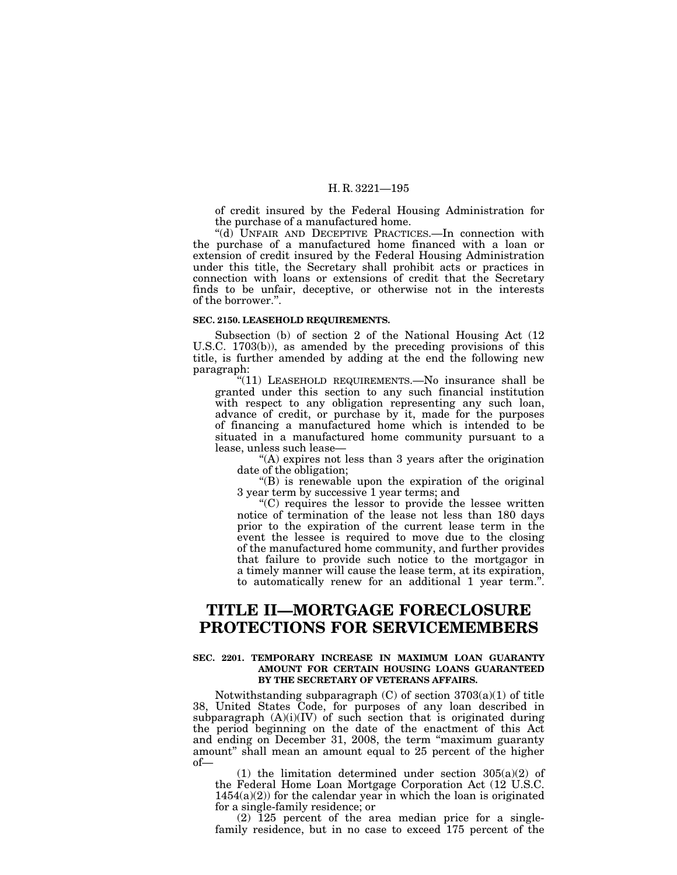of credit insured by the Federal Housing Administration for the purchase of a manufactured home.

''(d) UNFAIR AND DECEPTIVE PRACTICES.—In connection with the purchase of a manufactured home financed with a loan or extension of credit insured by the Federal Housing Administration under this title, the Secretary shall prohibit acts or practices in connection with loans or extensions of credit that the Secretary finds to be unfair, deceptive, or otherwise not in the interests of the borrower.''.

#### **SEC. 2150. LEASEHOLD REQUIREMENTS.**

Subsection (b) of section 2 of the National Housing Act (12 U.S.C. 1703(b)), as amended by the preceding provisions of this title, is further amended by adding at the end the following new paragraph:

"(11) LEASEHOLD REQUIREMENTS.—No insurance shall be granted under this section to any such financial institution with respect to any obligation representing any such loan, advance of credit, or purchase by it, made for the purposes of financing a manufactured home which is intended to be situated in a manufactured home community pursuant to a lease, unless such lease—

''(A) expires not less than 3 years after the origination date of the obligation;

''(B) is renewable upon the expiration of the original 3 year term by successive 1 year terms; and

 $(C)$  requires the lessor to provide the lessee written notice of termination of the lease not less than 180 days prior to the expiration of the current lease term in the event the lessee is required to move due to the closing of the manufactured home community, and further provides that failure to provide such notice to the mortgagor in a timely manner will cause the lease term, at its expiration, to automatically renew for an additional 1 year term.''.

# **TITLE II—MORTGAGE FORECLOSURE PROTECTIONS FOR SERVICEMEMBERS**

### **SEC. 2201. TEMPORARY INCREASE IN MAXIMUM LOAN GUARANTY AMOUNT FOR CERTAIN HOUSING LOANS GUARANTEED BY THE SECRETARY OF VETERANS AFFAIRS.**

Notwithstanding subparagraph (C) of section 3703(a)(1) of title 38, United States Code, for purposes of any loan described in subparagraph  $(A)(i)(IV)$  of such section that is originated during the period beginning on the date of the enactment of this Act and ending on December 31, 2008, the term "maximum guaranty" amount'' shall mean an amount equal to 25 percent of the higher of—

(1) the limitation determined under section  $305(a)(2)$  of the Federal Home Loan Mortgage Corporation Act (12 U.S.C.  $1454(a)(2)$  for the calendar year in which the loan is originated for a single-family residence; or

(2) 125 percent of the area median price for a singlefamily residence, but in no case to exceed 175 percent of the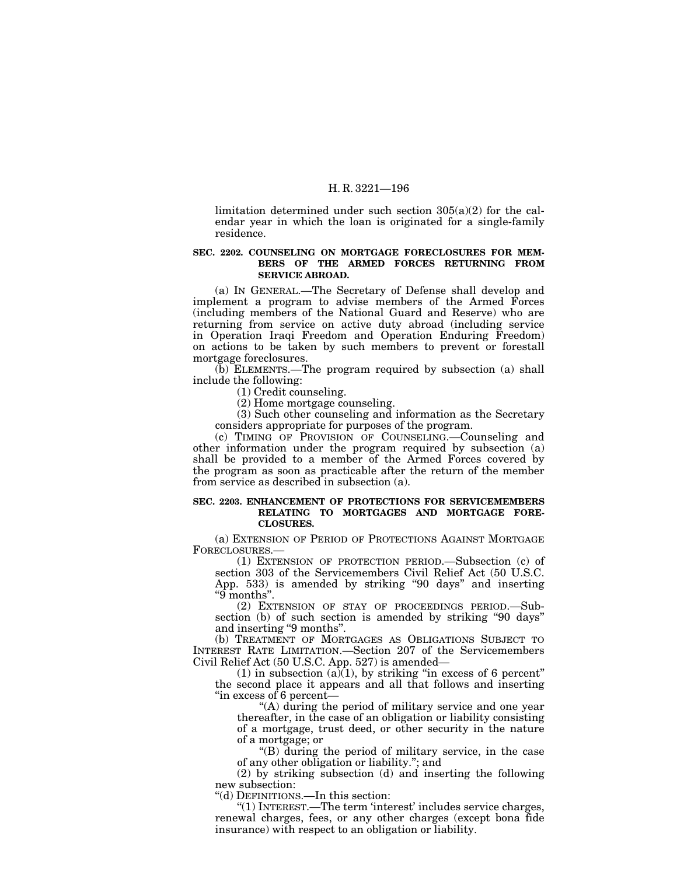limitation determined under such section 305(a)(2) for the calendar year in which the loan is originated for a single-family residence.

### **SEC. 2202. COUNSELING ON MORTGAGE FORECLOSURES FOR MEM-BERS OF THE ARMED FORCES RETURNING FROM SERVICE ABROAD.**

(a) IN GENERAL.—The Secretary of Defense shall develop and implement a program to advise members of the Armed Forces (including members of the National Guard and Reserve) who are returning from service on active duty abroad (including service in Operation Iraqi Freedom and Operation Enduring Freedom) on actions to be taken by such members to prevent or forestall mortgage foreclosures.

(b) ELEMENTS.—The program required by subsection (a) shall include the following:

(1) Credit counseling.

(2) Home mortgage counseling.

(3) Such other counseling and information as the Secretary considers appropriate for purposes of the program.

(c) TIMING OF PROVISION OF COUNSELING.—Counseling and other information under the program required by subsection (a) shall be provided to a member of the Armed Forces covered by the program as soon as practicable after the return of the member from service as described in subsection (a).

### **SEC. 2203. ENHANCEMENT OF PROTECTIONS FOR SERVICEMEMBERS RELATING TO MORTGAGES AND MORTGAGE FORE-CLOSURES.**

(a) EXTENSION OF PERIOD OF PROTECTIONS AGAINST MORTGAGE FORECLOSURES.—

(1) EXTENSION OF PROTECTION PERIOD.—Subsection (c) of section 303 of the Servicemembers Civil Relief Act (50 U.S.C. App. 533) is amended by striking "90 days" and inserting ''9 months''.

(2) EXTENSION OF STAY OF PROCEEDINGS PERIOD.—Subsection (b) of such section is amended by striking ''90 days'' and inserting ''9 months''.

(b) TREATMENT OF MORTGAGES AS OBLIGATIONS SUBJECT TO INTEREST RATE LIMITATION.—Section 207 of the Servicemembers Civil Relief Act (50 U.S.C. App. 527) is amended—

(1) in subsection (a)(1), by striking "in excess of 6 percent" the second place it appears and all that follows and inserting ''in excess of 6 percent—

''(A) during the period of military service and one year thereafter, in the case of an obligation or liability consisting of a mortgage, trust deed, or other security in the nature of a mortgage; or

''(B) during the period of military service, in the case of any other obligation or liability.''; and

(2) by striking subsection (d) and inserting the following new subsection:

''(d) DEFINITIONS.—In this section:

''(1) INTEREST.—The term 'interest' includes service charges, renewal charges, fees, or any other charges (except bona fide insurance) with respect to an obligation or liability.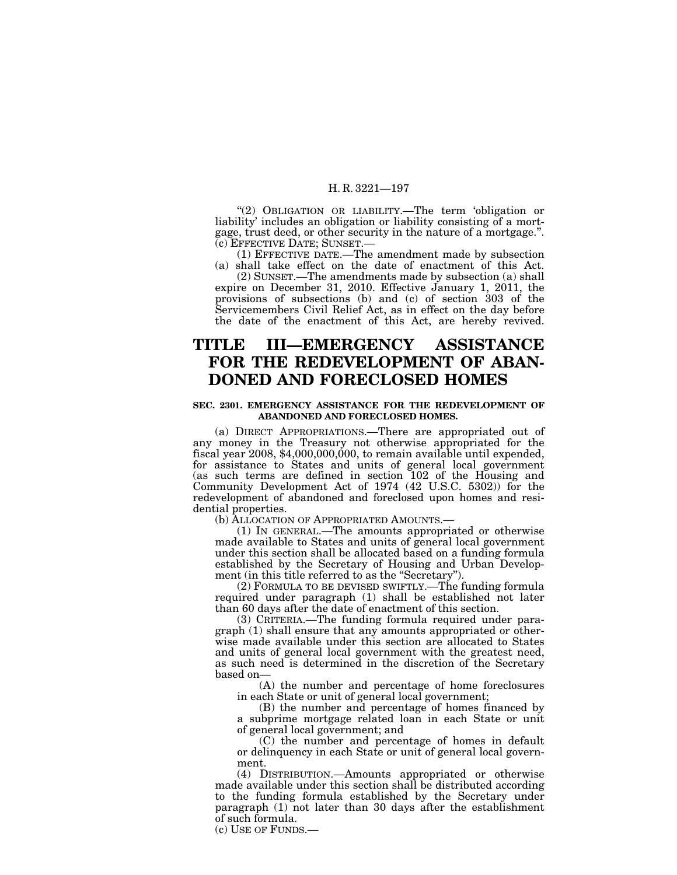''(2) OBLIGATION OR LIABILITY.—The term 'obligation or liability' includes an obligation or liability consisting of a mortgage, trust deed, or other security in the nature of a mortgage.".<br>(c) EFFECTIVE DATE; SUNSET.—

(1) EFFECTIVE DATE.—The amendment made by subsection (a) shall take effect on the date of enactment of this Act.

(2) SUNSET.—The amendments made by subsection (a) shall expire on December 31, 2010. Effective January 1, 2011, the provisions of subsections (b) and (c) of section 303 of the Servicemembers Civil Relief Act, as in effect on the day before the date of the enactment of this Act, are hereby revived.

# **TITLE III—EMERGENCY ASSISTANCE FOR THE REDEVELOPMENT OF ABAN-DONED AND FORECLOSED HOMES**

### **SEC. 2301. EMERGENCY ASSISTANCE FOR THE REDEVELOPMENT OF ABANDONED AND FORECLOSED HOMES.**

(a) DIRECT APPROPRIATIONS.—There are appropriated out of any money in the Treasury not otherwise appropriated for the fiscal year 2008, \$4,000,000,000, to remain available until expended, for assistance to States and units of general local government (as such terms are defined in section 102 of the Housing and Community Development Act of 1974 (42 U.S.C. 5302)) for the redevelopment of abandoned and foreclosed upon homes and residential properties.

(b) ALLOCATION OF APPROPRIATED AMOUNTS.—

(1) IN GENERAL.—The amounts appropriated or otherwise made available to States and units of general local government under this section shall be allocated based on a funding formula established by the Secretary of Housing and Urban Development (in this title referred to as the "Secretary").

(2) FORMULA TO BE DEVISED SWIFTLY.—The funding formula required under paragraph (1) shall be established not later than 60 days after the date of enactment of this section.

(3) CRITERIA.—The funding formula required under paragraph (1) shall ensure that any amounts appropriated or otherwise made available under this section are allocated to States and units of general local government with the greatest need, as such need is determined in the discretion of the Secretary based on—

(A) the number and percentage of home foreclosures in each State or unit of general local government;

(B) the number and percentage of homes financed by a subprime mortgage related loan in each State or unit of general local government; and

(C) the number and percentage of homes in default or delinquency in each State or unit of general local government.

(4) DISTRIBUTION.—Amounts appropriated or otherwise made available under this section shall be distributed according to the funding formula established by the Secretary under paragraph (1) not later than 30 days after the establishment of such formula.

(c) USE OF FUNDS.—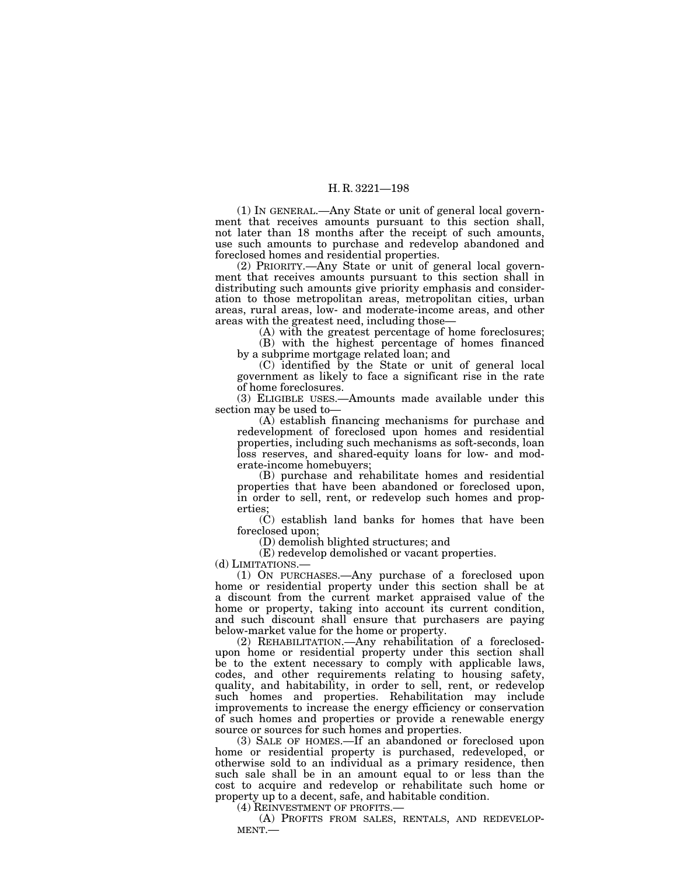(1) IN GENERAL.—Any State or unit of general local government that receives amounts pursuant to this section shall, not later than 18 months after the receipt of such amounts, use such amounts to purchase and redevelop abandoned and foreclosed homes and residential properties.

(2) PRIORITY.—Any State or unit of general local government that receives amounts pursuant to this section shall in distributing such amounts give priority emphasis and consideration to those metropolitan areas, metropolitan cities, urban areas, rural areas, low- and moderate-income areas, and other areas with the greatest need, including those—

(A) with the greatest percentage of home foreclosures;

(B) with the highest percentage of homes financed by a subprime mortgage related loan; and

(C) identified by the State or unit of general local government as likely to face a significant rise in the rate of home foreclosures.

(3) ELIGIBLE USES.—Amounts made available under this section may be used to—

(A) establish financing mechanisms for purchase and redevelopment of foreclosed upon homes and residential properties, including such mechanisms as soft-seconds, loan loss reserves, and shared-equity loans for low- and moderate-income homebuyers;

(B) purchase and rehabilitate homes and residential properties that have been abandoned or foreclosed upon, in order to sell, rent, or redevelop such homes and properties;

(C) establish land banks for homes that have been foreclosed upon;

(D) demolish blighted structures; and

(E) redevelop demolished or vacant properties.

(d) LIMITATIONS.—

(1) ON PURCHASES.—Any purchase of a foreclosed upon home or residential property under this section shall be at a discount from the current market appraised value of the home or property, taking into account its current condition, and such discount shall ensure that purchasers are paying below-market value for the home or property.

(2) REHABILITATION.—Any rehabilitation of a foreclosedupon home or residential property under this section shall be to the extent necessary to comply with applicable laws, codes, and other requirements relating to housing safety, quality, and habitability, in order to sell, rent, or redevelop such homes and properties. Rehabilitation may include improvements to increase the energy efficiency or conservation of such homes and properties or provide a renewable energy source or sources for such homes and properties.

(3) SALE OF HOMES.—If an abandoned or foreclosed upon home or residential property is purchased, redeveloped, or otherwise sold to an individual as a primary residence, then such sale shall be in an amount equal to or less than the cost to acquire and redevelop or rehabilitate such home or property up to a decent, safe, and habitable condition.

(4) REINVESTMENT OF PROFITS.—

(A) PROFITS FROM SALES, RENTALS, AND REDEVELOPMENT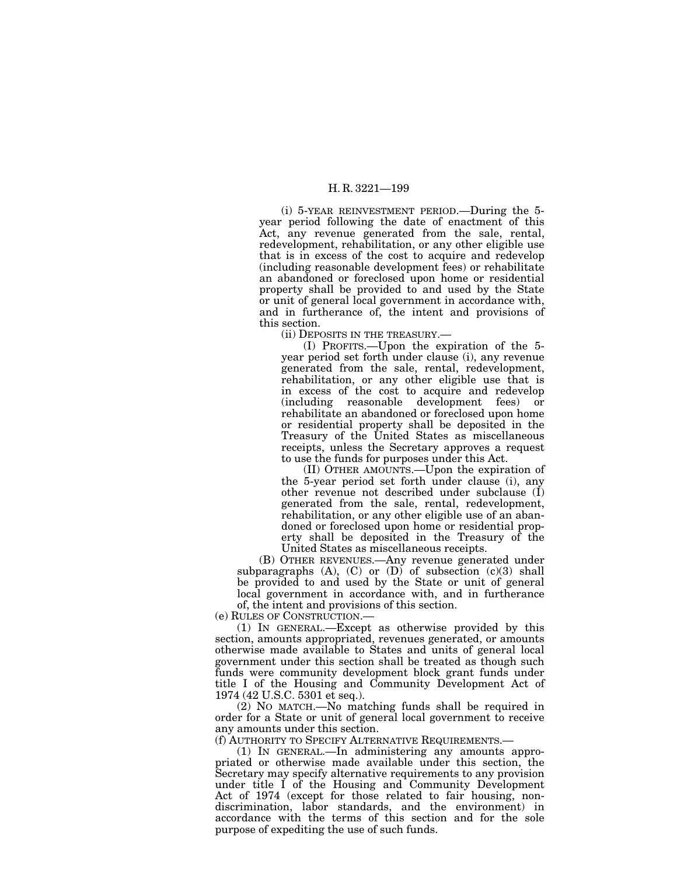(i) 5-YEAR REINVESTMENT PERIOD.—During the 5 year period following the date of enactment of this Act, any revenue generated from the sale, rental, redevelopment, rehabilitation, or any other eligible use that is in excess of the cost to acquire and redevelop (including reasonable development fees) or rehabilitate an abandoned or foreclosed upon home or residential property shall be provided to and used by the State or unit of general local government in accordance with, and in furtherance of, the intent and provisions of this section.

(ii) DEPOSITS IN THE TREASURY.—

(I) PROFITS.—Upon the expiration of the 5 year period set forth under clause (i), any revenue generated from the sale, rental, redevelopment, rehabilitation, or any other eligible use that is in excess of the cost to acquire and redevelop (including reasonable development fees) or rehabilitate an abandoned or foreclosed upon home or residential property shall be deposited in the Treasury of the United States as miscellaneous receipts, unless the Secretary approves a request to use the funds for purposes under this Act.

(II) OTHER AMOUNTS.—Upon the expiration of the 5-year period set forth under clause (i), any other revenue not described under subclause (I) generated from the sale, rental, redevelopment, rehabilitation, or any other eligible use of an abandoned or foreclosed upon home or residential property shall be deposited in the Treasury of the United States as miscellaneous receipts.

(B) OTHER REVENUES.—Any revenue generated under subparagraphs  $(A)$ ,  $(C)$  or  $(D)$  of subsection  $(c)(3)$  shall be provided to and used by the State or unit of general local government in accordance with, and in furtherance of, the intent and provisions of this section.

(e) RULES OF CONSTRUCTION.—

(1) IN GENERAL.—Except as otherwise provided by this section, amounts appropriated, revenues generated, or amounts otherwise made available to States and units of general local government under this section shall be treated as though such funds were community development block grant funds under title I of the Housing and Community Development Act of 1974 (42 U.S.C. 5301 et seq.).

(2) NO MATCH.—No matching funds shall be required in order for a State or unit of general local government to receive any amounts under this section.

(f) AUTHORITY TO SPECIFY ALTERNATIVE REQUIREMENTS.—

(1) IN GENERAL.—In administering any amounts appropriated or otherwise made available under this section, the Secretary may specify alternative requirements to any provision under title I of the Housing and Community Development Act of 1974 (except for those related to fair housing, nondiscrimination, labor standards, and the environment) in accordance with the terms of this section and for the sole purpose of expediting the use of such funds.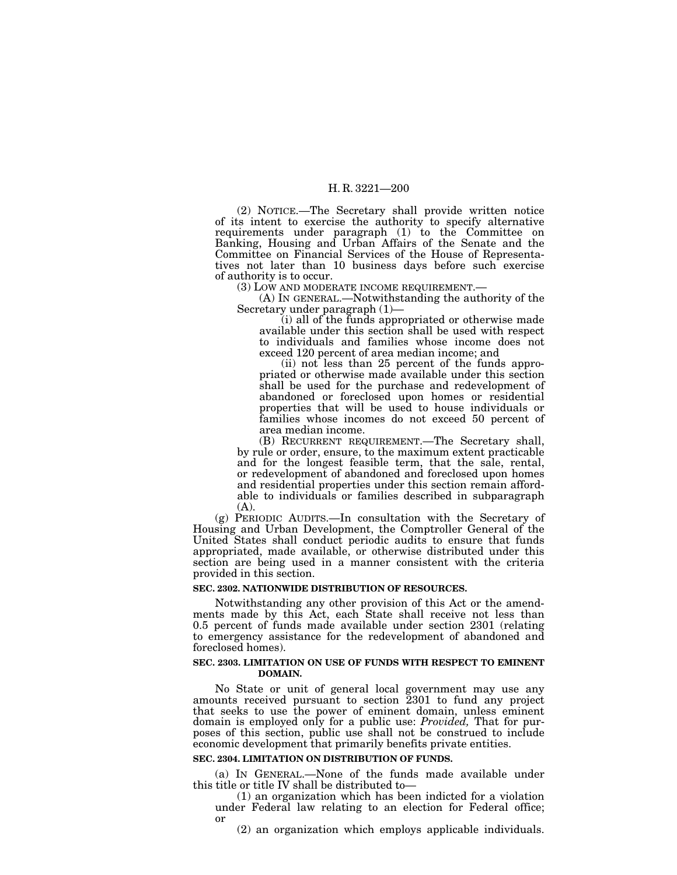(2) NOTICE.—The Secretary shall provide written notice of its intent to exercise the authority to specify alternative requirements under paragraph (1) to the Committee on Banking, Housing and Urban Affairs of the Senate and the Committee on Financial Services of the House of Representatives not later than 10 business days before such exercise

of authority is to occur.<br>(3) LOW AND MODERATE INCOME REQUIREMENT.—

 $(A)$  In GENERAL.—Notwithstanding the authority of the Secretary under paragraph (1)—

(i) all of the funds appropriated or otherwise made available under this section shall be used with respect to individuals and families whose income does not exceed 120 percent of area median income; and

(ii) not less than 25 percent of the funds appropriated or otherwise made available under this section shall be used for the purchase and redevelopment of abandoned or foreclosed upon homes or residential properties that will be used to house individuals or families whose incomes do not exceed 50 percent of area median income.

(B) RECURRENT REQUIREMENT.—The Secretary shall, by rule or order, ensure, to the maximum extent practicable and for the longest feasible term, that the sale, rental, or redevelopment of abandoned and foreclosed upon homes and residential properties under this section remain affordable to individuals or families described in subparagraph (A).

(g) PERIODIC AUDITS.—In consultation with the Secretary of Housing and Urban Development, the Comptroller General of the United States shall conduct periodic audits to ensure that funds appropriated, made available, or otherwise distributed under this section are being used in a manner consistent with the criteria provided in this section.

#### **SEC. 2302. NATIONWIDE DISTRIBUTION OF RESOURCES.**

Notwithstanding any other provision of this Act or the amendments made by this Act, each State shall receive not less than 0.5 percent of funds made available under section 2301 (relating to emergency assistance for the redevelopment of abandoned and foreclosed homes).

### **SEC. 2303. LIMITATION ON USE OF FUNDS WITH RESPECT TO EMINENT DOMAIN.**

No State or unit of general local government may use any amounts received pursuant to section 2301 to fund any project that seeks to use the power of eminent domain, unless eminent domain is employed only for a public use: *Provided,* That for purposes of this section, public use shall not be construed to include economic development that primarily benefits private entities.

# **SEC. 2304. LIMITATION ON DISTRIBUTION OF FUNDS.**

(a) IN GENERAL.—None of the funds made available under this title or title IV shall be distributed to—

(1) an organization which has been indicted for a violation under Federal law relating to an election for Federal office; or

(2) an organization which employs applicable individuals.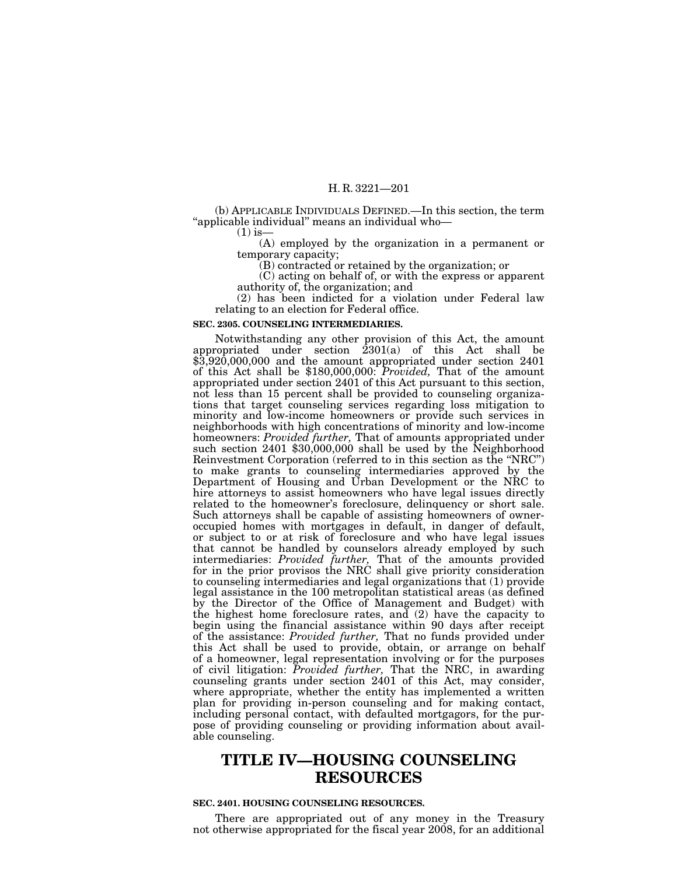(b) APPLICABLE INDIVIDUALS DEFINED.—In this section, the term ''applicable individual'' means an individual who—

 $(1)$  is-

(A) employed by the organization in a permanent or temporary capacity;

(B) contracted or retained by the organization; or

(C) acting on behalf of, or with the express or apparent authority of, the organization; and

(2) has been indicted for a violation under Federal law relating to an election for Federal office.

## **SEC. 2305. COUNSELING INTERMEDIARIES.**

Notwithstanding any other provision of this Act, the amount appropriated under section  $\overline{2}301(a)$  of this Act shall be \$3,920,000,000 and the amount appropriated under section 2401 of this Act shall be \$180,000,000: *Provided,* That of the amount appropriated under section 2401 of this Act pursuant to this section, not less than 15 percent shall be provided to counseling organizations that target counseling services regarding loss mitigation to minority and low-income homeowners or provide such services in neighborhoods with high concentrations of minority and low-income homeowners: *Provided further,* That of amounts appropriated under such section 2401 \$30,000,000 shall be used by the Neighborhood Reinvestment Corporation (referred to in this section as the ''NRC'') to make grants to counseling intermediaries approved by the Department of Housing and Urban Development or the NRC to hire attorneys to assist homeowners who have legal issues directly related to the homeowner's foreclosure, delinquency or short sale. Such attorneys shall be capable of assisting homeowners of owneroccupied homes with mortgages in default, in danger of default, or subject to or at risk of foreclosure and who have legal issues that cannot be handled by counselors already employed by such intermediaries: *Provided further,* That of the amounts provided for in the prior provisos the NRC shall give priority consideration to counseling intermediaries and legal organizations that (1) provide legal assistance in the 100 metropolitan statistical areas (as defined by the Director of the Office of Management and Budget) with the highest home foreclosure rates, and (2) have the capacity to begin using the financial assistance within 90 days after receipt of the assistance: *Provided further,* That no funds provided under this Act shall be used to provide, obtain, or arrange on behalf of a homeowner, legal representation involving or for the purposes of civil litigation: *Provided further,* That the NRC, in awarding counseling grants under section 2401 of this Act, may consider, where appropriate, whether the entity has implemented a written plan for providing in-person counseling and for making contact, including personal contact, with defaulted mortgagors, for the purpose of providing counseling or providing information about available counseling.

# **TITLE IV—HOUSING COUNSELING RESOURCES**

### **SEC. 2401. HOUSING COUNSELING RESOURCES.**

There are appropriated out of any money in the Treasury not otherwise appropriated for the fiscal year 2008, for an additional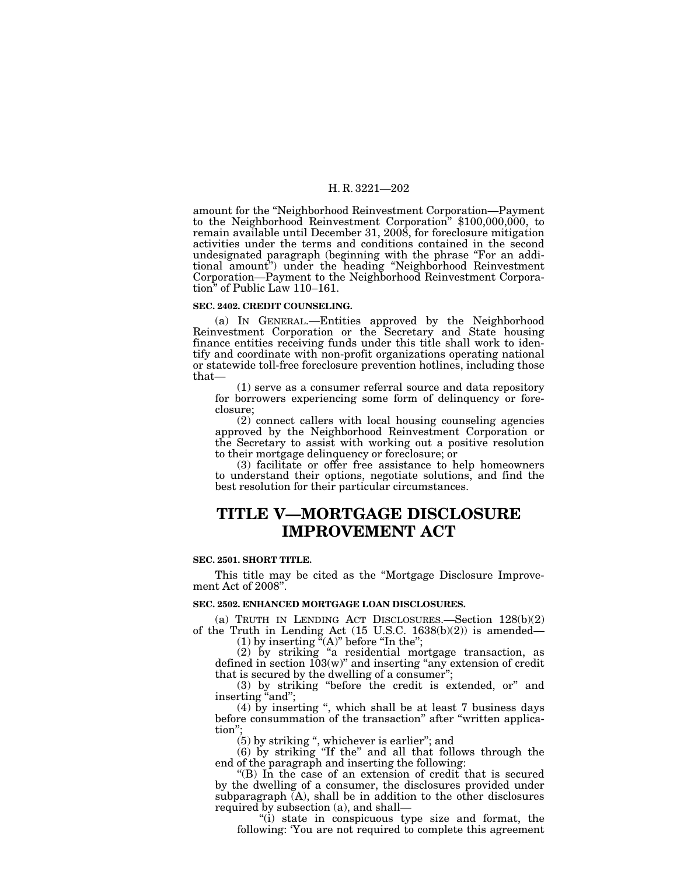amount for the ''Neighborhood Reinvestment Corporation—Payment to the Neighborhood Reinvestment Corporation'' \$100,000,000, to remain available until December 31, 2008, for foreclosure mitigation activities under the terms and conditions contained in the second undesignated paragraph (beginning with the phrase ''For an additional amount'') under the heading ''Neighborhood Reinvestment Corporation—Payment to the Neighborhood Reinvestment Corporation'' of Public Law 110–161.

#### **SEC. 2402. CREDIT COUNSELING.**

(a) IN GENERAL.—Entities approved by the Neighborhood Reinvestment Corporation or the Secretary and State housing finance entities receiving funds under this title shall work to identify and coordinate with non-profit organizations operating national or statewide toll-free foreclosure prevention hotlines, including those that—

(1) serve as a consumer referral source and data repository for borrowers experiencing some form of delinquency or foreclosure;

(2) connect callers with local housing counseling agencies approved by the Neighborhood Reinvestment Corporation or the Secretary to assist with working out a positive resolution to their mortgage delinquency or foreclosure; or

(3) facilitate or offer free assistance to help homeowners to understand their options, negotiate solutions, and find the best resolution for their particular circumstances.

# **TITLE V—MORTGAGE DISCLOSURE IMPROVEMENT ACT**

## **SEC. 2501. SHORT TITLE.**

This title may be cited as the ''Mortgage Disclosure Improvement Act of 2008''.

### **SEC. 2502. ENHANCED MORTGAGE LOAN DISCLOSURES.**

(a) TRUTH IN LENDING ACT DISCLOSURES.—Section 128(b)(2) of the Truth in Lending Act (15 U.S.C. 1638(b)(2)) is amended—

(1) by inserting  $<sup>a</sup>(A)<sup>n</sup>$  before "In the";</sup>

(2) by striking ''a residential mortgage transaction, as defined in section  $103(w)$ " and inserting "any extension of credit that is secured by the dwelling of a consumer'';

(3) by striking ''before the credit is extended, or'' and inserting "and":

(4) by inserting '', which shall be at least 7 business days before consummation of the transaction'' after ''written application'';

(5) by striking '', whichever is earlier''; and

(6) by striking ''If the'' and all that follows through the end of the paragraph and inserting the following:

''(B) In the case of an extension of credit that is secured by the dwelling of a consumer, the disclosures provided under subparagraph  $(A)$ , shall be in addition to the other disclosures required by subsection (a), and shall—

''(i) state in conspicuous type size and format, the following: 'You are not required to complete this agreement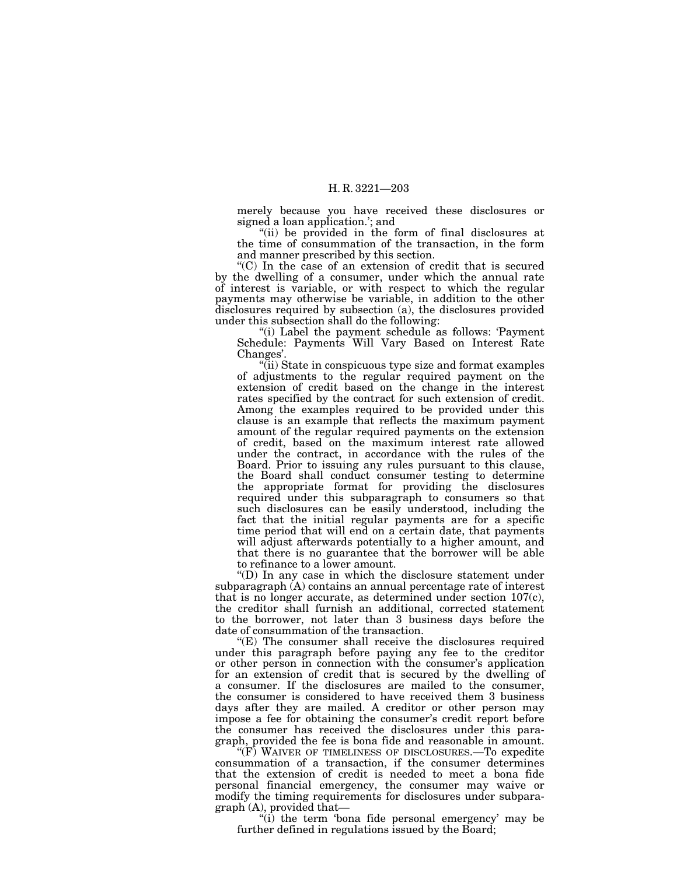merely because you have received these disclosures or signed a loan application.'; and

"(ii) be provided in the form of final disclosures at the time of consummation of the transaction, in the form and manner prescribed by this section.

''(C) In the case of an extension of credit that is secured by the dwelling of a consumer, under which the annual rate of interest is variable, or with respect to which the regular payments may otherwise be variable, in addition to the other disclosures required by subsection (a), the disclosures provided under this subsection shall do the following:

''(i) Label the payment schedule as follows: 'Payment Schedule: Payments Will Vary Based on Interest Rate Changes'.

''(ii) State in conspicuous type size and format examples of adjustments to the regular required payment on the extension of credit based on the change in the interest rates specified by the contract for such extension of credit. Among the examples required to be provided under this clause is an example that reflects the maximum payment amount of the regular required payments on the extension of credit, based on the maximum interest rate allowed under the contract, in accordance with the rules of the Board. Prior to issuing any rules pursuant to this clause, the Board shall conduct consumer testing to determine the appropriate format for providing the disclosures required under this subparagraph to consumers so that such disclosures can be easily understood, including the fact that the initial regular payments are for a specific time period that will end on a certain date, that payments will adjust afterwards potentially to a higher amount, and that there is no guarantee that the borrower will be able to refinance to a lower amount.

''(D) In any case in which the disclosure statement under subparagraph (A) contains an annual percentage rate of interest that is no longer accurate, as determined under section  $107(c)$ , the creditor shall furnish an additional, corrected statement to the borrower, not later than 3 business days before the date of consummation of the transaction.

"(E) The consumer shall receive the disclosures required under this paragraph before paying any fee to the creditor or other person in connection with the consumer's application for an extension of credit that is secured by the dwelling of a consumer. If the disclosures are mailed to the consumer, the consumer is considered to have received them 3 business days after they are mailed. A creditor or other person may impose a fee for obtaining the consumer's credit report before the consumer has received the disclosures under this paragraph, provided the fee is bona fide and reasonable in amount.

"(F) WAIVER OF TIMELINESS OF DISCLOSURES.—To expedite consummation of a transaction, if the consumer determines that the extension of credit is needed to meet a bona fide personal financial emergency, the consumer may waive or modify the timing requirements for disclosures under subparagraph (A), provided that—

''(i) the term 'bona fide personal emergency' may be further defined in regulations issued by the Board;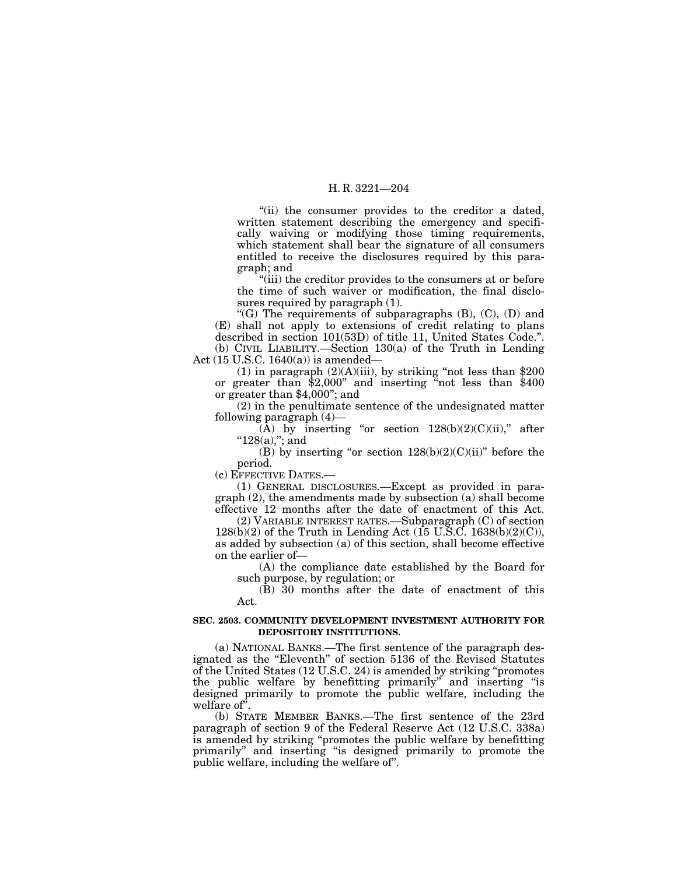"(ii) the consumer provides to the creditor a dated, written statement describing the emergency and specifically waiving or modifying those timing requirements, which statement shall bear the signature of all consumers entitled to receive the disclosures required by this paragraph; and

"(iii) the creditor provides to the consumers at or before the time of such waiver or modification, the final disclosures required by paragraph (1).

"(G) The requirements of subparagraphs (B), (C), (D) and (E) shall not apply to extensions of credit relating to plans described in section 101(53D) of title 11, United States Code.''. (b) CIVIL LIABILITY.—Section 130(a) of the Truth in Lending Act (15 U.S.C. 1640(a)) is amended—

(1) in paragraph  $(2)(A)(iii)$ , by striking "not less than \$200 or greater than \$2,000'' and inserting ''not less than \$400 or greater than \$4,000''; and

(2) in the penultimate sentence of the undesignated matter following paragraph (4)—

(A) by inserting "or section  $128(b)(2)(C)(ii)$ ," after " $128(a)$ ,"; and

(B) by inserting "or section  $128(b)(2)(C)(ii)$ " before the period.

(c) EFFECTIVE DATES.—

(1) GENERAL DISCLOSURES.—Except as provided in paragraph (2), the amendments made by subsection (a) shall become effective 12 months after the date of enactment of this Act.

(2) VARIABLE INTEREST RATES.—Subparagraph (C) of section  $128(b)(2)$  of the Truth in Lending Act (15 U.S.C. 1638(b)(2)(C)), as added by subsection (a) of this section, shall become effective on the earlier of—

(A) the compliance date established by the Board for such purpose, by regulation; or

(B) 30 months after the date of enactment of this Act.

## **SEC. 2503. COMMUNITY DEVELOPMENT INVESTMENT AUTHORITY FOR DEPOSITORY INSTITUTIONS.**

(a) NATIONAL BANKS.—The first sentence of the paragraph designated as the "Eleventh" of section 5136 of the Revised Statutes of the United States (12 U.S.C. 24) is amended by striking ''promotes the public welfare by benefitting primarily'' and inserting ''is designed primarily to promote the public welfare, including the welfare of''.

(b) STATE MEMBER BANKS.—The first sentence of the 23rd paragraph of section 9 of the Federal Reserve Act (12 U.S.C. 338a) is amended by striking "promotes the public welfare by benefitting primarily'' and inserting ''is designed primarily to promote the public welfare, including the welfare of''.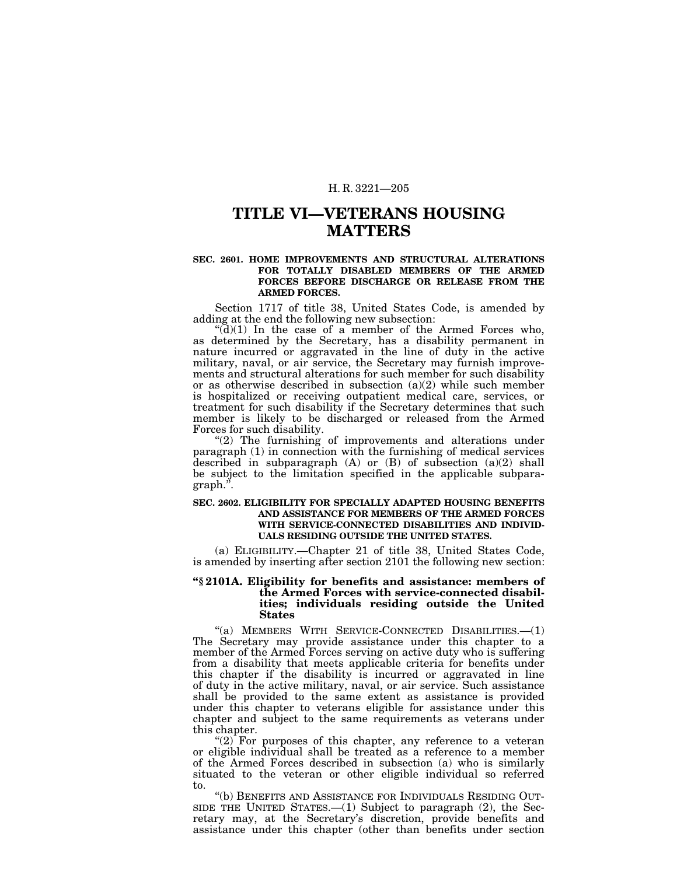# **TITLE VI—VETERANS HOUSING MATTERS**

### **SEC. 2601. HOME IMPROVEMENTS AND STRUCTURAL ALTERATIONS FOR TOTALLY DISABLED MEMBERS OF THE ARMED FORCES BEFORE DISCHARGE OR RELEASE FROM THE ARMED FORCES.**

Section 1717 of title 38, United States Code, is amended by adding at the end the following new subsection:

 $\mathcal{H}(\mathbf{d})(1)$  In the case of a member of the Armed Forces who, as determined by the Secretary, has a disability permanent in nature incurred or aggravated in the line of duty in the active military, naval, or air service, the Secretary may furnish improvements and structural alterations for such member for such disability or as otherwise described in subsection (a)(2) while such member is hospitalized or receiving outpatient medical care, services, or treatment for such disability if the Secretary determines that such member is likely to be discharged or released from the Armed Forces for such disability.

"(2) The furnishing of improvements and alterations under paragraph (1) in connection with the furnishing of medical services described in subparagraph  $(A)$  or  $(B)$  of subsection  $(a)(2)$  shall be subject to the limitation specified in the applicable subparagraph.''.

## **SEC. 2602. ELIGIBILITY FOR SPECIALLY ADAPTED HOUSING BENEFITS AND ASSISTANCE FOR MEMBERS OF THE ARMED FORCES WITH SERVICE-CONNECTED DISABILITIES AND INDIVID-UALS RESIDING OUTSIDE THE UNITED STATES.**

(a) ELIGIBILITY.—Chapter 21 of title 38, United States Code, is amended by inserting after section 2101 the following new section:

### **''§ 2101A. Eligibility for benefits and assistance: members of the Armed Forces with service-connected disabilities; individuals residing outside the United States**

''(a) MEMBERS WITH SERVICE-CONNECTED DISABILITIES.—(1) The Secretary may provide assistance under this chapter to a member of the Armed Forces serving on active duty who is suffering from a disability that meets applicable criteria for benefits under this chapter if the disability is incurred or aggravated in line of duty in the active military, naval, or air service. Such assistance shall be provided to the same extent as assistance is provided under this chapter to veterans eligible for assistance under this chapter and subject to the same requirements as veterans under this chapter.

" $(2)$  For purposes of this chapter, any reference to a veteran or eligible individual shall be treated as a reference to a member of the Armed Forces described in subsection (a) who is similarly situated to the veteran or other eligible individual so referred to.

''(b) BENEFITS AND ASSISTANCE FOR INDIVIDUALS RESIDING OUT-SIDE THE UNITED STATES.—(1) Subject to paragraph (2), the Secretary may, at the Secretary's discretion, provide benefits and assistance under this chapter (other than benefits under section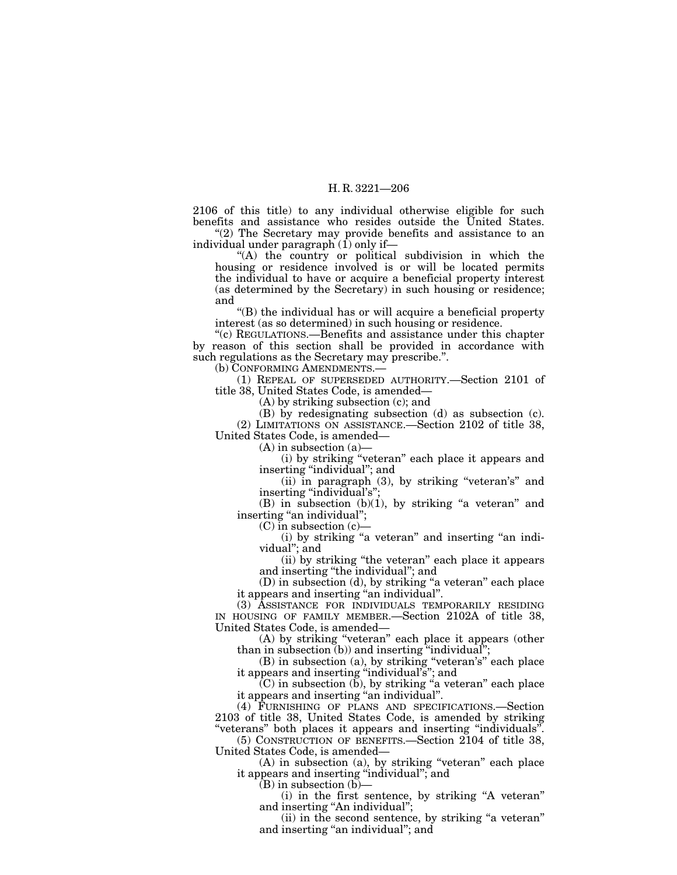2106 of this title) to any individual otherwise eligible for such benefits and assistance who resides outside the United States. "(2) The Secretary may provide benefits and assistance to an individual under paragraph  $(1)$  only if—

"(A) the country or political subdivision in which the housing or residence involved is or will be located permits the individual to have or acquire a beneficial property interest (as determined by the Secretary) in such housing or residence; and

''(B) the individual has or will acquire a beneficial property interest (as so determined) in such housing or residence.

''(c) REGULATIONS.—Benefits and assistance under this chapter by reason of this section shall be provided in accordance with such regulations as the Secretary may prescribe.''.

(b) CONFORMING AMENDMENTS.—

(1) REPEAL OF SUPERSEDED AUTHORITY.—Section 2101 of title 38, United States Code, is amended—

(A) by striking subsection (c); and

(B) by redesignating subsection (d) as subsection (c).

(2) LIMITATIONS ON ASSISTANCE.—Section 2102 of title 38, United States Code, is amended—

(A) in subsection (a)—

(i) by striking ''veteran'' each place it appears and inserting ''individual''; and

(ii) in paragraph (3), by striking ''veteran's'' and inserting "individual's";

(B) in subsection  $(b)(1)$ , by striking "a veteran" and inserting "an individual";

 $(C)$  in subsection  $(c)$ —

(i) by striking ''a veteran'' and inserting ''an individual''; and

(ii) by striking ''the veteran'' each place it appears and inserting ''the individual''; and

(D) in subsection (d), by striking ''a veteran'' each place it appears and inserting ''an individual''.

(3) ASSISTANCE FOR INDIVIDUALS TEMPORARILY RESIDING IN HOUSING OF FAMILY MEMBER.—Section 2102A of title 38, United States Code, is amended—

(A) by striking ''veteran'' each place it appears (other than in subsection  $(b)$ ) and inserting "individual";

(B) in subsection (a), by striking "veteran's" each place it appears and inserting ''individual's''; and

 $(C)$  in subsection  $(b)$ , by striking "a veteran" each place it appears and inserting ''an individual''.

(4) FURNISHING OF PLANS AND SPECIFICATIONS.—Section 2103 of title 38, United States Code, is amended by striking ''veterans'' both places it appears and inserting ''individuals''.

(5) CONSTRUCTION OF BENEFITS.—Section 2104 of title 38, United States Code, is amended—

(A) in subsection (a), by striking ''veteran'' each place it appears and inserting ''individual''; and

 $(B)$  in subsection  $(b)$ —

(i) in the first sentence, by striking ''A veteran'' and inserting "An individual";

(ii) in the second sentence, by striking ''a veteran'' and inserting "an individual"; and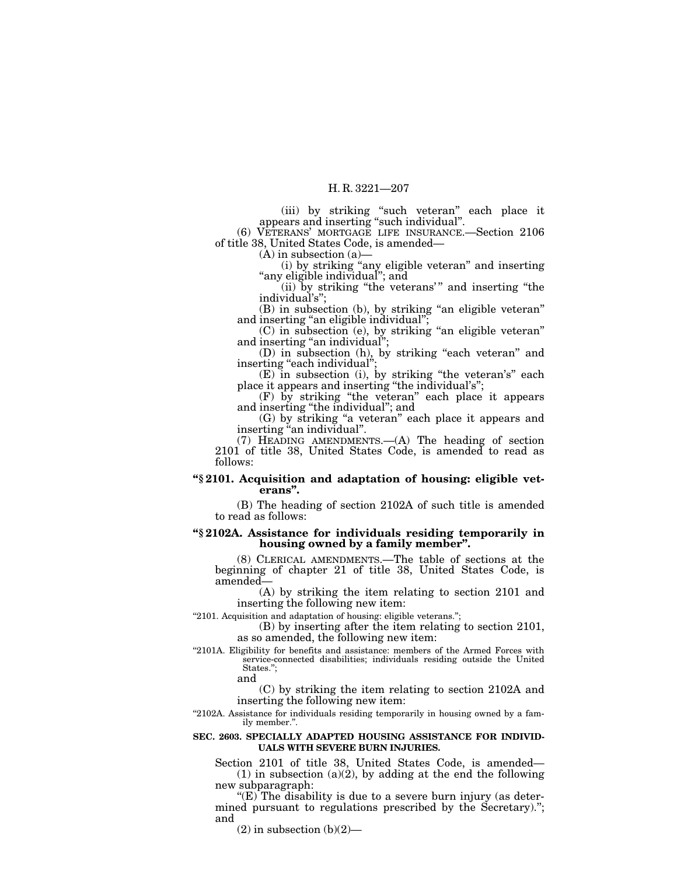(iii) by striking ''such veteran'' each place it appears and inserting ''such individual''.

(6) VETERANS' MORTGAGE LIFE INSURANCE.—Section 2106 of title 38, United States Code, is amended—

 $(A)$  in subsection  $(a)$ 

(i) by striking ''any eligible veteran'' and inserting ''any eligible individual''; and

(ii) by striking "the veterans'" and inserting "the individual's'';

(B) in subsection (b), by striking ''an eligible veteran'' and inserting ''an eligible individual'';

(C) in subsection (e), by striking ''an eligible veteran'' and inserting "an individual";

(D) in subsection (h), by striking "each veteran" and inserting "each individual":

(E) in subsection (i), by striking ''the veteran's'' each place it appears and inserting "the individual's";

(F) by striking ''the veteran'' each place it appears and inserting ''the individual''; and

(G) by striking ''a veteran'' each place it appears and inserting "an individual".

(7) HEADING AMENDMENTS.—(A) The heading of section 2101 of title 38, United States Code, is amended to read as follows:

## **''§ 2101. Acquisition and adaptation of housing: eligible veterans''.**

(B) The heading of section 2102A of such title is amended to read as follows:

### **''§ 2102A. Assistance for individuals residing temporarily in housing owned by a family member''.**

(8) CLERICAL AMENDMENTS.—The table of sections at the beginning of chapter 21 of title 38, United States Code, is amended—

(A) by striking the item relating to section 2101 and inserting the following new item:

''2101. Acquisition and adaptation of housing: eligible veterans.'';

(B) by inserting after the item relating to section 2101, as so amended, the following new item:

''2101A. Eligibility for benefits and assistance: members of the Armed Forces with service-connected disabilities; individuals residing outside the United States.''; and

(C) by striking the item relating to section 2102A and inserting the following new item:

''2102A. Assistance for individuals residing temporarily in housing owned by a family member.''.

### **SEC. 2603. SPECIALLY ADAPTED HOUSING ASSISTANCE FOR INDIVID-UALS WITH SEVERE BURN INJURIES.**

Section 2101 of title 38, United States Code, is amended— (1) in subsection (a)(2), by adding at the end the following new subparagraph:

" $(E)$  The disability is due to a severe burn injury (as determined pursuant to regulations prescribed by the Secretary).''; and

 $(2)$  in subsection  $(b)(2)$ —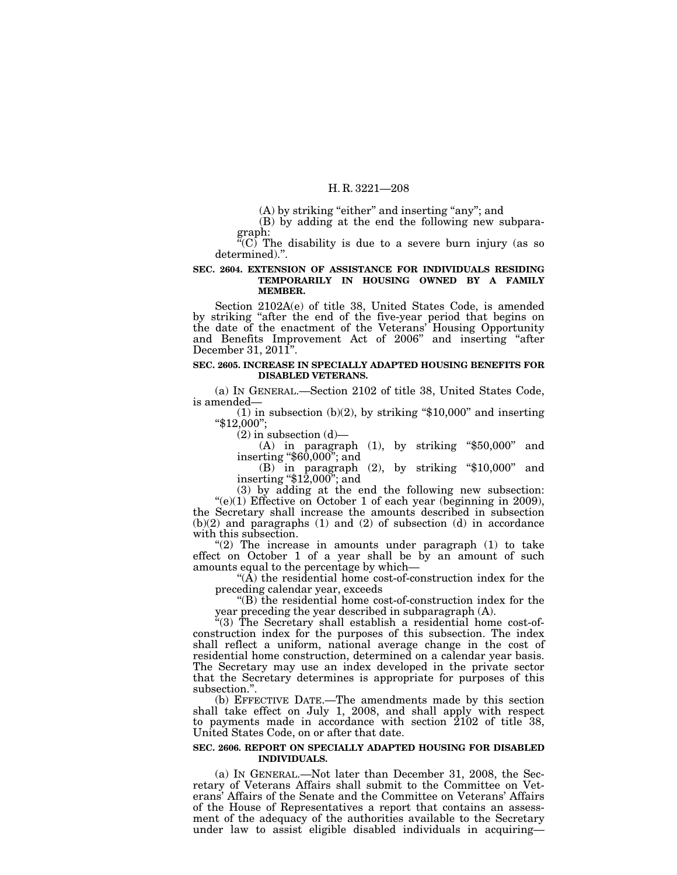(A) by striking "either" and inserting "any"; and

(B) by adding at the end the following new subparagraph:

 $\mathcal{C}^{\prime\prime}(\mathbb{C})$  The disability is due to a severe burn injury (as so determined).''.

### **SEC. 2604. EXTENSION OF ASSISTANCE FOR INDIVIDUALS RESIDING TEMPORARILY IN HOUSING OWNED BY A FAMILY MEMBER.**

Section 2102A(e) of title 38, United States Code, is amended by striking ''after the end of the five-year period that begins on the date of the enactment of the Veterans' Housing Opportunity and Benefits Improvement Act of 2006'' and inserting ''after December 31, 2011''.

## **SEC. 2605. INCREASE IN SPECIALLY ADAPTED HOUSING BENEFITS FOR DISABLED VETERANS.**

(a) IN GENERAL.—Section 2102 of title 38, United States Code, is amended—

(1) in subsection (b)(2), by striking " $$10,000"$  and inserting " $$12,000"$ ;

(2) in subsection (d)—<br>(A) in paragraph (1), by striking "\$50,000" and

inserting " $\text{$}60,000$ "; and (B) in paragraph (2), by striking " $\text{$}10,000$ " and inserting " $\text{$}12,000$ "; and

(3) by adding at the end the following new subsection: " $(e)(1)$  Effective on October 1 of each year (beginning in 2009), the Secretary shall increase the amounts described in subsection

(b)(2) and paragraphs (1) and (2) of subsection (d) in accordance with this subsection.

" $(2)$  The increase in amounts under paragraph  $(1)$  to take effect on October 1 of a year shall be by an amount of such amounts equal to the percentage by which—

 $\mathcal{L}(\tilde{A})$  the residential home cost-of-construction index for the preceding calendar year, exceeds

''(B) the residential home cost-of-construction index for the year preceding the year described in subparagraph (A).

''(3) The Secretary shall establish a residential home cost-ofconstruction index for the purposes of this subsection. The index shall reflect a uniform, national average change in the cost of residential home construction, determined on a calendar year basis. The Secretary may use an index developed in the private sector that the Secretary determines is appropriate for purposes of this subsection.''.

(b) EFFECTIVE DATE.—The amendments made by this section shall take effect on July 1, 2008, and shall apply with respect to payments made in accordance with section  $2102$  of title 38, United States Code, on or after that date.

## **SEC. 2606. REPORT ON SPECIALLY ADAPTED HOUSING FOR DISABLED INDIVIDUALS.**

(a) IN GENERAL.—Not later than December 31, 2008, the Secretary of Veterans Affairs shall submit to the Committee on Veterans' Affairs of the Senate and the Committee on Veterans' Affairs of the House of Representatives a report that contains an assessment of the adequacy of the authorities available to the Secretary under law to assist eligible disabled individuals in acquiring—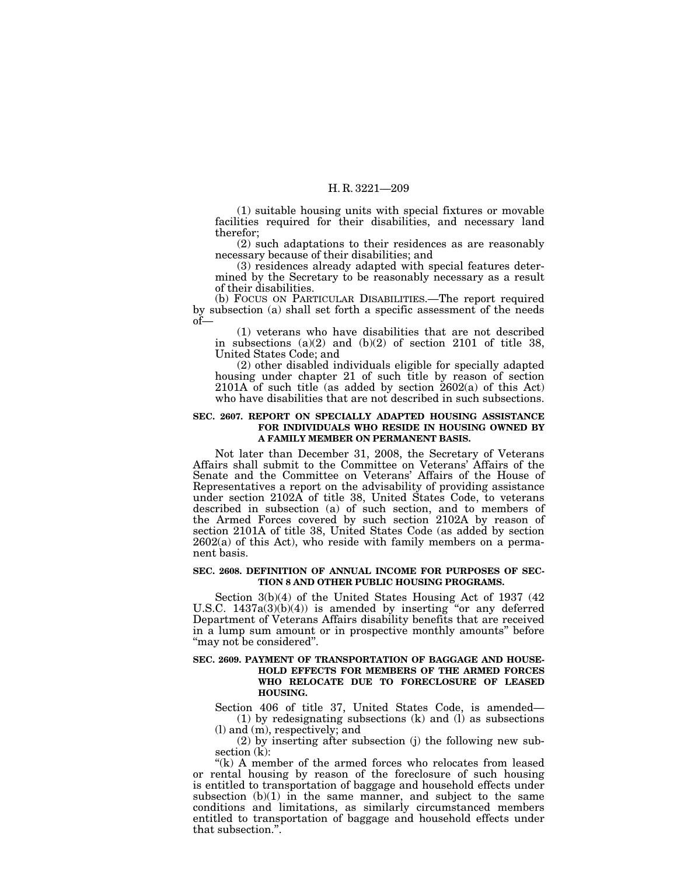(1) suitable housing units with special fixtures or movable facilities required for their disabilities, and necessary land therefor;

(2) such adaptations to their residences as are reasonably necessary because of their disabilities; and

(3) residences already adapted with special features determined by the Secretary to be reasonably necessary as a result of their disabilities.

(b) FOCUS ON PARTICULAR DISABILITIES.—The report required by subsection (a) shall set forth a specific assessment of the needs of—

(1) veterans who have disabilities that are not described in subsections  $(a)(2)$  and  $(b)(2)$  of section 2101 of title 38, United States Code; and

(2) other disabled individuals eligible for specially adapted housing under chapter 21 of such title by reason of section 2101A of such title (as added by section 2602(a) of this Act) who have disabilities that are not described in such subsections.

### **SEC. 2607. REPORT ON SPECIALLY ADAPTED HOUSING ASSISTANCE FOR INDIVIDUALS WHO RESIDE IN HOUSING OWNED BY A FAMILY MEMBER ON PERMANENT BASIS.**

Not later than December 31, 2008, the Secretary of Veterans Affairs shall submit to the Committee on Veterans' Affairs of the Senate and the Committee on Veterans' Affairs of the House of Representatives a report on the advisability of providing assistance under section 2102A of title 38, United States Code, to veterans described in subsection (a) of such section, and to members of the Armed Forces covered by such section 2102A by reason of section 2101A of title 38, United States Code (as added by section 2602(a) of this Act), who reside with family members on a permanent basis.

### **SEC. 2608. DEFINITION OF ANNUAL INCOME FOR PURPOSES OF SEC-TION 8 AND OTHER PUBLIC HOUSING PROGRAMS.**

Section 3(b)(4) of the United States Housing Act of 1937 (42 U.S.C. 1437a(3)(b)(4)) is amended by inserting ''or any deferred Department of Veterans Affairs disability benefits that are received in a lump sum amount or in prospective monthly amounts'' before ''may not be considered''.

## **SEC. 2609. PAYMENT OF TRANSPORTATION OF BAGGAGE AND HOUSE-HOLD EFFECTS FOR MEMBERS OF THE ARMED FORCES WHO RELOCATE DUE TO FORECLOSURE OF LEASED HOUSING.**

Section 406 of title 37, United States Code, is amended— (1) by redesignating subsections (k) and (l) as subsections

(l) and (m), respectively; and

(2) by inserting after subsection (j) the following new subsection (k):

"(k) A member of the armed forces who relocates from leased or rental housing by reason of the foreclosure of such housing is entitled to transportation of baggage and household effects under subsection  $(b)(1)$  in the same manner, and subject to the same conditions and limitations, as similarly circumstanced members entitled to transportation of baggage and household effects under that subsection.''.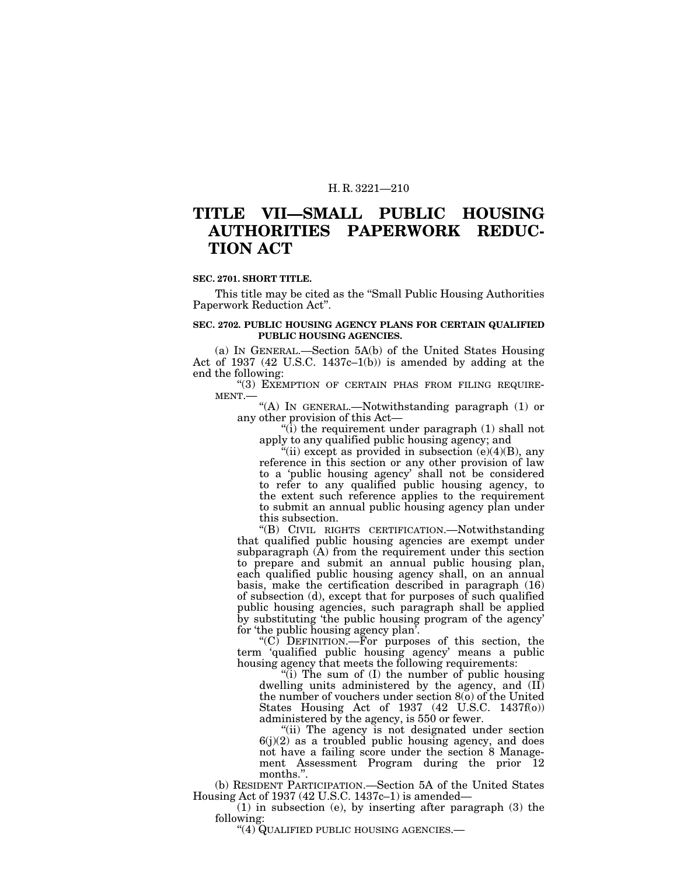# **TITLE VII—SMALL PUBLIC HOUSING AUTHORITIES PAPERWORK REDUC-TION ACT**

## **SEC. 2701. SHORT TITLE.**

This title may be cited as the ''Small Public Housing Authorities Paperwork Reduction Act''.

### **SEC. 2702. PUBLIC HOUSING AGENCY PLANS FOR CERTAIN QUALIFIED PUBLIC HOUSING AGENCIES.**

(a) IN GENERAL.—Section 5A(b) of the United States Housing Act of 1937 (42 U.S.C. 1437c–1(b)) is amended by adding at the end the following:

"(3) EXEMPTION OF CERTAIN PHAS FROM FILING REQUIRE-MENT.—

''(A) IN GENERAL.—Notwithstanding paragraph (1) or any other provision of this Act—

" $(i)$  the requirement under paragraph  $(1)$  shall not apply to any qualified public housing agency; and

"(ii) except as provided in subsection  $(e)(4)(B)$ , any reference in this section or any other provision of law to a 'public housing agency' shall not be considered to refer to any qualified public housing agency, to the extent such reference applies to the requirement to submit an annual public housing agency plan under this subsection.

''(B) CIVIL RIGHTS CERTIFICATION.—Notwithstanding that qualified public housing agencies are exempt under subparagraph (A) from the requirement under this section to prepare and submit an annual public housing plan, each qualified public housing agency shall, on an annual basis, make the certification described in paragraph (16) of subsection (d), except that for purposes of such qualified public housing agencies, such paragraph shall be applied by substituting 'the public housing program of the agency' for 'the public housing agency plan'.

''(C) DEFINITION.—For purposes of this section, the term 'qualified public housing agency' means a public housing agency that meets the following requirements:

 $\tilde{f}$ ) The sum of (I) the number of public housing dwelling units administered by the agency, and  $(II)$ the number of vouchers under section 8(o) of the United States Housing Act of 1937 (42 U.S.C. 1437f(o)) administered by the agency, is 550 or fewer.

"(ii) The agency is not designated under section  $6(j)(2)$  as a troubled public housing agency, and does not have a failing score under the section 8 Management Assessment Program during the prior 12 months.''.

(b) RESIDENT PARTICIPATION.—Section 5A of the United States Housing Act of 1937 (42 U.S.C. 1437c–1) is amended—

(1) in subsection (e), by inserting after paragraph (3) the following:

''(4) QUALIFIED PUBLIC HOUSING AGENCIES.—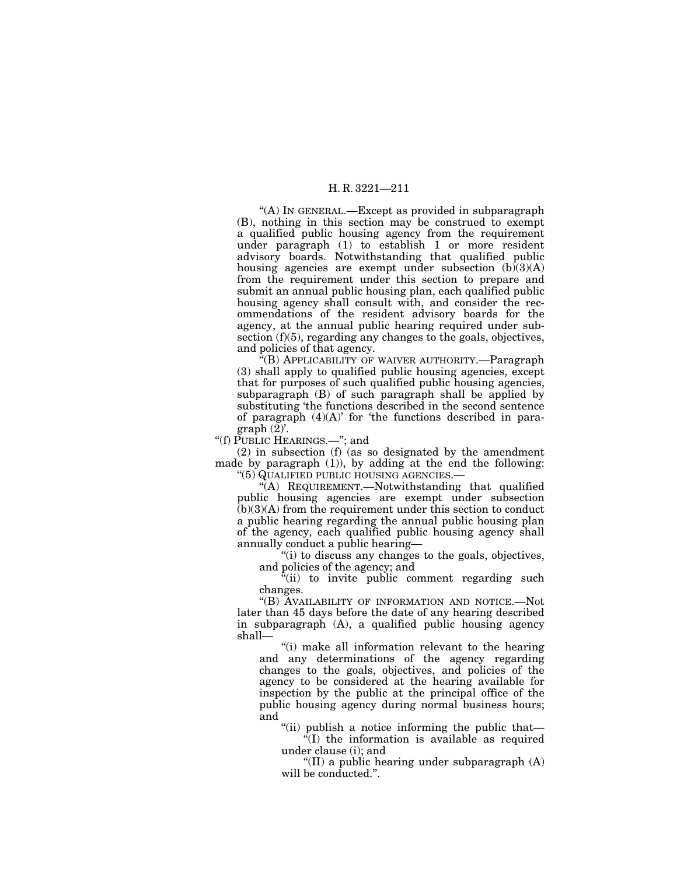''(A) IN GENERAL.—Except as provided in subparagraph (B), nothing in this section may be construed to exempt a qualified public housing agency from the requirement under paragraph (1) to establish 1 or more resident advisory boards. Notwithstanding that qualified public housing agencies are exempt under subsection  $(b)(3)(A)$ from the requirement under this section to prepare and submit an annual public housing plan, each qualified public housing agency shall consult with, and consider the recommendations of the resident advisory boards for the agency, at the annual public hearing required under subsection (f)(5), regarding any changes to the goals, objectives, and policies of that agency.

 $\mathbf{H}(\mathbf{B})$  Applicability of waiver authority.—Paragraph (3) shall apply to qualified public housing agencies, except that for purposes of such qualified public housing agencies, subparagraph (B) of such paragraph shall be applied by substituting 'the functions described in the second sentence of paragraph  $(4)(A)$  for the functions described in para $graph (2)$ .

''(f) PUBLIC HEARINGS.—''; and

(2) in subsection (f) (as so designated by the amendment made by paragraph (1)), by adding at the end the following: ''(5) QUALIFIED PUBLIC HOUSING AGENCIES.—

''(A) REQUIREMENT.—Notwithstanding that qualified public housing agencies are exempt under subsection  $(b)(3)(A)$  from the requirement under this section to conduct a public hearing regarding the annual public housing plan of the agency, each qualified public housing agency shall annually conduct a public hearing—

''(i) to discuss any changes to the goals, objectives, and policies of the agency; and

'(ii) to invite public comment regarding such changes.

''(B) AVAILABILITY OF INFORMATION AND NOTICE.—Not later than 45 days before the date of any hearing described in subparagraph (A), a qualified public housing agency shall—

''(i) make all information relevant to the hearing and any determinations of the agency regarding changes to the goals, objectives, and policies of the agency to be considered at the hearing available for inspection by the public at the principal office of the public housing agency during normal business hours; and

"(ii) publish a notice informing the public that- $\sqrt{f(1)}$  the information is available as required

under clause (i); and "(II) a public hearing under subparagraph  $(A)$ will be conducted.".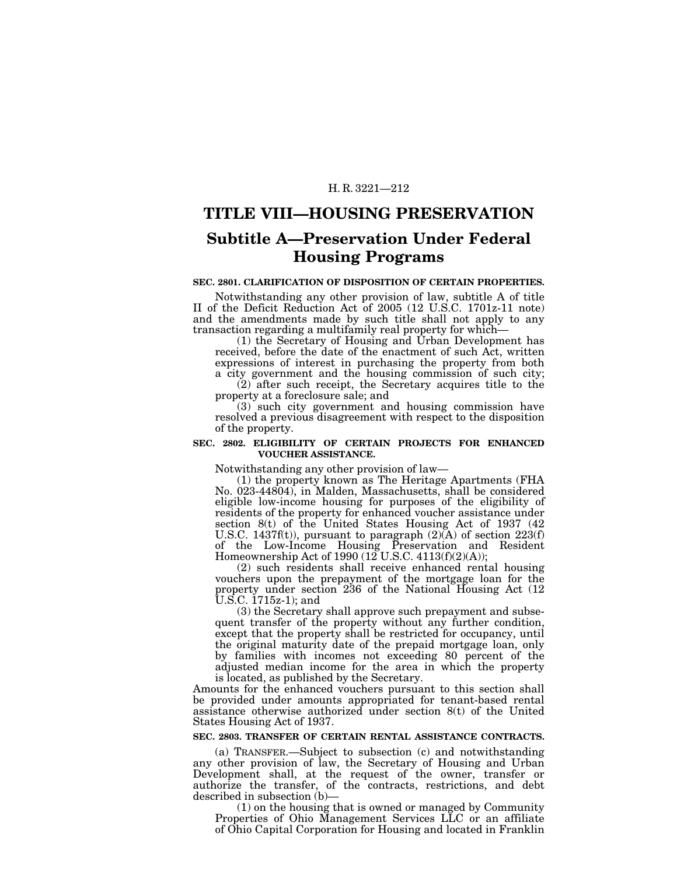# **TITLE VIII—HOUSING PRESERVATION Subtitle A—Preservation Under Federal Housing Programs**

## **SEC. 2801. CLARIFICATION OF DISPOSITION OF CERTAIN PROPERTIES.**

Notwithstanding any other provision of law, subtitle A of title II of the Deficit Reduction Act of 2005 (12 U.S.C. 1701z-11 note) and the amendments made by such title shall not apply to any transaction regarding a multifamily real property for which—

(1) the Secretary of Housing and Urban Development has received, before the date of the enactment of such Act, written expressions of interest in purchasing the property from both a city government and the housing commission of such city;

(2) after such receipt, the Secretary acquires title to the property at a foreclosure sale; and

(3) such city government and housing commission have resolved a previous disagreement with respect to the disposition of the property.

### **SEC. 2802. ELIGIBILITY OF CERTAIN PROJECTS FOR ENHANCED VOUCHER ASSISTANCE.**

Notwithstanding any other provision of law—

(1) the property known as The Heritage Apartments (FHA No. 023-44804), in Malden, Massachusetts, shall be considered eligible low-income housing for purposes of the eligibility of residents of the property for enhanced voucher assistance under section 8(t) of the United States Housing Act of 1937 (42 U.S.C. 1437f(t)), pursuant to paragraph  $(2)(A)$  of section  $223(f)$ of the Low-Income Housing Preservation and Resident Homeownership Act of 1990 (12 U.S.C. 4113(f)(2)(A));

(2) such residents shall receive enhanced rental housing vouchers upon the prepayment of the mortgage loan for the property under section 236 of the National Housing Act (12 U.S.C. 1715z-1); and

(3) the Secretary shall approve such prepayment and subsequent transfer of the property without any further condition, except that the property shall be restricted for occupancy, until the original maturity date of the prepaid mortgage loan, only by families with incomes not exceeding 80 percent of the adjusted median income for the area in which the property is located, as published by the Secretary.

Amounts for the enhanced vouchers pursuant to this section shall be provided under amounts appropriated for tenant-based rental assistance otherwise authorized under section 8(t) of the United States Housing Act of 1937.

## **SEC. 2803. TRANSFER OF CERTAIN RENTAL ASSISTANCE CONTRACTS.**

(a) TRANSFER.—Subject to subsection (c) and notwithstanding any other provision of law, the Secretary of Housing and Urban Development shall, at the request of the owner, transfer or authorize the transfer, of the contracts, restrictions, and debt described in subsection (b)—

(1) on the housing that is owned or managed by Community Properties of Ohio Management Services LLC or an affiliate of Ohio Capital Corporation for Housing and located in Franklin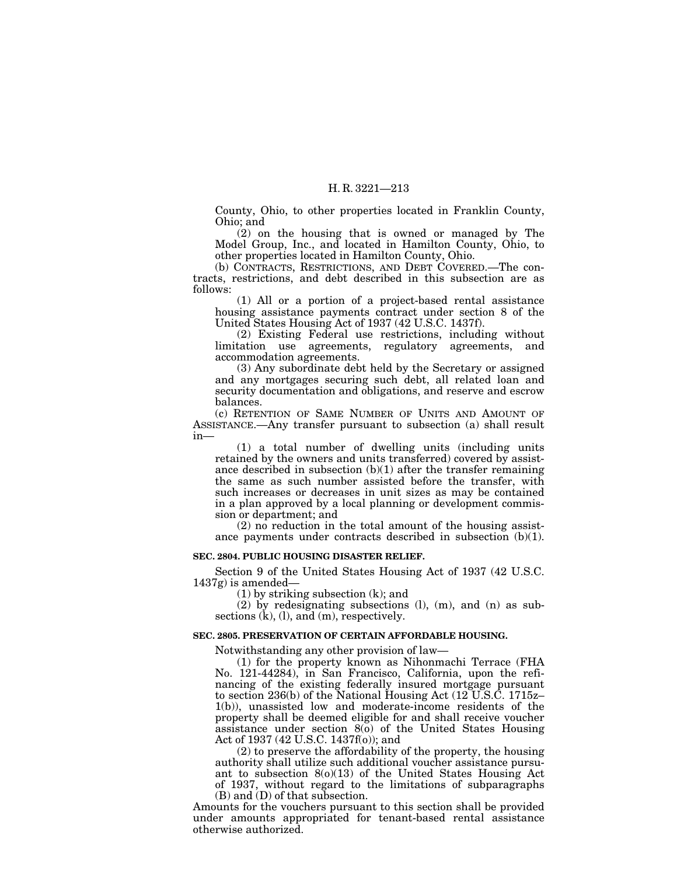County, Ohio, to other properties located in Franklin County, Ohio; and

(2) on the housing that is owned or managed by The Model Group, Inc., and located in Hamilton County, Ohio, to other properties located in Hamilton County, Ohio.

(b) CONTRACTS, RESTRICTIONS, AND DEBT COVERED.—The contracts, restrictions, and debt described in this subsection are as follows:

(1) All or a portion of a project-based rental assistance housing assistance payments contract under section 8 of the United States Housing Act of 1937 (42 U.S.C. 1437f).

(2) Existing Federal use restrictions, including without limitation use agreements, regulatory agreements, and accommodation agreements.

(3) Any subordinate debt held by the Secretary or assigned and any mortgages securing such debt, all related loan and security documentation and obligations, and reserve and escrow balances.

(c) RETENTION OF SAME NUMBER OF UNITS AND AMOUNT OF ASSISTANCE.—Any transfer pursuant to subsection (a) shall result in—

(1) a total number of dwelling units (including units retained by the owners and units transferred) covered by assistance described in subsection  $(b)(1)$  after the transfer remaining the same as such number assisted before the transfer, with such increases or decreases in unit sizes as may be contained in a plan approved by a local planning or development commission or department; and

(2) no reduction in the total amount of the housing assistance payments under contracts described in subsection (b)(1).

### **SEC. 2804. PUBLIC HOUSING DISASTER RELIEF.**

Section 9 of the United States Housing Act of 1937 (42 U.S.C. 1437g) is amended—

(1) by striking subsection (k); and

(2) by redesignating subsections (l), (m), and (n) as subsections  $(k)$ ,  $(l)$ , and  $(m)$ , respectively.

### **SEC. 2805. PRESERVATION OF CERTAIN AFFORDABLE HOUSING.**

Notwithstanding any other provision of law—

(1) for the property known as Nihonmachi Terrace (FHA No. 121-44284), in San Francisco, California, upon the refinancing of the existing federally insured mortgage pursuant to section 236(b) of the National Housing Act (12 U.S.C. 1715z– 1(b)), unassisted low and moderate-income residents of the property shall be deemed eligible for and shall receive voucher assistance under section 8(o) of the United States Housing Act of 1937 (42 U.S.C. 1437f(o)); and

(2) to preserve the affordability of the property, the housing authority shall utilize such additional voucher assistance pursuant to subsection 8(o)(13) of the United States Housing Act of 1937, without regard to the limitations of subparagraphs (B) and (D) of that subsection.

Amounts for the vouchers pursuant to this section shall be provided under amounts appropriated for tenant-based rental assistance otherwise authorized.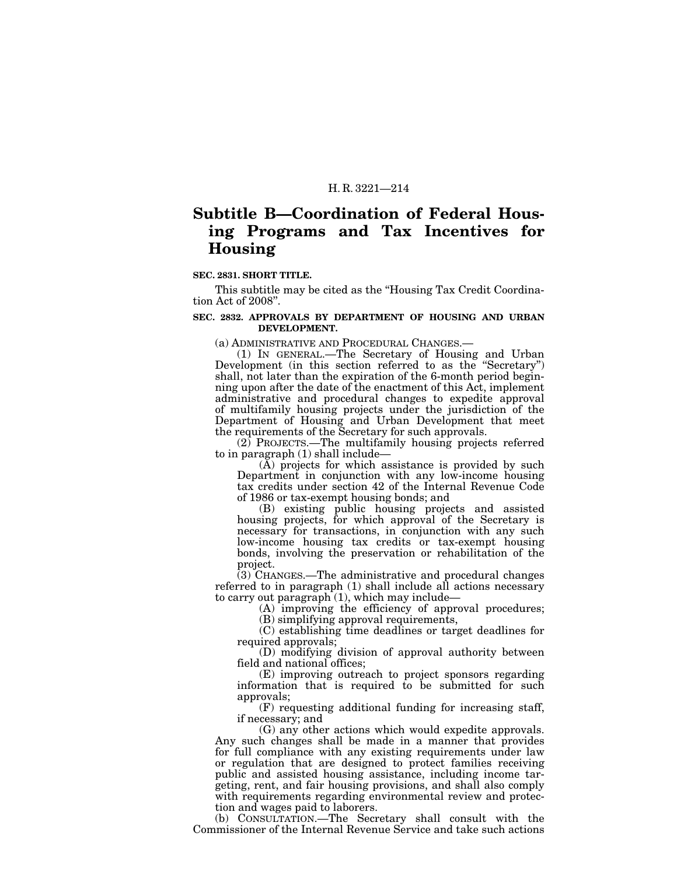# **Subtitle B—Coordination of Federal Housing Programs and Tax Incentives for Housing**

## **SEC. 2831. SHORT TITLE.**

This subtitle may be cited as the ''Housing Tax Credit Coordination Act of 2008''.

## **SEC. 2832. APPROVALS BY DEPARTMENT OF HOUSING AND URBAN DEVELOPMENT.**

(a) ADMINISTRATIVE AND PROCEDURAL CHANGES.—

(1) IN GENERAL.—The Secretary of Housing and Urban Development (in this section referred to as the ''Secretary'') shall, not later than the expiration of the 6-month period beginning upon after the date of the enactment of this Act, implement administrative and procedural changes to expedite approval of multifamily housing projects under the jurisdiction of the Department of Housing and Urban Development that meet the requirements of the Secretary for such approvals.

(2) PROJECTS.—The multifamily housing projects referred to in paragraph (1) shall include—

 $(\overline{A})$  projects for which assistance is provided by such Department in conjunction with any low-income housing tax credits under section 42 of the Internal Revenue Code of 1986 or tax-exempt housing bonds; and

(B) existing public housing projects and assisted housing projects, for which approval of the Secretary is necessary for transactions, in conjunction with any such low-income housing tax credits or tax-exempt housing bonds, involving the preservation or rehabilitation of the project.

(3) CHANGES.—The administrative and procedural changes referred to in paragraph (1) shall include all actions necessary to carry out paragraph (1), which may include—

> (A) improving the efficiency of approval procedures; (B) simplifying approval requirements,

(C) establishing time deadlines or target deadlines for required approvals;

(D) modifying division of approval authority between field and national offices;

(E) improving outreach to project sponsors regarding information that is required to be submitted for such approvals;

(F) requesting additional funding for increasing staff, if necessary; and

(G) any other actions which would expedite approvals. Any such changes shall be made in a manner that provides for full compliance with any existing requirements under law or regulation that are designed to protect families receiving public and assisted housing assistance, including income targeting, rent, and fair housing provisions, and shall also comply with requirements regarding environmental review and protection and wages paid to laborers.

(b) CONSULTATION.—The Secretary shall consult with the Commissioner of the Internal Revenue Service and take such actions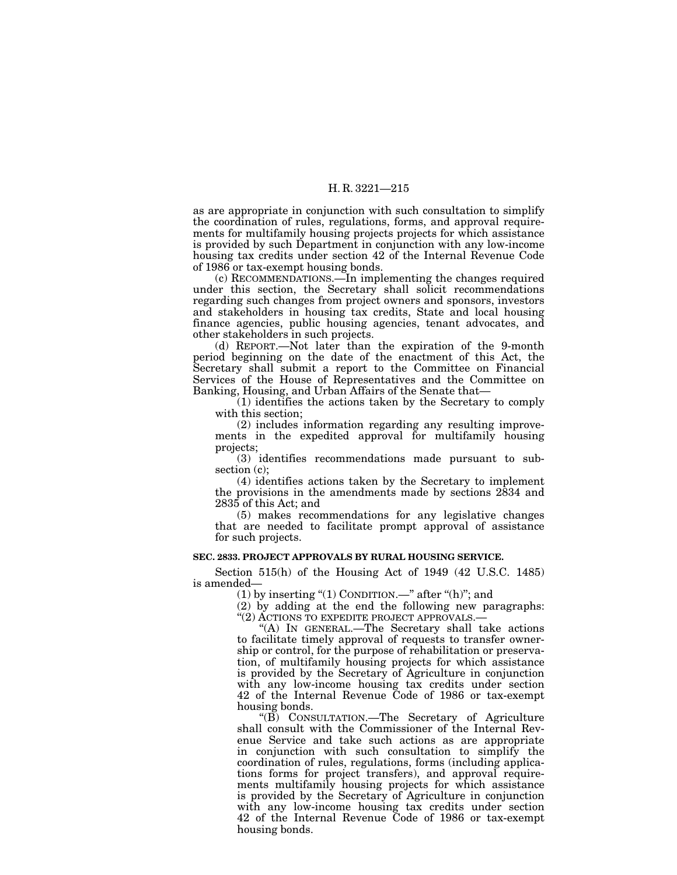as are appropriate in conjunction with such consultation to simplify the coordination of rules, regulations, forms, and approval requirements for multifamily housing projects projects for which assistance is provided by such Department in conjunction with any low-income housing tax credits under section 42 of the Internal Revenue Code of 1986 or tax-exempt housing bonds.

(c) RECOMMENDATIONS.—In implementing the changes required under this section, the Secretary shall solicit recommendations regarding such changes from project owners and sponsors, investors and stakeholders in housing tax credits, State and local housing finance agencies, public housing agencies, tenant advocates, and other stakeholders in such projects.

(d) REPORT.—Not later than the expiration of the 9-month period beginning on the date of the enactment of this Act, the Secretary shall submit a report to the Committee on Financial Services of the House of Representatives and the Committee on Banking, Housing, and Urban Affairs of the Senate that—

(1) identifies the actions taken by the Secretary to comply with this section;

(2) includes information regarding any resulting improvements in the expedited approval for multifamily housing projects;

(3) identifies recommendations made pursuant to subsection (c);

(4) identifies actions taken by the Secretary to implement the provisions in the amendments made by sections 2834 and 2835 of this Act; and

(5) makes recommendations for any legislative changes that are needed to facilitate prompt approval of assistance for such projects.

### **SEC. 2833. PROJECT APPROVALS BY RURAL HOUSING SERVICE.**

Section 515(h) of the Housing Act of 1949 (42 U.S.C. 1485) is amended—

(1) by inserting " $(1)$  CONDITION.—" after " $(h)$ "; and

(2) by adding at the end the following new paragraphs: "(2) ACTIONS TO EXPEDITE PROJECT APPROVALS.-

''(A) IN GENERAL.—The Secretary shall take actions to facilitate timely approval of requests to transfer ownership or control, for the purpose of rehabilitation or preservation, of multifamily housing projects for which assistance is provided by the Secretary of Agriculture in conjunction with any low-income housing tax credits under section 42 of the Internal Revenue Code of 1986 or tax-exempt housing bonds.

''(B) CONSULTATION.—The Secretary of Agriculture shall consult with the Commissioner of the Internal Revenue Service and take such actions as are appropriate in conjunction with such consultation to simplify the coordination of rules, regulations, forms (including applications forms for project transfers), and approval requirements multifamily housing projects for which assistance is provided by the Secretary of Agriculture in conjunction with any low-income housing tax credits under section 42 of the Internal Revenue Code of 1986 or tax-exempt housing bonds.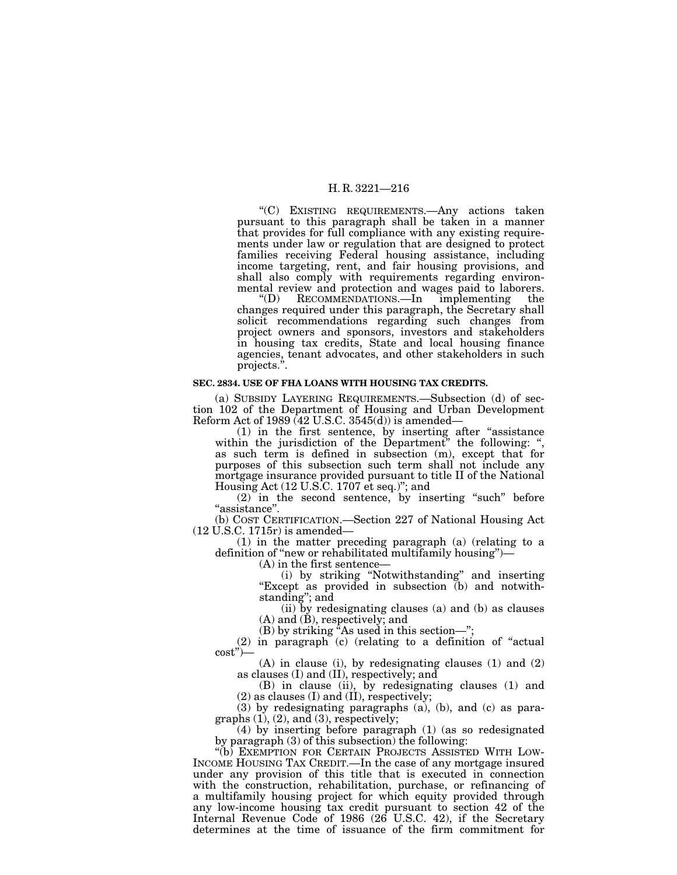''(C) EXISTING REQUIREMENTS.—Any actions taken pursuant to this paragraph shall be taken in a manner that provides for full compliance with any existing requirements under law or regulation that are designed to protect families receiving Federal housing assistance, including income targeting, rent, and fair housing provisions, and shall also comply with requirements regarding environmental review and protection and wages paid to laborers.<br>"(D) RECOMMENDATIONS.—In implementing the

RECOMMENDATIONS.—In implementing the changes required under this paragraph, the Secretary shall solicit recommendations regarding such changes from project owners and sponsors, investors and stakeholders in housing tax credits, State and local housing finance agencies, tenant advocates, and other stakeholders in such projects."

### **SEC. 2834. USE OF FHA LOANS WITH HOUSING TAX CREDITS.**

(a) SUBSIDY LAYERING REQUIREMENTS.—Subsection (d) of section 102 of the Department of Housing and Urban Development Reform Act of 1989 (42 U.S.C. 3545(d)) is amended–

(1) in the first sentence, by inserting after ''assistance within the jurisdiction of the Department" the following: ", as such term is defined in subsection (m), except that for purposes of this subsection such term shall not include any mortgage insurance provided pursuant to title II of the National Housing Act (12 U.S.C. 1707 et seq.)''; and

 $(2)$  in the second sentence, by inserting "such" before "assistance".

(b) COST CERTIFICATION.—Section 227 of National Housing Act (12 U.S.C. 1715r) is amended—

(1) in the matter preceding paragraph (a) (relating to a definition of ''new or rehabilitated multifamily housing'')—

(A) in the first sentence—

(i) by striking ''Notwithstanding'' and inserting ''Except as provided in subsection (b) and notwithstanding''; and

(ii) by redesignating clauses (a) and (b) as clauses (A) and (B), respectively; and

(B) by striking  $^{\alpha}$ As used in this section—";

(2) in paragraph (c) (relating to a definition of ''actual cost'')—

(A) in clause (i), by redesignating clauses (1) and (2) as clauses (I) and (II), respectively; and

(B) in clause (ii), by redesignating clauses (1) and (2) as clauses (I) and (II), respectively;

(3) by redesignating paragraphs (a), (b), and (c) as paragraphs  $(1)$ ,  $(2)$ , and  $(3)$ , respectively;

(4) by inserting before paragraph (1) (as so redesignated by paragraph (3) of this subsection) the following:

''(b) EXEMPTION FOR CERTAIN PROJECTS ASSISTED WITH LOW-INCOME HOUSING TAX CREDIT.—In the case of any mortgage insured under any provision of this title that is executed in connection with the construction, rehabilitation, purchase, or refinancing of a multifamily housing project for which equity provided through any low-income housing tax credit pursuant to section 42 of the Internal Revenue Code of 1986 (26 U.S.C. 42), if the Secretary determines at the time of issuance of the firm commitment for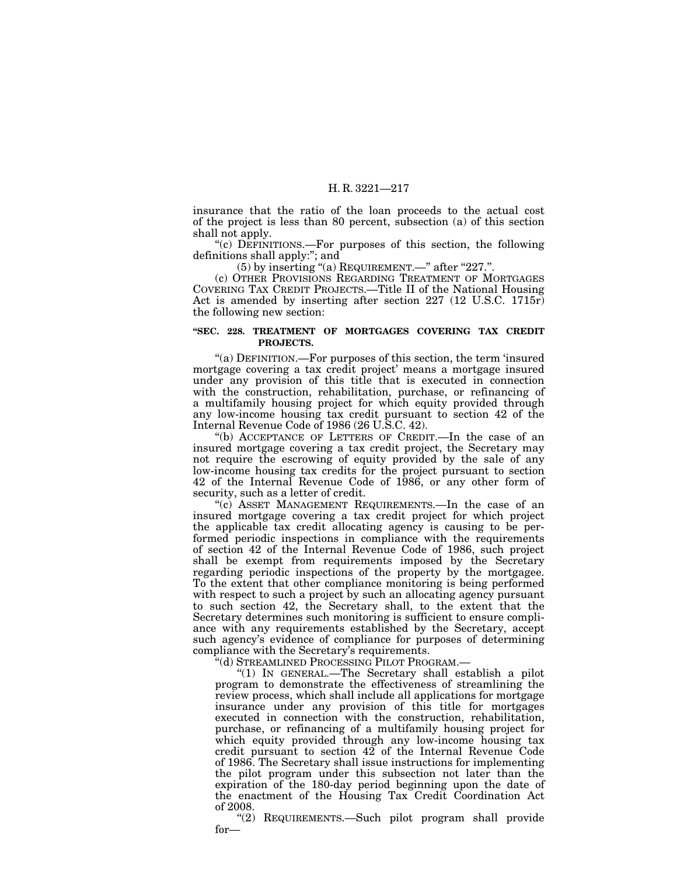insurance that the ratio of the loan proceeds to the actual cost of the project is less than 80 percent, subsection (a) of this section shall not apply.

"(c) DEFINITIONS.—For purposes of this section, the following definitions shall apply:''; and

 $(5)$  by inserting " $(a)$  REQUIREMENT.—" after "227.".

(c) OTHER PROVISIONS REGARDING TREATMENT OF MORTGAGES COVERING TAX CREDIT PROJECTS.—Title II of the National Housing Act is amended by inserting after section 227 (12 U.S.C. 1715r) the following new section:

#### **''SEC. 228. TREATMENT OF MORTGAGES COVERING TAX CREDIT PROJECTS.**

''(a) DEFINITION.—For purposes of this section, the term 'insured mortgage covering a tax credit project' means a mortgage insured under any provision of this title that is executed in connection with the construction, rehabilitation, purchase, or refinancing of a multifamily housing project for which equity provided through any low-income housing tax credit pursuant to section 42 of the Internal Revenue Code of 1986 (26 U.S.C. 42).

''(b) ACCEPTANCE OF LETTERS OF CREDIT.—In the case of an insured mortgage covering a tax credit project, the Secretary may not require the escrowing of equity provided by the sale of any low-income housing tax credits for the project pursuant to section 42 of the Internal Revenue Code of 1986, or any other form of security, such as a letter of credit.

"(c) ASSET MANAGEMENT REQUIREMENTS.—In the case of an insured mortgage covering a tax credit project for which project the applicable tax credit allocating agency is causing to be performed periodic inspections in compliance with the requirements of section 42 of the Internal Revenue Code of 1986, such project shall be exempt from requirements imposed by the Secretary regarding periodic inspections of the property by the mortgagee. To the extent that other compliance monitoring is being performed with respect to such a project by such an allocating agency pursuant to such section 42, the Secretary shall, to the extent that the Secretary determines such monitoring is sufficient to ensure compliance with any requirements established by the Secretary, accept such agency's evidence of compliance for purposes of determining compliance with the Secretary's requirements.

''(d) STREAMLINED PROCESSING PILOT PROGRAM.—

''(1) IN GENERAL.—The Secretary shall establish a pilot program to demonstrate the effectiveness of streamlining the review process, which shall include all applications for mortgage insurance under any provision of this title for mortgages executed in connection with the construction, rehabilitation, purchase, or refinancing of a multifamily housing project for which equity provided through any low-income housing tax credit pursuant to section 42 of the Internal Revenue Code of 1986. The Secretary shall issue instructions for implementing the pilot program under this subsection not later than the expiration of the 180-day period beginning upon the date of the enactment of the Housing Tax Credit Coordination Act of 2008.

''(2) REQUIREMENTS.—Such pilot program shall provide for—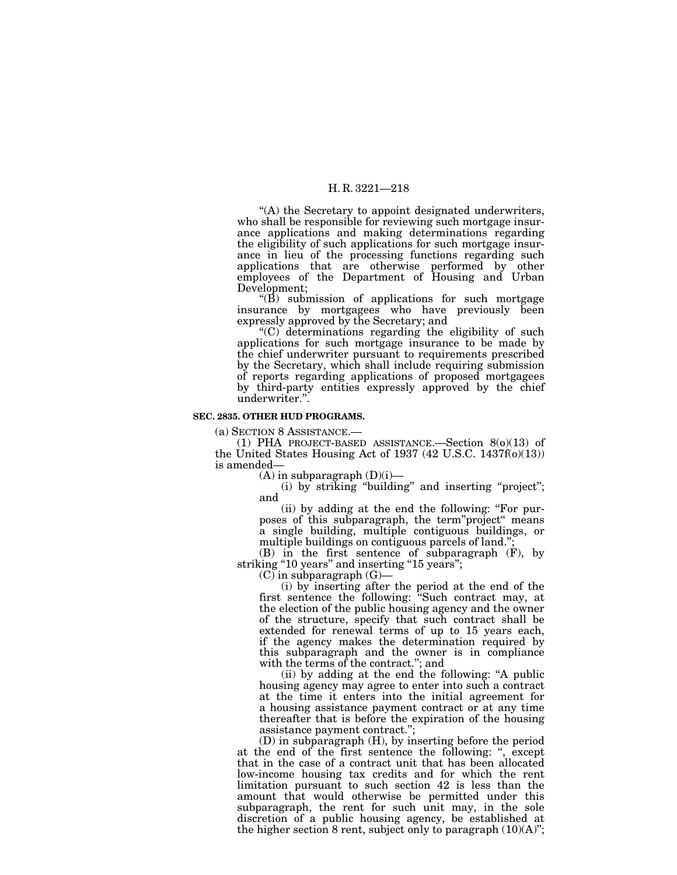''(A) the Secretary to appoint designated underwriters, who shall be responsible for reviewing such mortgage insurance applications and making determinations regarding the eligibility of such applications for such mortgage insurance in lieu of the processing functions regarding such applications that are otherwise performed by other employees of the Department of Housing and Urban Development;

 $\langle \hat{B} \rangle$  submission of applications for such mortgage insurance by mortgagees who have previously been expressly approved by the Secretary; and

''(C) determinations regarding the eligibility of such applications for such mortgage insurance to be made by the chief underwriter pursuant to requirements prescribed by the Secretary, which shall include requiring submission of reports regarding applications of proposed mortgagees by third-party entities expressly approved by the chief underwriter.''.

#### **SEC. 2835. OTHER HUD PROGRAMS.**

(a) SECTION 8 ASSISTANCE.—

(1) PHA PROJECT-BASED ASSISTANCE.—Section 8(o)(13) of the United States Housing Act of 1937 (42 U.S.C. 1437f(o)(13)) is amended—

 $(A)$  in subparagraph  $(D)(i)$ —

(i) by striking ''building'' and inserting ''project''; and

(ii) by adding at the end the following: ''For purposes of this subparagraph, the term''project'' means a single building, multiple contiguous buildings, or multiple buildings on contiguous parcels of land.

(B) in the first sentence of subparagraph (F), by striking "10 years" and inserting "15 years";

 $(C)$  in subparagraph  $(G)$ –

(i) by inserting after the period at the end of the first sentence the following: ''Such contract may, at the election of the public housing agency and the owner of the structure, specify that such contract shall be extended for renewal terms of up to 15 years each, if the agency makes the determination required by this subparagraph and the owner is in compliance with the terms of the contract.''; and

(ii) by adding at the end the following: ''A public housing agency may agree to enter into such a contract at the time it enters into the initial agreement for a housing assistance payment contract or at any time thereafter that is before the expiration of the housing assistance payment contract.'';

(D) in subparagraph (H), by inserting before the period at the end of the first sentence the following: '', except that in the case of a contract unit that has been allocated low-income housing tax credits and for which the rent limitation pursuant to such section 42 is less than the amount that would otherwise be permitted under this subparagraph, the rent for such unit may, in the sole discretion of a public housing agency, be established at the higher section 8 rent, subject only to paragraph  $(10)(A)$ ";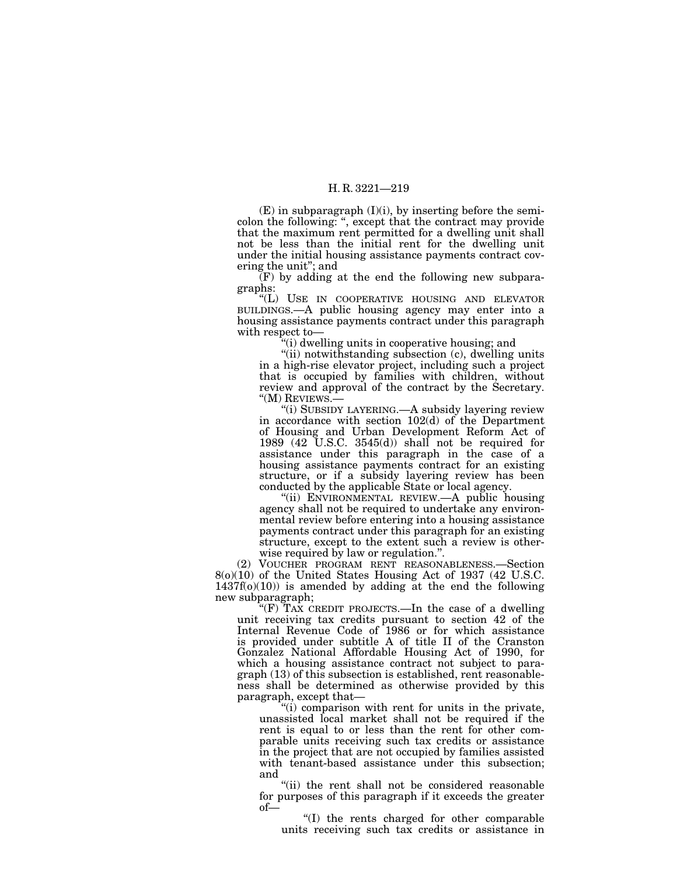$(E)$  in subparagraph  $(I)(i)$ , by inserting before the semicolon the following: '', except that the contract may provide that the maximum rent permitted for a dwelling unit shall not be less than the initial rent for the dwelling unit under the initial housing assistance payments contract covering the unit''; and

(F) by adding at the end the following new subparagraphs:

''(L) USE IN COOPERATIVE HOUSING AND ELEVATOR BUILDINGS.—A public housing agency may enter into a housing assistance payments contract under this paragraph with respect to—

''(i) dwelling units in cooperative housing; and

''(ii) notwithstanding subsection (c), dwelling units in a high-rise elevator project, including such a project that is occupied by families with children, without review and approval of the contract by the Secretary.<br>"(M) REVIEWS.—

''(M) REVIEWS.— ''(i) SUBSIDY LAYERING.—A subsidy layering review in accordance with section 102(d) of the Department of Housing and Urban Development Reform Act of 1989 (42 U.S.C. 3545(d)) shall not be required for assistance under this paragraph in the case of a housing assistance payments contract for an existing structure, or if a subsidy layering review has been conducted by the applicable State or local agency.

''(ii) ENVIRONMENTAL REVIEW.—A public housing agency shall not be required to undertake any environmental review before entering into a housing assistance payments contract under this paragraph for an existing structure, except to the extent such a review is otherwise required by law or regulation.''.

(2) VOUCHER PROGRAM RENT REASONABLENESS.—Section 8(o)(10) of the United States Housing Act of 1937 (42 U.S.C.  $1437f(0)(10)$  is amended by adding at the end the following new subparagraph;

"(F) TAX CREDIT PROJECTS.—In the case of a dwelling unit receiving tax credits pursuant to section 42 of the Internal Revenue Code of 1986 or for which assistance is provided under subtitle A of title II of the Cranston Gonzalez National Affordable Housing Act of 1990, for which a housing assistance contract not subject to paragraph (13) of this subsection is established, rent reasonableness shall be determined as otherwise provided by this paragraph, except that—

''(i) comparison with rent for units in the private, unassisted local market shall not be required if the rent is equal to or less than the rent for other comparable units receiving such tax credits or assistance in the project that are not occupied by families assisted with tenant-based assistance under this subsection; and

"(ii) the rent shall not be considered reasonable for purposes of this paragraph if it exceeds the greater of—

''(I) the rents charged for other comparable units receiving such tax credits or assistance in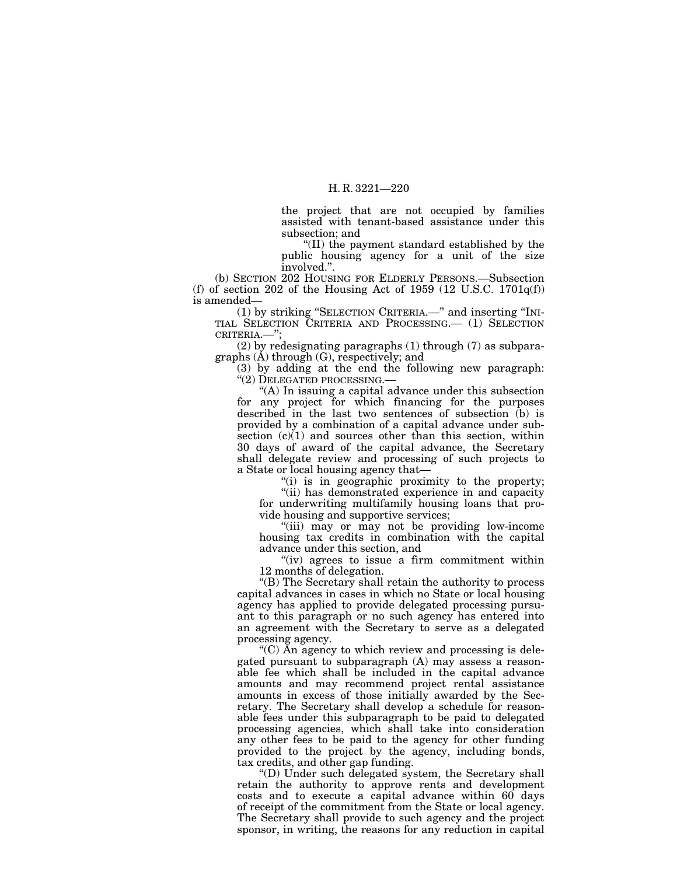the project that are not occupied by families assisted with tenant-based assistance under this subsection; and

''(II) the payment standard established by the public housing agency for a unit of the size involved.''.

(b) SECTION 202 HOUSING FOR ELDERLY PERSONS.—Subsection (f) of section 202 of the Housing Act of 1959 (12 U.S.C.  $1701q(f)$ ) is amended—

(1) by striking ''SELECTION CRITERIA.—'' and inserting ''INI-TIAL SELECTION CRITERIA AND PROCESSING.— (1) SELECTION CRITERIA.—'';

(2) by redesignating paragraphs (1) through (7) as subparagraphs (A) through (G), respectively; and

(3) by adding at the end the following new paragraph: ''(2) DELEGATED PROCESSING.—

''(A) In issuing a capital advance under this subsection for any project for which financing for the purposes described in the last two sentences of subsection (b) is provided by a combination of a capital advance under sub $section (c)(1)$  and sources other than this section, within 30 days of award of the capital advance, the Secretary shall delegate review and processing of such projects to a State or local housing agency that—

''(i) is in geographic proximity to the property;

"(ii) has demonstrated experience in and capacity for underwriting multifamily housing loans that provide housing and supportive services;

"(iii) may or may not be providing low-income housing tax credits in combination with the capital advance under this section, and

"(iv) agrees to issue a firm commitment within 12 months of delegation.

''(B) The Secretary shall retain the authority to process capital advances in cases in which no State or local housing agency has applied to provide delegated processing pursuant to this paragraph or no such agency has entered into an agreement with the Secretary to serve as a delegated processing agency.

 $C$ ) An agency to which review and processing is delegated pursuant to subparagraph (A) may assess a reasonable fee which shall be included in the capital advance amounts and may recommend project rental assistance amounts in excess of those initially awarded by the Secretary. The Secretary shall develop a schedule for reasonable fees under this subparagraph to be paid to delegated processing agencies, which shall take into consideration any other fees to be paid to the agency for other funding provided to the project by the agency, including bonds, tax credits, and other gap funding.

''(D) Under such delegated system, the Secretary shall retain the authority to approve rents and development costs and to execute a capital advance within 60 days of receipt of the commitment from the State or local agency. The Secretary shall provide to such agency and the project sponsor, in writing, the reasons for any reduction in capital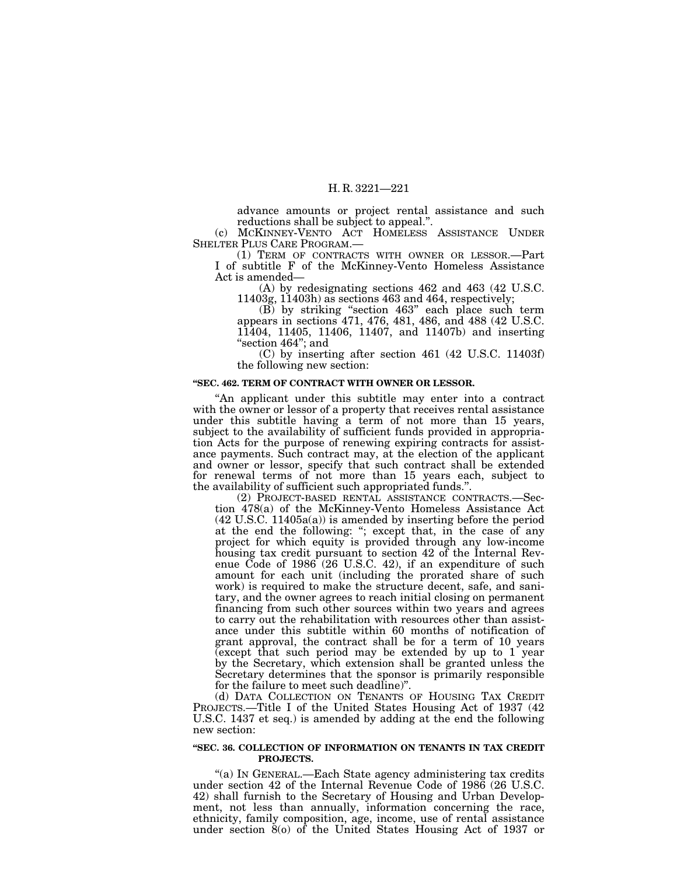advance amounts or project rental assistance and such reductions shall be subject to appeal.''.

(c) MCKINNEY-VENTO ACT HOMELESS ASSISTANCE UNDER SHELTER PLUS CARE PROGRAM.—

(1) TERM OF CONTRACTS WITH OWNER OR LESSOR.—Part I of subtitle F of the McKinney-Vento Homeless Assistance Act is amended—

(A) by redesignating sections 462 and 463 (42 U.S.C. 11403g, 11403h) as sections 463 and 464, respectively;

(B) by striking ''section 463'' each place such term appears in sections 471, 476, 481, 486, and 488 (42 U.S.C. 11404, 11405, 11406, 11407, and 11407b) and inserting ''section 464''; and

(C) by inserting after section 461 (42 U.S.C. 11403f) the following new section:

#### **''SEC. 462. TERM OF CONTRACT WITH OWNER OR LESSOR.**

''An applicant under this subtitle may enter into a contract with the owner or lessor of a property that receives rental assistance under this subtitle having a term of not more than 15 years, subject to the availability of sufficient funds provided in appropriation Acts for the purpose of renewing expiring contracts for assistance payments. Such contract may, at the election of the applicant and owner or lessor, specify that such contract shall be extended for renewal terms of not more than 15 years each, subject to the availability of sufficient such appropriated funds.''.

(2) PROJECT-BASED RENTAL ASSISTANCE CONTRACTS.—Section 478(a) of the McKinney-Vento Homeless Assistance Act (42 U.S.C. 11405a(a)) is amended by inserting before the period at the end the following: "; except that, in the case of any project for which equity is provided through any low-income housing tax credit pursuant to section 42 of the Internal Revenue Code of 1986 (26 U.S.C. 42), if an expenditure of such amount for each unit (including the prorated share of such work) is required to make the structure decent, safe, and sanitary, and the owner agrees to reach initial closing on permanent financing from such other sources within two years and agrees to carry out the rehabilitation with resources other than assistance under this subtitle within 60 months of notification of grant approval, the contract shall be for a term of 10 years (except that such period may be extended by up to 1 year by the Secretary, which extension shall be granted unless the Secretary determines that the sponsor is primarily responsible for the failure to meet such deadline)''.

(d) DATA COLLECTION ON TENANTS OF HOUSING TAX CREDIT PROJECTS.—Title I of the United States Housing Act of 1937 (42 U.S.C. 1437 et seq.) is amended by adding at the end the following new section:

#### **''SEC. 36. COLLECTION OF INFORMATION ON TENANTS IN TAX CREDIT PROJECTS.**

''(a) IN GENERAL.—Each State agency administering tax credits under section 42 of the Internal Revenue Code of 1986 (26 U.S.C. 42) shall furnish to the Secretary of Housing and Urban Development, not less than annually, information concerning the race, ethnicity, family composition, age, income, use of rental assistance under section 8(o) of the United States Housing Act of 1937 or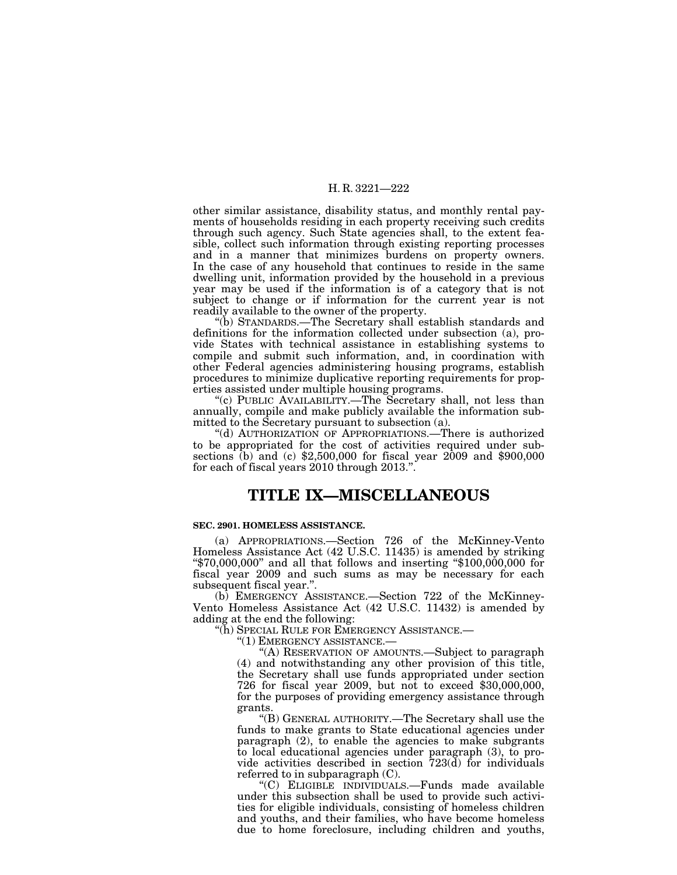other similar assistance, disability status, and monthly rental payments of households residing in each property receiving such credits through such agency. Such State agencies shall, to the extent feasible, collect such information through existing reporting processes and in a manner that minimizes burdens on property owners. In the case of any household that continues to reside in the same dwelling unit, information provided by the household in a previous year may be used if the information is of a category that is not subject to change or if information for the current year is not readily available to the owner of the property.

''(b) STANDARDS.—The Secretary shall establish standards and definitions for the information collected under subsection (a), provide States with technical assistance in establishing systems to compile and submit such information, and, in coordination with other Federal agencies administering housing programs, establish procedures to minimize duplicative reporting requirements for properties assisted under multiple housing programs.

"(c) PUBLIC AVAILABILITY.—The Secretary shall, not less than annually, compile and make publicly available the information submitted to the Secretary pursuant to subsection (a).

''(d) AUTHORIZATION OF APPROPRIATIONS.—There is authorized to be appropriated for the cost of activities required under subsections (b) and (c) \$2,500,000 for fiscal year 2009 and \$900,000 for each of fiscal years 2010 through 2013.''.

# **TITLE IX—MISCELLANEOUS**

### **SEC. 2901. HOMELESS ASSISTANCE.**

(a) APPROPRIATIONS.—Section 726 of the McKinney-Vento Homeless Assistance Act (42 U.S.C. 11435) is amended by striking ''\$70,000,000'' and all that follows and inserting ''\$100,000,000 for fiscal year 2009 and such sums as may be necessary for each subsequent fiscal year.''.

(b) EMERGENCY ASSISTANCE.—Section 722 of the McKinney-Vento Homeless Assistance Act (42 U.S.C. 11432) is amended by adding at the end the following:

''(h) SPECIAL RULE FOR EMERGENCY ASSISTANCE.—

''(1) EMERGENCY ASSISTANCE.—

''(A) RESERVATION OF AMOUNTS.—Subject to paragraph (4) and notwithstanding any other provision of this title, the Secretary shall use funds appropriated under section 726 for fiscal year 2009, but not to exceed \$30,000,000, for the purposes of providing emergency assistance through grants.

''(B) GENERAL AUTHORITY.—The Secretary shall use the funds to make grants to State educational agencies under paragraph  $(2)$ , to enable the agencies to make subgrants to local educational agencies under paragraph (3), to provide activities described in section 723(d) for individuals referred to in subparagraph (C).

''(C) ELIGIBLE INDIVIDUALS.—Funds made available under this subsection shall be used to provide such activities for eligible individuals, consisting of homeless children and youths, and their families, who have become homeless due to home foreclosure, including children and youths,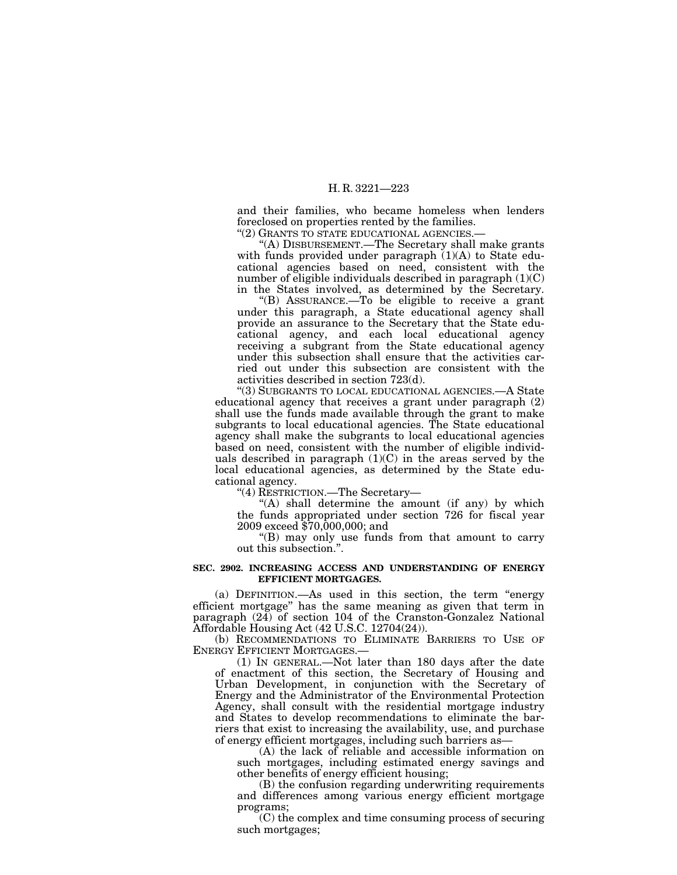and their families, who became homeless when lenders foreclosed on properties rented by the families.

''(2) GRANTS TO STATE EDUCATIONAL AGENCIES.—

''(A) DISBURSEMENT.—The Secretary shall make grants with funds provided under paragraph  $(1)(A)$  to State educational agencies based on need, consistent with the number of eligible individuals described in paragraph (1)(C) in the States involved, as determined by the Secretary.

''(B) ASSURANCE.—To be eligible to receive a grant under this paragraph, a State educational agency shall provide an assurance to the Secretary that the State educational agency, and each local educational agency receiving a subgrant from the State educational agency under this subsection shall ensure that the activities carried out under this subsection are consistent with the activities described in section 723(d).

''(3) SUBGRANTS TO LOCAL EDUCATIONAL AGENCIES.—A State educational agency that receives a grant under paragraph (2) shall use the funds made available through the grant to make subgrants to local educational agencies. The State educational agency shall make the subgrants to local educational agencies based on need, consistent with the number of eligible individuals described in paragraph  $(1)(C)$  in the areas served by the local educational agencies, as determined by the State educational agency.

''(4) RESTRICTION.—The Secretary—

 $(A)$  shall determine the amount (if any) by which the funds appropriated under section 726 for fiscal year 2009 exceed \$70,000,000; and

''(B) may only use funds from that amount to carry out this subsection.''.

#### **SEC. 2902. INCREASING ACCESS AND UNDERSTANDING OF ENERGY EFFICIENT MORTGAGES.**

(a) DEFINITION.—As used in this section, the term ''energy efficient mortgage'' has the same meaning as given that term in paragraph (24) of section 104 of the Cranston-Gonzalez National Affordable Housing Act (42 U.S.C. 12704(24)).

(b) RECOMMENDATIONS TO ELIMINATE BARRIERS TO USE OF ENERGY EFFICIENT MORTGAGES.—

(1) IN GENERAL.—Not later than 180 days after the date of enactment of this section, the Secretary of Housing and Urban Development, in conjunction with the Secretary of Energy and the Administrator of the Environmental Protection Agency, shall consult with the residential mortgage industry and States to develop recommendations to eliminate the barriers that exist to increasing the availability, use, and purchase of energy efficient mortgages, including such barriers as—

(A) the lack of reliable and accessible information on such mortgages, including estimated energy savings and other benefits of energy efficient housing;

(B) the confusion regarding underwriting requirements and differences among various energy efficient mortgage programs;

(C) the complex and time consuming process of securing such mortgages;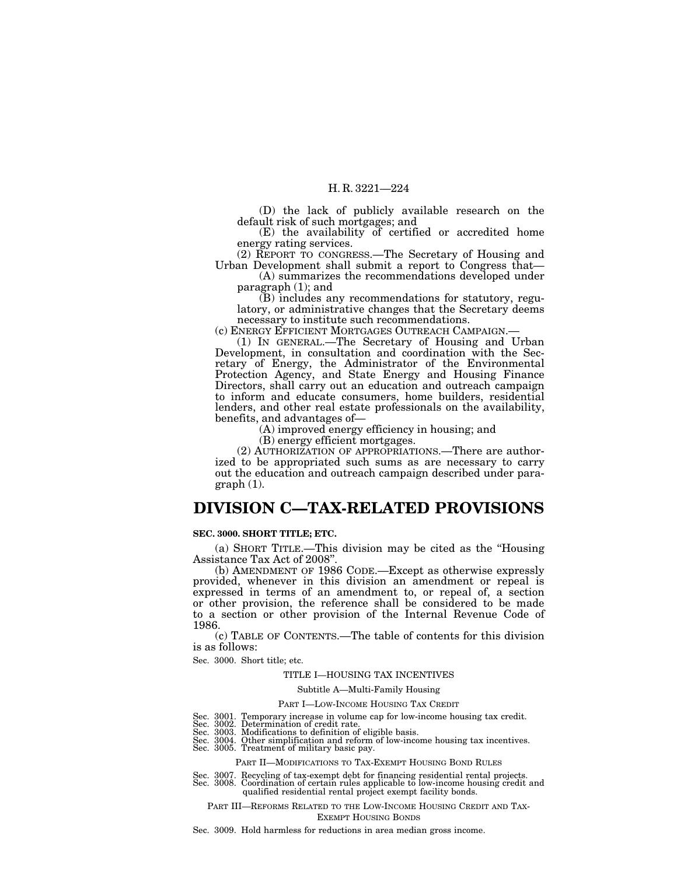(D) the lack of publicly available research on the default risk of such mortgages; and

(E) the availability of certified or accredited home energy rating services.

(2) REPORT TO CONGRESS.—The Secretary of Housing and Urban Development shall submit a report to Congress that—

(A) summarizes the recommendations developed under paragraph (1); and

(B) includes any recommendations for statutory, regulatory, or administrative changes that the Secretary deems necessary to institute such recommendations.

(c) ENERGY EFFICIENT MORTGAGES OUTREACH CAMPAIGN.— (1) IN GENERAL.—The Secretary of Housing and Urban Development, in consultation and coordination with the Secretary of Energy, the Administrator of the Environmental Protection Agency, and State Energy and Housing Finance Directors, shall carry out an education and outreach campaign to inform and educate consumers, home builders, residential lenders, and other real estate professionals on the availability, benefits, and advantages of—

(A) improved energy efficiency in housing; and

(B) energy efficient mortgages.

(2) AUTHORIZATION OF APPROPRIATIONS.—There are authorized to be appropriated such sums as are necessary to carry out the education and outreach campaign described under paragraph (1).

# **DIVISION C—TAX-RELATED PROVISIONS**

#### **SEC. 3000. SHORT TITLE; ETC.**

(a) SHORT TITLE.—This division may be cited as the ''Housing Assistance Tax Act of 2008''.

(b) AMENDMENT OF 1986 CODE.—Except as otherwise expressly provided, whenever in this division an amendment or repeal is expressed in terms of an amendment to, or repeal of, a section or other provision, the reference shall be considered to be made to a section or other provision of the Internal Revenue Code of 1986.

(c) TABLE OF CONTENTS.—The table of contents for this division is as follows:

Sec. 3000. Short title; etc.

### TITLE I—HOUSING TAX INCENTIVES

#### Subtitle A—Multi-Family Housing

#### PART I—LOW-INCOME HOUSING TAX CREDIT

- Sec. 3001. Temporary increase in volume cap for low-income housing tax credit.
- Sec. 3002. Determination of credit rate. Sec. 3003. Modifications to definition of eligible basis.
- 
- Sec. 3004. Other simplification and reform of low-income housing tax incentives. Sec. 3005. Treatment of military basic pay.

### PART II—MODIFICATIONS TO TAX-EXEMPT HOUSING BOND RULES

- Sec. 3007. Recycling of tax-exempt debt for financing residential rental projects.
- Coordination of certain rules applicable to low-income housing credit and qualified residential rental project exempt facility bonds.

PART III—REFORMS RELATED TO THE LOW-INCOME HOUSING CREDIT AND TAX-EXEMPT HOUSING BONDS

Sec. 3009. Hold harmless for reductions in area median gross income.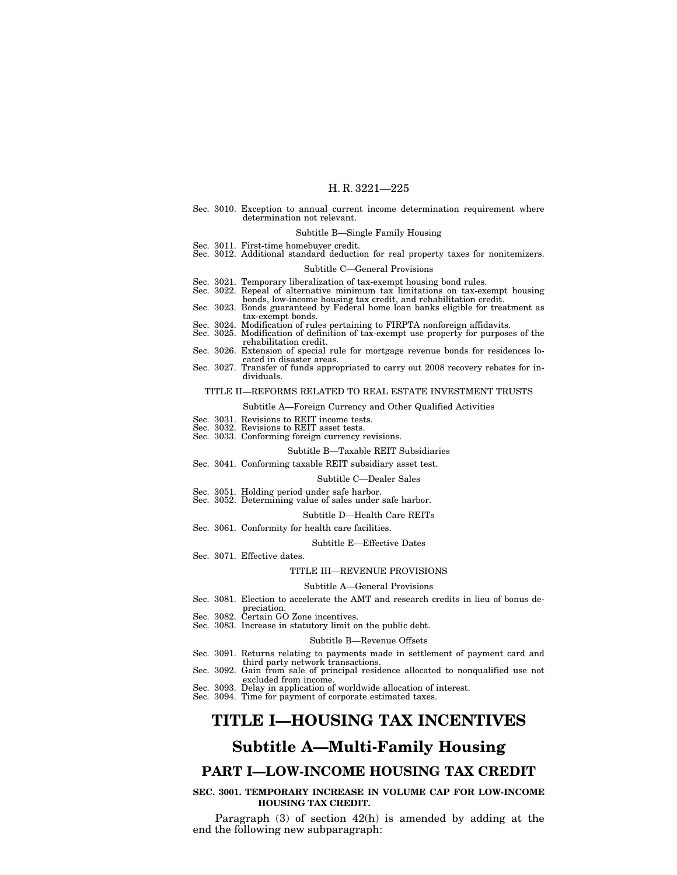Sec. 3010. Exception to annual current income determination requirement where determination not relevant.

#### Subtitle B—Single Family Housing

- Sec. 3011. First-time homebuyer credit.
- Sec. 3012. Additional standard deduction for real property taxes for nonitemizers.

#### Subtitle C—General Provisions

- Sec. 3021. Temporary liberalization of tax-exempt housing bond rules.<br>Sec. 3022. Repeal of alternative minimum tax limitations on tax-ex
- Repeal of alternative minimum tax limitations on tax-exempt housing
- bonds, low-income housing tax credit, and rehabilitation credit. Sec. 3023. Bonds guaranteed by Federal home loan banks eligible for treatment as tax-exempt bonds.
- Sec. 3024. Modification of rules pertaining to FIRPTA nonforeign affidavits.
- Sec. 3025. Modification of definition of tax-exempt use property for purposes of the rehabilitation credit.
- Sec. 3026. Extension of special rule for mortgage revenue bonds for residences located in disaster areas.
- Sec. 3027. Transfer of funds appropriated to carry out 2008 recovery rebates for individuals.

#### TITLE II—REFORMS RELATED TO REAL ESTATE INVESTMENT TRUSTS

#### Subtitle A—Foreign Currency and Other Qualified Activities

- Sec. 3031. Revisions to REIT income tests.
- Sec. 3032. Revisions to REIT asset tests.
- Sec. 3033. Conforming foreign currency revisions.

#### Subtitle B—Taxable REIT Subsidiaries

Sec. 3041. Conforming taxable REIT subsidiary asset test.

#### Subtitle C—Dealer Sales

- Sec. 3051. Holding period under safe harbor.
- Sec. 3052. Determining value of sales under safe harbor.

#### Subtitle D—Health Care REITs

Sec. 3061. Conformity for health care facilities.

#### Subtitle E—Effective Dates

Sec. 3071. Effective dates.

#### TITLE III—REVENUE PROVISIONS

#### Subtitle A—General Provisions

Sec. 3081. Election to accelerate the AMT and research credits in lieu of bonus de-

# preciation. Sec. 3082. Certain GO Zone incentives.

Sec. 3083. Increase in statutory limit on the public debt.

#### Subtitle B—Revenue Offsets

- Sec. 3091. Returns relating to payments made in settlement of payment card and third party network transactions.
- Sec. 3092. Gain from sale of principal residence allocated to nonqualified use not excluded from income.
- Sec. 3093. Delay in application of worldwide allocation of interest.
- Sec. 3094. Time for payment of corporate estimated taxes.

# **TITLE I—HOUSING TAX INCENTIVES**

## **Subtitle A—Multi-Family Housing**

## **PART I—LOW-INCOME HOUSING TAX CREDIT**

#### **SEC. 3001. TEMPORARY INCREASE IN VOLUME CAP FOR LOW-INCOME HOUSING TAX CREDIT.**

Paragraph (3) of section 42(h) is amended by adding at the end the following new subparagraph: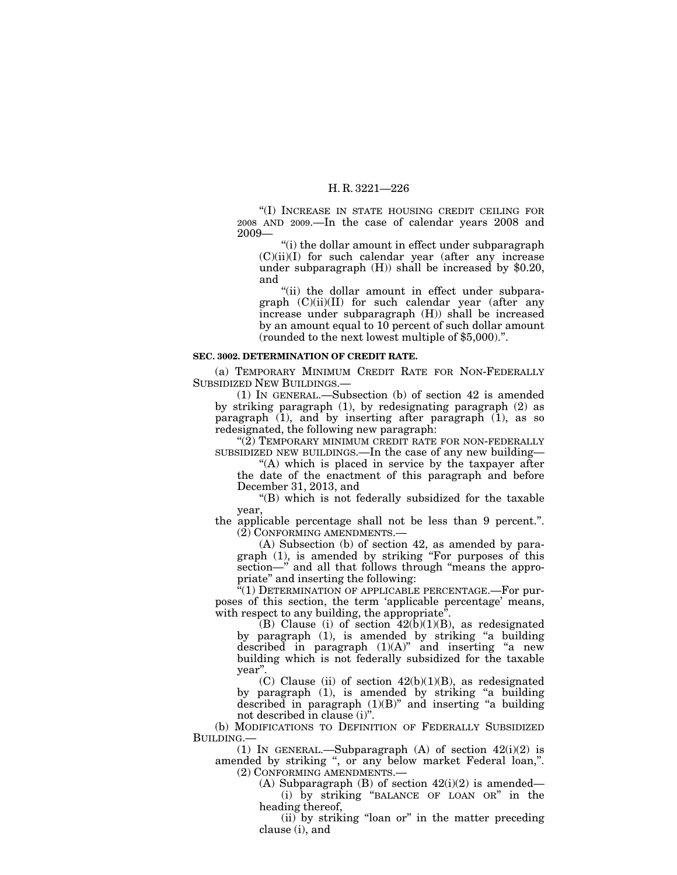''(I) INCREASE IN STATE HOUSING CREDIT CEILING FOR 2008 AND 2009.—In the case of calendar years 2008 and 2009—

''(i) the dollar amount in effect under subparagraph  $(C)(ii)(I)$  for such calendar year (after any increase under subparagraph (H)) shall be increased by \$0.20, and

"(ii) the dollar amount in effect under subparagraph (C)(ii)(II) for such calendar year (after any increase under subparagraph (H)) shall be increased by an amount equal to 10 percent of such dollar amount (rounded to the next lowest multiple of \$5,000).''.

#### **SEC. 3002. DETERMINATION OF CREDIT RATE.**

(a) TEMPORARY MINIMUM CREDIT RATE FOR NON-FEDERALLY SUBSIDIZED NEW BUILDINGS.—

(1) IN GENERAL.—Subsection (b) of section 42 is amended by striking paragraph (1), by redesignating paragraph (2) as paragraph  $(1)$ , and by inserting after paragraph  $(1)$ , as so redesignated, the following new paragraph:

"(2) TEMPORARY MINIMUM CREDIT RATE FOR NON-FEDERALLY SUBSIDIZED NEW BUILDINGS.—In the case of any new building—

''(A) which is placed in service by the taxpayer after the date of the enactment of this paragraph and before December 31, 2013, and

''(B) which is not federally subsidized for the taxable year,

the applicable percentage shall not be less than 9 percent.''. (2) CONFORMING AMENDMENTS.—

(A) Subsection (b) of section 42, as amended by paragraph (1), is amended by striking ''For purposes of this section—" and all that follows through "means the appropriate'' and inserting the following:

"(1) DETERMINATION OF APPLICABLE PERCENTAGE.—For purposes of this section, the term 'applicable percentage' means, with respect to any building, the appropriate".

(B) Clause (i) of section  $42(b)(1)(B)$ , as redesignated by paragraph (1), is amended by striking "a building described in paragraph  $(1)(A)$ " and inserting "a new building which is not federally subsidized for the taxable year''.

(C) Clause (ii) of section  $42(b)(1)(B)$ , as redesignated by paragraph (1), is amended by striking "a building described in paragraph  $(1)(B)$ " and inserting "a building not described in clause (i)''.

(b) MODIFICATIONS TO DEFINITION OF FEDERALLY SUBSIDIZED BUILDING.—

(1) IN GENERAL.—Subparagraph  $(A)$  of section  $42(i)(2)$  is amended by striking ", or any below market Federal loan,". (2) CONFORMING AMENDMENTS.—

(A) Subparagraph (B) of section  $42(i)(2)$  is amended—

(i) by striking ''BALANCE OF LOAN OR'' in the heading thereof,

(ii) by striking ''loan or'' in the matter preceding clause (i), and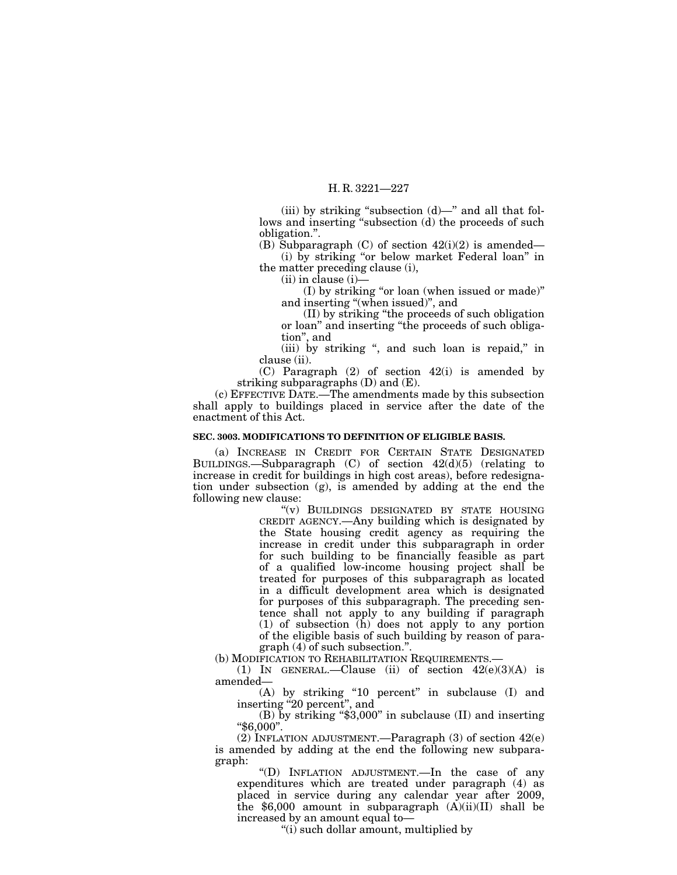(iii) by striking "subsection  $(d)$ —" and all that follows and inserting "subsection (d) the proceeds of such obligation.''.

(B) Subparagraph (C) of section  $42(i)(2)$  is amended— (i) by striking ''or below market Federal loan'' in

the matter preceding clause (i),

(ii) in clause (i)—

(I) by striking ''or loan (when issued or made)'' and inserting ''(when issued)'', and

(II) by striking ''the proceeds of such obligation or loan'' and inserting ''the proceeds of such obligation'', and

(iii) by striking ", and such loan is repaid," in clause (ii).

(C) Paragraph (2) of section 42(i) is amended by striking subparagraphs (D) and (E).

(c) EFFECTIVE DATE.—The amendments made by this subsection shall apply to buildings placed in service after the date of the enactment of this Act.

### **SEC. 3003. MODIFICATIONS TO DEFINITION OF ELIGIBLE BASIS.**

(a) INCREASE IN CREDIT FOR CERTAIN STATE DESIGNATED BUILDINGS.—Subparagraph  $(C)$  of section  $42(d)(5)$  (relating to increase in credit for buildings in high cost areas), before redesignation under subsection (g), is amended by adding at the end the following new clause:

> ''(v) BUILDINGS DESIGNATED BY STATE HOUSING CREDIT AGENCY.—Any building which is designated by the State housing credit agency as requiring the increase in credit under this subparagraph in order for such building to be financially feasible as part of a qualified low-income housing project shall be treated for purposes of this subparagraph as located in a difficult development area which is designated for purposes of this subparagraph. The preceding sentence shall not apply to any building if paragraph (1) of subsection (h) does not apply to any portion of the eligible basis of such building by reason of paragraph (4) of such subsection.''.

(b) MODIFICATION TO REHABILITATION REQUIREMENTS.—

(1) IN GENERAL.—Clause (ii) of section  $42(e)(3)(A)$  is amended—

(A) by striking ''10 percent'' in subclause (I) and inserting "20 percent", and

 $(B)$  by striking " $$3,000"$  in subclause (II) and inserting ''\$6,000''.

(2) INFLATION ADJUSTMENT.—Paragraph (3) of section 42(e) is amended by adding at the end the following new subparagraph:

''(D) INFLATION ADJUSTMENT.—In the case of any expenditures which are treated under paragraph (4) as placed in service during any calendar year after 2009, the  $$6,000$  amount in subparagraph  $(A)(ii)(II)$  shall be increased by an amount equal to—

''(i) such dollar amount, multiplied by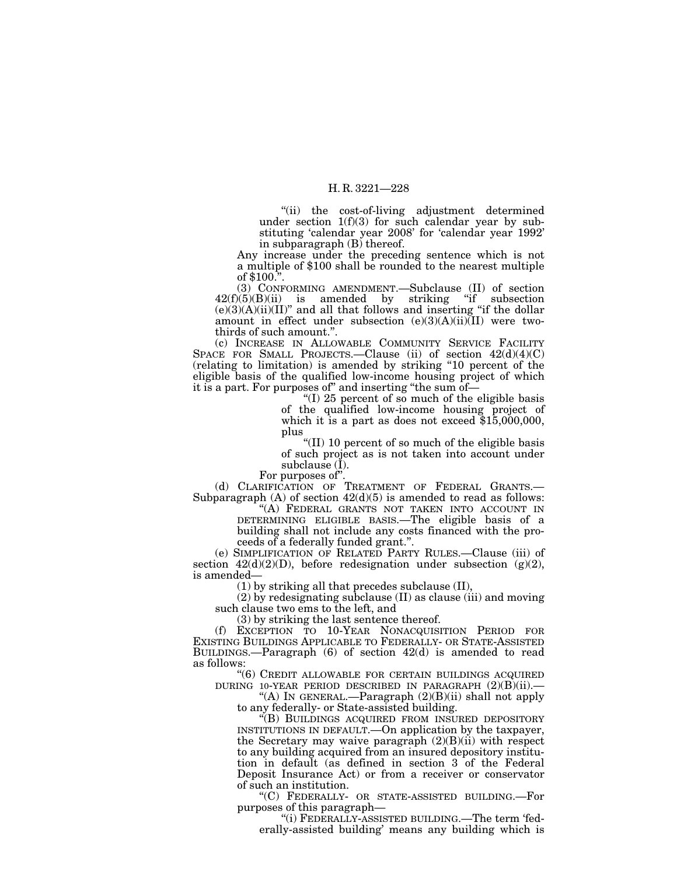''(ii) the cost-of-living adjustment determined under section 1(f)(3) for such calendar year by substituting 'calendar year 2008' for 'calendar year 1992' in subparagraph (B) thereof.

Any increase under the preceding sentence which is not a multiple of \$100 shall be rounded to the nearest multiple of \$100.''.

(3) CONFORMING AMENDMENT.—Subclause (II) of section 42(f)(5)(B)(ii) is amended by striking ''if subsection  $(e)(3)(\vec{A})(ii)(\vec{I})$ " and all that follows and inserting "if the dollar amount in effect under subsection  $(e)(3)(A)(ii)(II)$  were twothirds of such amount.''.

(c) INCREASE IN ALLOWABLE COMMUNITY SERVICE FACILITY SPACE FOR SMALL PROJECTS.—Clause (ii) of section  $42(d)(4)(C)$ (relating to limitation) is amended by striking ''10 percent of the eligible basis of the qualified low-income housing project of which it is a part. For purposes of" and inserting "the sum of-

''(I) 25 percent of so much of the eligible basis of the qualified low-income housing project of which it is a part as does not exceed  $$15,000,000$ , plus

''(II) 10 percent of so much of the eligible basis of such project as is not taken into account under subclause  $(I)$ .

For purposes of''.

(d) CLARIFICATION OF TREATMENT OF FEDERAL GRANTS.— Subparagraph  $(A)$  of section  $42(d)(5)$  is amended to read as follows:

''(A) FEDERAL GRANTS NOT TAKEN INTO ACCOUNT IN DETERMINING ELIGIBLE BASIS.—The eligible basis of a building shall not include any costs financed with the proceeds of a federally funded grant.''.

(e) SIMPLIFICATION OF RELATED PARTY RULES.—Clause (iii) of section  $42(d)(2)(D)$ , before redesignation under subsection (g)(2), is amended—

(1) by striking all that precedes subclause (II),

(2) by redesignating subclause (II) as clause (iii) and moving such clause two ems to the left, and

(3) by striking the last sentence thereof.

(f) EXCEPTION TO 10-YEAR NONACQUISITION PERIOD FOR EXISTING BUILDINGS APPLICABLE TO FEDERALLY- OR STATE-ASSISTED BUILDINGS.—Paragraph (6) of section 42(d) is amended to read as follows:

''(6) CREDIT ALLOWABLE FOR CERTAIN BUILDINGS ACQUIRED DURING 10-YEAR PERIOD DESCRIBED IN PARAGRAPH (2)(B)(ii).—

"(A) IN GENERAL.—Paragraph  $(2)(B)(ii)$  shall not apply to any federally- or State-assisted building.

''(B) BUILDINGS ACQUIRED FROM INSURED DEPOSITORY INSTITUTIONS IN DEFAULT.—On application by the taxpayer, the Secretary may waive paragraph  $(2)(B)(ii)$  with respect to any building acquired from an insured depository institution in default (as defined in section 3 of the Federal Deposit Insurance Act) or from a receiver or conservator of such an institution.

''(C) FEDERALLY- OR STATE-ASSISTED BUILDING.—For purposes of this paragraph—

''(i) FEDERALLY-ASSISTED BUILDING.—The term 'federally-assisted building' means any building which is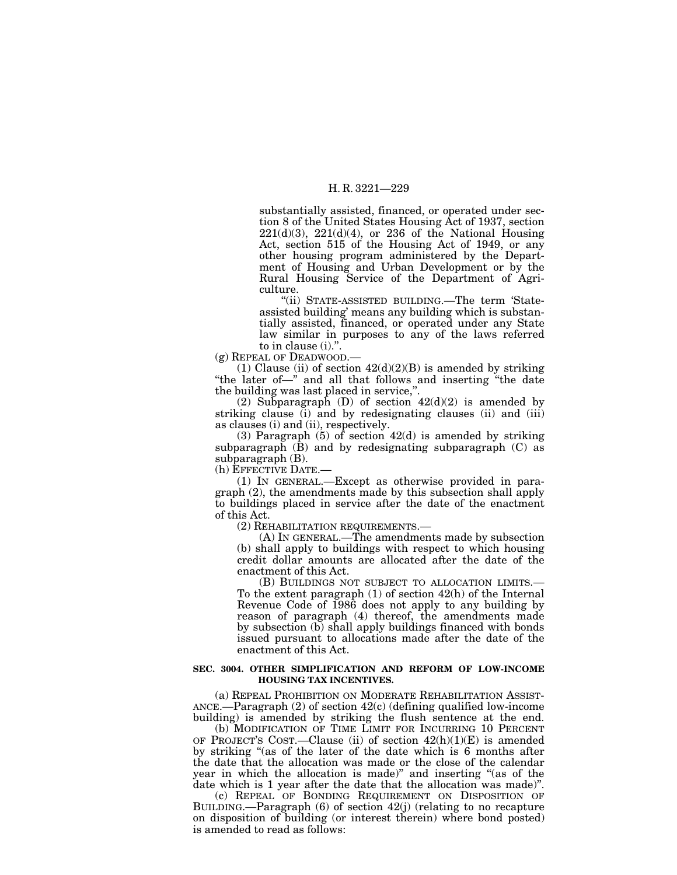substantially assisted, financed, or operated under section 8 of the United States Housing Act of 1937, section  $221(d)(3)$ ,  $221(d)(4)$ , or  $236$  of the National Housing Act, section 515 of the Housing Act of 1949, or any other housing program administered by the Department of Housing and Urban Development or by the Rural Housing Service of the Department of Agriculture.

''(ii) STATE-ASSISTED BUILDING.—The term 'Stateassisted building' means any building which is substantially assisted, financed, or operated under any State law similar in purposes to any of the laws referred to in clause (i).''.

(g) REPEAL OF DEADWOOD.—

(1) Clause (ii) of section  $42(d)(2)(B)$  is amended by striking ''the later of—'' and all that follows and inserting ''the date the building was last placed in service,''.

(2) Subparagraph (D) of section  $42(d)(2)$  is amended by striking clause  $(i)$  and by redesignating clauses  $(ii)$  and  $(iii)$ as clauses (i) and (ii), respectively.

(3) Paragraph  $(5)$  of section  $42(d)$  is amended by striking subparagraph  $(\bar{B})$  and by redesignating subparagraph  $(C)$  as subparagraph (B).

(h) EFFECTIVE DATE.—

(1) IN GENERAL.—Except as otherwise provided in paragraph (2), the amendments made by this subsection shall apply to buildings placed in service after the date of the enactment of this Act.

(2) REHABILITATION REQUIREMENTS.—

(A) IN GENERAL.—The amendments made by subsection (b) shall apply to buildings with respect to which housing credit dollar amounts are allocated after the date of the enactment of this Act.

(B) BUILDINGS NOT SUBJECT TO ALLOCATION LIMITS.— To the extent paragraph (1) of section 42(h) of the Internal Revenue Code of 1986 does not apply to any building by reason of paragraph (4) thereof, the amendments made by subsection (b) shall apply buildings financed with bonds issued pursuant to allocations made after the date of the enactment of this Act.

#### **SEC. 3004. OTHER SIMPLIFICATION AND REFORM OF LOW-INCOME HOUSING TAX INCENTIVES.**

(a) REPEAL PROHIBITION ON MODERATE REHABILITATION ASSIST-ANCE.—Paragraph (2) of section 42(c) (defining qualified low-income building) is amended by striking the flush sentence at the end.

(b) MODIFICATION OF TIME LIMIT FOR INCURRING 10 PERCENT OF PROJECT'S COST.—Clause (ii) of section 42(h)(1)(E) is amended by striking ''(as of the later of the date which is 6 months after the date that the allocation was made or the close of the calendar year in which the allocation is made)'' and inserting ''(as of the date which is 1 year after the date that the allocation was made)''.

(c) REPEAL OF BONDING REQUIREMENT ON DISPOSITION OF BUILDING.—Paragraph (6) of section 42(j) (relating to no recapture on disposition of building (or interest therein) where bond posted) is amended to read as follows: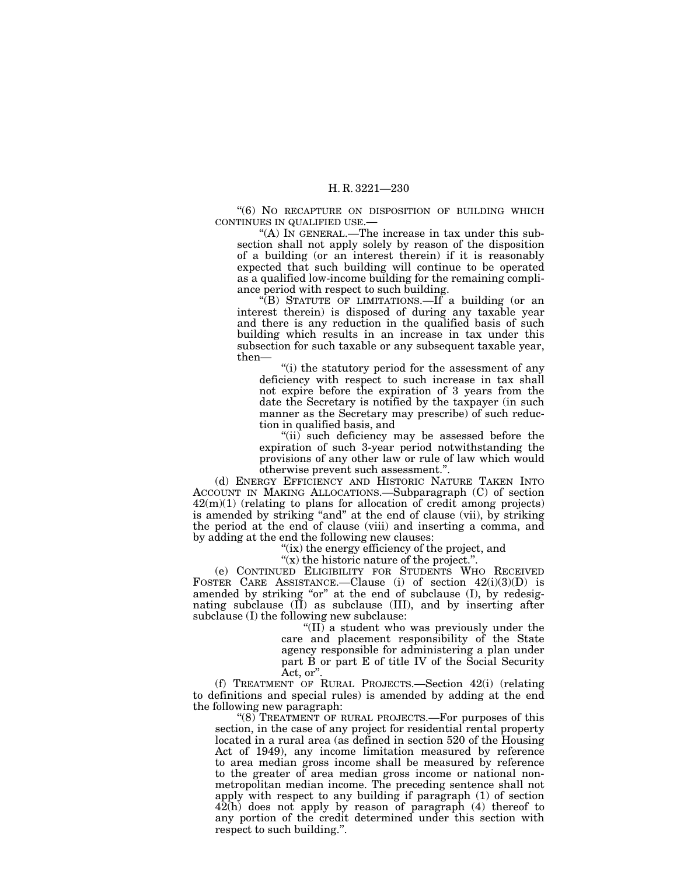''(6) NO RECAPTURE ON DISPOSITION OF BUILDING WHICH CONTINUES IN QUALIFIED USE.—

''(A) IN GENERAL.—The increase in tax under this subsection shall not apply solely by reason of the disposition of a building (or an interest therein) if it is reasonably expected that such building will continue to be operated as a qualified low-income building for the remaining compliance period with respect to such building.

 $\mathcal{F}(B)$  Statute of LIMITATIONS.—If a building (or an interest therein) is disposed of during any taxable year and there is any reduction in the qualified basis of such building which results in an increase in tax under this subsection for such taxable or any subsequent taxable year, then—

"(i) the statutory period for the assessment of any deficiency with respect to such increase in tax shall not expire before the expiration of 3 years from the date the Secretary is notified by the taxpayer (in such manner as the Secretary may prescribe) of such reduction in qualified basis, and

"(ii) such deficiency may be assessed before the expiration of such 3-year period notwithstanding the provisions of any other law or rule of law which would otherwise prevent such assessment.''.

(d) ENERGY EFFICIENCY AND HISTORIC NATURE TAKEN INTO ACCOUNT IN MAKING ALLOCATIONS.—Subparagraph (C) of section  $42(m)(1)$  (relating to plans for allocation of credit among projects) is amended by striking "and" at the end of clause (vii), by striking the period at the end of clause (viii) and inserting a comma, and by adding at the end the following new clauses:

"(ix) the energy efficiency of the project, and

" $(x)$  the historic nature of the project.".

(e) CONTINUED ELIGIBILITY FOR STUDENTS WHO RECEIVED FOSTER CARE ASSISTANCE.—Clause (i) of section 42(i)(3)(D) is amended by striking "or" at the end of subclause (I), by redesignating subclause (II) as subclause (III), and by inserting after subclause (I) the following new subclause:

> ''(II) a student who was previously under the care and placement responsibility of the State agency responsible for administering a plan under part B or part E of title IV of the Social Security Act, or''.

(f) TREATMENT OF RURAL PROJECTS.—Section 42(i) (relating to definitions and special rules) is amended by adding at the end the following new paragraph:

''(8) TREATMENT OF RURAL PROJECTS.—For purposes of this section, in the case of any project for residential rental property located in a rural area (as defined in section 520 of the Housing Act of 1949), any income limitation measured by reference to area median gross income shall be measured by reference to the greater of area median gross income or national nonmetropolitan median income. The preceding sentence shall not apply with respect to any building if paragraph (1) of section  $42(h)$  does not apply by reason of paragraph (4) thereof to any portion of the credit determined under this section with respect to such building.''.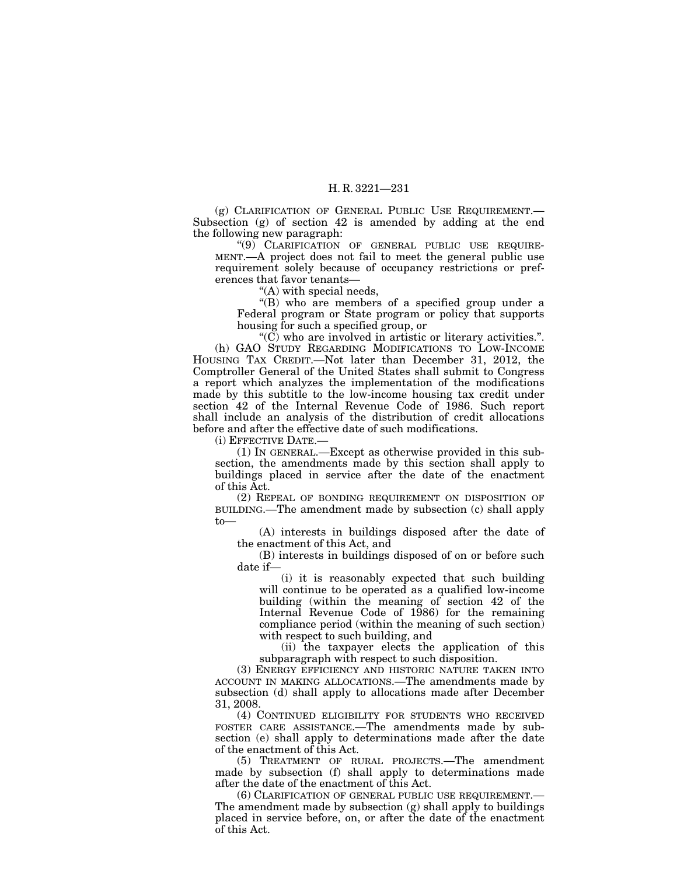(g) CLARIFICATION OF GENERAL PUBLIC USE REQUIREMENT.— Subsection (g) of section 42 is amended by adding at the end the following new paragraph:

''(9) CLARIFICATION OF GENERAL PUBLIC USE REQUIRE-MENT.—A project does not fail to meet the general public use requirement solely because of occupancy restrictions or preferences that favor tenants—

''(A) with special needs,

''(B) who are members of a specified group under a Federal program or State program or policy that supports housing for such a specified group, or

" $(\check{C})$  who are involved in artistic or literary activities.".

(h) GAO STUDY REGARDING MODIFICATIONS TO LOW-INCOME HOUSING TAX CREDIT.—Not later than December 31, 2012, the Comptroller General of the United States shall submit to Congress a report which analyzes the implementation of the modifications made by this subtitle to the low-income housing tax credit under section 42 of the Internal Revenue Code of 1986. Such report shall include an analysis of the distribution of credit allocations before and after the effective date of such modifications.

(i) EFFECTIVE DATE.—

(1) IN GENERAL.—Except as otherwise provided in this subsection, the amendments made by this section shall apply to buildings placed in service after the date of the enactment of this Act.

(2) REPEAL OF BONDING REQUIREMENT ON DISPOSITION OF BUILDING.—The amendment made by subsection (c) shall apply to—

(A) interests in buildings disposed after the date of the enactment of this Act, and

(B) interests in buildings disposed of on or before such date if—

(i) it is reasonably expected that such building will continue to be operated as a qualified low-income building (within the meaning of section 42 of the Internal Revenue Code of 1986) for the remaining compliance period (within the meaning of such section) with respect to such building, and

(ii) the taxpayer elects the application of this subparagraph with respect to such disposition.

(3) ENERGY EFFICIENCY AND HISTORIC NATURE TAKEN INTO ACCOUNT IN MAKING ALLOCATIONS.—The amendments made by subsection (d) shall apply to allocations made after December 31, 2008.

(4) CONTINUED ELIGIBILITY FOR STUDENTS WHO RECEIVED FOSTER CARE ASSISTANCE.—The amendments made by subsection (e) shall apply to determinations made after the date of the enactment of this Act.

(5) TREATMENT OF RURAL PROJECTS.—The amendment made by subsection (f) shall apply to determinations made after the date of the enactment of this Act.

(6) CLARIFICATION OF GENERAL PUBLIC USE REQUIREMENT.— The amendment made by subsection (g) shall apply to buildings placed in service before, on, or after the date of the enactment of this Act.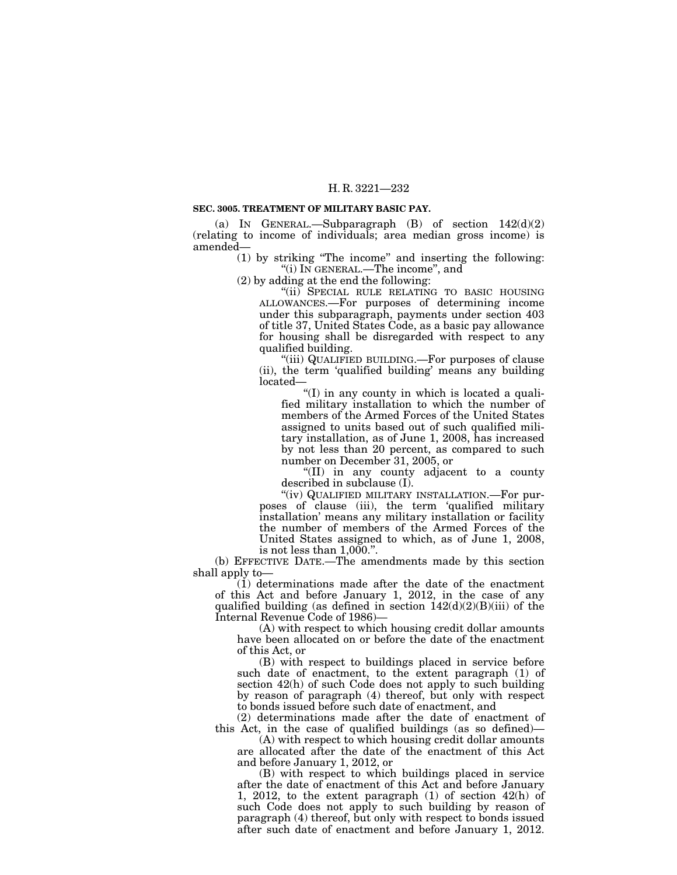#### **SEC. 3005. TREATMENT OF MILITARY BASIC PAY.**

(a) IN GENERAL.—Subparagraph  $(B)$  of section  $142(d)(2)$ (relating to income of individuals; area median gross income) is amended—

> (1) by striking ''The income'' and inserting the following: ''(i) IN GENERAL.—The income'', and

(2) by adding at the end the following:

''(ii) SPECIAL RULE RELATING TO BASIC HOUSING ALLOWANCES.—For purposes of determining income under this subparagraph, payments under section 403 of title 37, United States Code, as a basic pay allowance for housing shall be disregarded with respect to any qualified building.

''(iii) QUALIFIED BUILDING.—For purposes of clause (ii), the term 'qualified building' means any building located—

''(I) in any county in which is located a qualified military installation to which the number of members of the Armed Forces of the United States assigned to units based out of such qualified military installation, as of June 1, 2008, has increased by not less than 20 percent, as compared to such number on December 31, 2005, or

''(II) in any county adjacent to a county described in subclause (I).

''(iv) QUALIFIED MILITARY INSTALLATION.—For purposes of clause (iii), the term 'qualified military installation' means any military installation or facility the number of members of the Armed Forces of the United States assigned to which, as of June 1, 2008, is not less than 1,000.''.

(b) EFFECTIVE DATE.—The amendments made by this section shall apply to—

(1) determinations made after the date of the enactment of this Act and before January 1, 2012, in the case of any qualified building (as defined in section  $142(d)(2)(B)(iii)$  of the Internal Revenue Code of 1986)—

(A) with respect to which housing credit dollar amounts have been allocated on or before the date of the enactment of this Act, or

(B) with respect to buildings placed in service before such date of enactment, to the extent paragraph (1) of section 42(h) of such Code does not apply to such building by reason of paragraph (4) thereof, but only with respect to bonds issued before such date of enactment, and

(2) determinations made after the date of enactment of this Act, in the case of qualified buildings (as so defined)—

(A) with respect to which housing credit dollar amounts are allocated after the date of the enactment of this Act and before January 1, 2012, or

(B) with respect to which buildings placed in service after the date of enactment of this Act and before January 1, 2012, to the extent paragraph (1) of section 42(h) of such Code does not apply to such building by reason of paragraph (4) thereof, but only with respect to bonds issued after such date of enactment and before January 1, 2012.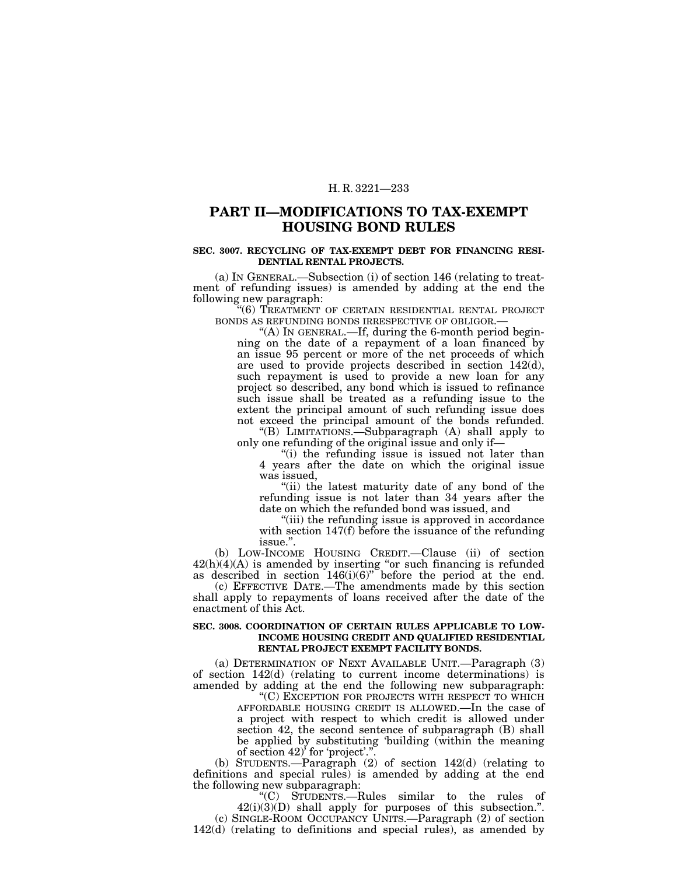## **PART II—MODIFICATIONS TO TAX-EXEMPT HOUSING BOND RULES**

#### **SEC. 3007. RECYCLING OF TAX-EXEMPT DEBT FOR FINANCING RESI-DENTIAL RENTAL PROJECTS.**

(a) IN GENERAL.—Subsection (i) of section 146 (relating to treatment of refunding issues) is amended by adding at the end the following new paragraph:

''(6) TREATMENT OF CERTAIN RESIDENTIAL RENTAL PROJECT BONDS AS REFUNDING BONDS IRRESPECTIVE OF OBLIGOR.—

''(A) IN GENERAL.—If, during the 6-month period beginning on the date of a repayment of a loan financed by an issue 95 percent or more of the net proceeds of which are used to provide projects described in section 142(d), such repayment is used to provide a new loan for any project so described, any bond which is issued to refinance such issue shall be treated as a refunding issue to the extent the principal amount of such refunding issue does not exceed the principal amount of the bonds refunded.

''(B) LIMITATIONS.—Subparagraph (A) shall apply to only one refunding of the original issue and only if—

"(i) the refunding issue is issued not later than 4 years after the date on which the original issue was issued,

"(ii) the latest maturity date of any bond of the refunding issue is not later than 34 years after the date on which the refunded bond was issued, and

''(iii) the refunding issue is approved in accordance with section 147(f) before the issuance of the refunding issue.''.

(b) LOW-INCOME HOUSING CREDIT.—Clause (ii) of section  $42(h)(4)(A)$  is amended by inserting "or such financing is refunded as described in section  $146(i)(6)$ <sup>"</sup> before the period at the end.

(c) EFFECTIVE DATE.—The amendments made by this section shall apply to repayments of loans received after the date of the enactment of this Act.

#### **SEC. 3008. COORDINATION OF CERTAIN RULES APPLICABLE TO LOW-INCOME HOUSING CREDIT AND QUALIFIED RESIDENTIAL RENTAL PROJECT EXEMPT FACILITY BONDS.**

(a) DETERMINATION OF NEXT AVAILABLE UNIT.—Paragraph (3) of section 142(d) (relating to current income determinations) is amended by adding at the end the following new subparagraph:

"(C) EXCEPTION FOR PROJECTS WITH RESPECT TO WHICH AFFORDABLE HOUSING CREDIT IS ALLOWED.—In the case of a project with respect to which credit is allowed under section 42, the second sentence of subparagraph (B) shall be applied by substituting 'building (within the meaning of section 42)' for 'project'.''.

(b) STUDENTS.—Paragraph (2) of section 142(d) (relating to definitions and special rules) is amended by adding at the end the following new subparagraph:

''(C) STUDENTS.—Rules similar to the rules of 42(i)(3)(D) shall apply for purposes of this subsection.''.

(c) SINGLE-ROOM OCCUPANCY UNITS.—Paragraph (2) of section 142(d) (relating to definitions and special rules), as amended by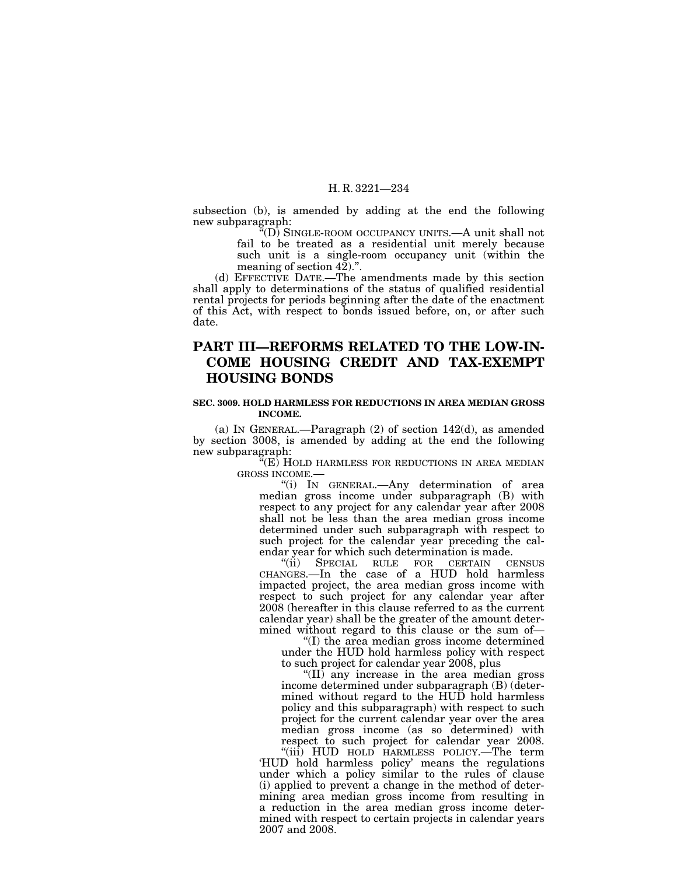subsection (b), is amended by adding at the end the following new subparagraph:

 $^{2}(D)$  SINGLE-ROOM OCCUPANCY UNITS.—A unit shall not

fail to be treated as a residential unit merely because such unit is a single-room occupancy unit (within the meaning of section  $42$ .".

(d) EFFECTIVE DATE.—The amendments made by this section shall apply to determinations of the status of qualified residential rental projects for periods beginning after the date of the enactment of this Act, with respect to bonds issued before, on, or after such date.

# **PART III—REFORMS RELATED TO THE LOW-IN-COME HOUSING CREDIT AND TAX-EXEMPT HOUSING BONDS**

#### **SEC. 3009. HOLD HARMLESS FOR REDUCTIONS IN AREA MEDIAN GROSS INCOME.**

(a) IN GENERAL.—Paragraph (2) of section 142(d), as amended by section 3008, is amended by adding at the end the following new subparagraph:

> $\mathbb{F}(E)$  Hold harmless for reductions in area median GROSS INCOME.—

''(i) IN GENERAL.—Any determination of area median gross income under subparagraph (B) with respect to any project for any calendar year after 2008 shall not be less than the area median gross income determined under such subparagraph with respect to such project for the calendar year preceding the calendar year for which such determination is made.

SPECIAL RULE FOR CERTAIN CHANGES.—In the case of a HUD hold harmless impacted project, the area median gross income with respect to such project for any calendar year after 2008 (hereafter in this clause referred to as the current calendar year) shall be the greater of the amount determined without regard to this clause or the sum of—

''(I) the area median gross income determined under the HUD hold harmless policy with respect to such project for calendar year 2008, plus

''(II) any increase in the area median gross income determined under subparagraph (B) (determined without regard to the HUD hold harmless policy and this subparagraph) with respect to such project for the current calendar year over the area median gross income (as so determined) with respect to such project for calendar year 2008.

''(iii) HUD HOLD HARMLESS POLICY.—The term 'HUD hold harmless policy' means the regulations under which a policy similar to the rules of clause (i) applied to prevent a change in the method of determining area median gross income from resulting in a reduction in the area median gross income determined with respect to certain projects in calendar years 2007 and 2008.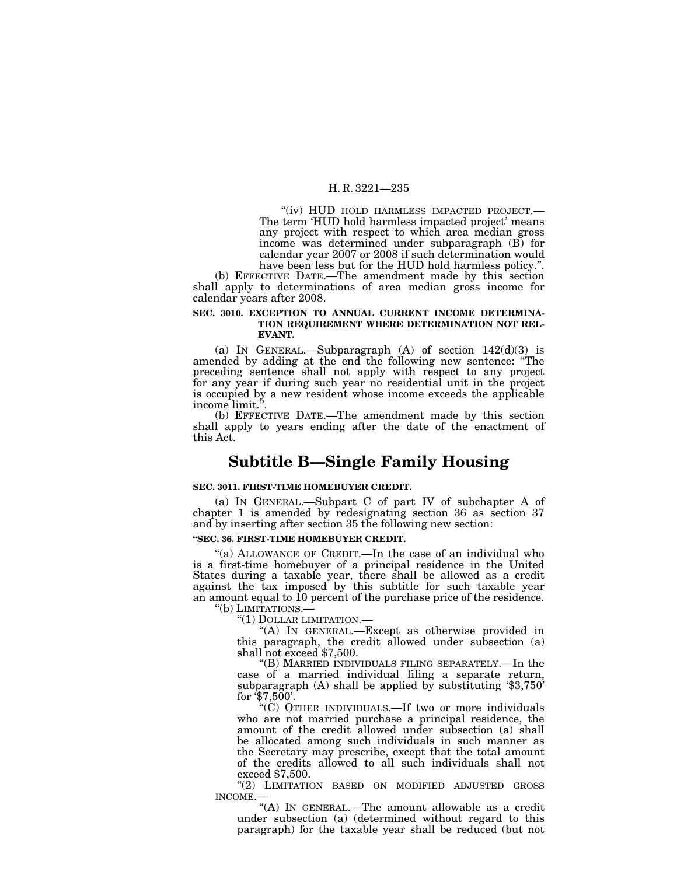''(iv) HUD HOLD HARMLESS IMPACTED PROJECT.— The term 'HUD hold harmless impacted project' means any project with respect to which area median gross income was determined under subparagraph (B) for calendar year 2007 or 2008 if such determination would have been less but for the HUD hold harmless policy.''.

(b) EFFECTIVE DATE.—The amendment made by this section shall apply to determinations of area median gross income for calendar years after 2008.

#### **SEC. 3010. EXCEPTION TO ANNUAL CURRENT INCOME DETERMINA-TION REQUIREMENT WHERE DETERMINATION NOT REL-EVANT.**

(a) IN GENERAL.—Subparagraph  $(A)$  of section  $142(d)(3)$  is amended by adding at the end the following new sentence: ''The preceding sentence shall not apply with respect to any project for any year if during such year no residential unit in the project is occupied by a new resident whose income exceeds the applicable income limit.''.

(b) EFFECTIVE DATE.—The amendment made by this section shall apply to years ending after the date of the enactment of this Act.

# **Subtitle B—Single Family Housing**

### **SEC. 3011. FIRST-TIME HOMEBUYER CREDIT.**

(a) IN GENERAL.—Subpart C of part IV of subchapter A of chapter 1 is amended by redesignating section 36 as section 37 and by inserting after section 35 the following new section:

### **''SEC. 36. FIRST-TIME HOMEBUYER CREDIT.**

"(a) ALLOWANCE OF CREDIT.—In the case of an individual who is a first-time homebuyer of a principal residence in the United States during a taxable year, there shall be allowed as a credit against the tax imposed by this subtitle for such taxable year an amount equal to 10 percent of the purchase price of the residence.

"(b) LIMITATIONS.—<br>"(1) DOLLAR LIMITATION.—<br>"(A) IN GENERAL.—Except as otherwise provided in this paragraph, the credit allowed under subsection (a) shall not exceed \$7,500.

''(B) MARRIED INDIVIDUALS FILING SEPARATELY.—In the case of a married individual filing a separate return, subparagraph (A) shall be applied by substituting  $\$3,750'$ for '\$7,500'.

''(C) OTHER INDIVIDUALS.—If two or more individuals who are not married purchase a principal residence, the amount of the credit allowed under subsection (a) shall be allocated among such individuals in such manner as the Secretary may prescribe, except that the total amount of the credits allowed to all such individuals shall not exceed \$7,500.

''(2) LIMITATION BASED ON MODIFIED ADJUSTED GROSS INCOME.—

''(A) IN GENERAL.—The amount allowable as a credit under subsection (a) (determined without regard to this paragraph) for the taxable year shall be reduced (but not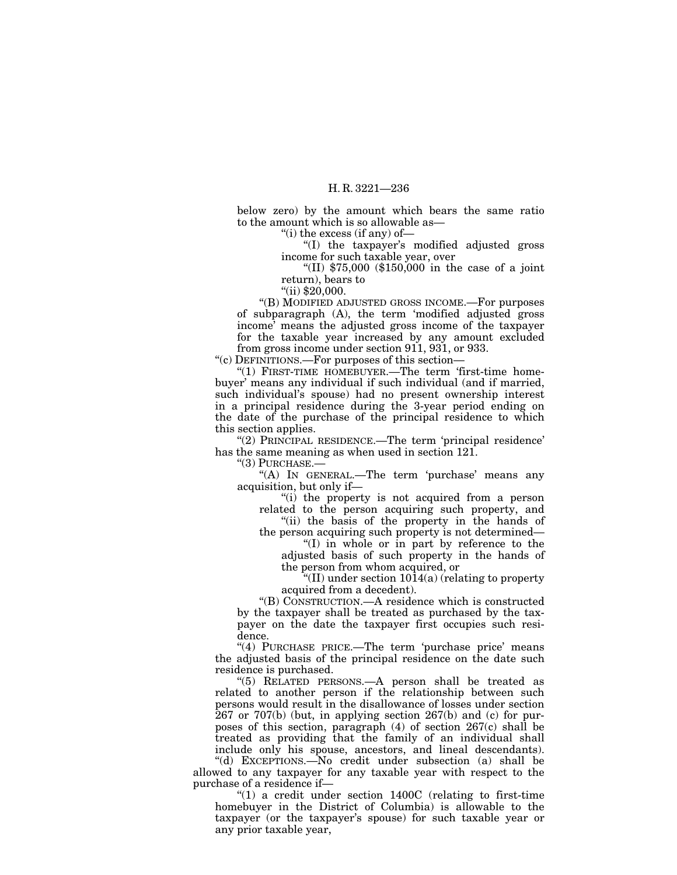below zero) by the amount which bears the same ratio to the amount which is so allowable as—

''(i) the excess (if any) of—

''(I) the taxpayer's modified adjusted gross income for such taxable year, over

''(II) \$75,000 (\$150,000 in the case of a joint return), bears to

''(ii) \$20,000.

''(B) MODIFIED ADJUSTED GROSS INCOME.—For purposes of subparagraph (A), the term 'modified adjusted gross income' means the adjusted gross income of the taxpayer for the taxable year increased by any amount excluded from gross income under section 911, 931, or 933.

''(c) DEFINITIONS.—For purposes of this section—

"(1) FIRST-TIME HOMEBUYER.—The term 'first-time homebuyer' means any individual if such individual (and if married, such individual's spouse) had no present ownership interest in a principal residence during the 3-year period ending on the date of the purchase of the principal residence to which this section applies.

''(2) PRINCIPAL RESIDENCE.—The term 'principal residence' has the same meaning as when used in section 121.

''(3) PURCHASE.—

''(A) IN GENERAL.—The term 'purchase' means any acquisition, but only if—

''(i) the property is not acquired from a person related to the person acquiring such property, and

''(ii) the basis of the property in the hands of the person acquiring such property is not determined—

''(I) in whole or in part by reference to the adjusted basis of such property in the hands of the person from whom acquired, or

 $^{\prime}$ (II) under section 1014(a) (relating to property acquired from a decedent).

''(B) CONSTRUCTION.—A residence which is constructed by the taxpayer shall be treated as purchased by the taxpayer on the date the taxpayer first occupies such residence.

"(4) PURCHASE PRICE.—The term 'purchase price' means the adjusted basis of the principal residence on the date such residence is purchased.

''(5) RELATED PERSONS.—A person shall be treated as related to another person if the relationship between such persons would result in the disallowance of losses under section  $267$  or  $707(b)$  (but, in applying section  $267(b)$  and (c) for purposes of this section, paragraph (4) of section 267(c) shall be treated as providing that the family of an individual shall include only his spouse, ancestors, and lineal descendants). ''(d) EXCEPTIONS.—No credit under subsection (a) shall be

allowed to any taxpayer for any taxable year with respect to the purchase of a residence if—

" $(1)$  a credit under section 1400C (relating to first-time homebuyer in the District of Columbia) is allowable to the taxpayer (or the taxpayer's spouse) for such taxable year or any prior taxable year,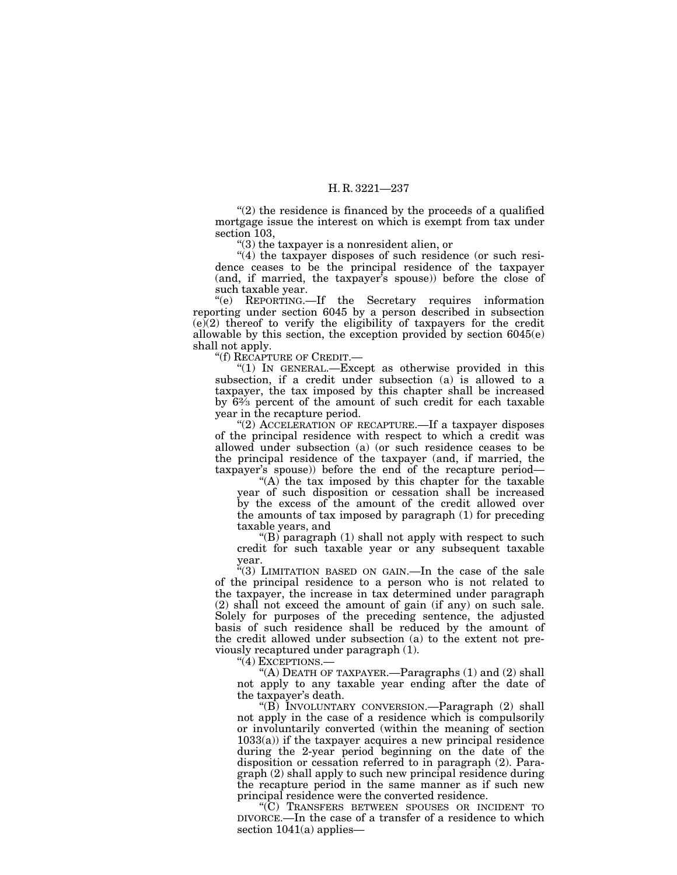" $(2)$  the residence is financed by the proceeds of a qualified mortgage issue the interest on which is exempt from tax under section 103,

''(3) the taxpayer is a nonresident alien, or

"(4) the taxpayer disposes of such residence (or such residence ceases to be the principal residence of the taxpayer (and, if married, the taxpayer's spouse)) before the close of such taxable year.

''(e) REPORTING.—If the Secretary requires information reporting under section 6045 by a person described in subsection (e)(2) thereof to verify the eligibility of taxpayers for the credit allowable by this section, the exception provided by section 6045(e) shall not apply.

''(f) RECAPTURE OF CREDIT.—

''(1) IN GENERAL.—Except as otherwise provided in this subsection, if a credit under subsection (a) is allowed to a taxpayer, the tax imposed by this chapter shall be increased by 62⁄3 percent of the amount of such credit for each taxable year in the recapture period.

"(2) ACCELERATION OF RECAPTURE.—If a taxpayer disposes of the principal residence with respect to which a credit was allowed under subsection (a) (or such residence ceases to be the principal residence of the taxpayer (and, if married, the taxpayer's spouse)) before the end of the recapture period—

" $(A)$  the tax imposed by this chapter for the taxable year of such disposition or cessation shall be increased by the excess of the amount of the credit allowed over the amounts of tax imposed by paragraph (1) for preceding taxable years, and

"(B) paragraph  $(1)$  shall not apply with respect to such credit for such taxable year or any subsequent taxable year.

''(3) LIMITATION BASED ON GAIN.—In the case of the sale of the principal residence to a person who is not related to the taxpayer, the increase in tax determined under paragraph (2) shall not exceed the amount of gain (if any) on such sale. Solely for purposes of the preceding sentence, the adjusted basis of such residence shall be reduced by the amount of the credit allowed under subsection (a) to the extent not previously recaptured under paragraph (1).

"(4) EXCEPTIONS.-

"(A) DEATH OF TAXPAYER.—Paragraphs  $(1)$  and  $(2)$  shall not apply to any taxable year ending after the date of the taxpayer's death.

''(B) INVOLUNTARY CONVERSION.—Paragraph (2) shall not apply in the case of a residence which is compulsorily or involuntarily converted (within the meaning of section 1033(a)) if the taxpayer acquires a new principal residence during the 2-year period beginning on the date of the disposition or cessation referred to in paragraph (2). Paragraph (2) shall apply to such new principal residence during the recapture period in the same manner as if such new principal residence were the converted residence.

''(C) TRANSFERS BETWEEN SPOUSES OR INCIDENT TO DIVORCE.—In the case of a transfer of a residence to which section 1041(a) applies—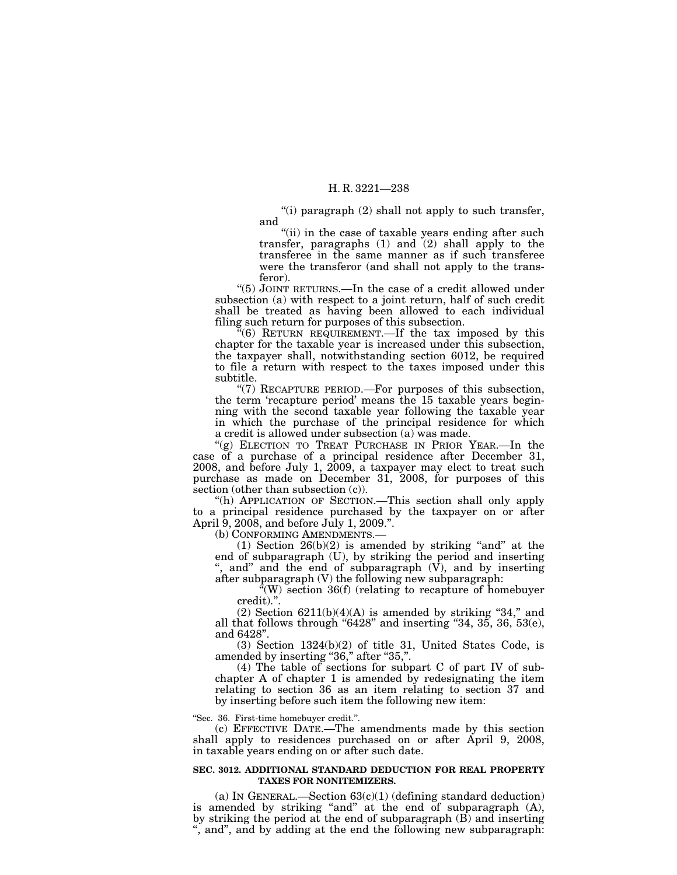''(i) paragraph (2) shall not apply to such transfer, and

"(ii) in the case of taxable years ending after such transfer, paragraphs (1) and (2) shall apply to the transferee in the same manner as if such transferee were the transferor (and shall not apply to the transferor).

''(5) JOINT RETURNS.—In the case of a credit allowed under subsection (a) with respect to a joint return, half of such credit shall be treated as having been allowed to each individual filing such return for purposes of this subsection.

 $\mathcal{H}(6)$  RETURN REQUIREMENT.—If the tax imposed by this chapter for the taxable year is increased under this subsection, the taxpayer shall, notwithstanding section 6012, be required to file a return with respect to the taxes imposed under this subtitle.

"(7) RECAPTURE PERIOD.—For purposes of this subsection, the term 'recapture period' means the 15 taxable years beginning with the second taxable year following the taxable year in which the purchase of the principal residence for which a credit is allowed under subsection (a) was made.

"(g) ELECTION TO TREAT PURCHASE IN PRIOR YEAR.—In the case of a purchase of a principal residence after December 31, 2008, and before July 1, 2009, a taxpayer may elect to treat such purchase as made on December 31, 2008, for purposes of this section (other than subsection (c)).

''(h) APPLICATION OF SECTION.—This section shall only apply to a principal residence purchased by the taxpayer on or after April 9, 2008, and before July 1, 2009.".

(b) CONFORMING AMENDMENTS.—

(1) Section  $26(b)(2)$  is amended by striking "and" at the end of subparagraph (U), by striking the period and inserting , and" and the end of subparagraph  $(V)$ , and by inserting after subparagraph  $(V)$  the following new subparagraph:

 $\sqrt{N}$  section 36(f) (relating to recapture of homebuyer credit)."

(2) Section  $6211(b)(4)(A)$  is amended by striking "34," and all that follows through " $6428$ " and inserting "34, 35, 36, 53 $(e)$ , and 6428''.

(3) Section 1324(b)(2) of title 31, United States Code, is amended by inserting "36," after "35,".

(4) The table of sections for subpart C of part IV of subchapter A of chapter 1 is amended by redesignating the item relating to section 36 as an item relating to section 37 and by inserting before such item the following new item:

''Sec. 36. First-time homebuyer credit.''.

(c) EFFECTIVE DATE.—The amendments made by this section shall apply to residences purchased on or after April 9, 2008, in taxable years ending on or after such date.

#### **SEC. 3012. ADDITIONAL STANDARD DEDUCTION FOR REAL PROPERTY TAXES FOR NONITEMIZERS.**

(a) IN GENERAL.—Section  $63(c)(1)$  (defining standard deduction) is amended by striking "and" at the end of subparagraph  $(A)$ , by striking the period at the end of subparagraph (B) and inserting '', and'', and by adding at the end the following new subparagraph: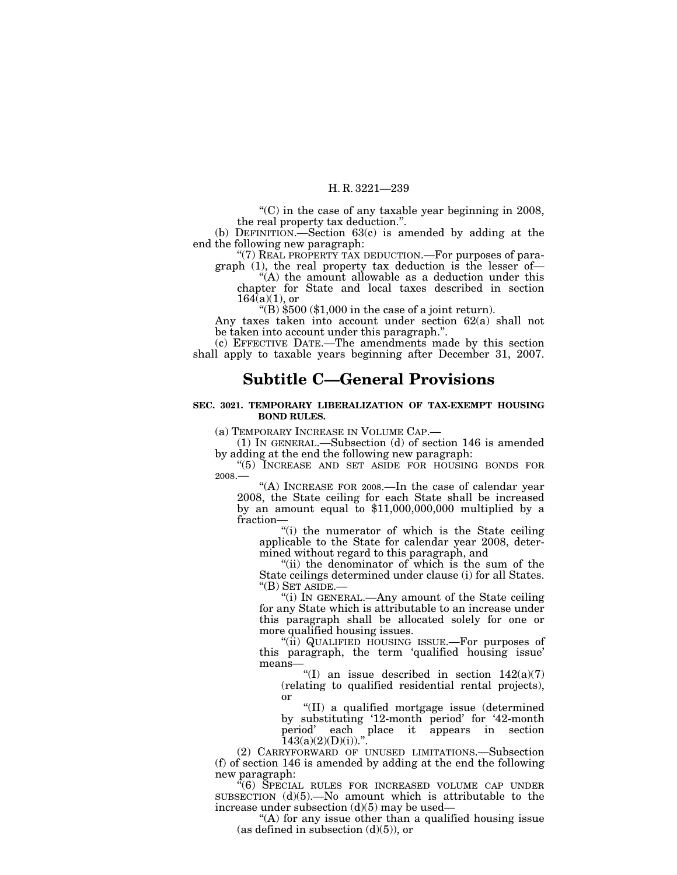$C^{\prime\prime}(C)$  in the case of any taxable year beginning in 2008, the real property tax deduction.''.

(b) DEFINITION.—Section 63(c) is amended by adding at the end the following new paragraph:

"(7) REAL PROPERTY TAX DEDUCTION.—For purposes of paragraph (1), the real property tax deduction is the lesser of—

''(A) the amount allowable as a deduction under this chapter for State and local taxes described in section  $164(a)(1)$ , or

"(B)  $$500$  (\$1,000 in the case of a joint return).

Any taxes taken into account under section 62(a) shall not be taken into account under this paragraph.''.

(c) EFFECTIVE DATE.—The amendments made by this section shall apply to taxable years beginning after December 31, 2007.

# **Subtitle C—General Provisions**

#### **SEC. 3021. TEMPORARY LIBERALIZATION OF TAX-EXEMPT HOUSING BOND RULES.**

(a) TEMPORARY INCREASE IN VOLUME CAP.—

(1) IN GENERAL.—Subsection (d) of section 146 is amended by adding at the end the following new paragraph:

''(5) INCREASE AND SET ASIDE FOR HOUSING BONDS FOR 2008.—

''(A) INCREASE FOR 2008.—In the case of calendar year 2008, the State ceiling for each State shall be increased by an amount equal to  $$11,000,000,000$  multiplied by a fraction—

''(i) the numerator of which is the State ceiling applicable to the State for calendar year 2008, determined without regard to this paragraph, and

"(ii) the denominator of which is the sum of the State ceilings determined under clause (i) for all States. ''(B) SET ASIDE.—

''(i) IN GENERAL.—Any amount of the State ceiling for any State which is attributable to an increase under this paragraph shall be allocated solely for one or more qualified housing issues.

''(ii) QUALIFIED HOUSING ISSUE.—For purposes of this paragraph, the term 'qualified housing issue' means—

"(I) an issue described in section  $142(a)(7)$ (relating to qualified residential rental projects), or

''(II) a qualified mortgage issue (determined by substituting '12-month period' for '42-month period' each place it appears in section  $143(a)(2)(D)(i))$ .".

(2) CARRYFORWARD OF UNUSED LIMITATIONS.—Subsection (f) of section 146 is amended by adding at the end the following new paragraph:

''(6) SPECIAL RULES FOR INCREASED VOLUME CAP UNDER SUBSECTION  $(d)(5)$ . No amount which is attributable to the increase under subsection  $(d)(5)$  may be used—

"(A) for any issue other than a qualified housing issue (as defined in subsection  $(d)(5)$ ), or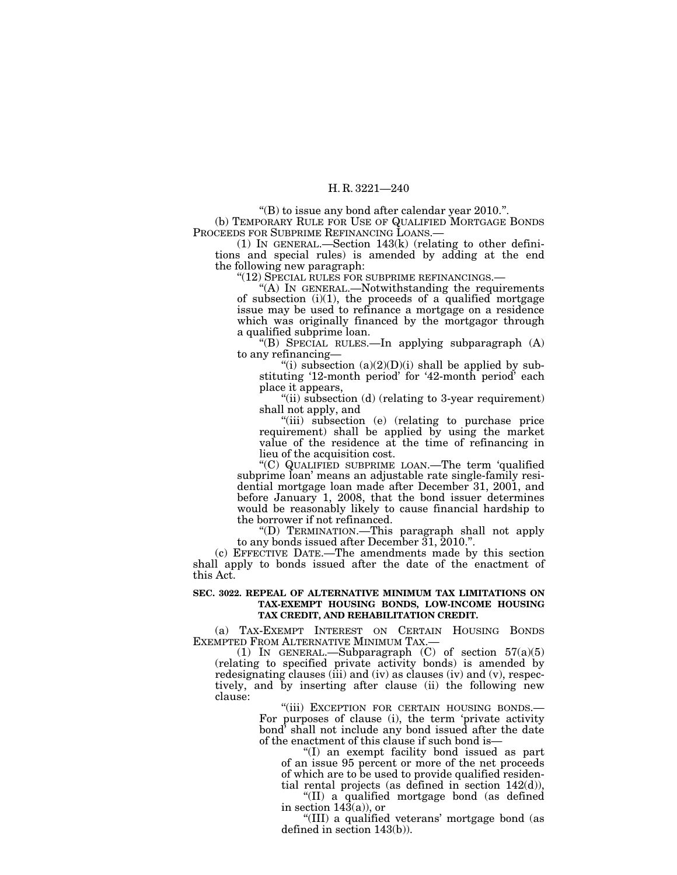''(B) to issue any bond after calendar year 2010.''.

(b) TEMPORARY RULE FOR USE OF QUALIFIED MORTGAGE BONDS PROCEEDS FOR SUBPRIME REFINANCING LOANS.

(1) IN GENERAL.—Section 143(k) (relating to other definitions and special rules) is amended by adding at the end the following new paragraph:

''(12) SPECIAL RULES FOR SUBPRIME REFINANCINGS.—

''(A) IN GENERAL.—Notwithstanding the requirements of subsection  $(i)(1)$ , the proceeds of a qualified mortgage issue may be used to refinance a mortgage on a residence which was originally financed by the mortgagor through a qualified subprime loan.

''(B) SPECIAL RULES.—In applying subparagraph (A) to any refinancing—

"(i) subsection  $(a)(2)(D)(i)$  shall be applied by substituting '12-month period' for '42-month period' each place it appears,

"(ii) subsection  $(d)$  (relating to 3-year requirement) shall not apply, and

''(iii) subsection (e) (relating to purchase price requirement) shall be applied by using the market value of the residence at the time of refinancing in lieu of the acquisition cost.

''(C) QUALIFIED SUBPRIME LOAN.—The term 'qualified subprime loan' means an adjustable rate single-family residential mortgage loan made after December 31, 2001, and before January 1, 2008, that the bond issuer determines would be reasonably likely to cause financial hardship to the borrower if not refinanced.

''(D) TERMINATION.—This paragraph shall not apply to any bonds issued after December 31, 2010.''.

(c) EFFECTIVE DATE.—The amendments made by this section shall apply to bonds issued after the date of the enactment of this Act.

#### **SEC. 3022. REPEAL OF ALTERNATIVE MINIMUM TAX LIMITATIONS ON TAX-EXEMPT HOUSING BONDS, LOW-INCOME HOUSING TAX CREDIT, AND REHABILITATION CREDIT.**

(a) TAX-EXEMPT INTEREST ON CERTAIN HOUSING BONDS EXEMPTED FROM ALTERNATIVE MINIMUM TAX.—

(1) In GENERAL.—Subparagraph  $(C)$  of section  $57(a)(5)$ (relating to specified private activity bonds) is amended by redesignating clauses (iii) and (iv) as clauses (iv) and (v), respectively, and by inserting after clause (ii) the following new clause:

> ''(iii) EXCEPTION FOR CERTAIN HOUSING BONDS.— For purposes of clause (i), the term 'private activity bond' shall not include any bond issued after the date of the enactment of this clause if such bond is—

''(I) an exempt facility bond issued as part of an issue 95 percent or more of the net proceeds of which are to be used to provide qualified residential rental projects (as defined in section  $142(d)$ ),

''(II) a qualified mortgage bond (as defined in section  $14\overline{3}(a)$ , or

''(III) a qualified veterans' mortgage bond (as defined in section 143(b)).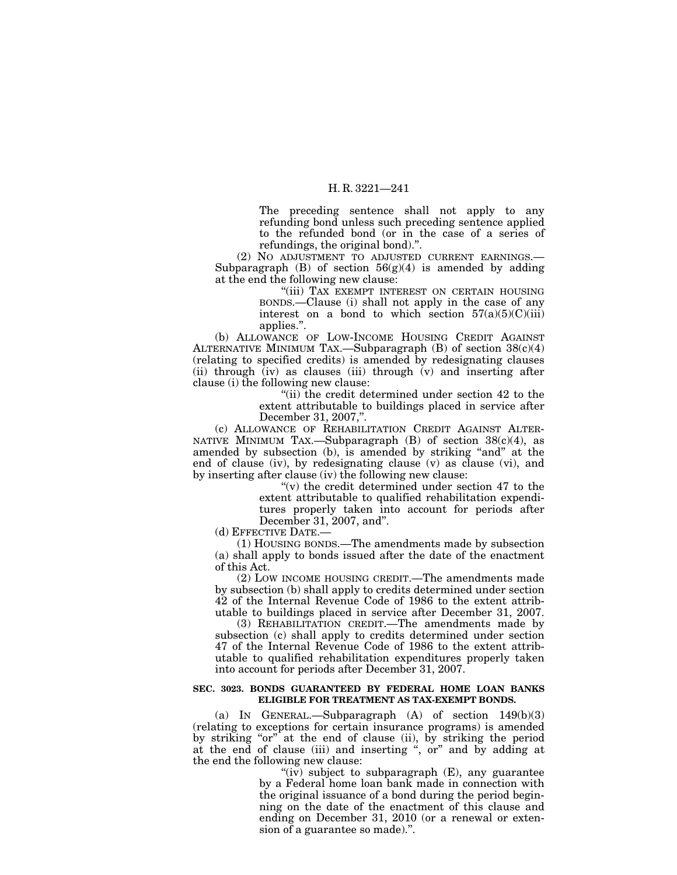The preceding sentence shall not apply to any refunding bond unless such preceding sentence applied to the refunded bond (or in the case of a series of refundings, the original bond).''.

(2) NO ADJUSTMENT TO ADJUSTED CURRENT EARNINGS.— Subparagraph  $(B)$  of section  $56(g)(4)$  is amended by adding at the end the following new clause:

> "(iii) TAX EXEMPT INTEREST ON CERTAIN HOUSING BONDS.—Clause (i) shall not apply in the case of any interest on a bond to which section  $57(a)(5)(C)(iii)$ applies.''.

(b) ALLOWANCE OF LOW-INCOME HOUSING CREDIT AGAINST ALTERNATIVE MINIMUM TAX.—Subparagraph (B) of section 38(c)(4) (relating to specified credits) is amended by redesignating clauses (ii) through (iv) as clauses (iii) through (v) and inserting after clause (i) the following new clause:

"(ii) the credit determined under section 42 to the extent attributable to buildings placed in service after December 31, 2007,''.

(c) ALLOWANCE OF REHABILITATION CREDIT AGAINST ALTER-NATIVE MINIMUM TAX.—Subparagraph (B) of section  $38(c)(4)$ , as amended by subsection (b), is amended by striking "and" at the end of clause (iv), by redesignating clause (v) as clause (vi), and by inserting after clause (iv) the following new clause:

" $(v)$  the credit determined under section 47 to the extent attributable to qualified rehabilitation expenditures properly taken into account for periods after December 31, 2007, and''.

(d) EFFECTIVE DATE.—

(1) HOUSING BONDS.—The amendments made by subsection (a) shall apply to bonds issued after the date of the enactment of this Act.

(2) LOW INCOME HOUSING CREDIT.—The amendments made by subsection (b) shall apply to credits determined under section 42 of the Internal Revenue Code of 1986 to the extent attributable to buildings placed in service after December 31, 2007.

(3) REHABILITATION CREDIT.—The amendments made by subsection (c) shall apply to credits determined under section 47 of the Internal Revenue Code of 1986 to the extent attributable to qualified rehabilitation expenditures properly taken into account for periods after December 31, 2007.

#### **SEC. 3023. BONDS GUARANTEED BY FEDERAL HOME LOAN BANKS ELIGIBLE FOR TREATMENT AS TAX-EXEMPT BONDS.**

(a) IN GENERAL.—Subparagraph (A) of section 149(b)(3) (relating to exceptions for certain insurance programs) is amended by striking "or" at the end of clause (ii), by striking the period at the end of clause (iii) and inserting ", or" and by adding at the end the following new clause:

> "(iv) subject to subparagraph  $(E)$ , any guarantee by a Federal home loan bank made in connection with the original issuance of a bond during the period beginning on the date of the enactment of this clause and ending on December 31, 2010 (or a renewal or extension of a guarantee so made).''.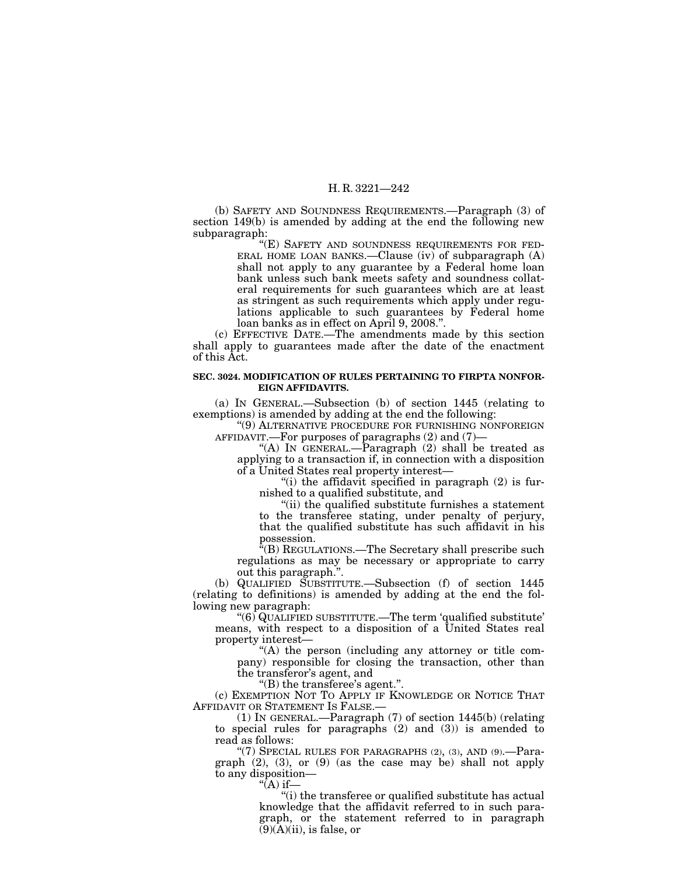(b) SAFETY AND SOUNDNESS REQUIREMENTS.—Paragraph (3) of section 149(b) is amended by adding at the end the following new subparagraph:

''(E) SAFETY AND SOUNDNESS REQUIREMENTS FOR FED-ERAL HOME LOAN BANKS.—Clause (iv) of subparagraph (A) shall not apply to any guarantee by a Federal home loan bank unless such bank meets safety and soundness collateral requirements for such guarantees which are at least as stringent as such requirements which apply under regulations applicable to such guarantees by Federal home loan banks as in effect on April 9, 2008.''.

(c) EFFECTIVE DATE.—The amendments made by this section shall apply to guarantees made after the date of the enactment of this Act.

#### **SEC. 3024. MODIFICATION OF RULES PERTAINING TO FIRPTA NONFOR-EIGN AFFIDAVITS.**

(a) IN GENERAL.—Subsection (b) of section 1445 (relating to exemptions) is amended by adding at the end the following:

''(9) ALTERNATIVE PROCEDURE FOR FURNISHING NONFOREIGN AFFIDAVIT.—For purposes of paragraphs (2) and (7)—

''(A) IN GENERAL.—Paragraph (2) shall be treated as applying to a transaction if, in connection with a disposition of a United States real property interest—

"(i) the affidavit specified in paragraph  $(2)$  is furnished to a qualified substitute, and

''(ii) the qualified substitute furnishes a statement to the transferee stating, under penalty of perjury, that the qualified substitute has such affidavit in his possession.

''(B) REGULATIONS.—The Secretary shall prescribe such regulations as may be necessary or appropriate to carry out this paragraph.''.

(b) QUALIFIED SUBSTITUTE.—Subsection (f) of section 1445 (relating to definitions) is amended by adding at the end the following new paragraph:

" $(6)$  QUALIFIED SUBSTITUTE.—The term 'qualified substitute' means, with respect to a disposition of a United States real property interest—

"(A) the person (including any attorney or title company) responsible for closing the transaction, other than the transferor's agent, and

''(B) the transferee's agent.''.

(c) EXEMPTION NOT TO APPLY IF KNOWLEDGE OR NOTICE THAT AFFIDAVIT OR STATEMENT IS FALSE.—

(1) IN GENERAL.—Paragraph (7) of section 1445(b) (relating to special rules for paragraphs (2) and (3)) is amended to read as follows:

"(7) SPECIAL RULES FOR PARAGRAPHS (2), (3), AND (9). - Paragraph (2), (3), or (9) (as the case may be) shall not apply to any disposition—

" $(A)$  if—

''(i) the transferee or qualified substitute has actual knowledge that the affidavit referred to in such paragraph, or the statement referred to in paragraph  $(9)(\overline{A})(ii)$ , is false, or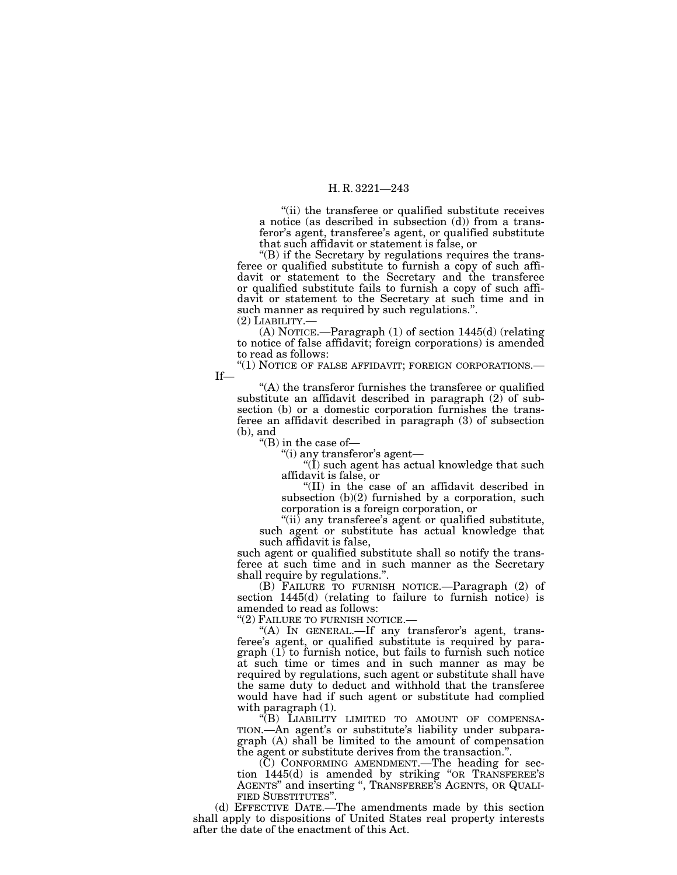''(ii) the transferee or qualified substitute receives a notice (as described in subsection (d)) from a transferor's agent, transferee's agent, or qualified substitute that such affidavit or statement is false, or

''(B) if the Secretary by regulations requires the transferee or qualified substitute to furnish a copy of such affidavit or statement to the Secretary and the transferee or qualified substitute fails to furnish a copy of such affidavit or statement to the Secretary at such time and in such manner as required by such regulations.''.

(2) LIABILITY.—

(A) NOTICE.—Paragraph (1) of section 1445(d) (relating to notice of false affidavit; foreign corporations) is amended to read as follows:

"(1) NOTICE OF FALSE AFFIDAVIT; FOREIGN CORPORATIONS.-If—

''(A) the transferor furnishes the transferee or qualified substitute an affidavit described in paragraph (2) of subsection (b) or a domestic corporation furnishes the transferee an affidavit described in paragraph (3) of subsection (b), and

''(B) in the case of—

''(i) any transferor's agent—

" $(I)$  such agent has actual knowledge that such affidavit is false, or

''(II) in the case of an affidavit described in subsection  $(b)(2)$  furnished by a corporation, such corporation is a foreign corporation, or

"(ii) any transferee's agent or qualified substitute, such agent or substitute has actual knowledge that such affidavit is false,

such agent or qualified substitute shall so notify the transferee at such time and in such manner as the Secretary shall require by regulations.''.

(B) FAILURE TO FURNISH NOTICE.—Paragraph (2) of section 1445(d) (relating to failure to furnish notice) is amended to read as follows:

''(2) FAILURE TO FURNISH NOTICE.—

''(A) IN GENERAL.—If any transferor's agent, transferee's agent, or qualified substitute is required by paragraph (1) to furnish notice, but fails to furnish such notice at such time or times and in such manner as may be required by regulations, such agent or substitute shall have the same duty to deduct and withhold that the transferee would have had if such agent or substitute had complied with paragraph  $(1)$ .

''(B) LIABILITY LIMITED TO AMOUNT OF COMPENSA-TION.—An agent's or substitute's liability under subparagraph (A) shall be limited to the amount of compensation the agent or substitute derives from the transaction."

(C) CONFORMING AMENDMENT.—The heading for section 1445(d) is amended by striking ''OR TRANSFEREE'S AGENTS'' and inserting '', TRANSFEREE'S AGENTS, OR QUALI- FIED SUBSTITUTES''.

(d) EFFECTIVE DATE.—The amendments made by this section shall apply to dispositions of United States real property interests after the date of the enactment of this Act.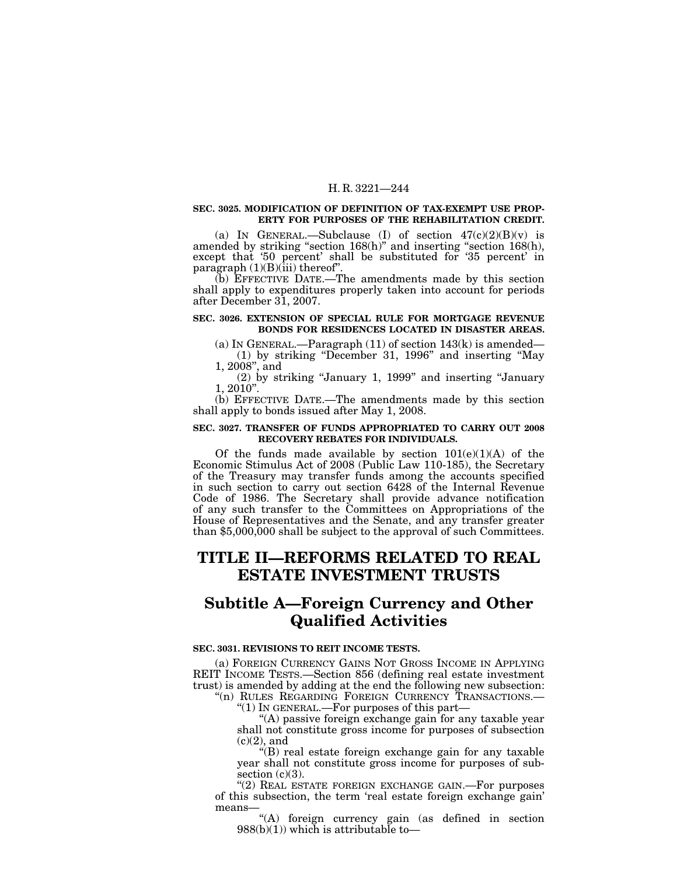#### **SEC. 3025. MODIFICATION OF DEFINITION OF TAX-EXEMPT USE PROP-ERTY FOR PURPOSES OF THE REHABILITATION CREDIT.**

(a) IN GENERAL.—Subclause (I) of section  $47(c)(2)(B)(v)$  is amended by striking "section 168(h)" and inserting "section 168(h), except that '50 percent' shall be substituted for '35 percent' in paragraph (1)(B)(iii) thereof''.

(b) EFFECTIVE DATE.—The amendments made by this section shall apply to expenditures properly taken into account for periods after December 31, 2007.

#### **SEC. 3026. EXTENSION OF SPECIAL RULE FOR MORTGAGE REVENUE BONDS FOR RESIDENCES LOCATED IN DISASTER AREAS.**

(a) IN GENERAL.—Paragraph  $(11)$  of section  $143(k)$  is amended— (1) by striking ''December 31, 1996'' and inserting ''May

1, 2008'', and (2) by striking ''January 1, 1999'' and inserting ''January 1, 2010''.

(b) EFFECTIVE DATE.—The amendments made by this section shall apply to bonds issued after May 1, 2008.

#### **SEC. 3027. TRANSFER OF FUNDS APPROPRIATED TO CARRY OUT 2008 RECOVERY REBATES FOR INDIVIDUALS.**

Of the funds made available by section  $101(e)(1)(A)$  of the Economic Stimulus Act of 2008 (Public Law 110-185), the Secretary of the Treasury may transfer funds among the accounts specified in such section to carry out section 6428 of the Internal Revenue Code of 1986. The Secretary shall provide advance notification of any such transfer to the Committees on Appropriations of the House of Representatives and the Senate, and any transfer greater than \$5,000,000 shall be subject to the approval of such Committees.

# **TITLE II—REFORMS RELATED TO REAL ESTATE INVESTMENT TRUSTS**

# **Subtitle A—Foreign Currency and Other Qualified Activities**

#### **SEC. 3031. REVISIONS TO REIT INCOME TESTS.**

(a) FOREIGN CURRENCY GAINS NOT GROSS INCOME IN APPLYING REIT INCOME TESTS.—Section 856 (defining real estate investment trust) is amended by adding at the end the following new subsection: "(n) RULES REGARDING FOREIGN CURRENCY TRANSACTIONS.—

"(1) IN GENERAL.—For purposes of this part—

''(A) passive foreign exchange gain for any taxable year shall not constitute gross income for purposes of subsection  $(c)(2)$ , and

''(B) real estate foreign exchange gain for any taxable year shall not constitute gross income for purposes of subsection  $(c)(3)$ .

"(2) REAL ESTATE FOREIGN EXCHANGE GAIN.—For purposes of this subsection, the term 'real estate foreign exchange gain' means—

''(A) foreign currency gain (as defined in section  $988(b)(1)$ ) which is attributable to-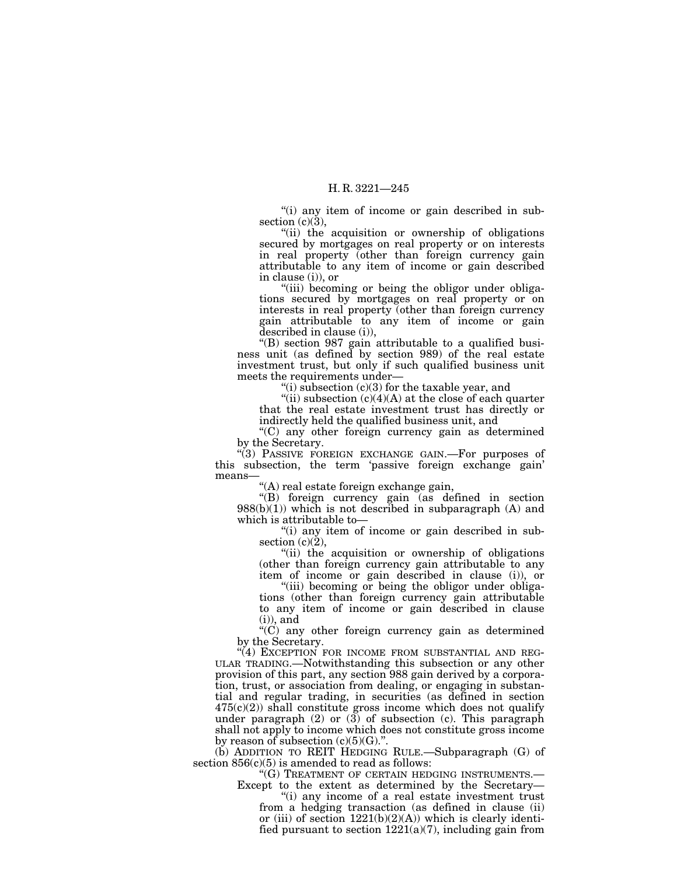''(i) any item of income or gain described in subsection  $(c)(3)$ ,

''(ii) the acquisition or ownership of obligations secured by mortgages on real property or on interests in real property (other than foreign currency gain attributable to any item of income or gain described in clause (i)), or

''(iii) becoming or being the obligor under obligations secured by mortgages on real property or on interests in real property (other than foreign currency gain attributable to any item of income or gain described in clause (i)),

''(B) section 987 gain attributable to a qualified business unit (as defined by section 989) of the real estate investment trust, but only if such qualified business unit meets the requirements under—

"(i) subsection  $(c)(3)$  for the taxable year, and

"(ii) subsection  $(c)(4)(A)$  at the close of each quarter that the real estate investment trust has directly or

indirectly held the qualified business unit, and

''(C) any other foreign currency gain as determined by the Secretary.

''(3) PASSIVE FOREIGN EXCHANGE GAIN.—For purposes of this subsection, the term 'passive foreign exchange gain' means—

''(A) real estate foreign exchange gain,

"(B) foreign currency gain (as defined in section  $988(b)(1)$ ) which is not described in subparagraph (A) and which is attributable to—

''(i) any item of income or gain described in subsection  $(c)(2)$ ,

"(ii) the acquisition or ownership of obligations (other than foreign currency gain attributable to any item of income or gain described in clause (i)), or

''(iii) becoming or being the obligor under obligations (other than foreign currency gain attributable to any item of income or gain described in clause (i)), and

 $(C)$  any other foreign currency gain as determined by the Secretary.

"(4) EXCEPTION FOR INCOME FROM SUBSTANTIAL AND REG-ULAR TRADING.—Notwithstanding this subsection or any other provision of this part, any section 988 gain derived by a corporation, trust, or association from dealing, or engaging in substantial and regular trading, in securities (as defined in section  $475(c)(2)$ ) shall constitute gross income which does not qualify under paragraph (2) or (3) of subsection (c). This paragraph shall not apply to income which does not constitute gross income by reason of subsection  $(c)(5)(G)$ .".

(b) ADDITION TO REIT HEDGING RULE.—Subparagraph (G) of section  $856(c)(5)$  is amended to read as follows:<br>"(G) TREATMENT OF CERTAIN HEDGING INSTRUMENTS.—

Except to the extent as determined by the Secretary-

''(i) any income of a real estate investment trust from a hedging transaction (as defined in clause (ii) or (iii) of section  $1221(b)(2)(A)$ ) which is clearly identified pursuant to section  $1221(a)(7)$ , including gain from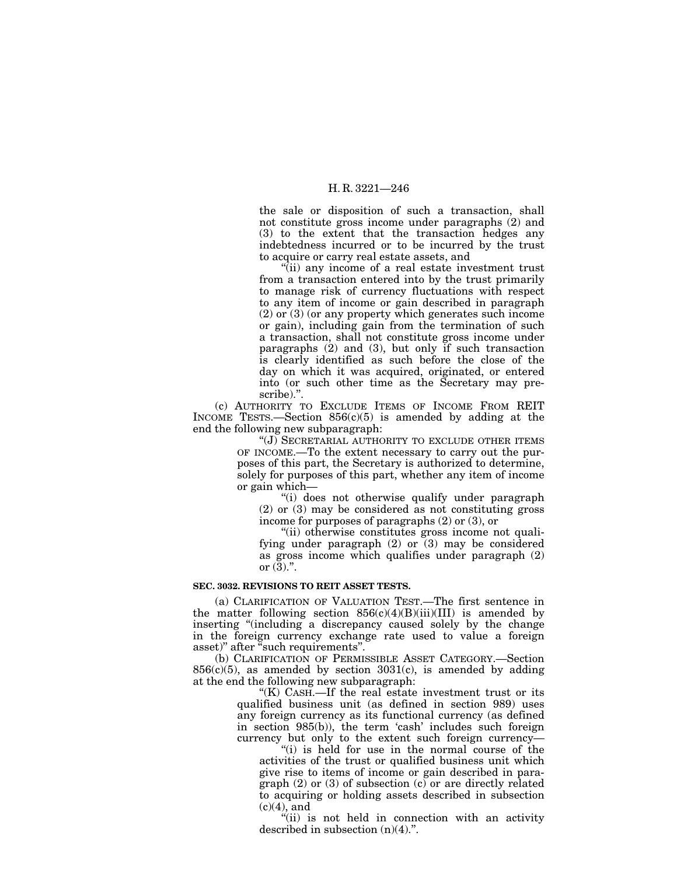the sale or disposition of such a transaction, shall not constitute gross income under paragraphs (2) and (3) to the extent that the transaction hedges any indebtedness incurred or to be incurred by the trust to acquire or carry real estate assets, and

"(ii) any income of a real estate investment trust from a transaction entered into by the trust primarily to manage risk of currency fluctuations with respect to any item of income or gain described in paragraph (2) or (3) (or any property which generates such income or gain), including gain from the termination of such a transaction, shall not constitute gross income under paragraphs (2) and (3), but only if such transaction is clearly identified as such before the close of the day on which it was acquired, originated, or entered into (or such other time as the Secretary may prescribe).".

(c) AUTHORITY TO EXCLUDE ITEMS OF INCOME FROM REIT INCOME TESTS.—Section  $856(c)(5)$  is amended by adding at the end the following new subparagraph:

> ''(J) SECRETARIAL AUTHORITY TO EXCLUDE OTHER ITEMS OF INCOME.—To the extent necessary to carry out the purposes of this part, the Secretary is authorized to determine, solely for purposes of this part, whether any item of income or gain which—

''(i) does not otherwise qualify under paragraph (2) or (3) may be considered as not constituting gross income for purposes of paragraphs (2) or (3), or

''(ii) otherwise constitutes gross income not qualifying under paragraph (2) or (3) may be considered as gross income which qualifies under paragraph (2) or  $(3)$ .".

#### **SEC. 3032. REVISIONS TO REIT ASSET TESTS.**

(a) CLARIFICATION OF VALUATION TEST.—The first sentence in the matter following section  $856(c)(4)(B)(iii)(III)$  is amended by inserting "(including a discrepancy caused solely by the change in the foreign currency exchange rate used to value a foreign asset)" after "such requirements".

(b) CLARIFICATION OF PERMISSIBLE ASSET CATEGORY.—Section  $856(c)(5)$ , as amended by section  $3031(c)$ , is amended by adding at the end the following new subparagraph:

"(K) CASH.—If the real estate investment trust or its qualified business unit (as defined in section 989) uses any foreign currency as its functional currency (as defined in section 985(b)), the term 'cash' includes such foreign currency but only to the extent such foreign currency—

''(i) is held for use in the normal course of the activities of the trust or qualified business unit which give rise to items of income or gain described in paragraph (2) or (3) of subsection (c) or are directly related to acquiring or holding assets described in subsection  $(c)(4)$ , and

"(ii) is not held in connection with an activity described in subsection  $(n)(4)$ .".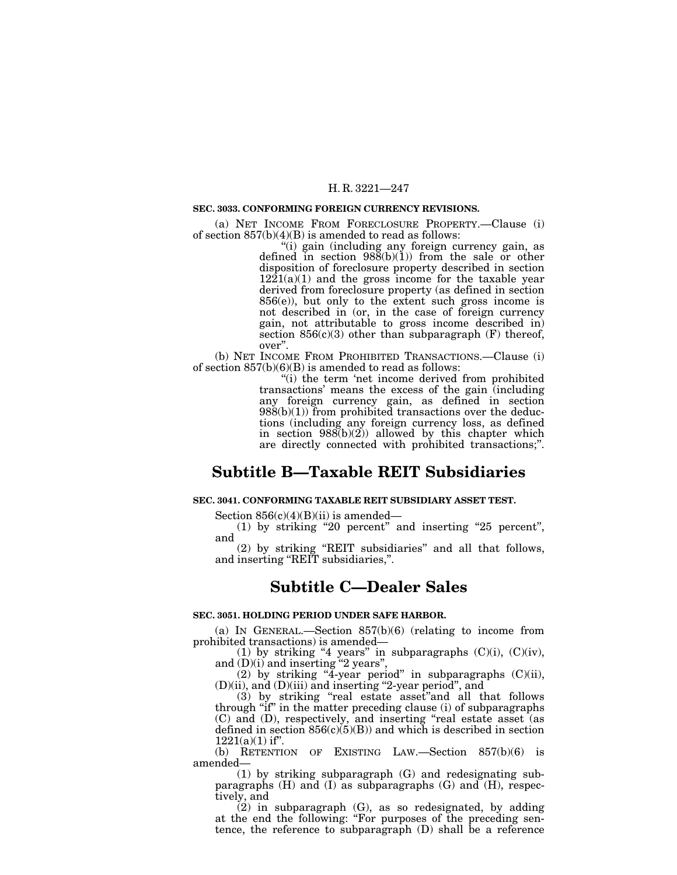#### **SEC. 3033. CONFORMING FOREIGN CURRENCY REVISIONS.**

(a) NET INCOME FROM FORECLOSURE PROPERTY.—Clause (i) of section  $857(b)(4)(B)$  is amended to read as follows:

''(i) gain (including any foreign currency gain, as defined in section  $988(b)(1)$  from the sale or other disposition of foreclosure property described in section  $122(1(a)(1)$  and the gross income for the taxable year derived from foreclosure property (as defined in section 856(e)), but only to the extent such gross income is not described in (or, in the case of foreign currency gain, not attributable to gross income described in) section  $856(c)(3)$  other than subparagraph (F) thereof, over''.

(b) NET INCOME FROM PROHIBITED TRANSACTIONS.—Clause (i) of section  $857(b)(6)(B)$  is amended to read as follows:

''(i) the term 'net income derived from prohibited transactions' means the excess of the gain (including any foreign currency gain, as defined in section  $988(b)(1)$ ) from prohibited transactions over the deductions (including any foreign currency loss, as defined in section  $988(b)(2)$ ) allowed by this chapter which are directly connected with prohibited transactions;''.

# **Subtitle B—Taxable REIT Subsidiaries**

## **SEC. 3041. CONFORMING TAXABLE REIT SUBSIDIARY ASSET TEST.**

Section  $856(c)(4)(B)(ii)$  is amended-

(1) by striking ''20 percent'' and inserting ''25 percent'', and

(2) by striking ''REIT subsidiaries'' and all that follows, and inserting ''REIT subsidiaries,''.

## **Subtitle C—Dealer Sales**

### **SEC. 3051. HOLDING PERIOD UNDER SAFE HARBOR.**

(a) IN GENERAL.—Section 857(b)(6) (relating to income from prohibited transactions) is amended—

(1) by striking "4 years" in subparagraphs  $(C)(i)$ ,  $(C)(iv)$ , and (D)(i) and inserting ''2 years'',

(2) by striking "4-year period" in subparagraphs  $(C)(ii)$ ,  $(D)(ii)$ , and  $(D)(iii)$  and inserting "2-year period", and

(3) by striking ''real estate asset''and all that follows through "if" in the matter preceding clause (i) of subparagraphs (C) and (D), respectively, and inserting ''real estate asset (as defined in section  $856(c)(5)(B)$  and which is described in section 1221(a)(1) if''.

(b) RETENTION OF EXISTING LAW.—Section 857(b)(6) is amended—

(1) by striking subparagraph (G) and redesignating subparagraphs (H) and (I) as subparagraphs (G) and (H), respectively, and

(2) in subparagraph (G), as so redesignated, by adding at the end the following: "For purposes of the preceding sentence, the reference to subparagraph (D) shall be a reference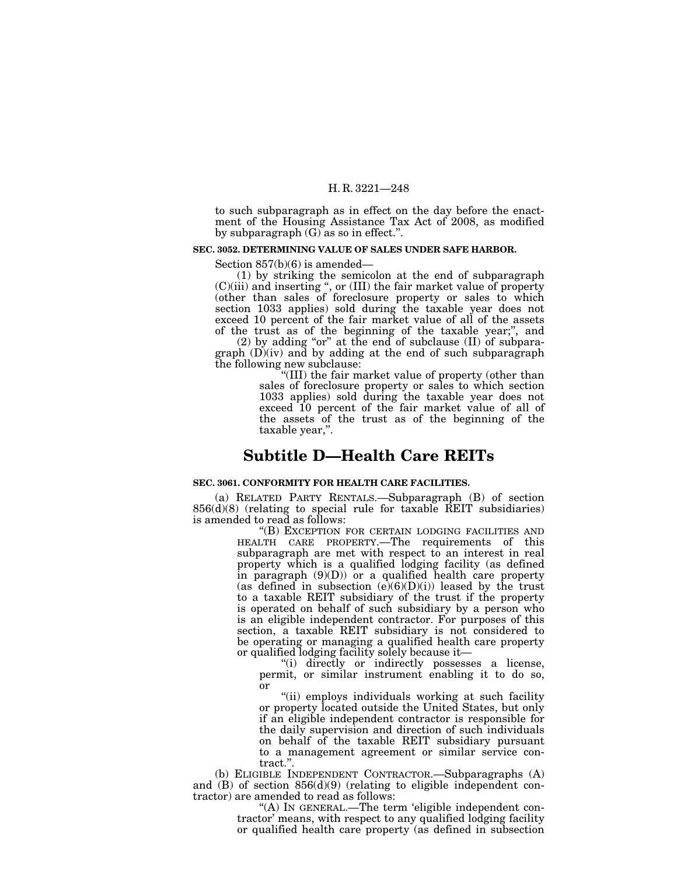to such subparagraph as in effect on the day before the enactment of the Housing Assistance Tax Act of 2008, as modified by subparagraph  $(G)$  as so in effect.".

## **SEC. 3052. DETERMINING VALUE OF SALES UNDER SAFE HARBOR.**

Section 857(b)(6) is amended—

(1) by striking the semicolon at the end of subparagraph (C)(iii) and inserting '', or (III) the fair market value of property (other than sales of foreclosure property or sales to which section 1033 applies) sold during the taxable year does not exceed 10 percent of the fair market value of all of the assets of the trust as of the beginning of the taxable year;'', and

(2) by adding "or" at the end of subclause (II) of subparagraph (D)(iv) and by adding at the end of such subparagraph the following new subclause:

''(III) the fair market value of property (other than sales of foreclosure property or sales to which section 1033 applies) sold during the taxable year does not exceed 10 percent of the fair market value of all of the assets of the trust as of the beginning of the taxable year,''.

# **Subtitle D—Health Care REITs**

#### **SEC. 3061. CONFORMITY FOR HEALTH CARE FACILITIES.**

(a) RELATED PARTY RENTALS.—Subparagraph (B) of section 856(d)(8) (relating to special rule for taxable REIT subsidiaries) is amended to read as follows:

''(B) EXCEPTION FOR CERTAIN LODGING FACILITIES AND HEALTH CARE PROPERTY.—The requirements of this subparagraph are met with respect to an interest in real property which is a qualified lodging facility (as defined in paragraph  $(9)(D)$  or a qualified health care property (as defined in subsection  $(e)(6)(D)(i)$ ) leased by the trust to a taxable REIT subsidiary of the trust if the property is operated on behalf of such subsidiary by a person who is an eligible independent contractor. For purposes of this section, a taxable REIT subsidiary is not considered to be operating or managing a qualified health care property or qualified lodging facility solely because it—

''(i) directly or indirectly possesses a license, permit, or similar instrument enabling it to do so, or

''(ii) employs individuals working at such facility or property located outside the United States, but only if an eligible independent contractor is responsible for the daily supervision and direction of such individuals on behalf of the taxable REIT subsidiary pursuant to a management agreement or similar service contract."

(b) ELIGIBLE INDEPENDENT CONTRACTOR.—Subparagraphs (A) and  $(B)$  of section  $856(d)(9)$  (relating to eligible independent contractor) are amended to read as follows:

> "(A) IN GENERAL.—The term 'eligible independent contractor' means, with respect to any qualified lodging facility or qualified health care property (as defined in subsection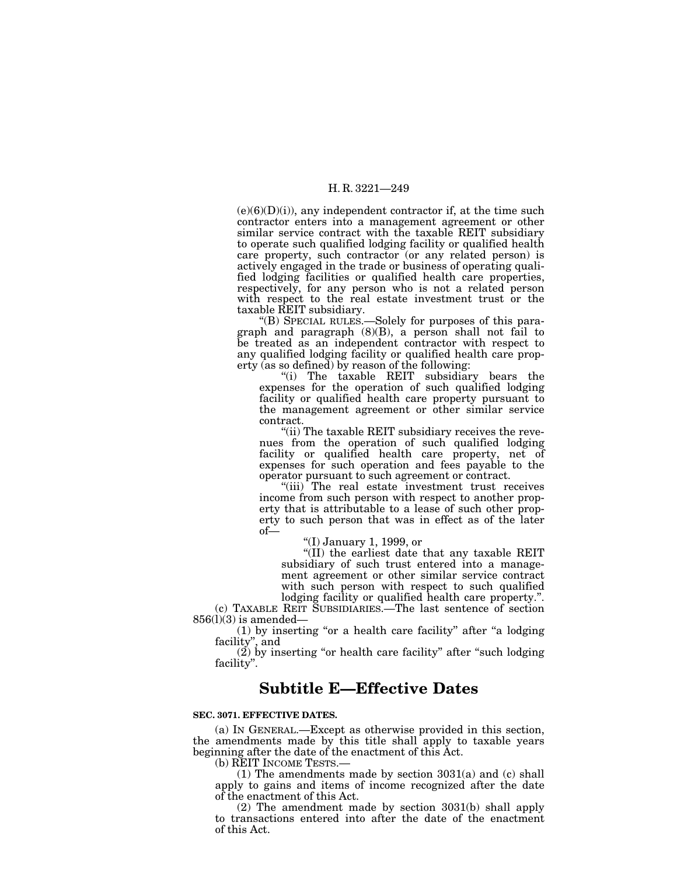$(e)(6)(D)(i)$ , any independent contractor if, at the time such contractor enters into a management agreement or other similar service contract with the taxable REIT subsidiary to operate such qualified lodging facility or qualified health care property, such contractor (or any related person) is actively engaged in the trade or business of operating qualified lodging facilities or qualified health care properties, respectively, for any person who is not a related person with respect to the real estate investment trust or the taxable REIT subsidiary.

''(B) SPECIAL RULES.—Solely for purposes of this paragraph and paragraph (8)(B), a person shall not fail to be treated as an independent contractor with respect to any qualified lodging facility or qualified health care property (as so defined) by reason of the following:

''(i) The taxable REIT subsidiary bears the expenses for the operation of such qualified lodging facility or qualified health care property pursuant to the management agreement or other similar service contract.

"(ii) The taxable REIT subsidiary receives the revenues from the operation of such qualified lodging facility or qualified health care property, net of expenses for such operation and fees payable to the operator pursuant to such agreement or contract.

"(iii) The real estate investment trust receives income from such person with respect to another property that is attributable to a lease of such other property to such person that was in effect as of the later of—

''(I) January 1, 1999, or

''(II) the earliest date that any taxable REIT subsidiary of such trust entered into a management agreement or other similar service contract with such person with respect to such qualified lodging facility or qualified health care property.''.

(c) TAXABLE REIT SUBSIDIARIES.—The last sentence of section  $856(1)(3)$  is amended-

 $(1)$  by inserting "or a health care facility" after "a lodging facility'', and

(2) by inserting ''or health care facility'' after ''such lodging facility''.

# **Subtitle E—Effective Dates**

#### **SEC. 3071. EFFECTIVE DATES.**

(a) IN GENERAL.—Except as otherwise provided in this section, the amendments made by this title shall apply to taxable years beginning after the date of the enactment of this Act.

(b) REIT INCOME TESTS.—

(1) The amendments made by section 3031(a) and (c) shall apply to gains and items of income recognized after the date of the enactment of this Act.

(2) The amendment made by section 3031(b) shall apply to transactions entered into after the date of the enactment of this Act.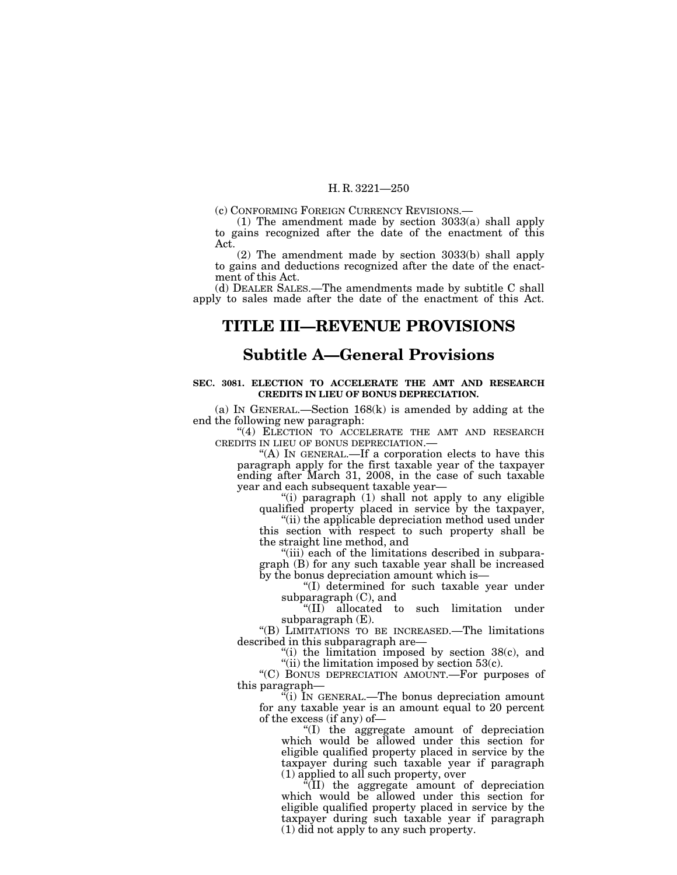(c) CONFORMING FOREIGN CURRENCY REVISIONS.—

(1) The amendment made by section 3033(a) shall apply to gains recognized after the date of the enactment of this Act.

(2) The amendment made by section 3033(b) shall apply to gains and deductions recognized after the date of the enactment of this Act.

(d) DEALER SALES.—The amendments made by subtitle C shall apply to sales made after the date of the enactment of this Act.

# **TITLE III—REVENUE PROVISIONS**

# **Subtitle A—General Provisions**

#### **SEC. 3081. ELECTION TO ACCELERATE THE AMT AND RESEARCH CREDITS IN LIEU OF BONUS DEPRECIATION.**

(a) IN GENERAL.—Section 168(k) is amended by adding at the end the following new paragraph:

"(4) ELECTION TO ACCELERATE THE AMT AND RESEARCH CREDITS IN LIEU OF BONUS DEPRECIATION.—

''(A) IN GENERAL.—If a corporation elects to have this paragraph apply for the first taxable year of the taxpayer ending after March 31, 2008, in the case of such taxable year and each subsequent taxable year—

''(i) paragraph (1) shall not apply to any eligible qualified property placed in service by the taxpayer,

''(ii) the applicable depreciation method used under this section with respect to such property shall be the straight line method, and

"(iii) each of the limitations described in subparagraph (B) for any such taxable year shall be increased by the bonus depreciation amount which is—

''(I) determined for such taxable year under subparagraph (C), and

''(II) allocated to such limitation under subparagraph (E).

''(B) LIMITATIONS TO BE INCREASED.—The limitations described in this subparagraph are—

"(i) the limitation imposed by section  $38(c)$ , and "(ii) the limitation imposed by section  $53(c)$ .

''(C) BONUS DEPRECIATION AMOUNT.—For purposes of this paragraph—

 $\sqrt[\alpha]{(i)}$  In GENERAL.—The bonus depreciation amount for any taxable year is an amount equal to 20 percent of the excess (if any) of—

''(I) the aggregate amount of depreciation which would be allowed under this section for eligible qualified property placed in service by the taxpayer during such taxable year if paragraph (1) applied to all such property, over

''(II) the aggregate amount of depreciation which would be allowed under this section for eligible qualified property placed in service by the taxpayer during such taxable year if paragraph (1) did not apply to any such property.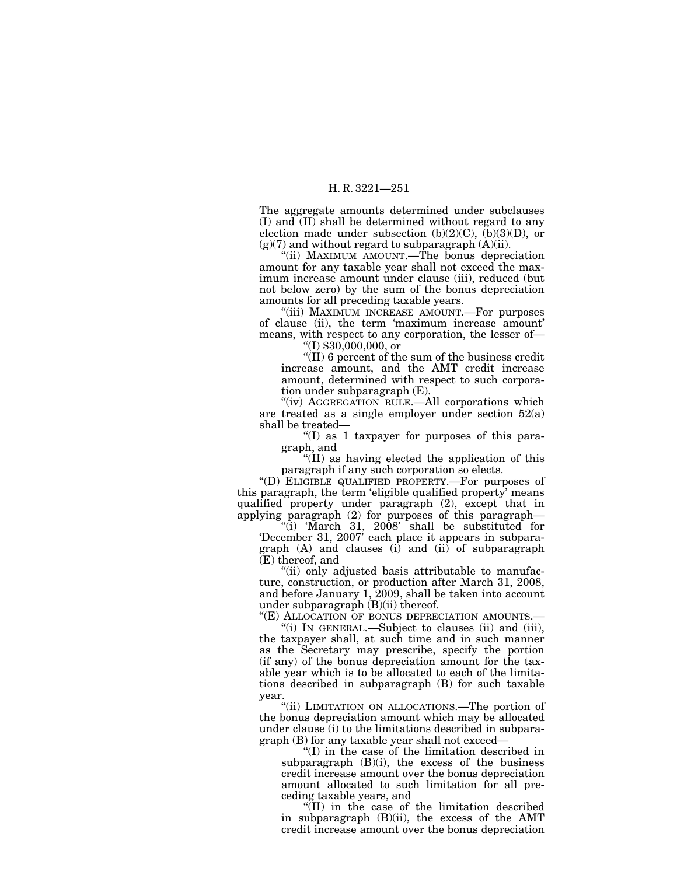The aggregate amounts determined under subclauses (I) and  $\text{III}$  shall be determined without regard to any election made under subsection  $(b)(2)(C)$ ,  $(b)(3)(D)$ , or  $(g)(7)$  and without regard to subparagraph  $(A)(ii)$ .

''(ii) MAXIMUM AMOUNT.—The bonus depreciation amount for any taxable year shall not exceed the maximum increase amount under clause (iii), reduced (but not below zero) by the sum of the bonus depreciation amounts for all preceding taxable years.

''(iii) MAXIMUM INCREASE AMOUNT.—For purposes of clause (ii), the term 'maximum increase amount' means, with respect to any corporation, the lesser of—

''(I) \$30,000,000, or

''(II) 6 percent of the sum of the business credit increase amount, and the AMT credit increase amount, determined with respect to such corporation under subparagraph (E).

"(iv) AGGREGATION RULE.—All corporations which are treated as a single employer under section  $52(a)$ shall be treated—

''(I) as 1 taxpayer for purposes of this paragraph, and

''(II) as having elected the application of this paragraph if any such corporation so elects.

''(D) ELIGIBLE QUALIFIED PROPERTY.—For purposes of this paragraph, the term 'eligible qualified property' means qualified property under paragraph (2), except that in applying paragraph (2) for purposes of this paragraph—

 $\tilde{N}(i)$  'March 31, 2008' shall be substituted for 'December 31, 2007' each place it appears in subparagraph  $(A)$  and clauses  $(i)$  and  $(ii)$  of subparagraph (E) thereof, and

''(ii) only adjusted basis attributable to manufacture, construction, or production after March 31, 2008, and before January 1, 2009, shall be taken into account under subparagraph (B)(ii) thereof.

''(E) ALLOCATION OF BONUS DEPRECIATION AMOUNTS.—

''(i) IN GENERAL.—Subject to clauses (ii) and (iii), the taxpayer shall, at such time and in such manner as the Secretary may prescribe, specify the portion (if any) of the bonus depreciation amount for the taxable year which is to be allocated to each of the limitations described in subparagraph (B) for such taxable year.

''(ii) LIMITATION ON ALLOCATIONS.—The portion of the bonus depreciation amount which may be allocated under clause (i) to the limitations described in subparagraph (B) for any taxable year shall not exceed—

''(I) in the case of the limitation described in subparagraph  $(B)(i)$ , the excess of the business credit increase amount over the bonus depreciation amount allocated to such limitation for all preceding taxable years, and

''(II) in the case of the limitation described in subparagraph (B)(ii), the excess of the AMT credit increase amount over the bonus depreciation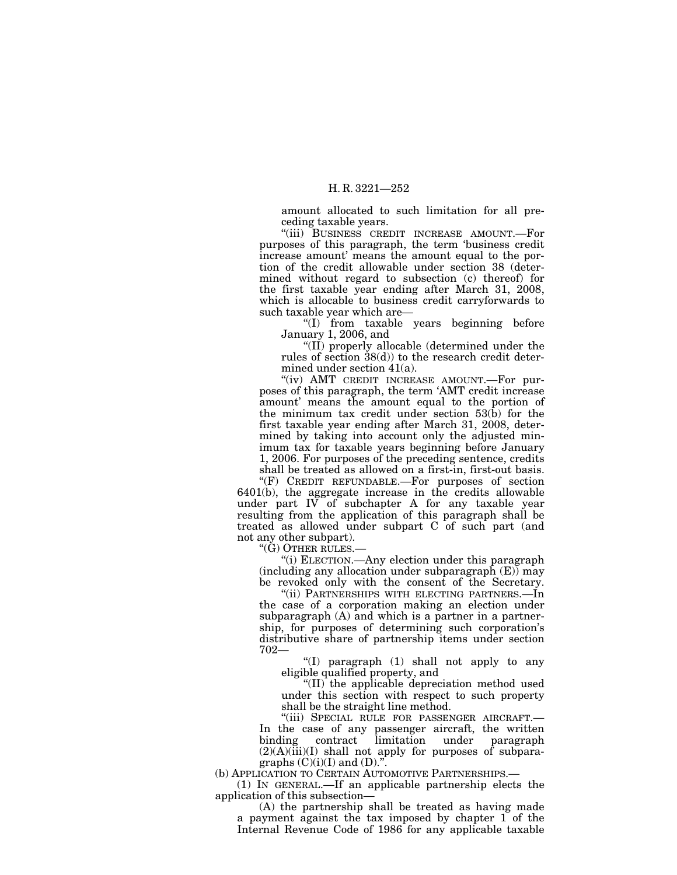amount allocated to such limitation for all preceding taxable years.

''(iii) BUSINESS CREDIT INCREASE AMOUNT.—For purposes of this paragraph, the term 'business credit increase amount' means the amount equal to the portion of the credit allowable under section 38 (determined without regard to subsection (c) thereof) for the first taxable year ending after March 31, 2008, which is allocable to business credit carryforwards to such taxable year which are—

''(I) from taxable years beginning before January 1, 2006, and

''(II) properly allocable (determined under the rules of section  $38(d)$  to the research credit determined under section 41(a).

"(iv) AMT CREDIT INCREASE AMOUNT.—For purposes of this paragraph, the term 'AMT credit increase amount' means the amount equal to the portion of the minimum tax credit under section 53(b) for the first taxable year ending after March 31, 2008, determined by taking into account only the adjusted minimum tax for taxable years beginning before January 1, 2006. For purposes of the preceding sentence, credits shall be treated as allowed on a first-in, first-out basis.

''(F) CREDIT REFUNDABLE.—For purposes of section 6401(b), the aggregate increase in the credits allowable under part IV of subchapter A for any taxable year resulting from the application of this paragraph shall be treated as allowed under subpart C of such part (and not any other subpart).

''(G) OTHER RULES.—

''(i) ELECTION.—Any election under this paragraph (including any allocation under subparagraph  $(E)$ ) may be revoked only with the consent of the Secretary.

''(ii) PARTNERSHIPS WITH ELECTING PARTNERS.—In the case of a corporation making an election under subparagraph (A) and which is a partner in a partnership, for purposes of determining such corporation's distributive share of partnership items under section 702—

''(I) paragraph (1) shall not apply to any eligible qualified property, and

''(II) the applicable depreciation method used under this section with respect to such property shall be the straight line method.

''(iii) SPECIAL RULE FOR PASSENGER AIRCRAFT.— In the case of any passenger aircraft, the written binding contract limitation under paragraph binding contract limitation under paragraph<br>(2)(A)(iii)(I) shall not apply for purposes of subparagraphs  $(C)(i)(I)$  and  $(D)$ ."

(b) APPLICATION TO CERTAIN AUTOMOTIVE PARTNERSHIPS.—

(1) IN GENERAL.—If an applicable partnership elects the application of this subsection—

(A) the partnership shall be treated as having made a payment against the tax imposed by chapter 1 of the Internal Revenue Code of 1986 for any applicable taxable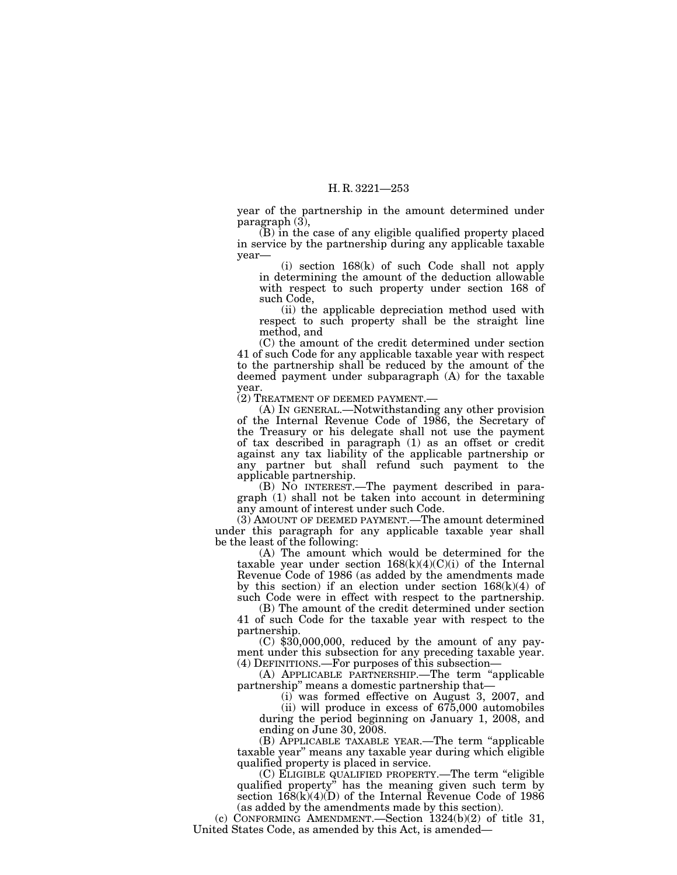year of the partnership in the amount determined under paragraph (3),

(B) in the case of any eligible qualified property placed in service by the partnership during any applicable taxable year—

(i) section 168(k) of such Code shall not apply in determining the amount of the deduction allowable with respect to such property under section 168 of such Code,

(ii) the applicable depreciation method used with respect to such property shall be the straight line method, and

(C) the amount of the credit determined under section 41 of such Code for any applicable taxable year with respect to the partnership shall be reduced by the amount of the deemed payment under subparagraph (A) for the taxable year.

(2) TREATMENT OF DEEMED PAYMENT.—

(A) IN GENERAL.—Notwithstanding any other provision of the Internal Revenue Code of 1986, the Secretary of the Treasury or his delegate shall not use the payment of tax described in paragraph (1) as an offset or credit against any tax liability of the applicable partnership or any partner but shall refund such payment to the applicable partnership.

(B) NO INTEREST.—The payment described in paragraph (1) shall not be taken into account in determining any amount of interest under such Code.

(3) AMOUNT OF DEEMED PAYMENT.—The amount determined under this paragraph for any applicable taxable year shall be the least of the following:

(A) The amount which would be determined for the taxable year under section  $168(k)(4)(C)(i)$  of the Internal Revenue Code of 1986 (as added by the amendments made by this section) if an election under section  $168(k)(4)$  of such Code were in effect with respect to the partnership.

(B) The amount of the credit determined under section 41 of such Code for the taxable year with respect to the partnership.

 $(C)$  \$30,000,000, reduced by the amount of any payment under this subsection for any preceding taxable year. (4) DEFINITIONS.—For purposes of this subsection—

(A) APPLICABLE PARTNERSHIP.—The term ''applicable partnership'' means a domestic partnership that—

(i) was formed effective on August 3, 2007, and

(ii) will produce in excess of 675,000 automobiles during the period beginning on January 1, 2008, and ending on June  $30, 2008$ .

(B) APPLICABLE TAXABLE YEAR.—The term ''applicable taxable year'' means any taxable year during which eligible qualified property is placed in service.

(C) ELIGIBLE QUALIFIED PROPERTY.—The term ''eligible qualified property'' has the meaning given such term by section  $168(k)(4)(D)$  of the Internal Revenue Code of 1986 (as added by the amendments made by this section).

(c) CONFORMING AMENDMENT.—Section 1324(b)(2) of title 31, United States Code, as amended by this Act, is amended—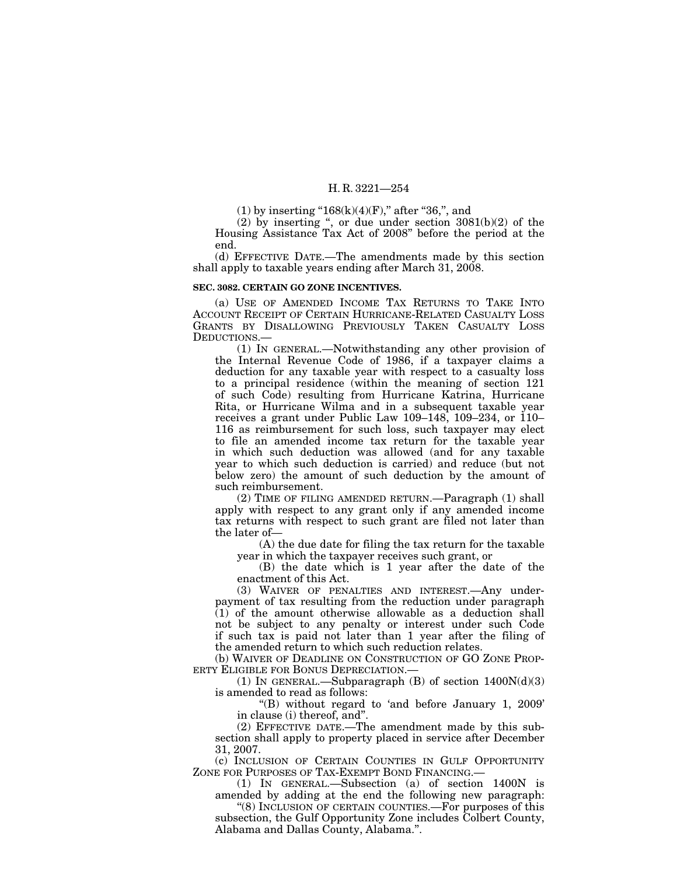(1) by inserting " $168(k)(4)(F)$ ," after "36,", and

(2) by inserting ", or due under section  $3081(b)(2)$  of the Housing Assistance Tax Act of 2008'' before the period at the end.

(d) EFFECTIVE DATE.—The amendments made by this section shall apply to taxable years ending after March 31, 2008.

#### **SEC. 3082. CERTAIN GO ZONE INCENTIVES.**

(a) USE OF AMENDED INCOME TAX RETURNS TO TAKE INTO ACCOUNT RECEIPT OF CERTAIN HURRICANE-RELATED CASUALTY LOSS GRANTS BY DISALLOWING PREVIOUSLY TAKEN CASUALTY LOSS DEDUCTIONS.

(1) IN GENERAL.—Notwithstanding any other provision of the Internal Revenue Code of 1986, if a taxpayer claims a deduction for any taxable year with respect to a casualty loss to a principal residence (within the meaning of section 121 of such Code) resulting from Hurricane Katrina, Hurricane Rita, or Hurricane Wilma and in a subsequent taxable year receives a grant under Public Law 109–148, 109–234, or 110– 116 as reimbursement for such loss, such taxpayer may elect to file an amended income tax return for the taxable year in which such deduction was allowed (and for any taxable year to which such deduction is carried) and reduce (but not below zero) the amount of such deduction by the amount of such reimbursement.

(2) TIME OF FILING AMENDED RETURN.—Paragraph (1) shall apply with respect to any grant only if any amended income tax returns with respect to such grant are filed not later than the later of—

(A) the due date for filing the tax return for the taxable year in which the taxpayer receives such grant, or

(B) the date which is 1 year after the date of the enactment of this Act.

(3) WAIVER OF PENALTIES AND INTEREST.—Any underpayment of tax resulting from the reduction under paragraph (1) of the amount otherwise allowable as a deduction shall not be subject to any penalty or interest under such Code if such tax is paid not later than 1 year after the filing of the amended return to which such reduction relates.

(b) WAIVER OF DEADLINE ON CONSTRUCTION OF GO ZONE PROP-ERTY ELIGIBLE FOR BONUS DEPRECIATION.—

(1) IN GENERAL.—Subparagraph  $(B)$  of section  $1400N(d)(3)$ is amended to read as follows:

''(B) without regard to 'and before January 1, 2009' in clause (i) thereof, and''.

(2) EFFECTIVE DATE.—The amendment made by this subsection shall apply to property placed in service after December 31, 2007.

(c) INCLUSION OF CERTAIN COUNTIES IN GULF OPPORTUNITY ZONE FOR PURPOSES OF TAX-EXEMPT BOND FINANCING.—

(1) IN GENERAL.—Subsection (a) of section 1400N is amended by adding at the end the following new paragraph:

''(8) INCLUSION OF CERTAIN COUNTIES.—For purposes of this subsection, the Gulf Opportunity Zone includes Colbert County, Alabama and Dallas County, Alabama.''.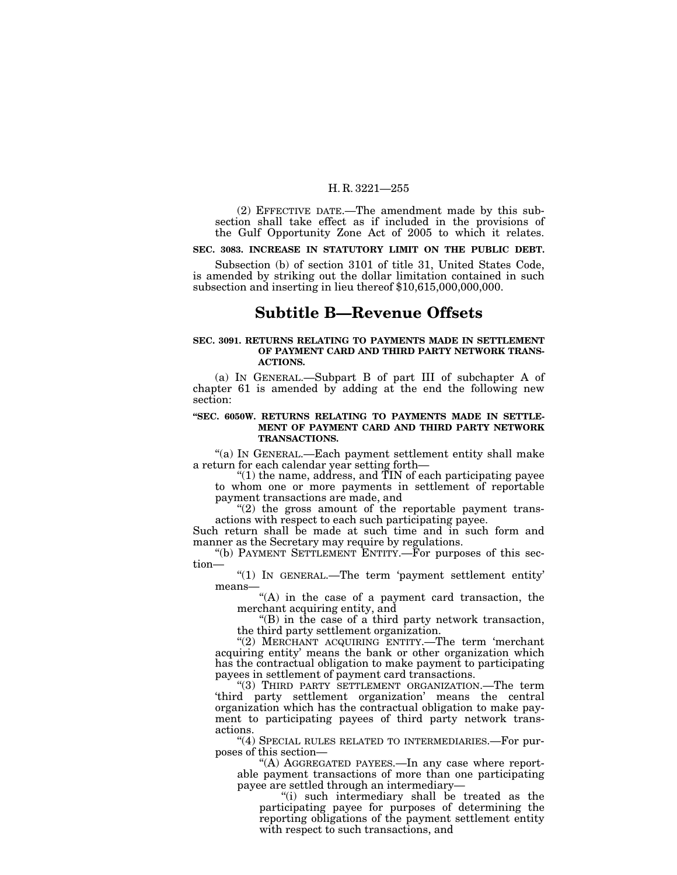(2) EFFECTIVE DATE.—The amendment made by this subsection shall take effect as if included in the provisions of the Gulf Opportunity Zone Act of 2005 to which it relates.

## **SEC. 3083. INCREASE IN STATUTORY LIMIT ON THE PUBLIC DEBT.**

Subsection (b) of section 3101 of title 31, United States Code, is amended by striking out the dollar limitation contained in such subsection and inserting in lieu thereof \$10,615,000,000,000.

# **Subtitle B—Revenue Offsets**

#### **SEC. 3091. RETURNS RELATING TO PAYMENTS MADE IN SETTLEMENT OF PAYMENT CARD AND THIRD PARTY NETWORK TRANS-ACTIONS.**

(a) IN GENERAL.—Subpart B of part III of subchapter A of chapter 61 is amended by adding at the end the following new section:

#### **''SEC. 6050W. RETURNS RELATING TO PAYMENTS MADE IN SETTLE-MENT OF PAYMENT CARD AND THIRD PARTY NETWORK TRANSACTIONS.**

''(a) IN GENERAL.—Each payment settlement entity shall make a return for each calendar year setting forth—

" $(1)$  the name, address, and  $\overline{T}$ IN of each participating payee to whom one or more payments in settlement of reportable payment transactions are made, and

"(2) the gross amount of the reportable payment transactions with respect to each such participating payee.

Such return shall be made at such time and in such form and manner as the Secretary may require by regulations.

''(b) PAYMENT SETTLEMENT ENTITY.—For purposes of this section—

''(1) IN GENERAL.—The term 'payment settlement entity' means—

"(A) in the case of a payment card transaction, the merchant acquiring entity, and

''(B) in the case of a third party network transaction, the third party settlement organization.

"(2) MERCHANT ACQUIRING ENTITY.—The term 'merchant acquiring entity' means the bank or other organization which has the contractual obligation to make payment to participating payees in settlement of payment card transactions.

"(3) THIRD PARTY SETTLEMENT ORGANIZATION.—The term 'third party settlement organization' means the central organization which has the contractual obligation to make payment to participating payees of third party network transactions.

''(4) SPECIAL RULES RELATED TO INTERMEDIARIES.—For purposes of this section—

''(A) AGGREGATED PAYEES.—In any case where reportable payment transactions of more than one participating payee are settled through an intermediary—

"(i) such intermediary shall be treated as the participating payee for purposes of determining the reporting obligations of the payment settlement entity with respect to such transactions, and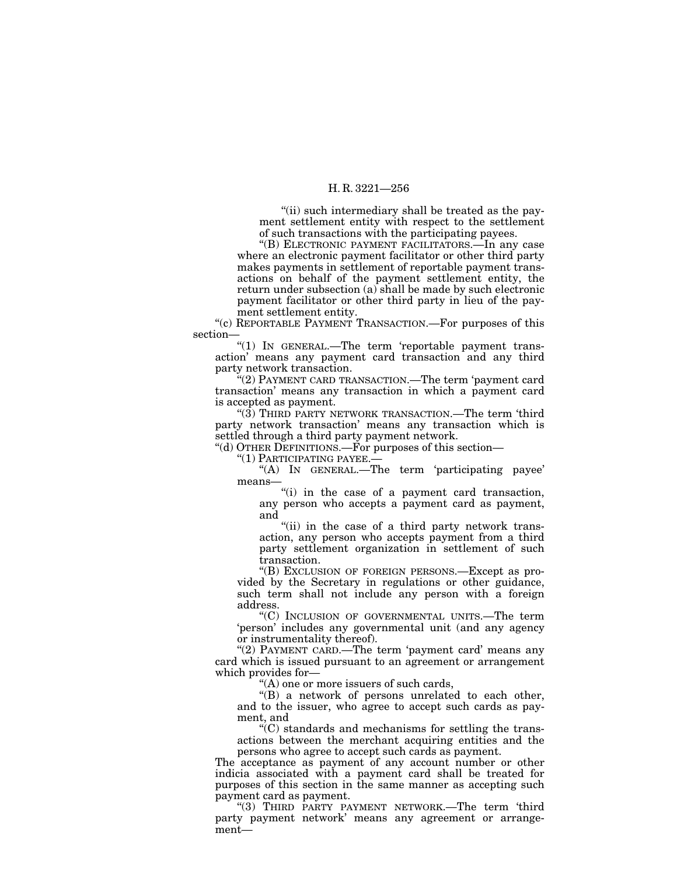''(ii) such intermediary shall be treated as the payment settlement entity with respect to the settlement of such transactions with the participating payees.

''(B) ELECTRONIC PAYMENT FACILITATORS.—In any case where an electronic payment facilitator or other third party makes payments in settlement of reportable payment transactions on behalf of the payment settlement entity, the return under subsection (a) shall be made by such electronic payment facilitator or other third party in lieu of the payment settlement entity.

"(c) REPORTABLE PAYMENT TRANSACTION.—For purposes of this section—

"(1) IN GENERAL.-The term 'reportable payment transaction' means any payment card transaction and any third party network transaction.

"(2) PAYMENT CARD TRANSACTION.—The term 'payment card transaction' means any transaction in which a payment card is accepted as payment.

"(3) THIRD PARTY NETWORK TRANSACTION.—The term 'third party network transaction' means any transaction which is settled through a third party payment network.

''(d) OTHER DEFINITIONS.—For purposes of this section—

"(1) PARTICIPATING PAYEE.-

''(A) IN GENERAL.—The term 'participating payee' means—

"(i) in the case of a payment card transaction, any person who accepts a payment card as payment, and

"(ii) in the case of a third party network transaction, any person who accepts payment from a third party settlement organization in settlement of such transaction.

''(B) EXCLUSION OF FOREIGN PERSONS.—Except as provided by the Secretary in regulations or other guidance, such term shall not include any person with a foreign address.

''(C) INCLUSION OF GOVERNMENTAL UNITS.—The term 'person' includes any governmental unit (and any agency or instrumentality thereof).

"(2) PAYMENT CARD.—The term 'payment card' means any card which is issued pursuant to an agreement or arrangement which provides for—

''(A) one or more issuers of such cards,

"(B) a network of persons unrelated to each other, and to the issuer, who agree to accept such cards as payment, and

''(C) standards and mechanisms for settling the transactions between the merchant acquiring entities and the persons who agree to accept such cards as payment.

The acceptance as payment of any account number or other indicia associated with a payment card shall be treated for purposes of this section in the same manner as accepting such payment card as payment.

"(3) THIRD PARTY PAYMENT NETWORK.—The term 'third party payment network' means any agreement or arrangement—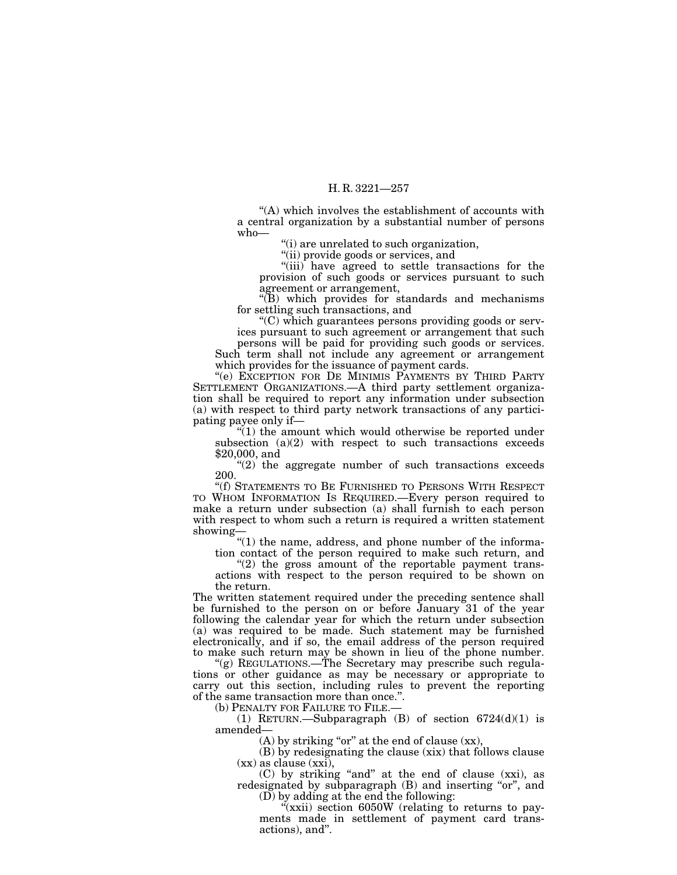''(A) which involves the establishment of accounts with a central organization by a substantial number of persons who—

''(i) are unrelated to such organization,

"(ii) provide goods or services, and

"(iii) have agreed to settle transactions for the provision of such goods or services pursuant to such agreement or arrangement,

''(B) which provides for standards and mechanisms for settling such transactions, and

''(C) which guarantees persons providing goods or services pursuant to such agreement or arrangement that such

persons will be paid for providing such goods or services. Such term shall not include any agreement or arrangement which provides for the issuance of payment cards.

''(e) EXCEPTION FOR DE MINIMIS PAYMENTS BY THIRD PARTY SETTLEMENT ORGANIZATIONS.—A third party settlement organization shall be required to report any information under subsection (a) with respect to third party network transactions of any participating payee only if—

 $(1)$  the amount which would otherwise be reported under subsection (a)(2) with respect to such transactions exceeds \$20,000, and

 $''(2)$  the aggregate number of such transactions exceeds 200.

''(f) STATEMENTS TO BE FURNISHED TO PERSONS WITH RESPECT TO WHOM INFORMATION IS REQUIRED.—Every person required to make a return under subsection (a) shall furnish to each person with respect to whom such a return is required a written statement showing—

''(1) the name, address, and phone number of the information contact of the person required to make such return, and

" $(2)$  the gross amount of the reportable payment transactions with respect to the person required to be shown on the return.

The written statement required under the preceding sentence shall be furnished to the person on or before January 31 of the year following the calendar year for which the return under subsection (a) was required to be made. Such statement may be furnished electronically, and if so, the email address of the person required to make such return may be shown in lieu of the phone number.

"(g) REGULATIONS.—The Secretary may prescribe such regulations or other guidance as may be necessary or appropriate to carry out this section, including rules to prevent the reporting of the same transaction more than once.''.

(b) PENALTY FOR FAILURE TO FILE.—

(1) RETURN.—Subparagraph (B) of section  $6724\text{ (d)}(1)$  is amended—

 $(A)$  by striking "or" at the end of clause  $(xx)$ ,

(B) by redesignating the clause (xix) that follows clause (xx) as clause (xxi),

(C) by striking ''and'' at the end of clause (xxi), as redesignated by subparagraph (B) and inserting "or", and (D) by adding at the end the following:

" $(xxi)$  section 6050W (relating to returns to payments made in settlement of payment card transactions), and''.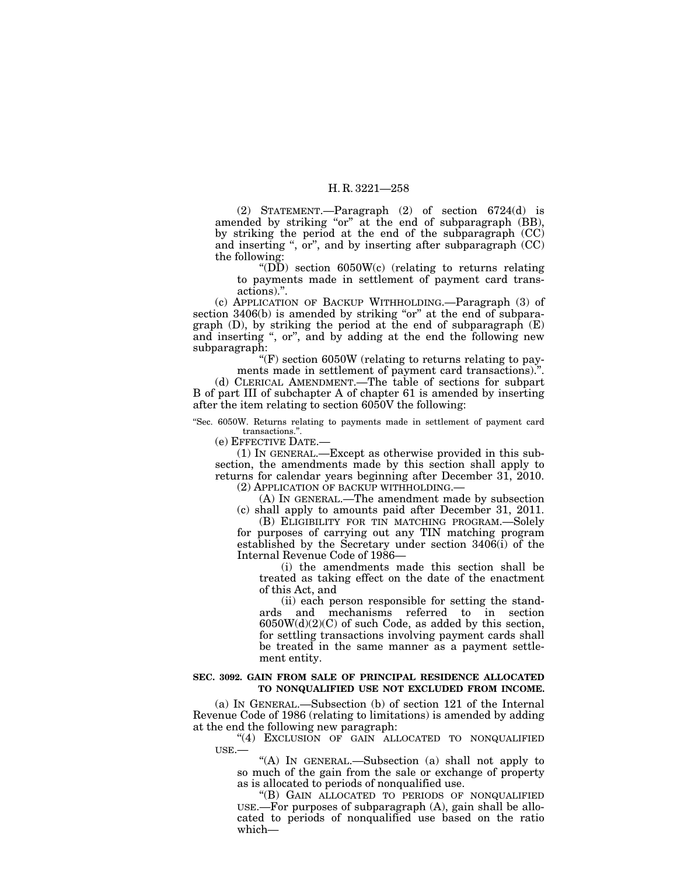(2) STATEMENT.—Paragraph (2) of section 6724(d) is amended by striking "or" at the end of subparagraph (BB), by striking the period at the end of the subparagraph (CC) and inserting ", or", and by inserting after subparagraph (CC) the following:

 $\text{``(DD)}$  section 6050W(c) (relating to returns relating to payments made in settlement of payment card transactions).''.

(c) APPLICATION OF BACKUP WITHHOLDING.—Paragraph (3) of section  $3406(b)$  is amended by striking "or" at the end of subparagraph (D), by striking the period at the end of subparagraph (E) and inserting ", or", and by adding at the end the following new subparagraph:

 $\degree$ (F) section 6050W (relating to returns relating to payments made in settlement of payment card transactions).''.

(d) CLERICAL AMENDMENT.—The table of sections for subpart B of part III of subchapter A of chapter 61 is amended by inserting after the item relating to section 6050V the following:

''Sec. 6050W. Returns relating to payments made in settlement of payment card transactions.''.

(e) EFFECTIVE DATE.—

(1) IN GENERAL.—Except as otherwise provided in this subsection, the amendments made by this section shall apply to returns for calendar years beginning after December 31, 2010. (2) APPLICATION OF BACKUP WITHHOLDING.—

(A) IN GENERAL.—The amendment made by subsection

(c) shall apply to amounts paid after December 31, 2011. (B) ELIGIBILITY FOR TIN MATCHING PROGRAM.—Solely

for purposes of carrying out any TIN matching program established by the Secretary under section 3406(i) of the Internal Revenue Code of 1986—

(i) the amendments made this section shall be treated as taking effect on the date of the enactment of this Act, and

(ii) each person responsible for setting the standards and mechanisms referred to in section  $6050W(d)(2)(C)$  of such Code, as added by this section, for settling transactions involving payment cards shall be treated in the same manner as a payment settlement entity.

#### **SEC. 3092. GAIN FROM SALE OF PRINCIPAL RESIDENCE ALLOCATED TO NONQUALIFIED USE NOT EXCLUDED FROM INCOME.**

(a) IN GENERAL.—Subsection (b) of section 121 of the Internal Revenue Code of 1986 (relating to limitations) is amended by adding at the end the following new paragraph:

"(4) EXCLUSION OF GAIN ALLOCATED TO NONQUALIFIED USE.—

''(A) IN GENERAL.—Subsection (a) shall not apply to so much of the gain from the sale or exchange of property as is allocated to periods of nonqualified use.

''(B) GAIN ALLOCATED TO PERIODS OF NONQUALIFIED USE.—For purposes of subparagraph (A), gain shall be allocated to periods of nonqualified use based on the ratio which—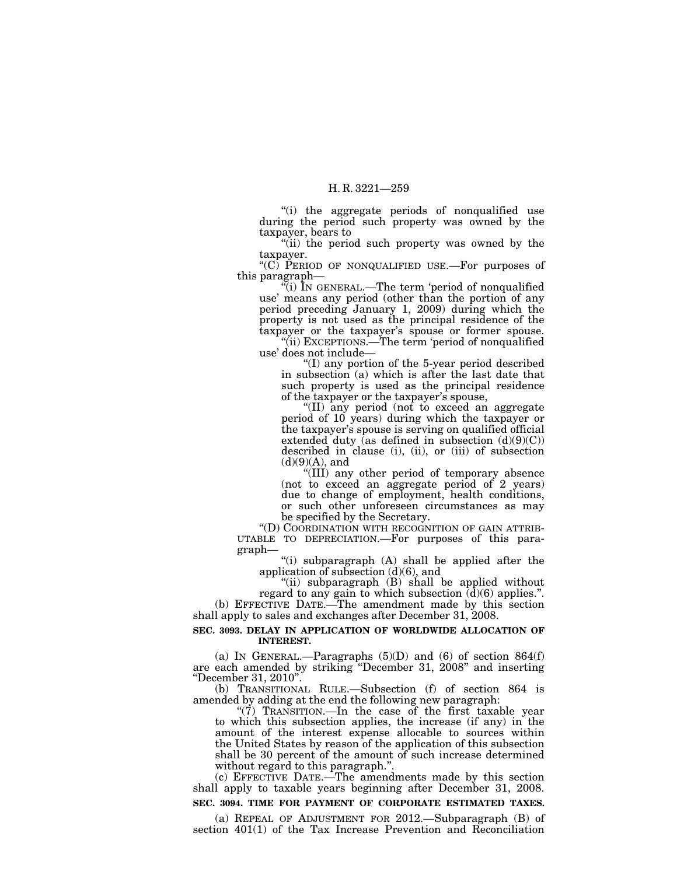''(i) the aggregate periods of nonqualified use during the period such property was owned by the taxpayer, bears to

"(ii) the period such property was owned by the taxpayer.

" $(C)$  PERIOD OF NONQUALIFIED USE.—For purposes of this paragraph—

''(i) IN GENERAL.—The term 'period of nonqualified use' means any period (other than the portion of any period preceding January 1, 2009) during which the property is not used as the principal residence of the taxpayer or the taxpayer's spouse or former spouse.

"(ii) EXCEPTIONS.—The term 'period of nonqualified use' does not include—

''(I) any portion of the 5-year period described in subsection (a) which is after the last date that such property is used as the principal residence of the taxpayer or the taxpayer's spouse,

''(II) any period (not to exceed an aggregate period of 10 years) during which the taxpayer or the taxpayer's spouse is serving on qualified official extended duty (as defined in subsection  $(d)(9)(C)$ ) described in clause (i), (ii), or (iii) of subsection  $(d)(9)(A)$ , and

''(III) any other period of temporary absence (not to exceed an aggregate period of 2 years) due to change of employment, health conditions, or such other unforeseen circumstances as may be specified by the Secretary.

''(D) COORDINATION WITH RECOGNITION OF GAIN ATTRIB- UTABLE TO DEPRECIATION.—For purposes of this paragraph—

''(i) subparagraph (A) shall be applied after the application of subsection  $(d)(6)$ , and

"(ii) subparagraph  $(B)$  shall be applied without regard to any gain to which subsection  $(d)(6)$  applies.".

(b) EFFECTIVE DATE.—The amendment made by this section shall apply to sales and exchanges after December 31, 2008.

#### **SEC. 3093. DELAY IN APPLICATION OF WORLDWIDE ALLOCATION OF INTEREST.**

(a) IN GENERAL.—Paragraphs  $(5)(D)$  and  $(6)$  of section 864(f) are each amended by striking ''December 31, 2008'' and inserting ''December 31, 2010''.

(b) TRANSITIONAL RULE.—Subsection (f) of section 864 is amended by adding at the end the following new paragraph:

"(7) TRANSITION.—In the case of the first taxable year to which this subsection applies, the increase (if any) in the amount of the interest expense allocable to sources within the United States by reason of the application of this subsection shall be 30 percent of the amount of such increase determined without regard to this paragraph.''.

(c) EFFECTIVE DATE.—The amendments made by this section shall apply to taxable years beginning after December 31, 2008.

## **SEC. 3094. TIME FOR PAYMENT OF CORPORATE ESTIMATED TAXES.**

(a) REPEAL OF ADJUSTMENT FOR 2012.—Subparagraph (B) of section 401(1) of the Tax Increase Prevention and Reconciliation